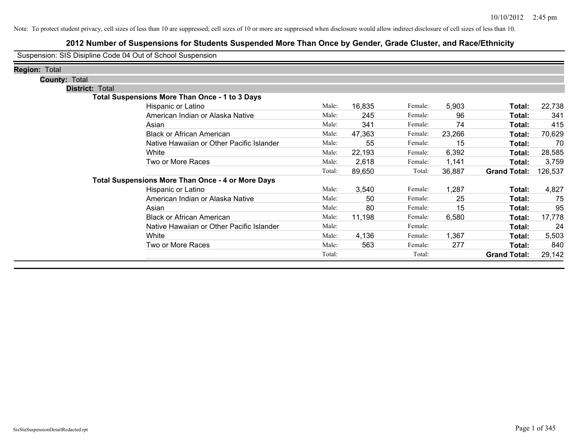### **2012 Number of Suspensions for Students Suspended More Than Once by Gender, Grade Cluster, and Race/Ethnicity**

Suspension: SIS Disipline Code 04 Out of School Suspension

| <b>Region: Total</b>   |                                                          |        |        |         |        |                     |         |
|------------------------|----------------------------------------------------------|--------|--------|---------|--------|---------------------|---------|
| <b>County: Total</b>   |                                                          |        |        |         |        |                     |         |
| <b>District: Total</b> |                                                          |        |        |         |        |                     |         |
|                        | <b>Total Suspensions More Than Once - 1 to 3 Days</b>    |        |        |         |        |                     |         |
|                        | Hispanic or Latino                                       | Male:  | 16,835 | Female: | 5,903  | Total:              | 22,738  |
|                        | American Indian or Alaska Native                         | Male:  | 245    | Female: | 96     | Total:              | 341     |
|                        | Asian                                                    | Male:  | 341    | Female: | 74     | Total:              | 415     |
|                        | <b>Black or African American</b>                         | Male:  | 47,363 | Female: | 23,266 | Total:              | 70,629  |
|                        | Native Hawaiian or Other Pacific Islander                | Male:  | 55     | Female: | 15     | Total:              | 70      |
|                        | White                                                    | Male:  | 22,193 | Female: | 6,392  | Total:              | 28,585  |
|                        | Two or More Races                                        | Male:  | 2,618  | Female: | 1,141  | Total:              | 3,759   |
|                        |                                                          | Total: | 89,650 | Total:  | 36,887 | <b>Grand Total:</b> | 126,537 |
|                        | <b>Total Suspensions More Than Once - 4 or More Days</b> |        |        |         |        |                     |         |
|                        | Hispanic or Latino                                       | Male:  | 3,540  | Female: | 1,287  | Total:              | 4,827   |
|                        | American Indian or Alaska Native                         | Male:  | 50     | Female: | 25     | Total:              | 75      |
|                        | Asian                                                    | Male:  | 80     | Female: | 15     | Total:              | 95      |
|                        | <b>Black or African American</b>                         | Male:  | 11,198 | Female: | 6,580  | Total:              | 17,778  |
|                        | Native Hawaiian or Other Pacific Islander                | Male:  |        | Female: |        | Total:              | 24      |
|                        | White                                                    | Male:  | 4,136  | Female: | 1,367  | Total:              | 5,503   |
|                        | Two or More Races                                        | Male:  | 563    | Female: | 277    | Total:              | 840     |
|                        |                                                          | Total: |        | Total:  |        | <b>Grand Total:</b> | 29,142  |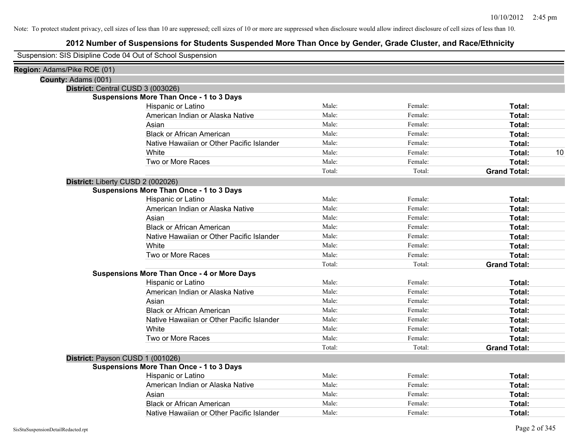### **2012 Number of Suspensions for Students Suspended More Than Once by Gender, Grade Cluster, and Race/Ethnicity**

Suspension: SIS Disipline Code 04 Out of School Suspension

| Region: Adams/Pike ROE (01) |                                                    |        |         |                     |    |
|-----------------------------|----------------------------------------------------|--------|---------|---------------------|----|
| County: Adams (001)         |                                                    |        |         |                     |    |
|                             | District: Central CUSD 3 (003026)                  |        |         |                     |    |
|                             | <b>Suspensions More Than Once - 1 to 3 Days</b>    |        |         |                     |    |
|                             | Hispanic or Latino                                 | Male:  | Female: | Total:              |    |
|                             | American Indian or Alaska Native                   | Male:  | Female: | Total:              |    |
|                             | Asian                                              | Male:  | Female: | Total:              |    |
|                             | <b>Black or African American</b>                   | Male:  | Female: | Total:              |    |
|                             | Native Hawaiian or Other Pacific Islander          | Male:  | Female: | Total:              |    |
|                             | White                                              | Male:  | Female: | Total:              | 10 |
|                             | Two or More Races                                  | Male:  | Female: | Total:              |    |
|                             |                                                    | Total: | Total:  | <b>Grand Total:</b> |    |
|                             | District: Liberty CUSD 2 (002026)                  |        |         |                     |    |
|                             | <b>Suspensions More Than Once - 1 to 3 Days</b>    |        |         |                     |    |
|                             | Hispanic or Latino                                 | Male:  | Female: | Total:              |    |
|                             | American Indian or Alaska Native                   | Male:  | Female: | Total:              |    |
|                             | Asian                                              | Male:  | Female: | Total:              |    |
|                             | <b>Black or African American</b>                   | Male:  | Female: | Total:              |    |
|                             | Native Hawaiian or Other Pacific Islander          | Male:  | Female: | Total:              |    |
|                             | White                                              | Male:  | Female: | Total:              |    |
|                             | Two or More Races                                  | Male:  | Female: | Total:              |    |
|                             |                                                    | Total: | Total:  | <b>Grand Total:</b> |    |
|                             | <b>Suspensions More Than Once - 4 or More Days</b> |        |         |                     |    |
|                             | Hispanic or Latino                                 | Male:  | Female: | Total:              |    |
|                             | American Indian or Alaska Native                   | Male:  | Female: | Total:              |    |
|                             | Asian                                              | Male:  | Female: | Total:              |    |
|                             | <b>Black or African American</b>                   | Male:  | Female: | Total:              |    |
|                             | Native Hawaiian or Other Pacific Islander          | Male:  | Female: | Total:              |    |
|                             | White                                              | Male:  | Female: | Total:              |    |
|                             | Two or More Races                                  | Male:  | Female: | Total:              |    |
|                             |                                                    | Total: | Total:  | <b>Grand Total:</b> |    |
|                             | District: Payson CUSD 1 (001026)                   |        |         |                     |    |
|                             | <b>Suspensions More Than Once - 1 to 3 Days</b>    |        |         |                     |    |
|                             | Hispanic or Latino                                 | Male:  | Female: | Total:              |    |
|                             | American Indian or Alaska Native                   | Male:  | Female: | Total:              |    |
|                             | Asian                                              | Male:  | Female: | Total:              |    |
|                             | <b>Black or African American</b>                   | Male:  | Female: | Total:              |    |
|                             | Native Hawaiian or Other Pacific Islander          | Male:  | Female: | Total:              |    |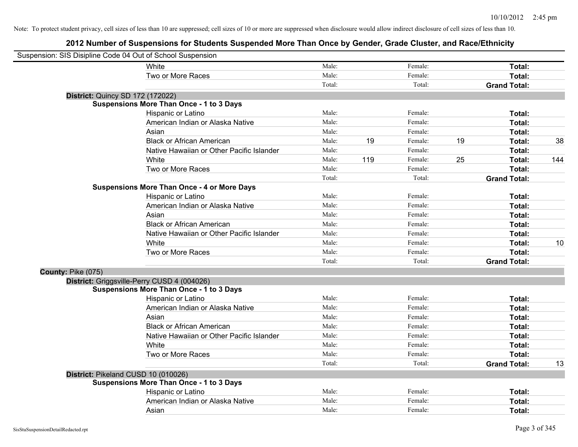|                    | Suspension: SIS Disipline Code 04 Out of School Suspension |        |     |         |    |                     |     |
|--------------------|------------------------------------------------------------|--------|-----|---------|----|---------------------|-----|
|                    | White                                                      | Male:  |     | Female: |    | Total:              |     |
|                    | Two or More Races                                          | Male:  |     | Female: |    | Total:              |     |
|                    |                                                            | Total: |     | Total:  |    | <b>Grand Total:</b> |     |
|                    | <b>District: Quincy SD 172 (172022)</b>                    |        |     |         |    |                     |     |
|                    | <b>Suspensions More Than Once - 1 to 3 Days</b>            |        |     |         |    |                     |     |
|                    | Hispanic or Latino                                         | Male:  |     | Female: |    | Total:              |     |
|                    | American Indian or Alaska Native                           | Male:  |     | Female: |    | Total:              |     |
|                    | Asian                                                      | Male:  |     | Female: |    | Total:              |     |
|                    | <b>Black or African American</b>                           | Male:  | 19  | Female: | 19 | Total:              | 38  |
|                    | Native Hawaiian or Other Pacific Islander                  | Male:  |     | Female: |    | Total:              |     |
|                    | White                                                      | Male:  | 119 | Female: | 25 | Total:              | 144 |
|                    | Two or More Races                                          | Male:  |     | Female: |    | Total:              |     |
|                    |                                                            | Total: |     | Total:  |    | <b>Grand Total:</b> |     |
|                    | <b>Suspensions More Than Once - 4 or More Days</b>         |        |     |         |    |                     |     |
|                    | Hispanic or Latino                                         | Male:  |     | Female: |    | Total:              |     |
|                    | American Indian or Alaska Native                           | Male:  |     | Female: |    | Total:              |     |
|                    | Asian                                                      | Male:  |     | Female: |    | Total:              |     |
|                    | <b>Black or African American</b>                           | Male:  |     | Female: |    | Total:              |     |
|                    | Native Hawaiian or Other Pacific Islander                  | Male:  |     | Female: |    | Total:              |     |
|                    | White                                                      | Male:  |     | Female: |    | Total:              | 10  |
|                    | Two or More Races                                          | Male:  |     | Female: |    | Total:              |     |
|                    |                                                            | Total: |     | Total:  |    | <b>Grand Total:</b> |     |
| County: Pike (075) |                                                            |        |     |         |    |                     |     |
|                    | District: Griggsville-Perry CUSD 4 (004026)                |        |     |         |    |                     |     |
|                    | <b>Suspensions More Than Once - 1 to 3 Days</b>            |        |     |         |    |                     |     |
|                    | Hispanic or Latino                                         | Male:  |     | Female: |    | Total:              |     |
|                    | American Indian or Alaska Native                           | Male:  |     | Female: |    | Total:              |     |
|                    | Asian                                                      | Male:  |     | Female: |    | Total:              |     |
|                    | <b>Black or African American</b>                           | Male:  |     | Female: |    | Total:              |     |
|                    | Native Hawaiian or Other Pacific Islander                  | Male:  |     | Female: |    | Total:              |     |
|                    | White                                                      | Male:  |     | Female: |    | Total:              |     |
|                    | Two or More Races                                          | Male:  |     | Female: |    | Total:              |     |
|                    |                                                            | Total: |     | Total:  |    | <b>Grand Total:</b> | 13  |
|                    | District: Pikeland CUSD 10 (010026)                        |        |     |         |    |                     |     |
|                    | <b>Suspensions More Than Once - 1 to 3 Days</b>            |        |     |         |    |                     |     |
|                    | Hispanic or Latino                                         | Male:  |     | Female: |    | Total:              |     |
|                    | American Indian or Alaska Native                           | Male:  |     | Female: |    | Total:              |     |
|                    | Asian                                                      | Male:  |     | Female: |    | Total:              |     |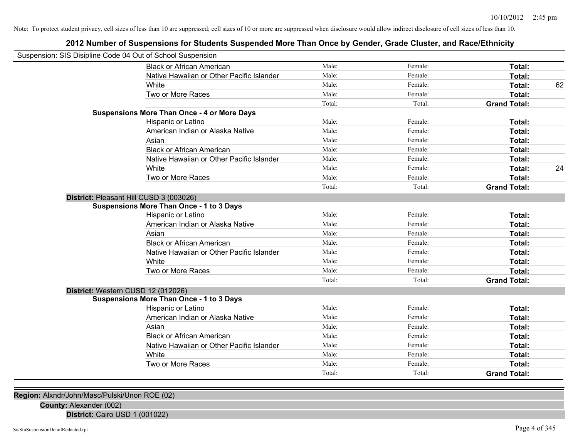### **2012 Number of Suspensions for Students Suspended More Than Once by Gender, Grade Cluster, and Race/Ethnicity**

| Suspension: SIS Disipline Code 04 Out of School Suspension |        |         |                     |    |
|------------------------------------------------------------|--------|---------|---------------------|----|
| <b>Black or African American</b>                           | Male:  | Female: | Total:              |    |
| Native Hawaiian or Other Pacific Islander                  | Male:  | Female: | Total:              |    |
| White                                                      | Male:  | Female: | Total:              | 62 |
| Two or More Races                                          | Male:  | Female: | Total:              |    |
|                                                            | Total: | Total:  | <b>Grand Total:</b> |    |
| <b>Suspensions More Than Once - 4 or More Days</b>         |        |         |                     |    |
| Hispanic or Latino                                         | Male:  | Female: | Total:              |    |
| American Indian or Alaska Native                           | Male:  | Female: | Total:              |    |
| Asian                                                      | Male:  | Female: | Total:              |    |
| <b>Black or African American</b>                           | Male:  | Female: | Total:              |    |
| Native Hawaiian or Other Pacific Islander                  | Male:  | Female: | <b>Total:</b>       |    |
| White                                                      | Male:  | Female: | Total:              | 24 |
| Two or More Races                                          | Male:  | Female: | Total:              |    |
|                                                            | Total: | Total:  | <b>Grand Total:</b> |    |
| District: Pleasant Hill CUSD 3 (003026)                    |        |         |                     |    |
| <b>Suspensions More Than Once - 1 to 3 Days</b>            |        |         |                     |    |
| Hispanic or Latino                                         | Male:  | Female: | Total:              |    |
| American Indian or Alaska Native                           | Male:  | Female: | Total:              |    |
| Asian                                                      | Male:  | Female: | <b>Total:</b>       |    |
| <b>Black or African American</b>                           | Male:  | Female: | Total:              |    |
| Native Hawaiian or Other Pacific Islander                  | Male:  | Female: | Total:              |    |
| White                                                      | Male:  | Female: | Total:              |    |
| Two or More Races                                          | Male:  | Female: | Total:              |    |
|                                                            | Total: | Total:  | <b>Grand Total:</b> |    |
| District: Western CUSD 12 (012026)                         |        |         |                     |    |
| <b>Suspensions More Than Once - 1 to 3 Days</b>            |        |         |                     |    |
| Hispanic or Latino                                         | Male:  | Female: | <b>Total:</b>       |    |
| American Indian or Alaska Native                           | Male:  | Female: | Total:              |    |
| Asian                                                      | Male:  | Female: | Total:              |    |
| <b>Black or African American</b>                           | Male:  | Female: | Total:              |    |
| Native Hawaiian or Other Pacific Islander                  | Male:  | Female: | Total:              |    |
| White                                                      | Male:  | Female: | Total:              |    |
| Two or More Races                                          | Male:  | Female: | Total:              |    |
|                                                            | Total: | Total:  | <b>Grand Total:</b> |    |
|                                                            |        |         |                     |    |

**Region:** Alxndr/John/Masc/Pulski/Unon ROE (02)

**County:** Alexander (002)

**District:** Cairo USD 1 (001022)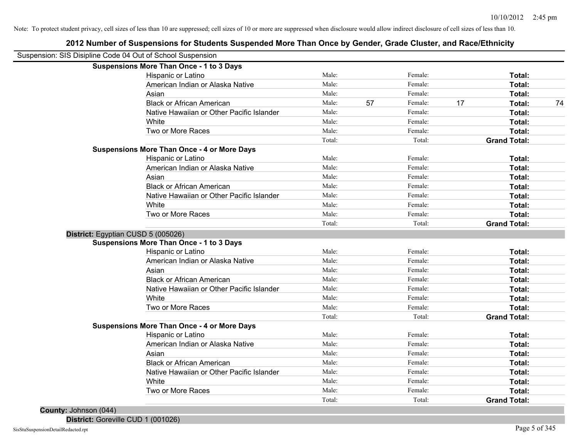| Suspension: SIS Disipline Code 04 Out of School Suspension |                                           |        |    |         |    |                     |    |
|------------------------------------------------------------|-------------------------------------------|--------|----|---------|----|---------------------|----|
| <b>Suspensions More Than Once - 1 to 3 Days</b>            |                                           |        |    |         |    |                     |    |
| Hispanic or Latino                                         |                                           | Male:  |    | Female: |    | Total:              |    |
|                                                            | American Indian or Alaska Native          | Male:  |    | Female: |    | Total:              |    |
| Asian                                                      |                                           | Male:  |    | Female: |    | Total:              |    |
|                                                            | <b>Black or African American</b>          | Male:  | 57 | Female: | 17 | Total:              | 74 |
|                                                            | Native Hawaiian or Other Pacific Islander | Male:  |    | Female: |    | Total:              |    |
| White                                                      |                                           | Male:  |    | Female: |    | Total:              |    |
| Two or More Races                                          |                                           | Male:  |    | Female: |    | Total:              |    |
|                                                            |                                           | Total: |    | Total:  |    | <b>Grand Total:</b> |    |
| <b>Suspensions More Than Once - 4 or More Days</b>         |                                           |        |    |         |    |                     |    |
| Hispanic or Latino                                         |                                           | Male:  |    | Female: |    | Total:              |    |
|                                                            | American Indian or Alaska Native          | Male:  |    | Female: |    | Total:              |    |
| Asian                                                      |                                           | Male:  |    | Female: |    | Total:              |    |
|                                                            | <b>Black or African American</b>          | Male:  |    | Female: |    | Total:              |    |
|                                                            | Native Hawaiian or Other Pacific Islander | Male:  |    | Female: |    | Total:              |    |
| White                                                      |                                           | Male:  |    | Female: |    | Total:              |    |
| Two or More Races                                          |                                           | Male:  |    | Female: |    | Total:              |    |
|                                                            |                                           | Total: |    | Total:  |    | <b>Grand Total:</b> |    |
| District: Egyptian CUSD 5 (005026)                         |                                           |        |    |         |    |                     |    |
| <b>Suspensions More Than Once - 1 to 3 Days</b>            |                                           |        |    |         |    |                     |    |
| Hispanic or Latino                                         |                                           | Male:  |    | Female: |    | Total:              |    |
|                                                            | American Indian or Alaska Native          | Male:  |    | Female: |    | Total:              |    |
| Asian                                                      |                                           | Male:  |    | Female: |    | Total:              |    |
|                                                            | <b>Black or African American</b>          | Male:  |    | Female: |    | Total:              |    |
|                                                            | Native Hawaiian or Other Pacific Islander | Male:  |    | Female: |    | Total:              |    |
| White                                                      |                                           | Male:  |    | Female: |    | Total:              |    |
| Two or More Races                                          |                                           | Male:  |    | Female: |    | Total:              |    |
|                                                            |                                           | Total: |    | Total:  |    | <b>Grand Total:</b> |    |
| <b>Suspensions More Than Once - 4 or More Days</b>         |                                           |        |    |         |    |                     |    |
| Hispanic or Latino                                         |                                           | Male:  |    | Female: |    | Total:              |    |
|                                                            | American Indian or Alaska Native          | Male:  |    | Female: |    | Total:              |    |
| Asian                                                      |                                           | Male:  |    | Female: |    | Total:              |    |
|                                                            | <b>Black or African American</b>          | Male:  |    | Female: |    | Total:              |    |
|                                                            | Native Hawaiian or Other Pacific Islander | Male:  |    | Female: |    | Total:              |    |
| White                                                      |                                           | Male:  |    | Female: |    | Total:              |    |
| Two or More Races                                          |                                           | Male:  |    | Female: |    | Total:              |    |
|                                                            |                                           | Total: |    | Total:  |    | <b>Grand Total:</b> |    |

**2012 Number of Suspensions for Students Suspended More Than Once by Gender, Grade Cluster, and Race/Ethnicity**

**County:** Johnson (044) **District:** Goreville CUD 1 (001026)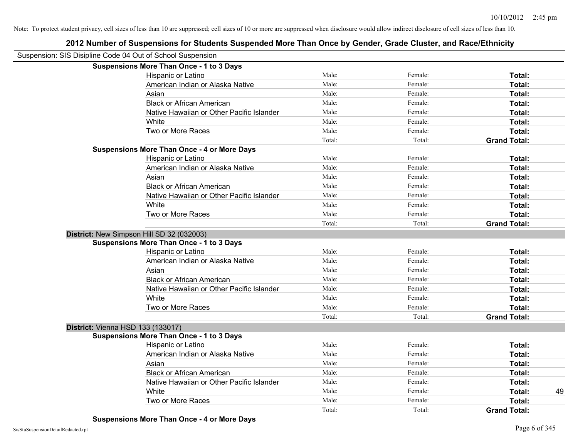|                                          | Suspension: SIS Disipline Code 04 Out of School Suspension |        |         |                     |    |
|------------------------------------------|------------------------------------------------------------|--------|---------|---------------------|----|
|                                          | <b>Suspensions More Than Once - 1 to 3 Days</b>            |        |         |                     |    |
|                                          | Hispanic or Latino                                         | Male:  | Female: | Total:              |    |
|                                          | American Indian or Alaska Native                           | Male:  | Female: | Total:              |    |
|                                          | Asian                                                      | Male:  | Female: | Total:              |    |
|                                          | <b>Black or African American</b>                           | Male:  | Female: | Total:              |    |
|                                          | Native Hawaiian or Other Pacific Islander                  | Male:  | Female: | Total:              |    |
|                                          | White                                                      | Male:  | Female: | <b>Total:</b>       |    |
|                                          | Two or More Races                                          | Male:  | Female: | Total:              |    |
|                                          |                                                            | Total: | Total:  | <b>Grand Total:</b> |    |
|                                          | <b>Suspensions More Than Once - 4 or More Days</b>         |        |         |                     |    |
|                                          | Hispanic or Latino                                         | Male:  | Female: | Total:              |    |
|                                          | American Indian or Alaska Native                           | Male:  | Female: | Total:              |    |
|                                          | Asian                                                      | Male:  | Female: | Total:              |    |
|                                          | <b>Black or African American</b>                           | Male:  | Female: | Total:              |    |
|                                          | Native Hawaiian or Other Pacific Islander                  | Male:  | Female: | Total:              |    |
|                                          | White                                                      | Male:  | Female: | Total:              |    |
|                                          | Two or More Races                                          | Male:  | Female: | Total:              |    |
|                                          |                                                            | Total: | Total:  | <b>Grand Total:</b> |    |
|                                          | District: New Simpson Hill SD 32 (032003)                  |        |         |                     |    |
|                                          | <b>Suspensions More Than Once - 1 to 3 Days</b>            |        |         |                     |    |
|                                          | Hispanic or Latino                                         | Male:  | Female: | Total:              |    |
|                                          | American Indian or Alaska Native                           | Male:  | Female: | Total:              |    |
|                                          | Asian                                                      | Male:  | Female: | Total:              |    |
|                                          | <b>Black or African American</b>                           | Male:  | Female: | Total:              |    |
|                                          | Native Hawaiian or Other Pacific Islander                  | Male:  | Female: | Total:              |    |
|                                          | White                                                      | Male:  | Female: | Total:              |    |
|                                          | Two or More Races                                          | Male:  | Female: | Total:              |    |
|                                          |                                                            | Total: | Total:  | <b>Grand Total:</b> |    |
| <b>District: Vienna HSD 133 (133017)</b> |                                                            |        |         |                     |    |
|                                          | <b>Suspensions More Than Once - 1 to 3 Days</b>            |        |         |                     |    |
|                                          | Hispanic or Latino                                         | Male:  | Female: | Total:              |    |
|                                          | American Indian or Alaska Native                           | Male:  | Female: | Total:              |    |
|                                          | Asian                                                      | Male:  | Female: | Total:              |    |
|                                          | <b>Black or African American</b>                           | Male:  | Female: | Total:              |    |
|                                          | Native Hawaiian or Other Pacific Islander                  | Male:  | Female: | Total:              |    |
|                                          | White                                                      | Male:  | Female: | Total:              | 49 |
|                                          | Two or More Races                                          | Male:  | Female: | Total:              |    |
|                                          |                                                            | Total: | Total:  | <b>Grand Total:</b> |    |
|                                          |                                                            |        |         |                     |    |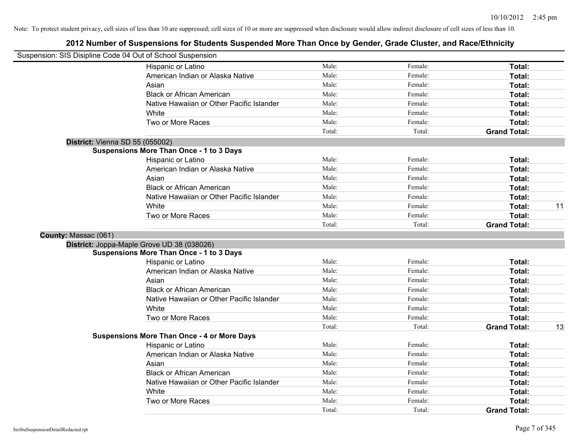|                                 | Suspension: SIS Disipline Code 04 Out of School Suspension |        |         |                     |    |
|---------------------------------|------------------------------------------------------------|--------|---------|---------------------|----|
|                                 | Hispanic or Latino                                         | Male:  | Female: | Total:              |    |
|                                 | American Indian or Alaska Native                           | Male:  | Female: | Total:              |    |
|                                 | Asian                                                      | Male:  | Female: | Total:              |    |
|                                 | <b>Black or African American</b>                           | Male:  | Female: | Total:              |    |
|                                 | Native Hawaiian or Other Pacific Islander                  | Male:  | Female: | Total:              |    |
|                                 | White                                                      | Male:  | Female: | Total:              |    |
|                                 | Two or More Races                                          | Male:  | Female: | Total:              |    |
|                                 |                                                            | Total: | Total:  | <b>Grand Total:</b> |    |
| District: Vienna SD 55 (055002) |                                                            |        |         |                     |    |
|                                 | <b>Suspensions More Than Once - 1 to 3 Days</b>            |        |         |                     |    |
|                                 | Hispanic or Latino                                         | Male:  | Female: | Total:              |    |
|                                 | American Indian or Alaska Native                           | Male:  | Female: | Total:              |    |
|                                 | Asian                                                      | Male:  | Female: | Total:              |    |
|                                 | <b>Black or African American</b>                           | Male:  | Female: | Total:              |    |
|                                 | Native Hawaiian or Other Pacific Islander                  | Male:  | Female: | Total:              |    |
|                                 | White                                                      | Male:  | Female: | Total:              | 11 |
|                                 | Two or More Races                                          | Male:  | Female: | Total:              |    |
|                                 |                                                            | Total: | Total:  | <b>Grand Total:</b> |    |
| County: Massac (061)            |                                                            |        |         |                     |    |
|                                 | District: Joppa-Maple Grove UD 38 (038026)                 |        |         |                     |    |
|                                 | <b>Suspensions More Than Once - 1 to 3 Days</b>            |        |         |                     |    |
|                                 | Hispanic or Latino                                         | Male:  | Female: | Total:              |    |
|                                 | American Indian or Alaska Native                           | Male:  | Female: | Total:              |    |
|                                 | Asian                                                      | Male:  | Female: | Total:              |    |
|                                 | <b>Black or African American</b>                           | Male:  | Female: | Total:              |    |
|                                 | Native Hawaiian or Other Pacific Islander                  | Male:  | Female: | Total:              |    |
|                                 | White                                                      | Male:  | Female: | Total:              |    |
|                                 | Two or More Races                                          | Male:  | Female: | Total:              |    |
|                                 |                                                            | Total: | Total:  | <b>Grand Total:</b> | 13 |
|                                 | <b>Suspensions More Than Once - 4 or More Days</b>         |        |         |                     |    |
|                                 | Hispanic or Latino                                         | Male:  | Female: | Total:              |    |
|                                 | American Indian or Alaska Native                           | Male:  | Female: | Total:              |    |
|                                 | Asian                                                      | Male:  | Female: | Total:              |    |
|                                 | <b>Black or African American</b>                           | Male:  | Female: | Total:              |    |
|                                 | Native Hawaiian or Other Pacific Islander                  | Male:  | Female: | Total:              |    |
|                                 | White                                                      | Male:  | Female: | Total:              |    |
|                                 | Two or More Races                                          | Male:  | Female: | <b>Total:</b>       |    |
|                                 |                                                            | Total: | Total:  | <b>Grand Total:</b> |    |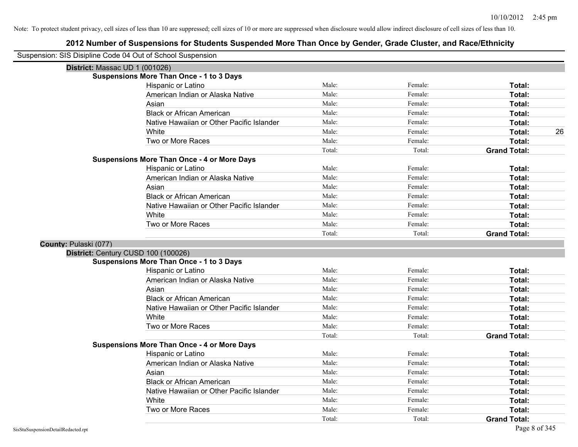| Suspension: SIS Disipline Code 04 Out of School Suspension |                                                    |        |         |                     |
|------------------------------------------------------------|----------------------------------------------------|--------|---------|---------------------|
| District: Massac UD 1 (001026)                             |                                                    |        |         |                     |
|                                                            | <b>Suspensions More Than Once - 1 to 3 Days</b>    |        |         |                     |
|                                                            | Hispanic or Latino                                 | Male:  | Female: | Total:              |
|                                                            | American Indian or Alaska Native                   | Male:  | Female: | Total:              |
|                                                            | Asian                                              | Male:  | Female: | Total:              |
|                                                            | <b>Black or African American</b>                   | Male:  | Female: | Total:              |
|                                                            | Native Hawaiian or Other Pacific Islander          | Male:  | Female: | Total:              |
|                                                            | White                                              | Male:  | Female: | Total:<br>26        |
|                                                            | Two or More Races                                  | Male:  | Female: | Total:              |
|                                                            |                                                    | Total: | Total:  | <b>Grand Total:</b> |
|                                                            | <b>Suspensions More Than Once - 4 or More Days</b> |        |         |                     |
|                                                            | Hispanic or Latino                                 | Male:  | Female: | Total:              |
|                                                            | American Indian or Alaska Native                   | Male:  | Female: | Total:              |
|                                                            | Asian                                              | Male:  | Female: | Total:              |
|                                                            | <b>Black or African American</b>                   | Male:  | Female: | Total:              |
|                                                            | Native Hawaiian or Other Pacific Islander          | Male:  | Female: | Total:              |
|                                                            | White                                              | Male:  | Female: | Total:              |
|                                                            | Two or More Races                                  | Male:  | Female: | <b>Total:</b>       |
|                                                            |                                                    | Total: | Total:  | <b>Grand Total:</b> |
| County: Pulaski (077)                                      |                                                    |        |         |                     |
| District: Century CUSD 100 (100026)                        |                                                    |        |         |                     |
|                                                            | <b>Suspensions More Than Once - 1 to 3 Days</b>    |        |         |                     |
|                                                            | Hispanic or Latino                                 | Male:  | Female: | Total:              |
|                                                            | American Indian or Alaska Native                   | Male:  | Female: | Total:              |
|                                                            | Asian                                              | Male:  | Female: | Total:              |
|                                                            | <b>Black or African American</b>                   | Male:  | Female: | Total:              |
|                                                            | Native Hawaiian or Other Pacific Islander          | Male:  | Female: | Total:              |
|                                                            | White                                              | Male:  | Female: | Total:              |
|                                                            | Two or More Races                                  | Male:  | Female: | Total:              |
|                                                            |                                                    | Total: | Total:  | <b>Grand Total:</b> |
|                                                            | <b>Suspensions More Than Once - 4 or More Days</b> |        |         |                     |
|                                                            | Hispanic or Latino                                 | Male:  | Female: | Total:              |
|                                                            | American Indian or Alaska Native                   | Male:  | Female: | Total:              |
|                                                            | Asian                                              | Male:  | Female: | Total:              |
|                                                            | <b>Black or African American</b>                   | Male:  | Female: | Total:              |
|                                                            | Native Hawaiian or Other Pacific Islander          | Male:  | Female: | Total:              |
|                                                            | White                                              | Male:  | Female: | Total:              |
|                                                            | Two or More Races                                  | Male:  | Female: | <b>Total:</b>       |
|                                                            |                                                    | Total: | Total:  | <b>Grand Total:</b> |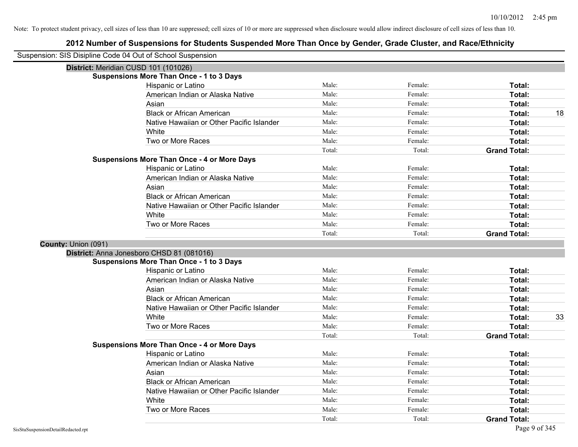| Suspension: SIS Disipline Code 04 Out of School Suspension |                                                    |        |         |                     |    |
|------------------------------------------------------------|----------------------------------------------------|--------|---------|---------------------|----|
|                                                            | District: Meridian CUSD 101 (101026)               |        |         |                     |    |
|                                                            | <b>Suspensions More Than Once - 1 to 3 Days</b>    |        |         |                     |    |
|                                                            | Hispanic or Latino                                 | Male:  | Female: | Total:              |    |
|                                                            | American Indian or Alaska Native                   | Male:  | Female: | Total:              |    |
|                                                            | Asian                                              | Male:  | Female: | Total:              |    |
|                                                            | <b>Black or African American</b>                   | Male:  | Female: | Total:              | 18 |
|                                                            | Native Hawaiian or Other Pacific Islander          | Male:  | Female: | Total:              |    |
|                                                            | White                                              | Male:  | Female: | Total:              |    |
|                                                            | Two or More Races                                  | Male:  | Female: | Total:              |    |
|                                                            |                                                    | Total: | Total:  | <b>Grand Total:</b> |    |
|                                                            | <b>Suspensions More Than Once - 4 or More Days</b> |        |         |                     |    |
|                                                            | Hispanic or Latino                                 | Male:  | Female: | Total:              |    |
|                                                            | American Indian or Alaska Native                   | Male:  | Female: | Total:              |    |
|                                                            | Asian                                              | Male:  | Female: | Total:              |    |
|                                                            | <b>Black or African American</b>                   | Male:  | Female: | Total:              |    |
|                                                            | Native Hawaiian or Other Pacific Islander          | Male:  | Female: | Total:              |    |
|                                                            | White                                              | Male:  | Female: | Total:              |    |
|                                                            | Two or More Races                                  | Male:  | Female: | Total:              |    |
|                                                            |                                                    | Total: | Total:  | <b>Grand Total:</b> |    |
| County: Union (091)                                        |                                                    |        |         |                     |    |
|                                                            | District: Anna Jonesboro CHSD 81 (081016)          |        |         |                     |    |
|                                                            | <b>Suspensions More Than Once - 1 to 3 Days</b>    |        |         |                     |    |
|                                                            | Hispanic or Latino                                 | Male:  | Female: | Total:              |    |
|                                                            | American Indian or Alaska Native                   | Male:  | Female: | Total:              |    |
|                                                            | Asian                                              | Male:  | Female: | Total:              |    |
|                                                            | <b>Black or African American</b>                   | Male:  | Female: | Total:              |    |
|                                                            | Native Hawaiian or Other Pacific Islander          | Male:  | Female: | Total:              |    |
|                                                            | White                                              | Male:  | Female: | Total:              | 33 |
|                                                            | Two or More Races                                  | Male:  | Female: | Total:              |    |
|                                                            |                                                    | Total: | Total:  | <b>Grand Total:</b> |    |
|                                                            | <b>Suspensions More Than Once - 4 or More Days</b> |        |         |                     |    |
|                                                            | Hispanic or Latino                                 | Male:  | Female: | Total:              |    |
|                                                            | American Indian or Alaska Native                   | Male:  | Female: | Total:              |    |
|                                                            | Asian                                              | Male:  | Female: | Total:              |    |
|                                                            | <b>Black or African American</b>                   | Male:  | Female: | Total:              |    |
|                                                            | Native Hawaiian or Other Pacific Islander          | Male:  | Female: | Total:              |    |
|                                                            | White                                              | Male:  | Female: | Total:              |    |
|                                                            | Two or More Races                                  | Male:  | Female: | Total:              |    |
|                                                            |                                                    | Total: | Total:  | <b>Grand Total:</b> |    |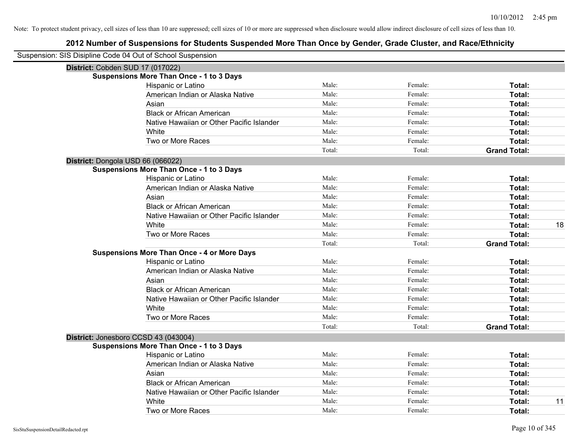| Suspension: SIS Disipline Code 04 Out of School Suspension |        |         |                     |
|------------------------------------------------------------|--------|---------|---------------------|
| District: Cobden SUD 17 (017022)                           |        |         |                     |
| <b>Suspensions More Than Once - 1 to 3 Days</b>            |        |         |                     |
| Hispanic or Latino                                         | Male:  | Female: | Total:              |
| American Indian or Alaska Native                           | Male:  | Female: | Total:              |
| Asian                                                      | Male:  | Female: | Total:              |
| <b>Black or African American</b>                           | Male:  | Female: | Total:              |
| Native Hawaiian or Other Pacific Islander                  | Male:  | Female: | Total:              |
| White                                                      | Male:  | Female: | Total:              |
| Two or More Races                                          | Male:  | Female: | Total:              |
|                                                            | Total: | Total:  | <b>Grand Total:</b> |
| District: Dongola USD 66 (066022)                          |        |         |                     |
| <b>Suspensions More Than Once - 1 to 3 Days</b>            |        |         |                     |
| Hispanic or Latino                                         | Male:  | Female: | Total:              |
| American Indian or Alaska Native                           | Male:  | Female: | Total:              |
| Asian                                                      | Male:  | Female: | Total:              |
| <b>Black or African American</b>                           | Male:  | Female: | Total:              |
| Native Hawaiian or Other Pacific Islander                  | Male:  | Female: | Total:              |
| White                                                      | Male:  | Female: | Total:<br>18        |
| Two or More Races                                          | Male:  | Female: | Total:              |
|                                                            | Total: | Total:  | <b>Grand Total:</b> |
| <b>Suspensions More Than Once - 4 or More Days</b>         |        |         |                     |
| Hispanic or Latino                                         | Male:  | Female: | Total:              |
| American Indian or Alaska Native                           | Male:  | Female: | Total:              |
| Asian                                                      | Male:  | Female: | Total:              |
| <b>Black or African American</b>                           | Male:  | Female: | Total:              |
| Native Hawaiian or Other Pacific Islander                  | Male:  | Female: | Total:              |
| White                                                      | Male:  | Female: | Total:              |
| Two or More Races                                          | Male:  | Female: | Total:              |
|                                                            | Total: | Total:  | <b>Grand Total:</b> |
| District: Jonesboro CCSD 43 (043004)                       |        |         |                     |
| <b>Suspensions More Than Once - 1 to 3 Days</b>            |        |         |                     |
| Hispanic or Latino                                         | Male:  | Female: | Total:              |
| American Indian or Alaska Native                           | Male:  | Female: | Total:              |
| Asian                                                      | Male:  | Female: | Total:              |
| <b>Black or African American</b>                           | Male:  | Female: | Total:              |
| Native Hawaiian or Other Pacific Islander                  | Male:  | Female: | Total:              |
| White                                                      | Male:  | Female: | 11<br>Total:        |
| Two or More Races                                          | Male:  | Female: | Total:              |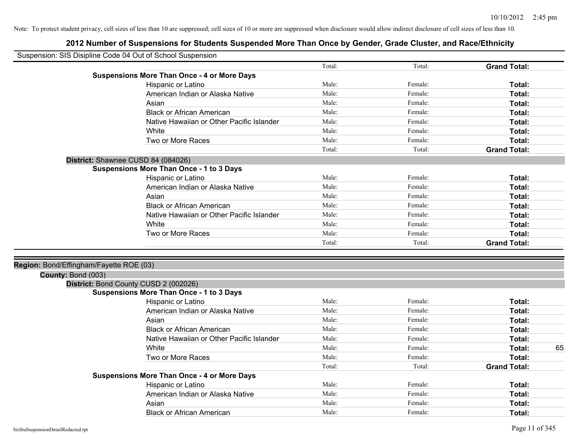| Suspension: SIS Disipline Code 04 Out of School Suspension |                                                    |        |         |                     |
|------------------------------------------------------------|----------------------------------------------------|--------|---------|---------------------|
|                                                            |                                                    | Total: | Total:  | <b>Grand Total:</b> |
|                                                            | <b>Suspensions More Than Once - 4 or More Days</b> |        |         |                     |
|                                                            | Hispanic or Latino                                 | Male:  | Female: | Total:              |
|                                                            | American Indian or Alaska Native                   | Male:  | Female: | Total:              |
|                                                            | Asian                                              | Male:  | Female: | Total:              |
|                                                            | <b>Black or African American</b>                   | Male:  | Female: | Total:              |
|                                                            | Native Hawaiian or Other Pacific Islander          | Male:  | Female: | Total:              |
|                                                            | White                                              | Male:  | Female: | Total:              |
|                                                            | Two or More Races                                  | Male:  | Female: | Total:              |
|                                                            |                                                    | Total: | Total:  | <b>Grand Total:</b> |
|                                                            | District: Shawnee CUSD 84 (084026)                 |        |         |                     |
|                                                            | <b>Suspensions More Than Once - 1 to 3 Days</b>    |        |         |                     |
|                                                            | Hispanic or Latino                                 | Male:  | Female: | Total:              |
|                                                            | American Indian or Alaska Native                   | Male:  | Female: | Total:              |
|                                                            | Asian                                              | Male:  | Female: | Total:              |
|                                                            | <b>Black or African American</b>                   | Male:  | Female: | Total:              |
|                                                            | Native Hawaiian or Other Pacific Islander          | Male:  | Female: | Total:              |
|                                                            | White                                              | Male:  | Female: | Total:              |
|                                                            | Two or More Races                                  | Male:  | Female: | Total:              |
|                                                            |                                                    | Total: | Total:  | <b>Grand Total:</b> |
|                                                            |                                                    |        |         |                     |
| Region: Bond/Effingham/Fayette ROE (03)                    |                                                    |        |         |                     |
| County: Bond (003)                                         |                                                    |        |         |                     |
|                                                            | District: Bond County CUSD 2 (002026)              |        |         |                     |
|                                                            | <b>Suspensions More Than Once - 1 to 3 Days</b>    |        |         |                     |
|                                                            | Hispanic or Latino                                 | Male:  | Female: | Total:              |
|                                                            | American Indian or Alaska Native                   | Male:  | Female: | Total:              |
|                                                            | Asian                                              | Male:  | Female: | Total:              |
|                                                            | <b>Black or African American</b>                   | Male:  | Female: | Total:              |
|                                                            | Native Hawaiian or Other Pacific Islander          | Male:  | Female: | Total:              |
|                                                            | White                                              | Male:  | Female: | 65<br>Total:        |
|                                                            | Two or More Races                                  | Male:  | Female: | Total:              |
|                                                            |                                                    | Total: | Total:  | <b>Grand Total:</b> |
|                                                            | <b>Suspensions More Than Once - 4 or More Days</b> |        |         |                     |
|                                                            | Hispanic or Latino                                 | Male:  | Female: | Total:              |
|                                                            | American Indian or Alaska Native                   | Male:  | Female: | Total:              |
|                                                            | Asian                                              | Male:  | Female: | Total:              |
|                                                            | <b>Black or African American</b>                   | Male:  | Female: | Total:              |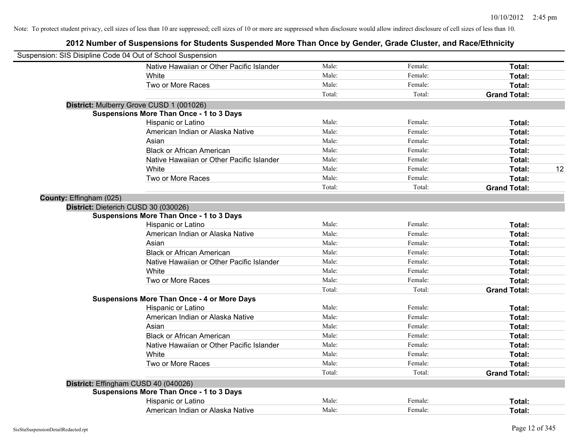| Suspension: SIS Disipline Code 04 Out of School Suspension |                                                    |        |         |                     |    |
|------------------------------------------------------------|----------------------------------------------------|--------|---------|---------------------|----|
|                                                            | Native Hawaiian or Other Pacific Islander          | Male:  | Female: | Total:              |    |
|                                                            | White                                              | Male:  | Female: | Total:              |    |
|                                                            | Two or More Races                                  | Male:  | Female: | Total:              |    |
|                                                            |                                                    | Total: | Total:  | <b>Grand Total:</b> |    |
|                                                            | District: Mulberry Grove CUSD 1 (001026)           |        |         |                     |    |
|                                                            | <b>Suspensions More Than Once - 1 to 3 Days</b>    |        |         |                     |    |
|                                                            | Hispanic or Latino                                 | Male:  | Female: | Total:              |    |
|                                                            | American Indian or Alaska Native                   | Male:  | Female: | Total:              |    |
|                                                            | Asian                                              | Male:  | Female: | Total:              |    |
|                                                            | <b>Black or African American</b>                   | Male:  | Female: | Total:              |    |
|                                                            | Native Hawaiian or Other Pacific Islander          | Male:  | Female: | Total:              |    |
|                                                            | White                                              | Male:  | Female: | Total:              | 12 |
|                                                            | Two or More Races                                  | Male:  | Female: | Total:              |    |
|                                                            |                                                    | Total: | Total:  | <b>Grand Total:</b> |    |
| County: Effingham (025)                                    |                                                    |        |         |                     |    |
|                                                            | District: Dieterich CUSD 30 (030026)               |        |         |                     |    |
|                                                            | <b>Suspensions More Than Once - 1 to 3 Days</b>    |        |         |                     |    |
|                                                            | Hispanic or Latino                                 | Male:  | Female: | Total:              |    |
|                                                            | American Indian or Alaska Native                   | Male:  | Female: | Total:              |    |
|                                                            | Asian                                              | Male:  | Female: | Total:              |    |
|                                                            | <b>Black or African American</b>                   | Male:  | Female: | Total:              |    |
|                                                            | Native Hawaiian or Other Pacific Islander          | Male:  | Female: | Total:              |    |
|                                                            | White                                              | Male:  | Female: | Total:              |    |
|                                                            | Two or More Races                                  | Male:  | Female: | Total:              |    |
|                                                            |                                                    | Total: | Total:  | <b>Grand Total:</b> |    |
|                                                            | <b>Suspensions More Than Once - 4 or More Days</b> |        |         |                     |    |
|                                                            | Hispanic or Latino                                 | Male:  | Female: | Total:              |    |
|                                                            | American Indian or Alaska Native                   | Male:  | Female: | Total:              |    |
|                                                            | Asian                                              | Male:  | Female: | Total:              |    |
|                                                            | <b>Black or African American</b>                   | Male:  | Female: | Total:              |    |
|                                                            | Native Hawaiian or Other Pacific Islander          | Male:  | Female: | Total:              |    |
|                                                            | White                                              | Male:  | Female: | Total:              |    |
|                                                            | Two or More Races                                  | Male:  | Female: | Total:              |    |
|                                                            |                                                    | Total: | Total:  | <b>Grand Total:</b> |    |
|                                                            | District: Effingham CUSD 40 (040026)               |        |         |                     |    |
|                                                            | <b>Suspensions More Than Once - 1 to 3 Days</b>    |        |         |                     |    |
|                                                            | Hispanic or Latino                                 | Male:  | Female: | Total:              |    |
|                                                            | American Indian or Alaska Native                   | Male:  | Female: | Total:              |    |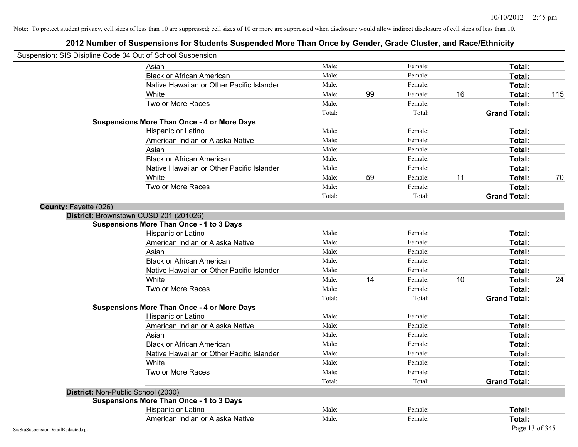| Suspension: SIS Disipline Code 04 Out of School Suspension |                                                    |        |    |         |    |                     |     |
|------------------------------------------------------------|----------------------------------------------------|--------|----|---------|----|---------------------|-----|
|                                                            | Asian                                              | Male:  |    | Female: |    | Total:              |     |
|                                                            | <b>Black or African American</b>                   | Male:  |    | Female: |    | Total:              |     |
|                                                            | Native Hawaiian or Other Pacific Islander          | Male:  |    | Female: |    | Total:              |     |
|                                                            | White                                              | Male:  | 99 | Female: | 16 | Total:              | 115 |
|                                                            | Two or More Races                                  | Male:  |    | Female: |    | Total:              |     |
|                                                            |                                                    | Total: |    | Total:  |    | <b>Grand Total:</b> |     |
|                                                            | <b>Suspensions More Than Once - 4 or More Days</b> |        |    |         |    |                     |     |
|                                                            | Hispanic or Latino                                 | Male:  |    | Female: |    | Total:              |     |
|                                                            | American Indian or Alaska Native                   | Male:  |    | Female: |    | Total:              |     |
|                                                            | Asian                                              | Male:  |    | Female: |    | Total:              |     |
|                                                            | <b>Black or African American</b>                   | Male:  |    | Female: |    | Total:              |     |
|                                                            | Native Hawaiian or Other Pacific Islander          | Male:  |    | Female: |    | Total:              |     |
|                                                            | White                                              | Male:  | 59 | Female: | 11 | Total:              | 70  |
|                                                            | Two or More Races                                  | Male:  |    | Female: |    | Total:              |     |
|                                                            |                                                    | Total: |    | Total:  |    | <b>Grand Total:</b> |     |
| County: Fayette (026)                                      |                                                    |        |    |         |    |                     |     |
|                                                            | District: Brownstown CUSD 201 (201026)             |        |    |         |    |                     |     |
|                                                            | <b>Suspensions More Than Once - 1 to 3 Days</b>    |        |    |         |    |                     |     |
|                                                            | Hispanic or Latino                                 | Male:  |    | Female: |    | Total:              |     |
|                                                            | American Indian or Alaska Native                   | Male:  |    | Female: |    | Total:              |     |
|                                                            | Asian                                              | Male:  |    | Female: |    | Total:              |     |
|                                                            | <b>Black or African American</b>                   | Male:  |    | Female: |    | Total:              |     |
|                                                            | Native Hawaiian or Other Pacific Islander          | Male:  |    | Female: |    | Total:              |     |
|                                                            | White                                              | Male:  | 14 | Female: | 10 | Total:              | 24  |
|                                                            | Two or More Races                                  | Male:  |    | Female: |    | Total:              |     |
|                                                            |                                                    | Total: |    | Total:  |    | <b>Grand Total:</b> |     |
|                                                            | <b>Suspensions More Than Once - 4 or More Days</b> |        |    |         |    |                     |     |
|                                                            | Hispanic or Latino                                 | Male:  |    | Female: |    | Total:              |     |
|                                                            | American Indian or Alaska Native                   | Male:  |    | Female: |    | Total:              |     |
|                                                            | Asian                                              | Male:  |    | Female: |    | Total:              |     |
|                                                            | <b>Black or African American</b>                   | Male:  |    | Female: |    | Total:              |     |
|                                                            | Native Hawaiian or Other Pacific Islander          | Male:  |    | Female: |    | Total:              |     |
|                                                            | White                                              | Male:  |    | Female: |    | <b>Total:</b>       |     |
|                                                            | Two or More Races                                  | Male:  |    | Female: |    | Total:              |     |
|                                                            |                                                    | Total: |    | Total:  |    | <b>Grand Total:</b> |     |
|                                                            | District: Non-Public School (2030)                 |        |    |         |    |                     |     |
|                                                            | <b>Suspensions More Than Once - 1 to 3 Days</b>    |        |    |         |    |                     |     |
|                                                            | Hispanic or Latino                                 | Male:  |    | Female: |    | Total:              |     |
|                                                            | American Indian or Alaska Native                   | Male:  |    | Female: |    | Total:              |     |
| SisStuSuspensionDetailRedacted.rpt                         |                                                    |        |    |         |    | Page 13 of 345      |     |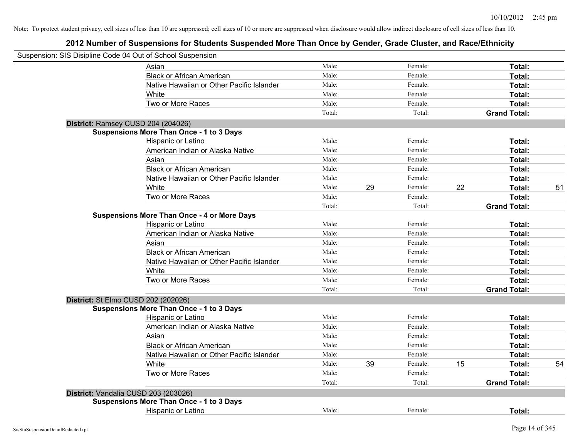| Suspension: SIS Disipline Code 04 Out of School Suspension |                                                    |        |    |         |    |                     |    |
|------------------------------------------------------------|----------------------------------------------------|--------|----|---------|----|---------------------|----|
|                                                            | Asian                                              | Male:  |    | Female: |    | Total:              |    |
|                                                            | <b>Black or African American</b>                   | Male:  |    | Female: |    | Total:              |    |
|                                                            | Native Hawaiian or Other Pacific Islander          | Male:  |    | Female: |    | Total:              |    |
|                                                            | White                                              | Male:  |    | Female: |    | Total:              |    |
|                                                            | Two or More Races                                  | Male:  |    | Female: |    | Total:              |    |
|                                                            |                                                    | Total: |    | Total:  |    | <b>Grand Total:</b> |    |
| District: Ramsey CUSD 204 (204026)                         |                                                    |        |    |         |    |                     |    |
|                                                            | <b>Suspensions More Than Once - 1 to 3 Days</b>    |        |    |         |    |                     |    |
|                                                            | Hispanic or Latino                                 | Male:  |    | Female: |    | Total:              |    |
|                                                            | American Indian or Alaska Native                   | Male:  |    | Female: |    | Total:              |    |
|                                                            | Asian                                              | Male:  |    | Female: |    | Total:              |    |
|                                                            | <b>Black or African American</b>                   | Male:  |    | Female: |    | Total:              |    |
|                                                            | Native Hawaiian or Other Pacific Islander          | Male:  |    | Female: |    | Total:              |    |
|                                                            | White                                              | Male:  | 29 | Female: | 22 | Total:              | 51 |
|                                                            | Two or More Races                                  | Male:  |    | Female: |    | Total:              |    |
|                                                            |                                                    | Total: |    | Total:  |    | <b>Grand Total:</b> |    |
|                                                            | <b>Suspensions More Than Once - 4 or More Days</b> |        |    |         |    |                     |    |
|                                                            | Hispanic or Latino                                 | Male:  |    | Female: |    | Total:              |    |
|                                                            | American Indian or Alaska Native                   | Male:  |    | Female: |    | Total:              |    |
|                                                            | Asian                                              | Male:  |    | Female: |    | Total:              |    |
|                                                            | <b>Black or African American</b>                   | Male:  |    | Female: |    | Total:              |    |
|                                                            | Native Hawaiian or Other Pacific Islander          | Male:  |    | Female: |    | Total:              |    |
|                                                            | White                                              | Male:  |    | Female: |    | Total:              |    |
|                                                            | Two or More Races                                  | Male:  |    | Female: |    | Total:              |    |
|                                                            |                                                    | Total: |    | Total:  |    | <b>Grand Total:</b> |    |
| District: St Elmo CUSD 202 (202026)                        |                                                    |        |    |         |    |                     |    |
|                                                            | <b>Suspensions More Than Once - 1 to 3 Days</b>    |        |    |         |    |                     |    |
|                                                            | Hispanic or Latino                                 | Male:  |    | Female: |    | Total:              |    |
|                                                            | American Indian or Alaska Native                   | Male:  |    | Female: |    | Total:              |    |
|                                                            | Asian                                              | Male:  |    | Female: |    | Total:              |    |
|                                                            | <b>Black or African American</b>                   | Male:  |    | Female: |    | Total:              |    |
|                                                            | Native Hawaiian or Other Pacific Islander          | Male:  |    | Female: |    | Total:              |    |
|                                                            | White                                              | Male:  | 39 | Female: | 15 | Total:              | 54 |
|                                                            | Two or More Races                                  | Male:  |    | Female: |    | Total:              |    |
|                                                            |                                                    | Total: |    | Total:  |    | <b>Grand Total:</b> |    |
| District: Vandalia CUSD 203 (203026)                       |                                                    |        |    |         |    |                     |    |
|                                                            | <b>Suspensions More Than Once - 1 to 3 Days</b>    |        |    |         |    |                     |    |
|                                                            | Hispanic or Latino                                 | Male:  |    | Female: |    | Total:              |    |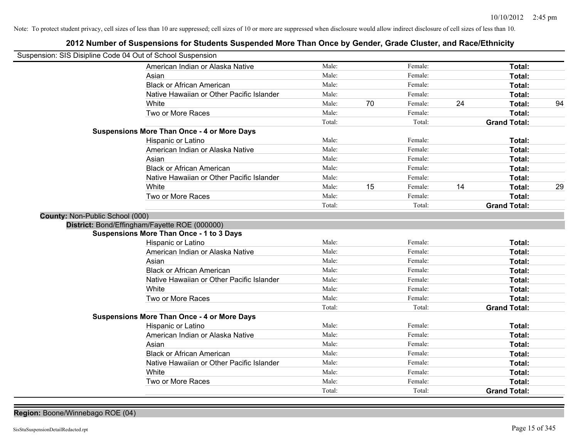## **2012 Number of Suspensions for Students Suspended More Than Once by Gender, Grade Cluster, and Race/Ethnicity**

| Suspension: SIS Disipline Code 04 Out of School Suspension |                                                    |        |    |         |    |                     |    |
|------------------------------------------------------------|----------------------------------------------------|--------|----|---------|----|---------------------|----|
|                                                            | American Indian or Alaska Native                   | Male:  |    | Female: |    | Total:              |    |
|                                                            | Asian                                              | Male:  |    | Female: |    | Total:              |    |
|                                                            | <b>Black or African American</b>                   | Male:  |    | Female: |    | Total:              |    |
|                                                            | Native Hawaiian or Other Pacific Islander          | Male:  |    | Female: |    | Total:              |    |
|                                                            | White                                              | Male:  | 70 | Female: | 24 | Total:              | 94 |
|                                                            | Two or More Races                                  | Male:  |    | Female: |    | Total:              |    |
|                                                            |                                                    | Total: |    | Total:  |    | <b>Grand Total:</b> |    |
|                                                            | <b>Suspensions More Than Once - 4 or More Days</b> |        |    |         |    |                     |    |
|                                                            | Hispanic or Latino                                 | Male:  |    | Female: |    | Total:              |    |
|                                                            | American Indian or Alaska Native                   | Male:  |    | Female: |    | Total:              |    |
|                                                            | Asian                                              | Male:  |    | Female: |    | Total:              |    |
|                                                            | <b>Black or African American</b>                   | Male:  |    | Female: |    | Total:              |    |
|                                                            | Native Hawaiian or Other Pacific Islander          | Male:  |    | Female: |    | Total:              |    |
|                                                            | White                                              | Male:  | 15 | Female: | 14 | Total:              | 29 |
|                                                            | Two or More Races                                  | Male:  |    | Female: |    | Total:              |    |
|                                                            |                                                    | Total: |    | Total:  |    | <b>Grand Total:</b> |    |
| County: Non-Public School (000)                            |                                                    |        |    |         |    |                     |    |
|                                                            | District: Bond/Effingham/Fayette ROE (000000)      |        |    |         |    |                     |    |
|                                                            | <b>Suspensions More Than Once - 1 to 3 Days</b>    |        |    |         |    |                     |    |
|                                                            | Hispanic or Latino                                 | Male:  |    | Female: |    | Total:              |    |
|                                                            | American Indian or Alaska Native                   | Male:  |    | Female: |    | Total:              |    |
|                                                            | Asian                                              | Male:  |    | Female: |    | Total:              |    |
|                                                            | <b>Black or African American</b>                   | Male:  |    | Female: |    | Total:              |    |
|                                                            | Native Hawaiian or Other Pacific Islander          | Male:  |    | Female: |    | Total:              |    |
|                                                            | White                                              | Male:  |    | Female: |    | Total:              |    |
|                                                            | Two or More Races                                  | Male:  |    | Female: |    | Total:              |    |
|                                                            |                                                    | Total: |    | Total:  |    | <b>Grand Total:</b> |    |
|                                                            | <b>Suspensions More Than Once - 4 or More Days</b> |        |    |         |    |                     |    |
|                                                            | Hispanic or Latino                                 | Male:  |    | Female: |    | Total:              |    |
|                                                            | American Indian or Alaska Native                   | Male:  |    | Female: |    | Total:              |    |
|                                                            | Asian                                              | Male:  |    | Female: |    | Total:              |    |
|                                                            | <b>Black or African American</b>                   | Male:  |    | Female: |    | Total:              |    |
|                                                            | Native Hawaiian or Other Pacific Islander          | Male:  |    | Female: |    | Total:              |    |
|                                                            | White                                              | Male:  |    | Female: |    | Total:              |    |
|                                                            | Two or More Races                                  | Male:  |    | Female: |    | Total:              |    |
|                                                            |                                                    | Total: |    | Total:  |    | <b>Grand Total:</b> |    |

**Region:** Boone/Winnebago ROE (04)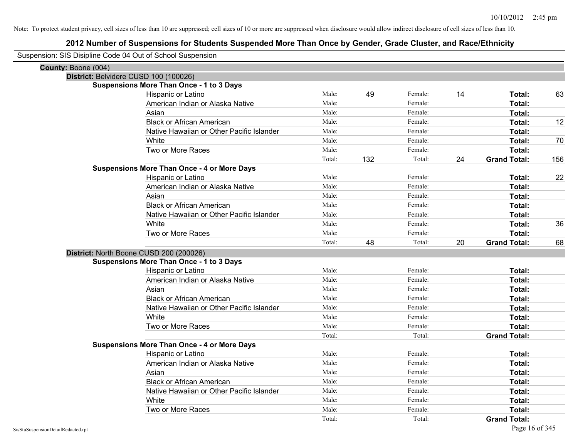| Suspension: SIS Disipline Code 04 Out of School Suspension |                                                    |        |     |         |    |                     |     |
|------------------------------------------------------------|----------------------------------------------------|--------|-----|---------|----|---------------------|-----|
| County: Boone (004)                                        |                                                    |        |     |         |    |                     |     |
|                                                            | District: Belvidere CUSD 100 (100026)              |        |     |         |    |                     |     |
|                                                            | <b>Suspensions More Than Once - 1 to 3 Days</b>    |        |     |         |    |                     |     |
|                                                            | Hispanic or Latino                                 | Male:  | 49  | Female: | 14 | Total:              | 63  |
|                                                            | American Indian or Alaska Native                   | Male:  |     | Female: |    | Total:              |     |
|                                                            | Asian                                              | Male:  |     | Female: |    | Total:              |     |
|                                                            | <b>Black or African American</b>                   | Male:  |     | Female: |    | Total:              | 12  |
|                                                            | Native Hawaiian or Other Pacific Islander          | Male:  |     | Female: |    | Total:              |     |
|                                                            | White                                              | Male:  |     | Female: |    | Total:              | 70  |
|                                                            | Two or More Races                                  | Male:  |     | Female: |    | Total:              |     |
|                                                            |                                                    | Total: | 132 | Total:  | 24 | <b>Grand Total:</b> | 156 |
|                                                            | <b>Suspensions More Than Once - 4 or More Days</b> |        |     |         |    |                     |     |
|                                                            | Hispanic or Latino                                 | Male:  |     | Female: |    | Total:              | 22  |
|                                                            | American Indian or Alaska Native                   | Male:  |     | Female: |    | Total:              |     |
|                                                            | Asian                                              | Male:  |     | Female: |    | Total:              |     |
|                                                            | <b>Black or African American</b>                   | Male:  |     | Female: |    | Total:              |     |
|                                                            | Native Hawaiian or Other Pacific Islander          | Male:  |     | Female: |    | Total:              |     |
|                                                            | White                                              | Male:  |     | Female: |    | Total:              | 36  |
|                                                            | Two or More Races                                  | Male:  |     | Female: |    | <b>Total:</b>       |     |
|                                                            |                                                    |        |     |         |    |                     |     |
|                                                            |                                                    | Total: | 48  | Total:  | 20 | <b>Grand Total:</b> | 68  |
|                                                            | District: North Boone CUSD 200 (200026)            |        |     |         |    |                     |     |
|                                                            | <b>Suspensions More Than Once - 1 to 3 Days</b>    |        |     |         |    |                     |     |
|                                                            | Hispanic or Latino                                 | Male:  |     | Female: |    | Total:              |     |
|                                                            | American Indian or Alaska Native                   | Male:  |     | Female: |    | Total:              |     |
|                                                            | Asian                                              | Male:  |     | Female: |    | Total:              |     |
|                                                            | <b>Black or African American</b>                   | Male:  |     | Female: |    | Total:              |     |
|                                                            | Native Hawaiian or Other Pacific Islander          | Male:  |     | Female: |    | Total:              |     |
|                                                            | White                                              | Male:  |     | Female: |    | Total:              |     |
|                                                            | Two or More Races                                  | Male:  |     | Female: |    | Total:              |     |
|                                                            |                                                    | Total: |     | Total:  |    | <b>Grand Total:</b> |     |
|                                                            | <b>Suspensions More Than Once - 4 or More Days</b> |        |     |         |    |                     |     |
|                                                            | Hispanic or Latino                                 | Male:  |     | Female: |    | Total:              |     |
|                                                            | American Indian or Alaska Native                   | Male:  |     | Female: |    | Total:              |     |
|                                                            | Asian                                              | Male:  |     | Female: |    | Total:              |     |
|                                                            | <b>Black or African American</b>                   | Male:  |     | Female: |    | Total:              |     |
|                                                            | Native Hawaiian or Other Pacific Islander          | Male:  |     | Female: |    | Total:              |     |
|                                                            | White                                              | Male:  |     | Female: |    | Total:              |     |
|                                                            | Two or More Races                                  | Male:  |     | Female: |    | <b>Total:</b>       |     |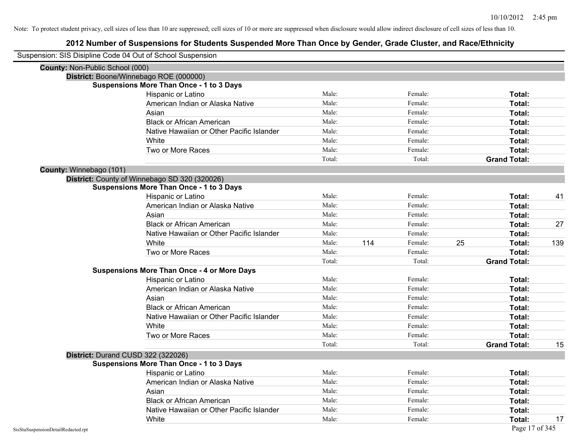| Suspension: SIS Disipline Code 04 Out of School Suspension |                                                    |        |     |         |                     |                |
|------------------------------------------------------------|----------------------------------------------------|--------|-----|---------|---------------------|----------------|
| <b>County: Non-Public School (000)</b>                     |                                                    |        |     |         |                     |                |
|                                                            | District: Boone/Winnebago ROE (000000)             |        |     |         |                     |                |
|                                                            | <b>Suspensions More Than Once - 1 to 3 Days</b>    |        |     |         |                     |                |
|                                                            | Hispanic or Latino                                 | Male:  |     | Female: | Total:              |                |
|                                                            | American Indian or Alaska Native                   | Male:  |     | Female: | Total:              |                |
|                                                            | Asian                                              | Male:  |     | Female: | Total:              |                |
|                                                            | <b>Black or African American</b>                   | Male:  |     | Female: | Total:              |                |
|                                                            | Native Hawaiian or Other Pacific Islander          | Male:  |     | Female: | Total:              |                |
|                                                            | White                                              | Male:  |     | Female: | Total:              |                |
|                                                            | Two or More Races                                  | Male:  |     | Female: | Total:              |                |
|                                                            |                                                    | Total: |     | Total:  | <b>Grand Total:</b> |                |
| County: Winnebago (101)                                    |                                                    |        |     |         |                     |                |
|                                                            | District: County of Winnebago SD 320 (320026)      |        |     |         |                     |                |
|                                                            | <b>Suspensions More Than Once - 1 to 3 Days</b>    |        |     |         |                     |                |
|                                                            | Hispanic or Latino                                 | Male:  |     | Female: | Total:              | 41             |
|                                                            | American Indian or Alaska Native                   | Male:  |     | Female: | Total:              |                |
|                                                            | Asian                                              | Male:  |     | Female: | Total:              |                |
|                                                            | <b>Black or African American</b>                   | Male:  |     | Female: | Total:              | 27             |
|                                                            | Native Hawaiian or Other Pacific Islander          | Male:  |     | Female: | Total:              |                |
|                                                            | White                                              | Male:  | 114 | Female: | 25<br>Total:        | 139            |
|                                                            | Two or More Races                                  | Male:  |     | Female: | Total:              |                |
|                                                            |                                                    | Total: |     | Total:  | <b>Grand Total:</b> |                |
|                                                            | <b>Suspensions More Than Once - 4 or More Days</b> |        |     |         |                     |                |
|                                                            | Hispanic or Latino                                 | Male:  |     | Female: | Total:              |                |
|                                                            | American Indian or Alaska Native                   | Male:  |     | Female: | Total:              |                |
|                                                            | Asian                                              | Male:  |     | Female: | Total:              |                |
|                                                            | <b>Black or African American</b>                   | Male:  |     | Female: | Total:              |                |
|                                                            | Native Hawaiian or Other Pacific Islander          | Male:  |     | Female: | Total:              |                |
|                                                            | White                                              | Male:  |     | Female: | Total:              |                |
|                                                            | Two or More Races                                  | Male:  |     | Female: | Total:              |                |
|                                                            |                                                    | Total: |     | Total:  | <b>Grand Total:</b> | 15             |
|                                                            | District: Durand CUSD 322 (322026)                 |        |     |         |                     |                |
|                                                            | <b>Suspensions More Than Once - 1 to 3 Days</b>    |        |     |         |                     |                |
|                                                            | Hispanic or Latino                                 | Male:  |     | Female: | Total:              |                |
|                                                            | American Indian or Alaska Native                   | Male:  |     | Female: | Total:              |                |
|                                                            | Asian                                              | Male:  |     | Female: | Total:              |                |
|                                                            | <b>Black or African American</b>                   | Male:  |     | Female: | Total:              |                |
|                                                            | Native Hawaiian or Other Pacific Islander          | Male:  |     | Female: | Total:              |                |
|                                                            | White                                              | Male:  |     | Female: | Total:              | 17             |
| SisStuSuspensionDetailRedacted.rpt                         |                                                    |        |     |         |                     | Page 17 of 345 |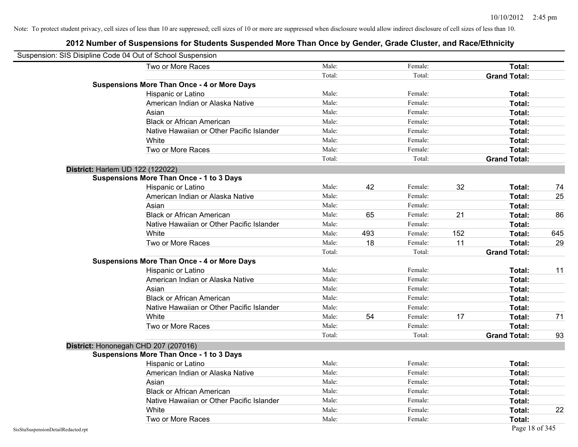| Suspension: SIS Disipline Code 04 Out of School Suspension |                                                    |        |     |         |     |                     |     |
|------------------------------------------------------------|----------------------------------------------------|--------|-----|---------|-----|---------------------|-----|
|                                                            | Two or More Races                                  | Male:  |     | Female: |     | <b>Total:</b>       |     |
|                                                            |                                                    | Total: |     | Total:  |     | <b>Grand Total:</b> |     |
|                                                            | <b>Suspensions More Than Once - 4 or More Days</b> |        |     |         |     |                     |     |
|                                                            | Hispanic or Latino                                 | Male:  |     | Female: |     | Total:              |     |
|                                                            | American Indian or Alaska Native                   | Male:  |     | Female: |     | Total:              |     |
|                                                            | Asian                                              | Male:  |     | Female: |     | Total:              |     |
|                                                            | <b>Black or African American</b>                   | Male:  |     | Female: |     | Total:              |     |
|                                                            | Native Hawaiian or Other Pacific Islander          | Male:  |     | Female: |     | Total:              |     |
|                                                            | White                                              | Male:  |     | Female: |     | Total:              |     |
|                                                            | Two or More Races                                  | Male:  |     | Female: |     | Total:              |     |
|                                                            |                                                    | Total: |     | Total:  |     | <b>Grand Total:</b> |     |
|                                                            | District: Harlem UD 122 (122022)                   |        |     |         |     |                     |     |
|                                                            | <b>Suspensions More Than Once - 1 to 3 Days</b>    |        |     |         |     |                     |     |
|                                                            | Hispanic or Latino                                 | Male:  | 42  | Female: | 32  | Total:              | 74  |
|                                                            | American Indian or Alaska Native                   | Male:  |     | Female: |     | Total:              | 25  |
|                                                            | Asian                                              | Male:  |     | Female: |     | Total:              |     |
|                                                            | <b>Black or African American</b>                   | Male:  | 65  | Female: | 21  | Total:              | 86  |
|                                                            | Native Hawaiian or Other Pacific Islander          | Male:  |     | Female: |     | Total:              |     |
|                                                            | White                                              | Male:  | 493 | Female: | 152 | Total:              | 645 |
|                                                            | Two or More Races                                  | Male:  | 18  | Female: | 11  | Total:              | 29  |
|                                                            |                                                    | Total: |     | Total:  |     | <b>Grand Total:</b> |     |
|                                                            | <b>Suspensions More Than Once - 4 or More Days</b> |        |     |         |     |                     |     |
|                                                            | Hispanic or Latino                                 | Male:  |     | Female: |     | Total:              | 11  |
|                                                            | American Indian or Alaska Native                   | Male:  |     | Female: |     | Total:              |     |
|                                                            | Asian                                              | Male:  |     | Female: |     | Total:              |     |
|                                                            | <b>Black or African American</b>                   | Male:  |     | Female: |     | Total:              |     |
|                                                            | Native Hawaiian or Other Pacific Islander          | Male:  |     | Female: |     | Total:              |     |
|                                                            | White                                              | Male:  | 54  | Female: | 17  | Total:              | 71  |
|                                                            | Two or More Races                                  | Male:  |     | Female: |     | Total:              |     |
|                                                            |                                                    | Total: |     | Total:  |     | <b>Grand Total:</b> | 93  |
|                                                            | District: Hononegah CHD 207 (207016)               |        |     |         |     |                     |     |
|                                                            | <b>Suspensions More Than Once - 1 to 3 Days</b>    |        |     |         |     |                     |     |
|                                                            | Hispanic or Latino                                 | Male:  |     | Female: |     | Total:              |     |
|                                                            | American Indian or Alaska Native                   | Male:  |     | Female: |     | Total:              |     |
|                                                            | Asian                                              | Male:  |     | Female: |     | Total:              |     |
|                                                            | <b>Black or African American</b>                   | Male:  |     | Female: |     | Total:              |     |
|                                                            | Native Hawaiian or Other Pacific Islander          | Male:  |     | Female: |     | Total:              |     |
|                                                            | White                                              | Male:  |     | Female: |     | Total:              | 22  |
|                                                            | Two or More Races                                  | Male:  |     | Female: |     | Total:              |     |
| SisStuSuspensionDetailRedacted.rpt                         |                                                    |        |     |         |     | Page 18 of 345      |     |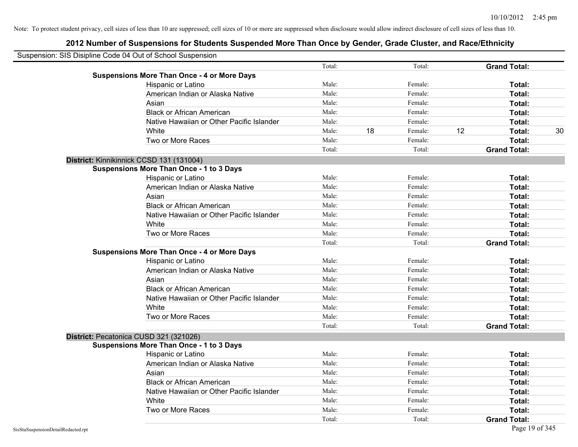| Suspension: SIS Disipline Code 04 Out of School Suspension |                                                    |        |    |         |    |                     |    |
|------------------------------------------------------------|----------------------------------------------------|--------|----|---------|----|---------------------|----|
|                                                            |                                                    | Total: |    | Total:  |    | <b>Grand Total:</b> |    |
|                                                            | <b>Suspensions More Than Once - 4 or More Days</b> |        |    |         |    |                     |    |
|                                                            | Hispanic or Latino                                 | Male:  |    | Female: |    | Total:              |    |
|                                                            | American Indian or Alaska Native                   | Male:  |    | Female: |    | Total:              |    |
|                                                            | Asian                                              | Male:  |    | Female: |    | Total:              |    |
|                                                            | <b>Black or African American</b>                   | Male:  |    | Female: |    | Total:              |    |
|                                                            | Native Hawaiian or Other Pacific Islander          | Male:  |    | Female: |    | Total:              |    |
|                                                            | White                                              | Male:  | 18 | Female: | 12 | Total:              | 30 |
|                                                            | Two or More Races                                  | Male:  |    | Female: |    | Total:              |    |
|                                                            |                                                    | Total: |    | Total:  |    | <b>Grand Total:</b> |    |
|                                                            | District: Kinnikinnick CCSD 131 (131004)           |        |    |         |    |                     |    |
|                                                            | <b>Suspensions More Than Once - 1 to 3 Days</b>    |        |    |         |    |                     |    |
|                                                            | Hispanic or Latino                                 | Male:  |    | Female: |    | Total:              |    |
|                                                            | American Indian or Alaska Native                   | Male:  |    | Female: |    | Total:              |    |
|                                                            | Asian                                              | Male:  |    | Female: |    | Total:              |    |
|                                                            | <b>Black or African American</b>                   | Male:  |    | Female: |    | Total:              |    |
|                                                            | Native Hawaiian or Other Pacific Islander          | Male:  |    | Female: |    | Total:              |    |
|                                                            | White                                              | Male:  |    | Female: |    | Total:              |    |
|                                                            | Two or More Races                                  | Male:  |    | Female: |    | Total:              |    |
|                                                            |                                                    | Total: |    | Total:  |    | <b>Grand Total:</b> |    |
|                                                            | <b>Suspensions More Than Once - 4 or More Days</b> |        |    |         |    |                     |    |
|                                                            | Hispanic or Latino                                 | Male:  |    | Female: |    | Total:              |    |
|                                                            | American Indian or Alaska Native                   | Male:  |    | Female: |    | Total:              |    |
|                                                            | Asian                                              | Male:  |    | Female: |    | Total:              |    |
|                                                            | <b>Black or African American</b>                   | Male:  |    | Female: |    | Total:              |    |
|                                                            | Native Hawaiian or Other Pacific Islander          | Male:  |    | Female: |    | Total:              |    |
|                                                            | White                                              | Male:  |    | Female: |    | Total:              |    |
|                                                            | Two or More Races                                  | Male:  |    | Female: |    | Total:              |    |
|                                                            |                                                    | Total: |    | Total:  |    | <b>Grand Total:</b> |    |
|                                                            | District: Pecatonica CUSD 321 (321026)             |        |    |         |    |                     |    |
|                                                            | <b>Suspensions More Than Once - 1 to 3 Days</b>    |        |    |         |    |                     |    |
|                                                            | Hispanic or Latino                                 | Male:  |    | Female: |    | Total:              |    |
|                                                            | American Indian or Alaska Native                   | Male:  |    | Female: |    | Total:              |    |
|                                                            | Asian                                              | Male:  |    | Female: |    | Total:              |    |
|                                                            | <b>Black or African American</b>                   | Male:  |    | Female: |    | Total:              |    |
|                                                            | Native Hawaiian or Other Pacific Islander          | Male:  |    | Female: |    | Total:              |    |
|                                                            | White                                              | Male:  |    | Female: |    | Total:              |    |
|                                                            | Two or More Races                                  | Male:  |    | Female: |    | Total:              |    |
|                                                            |                                                    | Total: |    | Total:  |    | <b>Grand Total:</b> |    |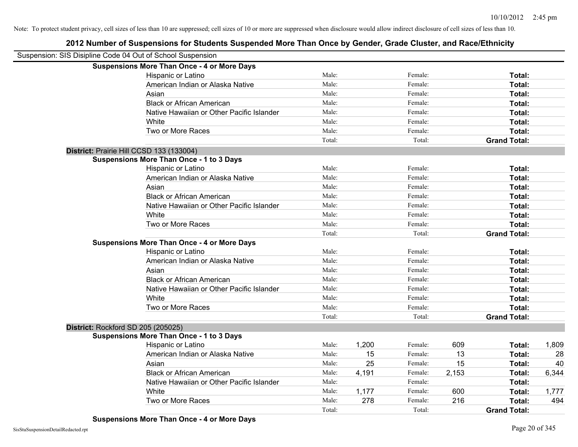| Suspension: SIS Disipline Code 04 Out of School Suspension |                                                    |        |       |         |       |                     |       |
|------------------------------------------------------------|----------------------------------------------------|--------|-------|---------|-------|---------------------|-------|
|                                                            | <b>Suspensions More Than Once - 4 or More Days</b> |        |       |         |       |                     |       |
|                                                            | Hispanic or Latino                                 | Male:  |       | Female: |       | Total:              |       |
|                                                            | American Indian or Alaska Native                   | Male:  |       | Female: |       | Total:              |       |
|                                                            | Asian                                              | Male:  |       | Female: |       | Total:              |       |
|                                                            | <b>Black or African American</b>                   | Male:  |       | Female: |       | Total:              |       |
|                                                            | Native Hawaiian or Other Pacific Islander          | Male:  |       | Female: |       | Total:              |       |
|                                                            | White                                              | Male:  |       | Female: |       | Total:              |       |
|                                                            | Two or More Races                                  | Male:  |       | Female: |       | Total:              |       |
|                                                            |                                                    | Total: |       | Total:  |       | <b>Grand Total:</b> |       |
|                                                            | District: Prairie Hill CCSD 133 (133004)           |        |       |         |       |                     |       |
|                                                            | <b>Suspensions More Than Once - 1 to 3 Days</b>    |        |       |         |       |                     |       |
|                                                            | Hispanic or Latino                                 | Male:  |       | Female: |       | Total:              |       |
|                                                            | American Indian or Alaska Native                   | Male:  |       | Female: |       | Total:              |       |
|                                                            | Asian                                              | Male:  |       | Female: |       | Total:              |       |
|                                                            | <b>Black or African American</b>                   | Male:  |       | Female: |       | Total:              |       |
|                                                            | Native Hawaiian or Other Pacific Islander          | Male:  |       | Female: |       | Total:              |       |
|                                                            | White                                              | Male:  |       | Female: |       | Total:              |       |
|                                                            | Two or More Races                                  | Male:  |       | Female: |       | Total:              |       |
|                                                            |                                                    | Total: |       | Total:  |       | <b>Grand Total:</b> |       |
|                                                            | <b>Suspensions More Than Once - 4 or More Days</b> |        |       |         |       |                     |       |
|                                                            | Hispanic or Latino                                 | Male:  |       | Female: |       | Total:              |       |
|                                                            | American Indian or Alaska Native                   | Male:  |       | Female: |       | Total:              |       |
|                                                            | Asian                                              | Male:  |       | Female: |       | Total:              |       |
|                                                            | <b>Black or African American</b>                   | Male:  |       | Female: |       | Total:              |       |
|                                                            | Native Hawaiian or Other Pacific Islander          | Male:  |       | Female: |       | Total:              |       |
|                                                            | White                                              | Male:  |       | Female: |       | Total:              |       |
|                                                            | Two or More Races                                  | Male:  |       | Female: |       | Total:              |       |
|                                                            |                                                    | Total: |       | Total:  |       | <b>Grand Total:</b> |       |
| District: Rockford SD 205 (205025)                         |                                                    |        |       |         |       |                     |       |
|                                                            | <b>Suspensions More Than Once - 1 to 3 Days</b>    |        |       |         |       |                     |       |
|                                                            | Hispanic or Latino                                 | Male:  | 1,200 | Female: | 609   | Total:              | 1,809 |
|                                                            | American Indian or Alaska Native                   | Male:  | 15    | Female: | 13    | Total:              | 28    |
|                                                            | Asian                                              | Male:  | 25    | Female: | 15    | Total:              | 40    |
|                                                            | <b>Black or African American</b>                   | Male:  | 4,191 | Female: | 2,153 | Total:              | 6,344 |
|                                                            | Native Hawaiian or Other Pacific Islander          | Male:  |       | Female: |       | Total:              |       |
|                                                            | White                                              | Male:  | 1,177 | Female: | 600   | Total:              | 1,777 |
|                                                            | Two or More Races                                  | Male:  | 278   | Female: | 216   | Total:              | 494   |
|                                                            |                                                    | Total: |       | Total:  |       | <b>Grand Total:</b> |       |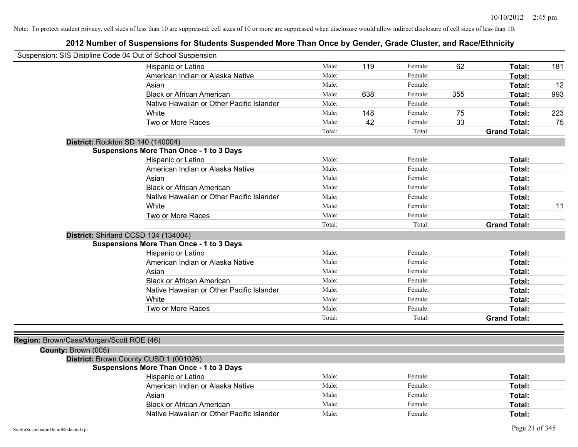| Suspension: SIS Disipline Code 04 Out of School Suspension |                                                 |        |     |         |     |                     |     |
|------------------------------------------------------------|-------------------------------------------------|--------|-----|---------|-----|---------------------|-----|
|                                                            | Hispanic or Latino                              | Male:  | 119 | Female: | 62  | Total:              | 181 |
|                                                            | American Indian or Alaska Native                | Male:  |     | Female: |     | Total:              |     |
|                                                            | Asian                                           | Male:  |     | Female: |     | Total:              | 12  |
|                                                            | <b>Black or African American</b>                | Male:  | 638 | Female: | 355 | Total:              | 993 |
|                                                            | Native Hawaiian or Other Pacific Islander       | Male:  |     | Female: |     | Total:              |     |
|                                                            | White                                           | Male:  | 148 | Female: | 75  | Total:              | 223 |
|                                                            | Two or More Races                               | Male:  | 42  | Female: | 33  | Total:              | 75  |
|                                                            |                                                 | Total: |     | Total:  |     | <b>Grand Total:</b> |     |
|                                                            | District: Rockton SD 140 (140004)               |        |     |         |     |                     |     |
|                                                            | <b>Suspensions More Than Once - 1 to 3 Days</b> |        |     |         |     |                     |     |
|                                                            | Hispanic or Latino                              | Male:  |     | Female: |     | Total:              |     |
|                                                            | American Indian or Alaska Native                | Male:  |     | Female: |     | Total:              |     |
|                                                            | Asian                                           | Male:  |     | Female: |     | Total:              |     |
|                                                            | <b>Black or African American</b>                | Male:  |     | Female: |     | Total:              |     |
|                                                            | Native Hawaiian or Other Pacific Islander       | Male:  |     | Female: |     | Total:              |     |
|                                                            | White                                           | Male:  |     | Female: |     | Total:              | 11  |
|                                                            | Two or More Races                               | Male:  |     | Female: |     | Total:              |     |
|                                                            |                                                 | Total: |     | Total:  |     | <b>Grand Total:</b> |     |
|                                                            | District: Shirland CCSD 134 (134004)            |        |     |         |     |                     |     |
|                                                            | <b>Suspensions More Than Once - 1 to 3 Days</b> |        |     |         |     |                     |     |
|                                                            | Hispanic or Latino                              | Male:  |     | Female: |     | Total:              |     |
|                                                            | American Indian or Alaska Native                | Male:  |     | Female: |     | Total:              |     |
|                                                            | Asian                                           | Male:  |     | Female: |     | Total:              |     |
|                                                            | <b>Black or African American</b>                | Male:  |     | Female: |     | Total:              |     |
|                                                            | Native Hawaiian or Other Pacific Islander       | Male:  |     | Female: |     | Total:              |     |
|                                                            | White                                           | Male:  |     | Female: |     | Total:              |     |
|                                                            | Two or More Races                               | Male:  |     | Female: |     | Total:              |     |
|                                                            |                                                 | Total: |     | Total:  |     | <b>Grand Total:</b> |     |
|                                                            |                                                 |        |     |         |     |                     |     |
| Region: Brown/Cass/Morgan/Scott ROE (46)                   |                                                 |        |     |         |     |                     |     |
| County: Brown (005)                                        |                                                 |        |     |         |     |                     |     |
|                                                            | District: Brown County CUSD 1 (001026)          |        |     |         |     |                     |     |
|                                                            | Suspensions More Than Once - 1 to 3 Days        |        |     |         |     |                     |     |
|                                                            | Hispanic or Latino                              | Male:  |     | Female: |     | Total:              |     |
|                                                            | American Indian or Alaska Native                | Male:  |     | Female: |     | Total:              |     |
|                                                            | Asian                                           | Male:  |     | Female: |     | Total:              |     |
|                                                            | <b>Black or African American</b>                | Male:  |     | Female: |     | Total:              |     |
|                                                            | Native Hawaiian or Other Pacific Islander       | Male:  |     | Female: |     | Total:              |     |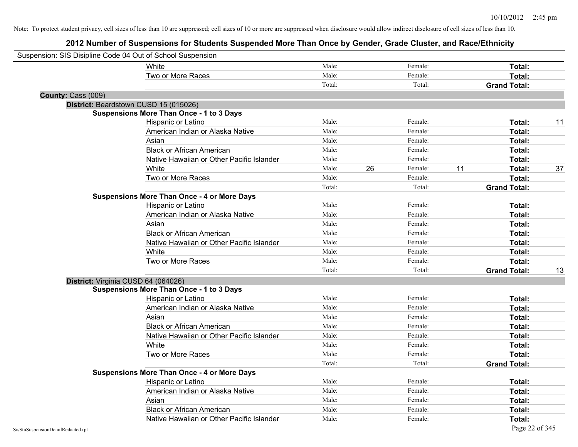| Suspension: SIS Disipline Code 04 Out of School Suspension |                                                    |        |    |         |    |                     |    |
|------------------------------------------------------------|----------------------------------------------------|--------|----|---------|----|---------------------|----|
|                                                            | White                                              | Male:  |    | Female: |    | Total:              |    |
|                                                            | Two or More Races                                  | Male:  |    | Female: |    | Total:              |    |
|                                                            |                                                    | Total: |    | Total:  |    | <b>Grand Total:</b> |    |
| County: Cass (009)                                         |                                                    |        |    |         |    |                     |    |
|                                                            | District: Beardstown CUSD 15 (015026)              |        |    |         |    |                     |    |
|                                                            | <b>Suspensions More Than Once - 1 to 3 Days</b>    |        |    |         |    |                     |    |
|                                                            | Hispanic or Latino                                 | Male:  |    | Female: |    | Total:              | 11 |
|                                                            | American Indian or Alaska Native                   | Male:  |    | Female: |    | Total:              |    |
|                                                            | Asian                                              | Male:  |    | Female: |    | Total:              |    |
|                                                            | <b>Black or African American</b>                   | Male:  |    | Female: |    | Total:              |    |
|                                                            | Native Hawaiian or Other Pacific Islander          | Male:  |    | Female: |    | Total:              |    |
|                                                            | White                                              | Male:  | 26 | Female: | 11 | Total:              | 37 |
|                                                            | Two or More Races                                  | Male:  |    | Female: |    | Total:              |    |
|                                                            |                                                    | Total: |    | Total:  |    | <b>Grand Total:</b> |    |
|                                                            | <b>Suspensions More Than Once - 4 or More Days</b> |        |    |         |    |                     |    |
|                                                            | Hispanic or Latino                                 | Male:  |    | Female: |    | Total:              |    |
|                                                            | American Indian or Alaska Native                   | Male:  |    | Female: |    | Total:              |    |
|                                                            | Asian                                              | Male:  |    | Female: |    | Total:              |    |
|                                                            | <b>Black or African American</b>                   | Male:  |    | Female: |    | Total:              |    |
|                                                            | Native Hawaiian or Other Pacific Islander          | Male:  |    | Female: |    | Total:              |    |
|                                                            | White                                              | Male:  |    | Female: |    | Total:              |    |
|                                                            | Two or More Races                                  | Male:  |    | Female: |    | Total:              |    |
|                                                            |                                                    | Total: |    | Total:  |    | <b>Grand Total:</b> | 13 |
| District: Virginia CUSD 64 (064026)                        |                                                    |        |    |         |    |                     |    |
|                                                            | <b>Suspensions More Than Once - 1 to 3 Days</b>    |        |    |         |    |                     |    |
|                                                            | Hispanic or Latino                                 | Male:  |    | Female: |    | Total:              |    |
|                                                            | American Indian or Alaska Native                   | Male:  |    | Female: |    | Total:              |    |
|                                                            | Asian                                              | Male:  |    | Female: |    | Total:              |    |
|                                                            | <b>Black or African American</b>                   | Male:  |    | Female: |    | Total:              |    |
|                                                            | Native Hawaiian or Other Pacific Islander          | Male:  |    | Female: |    | Total:              |    |
|                                                            | White                                              | Male:  |    | Female: |    | Total:              |    |
|                                                            | Two or More Races                                  | Male:  |    | Female: |    | Total:              |    |
|                                                            |                                                    | Total: |    | Total:  |    | <b>Grand Total:</b> |    |
|                                                            | <b>Suspensions More Than Once - 4 or More Days</b> |        |    |         |    |                     |    |
|                                                            | Hispanic or Latino                                 | Male:  |    | Female: |    | Total:              |    |
|                                                            | American Indian or Alaska Native                   | Male:  |    | Female: |    | Total:              |    |
|                                                            | Asian                                              | Male:  |    | Female: |    | Total:              |    |
|                                                            | <b>Black or African American</b>                   | Male:  |    | Female: |    | Total:              |    |
|                                                            | Native Hawaiian or Other Pacific Islander          | Male:  |    | Female: |    | Total:              |    |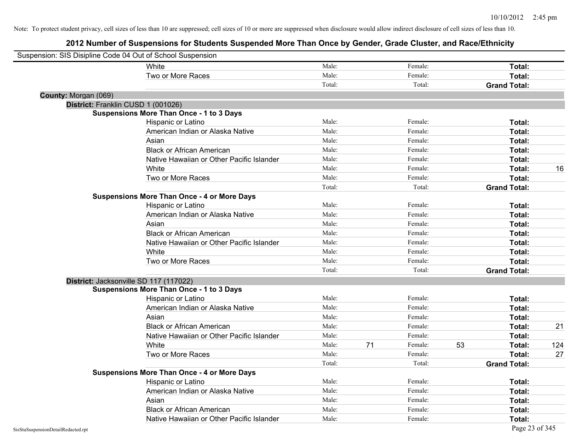| Suspension: SIS Disipline Code 04 Out of School Suspension |                                                    |        |    |         |    |                     |     |
|------------------------------------------------------------|----------------------------------------------------|--------|----|---------|----|---------------------|-----|
|                                                            | White                                              | Male:  |    | Female: |    | Total:              |     |
|                                                            | Two or More Races                                  | Male:  |    | Female: |    | Total:              |     |
|                                                            |                                                    | Total: |    | Total:  |    | <b>Grand Total:</b> |     |
| County: Morgan (069)                                       |                                                    |        |    |         |    |                     |     |
| District: Franklin CUSD 1 (001026)                         |                                                    |        |    |         |    |                     |     |
|                                                            | <b>Suspensions More Than Once - 1 to 3 Days</b>    |        |    |         |    |                     |     |
|                                                            | Hispanic or Latino                                 | Male:  |    | Female: |    | Total:              |     |
|                                                            | American Indian or Alaska Native                   | Male:  |    | Female: |    | Total:              |     |
|                                                            | Asian                                              | Male:  |    | Female: |    | Total:              |     |
|                                                            | <b>Black or African American</b>                   | Male:  |    | Female: |    | Total:              |     |
|                                                            | Native Hawaiian or Other Pacific Islander          | Male:  |    | Female: |    | Total:              |     |
|                                                            | White                                              | Male:  |    | Female: |    | Total:              | 16  |
|                                                            | Two or More Races                                  | Male:  |    | Female: |    | Total:              |     |
|                                                            |                                                    | Total: |    | Total:  |    | <b>Grand Total:</b> |     |
|                                                            | <b>Suspensions More Than Once - 4 or More Days</b> |        |    |         |    |                     |     |
|                                                            | Hispanic or Latino                                 | Male:  |    | Female: |    | Total:              |     |
|                                                            | American Indian or Alaska Native                   | Male:  |    | Female: |    | Total:              |     |
|                                                            | Asian                                              | Male:  |    | Female: |    | Total:              |     |
|                                                            | <b>Black or African American</b>                   | Male:  |    | Female: |    | Total:              |     |
|                                                            | Native Hawaiian or Other Pacific Islander          | Male:  |    | Female: |    | Total:              |     |
|                                                            | White                                              | Male:  |    | Female: |    | Total:              |     |
|                                                            | Two or More Races                                  | Male:  |    | Female: |    | Total:              |     |
|                                                            |                                                    | Total: |    | Total:  |    | <b>Grand Total:</b> |     |
| District: Jacksonville SD 117 (117022)                     |                                                    |        |    |         |    |                     |     |
|                                                            | <b>Suspensions More Than Once - 1 to 3 Days</b>    |        |    |         |    |                     |     |
|                                                            | Hispanic or Latino                                 | Male:  |    | Female: |    | Total:              |     |
|                                                            | American Indian or Alaska Native                   | Male:  |    | Female: |    | Total:              |     |
|                                                            | Asian                                              | Male:  |    | Female: |    | Total:              |     |
|                                                            | <b>Black or African American</b>                   | Male:  |    | Female: |    | Total:              | 21  |
|                                                            | Native Hawaiian or Other Pacific Islander          | Male:  |    | Female: |    | Total:              |     |
|                                                            | White                                              | Male:  | 71 | Female: | 53 | Total:              | 124 |
|                                                            | Two or More Races                                  | Male:  |    | Female: |    | Total:              | 27  |
|                                                            |                                                    | Total: |    | Total:  |    | <b>Grand Total:</b> |     |
|                                                            | <b>Suspensions More Than Once - 4 or More Days</b> |        |    |         |    |                     |     |
|                                                            | Hispanic or Latino                                 | Male:  |    | Female: |    | Total:              |     |
|                                                            | American Indian or Alaska Native                   | Male:  |    | Female: |    | Total:              |     |
|                                                            | Asian                                              | Male:  |    | Female: |    | Total:              |     |
|                                                            | <b>Black or African American</b>                   | Male:  |    | Female: |    | Total:              |     |
|                                                            | Native Hawaiian or Other Pacific Islander          | Male:  |    | Female: |    | Total:              |     |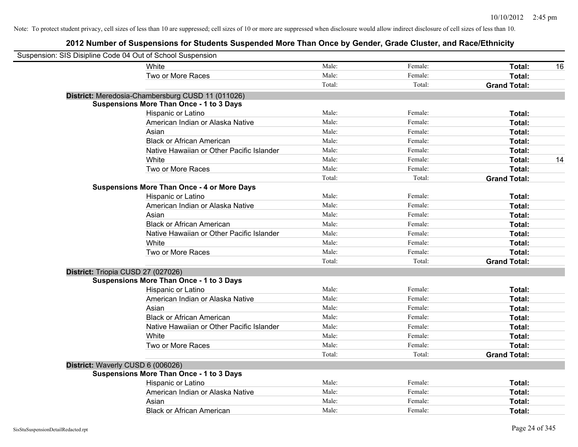| Suspension: SIS Disipline Code 04 Out of School Suspension |                                                    |        |         |                     |
|------------------------------------------------------------|----------------------------------------------------|--------|---------|---------------------|
|                                                            | White                                              | Male:  | Female: | Total:<br>16        |
|                                                            | Two or More Races                                  | Male:  | Female: | Total:              |
|                                                            |                                                    | Total: | Total:  | <b>Grand Total:</b> |
|                                                            | District: Meredosia-Chambersburg CUSD 11 (011026)  |        |         |                     |
|                                                            | <b>Suspensions More Than Once - 1 to 3 Days</b>    |        |         |                     |
|                                                            | Hispanic or Latino                                 | Male:  | Female: | Total:              |
|                                                            | American Indian or Alaska Native                   | Male:  | Female: | Total:              |
|                                                            | Asian                                              | Male:  | Female: | Total:              |
|                                                            | <b>Black or African American</b>                   | Male:  | Female: | Total:              |
|                                                            | Native Hawaiian or Other Pacific Islander          | Male:  | Female: | Total:              |
|                                                            | White                                              | Male:  | Female: | 14<br>Total:        |
|                                                            | Two or More Races                                  | Male:  | Female: | Total:              |
|                                                            |                                                    | Total: | Total:  | <b>Grand Total:</b> |
|                                                            | <b>Suspensions More Than Once - 4 or More Days</b> |        |         |                     |
|                                                            | Hispanic or Latino                                 | Male:  | Female: | Total:              |
|                                                            | American Indian or Alaska Native                   | Male:  | Female: | Total:              |
|                                                            | Asian                                              | Male:  | Female: | Total:              |
|                                                            | <b>Black or African American</b>                   | Male:  | Female: | Total:              |
|                                                            | Native Hawaiian or Other Pacific Islander          | Male:  | Female: | Total:              |
|                                                            | White                                              | Male:  | Female: | Total:              |
|                                                            | Two or More Races                                  | Male:  | Female: | Total:              |
|                                                            |                                                    | Total: | Total:  | <b>Grand Total:</b> |
| District: Triopia CUSD 27 (027026)                         |                                                    |        |         |                     |
|                                                            | <b>Suspensions More Than Once - 1 to 3 Days</b>    |        |         |                     |
|                                                            | Hispanic or Latino                                 | Male:  | Female: | Total:              |
|                                                            | American Indian or Alaska Native                   | Male:  | Female: | Total:              |
|                                                            | Asian                                              | Male:  | Female: | Total:              |
|                                                            | <b>Black or African American</b>                   | Male:  | Female: | Total:              |
|                                                            | Native Hawaiian or Other Pacific Islander          | Male:  | Female: | Total:              |
|                                                            | White                                              | Male:  | Female: | Total:              |
|                                                            | Two or More Races                                  | Male:  | Female: | Total:              |
|                                                            |                                                    | Total: | Total:  | <b>Grand Total:</b> |
| District: Waverly CUSD 6 (006026)                          |                                                    |        |         |                     |
|                                                            | <b>Suspensions More Than Once - 1 to 3 Days</b>    |        |         |                     |
|                                                            | Hispanic or Latino                                 | Male:  | Female: | Total:              |
|                                                            | American Indian or Alaska Native                   | Male:  | Female: | Total:              |
|                                                            | Asian                                              | Male:  | Female: | Total:              |
|                                                            | <b>Black or African American</b>                   | Male:  | Female: | Total:              |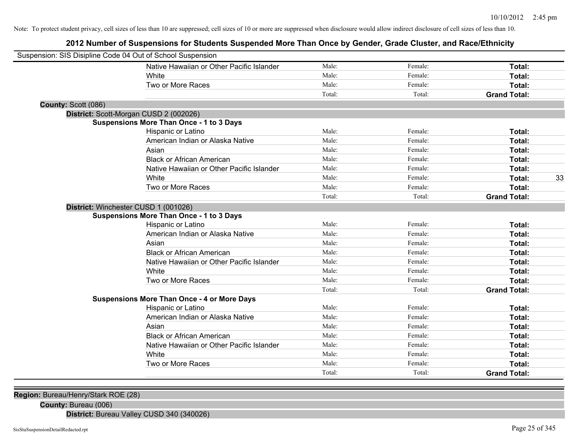### **2012 Number of Suspensions for Students Suspended More Than Once by Gender, Grade Cluster, and Race/Ethnicity**

| Suspension: SIS Disipline Code 04 Out of School Suspension |                                           |        |         |                     |    |
|------------------------------------------------------------|-------------------------------------------|--------|---------|---------------------|----|
|                                                            | Native Hawaiian or Other Pacific Islander | Male:  | Female: | Total:              |    |
| White                                                      |                                           | Male:  | Female: | Total:              |    |
| Two or More Races                                          |                                           | Male:  | Female: | Total:              |    |
|                                                            |                                           | Total: | Total:  | <b>Grand Total:</b> |    |
| County: Scott (086)                                        |                                           |        |         |                     |    |
| District: Scott-Morgan CUSD 2 (002026)                     |                                           |        |         |                     |    |
| <b>Suspensions More Than Once - 1 to 3 Days</b>            |                                           |        |         |                     |    |
| Hispanic or Latino                                         |                                           | Male:  | Female: | Total:              |    |
| American Indian or Alaska Native                           |                                           | Male:  | Female: | Total:              |    |
| Asian                                                      |                                           | Male:  | Female: | Total:              |    |
| <b>Black or African American</b>                           |                                           | Male:  | Female: | Total:              |    |
|                                                            | Native Hawaiian or Other Pacific Islander | Male:  | Female: | Total:              |    |
| White                                                      |                                           | Male:  | Female: | Total:              | 33 |
| Two or More Races                                          |                                           | Male:  | Female: | Total:              |    |
|                                                            |                                           | Total: | Total:  | <b>Grand Total:</b> |    |
| District: Winchester CUSD 1 (001026)                       |                                           |        |         |                     |    |
| <b>Suspensions More Than Once - 1 to 3 Days</b>            |                                           |        |         |                     |    |
| Hispanic or Latino                                         |                                           | Male:  | Female: | Total:              |    |
| American Indian or Alaska Native                           |                                           | Male:  | Female: | Total:              |    |
| Asian                                                      |                                           | Male:  | Female: | Total:              |    |
| <b>Black or African American</b>                           |                                           | Male:  | Female: | Total:              |    |
|                                                            | Native Hawaiian or Other Pacific Islander | Male:  | Female: | Total:              |    |
| White                                                      |                                           | Male:  | Female: | <b>Total:</b>       |    |
| Two or More Races                                          |                                           | Male:  | Female: | Total:              |    |
|                                                            |                                           | Total: | Total:  | <b>Grand Total:</b> |    |
| <b>Suspensions More Than Once - 4 or More Days</b>         |                                           |        |         |                     |    |
| Hispanic or Latino                                         |                                           | Male:  | Female: | Total:              |    |
| American Indian or Alaska Native                           |                                           | Male:  | Female: | Total:              |    |
| Asian                                                      |                                           | Male:  | Female: | Total:              |    |
| <b>Black or African American</b>                           |                                           | Male:  | Female: | Total:              |    |
|                                                            | Native Hawaiian or Other Pacific Islander | Male:  | Female: | Total:              |    |
| White                                                      |                                           | Male:  | Female: | <b>Total:</b>       |    |
| Two or More Races                                          |                                           | Male:  | Female: | Total:              |    |
|                                                            |                                           | Total: | Total:  | <b>Grand Total:</b> |    |

**Region:** Bureau/Henry/Stark ROE (28)

**County:** Bureau (006)

**District:** Bureau Valley CUSD 340 (340026)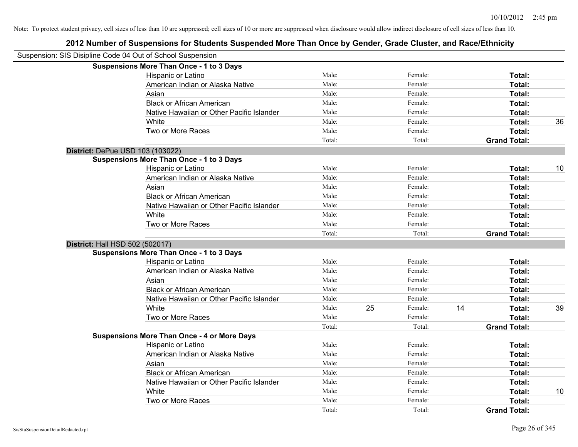| Suspension: SIS Disipline Code 04 Out of School Suspension |                                                    |        |    |         |    |                     |    |
|------------------------------------------------------------|----------------------------------------------------|--------|----|---------|----|---------------------|----|
|                                                            | <b>Suspensions More Than Once - 1 to 3 Days</b>    |        |    |         |    |                     |    |
|                                                            | Hispanic or Latino                                 | Male:  |    | Female: |    | Total:              |    |
|                                                            | American Indian or Alaska Native                   | Male:  |    | Female: |    | Total:              |    |
|                                                            | Asian                                              | Male:  |    | Female: |    | Total:              |    |
|                                                            | <b>Black or African American</b>                   | Male:  |    | Female: |    | Total:              |    |
|                                                            | Native Hawaiian or Other Pacific Islander          | Male:  |    | Female: |    | Total:              |    |
|                                                            | White                                              | Male:  |    | Female: |    | Total:              | 36 |
|                                                            | Two or More Races                                  | Male:  |    | Female: |    | Total:              |    |
|                                                            |                                                    | Total: |    | Total:  |    | <b>Grand Total:</b> |    |
| District: DePue USD 103 (103022)                           |                                                    |        |    |         |    |                     |    |
|                                                            | <b>Suspensions More Than Once - 1 to 3 Days</b>    |        |    |         |    |                     |    |
|                                                            | Hispanic or Latino                                 | Male:  |    | Female: |    | Total:              | 10 |
|                                                            | American Indian or Alaska Native                   | Male:  |    | Female: |    | Total:              |    |
|                                                            | Asian                                              | Male:  |    | Female: |    | Total:              |    |
|                                                            | <b>Black or African American</b>                   | Male:  |    | Female: |    | Total:              |    |
|                                                            | Native Hawaiian or Other Pacific Islander          | Male:  |    | Female: |    | Total:              |    |
|                                                            | White                                              | Male:  |    | Female: |    | Total:              |    |
|                                                            | Two or More Races                                  | Male:  |    | Female: |    | Total:              |    |
|                                                            |                                                    | Total: |    | Total:  |    | <b>Grand Total:</b> |    |
| District: Hall HSD 502 (502017)                            |                                                    |        |    |         |    |                     |    |
|                                                            | <b>Suspensions More Than Once - 1 to 3 Days</b>    |        |    |         |    |                     |    |
|                                                            | Hispanic or Latino                                 | Male:  |    | Female: |    | Total:              |    |
|                                                            | American Indian or Alaska Native                   | Male:  |    | Female: |    | Total:              |    |
|                                                            | Asian                                              | Male:  |    | Female: |    | Total:              |    |
|                                                            | <b>Black or African American</b>                   | Male:  |    | Female: |    | Total:              |    |
|                                                            | Native Hawaiian or Other Pacific Islander          | Male:  |    | Female: |    | Total:              |    |
|                                                            | White                                              | Male:  | 25 | Female: | 14 | Total:              | 39 |
|                                                            | Two or More Races                                  | Male:  |    | Female: |    | Total:              |    |
|                                                            |                                                    | Total: |    | Total:  |    | <b>Grand Total:</b> |    |
|                                                            | <b>Suspensions More Than Once - 4 or More Days</b> |        |    |         |    |                     |    |
|                                                            | Hispanic or Latino                                 | Male:  |    | Female: |    | Total:              |    |
|                                                            | American Indian or Alaska Native                   | Male:  |    | Female: |    | Total:              |    |
|                                                            | Asian                                              | Male:  |    | Female: |    | Total:              |    |
|                                                            | <b>Black or African American</b>                   | Male:  |    | Female: |    | Total:              |    |
|                                                            | Native Hawaiian or Other Pacific Islander          | Male:  |    | Female: |    | Total:              |    |
|                                                            | White                                              | Male:  |    | Female: |    | Total:              | 10 |
|                                                            | Two or More Races                                  | Male:  |    | Female: |    | <b>Total:</b>       |    |
|                                                            |                                                    | Total: |    | Total:  |    | <b>Grand Total:</b> |    |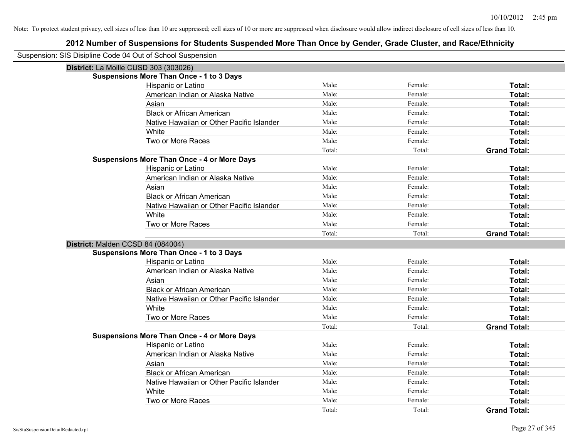| Suspension: SIS Disipline Code 04 Out of School Suspension |                                                    |        |         |                     |
|------------------------------------------------------------|----------------------------------------------------|--------|---------|---------------------|
| District: La Moille CUSD 303 (303026)                      |                                                    |        |         |                     |
|                                                            | <b>Suspensions More Than Once - 1 to 3 Days</b>    |        |         |                     |
|                                                            | Hispanic or Latino                                 | Male:  | Female: | Total:              |
|                                                            | American Indian or Alaska Native                   | Male:  | Female: | <b>Total:</b>       |
|                                                            | Asian                                              | Male:  | Female: | Total:              |
|                                                            | <b>Black or African American</b>                   | Male:  | Female: | Total:              |
|                                                            | Native Hawaiian or Other Pacific Islander          | Male:  | Female: | Total:              |
|                                                            | White                                              | Male:  | Female: | Total:              |
|                                                            | Two or More Races                                  | Male:  | Female: | Total:              |
|                                                            |                                                    | Total: | Total:  | <b>Grand Total:</b> |
|                                                            | <b>Suspensions More Than Once - 4 or More Days</b> |        |         |                     |
|                                                            | Hispanic or Latino                                 | Male:  | Female: | Total:              |
|                                                            | American Indian or Alaska Native                   | Male:  | Female: | Total:              |
|                                                            | Asian                                              | Male:  | Female: | Total:              |
|                                                            | <b>Black or African American</b>                   | Male:  | Female: | Total:              |
|                                                            | Native Hawaiian or Other Pacific Islander          | Male:  | Female: | Total:              |
|                                                            | White                                              | Male:  | Female: | Total:              |
|                                                            | Two or More Races                                  | Male:  | Female: | Total:              |
|                                                            |                                                    | Total: | Total:  | <b>Grand Total:</b> |
| District: Malden CCSD 84 (084004)                          |                                                    |        |         |                     |
|                                                            | <b>Suspensions More Than Once - 1 to 3 Days</b>    |        |         |                     |
|                                                            | Hispanic or Latino                                 | Male:  | Female: | Total:              |
|                                                            | American Indian or Alaska Native                   | Male:  | Female: | Total:              |
|                                                            | Asian                                              | Male:  | Female: | Total:              |
|                                                            | <b>Black or African American</b>                   | Male:  | Female: | Total:              |
|                                                            | Native Hawaiian or Other Pacific Islander          | Male:  | Female: | Total:              |
|                                                            | White                                              | Male:  | Female: | Total:              |
|                                                            | Two or More Races                                  | Male:  | Female: | Total:              |
|                                                            |                                                    | Total: | Total:  | <b>Grand Total:</b> |
|                                                            | <b>Suspensions More Than Once - 4 or More Days</b> |        |         |                     |
|                                                            | Hispanic or Latino                                 | Male:  | Female: | Total:              |
|                                                            | American Indian or Alaska Native                   | Male:  | Female: | Total:              |
|                                                            | Asian                                              | Male:  | Female: | Total:              |
|                                                            | <b>Black or African American</b>                   | Male:  | Female: | Total:              |
|                                                            | Native Hawaiian or Other Pacific Islander          | Male:  | Female: | Total:              |
|                                                            | White                                              | Male:  | Female: | Total:              |
|                                                            | Two or More Races                                  | Male:  | Female: | Total:              |
|                                                            |                                                    | Total: | Total:  | <b>Grand Total:</b> |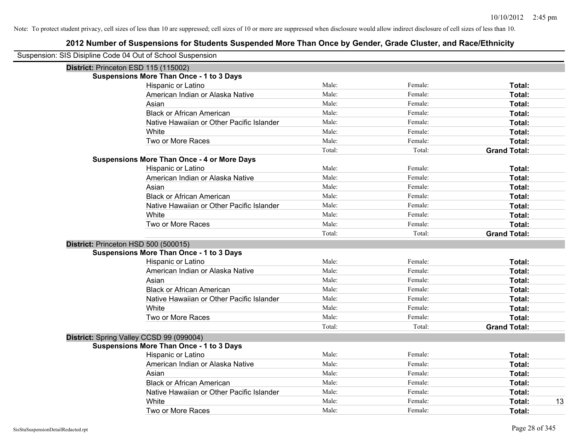| Suspension: SIS Disipline Code 04 Out of School Suspension |                                                    |        |         |                     |
|------------------------------------------------------------|----------------------------------------------------|--------|---------|---------------------|
| District: Princeton ESD 115 (115002)                       |                                                    |        |         |                     |
|                                                            | <b>Suspensions More Than Once - 1 to 3 Days</b>    |        |         |                     |
|                                                            | Hispanic or Latino                                 | Male:  | Female: | Total:              |
|                                                            | American Indian or Alaska Native                   | Male:  | Female: | Total:              |
|                                                            | Asian                                              | Male:  | Female: | Total:              |
|                                                            | <b>Black or African American</b>                   | Male:  | Female: | Total:              |
|                                                            | Native Hawaiian or Other Pacific Islander          | Male:  | Female: | Total:              |
|                                                            | White                                              | Male:  | Female: | Total:              |
|                                                            | Two or More Races                                  | Male:  | Female: | Total:              |
|                                                            |                                                    | Total: | Total:  | <b>Grand Total:</b> |
|                                                            | <b>Suspensions More Than Once - 4 or More Days</b> |        |         |                     |
|                                                            | Hispanic or Latino                                 | Male:  | Female: | Total:              |
|                                                            | American Indian or Alaska Native                   | Male:  | Female: | Total:              |
|                                                            | Asian                                              | Male:  | Female: | Total:              |
|                                                            | <b>Black or African American</b>                   | Male:  | Female: | Total:              |
|                                                            | Native Hawaiian or Other Pacific Islander          | Male:  | Female: | Total:              |
|                                                            | White                                              | Male:  | Female: | Total:              |
|                                                            | Two or More Races                                  | Male:  | Female: | Total:              |
|                                                            |                                                    | Total: | Total:  | <b>Grand Total:</b> |
| District: Princeton HSD 500 (500015)                       |                                                    |        |         |                     |
|                                                            | <b>Suspensions More Than Once - 1 to 3 Days</b>    |        |         |                     |
|                                                            | Hispanic or Latino                                 | Male:  | Female: | Total:              |
|                                                            | American Indian or Alaska Native                   | Male:  | Female: | Total:              |
|                                                            | Asian                                              | Male:  | Female: | Total:              |
|                                                            | <b>Black or African American</b>                   | Male:  | Female: | Total:              |
|                                                            | Native Hawaiian or Other Pacific Islander          | Male:  | Female: | Total:              |
|                                                            | White                                              | Male:  | Female: | Total:              |
|                                                            | Two or More Races                                  | Male:  | Female: | Total:              |
|                                                            |                                                    | Total: | Total:  | <b>Grand Total:</b> |
| District: Spring Valley CCSD 99 (099004)                   |                                                    |        |         |                     |
|                                                            | <b>Suspensions More Than Once - 1 to 3 Days</b>    |        |         |                     |
|                                                            | Hispanic or Latino                                 | Male:  | Female: | Total:              |
|                                                            | American Indian or Alaska Native                   | Male:  | Female: | Total:              |
|                                                            | Asian                                              | Male:  | Female: | Total:              |
|                                                            | <b>Black or African American</b>                   | Male:  | Female: | Total:              |
|                                                            | Native Hawaiian or Other Pacific Islander          | Male:  | Female: | Total:              |
|                                                            | White                                              | Male:  | Female: | 13<br>Total:        |
|                                                            | Two or More Races                                  | Male:  | Female: | Total:              |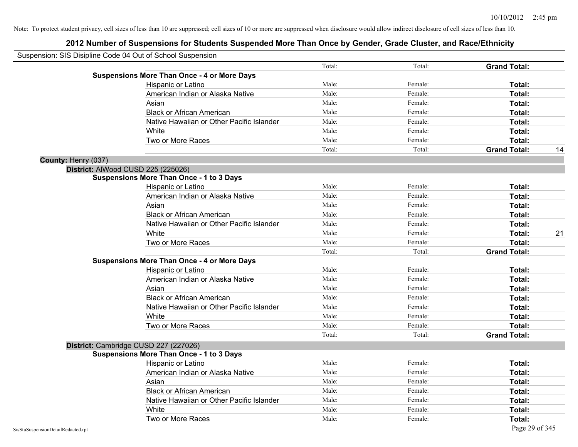| Suspension: SIS Disipline Code 04 Out of School Suspension |        |         |                           |
|------------------------------------------------------------|--------|---------|---------------------------|
|                                                            | Total: | Total:  | <b>Grand Total:</b>       |
| <b>Suspensions More Than Once - 4 or More Days</b>         |        |         |                           |
| Hispanic or Latino                                         | Male:  | Female: | Total:                    |
| American Indian or Alaska Native                           | Male:  | Female: | Total:                    |
| Asian                                                      | Male:  | Female: | Total:                    |
| <b>Black or African American</b>                           | Male:  | Female: | Total:                    |
| Native Hawaiian or Other Pacific Islander                  | Male:  | Female: | Total:                    |
| White                                                      | Male:  | Female: | Total:                    |
| Two or More Races                                          | Male:  | Female: | Total:                    |
|                                                            | Total: | Total:  | <b>Grand Total:</b><br>14 |
| County: Henry (037)                                        |        |         |                           |
| District: AlWood CUSD 225 (225026)                         |        |         |                           |
| <b>Suspensions More Than Once - 1 to 3 Days</b>            |        |         |                           |
| Hispanic or Latino                                         | Male:  | Female: | Total:                    |
| American Indian or Alaska Native                           | Male:  | Female: | Total:                    |
| Asian                                                      | Male:  | Female: | Total:                    |
| <b>Black or African American</b>                           | Male:  | Female: | Total:                    |
| Native Hawaiian or Other Pacific Islander                  | Male:  | Female: | Total:                    |
| White                                                      | Male:  | Female: | 21<br>Total:              |
| Two or More Races                                          | Male:  | Female: | Total:                    |
|                                                            | Total: | Total:  | <b>Grand Total:</b>       |
| <b>Suspensions More Than Once - 4 or More Days</b>         |        |         |                           |
| Hispanic or Latino                                         | Male:  | Female: | Total:                    |
| American Indian or Alaska Native                           | Male:  | Female: | Total:                    |
| Asian                                                      | Male:  | Female: | Total:                    |
| <b>Black or African American</b>                           | Male:  | Female: | Total:                    |
| Native Hawaiian or Other Pacific Islander                  | Male:  | Female: | Total:                    |
| White                                                      | Male:  | Female: | Total:                    |
| Two or More Races                                          | Male:  | Female: | Total:                    |
|                                                            | Total: | Total:  | <b>Grand Total:</b>       |
| District: Cambridge CUSD 227 (227026)                      |        |         |                           |
| <b>Suspensions More Than Once - 1 to 3 Days</b>            |        |         |                           |
| Hispanic or Latino                                         | Male:  | Female: | Total:                    |
| American Indian or Alaska Native                           | Male:  | Female: | Total:                    |
| Asian                                                      | Male:  | Female: | Total:                    |
| <b>Black or African American</b>                           | Male:  | Female: | Total:                    |
| Native Hawaiian or Other Pacific Islander                  | Male:  | Female: | Total:                    |
| White                                                      | Male:  | Female: | Total:                    |
| Two or More Races                                          | Male:  | Female: | Total:                    |
| SisStuSuspensionDetailRedacted.rpt                         |        |         | Page 29 of 345            |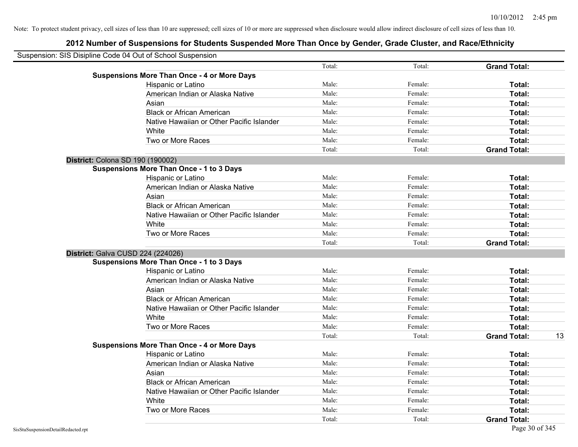| Suspension: SIS Disipline Code 04 Out of School Suspension |                                                    |        |         |                     |    |
|------------------------------------------------------------|----------------------------------------------------|--------|---------|---------------------|----|
|                                                            |                                                    | Total: | Total:  | <b>Grand Total:</b> |    |
|                                                            | <b>Suspensions More Than Once - 4 or More Days</b> |        |         |                     |    |
|                                                            | Hispanic or Latino                                 | Male:  | Female: | Total:              |    |
|                                                            | American Indian or Alaska Native                   | Male:  | Female: | Total:              |    |
|                                                            | Asian                                              | Male:  | Female: | Total:              |    |
|                                                            | <b>Black or African American</b>                   | Male:  | Female: | Total:              |    |
|                                                            | Native Hawaiian or Other Pacific Islander          | Male:  | Female: | Total:              |    |
|                                                            | White                                              | Male:  | Female: | Total:              |    |
|                                                            | Two or More Races                                  | Male:  | Female: | Total:              |    |
|                                                            |                                                    | Total: | Total:  | <b>Grand Total:</b> |    |
| District: Colona SD 190 (190002)                           |                                                    |        |         |                     |    |
|                                                            | <b>Suspensions More Than Once - 1 to 3 Days</b>    |        |         |                     |    |
|                                                            | Hispanic or Latino                                 | Male:  | Female: | Total:              |    |
|                                                            | American Indian or Alaska Native                   | Male:  | Female: | Total:              |    |
|                                                            | Asian                                              | Male:  | Female: | Total:              |    |
|                                                            | <b>Black or African American</b>                   | Male:  | Female: | Total:              |    |
|                                                            | Native Hawaiian or Other Pacific Islander          | Male:  | Female: | Total:              |    |
|                                                            | White                                              | Male:  | Female: | Total:              |    |
|                                                            | Two or More Races                                  | Male:  | Female: | Total:              |    |
|                                                            |                                                    | Total: | Total:  | <b>Grand Total:</b> |    |
| District: Galva CUSD 224 (224026)                          |                                                    |        |         |                     |    |
|                                                            | <b>Suspensions More Than Once - 1 to 3 Days</b>    |        |         |                     |    |
|                                                            | Hispanic or Latino                                 | Male:  | Female: | Total:              |    |
|                                                            | American Indian or Alaska Native                   | Male:  | Female: | Total:              |    |
|                                                            | Asian                                              | Male:  | Female: | Total:              |    |
|                                                            | <b>Black or African American</b>                   | Male:  | Female: | Total:              |    |
|                                                            | Native Hawaiian or Other Pacific Islander          | Male:  | Female: | Total:              |    |
|                                                            | White                                              | Male:  | Female: | Total:              |    |
|                                                            | Two or More Races                                  | Male:  | Female: | Total:              |    |
|                                                            |                                                    | Total: | Total:  | <b>Grand Total:</b> | 13 |
|                                                            | <b>Suspensions More Than Once - 4 or More Days</b> |        |         |                     |    |
|                                                            | Hispanic or Latino                                 | Male:  | Female: | Total:              |    |
|                                                            | American Indian or Alaska Native                   | Male:  | Female: | Total:              |    |
|                                                            | Asian                                              | Male:  | Female: | Total:              |    |
|                                                            | <b>Black or African American</b>                   | Male:  | Female: | Total:              |    |
|                                                            | Native Hawaiian or Other Pacific Islander          | Male:  | Female: | Total:              |    |
|                                                            | White                                              | Male:  | Female: | Total:              |    |
|                                                            | Two or More Races                                  | Male:  | Female: | Total:              |    |
|                                                            |                                                    | Total: | Total:  | <b>Grand Total:</b> |    |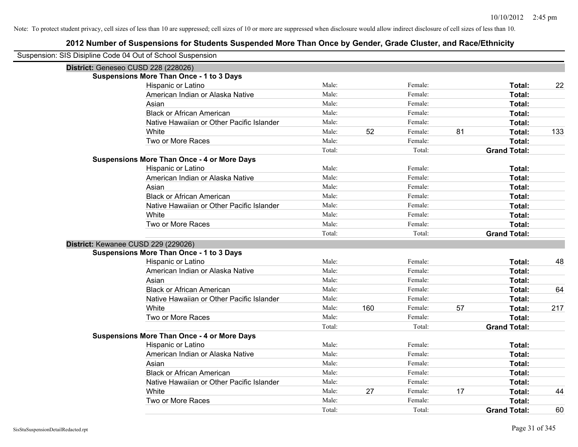| Suspension: SIS Disipline Code 04 Out of School Suspension |                                                    |        |     |         |    |                     |     |
|------------------------------------------------------------|----------------------------------------------------|--------|-----|---------|----|---------------------|-----|
| District: Geneseo CUSD 228 (228026)                        |                                                    |        |     |         |    |                     |     |
|                                                            | <b>Suspensions More Than Once - 1 to 3 Days</b>    |        |     |         |    |                     |     |
|                                                            | Hispanic or Latino                                 | Male:  |     | Female: |    | Total:              | 22  |
|                                                            | American Indian or Alaska Native                   | Male:  |     | Female: |    | Total:              |     |
|                                                            | Asian                                              | Male:  |     | Female: |    | Total:              |     |
|                                                            | <b>Black or African American</b>                   | Male:  |     | Female: |    | Total:              |     |
|                                                            | Native Hawaiian or Other Pacific Islander          | Male:  |     | Female: |    | Total:              |     |
|                                                            | White                                              | Male:  | 52  | Female: | 81 | Total:              | 133 |
|                                                            | Two or More Races                                  | Male:  |     | Female: |    | Total:              |     |
|                                                            |                                                    | Total: |     | Total:  |    | <b>Grand Total:</b> |     |
|                                                            | <b>Suspensions More Than Once - 4 or More Days</b> |        |     |         |    |                     |     |
|                                                            | Hispanic or Latino                                 | Male:  |     | Female: |    | Total:              |     |
|                                                            | American Indian or Alaska Native                   | Male:  |     | Female: |    | Total:              |     |
|                                                            | Asian                                              | Male:  |     | Female: |    | Total:              |     |
|                                                            | <b>Black or African American</b>                   | Male:  |     | Female: |    | Total:              |     |
|                                                            | Native Hawaiian or Other Pacific Islander          | Male:  |     | Female: |    | Total:              |     |
|                                                            | White                                              | Male:  |     | Female: |    | Total:              |     |
|                                                            | Two or More Races                                  | Male:  |     | Female: |    | Total:              |     |
|                                                            |                                                    | Total: |     | Total:  |    | <b>Grand Total:</b> |     |
| District: Kewanee CUSD 229 (229026)                        |                                                    |        |     |         |    |                     |     |
|                                                            | <b>Suspensions More Than Once - 1 to 3 Days</b>    |        |     |         |    |                     |     |
|                                                            | Hispanic or Latino                                 | Male:  |     | Female: |    | Total:              | 48  |
|                                                            | American Indian or Alaska Native                   | Male:  |     | Female: |    | Total:              |     |
|                                                            | Asian                                              | Male:  |     | Female: |    | Total:              |     |
|                                                            | <b>Black or African American</b>                   | Male:  |     | Female: |    | Total:              | 64  |
|                                                            | Native Hawaiian or Other Pacific Islander          | Male:  |     | Female: |    | Total:              |     |
|                                                            | White                                              | Male:  | 160 | Female: | 57 | Total:              | 217 |
|                                                            | Two or More Races                                  | Male:  |     | Female: |    | Total:              |     |
|                                                            |                                                    | Total: |     | Total:  |    | <b>Grand Total:</b> |     |
|                                                            | <b>Suspensions More Than Once - 4 or More Days</b> |        |     |         |    |                     |     |
|                                                            | Hispanic or Latino                                 | Male:  |     | Female: |    | Total:              |     |
|                                                            | American Indian or Alaska Native                   | Male:  |     | Female: |    | Total:              |     |
|                                                            | Asian                                              | Male:  |     | Female: |    | Total:              |     |
|                                                            | <b>Black or African American</b>                   | Male:  |     | Female: |    | Total:              |     |
|                                                            | Native Hawaiian or Other Pacific Islander          | Male:  |     | Female: |    | Total:              |     |
|                                                            | White                                              | Male:  | 27  | Female: | 17 | Total:              | 44  |
|                                                            | Two or More Races                                  | Male:  |     | Female: |    | Total:              |     |
|                                                            |                                                    | Total: |     | Total:  |    | <b>Grand Total:</b> | 60  |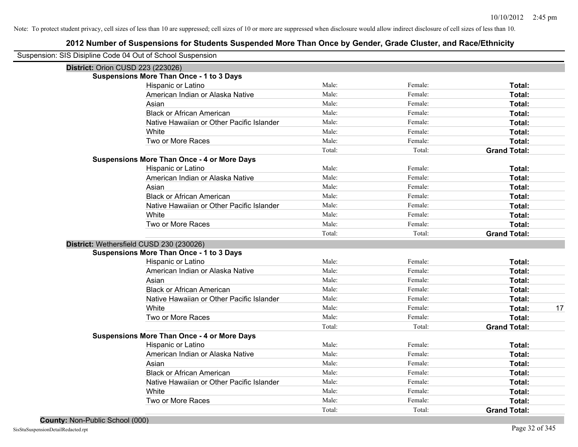| Suspension: SIS Disipline Code 04 Out of School Suspension |        |         |                     |
|------------------------------------------------------------|--------|---------|---------------------|
| District: Orion CUSD 223 (223026)                          |        |         |                     |
| <b>Suspensions More Than Once - 1 to 3 Days</b>            |        |         |                     |
| Hispanic or Latino                                         | Male:  | Female: | Total:              |
| American Indian or Alaska Native                           | Male:  | Female: | Total:              |
| Asian                                                      | Male:  | Female: | Total:              |
| <b>Black or African American</b>                           | Male:  | Female: | Total:              |
| Native Hawaiian or Other Pacific Islander                  | Male:  | Female: | Total:              |
| White                                                      | Male:  | Female: | Total:              |
| Two or More Races                                          | Male:  | Female: | Total:              |
|                                                            | Total: | Total:  | <b>Grand Total:</b> |
| <b>Suspensions More Than Once - 4 or More Days</b>         |        |         |                     |
| Hispanic or Latino                                         | Male:  | Female: | Total:              |
| American Indian or Alaska Native                           | Male:  | Female: | Total:              |
| Asian                                                      | Male:  | Female: | Total:              |
| <b>Black or African American</b>                           | Male:  | Female: | Total:              |
| Native Hawaiian or Other Pacific Islander                  | Male:  | Female: | Total:              |
| White                                                      | Male:  | Female: | Total:              |
| Two or More Races                                          | Male:  | Female: | Total:              |
|                                                            | Total: | Total:  | <b>Grand Total:</b> |
| District: Wethersfield CUSD 230 (230026)                   |        |         |                     |
| <b>Suspensions More Than Once - 1 to 3 Days</b>            |        |         |                     |
| Hispanic or Latino                                         | Male:  | Female: | Total:              |
| American Indian or Alaska Native                           | Male:  | Female: | Total:              |
| Asian                                                      | Male:  | Female: | <b>Total:</b>       |
| <b>Black or African American</b>                           | Male:  | Female: | Total:              |
| Native Hawaiian or Other Pacific Islander                  | Male:  | Female: | Total:              |
| White                                                      | Male:  | Female: | Total:<br>17        |
| Two or More Races                                          | Male:  | Female: | Total:              |
|                                                            | Total: | Total:  | <b>Grand Total:</b> |
| <b>Suspensions More Than Once - 4 or More Days</b>         |        |         |                     |
| Hispanic or Latino                                         | Male:  | Female: | Total:              |
| American Indian or Alaska Native                           | Male:  | Female: | Total:              |
| Asian                                                      | Male:  | Female: | Total:              |
| <b>Black or African American</b>                           | Male:  | Female: | Total:              |
| Native Hawaiian or Other Pacific Islander                  | Male:  | Female: | Total:              |
| White                                                      | Male:  | Female: | Total:              |
| Two or More Races                                          | Male:  | Female: | Total:              |
|                                                            | Total: | Total:  | <b>Grand Total:</b> |
|                                                            |        |         |                     |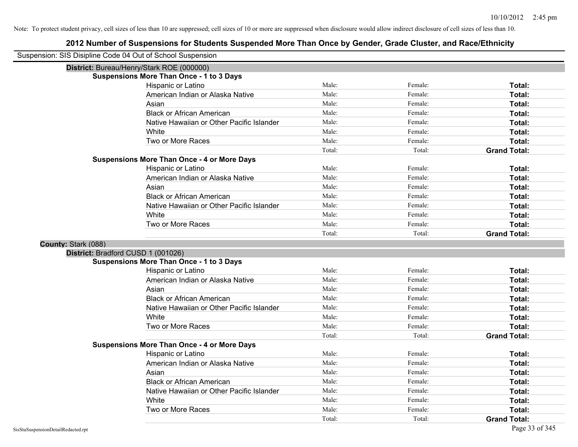| Suspension: SIS Disipline Code 04 Out of School Suspension |                                                    |        |         |                     |
|------------------------------------------------------------|----------------------------------------------------|--------|---------|---------------------|
|                                                            | District: Bureau/Henry/Stark ROE (000000)          |        |         |                     |
|                                                            | <b>Suspensions More Than Once - 1 to 3 Days</b>    |        |         |                     |
|                                                            | Hispanic or Latino                                 | Male:  | Female: | Total:              |
|                                                            | American Indian or Alaska Native                   | Male:  | Female: | Total:              |
|                                                            | Asian                                              | Male:  | Female: | Total:              |
|                                                            | <b>Black or African American</b>                   | Male:  | Female: | Total:              |
|                                                            | Native Hawaiian or Other Pacific Islander          | Male:  | Female: | Total:              |
|                                                            | White                                              | Male:  | Female: | Total:              |
|                                                            | Two or More Races                                  | Male:  | Female: | Total:              |
|                                                            |                                                    | Total: | Total:  | <b>Grand Total:</b> |
|                                                            | <b>Suspensions More Than Once - 4 or More Days</b> |        |         |                     |
|                                                            | Hispanic or Latino                                 | Male:  | Female: | Total:              |
|                                                            | American Indian or Alaska Native                   | Male:  | Female: | Total:              |
|                                                            | Asian                                              | Male:  | Female: | Total:              |
|                                                            | <b>Black or African American</b>                   | Male:  | Female: | Total:              |
|                                                            | Native Hawaiian or Other Pacific Islander          | Male:  | Female: | Total:              |
|                                                            | White                                              | Male:  | Female: | Total:              |
|                                                            | Two or More Races                                  | Male:  | Female: | Total:              |
|                                                            |                                                    | Total: | Total:  | <b>Grand Total:</b> |
|                                                            |                                                    |        |         |                     |
| County: Stark (088)                                        |                                                    |        |         |                     |
| District: Bradford CUSD 1 (001026)                         |                                                    |        |         |                     |
|                                                            | <b>Suspensions More Than Once - 1 to 3 Days</b>    |        |         |                     |
|                                                            | Hispanic or Latino                                 | Male:  | Female: | Total:              |
|                                                            | American Indian or Alaska Native                   | Male:  | Female: | Total:              |
|                                                            | Asian                                              | Male:  | Female: | Total:              |
|                                                            | <b>Black or African American</b>                   | Male:  | Female: | Total:              |
|                                                            | Native Hawaiian or Other Pacific Islander          | Male:  | Female: | Total:              |
|                                                            | White                                              | Male:  | Female: | Total:              |
|                                                            | Two or More Races                                  | Male:  | Female: | Total:              |
|                                                            |                                                    | Total: | Total:  | <b>Grand Total:</b> |
|                                                            | <b>Suspensions More Than Once - 4 or More Days</b> |        |         |                     |
|                                                            | Hispanic or Latino                                 | Male:  | Female: | Total:              |
|                                                            | American Indian or Alaska Native                   | Male:  | Female: | Total:              |
|                                                            | Asian                                              | Male:  | Female: | Total:              |
|                                                            | <b>Black or African American</b>                   | Male:  | Female: | Total:              |
|                                                            | Native Hawaiian or Other Pacific Islander          | Male:  | Female: | Total:              |
|                                                            | White                                              | Male:  | Female: | Total:              |
|                                                            | Two or More Races                                  | Male:  | Female: | Total:              |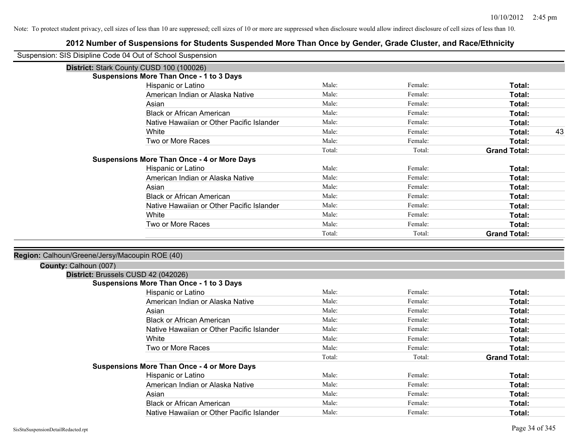| Suspension: SIS Disipline Code 04 Out of School Suspension |                                                    |        |         |                     |
|------------------------------------------------------------|----------------------------------------------------|--------|---------|---------------------|
|                                                            | District: Stark County CUSD 100 (100026)           |        |         |                     |
|                                                            | <b>Suspensions More Than Once - 1 to 3 Days</b>    |        |         |                     |
|                                                            | Hispanic or Latino                                 | Male:  | Female: | Total:              |
|                                                            | American Indian or Alaska Native                   | Male:  | Female: | Total:              |
|                                                            | Asian                                              | Male:  | Female: | Total:              |
|                                                            | <b>Black or African American</b>                   | Male:  | Female: | Total:              |
|                                                            | Native Hawaiian or Other Pacific Islander          | Male:  | Female: | Total:              |
|                                                            | White                                              | Male:  | Female: | Total:<br>43        |
|                                                            | Two or More Races                                  | Male:  | Female: | Total:              |
|                                                            |                                                    | Total: | Total:  | <b>Grand Total:</b> |
|                                                            | <b>Suspensions More Than Once - 4 or More Days</b> |        |         |                     |
|                                                            | Hispanic or Latino                                 | Male:  | Female: | Total:              |
|                                                            | American Indian or Alaska Native                   | Male:  | Female: | Total:              |
|                                                            | Asian                                              | Male:  | Female: | Total:              |
|                                                            | <b>Black or African American</b>                   | Male:  | Female: | Total:              |
|                                                            | Native Hawaiian or Other Pacific Islander          | Male:  | Female: | Total:              |
|                                                            | White                                              | Male:  | Female: | Total:              |
|                                                            | Two or More Races                                  | Male:  | Female: | Total:              |
|                                                            |                                                    | Total: | Total:  | <b>Grand Total:</b> |
|                                                            |                                                    |        |         |                     |
| Region: Calhoun/Greene/Jersy/Macoupin ROE (40)             |                                                    |        |         |                     |
| County: Calhoun (007)                                      |                                                    |        |         |                     |
|                                                            | District: Brussels CUSD 42 (042026)                |        |         |                     |
|                                                            | <b>Suspensions More Than Once - 1 to 3 Days</b>    |        |         |                     |
|                                                            | Hispanic or Latino                                 | Male:  | Female: | Total:              |
|                                                            | American Indian or Alaska Native                   | Male:  | Female: | Total:              |
|                                                            | Asian                                              | Male:  | Female: | Total:              |
|                                                            | <b>Black or African American</b>                   | Male:  | Female: | Total:              |
|                                                            | Native Hawaiian or Other Pacific Islander          | Male:  | Female: | Total:              |
|                                                            | White                                              | Male:  | Female: | Total:              |
|                                                            | Two or More Races                                  | Male:  | Female: | Total:              |
|                                                            |                                                    | Total: | Total:  | <b>Grand Total:</b> |
|                                                            | <b>Suspensions More Than Once - 4 or More Days</b> |        |         |                     |
|                                                            | Hispanic or Latino                                 | Male:  | Female: | Total:              |
|                                                            | American Indian or Alaska Native                   | Male:  | Female: | Total:              |
|                                                            | Asian                                              | Male:  | Female: | Total:              |
|                                                            | <b>Black or African American</b>                   | Male:  | Female: | Total:              |
|                                                            | Native Hawaiian or Other Pacific Islander          | Male:  | Female: | Total:              |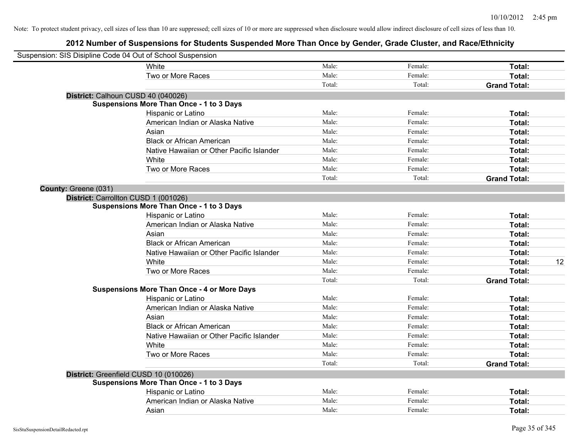| Suspension: SIS Disipline Code 04 Out of School Suspension |                                                    |        |         |                     |    |
|------------------------------------------------------------|----------------------------------------------------|--------|---------|---------------------|----|
|                                                            | White                                              | Male:  | Female: | Total:              |    |
|                                                            | Two or More Races                                  | Male:  | Female: | Total:              |    |
|                                                            |                                                    | Total: | Total:  | <b>Grand Total:</b> |    |
| District: Calhoun CUSD 40 (040026)                         |                                                    |        |         |                     |    |
|                                                            | <b>Suspensions More Than Once - 1 to 3 Days</b>    |        |         |                     |    |
|                                                            | Hispanic or Latino                                 | Male:  | Female: | Total:              |    |
|                                                            | American Indian or Alaska Native                   | Male:  | Female: | Total:              |    |
|                                                            | Asian                                              | Male:  | Female: | Total:              |    |
|                                                            | <b>Black or African American</b>                   | Male:  | Female: | Total:              |    |
|                                                            | Native Hawaiian or Other Pacific Islander          | Male:  | Female: | Total:              |    |
|                                                            | White                                              | Male:  | Female: | Total:              |    |
|                                                            | Two or More Races                                  | Male:  | Female: | Total:              |    |
|                                                            |                                                    | Total: | Total:  | <b>Grand Total:</b> |    |
| County: Greene (031)                                       |                                                    |        |         |                     |    |
| District: Carrollton CUSD 1 (001026)                       |                                                    |        |         |                     |    |
|                                                            | <b>Suspensions More Than Once - 1 to 3 Days</b>    |        |         |                     |    |
|                                                            | Hispanic or Latino                                 | Male:  | Female: | Total:              |    |
|                                                            | American Indian or Alaska Native                   | Male:  | Female: | Total:              |    |
|                                                            | Asian                                              | Male:  | Female: | Total:              |    |
|                                                            | <b>Black or African American</b>                   | Male:  | Female: | Total:              |    |
|                                                            | Native Hawaiian or Other Pacific Islander          | Male:  | Female: | Total:              |    |
|                                                            | White                                              | Male:  | Female: | Total:              | 12 |
|                                                            | Two or More Races                                  | Male:  | Female: | Total:              |    |
|                                                            |                                                    | Total: | Total:  | <b>Grand Total:</b> |    |
|                                                            | <b>Suspensions More Than Once - 4 or More Days</b> |        |         |                     |    |
|                                                            | Hispanic or Latino                                 | Male:  | Female: | Total:              |    |
|                                                            | American Indian or Alaska Native                   | Male:  | Female: | Total:              |    |
|                                                            | Asian                                              | Male:  | Female: | Total:              |    |
|                                                            | <b>Black or African American</b>                   | Male:  | Female: | Total:              |    |
|                                                            | Native Hawaiian or Other Pacific Islander          | Male:  | Female: | Total:              |    |
|                                                            | White                                              | Male:  | Female: | Total:              |    |
|                                                            | Two or More Races                                  | Male:  | Female: | Total:              |    |
|                                                            |                                                    | Total: | Total:  | <b>Grand Total:</b> |    |
| District: Greenfield CUSD 10 (010026)                      |                                                    |        |         |                     |    |
|                                                            | <b>Suspensions More Than Once - 1 to 3 Days</b>    |        |         |                     |    |
|                                                            | Hispanic or Latino                                 | Male:  | Female: | Total:              |    |
|                                                            | American Indian or Alaska Native                   | Male:  | Female: | Total:              |    |
|                                                            | Asian                                              | Male:  | Female: | Total:              |    |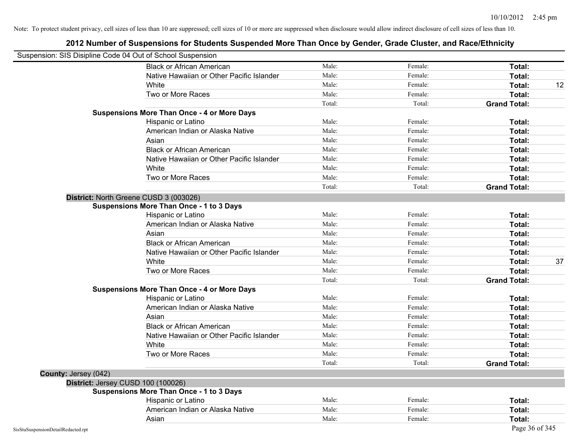| Suspension: SIS Disipline Code 04 Out of School Suspension |                                                    |        |         |                     |
|------------------------------------------------------------|----------------------------------------------------|--------|---------|---------------------|
|                                                            | <b>Black or African American</b>                   | Male:  | Female: | Total:              |
|                                                            | Native Hawaiian or Other Pacific Islander          | Male:  | Female: | Total:              |
|                                                            | White                                              | Male:  | Female: | Total:<br>12        |
|                                                            | Two or More Races                                  | Male:  | Female: | Total:              |
|                                                            |                                                    | Total: | Total:  | <b>Grand Total:</b> |
|                                                            | <b>Suspensions More Than Once - 4 or More Days</b> |        |         |                     |
|                                                            | Hispanic or Latino                                 | Male:  | Female: | Total:              |
|                                                            | American Indian or Alaska Native                   | Male:  | Female: | Total:              |
|                                                            | Asian                                              | Male:  | Female: | Total:              |
|                                                            | <b>Black or African American</b>                   | Male:  | Female: | Total:              |
|                                                            | Native Hawaiian or Other Pacific Islander          | Male:  | Female: | Total:              |
|                                                            | White                                              | Male:  | Female: | Total:              |
|                                                            | Two or More Races                                  | Male:  | Female: | Total:              |
|                                                            |                                                    | Total: | Total:  | <b>Grand Total:</b> |
|                                                            | District: North Greene CUSD 3 (003026)             |        |         |                     |
|                                                            | <b>Suspensions More Than Once - 1 to 3 Days</b>    |        |         |                     |
|                                                            | Hispanic or Latino                                 | Male:  | Female: | Total:              |
|                                                            | American Indian or Alaska Native                   | Male:  | Female: | Total:              |
|                                                            | Asian                                              | Male:  | Female: | Total:              |
|                                                            | <b>Black or African American</b>                   | Male:  | Female: | Total:              |
|                                                            | Native Hawaiian or Other Pacific Islander          | Male:  | Female: | Total:              |
|                                                            | White                                              | Male:  | Female: | 37<br>Total:        |
|                                                            | Two or More Races                                  | Male:  | Female: | Total:              |
|                                                            |                                                    | Total: | Total:  | <b>Grand Total:</b> |
|                                                            | <b>Suspensions More Than Once - 4 or More Days</b> |        |         |                     |
|                                                            | Hispanic or Latino                                 | Male:  | Female: | Total:              |
|                                                            | American Indian or Alaska Native                   | Male:  | Female: | Total:              |
|                                                            | Asian                                              | Male:  | Female: | Total:              |
|                                                            | <b>Black or African American</b>                   | Male:  | Female: | Total:              |
|                                                            | Native Hawaiian or Other Pacific Islander          | Male:  | Female: | Total:              |
|                                                            | White                                              | Male:  | Female: | Total:              |
|                                                            | Two or More Races                                  | Male:  | Female: | Total:              |
|                                                            |                                                    | Total: | Total:  | <b>Grand Total:</b> |
| <b>County: Jersey (042)</b>                                |                                                    |        |         |                     |
|                                                            | District: Jersey CUSD 100 (100026)                 |        |         |                     |
|                                                            | <b>Suspensions More Than Once - 1 to 3 Days</b>    |        |         |                     |
|                                                            | Hispanic or Latino                                 | Male:  | Female: | Total:              |
|                                                            | American Indian or Alaska Native                   | Male:  | Female: | Total:              |
|                                                            | Asian                                              | Male:  | Female: | Total:              |
| SisStuSuspensionDetailRedacted.rpt                         |                                                    |        |         | Page 36 of 345      |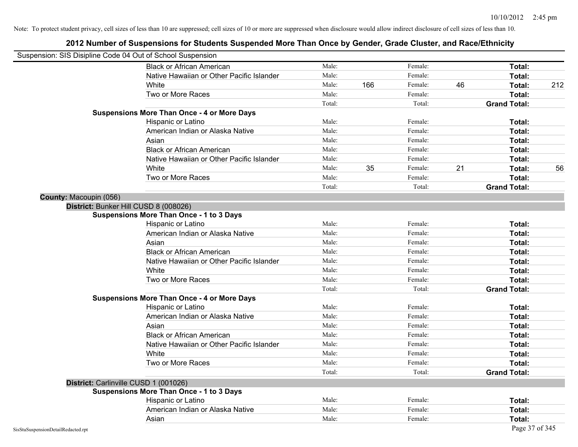| Suspension: SIS Disipline Code 04 Out of School Suspension |                                                    |        |     |         |    |                     |     |
|------------------------------------------------------------|----------------------------------------------------|--------|-----|---------|----|---------------------|-----|
|                                                            | <b>Black or African American</b>                   | Male:  |     | Female: |    | Total:              |     |
|                                                            | Native Hawaiian or Other Pacific Islander          | Male:  |     | Female: |    | Total:              |     |
|                                                            | White                                              | Male:  | 166 | Female: | 46 | Total:              | 212 |
|                                                            | Two or More Races                                  | Male:  |     | Female: |    | Total:              |     |
|                                                            |                                                    | Total: |     | Total:  |    | <b>Grand Total:</b> |     |
|                                                            | <b>Suspensions More Than Once - 4 or More Days</b> |        |     |         |    |                     |     |
|                                                            | Hispanic or Latino                                 | Male:  |     | Female: |    | Total:              |     |
|                                                            | American Indian or Alaska Native                   | Male:  |     | Female: |    | Total:              |     |
|                                                            | Asian                                              | Male:  |     | Female: |    | Total:              |     |
|                                                            | <b>Black or African American</b>                   | Male:  |     | Female: |    | Total:              |     |
|                                                            | Native Hawaiian or Other Pacific Islander          | Male:  |     | Female: |    | Total:              |     |
|                                                            | White                                              | Male:  | 35  | Female: | 21 | Total:              | 56  |
|                                                            | Two or More Races                                  | Male:  |     | Female: |    | Total:              |     |
|                                                            |                                                    | Total: |     | Total:  |    | <b>Grand Total:</b> |     |
| County: Macoupin (056)                                     |                                                    |        |     |         |    |                     |     |
|                                                            | District: Bunker Hill CUSD 8 (008026)              |        |     |         |    |                     |     |
|                                                            | <b>Suspensions More Than Once - 1 to 3 Days</b>    |        |     |         |    |                     |     |
|                                                            | Hispanic or Latino                                 | Male:  |     | Female: |    | Total:              |     |
|                                                            | American Indian or Alaska Native                   | Male:  |     | Female: |    | Total:              |     |
|                                                            | Asian                                              | Male:  |     | Female: |    | Total:              |     |
|                                                            | <b>Black or African American</b>                   | Male:  |     | Female: |    | Total:              |     |
|                                                            | Native Hawaiian or Other Pacific Islander          | Male:  |     | Female: |    | Total:              |     |
|                                                            | White                                              | Male:  |     | Female: |    | Total:              |     |
|                                                            | Two or More Races                                  | Male:  |     | Female: |    | Total:              |     |
|                                                            |                                                    | Total: |     | Total:  |    | <b>Grand Total:</b> |     |
|                                                            | <b>Suspensions More Than Once - 4 or More Days</b> |        |     |         |    |                     |     |
|                                                            | Hispanic or Latino                                 | Male:  |     | Female: |    | Total:              |     |
|                                                            | American Indian or Alaska Native                   | Male:  |     | Female: |    | Total:              |     |
|                                                            | Asian                                              | Male:  |     | Female: |    | Total:              |     |
|                                                            | <b>Black or African American</b>                   | Male:  |     | Female: |    | Total:              |     |
|                                                            | Native Hawaiian or Other Pacific Islander          | Male:  |     | Female: |    | Total:              |     |
|                                                            | White                                              | Male:  |     | Female: |    | Total:              |     |
|                                                            | Two or More Races                                  | Male:  |     | Female: |    | Total:              |     |
|                                                            |                                                    | Total: |     | Total:  |    | <b>Grand Total:</b> |     |
|                                                            | District: Carlinville CUSD 1 (001026)              |        |     |         |    |                     |     |
|                                                            | <b>Suspensions More Than Once - 1 to 3 Days</b>    |        |     |         |    |                     |     |
|                                                            | Hispanic or Latino                                 | Male:  |     | Female: |    | Total:              |     |
|                                                            | American Indian or Alaska Native                   | Male:  |     | Female: |    | Total:              |     |
|                                                            | Asian                                              | Male:  |     | Female: |    | Total:              |     |
| SisStuSuspensionDetailRedacted.rpt                         |                                                    |        |     |         |    | Page 37 of 345      |     |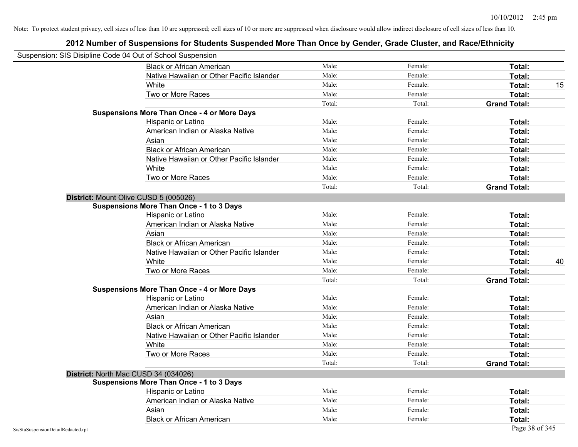| Suspension: SIS Disipline Code 04 Out of School Suspension |                                                    |        |         |                     |    |
|------------------------------------------------------------|----------------------------------------------------|--------|---------|---------------------|----|
|                                                            | <b>Black or African American</b>                   | Male:  | Female: | Total:              |    |
|                                                            | Native Hawaiian or Other Pacific Islander          | Male:  | Female: | Total:              |    |
|                                                            | White                                              | Male:  | Female: | Total:              | 15 |
|                                                            | Two or More Races                                  | Male:  | Female: | Total:              |    |
|                                                            |                                                    | Total: | Total:  | <b>Grand Total:</b> |    |
|                                                            | <b>Suspensions More Than Once - 4 or More Days</b> |        |         |                     |    |
|                                                            | Hispanic or Latino                                 | Male:  | Female: | Total:              |    |
|                                                            | American Indian or Alaska Native                   | Male:  | Female: | Total:              |    |
|                                                            | Asian                                              | Male:  | Female: | Total:              |    |
|                                                            | <b>Black or African American</b>                   | Male:  | Female: | Total:              |    |
|                                                            | Native Hawaiian or Other Pacific Islander          | Male:  | Female: | Total:              |    |
|                                                            | White                                              | Male:  | Female: | Total:              |    |
|                                                            | Two or More Races                                  | Male:  | Female: | Total:              |    |
|                                                            |                                                    | Total: | Total:  | <b>Grand Total:</b> |    |
|                                                            | District: Mount Olive CUSD 5 (005026)              |        |         |                     |    |
|                                                            | Suspensions More Than Once - 1 to 3 Days           |        |         |                     |    |
|                                                            | Hispanic or Latino                                 | Male:  | Female: | Total:              |    |
|                                                            | American Indian or Alaska Native                   | Male:  | Female: | Total:              |    |
|                                                            | Asian                                              | Male:  | Female: | Total:              |    |
|                                                            | <b>Black or African American</b>                   | Male:  | Female: | Total:              |    |
|                                                            | Native Hawaiian or Other Pacific Islander          | Male:  | Female: | Total:              |    |
|                                                            | White                                              | Male:  | Female: | Total:              | 40 |
|                                                            | Two or More Races                                  | Male:  | Female: | Total:              |    |
|                                                            |                                                    | Total: | Total:  | <b>Grand Total:</b> |    |
|                                                            | <b>Suspensions More Than Once - 4 or More Days</b> |        |         |                     |    |
|                                                            | Hispanic or Latino                                 | Male:  | Female: | Total:              |    |
|                                                            | American Indian or Alaska Native                   | Male:  | Female: | Total:              |    |
|                                                            | Asian                                              | Male:  | Female: | Total:              |    |
|                                                            | <b>Black or African American</b>                   | Male:  | Female: | Total:              |    |
|                                                            | Native Hawaiian or Other Pacific Islander          | Male:  | Female: | Total:              |    |
|                                                            | White                                              | Male:  | Female: | Total:              |    |
|                                                            | Two or More Races                                  | Male:  | Female: | Total:              |    |
|                                                            |                                                    | Total: | Total:  | <b>Grand Total:</b> |    |
|                                                            | District: North Mac CUSD 34 (034026)               |        |         |                     |    |
|                                                            | <b>Suspensions More Than Once - 1 to 3 Days</b>    |        |         |                     |    |
|                                                            | Hispanic or Latino                                 | Male:  | Female: | Total:              |    |
|                                                            | American Indian or Alaska Native                   | Male:  | Female: | Total:              |    |
|                                                            | Asian                                              | Male:  | Female: | Total:              |    |
|                                                            | <b>Black or African American</b>                   | Male:  | Female: | Total:              |    |
| SisStuSuspensionDetailRedacted.rpt                         |                                                    |        |         | Page 38 of 345      |    |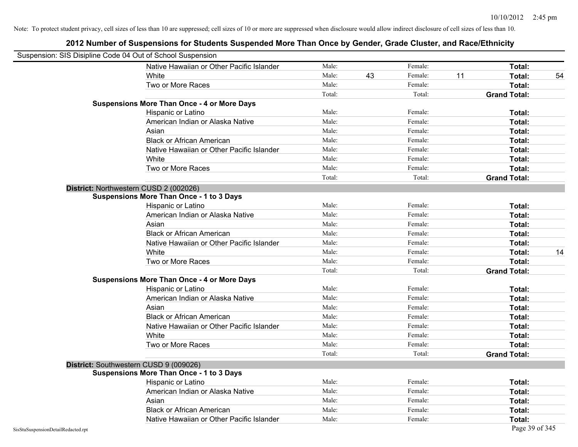| Suspension: SIS Disipline Code 04 Out of School Suspension |                                                    |        |    |         |    |                     |    |
|------------------------------------------------------------|----------------------------------------------------|--------|----|---------|----|---------------------|----|
|                                                            | Native Hawaiian or Other Pacific Islander          | Male:  |    | Female: |    | Total:              |    |
|                                                            | White                                              | Male:  | 43 | Female: | 11 | Total:              | 54 |
|                                                            | Two or More Races                                  | Male:  |    | Female: |    | Total:              |    |
|                                                            |                                                    | Total: |    | Total:  |    | <b>Grand Total:</b> |    |
|                                                            | <b>Suspensions More Than Once - 4 or More Days</b> |        |    |         |    |                     |    |
|                                                            | Hispanic or Latino                                 | Male:  |    | Female: |    | Total:              |    |
|                                                            | American Indian or Alaska Native                   | Male:  |    | Female: |    | Total:              |    |
|                                                            | Asian                                              | Male:  |    | Female: |    | Total:              |    |
|                                                            | <b>Black or African American</b>                   | Male:  |    | Female: |    | Total:              |    |
|                                                            | Native Hawaiian or Other Pacific Islander          | Male:  |    | Female: |    | Total:              |    |
|                                                            | White                                              | Male:  |    | Female: |    | Total:              |    |
|                                                            | Two or More Races                                  | Male:  |    | Female: |    | Total:              |    |
|                                                            |                                                    | Total: |    | Total:  |    | <b>Grand Total:</b> |    |
|                                                            | District: Northwestern CUSD 2 (002026)             |        |    |         |    |                     |    |
|                                                            | <b>Suspensions More Than Once - 1 to 3 Days</b>    |        |    |         |    |                     |    |
|                                                            | Hispanic or Latino                                 | Male:  |    | Female: |    | Total:              |    |
|                                                            | American Indian or Alaska Native                   | Male:  |    | Female: |    | Total:              |    |
|                                                            | Asian                                              | Male:  |    | Female: |    | Total:              |    |
|                                                            | <b>Black or African American</b>                   | Male:  |    | Female: |    | Total:              |    |
|                                                            | Native Hawaiian or Other Pacific Islander          | Male:  |    | Female: |    | Total:              |    |
|                                                            | White                                              | Male:  |    | Female: |    | Total:              | 14 |
|                                                            | Two or More Races                                  | Male:  |    | Female: |    | Total:              |    |
|                                                            |                                                    | Total: |    | Total:  |    | <b>Grand Total:</b> |    |
|                                                            | <b>Suspensions More Than Once - 4 or More Days</b> |        |    |         |    |                     |    |
|                                                            | Hispanic or Latino                                 | Male:  |    | Female: |    | Total:              |    |
|                                                            | American Indian or Alaska Native                   | Male:  |    | Female: |    | Total:              |    |
|                                                            | Asian                                              | Male:  |    | Female: |    | Total:              |    |
|                                                            | <b>Black or African American</b>                   | Male:  |    | Female: |    | Total:              |    |
|                                                            | Native Hawaiian or Other Pacific Islander          | Male:  |    | Female: |    | Total:              |    |
|                                                            | White                                              | Male:  |    | Female: |    | Total:              |    |
|                                                            | Two or More Races                                  | Male:  |    | Female: |    | Total:              |    |
|                                                            |                                                    | Total: |    | Total:  |    | <b>Grand Total:</b> |    |
|                                                            | District: Southwestern CUSD 9 (009026)             |        |    |         |    |                     |    |
|                                                            | <b>Suspensions More Than Once - 1 to 3 Days</b>    |        |    |         |    |                     |    |
|                                                            | Hispanic or Latino                                 | Male:  |    | Female: |    | Total:              |    |
|                                                            | American Indian or Alaska Native                   | Male:  |    | Female: |    | Total:              |    |
|                                                            | Asian                                              | Male:  |    | Female: |    | Total:              |    |
|                                                            | <b>Black or African American</b>                   | Male:  |    | Female: |    | Total:              |    |
|                                                            | Native Hawaiian or Other Pacific Islander          | Male:  |    | Female: |    | Total:              |    |
| SisStuSuspensionDetailRedacted.rpt                         |                                                    |        |    |         |    | Page 39 of 345      |    |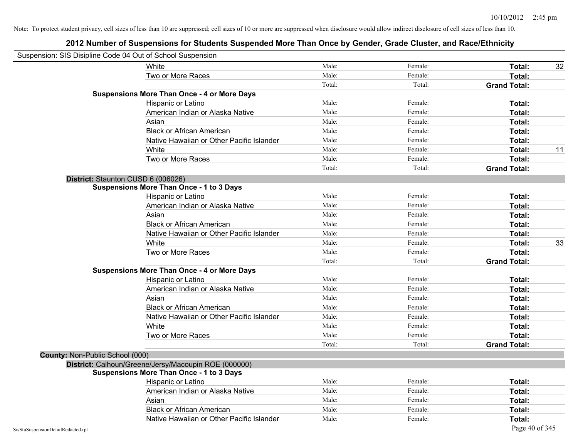| Suspension: SIS Disipline Code 04 Out of School Suspension |                                                      |        |         |                     |    |
|------------------------------------------------------------|------------------------------------------------------|--------|---------|---------------------|----|
|                                                            | White                                                | Male:  | Female: | Total:              | 32 |
|                                                            | Two or More Races                                    | Male:  | Female: | Total:              |    |
|                                                            |                                                      | Total: | Total:  | <b>Grand Total:</b> |    |
|                                                            | <b>Suspensions More Than Once - 4 or More Days</b>   |        |         |                     |    |
|                                                            | Hispanic or Latino                                   | Male:  | Female: | Total:              |    |
|                                                            | American Indian or Alaska Native                     | Male:  | Female: | Total:              |    |
|                                                            | Asian                                                | Male:  | Female: | Total:              |    |
|                                                            | <b>Black or African American</b>                     | Male:  | Female: | Total:              |    |
|                                                            | Native Hawaiian or Other Pacific Islander            | Male:  | Female: | Total:              |    |
|                                                            | White                                                | Male:  | Female: | Total:              | 11 |
|                                                            | Two or More Races                                    | Male:  | Female: | Total:              |    |
|                                                            |                                                      | Total: | Total:  | <b>Grand Total:</b> |    |
|                                                            | District: Staunton CUSD 6 (006026)                   |        |         |                     |    |
|                                                            | <b>Suspensions More Than Once - 1 to 3 Days</b>      |        |         |                     |    |
|                                                            | Hispanic or Latino                                   | Male:  | Female: | Total:              |    |
|                                                            | American Indian or Alaska Native                     | Male:  | Female: | Total:              |    |
|                                                            | Asian                                                | Male:  | Female: | Total:              |    |
|                                                            | <b>Black or African American</b>                     | Male:  | Female: | Total:              |    |
|                                                            | Native Hawaiian or Other Pacific Islander            | Male:  | Female: | Total:              |    |
|                                                            | White                                                | Male:  | Female: | Total:              | 33 |
|                                                            | Two or More Races                                    | Male:  | Female: | Total:              |    |
|                                                            |                                                      | Total: | Total:  | <b>Grand Total:</b> |    |
|                                                            | <b>Suspensions More Than Once - 4 or More Days</b>   |        |         |                     |    |
|                                                            | Hispanic or Latino                                   | Male:  | Female: | Total:              |    |
|                                                            | American Indian or Alaska Native                     | Male:  | Female: | Total:              |    |
|                                                            | Asian                                                | Male:  | Female: | Total:              |    |
|                                                            | <b>Black or African American</b>                     | Male:  | Female: | Total:              |    |
|                                                            | Native Hawaiian or Other Pacific Islander            | Male:  | Female: | Total:              |    |
|                                                            | White                                                | Male:  | Female: | Total:              |    |
|                                                            | Two or More Races                                    | Male:  | Female: | Total:              |    |
|                                                            |                                                      | Total: | Total:  | <b>Grand Total:</b> |    |
| County: Non-Public School (000)                            |                                                      |        |         |                     |    |
|                                                            | District: Calhoun/Greene/Jersy/Macoupin ROE (000000) |        |         |                     |    |
|                                                            | <b>Suspensions More Than Once - 1 to 3 Days</b>      |        |         |                     |    |
|                                                            | Hispanic or Latino                                   | Male:  | Female: | Total:              |    |
|                                                            | American Indian or Alaska Native                     | Male:  | Female: | Total:              |    |
|                                                            | Asian                                                | Male:  | Female: | Total:              |    |
|                                                            | <b>Black or African American</b>                     | Male:  | Female: | Total:              |    |
|                                                            | Native Hawaiian or Other Pacific Islander            | Male:  | Female: | Total:              |    |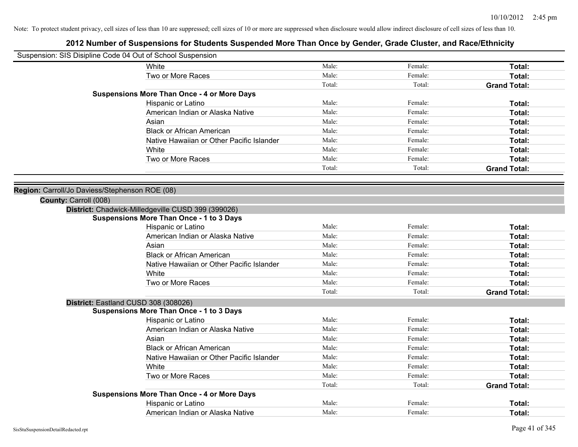| Suspension: SIS Disipline Code 04 Out of School Suspension |                                                    |        |         |                     |
|------------------------------------------------------------|----------------------------------------------------|--------|---------|---------------------|
| White                                                      |                                                    | Male:  | Female: | Total:              |
|                                                            | Two or More Races                                  | Male:  | Female: | Total:              |
|                                                            |                                                    | Total: | Total:  | <b>Grand Total:</b> |
|                                                            | <b>Suspensions More Than Once - 4 or More Days</b> |        |         |                     |
|                                                            | Hispanic or Latino                                 | Male:  | Female: | Total:              |
|                                                            | American Indian or Alaska Native                   | Male:  | Female: | Total:              |
| Asian                                                      |                                                    | Male:  | Female: | Total:              |
|                                                            | <b>Black or African American</b>                   | Male:  | Female: | Total:              |
|                                                            | Native Hawaiian or Other Pacific Islander          | Male:  | Female: | Total:              |
| White                                                      |                                                    | Male:  | Female: | Total:              |
|                                                            | Two or More Races                                  | Male:  | Female: | Total:              |
|                                                            |                                                    | Total: | Total:  | <b>Grand Total:</b> |
|                                                            |                                                    |        |         |                     |
| Region: Carroll/Jo Daviess/Stephenson ROE (08)             |                                                    |        |         |                     |
| County: Carroll (008)                                      |                                                    |        |         |                     |
| District: Chadwick-Milledgeville CUSD 399 (399026)         |                                                    |        |         |                     |
|                                                            | <b>Suspensions More Than Once - 1 to 3 Days</b>    |        |         |                     |
|                                                            | Hispanic or Latino                                 | Male:  | Female: | Total:              |
|                                                            | American Indian or Alaska Native                   | Male:  | Female: | Total:              |
| Asian                                                      |                                                    | Male:  | Female: | Total:              |
|                                                            | <b>Black or African American</b>                   | Male:  | Female: | Total:              |
|                                                            | Native Hawaiian or Other Pacific Islander          | Male:  | Female: | Total:              |
| White                                                      |                                                    | Male:  | Female: | Total:              |
|                                                            | Two or More Races                                  | Male:  | Female: | Total:              |
|                                                            |                                                    | Total: | Total:  | <b>Grand Total:</b> |
| District: Eastland CUSD 308 (308026)                       |                                                    |        |         |                     |
|                                                            | <b>Suspensions More Than Once - 1 to 3 Days</b>    |        |         |                     |
|                                                            | Hispanic or Latino                                 | Male:  | Female: | Total:              |
|                                                            | American Indian or Alaska Native                   | Male:  | Female: | Total:              |
| Asian                                                      |                                                    | Male:  | Female: | Total:              |
|                                                            | <b>Black or African American</b>                   | Male:  | Female: | Total:              |
|                                                            | Native Hawaiian or Other Pacific Islander          | Male:  | Female: | Total:              |
| White                                                      |                                                    | Male:  | Female: | Total:              |
|                                                            | Two or More Races                                  | Male:  | Female: | Total:              |
|                                                            |                                                    | Total: | Total:  | <b>Grand Total:</b> |
|                                                            | <b>Suspensions More Than Once - 4 or More Days</b> |        |         |                     |
|                                                            | Hispanic or Latino                                 | Male:  | Female: | Total:              |
|                                                            | American Indian or Alaska Native                   | Male:  | Female: | Total:              |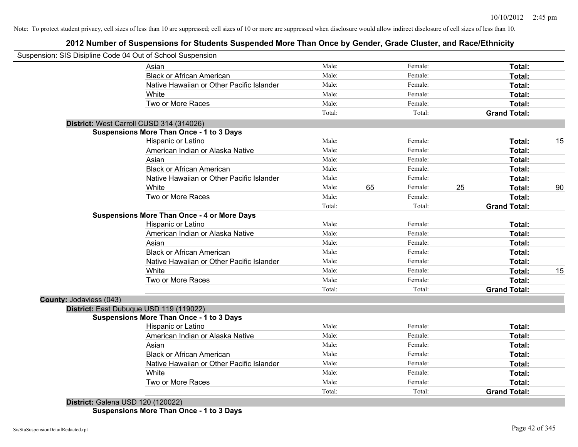## **2012 Number of Suspensions for Students Suspended More Than Once by Gender, Grade Cluster, and Race/Ethnicity**

|                                          | Suspension: SIS Disipline Code 04 Out of School Suspension |        |    |                   |    |                               |    |
|------------------------------------------|------------------------------------------------------------|--------|----|-------------------|----|-------------------------------|----|
|                                          | Asian                                                      | Male:  |    | Female:           |    | Total:                        |    |
|                                          | <b>Black or African American</b>                           | Male:  |    | Female:           |    | Total:                        |    |
|                                          | Native Hawaiian or Other Pacific Islander                  | Male:  |    | Female:           |    | Total:                        |    |
|                                          | White                                                      | Male:  |    | Female:           |    | Total:                        |    |
|                                          | Two or More Races                                          | Male:  |    | Female:           |    | Total:                        |    |
|                                          |                                                            | Total: |    | Total:            |    | <b>Grand Total:</b>           |    |
| District: West Carroll CUSD 314 (314026) |                                                            |        |    |                   |    |                               |    |
|                                          | <b>Suspensions More Than Once - 1 to 3 Days</b>            |        |    |                   |    |                               |    |
|                                          | Hispanic or Latino                                         | Male:  |    | Female:           |    | Total:                        | 15 |
|                                          | American Indian or Alaska Native                           | Male:  |    | Female:           |    | Total:                        |    |
|                                          | Asian                                                      | Male:  |    | Female:           |    | Total:                        |    |
|                                          | <b>Black or African American</b>                           | Male:  |    | Female:           |    | Total:                        |    |
|                                          | Native Hawaiian or Other Pacific Islander                  | Male:  |    | Female:           |    | Total:                        |    |
|                                          | White                                                      | Male:  | 65 | Female:           | 25 | Total:                        | 90 |
|                                          | Two or More Races                                          | Male:  |    | Female:           |    | Total:                        |    |
|                                          |                                                            | Total: |    | Total:            |    | <b>Grand Total:</b>           |    |
|                                          | <b>Suspensions More Than Once - 4 or More Days</b>         |        |    |                   |    |                               |    |
|                                          | Hispanic or Latino                                         | Male:  |    | Female:           |    | Total:                        |    |
|                                          | American Indian or Alaska Native                           | Male:  |    | Female:           |    | Total:                        |    |
|                                          | Asian                                                      | Male:  |    | Female:           |    | Total:                        |    |
|                                          | <b>Black or African American</b>                           | Male:  |    | Female:           |    | Total:                        |    |
|                                          | Native Hawaiian or Other Pacific Islander                  | Male:  |    | Female:           |    | Total:                        |    |
|                                          | White                                                      | Male:  |    | Female:           |    | Total:                        | 15 |
|                                          | Two or More Races                                          | Male:  |    | Female:           |    | Total:                        |    |
|                                          |                                                            | Total: |    | Total:            |    | <b>Grand Total:</b>           |    |
| County: Jodaviess (043)                  |                                                            |        |    |                   |    |                               |    |
| District: East Dubuque USD 119 (119022)  |                                                            |        |    |                   |    |                               |    |
|                                          | <b>Suspensions More Than Once - 1 to 3 Days</b>            |        |    |                   |    |                               |    |
|                                          | Hispanic or Latino                                         | Male:  |    | Female:           |    | Total:                        |    |
|                                          | American Indian or Alaska Native                           | Male:  |    | Female:           |    | Total:                        |    |
|                                          | Asian                                                      | Male:  |    | Female:           |    | Total:                        |    |
|                                          | <b>Black or African American</b>                           | Male:  |    | Female:           |    | Total:                        |    |
|                                          | Native Hawaiian or Other Pacific Islander                  | Male:  |    | Female:           |    | Total:                        |    |
|                                          | White                                                      | Male:  |    | Female:           |    | Total:                        |    |
|                                          | Two or More Races                                          | Male:  |    | Female:<br>Total: |    | Total:<br><b>Grand Total:</b> |    |
|                                          |                                                            | Total: |    |                   |    |                               |    |

**Suspensions More Than Once - 1 to 3 Days**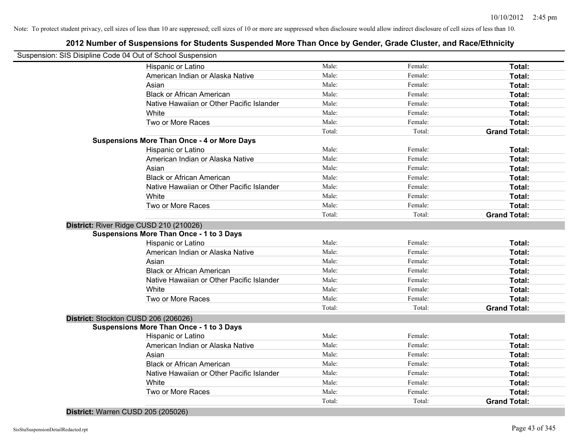# **2012 Number of Suspensions for Students Suspended More Than Once by Gender, Grade Cluster, and Race/Ethnicity**

|                                      | Suspension: SIS Disipline Code 04 Out of School Suspension |        |         |                     |
|--------------------------------------|------------------------------------------------------------|--------|---------|---------------------|
|                                      | Hispanic or Latino                                         | Male:  | Female: | Total:              |
|                                      | American Indian or Alaska Native                           | Male:  | Female: | Total:              |
|                                      | Asian                                                      | Male:  | Female: | Total:              |
|                                      | <b>Black or African American</b>                           | Male:  | Female: | Total:              |
|                                      | Native Hawaiian or Other Pacific Islander                  | Male:  | Female: | Total:              |
|                                      | White                                                      | Male:  | Female: | Total:              |
|                                      | Two or More Races                                          | Male:  | Female: | Total:              |
|                                      |                                                            | Total: | Total:  | <b>Grand Total:</b> |
|                                      | <b>Suspensions More Than Once - 4 or More Days</b>         |        |         |                     |
|                                      | Hispanic or Latino                                         | Male:  | Female: | Total:              |
|                                      | American Indian or Alaska Native                           | Male:  | Female: | Total:              |
|                                      | Asian                                                      | Male:  | Female: | Total:              |
|                                      | <b>Black or African American</b>                           | Male:  | Female: | Total:              |
|                                      | Native Hawaiian or Other Pacific Islander                  | Male:  | Female: | Total:              |
|                                      | White                                                      | Male:  | Female: | Total:              |
|                                      | Two or More Races                                          | Male:  | Female: | Total:              |
|                                      |                                                            | Total: | Total:  | <b>Grand Total:</b> |
|                                      | District: River Ridge CUSD 210 (210026)                    |        |         |                     |
|                                      | <b>Suspensions More Than Once - 1 to 3 Days</b>            |        |         |                     |
|                                      | Hispanic or Latino                                         | Male:  | Female: | Total:              |
|                                      | American Indian or Alaska Native                           | Male:  | Female: | Total:              |
|                                      | Asian                                                      | Male:  | Female: | Total:              |
|                                      | <b>Black or African American</b>                           | Male:  | Female: | Total:              |
|                                      | Native Hawaiian or Other Pacific Islander                  | Male:  | Female: | Total:              |
|                                      | White                                                      | Male:  | Female: | Total:              |
|                                      | Two or More Races                                          | Male:  | Female: | Total:              |
|                                      |                                                            | Total: | Total:  | <b>Grand Total:</b> |
| District: Stockton CUSD 206 (206026) |                                                            |        |         |                     |
|                                      | <b>Suspensions More Than Once - 1 to 3 Days</b>            |        |         |                     |
|                                      | Hispanic or Latino                                         | Male:  | Female: | Total:              |
|                                      | American Indian or Alaska Native                           | Male:  | Female: | Total:              |
|                                      | Asian                                                      | Male:  | Female: | Total:              |
|                                      | <b>Black or African American</b>                           | Male:  | Female: | Total:              |
|                                      | Native Hawaiian or Other Pacific Islander                  | Male:  | Female: | Total:              |
|                                      | White                                                      | Male:  | Female: | Total:              |
|                                      | Two or More Races                                          | Male:  | Female: | Total:              |
|                                      |                                                            | Total: | Total:  | <b>Grand Total:</b> |
|                                      |                                                            |        |         |                     |

**District:** Warren CUSD 205 (205026)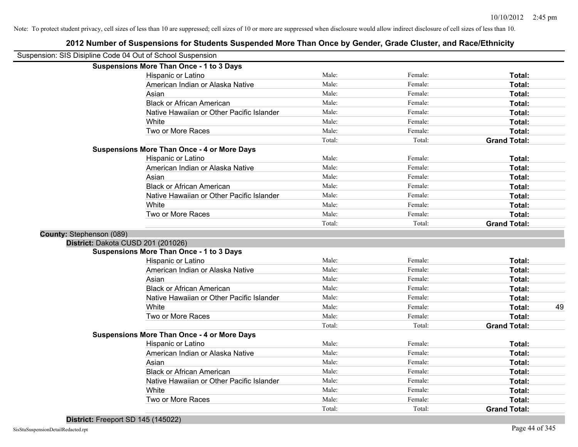|                          | Suspension: SIS Disipline Code 04 Out of School Suspension               |        |         |                     |
|--------------------------|--------------------------------------------------------------------------|--------|---------|---------------------|
|                          | <b>Suspensions More Than Once - 1 to 3 Days</b>                          |        |         |                     |
|                          | Hispanic or Latino                                                       | Male:  | Female: | Total:              |
|                          | American Indian or Alaska Native                                         | Male:  | Female: | Total:              |
|                          | Asian                                                                    | Male:  | Female: | Total:              |
|                          | <b>Black or African American</b>                                         | Male:  | Female: | Total:              |
|                          | Native Hawaiian or Other Pacific Islander                                | Male:  | Female: | Total:              |
|                          | White                                                                    | Male:  | Female: | Total:              |
|                          | Two or More Races                                                        | Male:  | Female: | Total:              |
|                          |                                                                          | Total: | Total:  | <b>Grand Total:</b> |
|                          | <b>Suspensions More Than Once - 4 or More Days</b>                       |        |         |                     |
|                          | Hispanic or Latino                                                       | Male:  | Female: | Total:              |
|                          | American Indian or Alaska Native                                         | Male:  | Female: | Total:              |
|                          | Asian                                                                    | Male:  | Female: | Total:              |
|                          | <b>Black or African American</b>                                         | Male:  | Female: | Total:              |
|                          | Native Hawaiian or Other Pacific Islander                                | Male:  | Female: | Total:              |
|                          | White                                                                    | Male:  | Female: | Total:              |
|                          | Two or More Races                                                        | Male:  | Female: | Total:              |
|                          |                                                                          | Total: | Total:  | <b>Grand Total:</b> |
| County: Stephenson (089) |                                                                          |        |         |                     |
|                          | District: Dakota CUSD 201 (201026)                                       |        |         |                     |
|                          | <b>Suspensions More Than Once - 1 to 3 Days</b>                          |        |         |                     |
|                          | Hispanic or Latino                                                       | Male:  | Female: | Total:              |
|                          | American Indian or Alaska Native                                         | Male:  | Female: | Total:              |
|                          | Asian                                                                    | Male:  | Female: | Total:              |
|                          | <b>Black or African American</b>                                         | Male:  | Female: | Total:              |
|                          | Native Hawaiian or Other Pacific Islander                                | Male:  | Female: | Total:              |
|                          | White                                                                    | Male:  | Female: | Total:<br>49        |
|                          | Two or More Races                                                        | Male:  | Female: | Total:              |
|                          |                                                                          | Total: | Total:  | <b>Grand Total:</b> |
|                          | <b>Suspensions More Than Once - 4 or More Days</b><br>Hispanic or Latino | Male:  | Female: | Total:              |
|                          | American Indian or Alaska Native                                         | Male:  | Female: | Total:              |
|                          | Asian                                                                    | Male:  | Female: | Total:              |
|                          | <b>Black or African American</b>                                         | Male:  | Female: | Total:              |
|                          | Native Hawaiian or Other Pacific Islander                                | Male:  | Female: | Total:              |
|                          | White                                                                    | Male:  | Female: | Total:              |
|                          | Two or More Races                                                        | Male:  | Female: | Total:              |
|                          |                                                                          | Total: | Total:  | <b>Grand Total:</b> |
|                          |                                                                          |        |         |                     |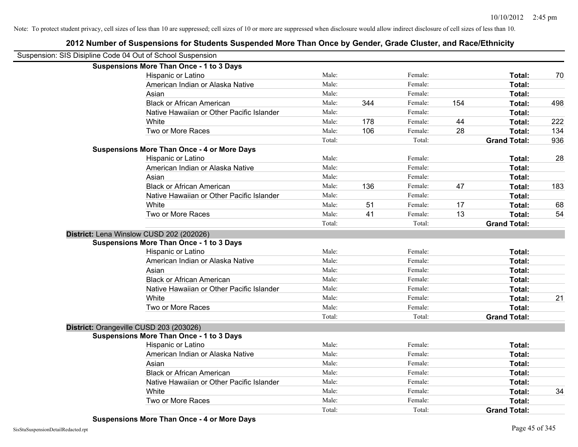| Suspension: SIS Disipline Code 04 Out of School Suspension |        |     |         |     |                     |     |
|------------------------------------------------------------|--------|-----|---------|-----|---------------------|-----|
| <b>Suspensions More Than Once - 1 to 3 Days</b>            |        |     |         |     |                     |     |
| Hispanic or Latino                                         | Male:  |     | Female: |     | Total:              | 70  |
| American Indian or Alaska Native                           | Male:  |     | Female: |     | Total:              |     |
| Asian                                                      | Male:  |     | Female: |     | Total:              |     |
| <b>Black or African American</b>                           | Male:  | 344 | Female: | 154 | Total:              | 498 |
| Native Hawaiian or Other Pacific Islander                  | Male:  |     | Female: |     | Total:              |     |
| White                                                      | Male:  | 178 | Female: | 44  | Total:              | 222 |
| Two or More Races                                          | Male:  | 106 | Female: | 28  | Total:              | 134 |
|                                                            | Total: |     | Total:  |     | <b>Grand Total:</b> | 936 |
| <b>Suspensions More Than Once - 4 or More Days</b>         |        |     |         |     |                     |     |
| Hispanic or Latino                                         | Male:  |     | Female: |     | Total:              | 28  |
| American Indian or Alaska Native                           | Male:  |     | Female: |     | Total:              |     |
| Asian                                                      | Male:  |     | Female: |     | Total:              |     |
| <b>Black or African American</b>                           | Male:  | 136 | Female: | 47  | Total:              | 183 |
| Native Hawaiian or Other Pacific Islander                  | Male:  |     | Female: |     | Total:              |     |
| White                                                      | Male:  | 51  | Female: | 17  | Total:              | 68  |
| Two or More Races                                          | Male:  | 41  | Female: | 13  | Total:              | 54  |
|                                                            | Total: |     | Total:  |     | <b>Grand Total:</b> |     |
| District: Lena Winslow CUSD 202 (202026)                   |        |     |         |     |                     |     |
| <b>Suspensions More Than Once - 1 to 3 Days</b>            |        |     |         |     |                     |     |
| Hispanic or Latino                                         | Male:  |     | Female: |     | Total:              |     |
| American Indian or Alaska Native                           | Male:  |     | Female: |     | Total:              |     |
| Asian                                                      | Male:  |     | Female: |     | Total:              |     |
| <b>Black or African American</b>                           | Male:  |     | Female: |     | Total:              |     |
| Native Hawaiian or Other Pacific Islander                  | Male:  |     | Female: |     | Total:              |     |
| White                                                      | Male:  |     | Female: |     | Total:              | 21  |
| Two or More Races                                          | Male:  |     | Female: |     | Total:              |     |
|                                                            | Total: |     | Total:  |     | <b>Grand Total:</b> |     |
| District: Orangeville CUSD 203 (203026)                    |        |     |         |     |                     |     |
| <b>Suspensions More Than Once - 1 to 3 Days</b>            |        |     |         |     |                     |     |
| Hispanic or Latino                                         | Male:  |     | Female: |     | Total:              |     |
| American Indian or Alaska Native                           | Male:  |     | Female: |     | Total:              |     |
| Asian                                                      | Male:  |     | Female: |     | Total:              |     |
| <b>Black or African American</b>                           | Male:  |     | Female: |     | Total:              |     |
| Native Hawaiian or Other Pacific Islander                  | Male:  |     | Female: |     | Total:              |     |
| White                                                      | Male:  |     | Female: |     | Total:              | 34  |
| Two or More Races                                          | Male:  |     | Female: |     | Total:              |     |
|                                                            | Total: |     | Total:  |     | <b>Grand Total:</b> |     |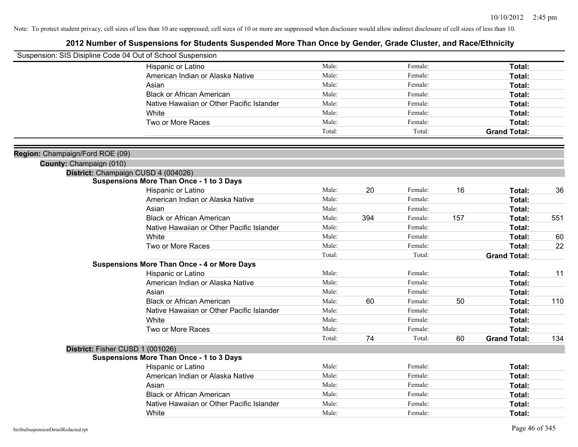| Suspension: SIS Disipline Code 04 Out of School Suspension |                                                    |        |     |         |     |                     |     |
|------------------------------------------------------------|----------------------------------------------------|--------|-----|---------|-----|---------------------|-----|
|                                                            | Hispanic or Latino                                 | Male:  |     | Female: |     | Total:              |     |
|                                                            | American Indian or Alaska Native                   | Male:  |     | Female: |     | Total:              |     |
|                                                            | Asian                                              | Male:  |     | Female: |     | Total:              |     |
|                                                            | <b>Black or African American</b>                   | Male:  |     | Female: |     | Total:              |     |
|                                                            | Native Hawaiian or Other Pacific Islander          | Male:  |     | Female: |     | Total:              |     |
|                                                            | White                                              | Male:  |     | Female: |     | Total:              |     |
|                                                            | Two or More Races                                  | Male:  |     | Female: |     | Total:              |     |
|                                                            |                                                    | Total: |     | Total:  |     | <b>Grand Total:</b> |     |
| Region: Champaign/Ford ROE (09)                            |                                                    |        |     |         |     |                     |     |
| County: Champaign (010)                                    |                                                    |        |     |         |     |                     |     |
|                                                            | District: Champaign CUSD 4 (004026)                |        |     |         |     |                     |     |
|                                                            | <b>Suspensions More Than Once - 1 to 3 Days</b>    |        |     |         |     |                     |     |
|                                                            | Hispanic or Latino                                 | Male:  | 20  | Female: | 16  | Total:              | 36  |
|                                                            | American Indian or Alaska Native                   | Male:  |     | Female: |     | Total:              |     |
|                                                            | Asian                                              | Male:  |     | Female: |     | Total:              |     |
|                                                            | <b>Black or African American</b>                   | Male:  | 394 | Female: | 157 | Total:              | 551 |
|                                                            | Native Hawaiian or Other Pacific Islander          | Male:  |     | Female: |     | Total:              |     |
|                                                            | White                                              | Male:  |     | Female: |     | Total:              | 60  |
|                                                            | Two or More Races                                  | Male:  |     | Female: |     | Total:              | 22  |
|                                                            |                                                    | Total: |     | Total:  |     | <b>Grand Total:</b> |     |
|                                                            | <b>Suspensions More Than Once - 4 or More Days</b> |        |     |         |     |                     |     |
|                                                            | Hispanic or Latino                                 | Male:  |     | Female: |     | Total:              | 11  |
|                                                            | American Indian or Alaska Native                   | Male:  |     | Female: |     | Total:              |     |
|                                                            | Asian                                              | Male:  |     | Female: |     | Total:              |     |
|                                                            | <b>Black or African American</b>                   | Male:  | 60  | Female: | 50  | Total:              | 110 |
|                                                            | Native Hawaiian or Other Pacific Islander          | Male:  |     | Female: |     | Total:              |     |
|                                                            | White                                              | Male:  |     | Female: |     | Total:              |     |
|                                                            | Two or More Races                                  | Male:  |     | Female: |     | Total:              |     |
|                                                            |                                                    | Total: | 74  | Total:  | 60  | <b>Grand Total:</b> | 134 |
| District: Fisher CUSD 1 (001026)                           |                                                    |        |     |         |     |                     |     |
|                                                            | <b>Suspensions More Than Once - 1 to 3 Days</b>    |        |     |         |     |                     |     |
|                                                            | Hispanic or Latino                                 | Male:  |     | Female: |     | Total:              |     |
|                                                            | American Indian or Alaska Native                   | Male:  |     | Female: |     | Total:              |     |
|                                                            | Asian                                              | Male:  |     | Female: |     | Total:              |     |
|                                                            | <b>Black or African American</b>                   | Male:  |     | Female: |     | Total:              |     |
|                                                            | Native Hawaiian or Other Pacific Islander          | Male:  |     | Female: |     | Total:              |     |
|                                                            | White                                              | Male:  |     | Female: |     | Total:              |     |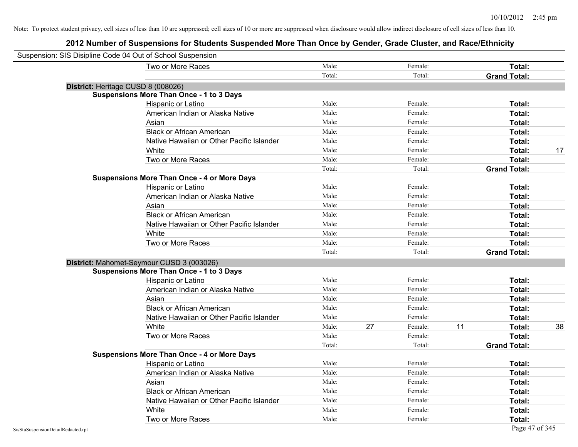| Suspension: SIS Disipline Code 04 Out of School Suspension |        |    |         |    |                     |    |
|------------------------------------------------------------|--------|----|---------|----|---------------------|----|
| Two or More Races                                          | Male:  |    | Female: |    | Total:              |    |
|                                                            | Total: |    | Total:  |    | <b>Grand Total:</b> |    |
| District: Heritage CUSD 8 (008026)                         |        |    |         |    |                     |    |
| <b>Suspensions More Than Once - 1 to 3 Days</b>            |        |    |         |    |                     |    |
| Hispanic or Latino                                         | Male:  |    | Female: |    | Total:              |    |
| American Indian or Alaska Native                           | Male:  |    | Female: |    | Total:              |    |
| Asian                                                      | Male:  |    | Female: |    | Total:              |    |
| <b>Black or African American</b>                           | Male:  |    | Female: |    | Total:              |    |
| Native Hawaiian or Other Pacific Islander                  | Male:  |    | Female: |    | Total:              |    |
| White                                                      | Male:  |    | Female: |    | Total:              | 17 |
| Two or More Races                                          | Male:  |    | Female: |    | Total:              |    |
|                                                            | Total: |    | Total:  |    | <b>Grand Total:</b> |    |
| <b>Suspensions More Than Once - 4 or More Days</b>         |        |    |         |    |                     |    |
| Hispanic or Latino                                         | Male:  |    | Female: |    | Total:              |    |
| American Indian or Alaska Native                           | Male:  |    | Female: |    | Total:              |    |
| Asian                                                      | Male:  |    | Female: |    | Total:              |    |
| <b>Black or African American</b>                           | Male:  |    | Female: |    | Total:              |    |
| Native Hawaiian or Other Pacific Islander                  | Male:  |    | Female: |    | Total:              |    |
| White                                                      | Male:  |    | Female: |    | Total:              |    |
| Two or More Races                                          | Male:  |    | Female: |    | Total:              |    |
|                                                            | Total: |    | Total:  |    | <b>Grand Total:</b> |    |
| District: Mahomet-Seymour CUSD 3 (003026)                  |        |    |         |    |                     |    |
| <b>Suspensions More Than Once - 1 to 3 Days</b>            |        |    |         |    |                     |    |
| Hispanic or Latino                                         | Male:  |    | Female: |    | Total:              |    |
| American Indian or Alaska Native                           | Male:  |    | Female: |    | Total:              |    |
| Asian                                                      | Male:  |    | Female: |    | Total:              |    |
| <b>Black or African American</b>                           | Male:  |    | Female: |    | Total:              |    |
| Native Hawaiian or Other Pacific Islander                  | Male:  |    | Female: |    | Total:              |    |
| White                                                      | Male:  | 27 | Female: | 11 | Total:              | 38 |
| Two or More Races                                          | Male:  |    | Female: |    | Total:              |    |
|                                                            | Total: |    | Total:  |    | <b>Grand Total:</b> |    |
| <b>Suspensions More Than Once - 4 or More Days</b>         |        |    |         |    |                     |    |
| Hispanic or Latino                                         | Male:  |    | Female: |    | Total:              |    |
| American Indian or Alaska Native                           | Male:  |    | Female: |    | Total:              |    |
| Asian                                                      | Male:  |    | Female: |    | Total:              |    |
| <b>Black or African American</b>                           | Male:  |    | Female: |    | Total:              |    |
| Native Hawaiian or Other Pacific Islander                  | Male:  |    | Female: |    | Total:              |    |
| White                                                      | Male:  |    | Female: |    | Total:              |    |
| Two or More Races                                          | Male:  |    | Female: |    | Total:              |    |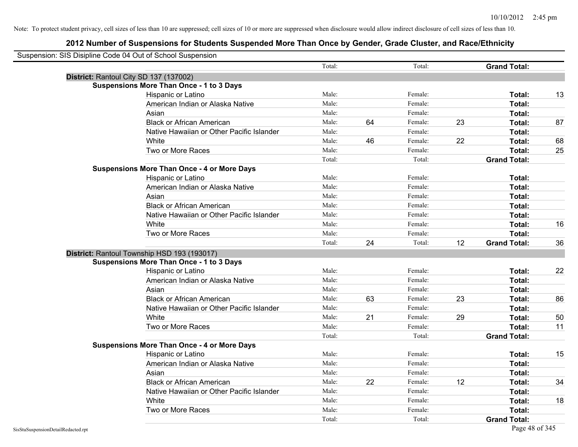| Suspension: SIS Disipline Code 04 Out of School Suspension |                                                    |        |    |         |    |                     |    |
|------------------------------------------------------------|----------------------------------------------------|--------|----|---------|----|---------------------|----|
|                                                            |                                                    | Total: |    | Total:  |    | <b>Grand Total:</b> |    |
|                                                            | District: Rantoul City SD 137 (137002)             |        |    |         |    |                     |    |
|                                                            | <b>Suspensions More Than Once - 1 to 3 Days</b>    |        |    |         |    |                     |    |
|                                                            | Hispanic or Latino                                 | Male:  |    | Female: |    | Total:              | 13 |
|                                                            | American Indian or Alaska Native                   | Male:  |    | Female: |    | Total:              |    |
|                                                            | Asian                                              | Male:  |    | Female: |    | Total:              |    |
|                                                            | <b>Black or African American</b>                   | Male:  | 64 | Female: | 23 | Total:              | 87 |
|                                                            | Native Hawaiian or Other Pacific Islander          | Male:  |    | Female: |    | Total:              |    |
|                                                            | White                                              | Male:  | 46 | Female: | 22 | Total:              | 68 |
|                                                            | Two or More Races                                  | Male:  |    | Female: |    | Total:              | 25 |
|                                                            |                                                    | Total: |    | Total:  |    | <b>Grand Total:</b> |    |
|                                                            | <b>Suspensions More Than Once - 4 or More Days</b> |        |    |         |    |                     |    |
|                                                            | Hispanic or Latino                                 | Male:  |    | Female: |    | Total:              |    |
|                                                            | American Indian or Alaska Native                   | Male:  |    | Female: |    | Total:              |    |
|                                                            | Asian                                              | Male:  |    | Female: |    | Total:              |    |
|                                                            | <b>Black or African American</b>                   | Male:  |    | Female: |    | Total:              |    |
|                                                            | Native Hawaiian or Other Pacific Islander          | Male:  |    | Female: |    | Total:              |    |
|                                                            | White                                              | Male:  |    | Female: |    | Total:              | 16 |
|                                                            | Two or More Races                                  | Male:  |    | Female: |    | Total:              |    |
|                                                            |                                                    | Total: | 24 | Total:  | 12 | <b>Grand Total:</b> | 36 |
|                                                            | District: Rantoul Township HSD 193 (193017)        |        |    |         |    |                     |    |
|                                                            | <b>Suspensions More Than Once - 1 to 3 Days</b>    |        |    |         |    |                     |    |
|                                                            | Hispanic or Latino                                 | Male:  |    | Female: |    | Total:              | 22 |
|                                                            | American Indian or Alaska Native                   | Male:  |    | Female: |    | Total:              |    |
|                                                            | Asian                                              | Male:  |    | Female: |    | Total:              |    |
|                                                            | <b>Black or African American</b>                   | Male:  | 63 | Female: | 23 | Total:              | 86 |
|                                                            | Native Hawaiian or Other Pacific Islander          | Male:  |    | Female: |    | Total:              |    |
|                                                            | White                                              | Male:  | 21 | Female: | 29 | Total:              | 50 |
|                                                            | Two or More Races                                  | Male:  |    | Female: |    | <b>Total:</b>       | 11 |
|                                                            |                                                    | Total: |    | Total:  |    | <b>Grand Total:</b> |    |
|                                                            | <b>Suspensions More Than Once - 4 or More Days</b> |        |    |         |    |                     |    |
|                                                            | Hispanic or Latino                                 | Male:  |    | Female: |    | Total:              | 15 |
|                                                            | American Indian or Alaska Native                   | Male:  |    | Female: |    | Total:              |    |
|                                                            | Asian                                              | Male:  |    | Female: |    | Total:              |    |
|                                                            | <b>Black or African American</b>                   | Male:  | 22 | Female: | 12 | Total:              | 34 |
|                                                            | Native Hawaiian or Other Pacific Islander          | Male:  |    | Female: |    | Total:              |    |
|                                                            | White                                              | Male:  |    | Female: |    | Total:              | 18 |
|                                                            | Two or More Races                                  | Male:  |    | Female: |    | Total:              |    |
|                                                            |                                                    | Total: |    | Total:  |    | <b>Grand Total:</b> |    |
| SisStuSuspensionDetailRedacted.rpt                         |                                                    |        |    |         |    | Page 48 of 345      |    |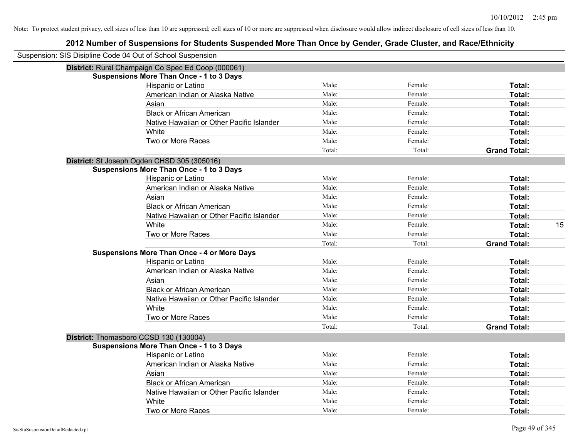| Suspension: SIS Disipline Code 04 Out of School Suspension |                                                    |        |         |                     |    |
|------------------------------------------------------------|----------------------------------------------------|--------|---------|---------------------|----|
|                                                            | District: Rural Champaign Co Spec Ed Coop (000061) |        |         |                     |    |
|                                                            | <b>Suspensions More Than Once - 1 to 3 Days</b>    |        |         |                     |    |
|                                                            | Hispanic or Latino                                 | Male:  | Female: | Total:              |    |
|                                                            | American Indian or Alaska Native                   | Male:  | Female: | Total:              |    |
|                                                            | Asian                                              | Male:  | Female: | Total:              |    |
|                                                            | <b>Black or African American</b>                   | Male:  | Female: | Total:              |    |
|                                                            | Native Hawaiian or Other Pacific Islander          | Male:  | Female: | Total:              |    |
|                                                            | White                                              | Male:  | Female: | Total:              |    |
|                                                            | Two or More Races                                  | Male:  | Female: | Total:              |    |
|                                                            |                                                    | Total: | Total:  | <b>Grand Total:</b> |    |
|                                                            | District: St Joseph Ogden CHSD 305 (305016)        |        |         |                     |    |
|                                                            | <b>Suspensions More Than Once - 1 to 3 Days</b>    |        |         |                     |    |
|                                                            | Hispanic or Latino                                 | Male:  | Female: | Total:              |    |
|                                                            | American Indian or Alaska Native                   | Male:  | Female: | Total:              |    |
|                                                            | Asian                                              | Male:  | Female: | Total:              |    |
|                                                            | <b>Black or African American</b>                   | Male:  | Female: | Total:              |    |
|                                                            | Native Hawaiian or Other Pacific Islander          | Male:  | Female: | Total:              |    |
|                                                            | White                                              | Male:  | Female: | Total:              | 15 |
|                                                            | Two or More Races                                  | Male:  | Female: | Total:              |    |
|                                                            |                                                    | Total: | Total:  | <b>Grand Total:</b> |    |
|                                                            | <b>Suspensions More Than Once - 4 or More Days</b> |        |         |                     |    |
|                                                            | Hispanic or Latino                                 | Male:  | Female: | Total:              |    |
|                                                            | American Indian or Alaska Native                   | Male:  | Female: | Total:              |    |
|                                                            | Asian                                              | Male:  | Female: | Total:              |    |
|                                                            | <b>Black or African American</b>                   | Male:  | Female: | Total:              |    |
|                                                            | Native Hawaiian or Other Pacific Islander          | Male:  | Female: | Total:              |    |
|                                                            | White                                              | Male:  | Female: | Total:              |    |
|                                                            | Two or More Races                                  | Male:  | Female: | Total:              |    |
|                                                            |                                                    | Total: | Total:  | <b>Grand Total:</b> |    |
|                                                            | District: Thomasboro CCSD 130 (130004)             |        |         |                     |    |
|                                                            | <b>Suspensions More Than Once - 1 to 3 Days</b>    |        |         |                     |    |
|                                                            | Hispanic or Latino                                 | Male:  | Female: | Total:              |    |
|                                                            | American Indian or Alaska Native                   | Male:  | Female: | Total:              |    |
|                                                            | Asian                                              | Male:  | Female: | Total:              |    |
|                                                            | <b>Black or African American</b>                   | Male:  | Female: | Total:              |    |
|                                                            | Native Hawaiian or Other Pacific Islander          | Male:  | Female: | Total:              |    |
|                                                            | White                                              | Male:  | Female: | Total:              |    |
|                                                            | Two or More Races                                  | Male:  | Female: | Total:              |    |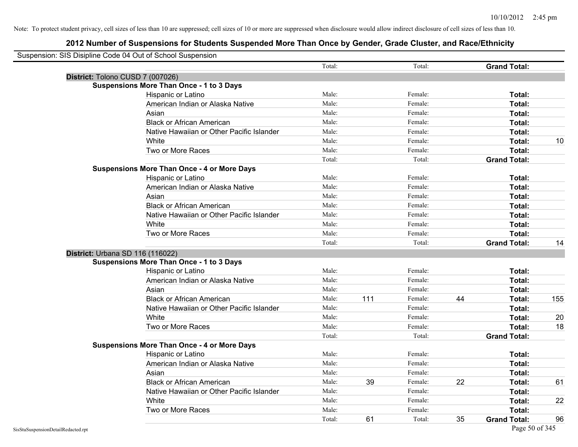| Suspension: SIS Disipline Code 04 Out of School Suspension |                                                    |        |     |         |    |                     |     |
|------------------------------------------------------------|----------------------------------------------------|--------|-----|---------|----|---------------------|-----|
|                                                            |                                                    | Total: |     | Total:  |    | <b>Grand Total:</b> |     |
|                                                            | District: Tolono CUSD 7 (007026)                   |        |     |         |    |                     |     |
|                                                            | <b>Suspensions More Than Once - 1 to 3 Days</b>    |        |     |         |    |                     |     |
|                                                            | Hispanic or Latino                                 | Male:  |     | Female: |    | Total:              |     |
|                                                            | American Indian or Alaska Native                   | Male:  |     | Female: |    | Total:              |     |
|                                                            | Asian                                              | Male:  |     | Female: |    | Total:              |     |
|                                                            | <b>Black or African American</b>                   | Male:  |     | Female: |    | Total:              |     |
|                                                            | Native Hawaiian or Other Pacific Islander          | Male:  |     | Female: |    | Total:              |     |
|                                                            | White                                              | Male:  |     | Female: |    | Total:              | 10  |
|                                                            | Two or More Races                                  | Male:  |     | Female: |    | Total:              |     |
|                                                            |                                                    | Total: |     | Total:  |    | <b>Grand Total:</b> |     |
|                                                            | <b>Suspensions More Than Once - 4 or More Days</b> |        |     |         |    |                     |     |
|                                                            | Hispanic or Latino                                 | Male:  |     | Female: |    | Total:              |     |
|                                                            | American Indian or Alaska Native                   | Male:  |     | Female: |    | Total:              |     |
|                                                            | Asian                                              | Male:  |     | Female: |    | Total:              |     |
|                                                            | <b>Black or African American</b>                   | Male:  |     | Female: |    | Total:              |     |
|                                                            | Native Hawaiian or Other Pacific Islander          | Male:  |     | Female: |    | Total:              |     |
|                                                            | White                                              | Male:  |     | Female: |    | Total:              |     |
|                                                            | Two or More Races                                  | Male:  |     | Female: |    | Total:              |     |
|                                                            |                                                    | Total: |     | Total:  |    | <b>Grand Total:</b> | 14  |
|                                                            | District: Urbana SD 116 (116022)                   |        |     |         |    |                     |     |
|                                                            | <b>Suspensions More Than Once - 1 to 3 Days</b>    |        |     |         |    |                     |     |
|                                                            | Hispanic or Latino                                 | Male:  |     | Female: |    | Total:              |     |
|                                                            | American Indian or Alaska Native                   | Male:  |     | Female: |    | Total:              |     |
|                                                            | Asian                                              | Male:  |     | Female: |    | Total:              |     |
|                                                            | <b>Black or African American</b>                   | Male:  | 111 | Female: | 44 | Total:              | 155 |
|                                                            | Native Hawaiian or Other Pacific Islander          | Male:  |     | Female: |    | Total:              |     |
|                                                            | White                                              | Male:  |     | Female: |    | Total:              | 20  |
|                                                            | Two or More Races                                  | Male:  |     | Female: |    | Total:              | 18  |
|                                                            |                                                    | Total: |     | Total:  |    | <b>Grand Total:</b> |     |
|                                                            | <b>Suspensions More Than Once - 4 or More Days</b> |        |     |         |    |                     |     |
|                                                            | Hispanic or Latino                                 | Male:  |     | Female: |    | Total:              |     |
|                                                            | American Indian or Alaska Native                   | Male:  |     | Female: |    | Total:              |     |
|                                                            | Asian                                              | Male:  |     | Female: |    | Total:              |     |
|                                                            | <b>Black or African American</b>                   | Male:  | 39  | Female: | 22 | Total:              | 61  |
|                                                            | Native Hawaiian or Other Pacific Islander          | Male:  |     | Female: |    | Total:              |     |
|                                                            | White                                              | Male:  |     | Female: |    | Total:              | 22  |
|                                                            | Two or More Races                                  | Male:  |     | Female: |    | Total:              |     |
|                                                            |                                                    | Total: | 61  | Total:  | 35 | <b>Grand Total:</b> | 96  |
| SisStuSuspensionDetailRedacted.rpt                         |                                                    |        |     |         |    | Page 50 of 345      |     |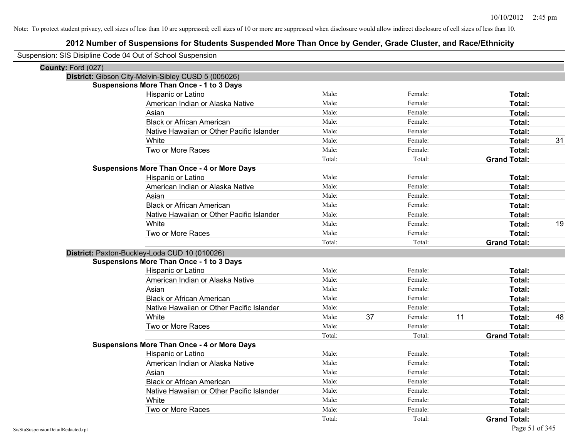| Suspension: SIS Disipline Code 04 Out of School Suspension |                                                     |        |    |         |                     |    |
|------------------------------------------------------------|-----------------------------------------------------|--------|----|---------|---------------------|----|
| County: Ford (027)                                         |                                                     |        |    |         |                     |    |
|                                                            | District: Gibson City-Melvin-Sibley CUSD 5 (005026) |        |    |         |                     |    |
|                                                            | <b>Suspensions More Than Once - 1 to 3 Days</b>     |        |    |         |                     |    |
|                                                            | Hispanic or Latino                                  | Male:  |    | Female: | Total:              |    |
|                                                            | American Indian or Alaska Native                    | Male:  |    | Female: | Total:              |    |
|                                                            | Asian                                               | Male:  |    | Female: | Total:              |    |
|                                                            | <b>Black or African American</b>                    | Male:  |    | Female: | Total:              |    |
|                                                            | Native Hawaiian or Other Pacific Islander           | Male:  |    | Female: | Total:              |    |
|                                                            | White                                               | Male:  |    | Female: | Total:              | 31 |
|                                                            | Two or More Races                                   | Male:  |    | Female: | Total:              |    |
|                                                            |                                                     | Total: |    | Total:  | <b>Grand Total:</b> |    |
|                                                            | <b>Suspensions More Than Once - 4 or More Days</b>  |        |    |         |                     |    |
|                                                            | Hispanic or Latino                                  | Male:  |    | Female: | Total:              |    |
|                                                            | American Indian or Alaska Native                    | Male:  |    | Female: | Total:              |    |
|                                                            | Asian                                               | Male:  |    | Female: | Total:              |    |
|                                                            | <b>Black or African American</b>                    | Male:  |    | Female: | Total:              |    |
|                                                            | Native Hawaiian or Other Pacific Islander           | Male:  |    | Female: | Total:              |    |
|                                                            | White                                               | Male:  |    | Female: | Total:              | 19 |
|                                                            | Two or More Races                                   | Male:  |    | Female: | Total:              |    |
|                                                            |                                                     | Total: |    | Total:  | <b>Grand Total:</b> |    |
|                                                            | District: Paxton-Buckley-Loda CUD 10 (010026)       |        |    |         |                     |    |
|                                                            | <b>Suspensions More Than Once - 1 to 3 Days</b>     |        |    |         |                     |    |
|                                                            | Hispanic or Latino                                  | Male:  |    | Female: | Total:              |    |
|                                                            | American Indian or Alaska Native                    | Male:  |    | Female: | Total:              |    |
|                                                            | Asian                                               | Male:  |    | Female: | Total:              |    |
|                                                            | <b>Black or African American</b>                    | Male:  |    | Female: | Total:              |    |
|                                                            | Native Hawaiian or Other Pacific Islander           | Male:  |    | Female: | Total:              |    |
|                                                            | White                                               | Male:  | 37 | Female: | 11<br>Total:        | 48 |
|                                                            | Two or More Races                                   | Male:  |    | Female: | Total:              |    |
|                                                            |                                                     | Total: |    | Total:  | <b>Grand Total:</b> |    |
|                                                            | <b>Suspensions More Than Once - 4 or More Days</b>  |        |    |         |                     |    |
|                                                            | Hispanic or Latino                                  | Male:  |    | Female: | Total:              |    |
|                                                            | American Indian or Alaska Native                    | Male:  |    | Female: | Total:              |    |
|                                                            | Asian                                               | Male:  |    | Female: | Total:              |    |
|                                                            | <b>Black or African American</b>                    | Male:  |    | Female: | Total:              |    |
|                                                            | Native Hawaiian or Other Pacific Islander           | Male:  |    | Female: | Total:              |    |
|                                                            | White                                               | Male:  |    | Female: | Total:              |    |
|                                                            | Two or More Races                                   | Male:  |    | Female: | Total:              |    |
|                                                            |                                                     | Total: |    | Total:  | <b>Grand Total:</b> |    |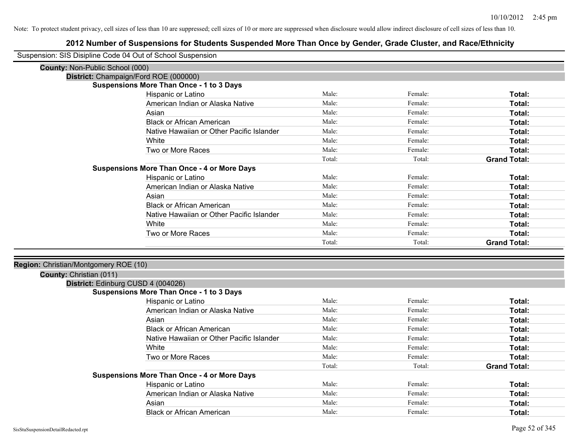| Suspension: SIS Disipline Code 04 Out of School Suspension |                                                    |        |         |                     |
|------------------------------------------------------------|----------------------------------------------------|--------|---------|---------------------|
| <b>County: Non-Public School (000)</b>                     |                                                    |        |         |                     |
| District: Champaign/Ford ROE (000000)                      |                                                    |        |         |                     |
|                                                            | <b>Suspensions More Than Once - 1 to 3 Days</b>    |        |         |                     |
|                                                            | Hispanic or Latino                                 | Male:  | Female: | Total:              |
|                                                            | American Indian or Alaska Native                   | Male:  | Female: | Total:              |
|                                                            | Asian                                              | Male:  | Female: | Total:              |
|                                                            | <b>Black or African American</b>                   | Male:  | Female: | Total:              |
|                                                            | Native Hawaiian or Other Pacific Islander          | Male:  | Female: | Total:              |
|                                                            | White                                              | Male:  | Female: | Total:              |
|                                                            | Two or More Races                                  | Male:  | Female: | Total:              |
|                                                            |                                                    | Total: | Total:  | <b>Grand Total:</b> |
|                                                            | <b>Suspensions More Than Once - 4 or More Days</b> |        |         |                     |
|                                                            | Hispanic or Latino                                 | Male:  | Female: | Total:              |
|                                                            | American Indian or Alaska Native                   | Male:  | Female: | Total:              |
|                                                            | Asian                                              | Male:  | Female: | Total:              |
|                                                            | <b>Black or African American</b>                   | Male:  | Female: | Total:              |
|                                                            | Native Hawaiian or Other Pacific Islander          | Male:  | Female: | Total:              |
|                                                            | White                                              | Male:  | Female: | Total:              |
|                                                            | Two or More Races                                  | Male:  | Female: | Total:              |
|                                                            |                                                    | Total: | Total:  | <b>Grand Total:</b> |
|                                                            |                                                    |        |         |                     |
| Region: Christian/Montgomery ROE (10)                      |                                                    |        |         |                     |
| County: Christian (011)                                    |                                                    |        |         |                     |
| District: Edinburg CUSD 4 (004026)                         |                                                    |        |         |                     |
|                                                            | <b>Suspensions More Than Once - 1 to 3 Days</b>    |        |         |                     |
|                                                            | Hispanic or Latino                                 | Male:  | Female: | Total:              |
|                                                            | American Indian or Alaska Native                   | Male:  | Female: | Total:              |
|                                                            | Asian                                              | Male:  | Female: | Total:              |
|                                                            | <b>Black or African American</b>                   | Male:  | Female: | Total:              |
|                                                            | Native Hawaiian or Other Pacific Islander          | Male:  | Female: | Total:              |
|                                                            | White                                              | Male:  | Female: | Total:              |
|                                                            | Two or More Races                                  | Male:  | Female: | Total:              |
|                                                            |                                                    | Total: | Total:  | <b>Grand Total:</b> |
|                                                            | <b>Suspensions More Than Once - 4 or More Days</b> |        |         |                     |
|                                                            | Hispanic or Latino                                 | Male:  | Female: | Total:              |
|                                                            | American Indian or Alaska Native                   | Male:  | Female: | Total:              |
|                                                            | Asian                                              | Male:  | Female: | Total:              |
|                                                            | <b>Black or African American</b>                   | Male:  | Female: | Total:              |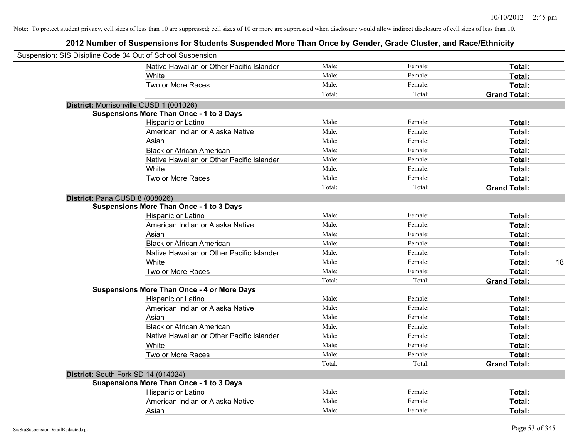| Suspension: SIS Disipline Code 04 Out of School Suspension |                                                    |        |         |                     |
|------------------------------------------------------------|----------------------------------------------------|--------|---------|---------------------|
|                                                            | Native Hawaiian or Other Pacific Islander          | Male:  | Female: | Total:              |
|                                                            | White                                              | Male:  | Female: | Total:              |
|                                                            | Two or More Races                                  | Male:  | Female: | Total:              |
|                                                            |                                                    | Total: | Total:  | <b>Grand Total:</b> |
| District: Morrisonville CUSD 1 (001026)                    |                                                    |        |         |                     |
|                                                            | <b>Suspensions More Than Once - 1 to 3 Days</b>    |        |         |                     |
|                                                            | Hispanic or Latino                                 | Male:  | Female: | Total:              |
|                                                            | American Indian or Alaska Native                   | Male:  | Female: | Total:              |
|                                                            | Asian                                              | Male:  | Female: | Total:              |
|                                                            | <b>Black or African American</b>                   | Male:  | Female: | Total:              |
|                                                            | Native Hawaiian or Other Pacific Islander          | Male:  | Female: | Total:              |
|                                                            | White                                              | Male:  | Female: | Total:              |
|                                                            | Two or More Races                                  | Male:  | Female: | Total:              |
|                                                            |                                                    | Total: | Total:  | <b>Grand Total:</b> |
| District: Pana CUSD 8 (008026)                             |                                                    |        |         |                     |
|                                                            | <b>Suspensions More Than Once - 1 to 3 Days</b>    |        |         |                     |
|                                                            | Hispanic or Latino                                 | Male:  | Female: | Total:              |
|                                                            | American Indian or Alaska Native                   | Male:  | Female: | Total:              |
|                                                            | Asian                                              | Male:  | Female: | Total:              |
|                                                            | <b>Black or African American</b>                   | Male:  | Female: | Total:              |
|                                                            | Native Hawaiian or Other Pacific Islander          | Male:  | Female: | Total:              |
|                                                            | White                                              | Male:  | Female: | Total:<br>18        |
|                                                            | Two or More Races                                  | Male:  | Female: | Total:              |
|                                                            |                                                    | Total: | Total:  | <b>Grand Total:</b> |
|                                                            | <b>Suspensions More Than Once - 4 or More Days</b> |        |         |                     |
|                                                            | Hispanic or Latino                                 | Male:  | Female: | Total:              |
|                                                            | American Indian or Alaska Native                   | Male:  | Female: | Total:              |
|                                                            | Asian                                              | Male:  | Female: | Total:              |
|                                                            | <b>Black or African American</b>                   | Male:  | Female: | Total:              |
|                                                            | Native Hawaiian or Other Pacific Islander          | Male:  | Female: | Total:              |
|                                                            | White                                              | Male:  | Female: | Total:              |
|                                                            | Two or More Races                                  | Male:  | Female: | Total:              |
|                                                            |                                                    | Total: | Total:  | <b>Grand Total:</b> |
| District: South Fork SD 14 (014024)                        |                                                    |        |         |                     |
|                                                            | <b>Suspensions More Than Once - 1 to 3 Days</b>    |        |         |                     |
|                                                            | Hispanic or Latino                                 | Male:  | Female: | Total:              |
|                                                            | American Indian or Alaska Native                   | Male:  | Female: | Total:              |
|                                                            | Asian                                              | Male:  | Female: | Total:              |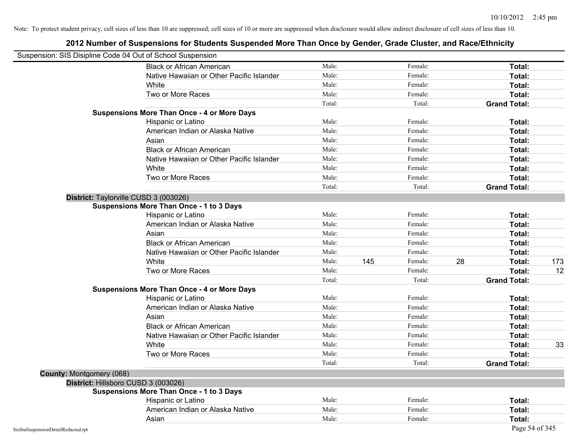| Suspension: SIS Disipline Code 04 Out of School Suspension |                                                    |        |     |         |    |                     |     |
|------------------------------------------------------------|----------------------------------------------------|--------|-----|---------|----|---------------------|-----|
|                                                            | <b>Black or African American</b>                   | Male:  |     | Female: |    | Total:              |     |
|                                                            | Native Hawaiian or Other Pacific Islander          | Male:  |     | Female: |    | Total:              |     |
|                                                            | White                                              | Male:  |     | Female: |    | Total:              |     |
|                                                            | Two or More Races                                  | Male:  |     | Female: |    | Total:              |     |
|                                                            |                                                    | Total: |     | Total:  |    | <b>Grand Total:</b> |     |
|                                                            | <b>Suspensions More Than Once - 4 or More Days</b> |        |     |         |    |                     |     |
|                                                            | Hispanic or Latino                                 | Male:  |     | Female: |    | Total:              |     |
|                                                            | American Indian or Alaska Native                   | Male:  |     | Female: |    | Total:              |     |
|                                                            | Asian                                              | Male:  |     | Female: |    | Total:              |     |
|                                                            | <b>Black or African American</b>                   | Male:  |     | Female: |    | Total:              |     |
|                                                            | Native Hawaiian or Other Pacific Islander          | Male:  |     | Female: |    | Total:              |     |
|                                                            | White                                              | Male:  |     | Female: |    | Total:              |     |
|                                                            | Two or More Races                                  | Male:  |     | Female: |    | Total:              |     |
|                                                            |                                                    | Total: |     | Total:  |    | <b>Grand Total:</b> |     |
|                                                            | District: Taylorville CUSD 3 (003026)              |        |     |         |    |                     |     |
|                                                            | <b>Suspensions More Than Once - 1 to 3 Days</b>    |        |     |         |    |                     |     |
|                                                            | Hispanic or Latino                                 | Male:  |     | Female: |    | Total:              |     |
|                                                            | American Indian or Alaska Native                   | Male:  |     | Female: |    | Total:              |     |
|                                                            | Asian                                              | Male:  |     | Female: |    | Total:              |     |
|                                                            | <b>Black or African American</b>                   | Male:  |     | Female: |    | Total:              |     |
|                                                            | Native Hawaiian or Other Pacific Islander          | Male:  |     | Female: |    | Total:              |     |
|                                                            | White                                              | Male:  | 145 | Female: | 28 | Total:              | 173 |
|                                                            | Two or More Races                                  | Male:  |     | Female: |    | Total:              | 12  |
|                                                            |                                                    | Total: |     | Total:  |    | <b>Grand Total:</b> |     |
|                                                            | <b>Suspensions More Than Once - 4 or More Days</b> |        |     |         |    |                     |     |
|                                                            | Hispanic or Latino                                 | Male:  |     | Female: |    | Total:              |     |
|                                                            | American Indian or Alaska Native                   | Male:  |     | Female: |    | Total:              |     |
|                                                            | Asian                                              | Male:  |     | Female: |    | Total:              |     |
|                                                            | <b>Black or African American</b>                   | Male:  |     | Female: |    | Total:              |     |
|                                                            | Native Hawaiian or Other Pacific Islander          | Male:  |     | Female: |    | Total:              |     |
|                                                            | White                                              | Male:  |     | Female: |    | Total:              | 33  |
|                                                            | Two or More Races                                  | Male:  |     | Female: |    | Total:              |     |
|                                                            |                                                    | Total: |     | Total:  |    | <b>Grand Total:</b> |     |
| <b>County: Montgomery (068)</b>                            |                                                    |        |     |         |    |                     |     |
|                                                            | District: Hillsboro CUSD 3 (003026)                |        |     |         |    |                     |     |
|                                                            | <b>Suspensions More Than Once - 1 to 3 Days</b>    |        |     |         |    |                     |     |
|                                                            | Hispanic or Latino                                 | Male:  |     | Female: |    | Total:              |     |
|                                                            | American Indian or Alaska Native                   | Male:  |     | Female: |    | Total:              |     |
|                                                            | Asian                                              | Male:  |     | Female: |    | Total:              |     |
| SisStuSuspensionDetailRedacted.rpt                         |                                                    |        |     |         |    | Page 54 of 345      |     |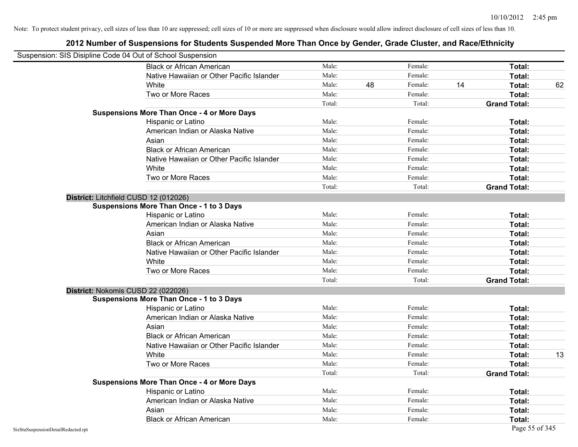| Suspension: SIS Disipline Code 04 Out of School Suspension |                                                    |        |    |         |    |                     |    |
|------------------------------------------------------------|----------------------------------------------------|--------|----|---------|----|---------------------|----|
|                                                            | <b>Black or African American</b>                   | Male:  |    | Female: |    | <b>Total:</b>       |    |
|                                                            | Native Hawaiian or Other Pacific Islander          | Male:  |    | Female: |    | Total:              |    |
|                                                            | White                                              | Male:  | 48 | Female: | 14 | Total:              | 62 |
|                                                            | Two or More Races                                  | Male:  |    | Female: |    | Total:              |    |
|                                                            |                                                    | Total: |    | Total:  |    | <b>Grand Total:</b> |    |
|                                                            | <b>Suspensions More Than Once - 4 or More Days</b> |        |    |         |    |                     |    |
|                                                            | Hispanic or Latino                                 | Male:  |    | Female: |    | Total:              |    |
|                                                            | American Indian or Alaska Native                   | Male:  |    | Female: |    | Total:              |    |
|                                                            | Asian                                              | Male:  |    | Female: |    | Total:              |    |
|                                                            | <b>Black or African American</b>                   | Male:  |    | Female: |    | Total:              |    |
|                                                            | Native Hawaiian or Other Pacific Islander          | Male:  |    | Female: |    | Total:              |    |
|                                                            | White                                              | Male:  |    | Female: |    | Total:              |    |
|                                                            | Two or More Races                                  | Male:  |    | Female: |    | Total:              |    |
|                                                            |                                                    | Total: |    | Total:  |    | <b>Grand Total:</b> |    |
|                                                            | District: Litchfield CUSD 12 (012026)              |        |    |         |    |                     |    |
|                                                            | <b>Suspensions More Than Once - 1 to 3 Days</b>    |        |    |         |    |                     |    |
|                                                            | Hispanic or Latino                                 | Male:  |    | Female: |    | Total:              |    |
|                                                            | American Indian or Alaska Native                   | Male:  |    | Female: |    | Total:              |    |
|                                                            | Asian                                              | Male:  |    | Female: |    | Total:              |    |
|                                                            | <b>Black or African American</b>                   | Male:  |    | Female: |    | Total:              |    |
|                                                            | Native Hawaiian or Other Pacific Islander          | Male:  |    | Female: |    | Total:              |    |
|                                                            | White                                              | Male:  |    | Female: |    | Total:              |    |
|                                                            | Two or More Races                                  | Male:  |    | Female: |    | Total:              |    |
|                                                            |                                                    | Total: |    | Total:  |    | <b>Grand Total:</b> |    |
|                                                            | District: Nokomis CUSD 22 (022026)                 |        |    |         |    |                     |    |
|                                                            | <b>Suspensions More Than Once - 1 to 3 Days</b>    |        |    |         |    |                     |    |
|                                                            | Hispanic or Latino                                 | Male:  |    | Female: |    | Total:              |    |
|                                                            | American Indian or Alaska Native                   | Male:  |    | Female: |    | Total:              |    |
|                                                            | Asian                                              | Male:  |    | Female: |    | Total:              |    |
|                                                            | <b>Black or African American</b>                   | Male:  |    | Female: |    | Total:              |    |
|                                                            | Native Hawaiian or Other Pacific Islander          | Male:  |    | Female: |    | Total:              |    |
|                                                            | White                                              | Male:  |    | Female: |    | Total:              | 13 |
|                                                            | Two or More Races                                  | Male:  |    | Female: |    | Total:              |    |
|                                                            |                                                    | Total: |    | Total:  |    | <b>Grand Total:</b> |    |
|                                                            | <b>Suspensions More Than Once - 4 or More Days</b> |        |    |         |    |                     |    |
|                                                            | Hispanic or Latino                                 | Male:  |    | Female: |    | Total:              |    |
|                                                            | American Indian or Alaska Native                   | Male:  |    | Female: |    | Total:              |    |
|                                                            | Asian                                              | Male:  |    | Female: |    | Total:              |    |
|                                                            | <b>Black or African American</b>                   | Male:  |    | Female: |    | Total:              |    |
| SisStuSuspensionDetailRedacted.rpt                         |                                                    |        |    |         |    | Page 55 of 345      |    |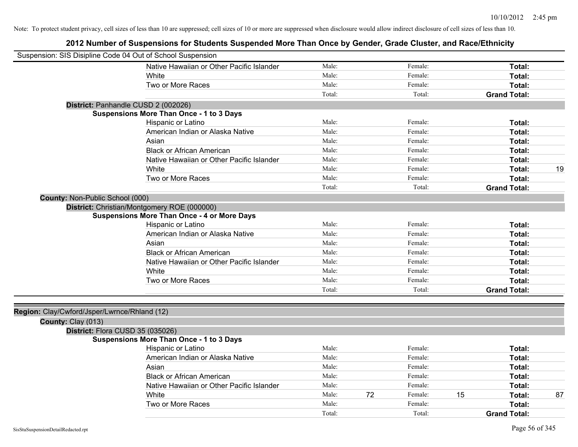| Suspension: SIS Disipline Code 04 Out of School Suspension |                                                    |        |    |         |    |                     |    |
|------------------------------------------------------------|----------------------------------------------------|--------|----|---------|----|---------------------|----|
|                                                            | Native Hawaiian or Other Pacific Islander          | Male:  |    | Female: |    | <b>Total:</b>       |    |
|                                                            | White                                              | Male:  |    | Female: |    | Total:              |    |
|                                                            | Two or More Races                                  | Male:  |    | Female: |    | Total:              |    |
|                                                            |                                                    | Total: |    | Total:  |    | <b>Grand Total:</b> |    |
|                                                            | District: Panhandle CUSD 2 (002026)                |        |    |         |    |                     |    |
|                                                            | <b>Suspensions More Than Once - 1 to 3 Days</b>    |        |    |         |    |                     |    |
|                                                            | Hispanic or Latino                                 | Male:  |    | Female: |    | <b>Total:</b>       |    |
|                                                            | American Indian or Alaska Native                   | Male:  |    | Female: |    | <b>Total:</b>       |    |
|                                                            | Asian                                              | Male:  |    | Female: |    | <b>Total:</b>       |    |
|                                                            | <b>Black or African American</b>                   | Male:  |    | Female: |    | Total:              |    |
|                                                            | Native Hawaiian or Other Pacific Islander          | Male:  |    | Female: |    | Total:              |    |
|                                                            | White                                              | Male:  |    | Female: |    | Total:              | 19 |
|                                                            | Two or More Races                                  | Male:  |    | Female: |    | <b>Total:</b>       |    |
|                                                            |                                                    | Total: |    | Total:  |    | <b>Grand Total:</b> |    |
| County: Non-Public School (000)                            |                                                    |        |    |         |    |                     |    |
|                                                            | District: Christian/Montgomery ROE (000000)        |        |    |         |    |                     |    |
|                                                            | <b>Suspensions More Than Once - 4 or More Days</b> |        |    |         |    |                     |    |
|                                                            | Hispanic or Latino                                 | Male:  |    | Female: |    | Total:              |    |
|                                                            | American Indian or Alaska Native                   | Male:  |    | Female: |    | Total:              |    |
|                                                            | Asian                                              | Male:  |    | Female: |    | <b>Total:</b>       |    |
|                                                            | <b>Black or African American</b>                   | Male:  |    | Female: |    | Total:              |    |
|                                                            | Native Hawaiian or Other Pacific Islander          | Male:  |    | Female: |    | Total:              |    |
|                                                            | White                                              | Male:  |    | Female: |    | <b>Total:</b>       |    |
|                                                            | Two or More Races                                  | Male:  |    | Female: |    | Total:              |    |
|                                                            |                                                    | Total: |    | Total:  |    | <b>Grand Total:</b> |    |
|                                                            |                                                    |        |    |         |    |                     |    |
| Region: Clay/Cwford/Jsper/Lwrnce/Rhland (12)               |                                                    |        |    |         |    |                     |    |
| County: Clay (013)                                         |                                                    |        |    |         |    |                     |    |
| District: Flora CUSD 35 (035026)                           |                                                    |        |    |         |    |                     |    |
|                                                            | <b>Suspensions More Than Once - 1 to 3 Days</b>    |        |    |         |    |                     |    |
|                                                            | Hispanic or Latino                                 | Male:  |    | Female: |    | Total:              |    |
|                                                            | American Indian or Alaska Native                   | Male:  |    | Female: |    | <b>Total:</b>       |    |
|                                                            | Asian                                              | Male:  |    | Female: |    | Total:              |    |
|                                                            | <b>Black or African American</b>                   | Male:  |    | Female: |    | Total:              |    |
|                                                            | Native Hawaiian or Other Pacific Islander          | Male:  |    | Female: |    | <b>Total:</b>       |    |
|                                                            | White                                              | Male:  | 72 | Female: | 15 | <b>Total:</b>       | 87 |
|                                                            | Two or More Races                                  | Male:  |    | Female: |    | <b>Total:</b>       |    |
|                                                            |                                                    | Total: |    | Total:  |    | <b>Grand Total:</b> |    |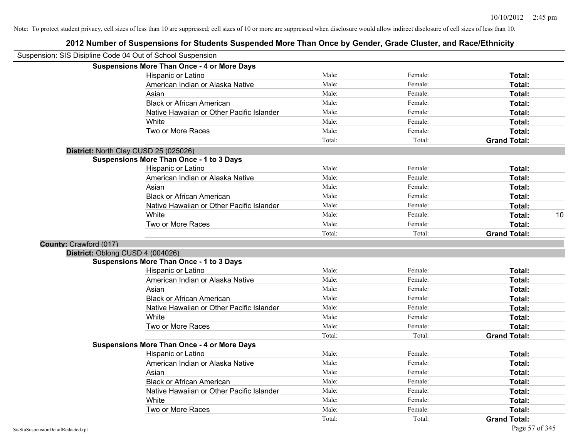| Suspension: SIS Disipline Code 04 Out of School Suspension |                                                    |        |         |                     |    |
|------------------------------------------------------------|----------------------------------------------------|--------|---------|---------------------|----|
|                                                            | <b>Suspensions More Than Once - 4 or More Days</b> |        |         |                     |    |
|                                                            | Hispanic or Latino                                 | Male:  | Female: | Total:              |    |
|                                                            | American Indian or Alaska Native                   | Male:  | Female: | Total:              |    |
|                                                            | Asian                                              | Male:  | Female: | Total:              |    |
|                                                            | <b>Black or African American</b>                   | Male:  | Female: | Total:              |    |
|                                                            | Native Hawaiian or Other Pacific Islander          | Male:  | Female: | Total:              |    |
|                                                            | White                                              | Male:  | Female: | Total:              |    |
|                                                            | Two or More Races                                  | Male:  | Female: | Total:              |    |
|                                                            |                                                    | Total: | Total:  | <b>Grand Total:</b> |    |
|                                                            | District: North Clay CUSD 25 (025026)              |        |         |                     |    |
|                                                            | <b>Suspensions More Than Once - 1 to 3 Days</b>    |        |         |                     |    |
|                                                            | Hispanic or Latino                                 | Male:  | Female: | <b>Total:</b>       |    |
|                                                            | American Indian or Alaska Native                   | Male:  | Female: | Total:              |    |
|                                                            | Asian                                              | Male:  | Female: | Total:              |    |
|                                                            | <b>Black or African American</b>                   | Male:  | Female: | Total:              |    |
|                                                            | Native Hawaiian or Other Pacific Islander          | Male:  | Female: | Total:              |    |
|                                                            | White                                              | Male:  | Female: | <b>Total:</b>       | 10 |
|                                                            | Two or More Races                                  | Male:  | Female: | Total:              |    |
|                                                            |                                                    | Total: | Total:  | <b>Grand Total:</b> |    |
| County: Crawford (017)                                     |                                                    |        |         |                     |    |
| District: Oblong CUSD 4 (004026)                           |                                                    |        |         |                     |    |
|                                                            | <b>Suspensions More Than Once - 1 to 3 Days</b>    |        |         |                     |    |
|                                                            | Hispanic or Latino                                 | Male:  | Female: | Total:              |    |
|                                                            | American Indian or Alaska Native                   | Male:  | Female: | Total:              |    |
|                                                            | Asian                                              | Male:  | Female: | Total:              |    |
|                                                            | <b>Black or African American</b>                   | Male:  | Female: | Total:              |    |
|                                                            | Native Hawaiian or Other Pacific Islander          | Male:  | Female: | Total:              |    |
|                                                            | White                                              | Male:  | Female: | Total:              |    |
|                                                            | Two or More Races                                  | Male:  | Female: | Total:              |    |
|                                                            |                                                    | Total: | Total:  | <b>Grand Total:</b> |    |
|                                                            | <b>Suspensions More Than Once - 4 or More Days</b> |        |         |                     |    |
|                                                            | Hispanic or Latino                                 | Male:  | Female: | Total:              |    |
|                                                            | American Indian or Alaska Native                   | Male:  | Female: | Total:              |    |
|                                                            | Asian                                              | Male:  | Female: | Total:              |    |
|                                                            | <b>Black or African American</b>                   | Male:  | Female: | Total:              |    |
|                                                            | Native Hawaiian or Other Pacific Islander          | Male:  | Female: | Total:              |    |
|                                                            | White                                              | Male:  | Female: | Total:              |    |
|                                                            | Two or More Races                                  | Male:  | Female: | Total:              |    |
|                                                            |                                                    | Total: | Total:  | <b>Grand Total:</b> |    |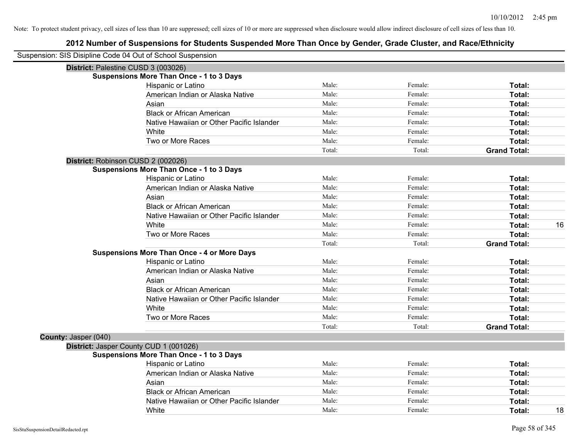|                      | Suspension: SIS Disipline Code 04 Out of School Suspension |        |         |                     |    |
|----------------------|------------------------------------------------------------|--------|---------|---------------------|----|
|                      | District: Palestine CUSD 3 (003026)                        |        |         |                     |    |
|                      | <b>Suspensions More Than Once - 1 to 3 Days</b>            |        |         |                     |    |
|                      | Hispanic or Latino                                         | Male:  | Female: | Total:              |    |
|                      | American Indian or Alaska Native                           | Male:  | Female: | Total:              |    |
|                      | Asian                                                      | Male:  | Female: | Total:              |    |
|                      | <b>Black or African American</b>                           | Male:  | Female: | Total:              |    |
|                      | Native Hawaiian or Other Pacific Islander                  | Male:  | Female: | Total:              |    |
|                      | White                                                      | Male:  | Female: | Total:              |    |
|                      | Two or More Races                                          | Male:  | Female: | Total:              |    |
|                      |                                                            | Total: | Total:  | <b>Grand Total:</b> |    |
|                      | District: Robinson CUSD 2 (002026)                         |        |         |                     |    |
|                      | <b>Suspensions More Than Once - 1 to 3 Days</b>            |        |         |                     |    |
|                      | Hispanic or Latino                                         | Male:  | Female: | Total:              |    |
|                      | American Indian or Alaska Native                           | Male:  | Female: | Total:              |    |
|                      | Asian                                                      | Male:  | Female: | Total:              |    |
|                      | <b>Black or African American</b>                           | Male:  | Female: | Total:              |    |
|                      | Native Hawaiian or Other Pacific Islander                  | Male:  | Female: | Total:              |    |
|                      | White                                                      | Male:  | Female: | Total:              | 16 |
|                      | Two or More Races                                          | Male:  | Female: | Total:              |    |
|                      |                                                            | Total: | Total:  | <b>Grand Total:</b> |    |
|                      | <b>Suspensions More Than Once - 4 or More Days</b>         |        |         |                     |    |
|                      | Hispanic or Latino                                         | Male:  | Female: | Total:              |    |
|                      | American Indian or Alaska Native                           | Male:  | Female: | Total:              |    |
|                      | Asian                                                      | Male:  | Female: | Total:              |    |
|                      | <b>Black or African American</b>                           | Male:  | Female: | Total:              |    |
|                      | Native Hawaiian or Other Pacific Islander                  | Male:  | Female: | Total:              |    |
|                      | White                                                      | Male:  | Female: | Total:              |    |
|                      | Two or More Races                                          | Male:  | Female: | Total:              |    |
|                      |                                                            | Total: | Total:  | <b>Grand Total:</b> |    |
| County: Jasper (040) |                                                            |        |         |                     |    |
|                      | District: Jasper County CUD 1 (001026)                     |        |         |                     |    |
|                      | <b>Suspensions More Than Once - 1 to 3 Days</b>            |        |         |                     |    |
|                      | Hispanic or Latino                                         | Male:  | Female: | Total:              |    |
|                      | American Indian or Alaska Native                           | Male:  | Female: | Total:              |    |
|                      | Asian                                                      | Male:  | Female: | Total:              |    |
|                      | <b>Black or African American</b>                           | Male:  | Female: | Total:              |    |
|                      | Native Hawaiian or Other Pacific Islander                  | Male:  | Female: | Total:              |    |
|                      | White                                                      | Male:  | Female: | Total:              | 18 |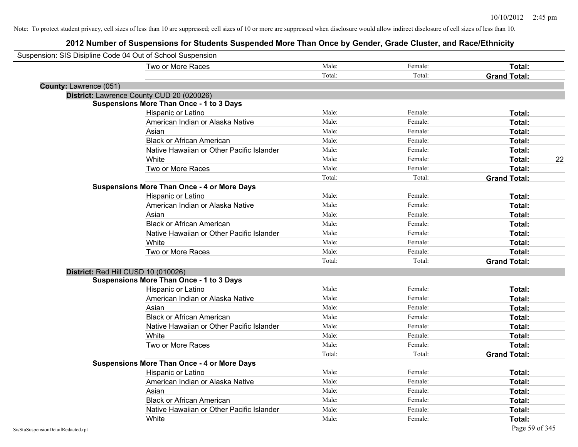| Suspension: SIS Disipline Code 04 Out of School Suspension |                                                    |        |         |                     |    |
|------------------------------------------------------------|----------------------------------------------------|--------|---------|---------------------|----|
|                                                            | Two or More Races                                  | Male:  | Female: | Total:              |    |
|                                                            |                                                    | Total: | Total:  | <b>Grand Total:</b> |    |
| <b>County: Lawrence (051)</b>                              |                                                    |        |         |                     |    |
|                                                            | District: Lawrence County CUD 20 (020026)          |        |         |                     |    |
|                                                            | <b>Suspensions More Than Once - 1 to 3 Days</b>    |        |         |                     |    |
|                                                            | Hispanic or Latino                                 | Male:  | Female: | Total:              |    |
|                                                            | American Indian or Alaska Native                   | Male:  | Female: | Total:              |    |
|                                                            | Asian                                              | Male:  | Female: | Total:              |    |
|                                                            | <b>Black or African American</b>                   | Male:  | Female: | Total:              |    |
|                                                            | Native Hawaiian or Other Pacific Islander          | Male:  | Female: | Total:              |    |
|                                                            | White                                              | Male:  | Female: | Total:              | 22 |
|                                                            | Two or More Races                                  | Male:  | Female: | Total:              |    |
|                                                            |                                                    | Total: | Total:  | <b>Grand Total:</b> |    |
|                                                            | <b>Suspensions More Than Once - 4 or More Days</b> |        |         |                     |    |
|                                                            | Hispanic or Latino                                 | Male:  | Female: | Total:              |    |
|                                                            | American Indian or Alaska Native                   | Male:  | Female: | Total:              |    |
|                                                            | Asian                                              | Male:  | Female: | Total:              |    |
|                                                            | <b>Black or African American</b>                   | Male:  | Female: | Total:              |    |
|                                                            | Native Hawaiian or Other Pacific Islander          | Male:  | Female: | Total:              |    |
|                                                            | White                                              | Male:  | Female: | Total:              |    |
|                                                            | Two or More Races                                  | Male:  | Female: | Total:              |    |
|                                                            |                                                    | Total: | Total:  | <b>Grand Total:</b> |    |
| District: Red Hill CUSD 10 (010026)                        |                                                    |        |         |                     |    |
|                                                            | <b>Suspensions More Than Once - 1 to 3 Days</b>    |        |         |                     |    |
|                                                            | Hispanic or Latino                                 | Male:  | Female: | Total:              |    |
|                                                            | American Indian or Alaska Native                   | Male:  | Female: | Total:              |    |
|                                                            | Asian                                              | Male:  | Female: | Total:              |    |
|                                                            | <b>Black or African American</b>                   | Male:  | Female: | Total:              |    |
|                                                            | Native Hawaiian or Other Pacific Islander          | Male:  | Female: | Total:              |    |
|                                                            | White                                              | Male:  | Female: | Total:              |    |
|                                                            | Two or More Races                                  | Male:  | Female: | Total:              |    |
|                                                            |                                                    | Total: | Total:  | <b>Grand Total:</b> |    |
|                                                            | <b>Suspensions More Than Once - 4 or More Days</b> |        |         |                     |    |
|                                                            | Hispanic or Latino                                 | Male:  | Female: | Total:              |    |
|                                                            | American Indian or Alaska Native                   | Male:  | Female: | Total:              |    |
|                                                            | Asian                                              | Male:  | Female: | Total:              |    |
|                                                            | <b>Black or African American</b>                   | Male:  | Female: | Total:              |    |
|                                                            | Native Hawaiian or Other Pacific Islander          | Male:  | Female: | Total:              |    |
|                                                            | White                                              | Male:  | Female: | Total:              |    |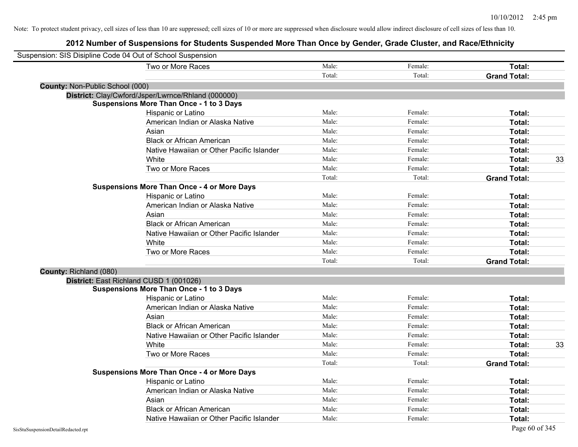| Suspension: SIS Disipline Code 04 Out of School Suspension |                                                    |        |         |                     |    |
|------------------------------------------------------------|----------------------------------------------------|--------|---------|---------------------|----|
|                                                            | Two or More Races                                  | Male:  | Female: | Total:              |    |
|                                                            |                                                    | Total: | Total:  | <b>Grand Total:</b> |    |
| County: Non-Public School (000)                            |                                                    |        |         |                     |    |
|                                                            | District: Clay/Cwford/Jsper/Lwrnce/Rhland (000000) |        |         |                     |    |
|                                                            | <b>Suspensions More Than Once - 1 to 3 Days</b>    |        |         |                     |    |
|                                                            | Hispanic or Latino                                 | Male:  | Female: | Total:              |    |
|                                                            | American Indian or Alaska Native                   | Male:  | Female: | Total:              |    |
|                                                            | Asian                                              | Male:  | Female: | Total:              |    |
|                                                            | <b>Black or African American</b>                   | Male:  | Female: | Total:              |    |
|                                                            | Native Hawaiian or Other Pacific Islander          | Male:  | Female: | Total:              |    |
|                                                            | White                                              | Male:  | Female: | Total:              | 33 |
|                                                            | Two or More Races                                  | Male:  | Female: | Total:              |    |
|                                                            |                                                    | Total: | Total:  | <b>Grand Total:</b> |    |
|                                                            | <b>Suspensions More Than Once - 4 or More Days</b> |        |         |                     |    |
|                                                            | Hispanic or Latino                                 | Male:  | Female: | Total:              |    |
|                                                            | American Indian or Alaska Native                   | Male:  | Female: | Total:              |    |
|                                                            | Asian                                              | Male:  | Female: | Total:              |    |
|                                                            | <b>Black or African American</b>                   | Male:  | Female: | Total:              |    |
|                                                            | Native Hawaiian or Other Pacific Islander          | Male:  | Female: | Total:              |    |
|                                                            | White                                              | Male:  | Female: | Total:              |    |
|                                                            | Two or More Races                                  | Male:  | Female: | Total:              |    |
|                                                            |                                                    | Total: | Total:  | <b>Grand Total:</b> |    |
| County: Richland (080)                                     |                                                    |        |         |                     |    |
|                                                            | District: East Richland CUSD 1 (001026)            |        |         |                     |    |
|                                                            | <b>Suspensions More Than Once - 1 to 3 Days</b>    |        |         |                     |    |
|                                                            | Hispanic or Latino                                 | Male:  | Female: | Total:              |    |
|                                                            | American Indian or Alaska Native                   | Male:  | Female: | Total:              |    |
|                                                            | Asian                                              | Male:  | Female: | Total:              |    |
|                                                            | <b>Black or African American</b>                   | Male:  | Female: | Total:              |    |
|                                                            | Native Hawaiian or Other Pacific Islander          | Male:  | Female: | Total:              |    |
|                                                            | White                                              | Male:  | Female: | Total:              | 33 |
|                                                            | Two or More Races                                  | Male:  | Female: | Total:              |    |
|                                                            |                                                    | Total: | Total:  | <b>Grand Total:</b> |    |
|                                                            | <b>Suspensions More Than Once - 4 or More Days</b> |        |         |                     |    |
|                                                            | Hispanic or Latino                                 | Male:  | Female: | Total:              |    |
|                                                            | American Indian or Alaska Native                   | Male:  | Female: | Total:              |    |
|                                                            | Asian                                              | Male:  | Female: | Total:              |    |
|                                                            | <b>Black or African American</b>                   | Male:  | Female: | Total:              |    |
|                                                            | Native Hawaiian or Other Pacific Islander          | Male:  | Female: | Total:              |    |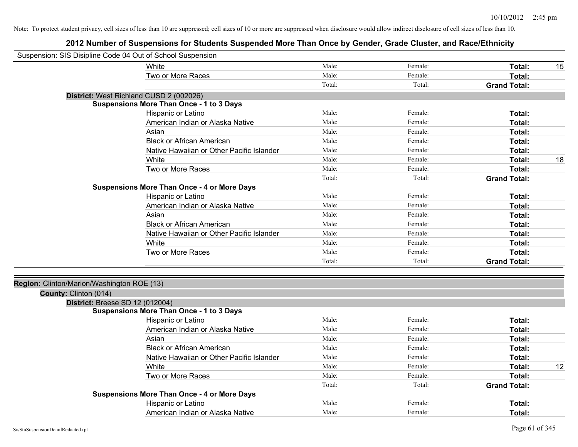| Suspension: SIS Disipline Code 04 Out of School Suspension |                                                    |        |         |                     |    |
|------------------------------------------------------------|----------------------------------------------------|--------|---------|---------------------|----|
|                                                            | White                                              | Male:  | Female: | Total:              | 15 |
|                                                            | Two or More Races                                  | Male:  | Female: | Total:              |    |
|                                                            |                                                    | Total: | Total:  | <b>Grand Total:</b> |    |
|                                                            | District: West Richland CUSD 2 (002026)            |        |         |                     |    |
|                                                            | <b>Suspensions More Than Once - 1 to 3 Days</b>    |        |         |                     |    |
|                                                            | Hispanic or Latino                                 | Male:  | Female: | Total:              |    |
|                                                            | American Indian or Alaska Native                   | Male:  | Female: | Total:              |    |
|                                                            | Asian                                              | Male:  | Female: | Total:              |    |
|                                                            | <b>Black or African American</b>                   | Male:  | Female: | Total:              |    |
|                                                            | Native Hawaiian or Other Pacific Islander          | Male:  | Female: | Total:              |    |
|                                                            | White                                              | Male:  | Female: | Total:              | 18 |
|                                                            | Two or More Races                                  | Male:  | Female: | Total:              |    |
|                                                            |                                                    | Total: | Total:  | <b>Grand Total:</b> |    |
|                                                            | <b>Suspensions More Than Once - 4 or More Days</b> |        |         |                     |    |
|                                                            | Hispanic or Latino                                 | Male:  | Female: | Total:              |    |
|                                                            | American Indian or Alaska Native                   | Male:  | Female: | Total:              |    |
|                                                            | Asian                                              | Male:  | Female: | Total:              |    |
|                                                            | <b>Black or African American</b>                   | Male:  | Female: | Total:              |    |
|                                                            | Native Hawaiian or Other Pacific Islander          | Male:  | Female: | Total:              |    |
|                                                            | White                                              | Male:  | Female: | Total:              |    |
|                                                            | Two or More Races                                  | Male:  | Female: | Total:              |    |
|                                                            |                                                    | Total: | Total:  | <b>Grand Total:</b> |    |
|                                                            |                                                    |        |         |                     |    |
| Region: Clinton/Marion/Washington ROE (13)                 |                                                    |        |         |                     |    |
| County: Clinton (014)                                      |                                                    |        |         |                     |    |
| District: Breese SD 12 (012004)                            |                                                    |        |         |                     |    |
|                                                            | <b>Suspensions More Than Once - 1 to 3 Days</b>    |        |         |                     |    |
|                                                            | Hispanic or Latino                                 | Male:  | Female: | Total:              |    |
|                                                            | American Indian or Alaska Native                   | Male:  | Female: | Total:              |    |
|                                                            | Asian                                              | Male:  | Female: | Total:              |    |
|                                                            | <b>Black or African American</b>                   | Male:  | Female: | Total:              |    |
|                                                            | Native Hawaiian or Other Pacific Islander          | Male:  | Female: | Total:              |    |
|                                                            | White                                              | Male:  | Female: | Total:              | 12 |
|                                                            | Two or More Races                                  | Male:  | Female: | Total:              |    |
|                                                            |                                                    | Total: | Total:  | <b>Grand Total:</b> |    |
|                                                            | <b>Suspensions More Than Once - 4 or More Days</b> |        |         |                     |    |
|                                                            | Hispanic or Latino                                 | Male:  | Female: | Total:              |    |
|                                                            | American Indian or Alaska Native                   | Male:  | Female: | Total:              |    |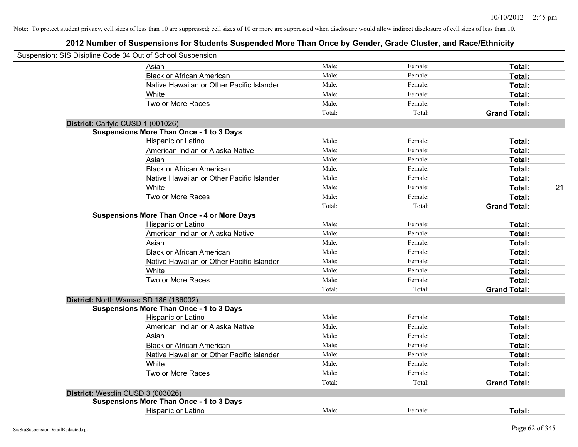| Suspension: SIS Disipline Code 04 Out of School Suspension |        |         |                     |    |
|------------------------------------------------------------|--------|---------|---------------------|----|
| Asian                                                      | Male:  | Female: | Total:              |    |
| <b>Black or African American</b>                           | Male:  | Female: | Total:              |    |
| Native Hawaiian or Other Pacific Islander                  | Male:  | Female: | Total:              |    |
| White                                                      | Male:  | Female: | Total:              |    |
| Two or More Races                                          | Male:  | Female: | Total:              |    |
|                                                            | Total: | Total:  | <b>Grand Total:</b> |    |
| District: Carlyle CUSD 1 (001026)                          |        |         |                     |    |
| <b>Suspensions More Than Once - 1 to 3 Days</b>            |        |         |                     |    |
| Hispanic or Latino                                         | Male:  | Female: | Total:              |    |
| American Indian or Alaska Native                           | Male:  | Female: | Total:              |    |
| Asian                                                      | Male:  | Female: | Total:              |    |
| <b>Black or African American</b>                           | Male:  | Female: | Total:              |    |
| Native Hawaiian or Other Pacific Islander                  | Male:  | Female: | Total:              |    |
| White                                                      | Male:  | Female: | Total:              | 21 |
| Two or More Races                                          | Male:  | Female: | Total:              |    |
|                                                            | Total: | Total:  | <b>Grand Total:</b> |    |
| <b>Suspensions More Than Once - 4 or More Days</b>         |        |         |                     |    |
| Hispanic or Latino                                         | Male:  | Female: | Total:              |    |
| American Indian or Alaska Native                           | Male:  | Female: | Total:              |    |
| Asian                                                      | Male:  | Female: | Total:              |    |
| <b>Black or African American</b>                           | Male:  | Female: | Total:              |    |
| Native Hawaiian or Other Pacific Islander                  | Male:  | Female: | Total:              |    |
| White                                                      | Male:  | Female: | Total:              |    |
| Two or More Races                                          | Male:  | Female: | Total:              |    |
|                                                            | Total: | Total:  | <b>Grand Total:</b> |    |
| District: North Wamac SD 186 (186002)                      |        |         |                     |    |
| <b>Suspensions More Than Once - 1 to 3 Days</b>            |        |         |                     |    |
| Hispanic or Latino                                         | Male:  | Female: | Total:              |    |
| American Indian or Alaska Native                           | Male:  | Female: | Total:              |    |
| Asian                                                      | Male:  | Female: | Total:              |    |
| <b>Black or African American</b>                           | Male:  | Female: | Total:              |    |
| Native Hawaiian or Other Pacific Islander                  | Male:  | Female: | Total:              |    |
| White                                                      | Male:  | Female: | Total:              |    |
| Two or More Races                                          | Male:  | Female: | Total:              |    |
|                                                            | Total: | Total:  | <b>Grand Total:</b> |    |
| District: Wesclin CUSD 3 (003026)                          |        |         |                     |    |
| <b>Suspensions More Than Once - 1 to 3 Days</b>            |        |         |                     |    |
| <b>Hispanic or Latino</b>                                  | Male:  | Female: | Total:              |    |
|                                                            |        |         |                     |    |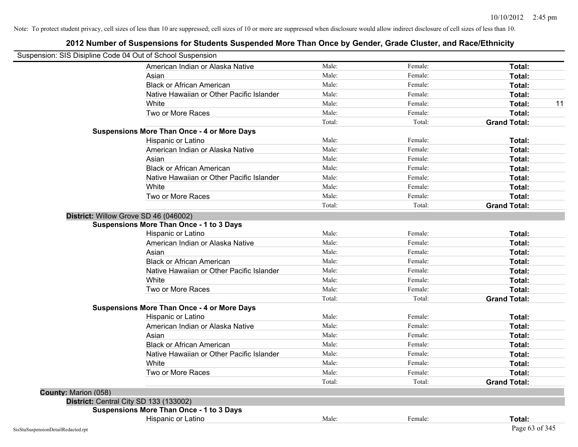| Suspension: SIS Disipline Code 04 Out of School Suspension |                                                    |        |         |                     |    |
|------------------------------------------------------------|----------------------------------------------------|--------|---------|---------------------|----|
|                                                            | American Indian or Alaska Native                   | Male:  | Female: | Total:              |    |
|                                                            | Asian                                              | Male:  | Female: | Total:              |    |
|                                                            | <b>Black or African American</b>                   | Male:  | Female: | Total:              |    |
|                                                            | Native Hawaiian or Other Pacific Islander          | Male:  | Female: | Total:              |    |
|                                                            | White                                              | Male:  | Female: | Total:              | 11 |
|                                                            | Two or More Races                                  | Male:  | Female: | Total:              |    |
|                                                            |                                                    | Total: | Total:  | <b>Grand Total:</b> |    |
|                                                            | <b>Suspensions More Than Once - 4 or More Days</b> |        |         |                     |    |
|                                                            | Hispanic or Latino                                 | Male:  | Female: | Total:              |    |
|                                                            | American Indian or Alaska Native                   | Male:  | Female: | Total:              |    |
|                                                            | Asian                                              | Male:  | Female: | Total:              |    |
|                                                            | <b>Black or African American</b>                   | Male:  | Female: | Total:              |    |
|                                                            | Native Hawaiian or Other Pacific Islander          | Male:  | Female: | Total:              |    |
|                                                            | White                                              | Male:  | Female: | Total:              |    |
|                                                            | Two or More Races                                  | Male:  | Female: | Total:              |    |
|                                                            |                                                    | Total: | Total:  | <b>Grand Total:</b> |    |
| District: Willow Grove SD 46 (046002)                      |                                                    |        |         |                     |    |
|                                                            | <b>Suspensions More Than Once - 1 to 3 Days</b>    |        |         |                     |    |
|                                                            | Hispanic or Latino                                 | Male:  | Female: | Total:              |    |
|                                                            | American Indian or Alaska Native                   | Male:  | Female: | Total:              |    |
|                                                            | Asian                                              | Male:  | Female: | Total:              |    |
|                                                            | <b>Black or African American</b>                   | Male:  | Female: | Total:              |    |
|                                                            | Native Hawaiian or Other Pacific Islander          | Male:  | Female: | Total:              |    |
|                                                            | White                                              | Male:  | Female: | Total:              |    |
|                                                            | Two or More Races                                  | Male:  | Female: | Total:              |    |
|                                                            |                                                    | Total: | Total:  | <b>Grand Total:</b> |    |
|                                                            | <b>Suspensions More Than Once - 4 or More Days</b> |        |         |                     |    |
|                                                            | Hispanic or Latino                                 | Male:  | Female: | Total:              |    |
|                                                            | American Indian or Alaska Native                   | Male:  | Female: | Total:              |    |
|                                                            | Asian                                              | Male:  | Female: | Total:              |    |
|                                                            | <b>Black or African American</b>                   | Male:  | Female: | Total:              |    |
|                                                            | Native Hawaiian or Other Pacific Islander          | Male:  | Female: | Total:              |    |
|                                                            | White                                              | Male:  | Female: | Total:              |    |
|                                                            | Two or More Races                                  | Male:  | Female: | Total:              |    |
|                                                            |                                                    | Total: | Total:  | <b>Grand Total:</b> |    |
| County: Marion (058)                                       |                                                    |        |         |                     |    |
| District: Central City SD 133 (133002)                     |                                                    |        |         |                     |    |
|                                                            | <b>Suspensions More Than Once - 1 to 3 Days</b>    |        |         |                     |    |
|                                                            | Hispanic or Latino                                 | Male:  | Female: | Total:              |    |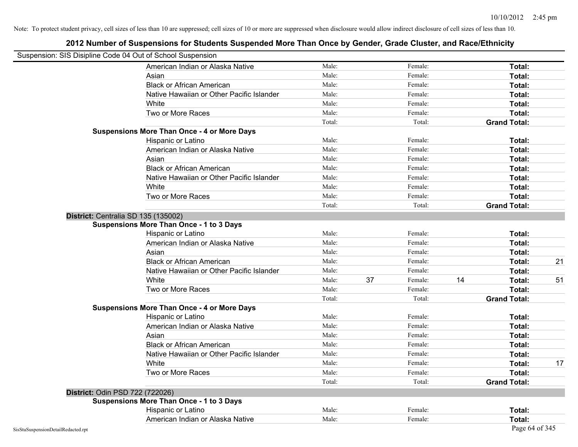|                                    | Suspension: SIS Disipline Code 04 Out of School Suspension |        |    |         |    |                     |    |
|------------------------------------|------------------------------------------------------------|--------|----|---------|----|---------------------|----|
|                                    | American Indian or Alaska Native                           | Male:  |    | Female: |    | Total:              |    |
|                                    | Asian                                                      | Male:  |    | Female: |    | Total:              |    |
|                                    | <b>Black or African American</b>                           | Male:  |    | Female: |    | Total:              |    |
|                                    | Native Hawaiian or Other Pacific Islander                  | Male:  |    | Female: |    | Total:              |    |
|                                    | White                                                      | Male:  |    | Female: |    | Total:              |    |
|                                    | Two or More Races                                          | Male:  |    | Female: |    | Total:              |    |
|                                    |                                                            | Total: |    | Total:  |    | <b>Grand Total:</b> |    |
|                                    | <b>Suspensions More Than Once - 4 or More Days</b>         |        |    |         |    |                     |    |
|                                    | Hispanic or Latino                                         | Male:  |    | Female: |    | Total:              |    |
|                                    | American Indian or Alaska Native                           | Male:  |    | Female: |    | Total:              |    |
|                                    | Asian                                                      | Male:  |    | Female: |    | Total:              |    |
|                                    | <b>Black or African American</b>                           | Male:  |    | Female: |    | Total:              |    |
|                                    | Native Hawaiian or Other Pacific Islander                  | Male:  |    | Female: |    | Total:              |    |
|                                    | White                                                      | Male:  |    | Female: |    | Total:              |    |
|                                    | Two or More Races                                          | Male:  |    | Female: |    | Total:              |    |
|                                    |                                                            | Total: |    | Total:  |    | <b>Grand Total:</b> |    |
|                                    | District: Centralia SD 135 (135002)                        |        |    |         |    |                     |    |
|                                    | <b>Suspensions More Than Once - 1 to 3 Days</b>            |        |    |         |    |                     |    |
|                                    | Hispanic or Latino                                         | Male:  |    | Female: |    | Total:              |    |
|                                    | American Indian or Alaska Native                           | Male:  |    | Female: |    | Total:              |    |
|                                    | Asian                                                      | Male:  |    | Female: |    | Total:              |    |
|                                    | <b>Black or African American</b>                           | Male:  |    | Female: |    | Total:              | 21 |
|                                    | Native Hawaiian or Other Pacific Islander                  | Male:  |    | Female: |    | Total:              |    |
|                                    | White                                                      | Male:  | 37 | Female: | 14 | Total:              | 51 |
|                                    | Two or More Races                                          | Male:  |    | Female: |    | Total:              |    |
|                                    |                                                            | Total: |    | Total:  |    | <b>Grand Total:</b> |    |
|                                    | <b>Suspensions More Than Once - 4 or More Days</b>         |        |    |         |    |                     |    |
|                                    | Hispanic or Latino                                         | Male:  |    | Female: |    | Total:              |    |
|                                    | American Indian or Alaska Native                           | Male:  |    | Female: |    | Total:              |    |
|                                    | Asian                                                      | Male:  |    | Female: |    | Total:              |    |
|                                    | <b>Black or African American</b>                           | Male:  |    | Female: |    | Total:              |    |
|                                    | Native Hawaiian or Other Pacific Islander                  | Male:  |    | Female: |    | Total:              |    |
|                                    | White                                                      | Male:  |    | Female: |    | Total:              | 17 |
|                                    | Two or More Races                                          | Male:  |    | Female: |    | Total:              |    |
|                                    |                                                            | Total: |    | Total:  |    | <b>Grand Total:</b> |    |
|                                    | District: Odin PSD 722 (722026)                            |        |    |         |    |                     |    |
|                                    | <b>Suspensions More Than Once - 1 to 3 Days</b>            |        |    |         |    |                     |    |
|                                    | Hispanic or Latino                                         | Male:  |    | Female: |    | Total:              |    |
|                                    | American Indian or Alaska Native                           | Male:  |    | Female: |    | Total:              |    |
| SisStuSuspensionDetailRedacted.rpt |                                                            |        |    |         |    | Page 64 of 345      |    |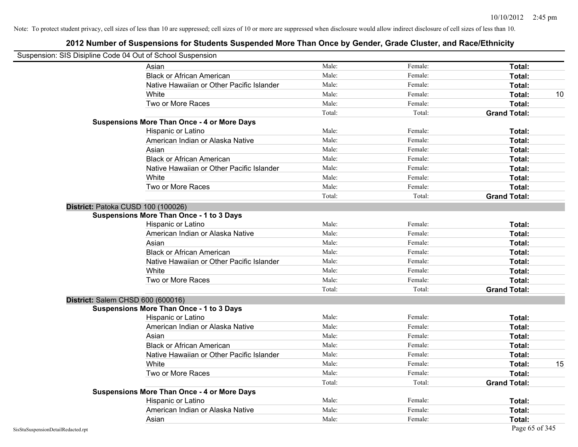| Suspension: SIS Disipline Code 04 Out of School Suspension |                                                    |        |         |                     |    |
|------------------------------------------------------------|----------------------------------------------------|--------|---------|---------------------|----|
|                                                            | Asian                                              | Male:  | Female: | Total:              |    |
|                                                            | <b>Black or African American</b>                   | Male:  | Female: | Total:              |    |
|                                                            | Native Hawaiian or Other Pacific Islander          | Male:  | Female: | Total:              |    |
|                                                            | White                                              | Male:  | Female: | Total:              | 10 |
|                                                            | Two or More Races                                  | Male:  | Female: | Total:              |    |
|                                                            |                                                    | Total: | Total:  | <b>Grand Total:</b> |    |
|                                                            | <b>Suspensions More Than Once - 4 or More Days</b> |        |         |                     |    |
|                                                            | Hispanic or Latino                                 | Male:  | Female: | Total:              |    |
|                                                            | American Indian or Alaska Native                   | Male:  | Female: | Total:              |    |
|                                                            | Asian                                              | Male:  | Female: | Total:              |    |
|                                                            | <b>Black or African American</b>                   | Male:  | Female: | Total:              |    |
|                                                            | Native Hawaiian or Other Pacific Islander          | Male:  | Female: | Total:              |    |
|                                                            | White                                              | Male:  | Female: | Total:              |    |
|                                                            | Two or More Races                                  | Male:  | Female: | Total:              |    |
|                                                            |                                                    | Total: | Total:  | <b>Grand Total:</b> |    |
|                                                            | District: Patoka CUSD 100 (100026)                 |        |         |                     |    |
|                                                            | <b>Suspensions More Than Once - 1 to 3 Days</b>    |        |         |                     |    |
|                                                            | Hispanic or Latino                                 | Male:  | Female: | Total:              |    |
|                                                            | American Indian or Alaska Native                   | Male:  | Female: | Total:              |    |
|                                                            | Asian                                              | Male:  | Female: | Total:              |    |
|                                                            | <b>Black or African American</b>                   | Male:  | Female: | Total:              |    |
|                                                            | Native Hawaiian or Other Pacific Islander          | Male:  | Female: | Total:              |    |
|                                                            | White                                              | Male:  | Female: | Total:              |    |
|                                                            | Two or More Races                                  | Male:  | Female: | Total:              |    |
|                                                            |                                                    | Total: | Total:  | <b>Grand Total:</b> |    |
|                                                            | District: Salem CHSD 600 (600016)                  |        |         |                     |    |
|                                                            | <b>Suspensions More Than Once - 1 to 3 Days</b>    |        |         |                     |    |
|                                                            | Hispanic or Latino                                 | Male:  | Female: | Total:              |    |
|                                                            | American Indian or Alaska Native                   | Male:  | Female: | Total:              |    |
|                                                            | Asian                                              | Male:  | Female: | Total:              |    |
|                                                            | <b>Black or African American</b>                   | Male:  | Female: | Total:              |    |
|                                                            | Native Hawaiian or Other Pacific Islander          | Male:  | Female: | Total:              |    |
|                                                            | White                                              | Male:  | Female: | Total:              | 15 |
|                                                            | Two or More Races                                  | Male:  | Female: | Total:              |    |
|                                                            |                                                    | Total: | Total:  | <b>Grand Total:</b> |    |
|                                                            | <b>Suspensions More Than Once - 4 or More Days</b> |        |         |                     |    |
|                                                            | Hispanic or Latino                                 | Male:  | Female: | Total:              |    |
|                                                            | American Indian or Alaska Native                   | Male:  | Female: | Total:              |    |
|                                                            | Asian                                              | Male:  | Female: | Total:              |    |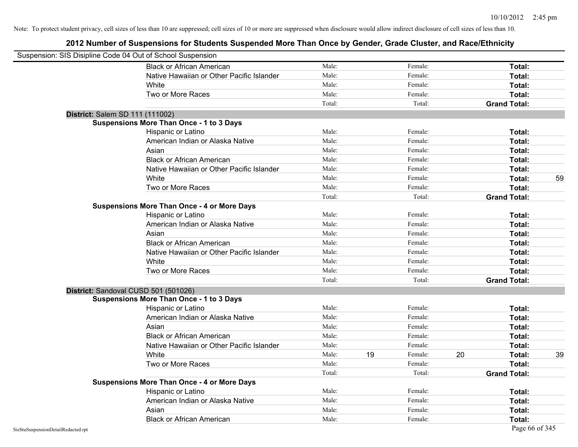| Suspension: SIS Disipline Code 04 Out of School Suspension |                                                    |        |    |         |    |                     |    |
|------------------------------------------------------------|----------------------------------------------------|--------|----|---------|----|---------------------|----|
|                                                            | <b>Black or African American</b>                   | Male:  |    | Female: |    | Total:              |    |
|                                                            | Native Hawaiian or Other Pacific Islander          | Male:  |    | Female: |    | Total:              |    |
|                                                            | White                                              | Male:  |    | Female: |    | Total:              |    |
|                                                            | Two or More Races                                  | Male:  |    | Female: |    | Total:              |    |
|                                                            |                                                    | Total: |    | Total:  |    | <b>Grand Total:</b> |    |
| District: Salem SD 111 (111002)                            |                                                    |        |    |         |    |                     |    |
|                                                            | <b>Suspensions More Than Once - 1 to 3 Days</b>    |        |    |         |    |                     |    |
|                                                            | Hispanic or Latino                                 | Male:  |    | Female: |    | Total:              |    |
|                                                            | American Indian or Alaska Native                   | Male:  |    | Female: |    | Total:              |    |
|                                                            | Asian                                              | Male:  |    | Female: |    | Total:              |    |
|                                                            | <b>Black or African American</b>                   | Male:  |    | Female: |    | Total:              |    |
|                                                            | Native Hawaiian or Other Pacific Islander          | Male:  |    | Female: |    | Total:              |    |
|                                                            | White                                              | Male:  |    | Female: |    | Total:              | 59 |
|                                                            | Two or More Races                                  | Male:  |    | Female: |    | Total:              |    |
|                                                            |                                                    | Total: |    | Total:  |    | <b>Grand Total:</b> |    |
|                                                            | <b>Suspensions More Than Once - 4 or More Days</b> |        |    |         |    |                     |    |
|                                                            | Hispanic or Latino                                 | Male:  |    | Female: |    | Total:              |    |
|                                                            | American Indian or Alaska Native                   | Male:  |    | Female: |    | Total:              |    |
|                                                            | Asian                                              | Male:  |    | Female: |    | Total:              |    |
|                                                            | <b>Black or African American</b>                   | Male:  |    | Female: |    | Total:              |    |
|                                                            | Native Hawaiian or Other Pacific Islander          | Male:  |    | Female: |    | Total:              |    |
|                                                            | White                                              | Male:  |    | Female: |    | Total:              |    |
|                                                            | Two or More Races                                  | Male:  |    | Female: |    | Total:              |    |
|                                                            |                                                    | Total: |    | Total:  |    | <b>Grand Total:</b> |    |
|                                                            | District: Sandoval CUSD 501 (501026)               |        |    |         |    |                     |    |
|                                                            | <b>Suspensions More Than Once - 1 to 3 Days</b>    |        |    |         |    |                     |    |
|                                                            | Hispanic or Latino                                 | Male:  |    | Female: |    | Total:              |    |
|                                                            | American Indian or Alaska Native                   | Male:  |    | Female: |    | Total:              |    |
|                                                            | Asian                                              | Male:  |    | Female: |    | Total:              |    |
|                                                            | <b>Black or African American</b>                   | Male:  |    | Female: |    | Total:              |    |
|                                                            | Native Hawaiian or Other Pacific Islander          | Male:  |    | Female: |    | Total:              |    |
|                                                            | White                                              | Male:  | 19 | Female: | 20 | Total:              | 39 |
|                                                            | Two or More Races                                  | Male:  |    | Female: |    | Total:              |    |
|                                                            |                                                    | Total: |    | Total:  |    | <b>Grand Total:</b> |    |
|                                                            | <b>Suspensions More Than Once - 4 or More Days</b> |        |    |         |    |                     |    |
|                                                            | Hispanic or Latino                                 | Male:  |    | Female: |    | Total:              |    |
|                                                            | American Indian or Alaska Native                   | Male:  |    | Female: |    | Total:              |    |
|                                                            | Asian                                              | Male:  |    | Female: |    | Total:              |    |
|                                                            | <b>Black or African American</b>                   | Male:  |    | Female: |    | Total:              |    |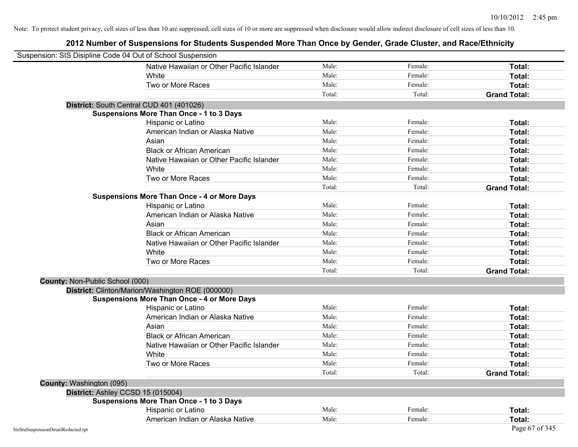| Suspension: SIS Disipline Code 04 Out of School Suspension |                                                    |        |         |                     |
|------------------------------------------------------------|----------------------------------------------------|--------|---------|---------------------|
|                                                            | Native Hawaiian or Other Pacific Islander          | Male:  | Female: | Total:              |
|                                                            | White                                              | Male:  | Female: | Total:              |
|                                                            | Two or More Races                                  | Male:  | Female: | Total:              |
|                                                            |                                                    | Total: | Total:  | <b>Grand Total:</b> |
|                                                            | District: South Central CUD 401 (401026)           |        |         |                     |
|                                                            | <b>Suspensions More Than Once - 1 to 3 Days</b>    |        |         |                     |
|                                                            | Hispanic or Latino                                 | Male:  | Female: | Total:              |
|                                                            | American Indian or Alaska Native                   | Male:  | Female: | Total:              |
|                                                            | Asian                                              | Male:  | Female: | Total:              |
|                                                            | <b>Black or African American</b>                   | Male:  | Female: | Total:              |
|                                                            | Native Hawaiian or Other Pacific Islander          | Male:  | Female: | Total:              |
|                                                            | White                                              | Male:  | Female: | Total:              |
|                                                            | Two or More Races                                  | Male:  | Female: | Total:              |
|                                                            |                                                    | Total: | Total:  | <b>Grand Total:</b> |
|                                                            | <b>Suspensions More Than Once - 4 or More Days</b> |        |         |                     |
|                                                            | Hispanic or Latino                                 | Male:  | Female: | Total:              |
|                                                            | American Indian or Alaska Native                   | Male:  | Female: | Total:              |
|                                                            | Asian                                              | Male:  | Female: | Total:              |
|                                                            | <b>Black or African American</b>                   | Male:  | Female: | Total:              |
|                                                            | Native Hawaiian or Other Pacific Islander          | Male:  | Female: | Total:              |
|                                                            | White                                              | Male:  | Female: | Total:              |
|                                                            | Two or More Races                                  | Male:  | Female: | Total:              |
|                                                            |                                                    | Total: | Total:  | <b>Grand Total:</b> |
| County: Non-Public School (000)                            |                                                    |        |         |                     |
|                                                            | District: Clinton/Marion/Washington ROE (000000)   |        |         |                     |
|                                                            | <b>Suspensions More Than Once - 4 or More Days</b> |        |         |                     |
|                                                            | Hispanic or Latino                                 | Male:  | Female: | Total:              |
|                                                            | American Indian or Alaska Native                   | Male:  | Female: | Total:              |
|                                                            | Asian                                              | Male:  | Female: | Total:              |
|                                                            | <b>Black or African American</b>                   | Male:  | Female: | Total:              |
|                                                            | Native Hawaiian or Other Pacific Islander          | Male:  | Female: | Total:              |
|                                                            | White                                              | Male:  | Female: | Total:              |
|                                                            | Two or More Races                                  | Male:  | Female: | Total:              |
|                                                            |                                                    | Total: | Total:  | <b>Grand Total:</b> |
| County: Washington (095)                                   |                                                    |        |         |                     |
| District: Ashley CCSD 15 (015004)                          |                                                    |        |         |                     |
|                                                            | <b>Suspensions More Than Once - 1 to 3 Days</b>    |        |         |                     |
|                                                            | Hispanic or Latino                                 | Male:  | Female: | Total:              |
|                                                            | American Indian or Alaska Native                   | Male:  | Female: | Total:              |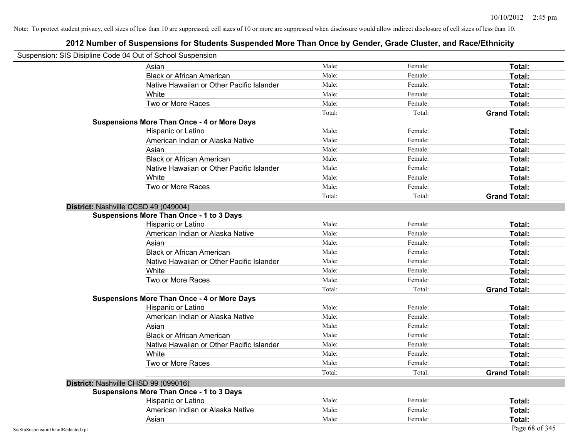| Suspension: SIS Disipline Code 04 Out of School Suspension |                                                    |        |         |                     |
|------------------------------------------------------------|----------------------------------------------------|--------|---------|---------------------|
|                                                            | Asian                                              | Male:  | Female: | Total:              |
|                                                            | <b>Black or African American</b>                   | Male:  | Female: | Total:              |
|                                                            | Native Hawaiian or Other Pacific Islander          | Male:  | Female: | Total:              |
|                                                            | White                                              | Male:  | Female: | Total:              |
|                                                            | Two or More Races                                  | Male:  | Female: | Total:              |
|                                                            |                                                    | Total: | Total:  | <b>Grand Total:</b> |
|                                                            | <b>Suspensions More Than Once - 4 or More Days</b> |        |         |                     |
|                                                            | Hispanic or Latino                                 | Male:  | Female: | Total:              |
|                                                            | American Indian or Alaska Native                   | Male:  | Female: | Total:              |
|                                                            | Asian                                              | Male:  | Female: | Total:              |
|                                                            | <b>Black or African American</b>                   | Male:  | Female: | Total:              |
|                                                            | Native Hawaiian or Other Pacific Islander          | Male:  | Female: | Total:              |
|                                                            | White                                              | Male:  | Female: | Total:              |
|                                                            | Two or More Races                                  | Male:  | Female: | Total:              |
|                                                            |                                                    | Total: | Total:  | <b>Grand Total:</b> |
| District: Nashville CCSD 49 (049004)                       |                                                    |        |         |                     |
|                                                            | <b>Suspensions More Than Once - 1 to 3 Days</b>    |        |         |                     |
|                                                            | Hispanic or Latino                                 | Male:  | Female: | Total:              |
|                                                            | American Indian or Alaska Native                   | Male:  | Female: | Total:              |
|                                                            | Asian                                              | Male:  | Female: | Total:              |
|                                                            | <b>Black or African American</b>                   | Male:  | Female: | Total:              |
|                                                            | Native Hawaiian or Other Pacific Islander          | Male:  | Female: | Total:              |
|                                                            | White                                              | Male:  | Female: | Total:              |
|                                                            | Two or More Races                                  | Male:  | Female: | Total:              |
|                                                            |                                                    | Total: | Total:  | <b>Grand Total:</b> |
|                                                            | <b>Suspensions More Than Once - 4 or More Days</b> |        |         |                     |
|                                                            | Hispanic or Latino                                 | Male:  | Female: | Total:              |
|                                                            | American Indian or Alaska Native                   | Male:  | Female: | Total:              |
|                                                            | Asian                                              | Male:  | Female: | Total:              |
|                                                            | <b>Black or African American</b>                   | Male:  | Female: | Total:              |
|                                                            | Native Hawaiian or Other Pacific Islander          | Male:  | Female: | Total:              |
|                                                            | White                                              | Male:  | Female: | Total:              |
|                                                            | Two or More Races                                  | Male:  | Female: | Total:              |
|                                                            |                                                    | Total: | Total:  | <b>Grand Total:</b> |
| District: Nashville CHSD 99 (099016)                       |                                                    |        |         |                     |
|                                                            | <b>Suspensions More Than Once - 1 to 3 Days</b>    |        |         |                     |
|                                                            | Hispanic or Latino                                 | Male:  | Female: | Total:              |
|                                                            | American Indian or Alaska Native                   | Male:  | Female: | Total:              |
|                                                            | Asian                                              | Male:  | Female: | Total:              |
| SisStuSuspensionDetailRedacted.rpt                         |                                                    |        |         | Page 68 of 345      |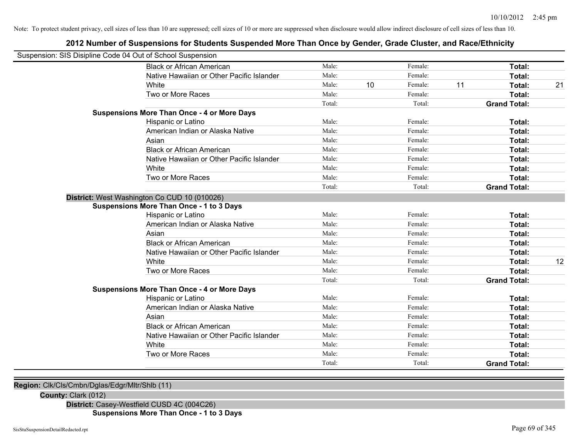## **2012 Number of Suspensions for Students Suspended More Than Once by Gender, Grade Cluster, and Race/Ethnicity**

| Male:<br><b>Black or African American</b><br>Female:<br>Total:<br>Male:<br>Female:<br>Native Hawaiian or Other Pacific Islander<br>Total:<br>Male:<br>10<br>Female:<br>11<br>White<br>Total:<br>Two or More Races<br>Male:<br>Female:<br>Total:<br>Total:<br>Total:<br><b>Grand Total:</b><br><b>Suspensions More Than Once - 4 or More Days</b><br>Male:<br>Female:<br>Total:<br>Hispanic or Latino<br>Male:<br>Female:<br>American Indian or Alaska Native<br>Total:<br>Male:<br>Female:<br>Asian<br>Total:<br>Male:<br><b>Black or African American</b><br>Female:<br>Total:<br>Male:<br>Female:<br>Native Hawaiian or Other Pacific Islander<br>Total:<br>Male:<br>Female:<br>White<br>Total:<br>Male:<br>Female:<br>Two or More Races<br>Total:<br>Total:<br>Total:<br><b>Grand Total:</b><br>District: West Washington Co CUD 10 (010026)<br><b>Suspensions More Than Once - 1 to 3 Days</b><br>Male:<br>Hispanic or Latino<br>Female:<br>Total:<br>American Indian or Alaska Native<br>Male:<br>Female:<br>Total:<br>Male:<br>Female:<br>Asian<br>Total:<br><b>Black or African American</b><br>Male:<br>Female:<br>Total:<br>Native Hawaiian or Other Pacific Islander<br>Male:<br>Female:<br>Total:<br>White<br>Male:<br>12<br>Female:<br>Total:<br>Two or More Races<br>Male:<br>Female:<br>Total:<br>Total:<br>Total:<br><b>Grand Total:</b><br><b>Suspensions More Than Once - 4 or More Days</b><br>Male:<br>Hispanic or Latino<br>Female:<br>Total:<br>American Indian or Alaska Native<br>Male:<br>Female:<br>Total:<br>Female:<br>Male:<br>Asian<br>Total:<br><b>Black or African American</b><br>Female:<br>Male:<br>Total:<br>Native Hawaiian or Other Pacific Islander<br>Male:<br>Female:<br>Total:<br>White<br>Male:<br>Female:<br>Total:<br>Two or More Races<br>Male:<br>Female:<br>Total:<br>Total:<br>Total:<br><b>Grand Total:</b> | Suspension: SIS Disipline Code 04 Out of School Suspension |  |  |  |    |
|--------------------------------------------------------------------------------------------------------------------------------------------------------------------------------------------------------------------------------------------------------------------------------------------------------------------------------------------------------------------------------------------------------------------------------------------------------------------------------------------------------------------------------------------------------------------------------------------------------------------------------------------------------------------------------------------------------------------------------------------------------------------------------------------------------------------------------------------------------------------------------------------------------------------------------------------------------------------------------------------------------------------------------------------------------------------------------------------------------------------------------------------------------------------------------------------------------------------------------------------------------------------------------------------------------------------------------------------------------------------------------------------------------------------------------------------------------------------------------------------------------------------------------------------------------------------------------------------------------------------------------------------------------------------------------------------------------------------------------------------------------------------------------------------------------------------------------------------------------------|------------------------------------------------------------|--|--|--|----|
|                                                                                                                                                                                                                                                                                                                                                                                                                                                                                                                                                                                                                                                                                                                                                                                                                                                                                                                                                                                                                                                                                                                                                                                                                                                                                                                                                                                                                                                                                                                                                                                                                                                                                                                                                                                                                                                              |                                                            |  |  |  |    |
|                                                                                                                                                                                                                                                                                                                                                                                                                                                                                                                                                                                                                                                                                                                                                                                                                                                                                                                                                                                                                                                                                                                                                                                                                                                                                                                                                                                                                                                                                                                                                                                                                                                                                                                                                                                                                                                              |                                                            |  |  |  |    |
|                                                                                                                                                                                                                                                                                                                                                                                                                                                                                                                                                                                                                                                                                                                                                                                                                                                                                                                                                                                                                                                                                                                                                                                                                                                                                                                                                                                                                                                                                                                                                                                                                                                                                                                                                                                                                                                              |                                                            |  |  |  | 21 |
|                                                                                                                                                                                                                                                                                                                                                                                                                                                                                                                                                                                                                                                                                                                                                                                                                                                                                                                                                                                                                                                                                                                                                                                                                                                                                                                                                                                                                                                                                                                                                                                                                                                                                                                                                                                                                                                              |                                                            |  |  |  |    |
|                                                                                                                                                                                                                                                                                                                                                                                                                                                                                                                                                                                                                                                                                                                                                                                                                                                                                                                                                                                                                                                                                                                                                                                                                                                                                                                                                                                                                                                                                                                                                                                                                                                                                                                                                                                                                                                              |                                                            |  |  |  |    |
|                                                                                                                                                                                                                                                                                                                                                                                                                                                                                                                                                                                                                                                                                                                                                                                                                                                                                                                                                                                                                                                                                                                                                                                                                                                                                                                                                                                                                                                                                                                                                                                                                                                                                                                                                                                                                                                              |                                                            |  |  |  |    |
|                                                                                                                                                                                                                                                                                                                                                                                                                                                                                                                                                                                                                                                                                                                                                                                                                                                                                                                                                                                                                                                                                                                                                                                                                                                                                                                                                                                                                                                                                                                                                                                                                                                                                                                                                                                                                                                              |                                                            |  |  |  |    |
|                                                                                                                                                                                                                                                                                                                                                                                                                                                                                                                                                                                                                                                                                                                                                                                                                                                                                                                                                                                                                                                                                                                                                                                                                                                                                                                                                                                                                                                                                                                                                                                                                                                                                                                                                                                                                                                              |                                                            |  |  |  |    |
|                                                                                                                                                                                                                                                                                                                                                                                                                                                                                                                                                                                                                                                                                                                                                                                                                                                                                                                                                                                                                                                                                                                                                                                                                                                                                                                                                                                                                                                                                                                                                                                                                                                                                                                                                                                                                                                              |                                                            |  |  |  |    |
|                                                                                                                                                                                                                                                                                                                                                                                                                                                                                                                                                                                                                                                                                                                                                                                                                                                                                                                                                                                                                                                                                                                                                                                                                                                                                                                                                                                                                                                                                                                                                                                                                                                                                                                                                                                                                                                              |                                                            |  |  |  |    |
|                                                                                                                                                                                                                                                                                                                                                                                                                                                                                                                                                                                                                                                                                                                                                                                                                                                                                                                                                                                                                                                                                                                                                                                                                                                                                                                                                                                                                                                                                                                                                                                                                                                                                                                                                                                                                                                              |                                                            |  |  |  |    |
|                                                                                                                                                                                                                                                                                                                                                                                                                                                                                                                                                                                                                                                                                                                                                                                                                                                                                                                                                                                                                                                                                                                                                                                                                                                                                                                                                                                                                                                                                                                                                                                                                                                                                                                                                                                                                                                              |                                                            |  |  |  |    |
|                                                                                                                                                                                                                                                                                                                                                                                                                                                                                                                                                                                                                                                                                                                                                                                                                                                                                                                                                                                                                                                                                                                                                                                                                                                                                                                                                                                                                                                                                                                                                                                                                                                                                                                                                                                                                                                              |                                                            |  |  |  |    |
|                                                                                                                                                                                                                                                                                                                                                                                                                                                                                                                                                                                                                                                                                                                                                                                                                                                                                                                                                                                                                                                                                                                                                                                                                                                                                                                                                                                                                                                                                                                                                                                                                                                                                                                                                                                                                                                              |                                                            |  |  |  |    |
|                                                                                                                                                                                                                                                                                                                                                                                                                                                                                                                                                                                                                                                                                                                                                                                                                                                                                                                                                                                                                                                                                                                                                                                                                                                                                                                                                                                                                                                                                                                                                                                                                                                                                                                                                                                                                                                              |                                                            |  |  |  |    |
|                                                                                                                                                                                                                                                                                                                                                                                                                                                                                                                                                                                                                                                                                                                                                                                                                                                                                                                                                                                                                                                                                                                                                                                                                                                                                                                                                                                                                                                                                                                                                                                                                                                                                                                                                                                                                                                              |                                                            |  |  |  |    |
|                                                                                                                                                                                                                                                                                                                                                                                                                                                                                                                                                                                                                                                                                                                                                                                                                                                                                                                                                                                                                                                                                                                                                                                                                                                                                                                                                                                                                                                                                                                                                                                                                                                                                                                                                                                                                                                              |                                                            |  |  |  |    |
|                                                                                                                                                                                                                                                                                                                                                                                                                                                                                                                                                                                                                                                                                                                                                                                                                                                                                                                                                                                                                                                                                                                                                                                                                                                                                                                                                                                                                                                                                                                                                                                                                                                                                                                                                                                                                                                              |                                                            |  |  |  |    |
|                                                                                                                                                                                                                                                                                                                                                                                                                                                                                                                                                                                                                                                                                                                                                                                                                                                                                                                                                                                                                                                                                                                                                                                                                                                                                                                                                                                                                                                                                                                                                                                                                                                                                                                                                                                                                                                              |                                                            |  |  |  |    |
|                                                                                                                                                                                                                                                                                                                                                                                                                                                                                                                                                                                                                                                                                                                                                                                                                                                                                                                                                                                                                                                                                                                                                                                                                                                                                                                                                                                                                                                                                                                                                                                                                                                                                                                                                                                                                                                              |                                                            |  |  |  |    |
|                                                                                                                                                                                                                                                                                                                                                                                                                                                                                                                                                                                                                                                                                                                                                                                                                                                                                                                                                                                                                                                                                                                                                                                                                                                                                                                                                                                                                                                                                                                                                                                                                                                                                                                                                                                                                                                              |                                                            |  |  |  |    |
|                                                                                                                                                                                                                                                                                                                                                                                                                                                                                                                                                                                                                                                                                                                                                                                                                                                                                                                                                                                                                                                                                                                                                                                                                                                                                                                                                                                                                                                                                                                                                                                                                                                                                                                                                                                                                                                              |                                                            |  |  |  |    |
|                                                                                                                                                                                                                                                                                                                                                                                                                                                                                                                                                                                                                                                                                                                                                                                                                                                                                                                                                                                                                                                                                                                                                                                                                                                                                                                                                                                                                                                                                                                                                                                                                                                                                                                                                                                                                                                              |                                                            |  |  |  |    |
|                                                                                                                                                                                                                                                                                                                                                                                                                                                                                                                                                                                                                                                                                                                                                                                                                                                                                                                                                                                                                                                                                                                                                                                                                                                                                                                                                                                                                                                                                                                                                                                                                                                                                                                                                                                                                                                              |                                                            |  |  |  |    |
|                                                                                                                                                                                                                                                                                                                                                                                                                                                                                                                                                                                                                                                                                                                                                                                                                                                                                                                                                                                                                                                                                                                                                                                                                                                                                                                                                                                                                                                                                                                                                                                                                                                                                                                                                                                                                                                              |                                                            |  |  |  |    |
|                                                                                                                                                                                                                                                                                                                                                                                                                                                                                                                                                                                                                                                                                                                                                                                                                                                                                                                                                                                                                                                                                                                                                                                                                                                                                                                                                                                                                                                                                                                                                                                                                                                                                                                                                                                                                                                              |                                                            |  |  |  |    |
|                                                                                                                                                                                                                                                                                                                                                                                                                                                                                                                                                                                                                                                                                                                                                                                                                                                                                                                                                                                                                                                                                                                                                                                                                                                                                                                                                                                                                                                                                                                                                                                                                                                                                                                                                                                                                                                              |                                                            |  |  |  |    |
|                                                                                                                                                                                                                                                                                                                                                                                                                                                                                                                                                                                                                                                                                                                                                                                                                                                                                                                                                                                                                                                                                                                                                                                                                                                                                                                                                                                                                                                                                                                                                                                                                                                                                                                                                                                                                                                              |                                                            |  |  |  |    |
|                                                                                                                                                                                                                                                                                                                                                                                                                                                                                                                                                                                                                                                                                                                                                                                                                                                                                                                                                                                                                                                                                                                                                                                                                                                                                                                                                                                                                                                                                                                                                                                                                                                                                                                                                                                                                                                              |                                                            |  |  |  |    |
|                                                                                                                                                                                                                                                                                                                                                                                                                                                                                                                                                                                                                                                                                                                                                                                                                                                                                                                                                                                                                                                                                                                                                                                                                                                                                                                                                                                                                                                                                                                                                                                                                                                                                                                                                                                                                                                              |                                                            |  |  |  |    |
|                                                                                                                                                                                                                                                                                                                                                                                                                                                                                                                                                                                                                                                                                                                                                                                                                                                                                                                                                                                                                                                                                                                                                                                                                                                                                                                                                                                                                                                                                                                                                                                                                                                                                                                                                                                                                                                              |                                                            |  |  |  |    |
|                                                                                                                                                                                                                                                                                                                                                                                                                                                                                                                                                                                                                                                                                                                                                                                                                                                                                                                                                                                                                                                                                                                                                                                                                                                                                                                                                                                                                                                                                                                                                                                                                                                                                                                                                                                                                                                              |                                                            |  |  |  |    |
|                                                                                                                                                                                                                                                                                                                                                                                                                                                                                                                                                                                                                                                                                                                                                                                                                                                                                                                                                                                                                                                                                                                                                                                                                                                                                                                                                                                                                                                                                                                                                                                                                                                                                                                                                                                                                                                              |                                                            |  |  |  |    |

**Region:** Clk/Cls/Cmbn/Dglas/Edgr/Mltr/Shlb (11)

#### **County:** Clark (012)

**District:** Casey-Westfield CUSD 4C (004C26) **Suspensions More Than Once - 1 to 3 Days**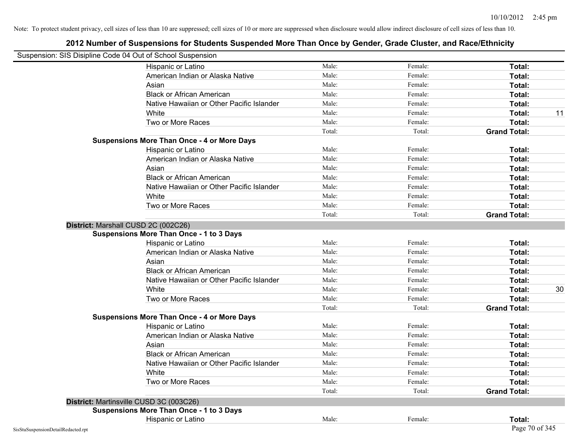| Suspension: SIS Disipline Code 04 Out of School Suspension |                                                    |        |         |                     |
|------------------------------------------------------------|----------------------------------------------------|--------|---------|---------------------|
|                                                            | Hispanic or Latino                                 | Male:  | Female: | Total:              |
|                                                            | American Indian or Alaska Native                   | Male:  | Female: | Total:              |
|                                                            | Asian                                              | Male:  | Female: | Total:              |
|                                                            | <b>Black or African American</b>                   | Male:  | Female: | Total:              |
|                                                            | Native Hawaiian or Other Pacific Islander          | Male:  | Female: | <b>Total:</b>       |
|                                                            | White                                              | Male:  | Female: | 11<br>Total:        |
|                                                            | Two or More Races                                  | Male:  | Female: | Total:              |
|                                                            |                                                    | Total: | Total:  | <b>Grand Total:</b> |
|                                                            | <b>Suspensions More Than Once - 4 or More Days</b> |        |         |                     |
|                                                            | Hispanic or Latino                                 | Male:  | Female: | Total:              |
|                                                            | American Indian or Alaska Native                   | Male:  | Female: | Total:              |
|                                                            | Asian                                              | Male:  | Female: | Total:              |
|                                                            | <b>Black or African American</b>                   | Male:  | Female: | Total:              |
|                                                            | Native Hawaiian or Other Pacific Islander          | Male:  | Female: | Total:              |
|                                                            | White                                              | Male:  | Female: | <b>Total:</b>       |
|                                                            | Two or More Races                                  | Male:  | Female: | Total:              |
|                                                            |                                                    | Total: | Total:  | <b>Grand Total:</b> |
|                                                            | District: Marshall CUSD 2C (002C26)                |        |         |                     |
|                                                            | <b>Suspensions More Than Once - 1 to 3 Days</b>    |        |         |                     |
|                                                            | Hispanic or Latino                                 | Male:  | Female: | Total:              |
|                                                            | American Indian or Alaska Native                   | Male:  | Female: | Total:              |
|                                                            | Asian                                              | Male:  | Female: | Total:              |
|                                                            | <b>Black or African American</b>                   | Male:  | Female: | Total:              |
|                                                            | Native Hawaiian or Other Pacific Islander          | Male:  | Female: | Total:              |
|                                                            | White                                              | Male:  | Female: | Total:<br>30        |
|                                                            | Two or More Races                                  | Male:  | Female: | Total:              |
|                                                            |                                                    | Total: | Total:  | <b>Grand Total:</b> |
|                                                            | <b>Suspensions More Than Once - 4 or More Days</b> |        |         |                     |
|                                                            | Hispanic or Latino                                 | Male:  | Female: | Total:              |
|                                                            | American Indian or Alaska Native                   | Male:  | Female: | Total:              |
|                                                            | Asian                                              | Male:  | Female: | Total:              |
|                                                            | <b>Black or African American</b>                   | Male:  | Female: | Total:              |
|                                                            | Native Hawaiian or Other Pacific Islander          | Male:  | Female: | <b>Total:</b>       |
|                                                            | White                                              | Male:  | Female: | <b>Total:</b>       |
|                                                            | Two or More Races                                  | Male:  | Female: | Total:              |
|                                                            |                                                    | Total: | Total:  | <b>Grand Total:</b> |
|                                                            | District: Martinsville CUSD 3C (003C26)            |        |         |                     |
|                                                            | <b>Suspensions More Than Once - 1 to 3 Days</b>    |        |         |                     |
|                                                            | Hispanic or Latino                                 | Male:  | Female: | Total:              |
| SisStuSuspensionDetailRedacted.rpt                         |                                                    |        |         | Page 70 of 345      |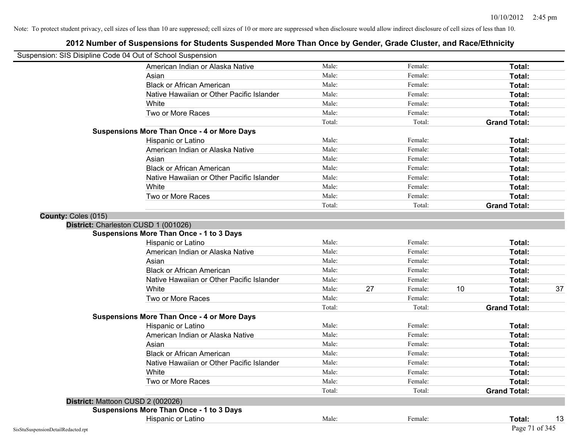| Suspension: SIS Disipline Code 04 Out of School Suspension |                                                    |        |    |         |    |                     |    |
|------------------------------------------------------------|----------------------------------------------------|--------|----|---------|----|---------------------|----|
|                                                            | American Indian or Alaska Native                   | Male:  |    | Female: |    | Total:              |    |
|                                                            | Asian                                              | Male:  |    | Female: |    | Total:              |    |
|                                                            | <b>Black or African American</b>                   | Male:  |    | Female: |    | Total:              |    |
|                                                            | Native Hawaiian or Other Pacific Islander          | Male:  |    | Female: |    | Total:              |    |
|                                                            | White                                              | Male:  |    | Female: |    | Total:              |    |
|                                                            | Two or More Races                                  | Male:  |    | Female: |    | Total:              |    |
|                                                            |                                                    | Total: |    | Total:  |    | <b>Grand Total:</b> |    |
|                                                            | <b>Suspensions More Than Once - 4 or More Days</b> |        |    |         |    |                     |    |
|                                                            | Hispanic or Latino                                 | Male:  |    | Female: |    | Total:              |    |
|                                                            | American Indian or Alaska Native                   | Male:  |    | Female: |    | Total:              |    |
|                                                            | Asian                                              | Male:  |    | Female: |    | Total:              |    |
|                                                            | <b>Black or African American</b>                   | Male:  |    | Female: |    | Total:              |    |
|                                                            | Native Hawaiian or Other Pacific Islander          | Male:  |    | Female: |    | Total:              |    |
|                                                            | White                                              | Male:  |    | Female: |    | Total:              |    |
|                                                            | Two or More Races                                  | Male:  |    | Female: |    | Total:              |    |
|                                                            |                                                    | Total: |    | Total:  |    | <b>Grand Total:</b> |    |
| County: Coles (015)                                        |                                                    |        |    |         |    |                     |    |
|                                                            | District: Charleston CUSD 1 (001026)               |        |    |         |    |                     |    |
|                                                            | <b>Suspensions More Than Once - 1 to 3 Days</b>    |        |    |         |    |                     |    |
|                                                            | Hispanic or Latino                                 | Male:  |    | Female: |    | Total:              |    |
|                                                            | American Indian or Alaska Native                   | Male:  |    | Female: |    | Total:              |    |
|                                                            | Asian                                              | Male:  |    | Female: |    | Total:              |    |
|                                                            | <b>Black or African American</b>                   | Male:  |    | Female: |    | Total:              |    |
|                                                            | Native Hawaiian or Other Pacific Islander          | Male:  |    | Female: |    | Total:              |    |
|                                                            | White                                              | Male:  | 27 | Female: | 10 | Total:              | 37 |
|                                                            | Two or More Races                                  | Male:  |    | Female: |    | Total:              |    |
|                                                            |                                                    | Total: |    | Total:  |    | <b>Grand Total:</b> |    |
|                                                            | <b>Suspensions More Than Once - 4 or More Days</b> |        |    |         |    |                     |    |
|                                                            | Hispanic or Latino                                 | Male:  |    | Female: |    | Total:              |    |
|                                                            | American Indian or Alaska Native                   | Male:  |    | Female: |    | Total:              |    |
|                                                            | Asian                                              | Male:  |    | Female: |    | Total:              |    |
|                                                            | <b>Black or African American</b>                   | Male:  |    | Female: |    | Total:              |    |
|                                                            | Native Hawaiian or Other Pacific Islander          | Male:  |    | Female: |    | Total:              |    |
|                                                            | White                                              | Male:  |    | Female: |    | Total:              |    |
|                                                            | Two or More Races                                  | Male:  |    | Female: |    | Total:              |    |
|                                                            |                                                    | Total: |    | Total:  |    | <b>Grand Total:</b> |    |
|                                                            | District: Mattoon CUSD 2 (002026)                  |        |    |         |    |                     |    |
|                                                            | <b>Suspensions More Than Once - 1 to 3 Days</b>    |        |    |         |    |                     |    |
|                                                            | Hispanic or Latino                                 | Male:  |    | Female: |    | Total:              | 13 |
| SisStuSuspensionDetailRedacted.rpt                         |                                                    |        |    |         |    | Page 71 of 345      |    |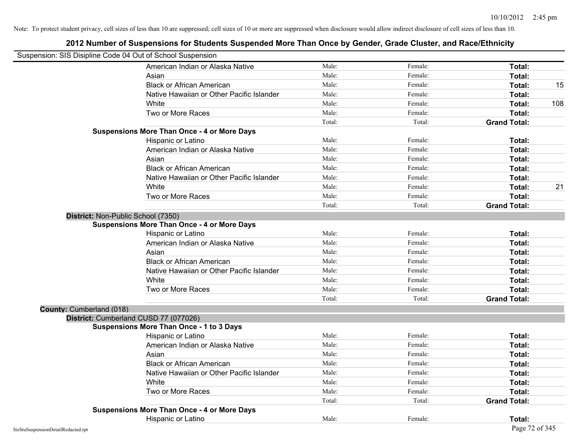| Suspension: SIS Disipline Code 04 Out of School Suspension |                                                    |        |         |                     |     |
|------------------------------------------------------------|----------------------------------------------------|--------|---------|---------------------|-----|
|                                                            | American Indian or Alaska Native                   | Male:  | Female: | Total:              |     |
|                                                            | Asian                                              | Male:  | Female: | Total:              |     |
|                                                            | <b>Black or African American</b>                   | Male:  | Female: | Total:              | 15  |
|                                                            | Native Hawaiian or Other Pacific Islander          | Male:  | Female: | Total:              |     |
|                                                            | White                                              | Male:  | Female: | Total:              | 108 |
|                                                            | Two or More Races                                  | Male:  | Female: | Total:              |     |
|                                                            |                                                    | Total: | Total:  | <b>Grand Total:</b> |     |
|                                                            | <b>Suspensions More Than Once - 4 or More Days</b> |        |         |                     |     |
|                                                            | Hispanic or Latino                                 | Male:  | Female: | Total:              |     |
|                                                            | American Indian or Alaska Native                   | Male:  | Female: | Total:              |     |
|                                                            | Asian                                              | Male:  | Female: | Total:              |     |
|                                                            | <b>Black or African American</b>                   | Male:  | Female: | Total:              |     |
|                                                            | Native Hawaiian or Other Pacific Islander          | Male:  | Female: | Total:              |     |
|                                                            | White                                              | Male:  | Female: | Total:              | 21  |
|                                                            | Two or More Races                                  | Male:  | Female: | Total:              |     |
|                                                            |                                                    | Total: | Total:  | <b>Grand Total:</b> |     |
| District: Non-Public School (7350)                         |                                                    |        |         |                     |     |
|                                                            | <b>Suspensions More Than Once - 4 or More Days</b> |        |         |                     |     |
|                                                            | Hispanic or Latino                                 | Male:  | Female: | Total:              |     |
|                                                            | American Indian or Alaska Native                   | Male:  | Female: | Total:              |     |
|                                                            | Asian                                              | Male:  | Female: | Total:              |     |
|                                                            | <b>Black or African American</b>                   | Male:  | Female: | Total:              |     |
|                                                            | Native Hawaiian or Other Pacific Islander          | Male:  | Female: | Total:              |     |
|                                                            | White                                              | Male:  | Female: | Total:              |     |
|                                                            | Two or More Races                                  | Male:  | Female: | Total:              |     |
|                                                            |                                                    | Total: | Total:  | <b>Grand Total:</b> |     |
| County: Cumberland (018)                                   |                                                    |        |         |                     |     |
|                                                            | District: Cumberland CUSD 77 (077026)              |        |         |                     |     |
|                                                            | <b>Suspensions More Than Once - 1 to 3 Days</b>    |        |         |                     |     |
|                                                            | Hispanic or Latino                                 | Male:  | Female: | Total:              |     |
|                                                            | American Indian or Alaska Native                   | Male:  | Female: | Total:              |     |
|                                                            | Asian                                              | Male:  | Female: | Total:              |     |
|                                                            | <b>Black or African American</b>                   | Male:  | Female: | Total:              |     |
|                                                            | Native Hawaiian or Other Pacific Islander          | Male:  | Female: | Total:              |     |
|                                                            | White                                              | Male:  | Female: | Total:              |     |
|                                                            | Two or More Races                                  | Male:  | Female: | Total:              |     |
|                                                            |                                                    | Total: | Total:  | <b>Grand Total:</b> |     |
|                                                            | <b>Suspensions More Than Once - 4 or More Days</b> |        |         |                     |     |
|                                                            | Hispanic or Latino                                 | Male:  | Female: | Total:              |     |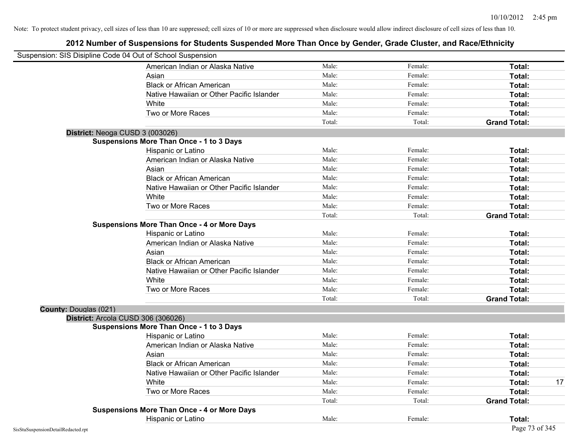|                              | Suspension: SIS Disipline Code 04 Out of School Suspension |        |         |                     |    |
|------------------------------|------------------------------------------------------------|--------|---------|---------------------|----|
|                              | American Indian or Alaska Native                           | Male:  | Female: | Total:              |    |
|                              | Asian                                                      | Male:  | Female: | Total:              |    |
|                              | <b>Black or African American</b>                           | Male:  | Female: | Total:              |    |
|                              | Native Hawaiian or Other Pacific Islander                  | Male:  | Female: | Total:              |    |
|                              | White                                                      | Male:  | Female: | Total:              |    |
|                              | Two or More Races                                          | Male:  | Female: | Total:              |    |
|                              |                                                            | Total: | Total:  | <b>Grand Total:</b> |    |
|                              | District: Neoga CUSD 3 (003026)                            |        |         |                     |    |
|                              | <b>Suspensions More Than Once - 1 to 3 Days</b>            |        |         |                     |    |
|                              | Hispanic or Latino                                         | Male:  | Female: | Total:              |    |
|                              | American Indian or Alaska Native                           | Male:  | Female: | Total:              |    |
|                              | Asian                                                      | Male:  | Female: | Total:              |    |
|                              | <b>Black or African American</b>                           | Male:  | Female: | Total:              |    |
|                              | Native Hawaiian or Other Pacific Islander                  | Male:  | Female: | Total:              |    |
|                              | White                                                      | Male:  | Female: | Total:              |    |
|                              | Two or More Races                                          | Male:  | Female: | Total:              |    |
|                              |                                                            | Total: | Total:  | <b>Grand Total:</b> |    |
|                              | <b>Suspensions More Than Once - 4 or More Days</b>         |        |         |                     |    |
|                              | Hispanic or Latino                                         | Male:  | Female: | Total:              |    |
|                              | American Indian or Alaska Native                           | Male:  | Female: | Total:              |    |
|                              | Asian                                                      | Male:  | Female: | Total:              |    |
|                              | <b>Black or African American</b>                           | Male:  | Female: | Total:              |    |
|                              | Native Hawaiian or Other Pacific Islander                  | Male:  | Female: | Total:              |    |
|                              | White                                                      | Male:  | Female: | Total:              |    |
|                              | Two or More Races                                          | Male:  | Female: | Total:              |    |
|                              |                                                            | Total: | Total:  | <b>Grand Total:</b> |    |
| <b>County: Douglas (021)</b> |                                                            |        |         |                     |    |
|                              | District: Arcola CUSD 306 (306026)                         |        |         |                     |    |
|                              | <b>Suspensions More Than Once - 1 to 3 Days</b>            |        |         |                     |    |
|                              | Hispanic or Latino                                         | Male:  | Female: | Total:              |    |
|                              | American Indian or Alaska Native                           | Male:  | Female: | Total:              |    |
|                              | Asian                                                      | Male:  | Female: | Total:              |    |
|                              | <b>Black or African American</b>                           | Male:  | Female: | Total:              |    |
|                              | Native Hawaiian or Other Pacific Islander                  | Male:  | Female: | Total:              |    |
|                              | White                                                      | Male:  | Female: | Total:              | 17 |
|                              | Two or More Races                                          | Male:  | Female: | Total:              |    |
|                              |                                                            | Total: | Total:  | <b>Grand Total:</b> |    |
|                              | <b>Suspensions More Than Once - 4 or More Days</b>         |        |         |                     |    |
|                              | Hispanic or Latino                                         | Male:  | Female: | Total:              |    |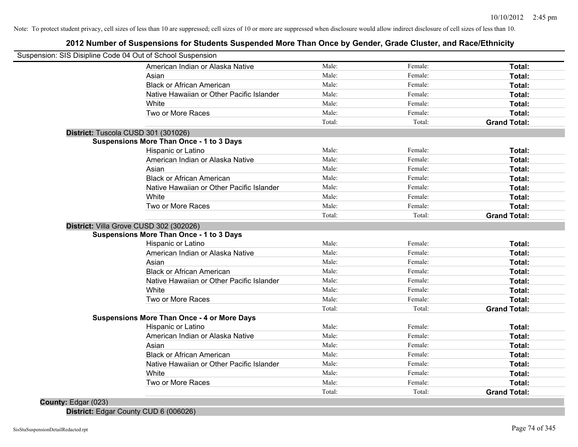## **2012 Number of Suspensions for Students Suspended More Than Once by Gender, Grade Cluster, and Race/Ethnicity**

|                     | Suspension: SIS Disipline Code 04 Out of School Suspension |        |         |                     |
|---------------------|------------------------------------------------------------|--------|---------|---------------------|
|                     | American Indian or Alaska Native                           | Male:  | Female: | Total:              |
|                     | Asian                                                      | Male:  | Female: | Total:              |
|                     | <b>Black or African American</b>                           | Male:  | Female: | Total:              |
|                     | Native Hawaiian or Other Pacific Islander                  | Male:  | Female: | Total:              |
|                     | White                                                      | Male:  | Female: | Total:              |
|                     | Two or More Races                                          | Male:  | Female: | Total:              |
|                     |                                                            | Total: | Total:  | <b>Grand Total:</b> |
|                     | District: Tuscola CUSD 301 (301026)                        |        |         |                     |
|                     | <b>Suspensions More Than Once - 1 to 3 Days</b>            |        |         |                     |
|                     | Hispanic or Latino                                         | Male:  | Female: | Total:              |
|                     | American Indian or Alaska Native                           | Male:  | Female: | Total:              |
|                     | Asian                                                      | Male:  | Female: | Total:              |
|                     | <b>Black or African American</b>                           | Male:  | Female: | Total:              |
|                     | Native Hawaiian or Other Pacific Islander                  | Male:  | Female: | Total:              |
|                     | White                                                      | Male:  | Female: | Total:              |
|                     | Two or More Races                                          | Male:  | Female: | Total:              |
|                     |                                                            | Total: | Total:  | <b>Grand Total:</b> |
|                     | District: Villa Grove CUSD 302 (302026)                    |        |         |                     |
|                     | <b>Suspensions More Than Once - 1 to 3 Days</b>            |        |         |                     |
|                     | Hispanic or Latino                                         | Male:  | Female: | Total:              |
|                     | American Indian or Alaska Native                           | Male:  | Female: | Total:              |
|                     | Asian                                                      | Male:  | Female: | Total:              |
|                     | <b>Black or African American</b>                           | Male:  | Female: | Total:              |
|                     | Native Hawaiian or Other Pacific Islander                  | Male:  | Female: | Total:              |
|                     | White                                                      | Male:  | Female: | Total:              |
|                     | Two or More Races                                          | Male:  | Female: | Total:              |
|                     |                                                            | Total: | Total:  | <b>Grand Total:</b> |
|                     | <b>Suspensions More Than Once - 4 or More Days</b>         |        |         |                     |
|                     | Hispanic or Latino                                         | Male:  | Female: | Total:              |
|                     | American Indian or Alaska Native                           | Male:  | Female: | Total:              |
|                     | Asian                                                      | Male:  | Female: | Total:              |
|                     | <b>Black or African American</b>                           | Male:  | Female: | Total:              |
|                     | Native Hawaiian or Other Pacific Islander                  | Male:  | Female: | Total:              |
|                     | White                                                      | Male:  | Female: | Total:              |
|                     | Two or More Races                                          | Male:  | Female: | Total:              |
|                     |                                                            | Total: | Total:  | <b>Grand Total:</b> |
| County: Edgar (023) |                                                            |        |         |                     |

**District:** Edgar County CUD 6 (006026)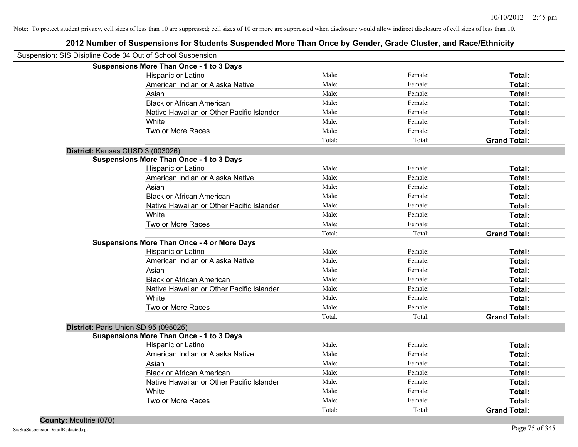| Suspension: SIS Disipline Code 04 Out of School Suspension    |                     |
|---------------------------------------------------------------|---------------------|
| <b>Suspensions More Than Once - 1 to 3 Days</b>               |                     |
| Male:<br>Female:<br>Hispanic or Latino                        | Total:              |
| Male:<br>Female:<br>American Indian or Alaska Native          | <b>Total:</b>       |
| Male:<br>Female:<br>Asian                                     | Total:              |
| Male:<br><b>Black or African American</b><br>Female:          | Total:              |
| Male:<br>Female:<br>Native Hawaiian or Other Pacific Islander | Total:              |
| Male:<br>Female:<br>White                                     | Total:              |
| Two or More Races<br>Male:<br>Female:                         | Total:              |
| Total:<br>Total:                                              | <b>Grand Total:</b> |
| District: Kansas CUSD 3 (003026)                              |                     |
| <b>Suspensions More Than Once - 1 to 3 Days</b>               |                     |
| Male:<br>Hispanic or Latino<br>Female:                        | Total:              |
| American Indian or Alaska Native<br>Male:<br>Female:          | Total:              |
| Male:<br>Female:<br>Asian                                     | Total:              |
| <b>Black or African American</b><br>Male:<br>Female:          | Total:              |
| Native Hawaiian or Other Pacific Islander<br>Male:<br>Female: | Total:              |
| White<br>Male:<br>Female:                                     | Total:              |
| Two or More Races<br>Male:<br>Female:                         | Total:              |
| Total:<br>Total:                                              | <b>Grand Total:</b> |
| <b>Suspensions More Than Once - 4 or More Days</b>            |                     |
| Hispanic or Latino<br>Male:<br>Female:                        | Total:              |
| American Indian or Alaska Native<br>Male:<br>Female:          | Total:              |
| Asian<br>Male:<br>Female:                                     | Total:              |
| <b>Black or African American</b><br>Male:<br>Female:          | Total:              |
| Native Hawaiian or Other Pacific Islander<br>Male:<br>Female: | Total:              |
| White<br>Male:<br>Female:                                     | Total:              |
| Two or More Races<br>Male:<br>Female:                         | Total:              |
| Total:<br>Total:                                              | <b>Grand Total:</b> |
| District: Paris-Union SD 95 (095025)                          |                     |
| <b>Suspensions More Than Once - 1 to 3 Days</b>               |                     |
| Male:<br>Female:<br>Hispanic or Latino                        | Total:              |
| Male:<br>Female:<br>American Indian or Alaska Native          | Total:              |
| Male:<br>Female:<br>Asian                                     | Total:              |
| <b>Black or African American</b><br>Male:<br>Female:          | Total:              |
| Male:<br>Native Hawaiian or Other Pacific Islander<br>Female: | Total:              |
| Male:<br>Female:<br>White                                     | Total:              |
| Two or More Races<br>Male:<br>Female:                         | Total:              |
| Total:<br>Total:                                              | <b>Grand Total:</b> |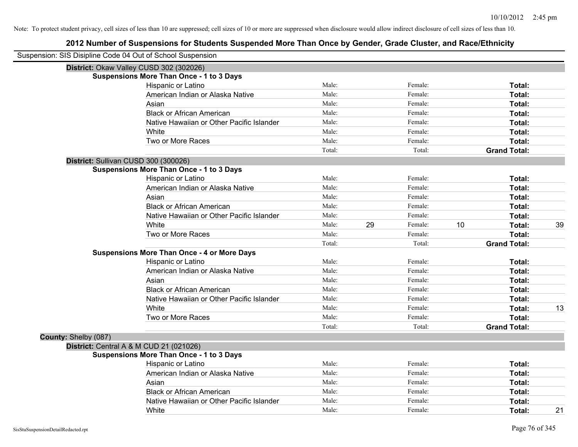|                      | Suspension: SIS Disipline Code 04 Out of School Suspension |        |    |         |    |                     |    |
|----------------------|------------------------------------------------------------|--------|----|---------|----|---------------------|----|
|                      | District: Okaw Valley CUSD 302 (302026)                    |        |    |         |    |                     |    |
|                      | <b>Suspensions More Than Once - 1 to 3 Days</b>            |        |    |         |    |                     |    |
|                      | Hispanic or Latino                                         | Male:  |    | Female: |    | Total:              |    |
|                      | American Indian or Alaska Native                           | Male:  |    | Female: |    | Total:              |    |
|                      | Asian                                                      | Male:  |    | Female: |    | Total:              |    |
|                      | <b>Black or African American</b>                           | Male:  |    | Female: |    | Total:              |    |
|                      | Native Hawaiian or Other Pacific Islander                  | Male:  |    | Female: |    | Total:              |    |
|                      | White                                                      | Male:  |    | Female: |    | Total:              |    |
|                      | Two or More Races                                          | Male:  |    | Female: |    | Total:              |    |
|                      |                                                            | Total: |    | Total:  |    | <b>Grand Total:</b> |    |
|                      | District: Sullivan CUSD 300 (300026)                       |        |    |         |    |                     |    |
|                      | <b>Suspensions More Than Once - 1 to 3 Days</b>            |        |    |         |    |                     |    |
|                      | Hispanic or Latino                                         | Male:  |    | Female: |    | Total:              |    |
|                      | American Indian or Alaska Native                           | Male:  |    | Female: |    | Total:              |    |
|                      | Asian                                                      | Male:  |    | Female: |    | Total:              |    |
|                      | <b>Black or African American</b>                           | Male:  |    | Female: |    | Total:              |    |
|                      | Native Hawaiian or Other Pacific Islander                  | Male:  |    | Female: |    | Total:              |    |
|                      | White                                                      | Male:  | 29 | Female: | 10 | Total:              | 39 |
|                      | Two or More Races                                          | Male:  |    | Female: |    | Total:              |    |
|                      |                                                            | Total: |    | Total:  |    | <b>Grand Total:</b> |    |
|                      | <b>Suspensions More Than Once - 4 or More Days</b>         |        |    |         |    |                     |    |
|                      | Hispanic or Latino                                         | Male:  |    | Female: |    | Total:              |    |
|                      | American Indian or Alaska Native                           | Male:  |    | Female: |    | Total:              |    |
|                      | Asian                                                      | Male:  |    | Female: |    | Total:              |    |
|                      | <b>Black or African American</b>                           | Male:  |    | Female: |    | Total:              |    |
|                      | Native Hawaiian or Other Pacific Islander                  | Male:  |    | Female: |    | Total:              |    |
|                      | White                                                      | Male:  |    | Female: |    | Total:              | 13 |
|                      | Two or More Races                                          | Male:  |    | Female: |    | Total:              |    |
|                      |                                                            | Total: |    | Total:  |    | <b>Grand Total:</b> |    |
| County: Shelby (087) |                                                            |        |    |         |    |                     |    |
|                      | District: Central A & M CUD 21 (021026)                    |        |    |         |    |                     |    |
|                      | <b>Suspensions More Than Once - 1 to 3 Days</b>            |        |    |         |    |                     |    |
|                      | Hispanic or Latino                                         | Male:  |    | Female: |    | Total:              |    |
|                      | American Indian or Alaska Native                           | Male:  |    | Female: |    | Total:              |    |
|                      | Asian                                                      | Male:  |    | Female: |    | Total:              |    |
|                      | <b>Black or African American</b>                           | Male:  |    | Female: |    | Total:              |    |
|                      | Native Hawaiian or Other Pacific Islander                  | Male:  |    | Female: |    | Total:              |    |
|                      | White                                                      | Male:  |    | Female: |    | Total:              | 21 |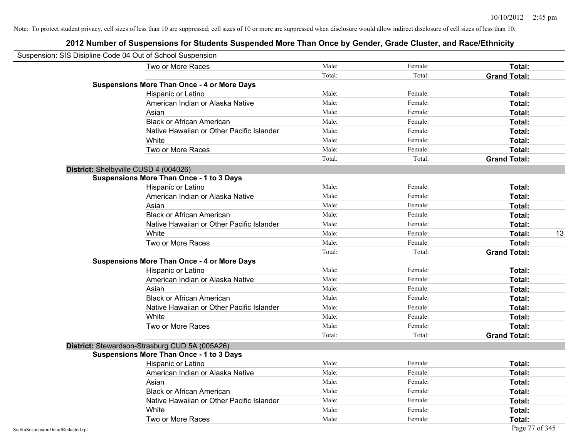|                                    | Suspension: SIS Disipline Code 04 Out of School Suspension |        |         |                     |    |
|------------------------------------|------------------------------------------------------------|--------|---------|---------------------|----|
|                                    | Two or More Races                                          | Male:  | Female: | Total:              |    |
|                                    |                                                            | Total: | Total:  | <b>Grand Total:</b> |    |
|                                    | <b>Suspensions More Than Once - 4 or More Days</b>         |        |         |                     |    |
|                                    | Hispanic or Latino                                         | Male:  | Female: | Total:              |    |
|                                    | American Indian or Alaska Native                           | Male:  | Female: | Total:              |    |
|                                    | Asian                                                      | Male:  | Female: | Total:              |    |
|                                    | <b>Black or African American</b>                           | Male:  | Female: | Total:              |    |
|                                    | Native Hawaiian or Other Pacific Islander                  | Male:  | Female: | Total:              |    |
|                                    | White                                                      | Male:  | Female: | Total:              |    |
|                                    | Two or More Races                                          | Male:  | Female: | Total:              |    |
|                                    |                                                            | Total: | Total:  | <b>Grand Total:</b> |    |
|                                    | District: Shelbyville CUSD 4 (004026)                      |        |         |                     |    |
|                                    | <b>Suspensions More Than Once - 1 to 3 Days</b>            |        |         |                     |    |
|                                    | Hispanic or Latino                                         | Male:  | Female: | Total:              |    |
|                                    | American Indian or Alaska Native                           | Male:  | Female: | Total:              |    |
|                                    | Asian                                                      | Male:  | Female: | Total:              |    |
|                                    | <b>Black or African American</b>                           | Male:  | Female: | Total:              |    |
|                                    | Native Hawaiian or Other Pacific Islander                  | Male:  | Female: | Total:              |    |
|                                    | White                                                      | Male:  | Female: | Total:              | 13 |
|                                    | Two or More Races                                          | Male:  | Female: | Total:              |    |
|                                    |                                                            | Total: | Total:  | <b>Grand Total:</b> |    |
|                                    | <b>Suspensions More Than Once - 4 or More Days</b>         |        |         |                     |    |
|                                    | Hispanic or Latino                                         | Male:  | Female: | Total:              |    |
|                                    | American Indian or Alaska Native                           | Male:  | Female: | Total:              |    |
|                                    | Asian                                                      | Male:  | Female: | Total:              |    |
|                                    | <b>Black or African American</b>                           | Male:  | Female: | Total:              |    |
|                                    | Native Hawaiian or Other Pacific Islander                  | Male:  | Female: | Total:              |    |
|                                    | White                                                      | Male:  | Female: | Total:              |    |
|                                    | Two or More Races                                          | Male:  | Female: | Total:              |    |
|                                    |                                                            | Total: | Total:  | <b>Grand Total:</b> |    |
|                                    | District: Stewardson-Strasburg CUD 5A (005A26)             |        |         |                     |    |
|                                    | <b>Suspensions More Than Once - 1 to 3 Days</b>            |        |         |                     |    |
|                                    | Hispanic or Latino                                         | Male:  | Female: | Total:              |    |
|                                    | American Indian or Alaska Native                           | Male:  | Female: | Total:              |    |
|                                    | Asian                                                      | Male:  | Female: | Total:              |    |
|                                    | <b>Black or African American</b>                           | Male:  | Female: | Total:              |    |
|                                    | Native Hawaiian or Other Pacific Islander                  | Male:  | Female: | Total:              |    |
|                                    | White                                                      | Male:  | Female: | Total:              |    |
|                                    | Two or More Races                                          | Male:  | Female: | Total:              |    |
| SisStuSuspensionDetailRedacted.rpt |                                                            |        |         | Page 77 of 345      |    |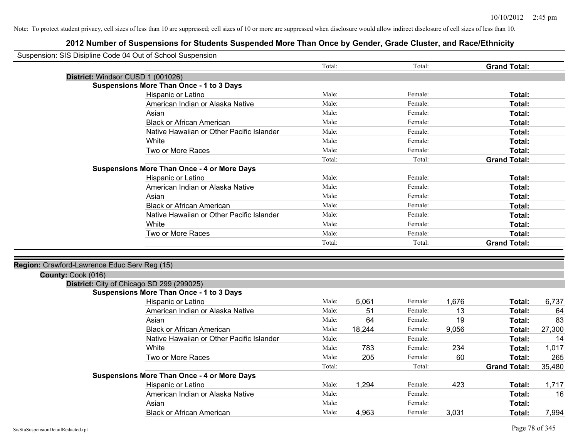| Suspension: SIS Disipline Code 04 Out of School Suspension |                                                    |        |        |         |       |                     |        |
|------------------------------------------------------------|----------------------------------------------------|--------|--------|---------|-------|---------------------|--------|
|                                                            |                                                    | Total: |        | Total:  |       | <b>Grand Total:</b> |        |
| District: Windsor CUSD 1 (001026)                          |                                                    |        |        |         |       |                     |        |
|                                                            | <b>Suspensions More Than Once - 1 to 3 Days</b>    |        |        |         |       |                     |        |
|                                                            | Hispanic or Latino                                 | Male:  |        | Female: |       | Total:              |        |
|                                                            | American Indian or Alaska Native                   | Male:  |        | Female: |       | <b>Total:</b>       |        |
|                                                            | Asian                                              | Male:  |        | Female: |       | Total:              |        |
|                                                            | <b>Black or African American</b>                   | Male:  |        | Female: |       | Total:              |        |
|                                                            | Native Hawaiian or Other Pacific Islander          | Male:  |        | Female: |       | Total:              |        |
|                                                            | White                                              | Male:  |        | Female: |       | Total:              |        |
|                                                            | Two or More Races                                  | Male:  |        | Female: |       | Total:              |        |
|                                                            |                                                    | Total: |        | Total:  |       | <b>Grand Total:</b> |        |
|                                                            | <b>Suspensions More Than Once - 4 or More Days</b> |        |        |         |       |                     |        |
|                                                            | Hispanic or Latino                                 | Male:  |        | Female: |       | Total:              |        |
|                                                            | American Indian or Alaska Native                   | Male:  |        | Female: |       | Total:              |        |
|                                                            | Asian                                              | Male:  |        | Female: |       | Total:              |        |
|                                                            | <b>Black or African American</b>                   | Male:  |        | Female: |       | Total:              |        |
|                                                            | Native Hawaiian or Other Pacific Islander          | Male:  |        | Female: |       | Total:              |        |
|                                                            | White                                              | Male:  |        | Female: |       | Total:              |        |
|                                                            | Two or More Races                                  | Male:  |        | Female: |       | Total:              |        |
|                                                            |                                                    | Total: |        | Total:  |       | <b>Grand Total:</b> |        |
| Region: Crawford-Lawrence Educ Serv Reg (15)               |                                                    |        |        |         |       |                     |        |
| County: Cook (016)                                         |                                                    |        |        |         |       |                     |        |
| District: City of Chicago SD 299 (299025)                  |                                                    |        |        |         |       |                     |        |
|                                                            | <b>Suspensions More Than Once - 1 to 3 Days</b>    |        |        |         |       |                     |        |
|                                                            | Hispanic or Latino                                 | Male:  | 5,061  | Female: | 1,676 | Total:              | 6,737  |
|                                                            | American Indian or Alaska Native                   | Male:  | 51     | Female: | 13    | Total:              | 64     |
|                                                            | Asian                                              | Male:  | 64     | Female: | 19    | Total:              | 83     |
|                                                            | <b>Black or African American</b>                   | Male:  | 18,244 | Female: | 9,056 | Total:              | 27,300 |
|                                                            | Native Hawaiian or Other Pacific Islander          | Male:  |        | Female: |       | Total:              | 14     |
|                                                            | White                                              | Male:  | 783    | Female: | 234   | Total:              | 1,017  |
|                                                            | Two or More Races                                  | Male:  | 205    | Female: | 60    | Total:              | 265    |
|                                                            |                                                    | Total: |        | Total:  |       | <b>Grand Total:</b> | 35,480 |
|                                                            | <b>Suspensions More Than Once - 4 or More Days</b> |        |        |         |       |                     |        |
|                                                            | Hispanic or Latino                                 | Male:  | 1,294  | Female: | 423   | Total:              | 1,717  |
|                                                            | American Indian or Alaska Native                   | Male:  |        | Female: |       | Total:              | 16     |
|                                                            | Asian                                              | Male:  |        | Female: |       | Total:              |        |
|                                                            | <b>Black or African American</b>                   | Male:  | 4,963  | Female: | 3,031 | Total:              | 7,994  |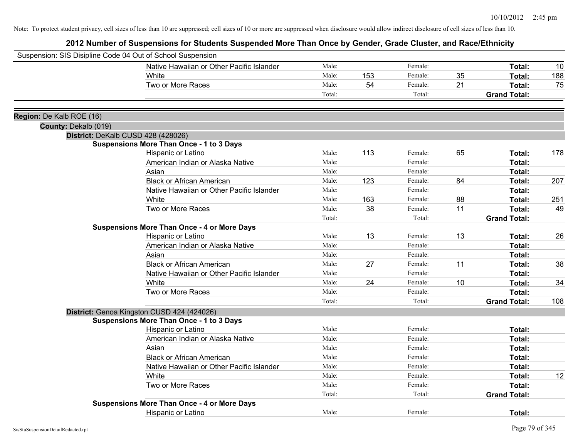|                          | Suspension: SIS Disipline Code 04 Out of School Suspension |        |     |         |    |                     |     |
|--------------------------|------------------------------------------------------------|--------|-----|---------|----|---------------------|-----|
|                          | Native Hawaiian or Other Pacific Islander                  | Male:  |     | Female: |    | Total:              | 10  |
|                          | White                                                      | Male:  | 153 | Female: | 35 | Total:              | 188 |
|                          | Two or More Races                                          | Male:  | 54  | Female: | 21 | Total:              | 75  |
|                          |                                                            | Total: |     | Total:  |    | <b>Grand Total:</b> |     |
| Region: De Kalb ROE (16) |                                                            |        |     |         |    |                     |     |
| County: Dekalb (019)     |                                                            |        |     |         |    |                     |     |
|                          | District: DeKalb CUSD 428 (428026)                         |        |     |         |    |                     |     |
|                          | <b>Suspensions More Than Once - 1 to 3 Days</b>            |        |     |         |    |                     |     |
|                          | Hispanic or Latino                                         | Male:  | 113 | Female: | 65 | Total:              | 178 |
|                          | American Indian or Alaska Native                           | Male:  |     | Female: |    | Total:              |     |
|                          | Asian                                                      | Male:  |     | Female: |    | Total:              |     |
|                          | <b>Black or African American</b>                           | Male:  | 123 | Female: | 84 | Total:              | 207 |
|                          | Native Hawaiian or Other Pacific Islander                  | Male:  |     | Female: |    | Total:              |     |
|                          | White                                                      | Male:  | 163 | Female: | 88 | Total:              | 251 |
|                          | Two or More Races                                          | Male:  | 38  | Female: | 11 | Total:              | 49  |
|                          |                                                            | Total: |     | Total:  |    | <b>Grand Total:</b> |     |
|                          | <b>Suspensions More Than Once - 4 or More Days</b>         |        |     |         |    |                     |     |
|                          | Hispanic or Latino                                         | Male:  | 13  | Female: | 13 | Total:              | 26  |
|                          | American Indian or Alaska Native                           | Male:  |     | Female: |    | Total:              |     |
|                          | Asian                                                      | Male:  |     | Female: |    | Total:              |     |
|                          | <b>Black or African American</b>                           | Male:  | 27  | Female: | 11 | Total:              | 38  |
|                          | Native Hawaiian or Other Pacific Islander                  | Male:  |     | Female: |    | Total:              |     |
|                          | White                                                      | Male:  | 24  | Female: | 10 | Total:              | 34  |
|                          | Two or More Races                                          | Male:  |     | Female: |    | Total:              |     |
|                          |                                                            | Total: |     | Total:  |    | <b>Grand Total:</b> | 108 |
|                          | District: Genoa Kingston CUSD 424 (424026)                 |        |     |         |    |                     |     |
|                          | <b>Suspensions More Than Once - 1 to 3 Days</b>            |        |     |         |    |                     |     |
|                          | Hispanic or Latino                                         | Male:  |     | Female: |    | Total:              |     |
|                          | American Indian or Alaska Native                           | Male:  |     | Female: |    | Total:              |     |
|                          | Asian                                                      | Male:  |     | Female: |    | Total:              |     |
|                          | <b>Black or African American</b>                           | Male:  |     | Female: |    | Total:              |     |
|                          | Native Hawaiian or Other Pacific Islander                  | Male:  |     | Female: |    | Total:              |     |
|                          | White                                                      | Male:  |     | Female: |    | Total:              | 12  |
|                          | Two or More Races                                          | Male:  |     | Female: |    | Total:              |     |
|                          |                                                            | Total: |     | Total:  |    | <b>Grand Total:</b> |     |
|                          | <b>Suspensions More Than Once - 4 or More Days</b>         |        |     |         |    |                     |     |
|                          | <b>Hispanic or Latino</b>                                  | Male:  |     | Female: |    | Total:              |     |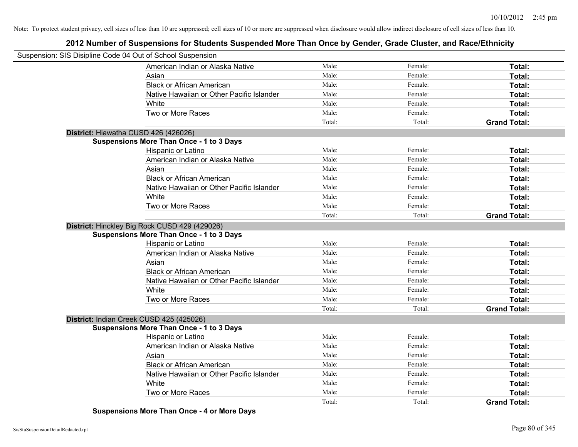## **2012 Number of Suspensions for Students Suspended More Than Once by Gender, Grade Cluster, and Race/Ethnicity**

| Suspension: SIS Disipline Code 04 Out of School Suspension |                                                 |        |         |                     |
|------------------------------------------------------------|-------------------------------------------------|--------|---------|---------------------|
|                                                            | American Indian or Alaska Native                | Male:  | Female: | Total:              |
|                                                            | Asian                                           | Male:  | Female: | Total:              |
|                                                            | <b>Black or African American</b>                | Male:  | Female: | Total:              |
|                                                            | Native Hawaiian or Other Pacific Islander       | Male:  | Female: | Total:              |
|                                                            | White                                           | Male:  | Female: | Total:              |
|                                                            | Two or More Races                               | Male:  | Female: | Total:              |
|                                                            |                                                 | Total: | Total:  | <b>Grand Total:</b> |
|                                                            | District: Hiawatha CUSD 426 (426026)            |        |         |                     |
|                                                            | <b>Suspensions More Than Once - 1 to 3 Days</b> |        |         |                     |
|                                                            | Hispanic or Latino                              | Male:  | Female: | Total:              |
|                                                            | American Indian or Alaska Native                | Male:  | Female: | Total:              |
|                                                            | Asian                                           | Male:  | Female: | Total:              |
|                                                            | <b>Black or African American</b>                | Male:  | Female: | Total:              |
|                                                            | Native Hawaiian or Other Pacific Islander       | Male:  | Female: | Total:              |
|                                                            | White                                           | Male:  | Female: | Total:              |
|                                                            | Two or More Races                               | Male:  | Female: | Total:              |
|                                                            |                                                 | Total: | Total:  | <b>Grand Total:</b> |
|                                                            | District: Hinckley Big Rock CUSD 429 (429026)   |        |         |                     |
|                                                            | <b>Suspensions More Than Once - 1 to 3 Days</b> |        |         |                     |
|                                                            | Hispanic or Latino                              | Male:  | Female: | Total:              |
|                                                            | American Indian or Alaska Native                | Male:  | Female: | Total:              |
|                                                            | Asian                                           | Male:  | Female: | Total:              |
|                                                            | <b>Black or African American</b>                | Male:  | Female: | Total:              |
|                                                            | Native Hawaiian or Other Pacific Islander       | Male:  | Female: | Total:              |
|                                                            | White                                           | Male:  | Female: | Total:              |
|                                                            | Two or More Races                               | Male:  | Female: | Total:              |
|                                                            |                                                 | Total: | Total:  | <b>Grand Total:</b> |
|                                                            | District: Indian Creek CUSD 425 (425026)        |        |         |                     |
|                                                            | <b>Suspensions More Than Once - 1 to 3 Days</b> |        |         |                     |
|                                                            | Hispanic or Latino                              | Male:  | Female: | Total:              |
|                                                            | American Indian or Alaska Native                | Male:  | Female: | Total:              |
|                                                            | Asian                                           | Male:  | Female: | Total:              |
|                                                            | <b>Black or African American</b>                | Male:  | Female: | Total:              |
|                                                            | Native Hawaiian or Other Pacific Islander       | Male:  | Female: | Total:              |
|                                                            | White                                           | Male:  | Female: | Total:              |
|                                                            | Two or More Races                               | Male:  | Female: | Total:              |
|                                                            |                                                 | Total: | Total:  | <b>Grand Total:</b> |

**Suspensions More Than Once - 4 or More Days**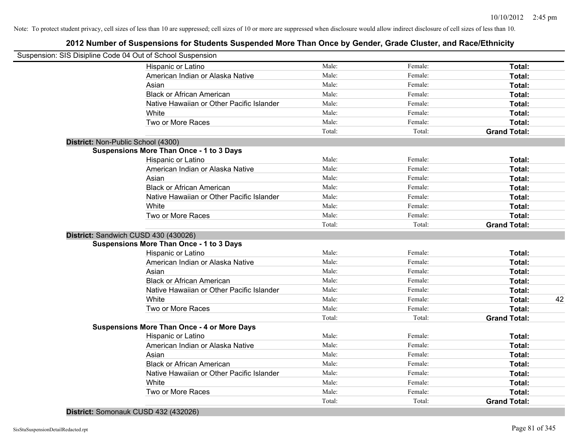## **2012 Number of Suspensions for Students Suspended More Than Once by Gender, Grade Cluster, and Race/Ethnicity**

|                                    | Suspension: SIS Disipline Code 04 Out of School Suspension |        |         |                     |    |
|------------------------------------|------------------------------------------------------------|--------|---------|---------------------|----|
|                                    | Hispanic or Latino                                         | Male:  | Female: | Total:              |    |
|                                    | American Indian or Alaska Native                           | Male:  | Female: | Total:              |    |
|                                    | Asian                                                      | Male:  | Female: | Total:              |    |
|                                    | <b>Black or African American</b>                           | Male:  | Female: | Total:              |    |
|                                    | Native Hawaiian or Other Pacific Islander                  | Male:  | Female: | Total:              |    |
|                                    | White                                                      | Male:  | Female: | Total:              |    |
|                                    | Two or More Races                                          | Male:  | Female: | Total:              |    |
|                                    |                                                            | Total: | Total:  | <b>Grand Total:</b> |    |
| District: Non-Public School (4300) |                                                            |        |         |                     |    |
|                                    | <b>Suspensions More Than Once - 1 to 3 Days</b>            |        |         |                     |    |
|                                    | Hispanic or Latino                                         | Male:  | Female: | Total:              |    |
|                                    | American Indian or Alaska Native                           | Male:  | Female: | Total:              |    |
|                                    | Asian                                                      | Male:  | Female: | Total:              |    |
|                                    | <b>Black or African American</b>                           | Male:  | Female: | Total:              |    |
|                                    | Native Hawaiian or Other Pacific Islander                  | Male:  | Female: | Total:              |    |
|                                    | White                                                      | Male:  | Female: | Total:              |    |
|                                    | Two or More Races                                          | Male:  | Female: | Total:              |    |
|                                    |                                                            | Total: | Total:  | <b>Grand Total:</b> |    |
|                                    | District: Sandwich CUSD 430 (430026)                       |        |         |                     |    |
|                                    | <b>Suspensions More Than Once - 1 to 3 Days</b>            |        |         |                     |    |
|                                    | Hispanic or Latino                                         | Male:  | Female: | Total:              |    |
|                                    | American Indian or Alaska Native                           | Male:  | Female: | Total:              |    |
|                                    | Asian                                                      | Male:  | Female: | Total:              |    |
|                                    | <b>Black or African American</b>                           | Male:  | Female: | Total:              |    |
|                                    | Native Hawaiian or Other Pacific Islander                  | Male:  | Female: | Total:              |    |
|                                    | White                                                      | Male:  | Female: | Total:              | 42 |
|                                    | Two or More Races                                          | Male:  | Female: | Total:              |    |
|                                    |                                                            | Total: | Total:  | <b>Grand Total:</b> |    |
|                                    | <b>Suspensions More Than Once - 4 or More Days</b>         |        |         |                     |    |
|                                    | Hispanic or Latino                                         | Male:  | Female: | Total:              |    |
|                                    | American Indian or Alaska Native                           | Male:  | Female: | Total:              |    |
|                                    | Asian                                                      | Male:  | Female: | Total:              |    |
|                                    | <b>Black or African American</b>                           | Male:  | Female: | Total:              |    |
|                                    | Native Hawaiian or Other Pacific Islander                  | Male:  | Female: | Total:              |    |
|                                    | White                                                      | Male:  | Female: | Total:              |    |
|                                    | Two or More Races                                          | Male:  | Female: | Total:              |    |
|                                    |                                                            | Total: | Total:  | <b>Grand Total:</b> |    |
|                                    |                                                            |        |         |                     |    |

**District:** Somonauk CUSD 432 (432026)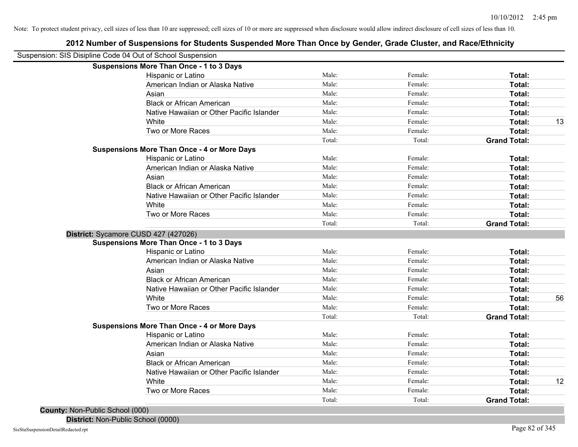| Suspension: SIS Disipline Code 04 Out of School Suspension |        |         |                     |    |
|------------------------------------------------------------|--------|---------|---------------------|----|
| <b>Suspensions More Than Once - 1 to 3 Days</b>            |        |         |                     |    |
| Hispanic or Latino                                         | Male:  | Female: | <b>Total:</b>       |    |
| American Indian or Alaska Native                           | Male:  | Female: | Total:              |    |
| Asian                                                      | Male:  | Female: | Total:              |    |
| <b>Black or African American</b>                           | Male:  | Female: | Total:              |    |
| Native Hawaiian or Other Pacific Islander                  | Male:  | Female: | Total:              |    |
| White                                                      | Male:  | Female: | Total:              | 13 |
| Two or More Races                                          | Male:  | Female: | Total:              |    |
|                                                            | Total: | Total:  | <b>Grand Total:</b> |    |
| <b>Suspensions More Than Once - 4 or More Days</b>         |        |         |                     |    |
| Hispanic or Latino                                         | Male:  | Female: | Total:              |    |
| American Indian or Alaska Native                           | Male:  | Female: | <b>Total:</b>       |    |
| Asian                                                      | Male:  | Female: | <b>Total:</b>       |    |
| <b>Black or African American</b>                           | Male:  | Female: | Total:              |    |
| Native Hawaiian or Other Pacific Islander                  | Male:  | Female: | Total:              |    |
| White                                                      | Male:  | Female: | Total:              |    |
| Two or More Races                                          | Male:  | Female: | Total:              |    |
|                                                            | Total: | Total:  | <b>Grand Total:</b> |    |
| District: Sycamore CUSD 427 (427026)                       |        |         |                     |    |
| <b>Suspensions More Than Once - 1 to 3 Days</b>            |        |         |                     |    |
| Hispanic or Latino                                         | Male:  | Female: | Total:              |    |
| American Indian or Alaska Native                           | Male:  | Female: | Total:              |    |
| Asian                                                      | Male:  | Female: | Total:              |    |
| <b>Black or African American</b>                           | Male:  | Female: | Total:              |    |
| Native Hawaiian or Other Pacific Islander                  | Male:  | Female: | Total:              |    |
| White                                                      | Male:  | Female: | Total:              | 56 |
| Two or More Races                                          | Male:  | Female: | Total:              |    |
|                                                            | Total: | Total:  | <b>Grand Total:</b> |    |
| <b>Suspensions More Than Once - 4 or More Days</b>         |        |         |                     |    |
| Hispanic or Latino                                         | Male:  | Female: | Total:              |    |
| American Indian or Alaska Native                           | Male:  | Female: | Total:              |    |
| Asian                                                      | Male:  | Female: | Total:              |    |
| <b>Black or African American</b>                           | Male:  | Female: | Total:              |    |
| Native Hawaiian or Other Pacific Islander                  | Male:  | Female: | Total:              |    |
| White                                                      | Male:  | Female: | <b>Total:</b>       | 12 |
| Two or More Races                                          | Male:  | Female: | Total:              |    |
|                                                            | Total: | Total:  | <b>Grand Total:</b> |    |

**2012 Number of Suspensions for Students Suspended More Than Once by Gender, Grade Cluster, and Race/Ethnicity**

**County:** Non-Public School (000) **District:** Non-Public School (0000)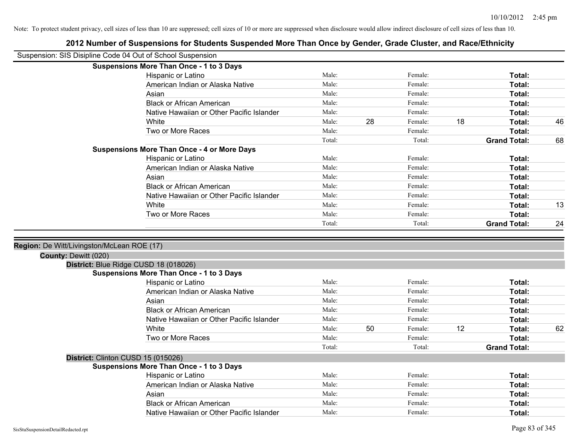|                                            | Suspension: SIS Disipline Code 04 Out of School Suspension                    |                |    |                    |    |                         |    |
|--------------------------------------------|-------------------------------------------------------------------------------|----------------|----|--------------------|----|-------------------------|----|
|                                            | <b>Suspensions More Than Once - 1 to 3 Days</b>                               |                |    |                    |    |                         |    |
|                                            | Hispanic or Latino                                                            | Male:          |    | Female:            |    | Total:                  |    |
|                                            | American Indian or Alaska Native                                              | Male:          |    | Female:            |    | Total:                  |    |
|                                            | Asian                                                                         | Male:          |    | Female:            |    | Total:                  |    |
|                                            | <b>Black or African American</b>                                              | Male:          |    | Female:            |    | Total:                  |    |
|                                            | Native Hawaiian or Other Pacific Islander                                     | Male:          |    | Female:            |    | Total:                  |    |
|                                            | White                                                                         | Male:          | 28 | Female:            | 18 | Total:                  | 46 |
|                                            | Two or More Races                                                             | Male:          |    | Female:            |    | Total:                  |    |
|                                            |                                                                               | Total:         |    | Total:             |    | <b>Grand Total:</b>     | 68 |
|                                            | <b>Suspensions More Than Once - 4 or More Days</b>                            |                |    |                    |    |                         |    |
|                                            | Hispanic or Latino                                                            | Male:          |    | Female:            |    | Total:                  |    |
|                                            | American Indian or Alaska Native                                              | Male:          |    | Female:            |    | Total:                  |    |
|                                            | Asian                                                                         | Male:          |    | Female:            |    | Total:                  |    |
|                                            | <b>Black or African American</b>                                              | Male:          |    | Female:            |    | Total:                  |    |
|                                            | Native Hawaiian or Other Pacific Islander                                     | Male:          |    | Female:            |    | Total:                  |    |
|                                            | White                                                                         | Male:          |    | Female:            |    | Total:                  | 13 |
|                                            | Two or More Races                                                             | Male:          |    | Female:            |    | Total:                  |    |
|                                            |                                                                               | Total:         |    | Total:             |    | <b>Grand Total:</b>     | 24 |
| Region: De Witt/Livingston/McLean ROE (17) |                                                                               |                |    |                    |    |                         |    |
| County: Dewitt (020)                       |                                                                               |                |    |                    |    |                         |    |
|                                            | District: Blue Ridge CUSD 18 (018026)                                         |                |    |                    |    |                         |    |
|                                            | <b>Suspensions More Than Once - 1 to 3 Days</b>                               |                |    |                    |    |                         |    |
|                                            | Hispanic or Latino                                                            | Male:          |    | Female:            |    | Total:                  |    |
|                                            | American Indian or Alaska Native                                              | Male:          |    | Female:            |    | Total:                  |    |
|                                            | Asian                                                                         | Male:          |    | Female:            |    | Total:                  |    |
|                                            | <b>Black or African American</b>                                              | Male:          |    | Female:            |    | Total:                  |    |
|                                            | Native Hawaiian or Other Pacific Islander                                     | Male:          |    | Female:            |    | Total:                  |    |
|                                            | White                                                                         | Male:          | 50 | Female:            | 12 | Total:                  | 62 |
|                                            | Two or More Races                                                             | Male:          |    | Female:            |    | Total:                  |    |
|                                            |                                                                               | Total:         |    | Total:             |    | <b>Grand Total:</b>     |    |
|                                            | District: Clinton CUSD 15 (015026)                                            |                |    |                    |    |                         |    |
|                                            |                                                                               |                |    |                    |    |                         |    |
|                                            | <b>Suspensions More Than Once - 1 to 3 Days</b>                               |                |    |                    |    |                         |    |
|                                            | Hispanic or Latino                                                            | Male:          |    | Female:            |    | Total:                  |    |
|                                            | American Indian or Alaska Native                                              | Male:          |    | Female:            |    | Total:                  |    |
|                                            | Asian                                                                         | Male:          |    | Female:            |    | Total:                  |    |
|                                            | <b>Black or African American</b><br>Native Hawaiian or Other Pacific Islander | Male:<br>Male: |    | Female:<br>Female: |    | <b>Total:</b><br>Total: |    |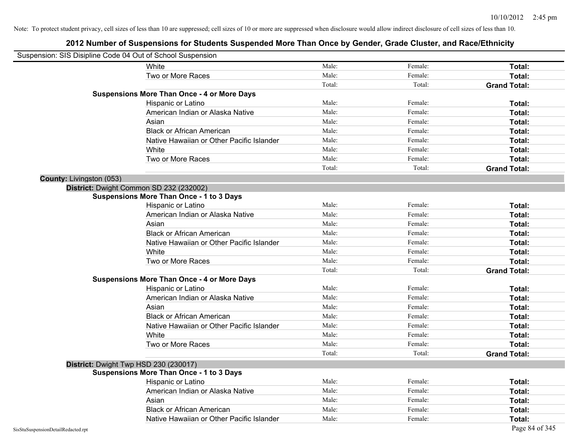| Suspension: SIS Disipline Code 04 Out of School Suspension |                                                    |        |         |                     |
|------------------------------------------------------------|----------------------------------------------------|--------|---------|---------------------|
|                                                            | White                                              | Male:  | Female: | Total:              |
|                                                            | Two or More Races                                  | Male:  | Female: | Total:              |
|                                                            |                                                    | Total: | Total:  | <b>Grand Total:</b> |
|                                                            | <b>Suspensions More Than Once - 4 or More Days</b> |        |         |                     |
|                                                            | Hispanic or Latino                                 | Male:  | Female: | Total:              |
|                                                            | American Indian or Alaska Native                   | Male:  | Female: | Total:              |
|                                                            | Asian                                              | Male:  | Female: | Total:              |
|                                                            | <b>Black or African American</b>                   | Male:  | Female: | Total:              |
|                                                            | Native Hawaiian or Other Pacific Islander          | Male:  | Female: | Total:              |
|                                                            | White                                              | Male:  | Female: | Total:              |
|                                                            | Two or More Races                                  | Male:  | Female: | Total:              |
|                                                            |                                                    | Total: | Total:  | <b>Grand Total:</b> |
| County: Livingston (053)                                   |                                                    |        |         |                     |
|                                                            | District: Dwight Common SD 232 (232002)            |        |         |                     |
|                                                            | <b>Suspensions More Than Once - 1 to 3 Days</b>    |        |         |                     |
|                                                            | Hispanic or Latino                                 | Male:  | Female: | Total:              |
|                                                            | American Indian or Alaska Native                   | Male:  | Female: | Total:              |
|                                                            | Asian                                              | Male:  | Female: | Total:              |
|                                                            | <b>Black or African American</b>                   | Male:  | Female: | Total:              |
|                                                            | Native Hawaiian or Other Pacific Islander          | Male:  | Female: | Total:              |
|                                                            | White                                              | Male:  | Female: | Total:              |
|                                                            | Two or More Races                                  | Male:  | Female: | Total:              |
|                                                            |                                                    | Total: | Total:  | <b>Grand Total:</b> |
|                                                            | <b>Suspensions More Than Once - 4 or More Days</b> |        |         |                     |
|                                                            | Hispanic or Latino                                 | Male:  | Female: | Total:              |
|                                                            | American Indian or Alaska Native                   | Male:  | Female: | Total:              |
|                                                            | Asian                                              | Male:  | Female: | Total:              |
|                                                            | <b>Black or African American</b>                   | Male:  | Female: | Total:              |
|                                                            | Native Hawaiian or Other Pacific Islander          | Male:  | Female: | Total:              |
|                                                            | White                                              | Male:  | Female: | Total:              |
|                                                            | Two or More Races                                  | Male:  | Female: | Total:              |
|                                                            |                                                    | Total: | Total:  | <b>Grand Total:</b> |
|                                                            | District: Dwight Twp HSD 230 (230017)              |        |         |                     |
|                                                            | <b>Suspensions More Than Once - 1 to 3 Days</b>    |        |         |                     |
|                                                            | Hispanic or Latino                                 | Male:  | Female: | Total:              |
|                                                            | American Indian or Alaska Native                   | Male:  | Female: | Total:              |
|                                                            | Asian                                              | Male:  | Female: | Total:              |
|                                                            | <b>Black or African American</b>                   | Male:  | Female: | Total:              |
|                                                            | Native Hawaiian or Other Pacific Islander          | Male:  | Female: | Total:              |
| SisStuSuspensionDetailRedacted.rpt                         |                                                    |        |         | Page 84 of 345      |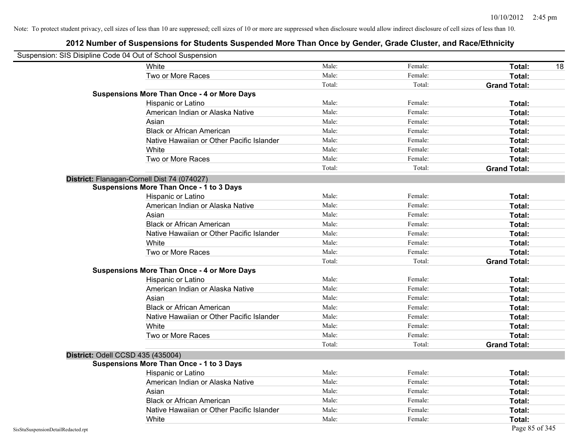|                                    | Suspension: SIS Disipline Code 04 Out of School Suspension |        |         |                     |
|------------------------------------|------------------------------------------------------------|--------|---------|---------------------|
|                                    | White                                                      | Male:  | Female: | <b>Total:</b><br>18 |
|                                    | Two or More Races                                          | Male:  | Female: | Total:              |
|                                    |                                                            | Total: | Total:  | <b>Grand Total:</b> |
|                                    | <b>Suspensions More Than Once - 4 or More Days</b>         |        |         |                     |
|                                    | Hispanic or Latino                                         | Male:  | Female: | Total:              |
|                                    | American Indian or Alaska Native                           | Male:  | Female: | Total:              |
|                                    | Asian                                                      | Male:  | Female: | Total:              |
|                                    | <b>Black or African American</b>                           | Male:  | Female: | Total:              |
|                                    | Native Hawaiian or Other Pacific Islander                  | Male:  | Female: | Total:              |
|                                    | White                                                      | Male:  | Female: | Total:              |
|                                    | Two or More Races                                          | Male:  | Female: | Total:              |
|                                    |                                                            | Total: | Total:  | <b>Grand Total:</b> |
|                                    | District: Flanagan-Cornell Dist 74 (074027)                |        |         |                     |
|                                    | <b>Suspensions More Than Once - 1 to 3 Days</b>            |        |         |                     |
|                                    | Hispanic or Latino                                         | Male:  | Female: | Total:              |
|                                    | American Indian or Alaska Native                           | Male:  | Female: | Total:              |
|                                    | Asian                                                      | Male:  | Female: | Total:              |
|                                    | <b>Black or African American</b>                           | Male:  | Female: | Total:              |
|                                    | Native Hawaiian or Other Pacific Islander                  | Male:  | Female: | Total:              |
|                                    | White                                                      | Male:  | Female: | Total:              |
|                                    | Two or More Races                                          | Male:  | Female: | Total:              |
|                                    |                                                            | Total: | Total:  | <b>Grand Total:</b> |
|                                    | <b>Suspensions More Than Once - 4 or More Days</b>         |        |         |                     |
|                                    | Hispanic or Latino                                         | Male:  | Female: | Total:              |
|                                    | American Indian or Alaska Native                           | Male:  | Female: | Total:              |
|                                    | Asian                                                      | Male:  | Female: | Total:              |
|                                    | <b>Black or African American</b>                           | Male:  | Female: | Total:              |
|                                    | Native Hawaiian or Other Pacific Islander                  | Male:  | Female: | Total:              |
|                                    | White                                                      | Male:  | Female: | Total:              |
|                                    | Two or More Races                                          | Male:  | Female: | Total:              |
|                                    |                                                            | Total: | Total:  | <b>Grand Total:</b> |
|                                    | District: Odell CCSD 435 (435004)                          |        |         |                     |
|                                    | <b>Suspensions More Than Once - 1 to 3 Days</b>            |        |         |                     |
|                                    | <b>Hispanic or Latino</b>                                  | Male:  | Female: | Total:              |
|                                    | American Indian or Alaska Native                           | Male:  | Female: | Total:              |
|                                    | Asian                                                      | Male:  | Female: | Total:              |
|                                    | <b>Black or African American</b>                           | Male:  | Female: | Total:              |
|                                    | Native Hawaiian or Other Pacific Islander                  | Male:  | Female: | Total:              |
|                                    | White                                                      | Male:  | Female: | Total:              |
| SisStuSuspensionDetailRedacted.rpt |                                                            |        |         | Page 85 of 345      |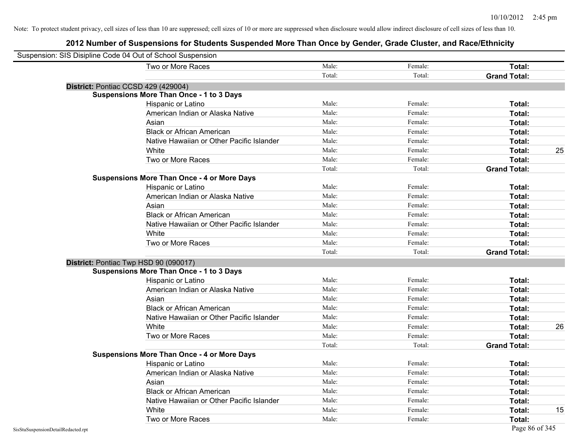| Suspension: SIS Disipline Code 04 Out of School Suspension |        |         |                     |    |
|------------------------------------------------------------|--------|---------|---------------------|----|
| Two or More Races                                          | Male:  | Female: | Total:              |    |
|                                                            | Total: | Total:  | <b>Grand Total:</b> |    |
| District: Pontiac CCSD 429 (429004)                        |        |         |                     |    |
| <b>Suspensions More Than Once - 1 to 3 Days</b>            |        |         |                     |    |
| Hispanic or Latino                                         | Male:  | Female: | Total:              |    |
| American Indian or Alaska Native                           | Male:  | Female: | Total:              |    |
| Asian                                                      | Male:  | Female: | Total:              |    |
| <b>Black or African American</b>                           | Male:  | Female: | Total:              |    |
| Native Hawaiian or Other Pacific Islander                  | Male:  | Female: | Total:              |    |
| White                                                      | Male:  | Female: | Total:              | 25 |
| Two or More Races                                          | Male:  | Female: | Total:              |    |
|                                                            | Total: | Total:  | <b>Grand Total:</b> |    |
| <b>Suspensions More Than Once - 4 or More Days</b>         |        |         |                     |    |
| Hispanic or Latino                                         | Male:  | Female: | Total:              |    |
| American Indian or Alaska Native                           | Male:  | Female: | Total:              |    |
| Asian                                                      | Male:  | Female: | Total:              |    |
| <b>Black or African American</b>                           | Male:  | Female: | Total:              |    |
| Native Hawaiian or Other Pacific Islander                  | Male:  | Female: | Total:              |    |
| White                                                      | Male:  | Female: | Total:              |    |
| Two or More Races                                          | Male:  | Female: | Total:              |    |
|                                                            | Total: | Total:  | <b>Grand Total:</b> |    |
| District: Pontiac Twp HSD 90 (090017)                      |        |         |                     |    |
| <b>Suspensions More Than Once - 1 to 3 Days</b>            |        |         |                     |    |
| Hispanic or Latino                                         | Male:  | Female: | Total:              |    |
| American Indian or Alaska Native                           | Male:  | Female: | Total:              |    |
| Asian                                                      | Male:  | Female: | Total:              |    |
| <b>Black or African American</b>                           | Male:  | Female: | Total:              |    |
| Native Hawaiian or Other Pacific Islander                  | Male:  | Female: | Total:              |    |
| White                                                      | Male:  | Female: | Total:              | 26 |
| Two or More Races                                          | Male:  | Female: | Total:              |    |
|                                                            | Total: | Total:  | <b>Grand Total:</b> |    |
| <b>Suspensions More Than Once - 4 or More Days</b>         |        |         |                     |    |
| Hispanic or Latino                                         | Male:  | Female: | Total:              |    |
| American Indian or Alaska Native                           | Male:  | Female: | Total:              |    |
| Asian                                                      | Male:  | Female: | Total:              |    |
| <b>Black or African American</b>                           | Male:  | Female: | Total:              |    |
| Native Hawaiian or Other Pacific Islander                  | Male:  | Female: | Total:              |    |
| White                                                      | Male:  | Female: | Total:              | 15 |
| Two or More Races                                          | Male:  | Female: | Total:              |    |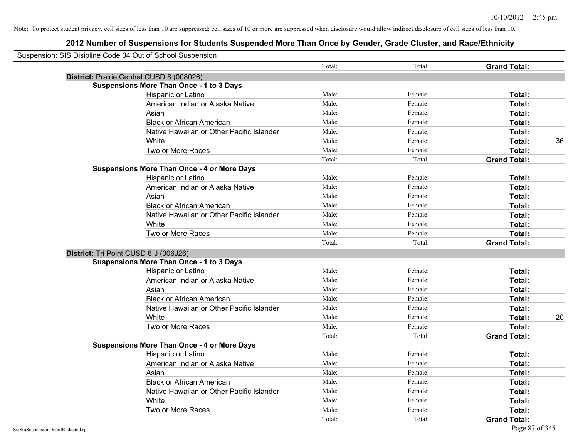| Suspension: SIS Disipline Code 04 Out of School Suspension |                                                                                              | Total: | Total:  | <b>Grand Total:</b> |    |
|------------------------------------------------------------|----------------------------------------------------------------------------------------------|--------|---------|---------------------|----|
|                                                            |                                                                                              |        |         |                     |    |
|                                                            | District: Prairie Central CUSD 8 (008026)<br><b>Suspensions More Than Once - 1 to 3 Days</b> |        |         |                     |    |
|                                                            | Hispanic or Latino                                                                           | Male:  | Female: | Total:              |    |
|                                                            | American Indian or Alaska Native                                                             | Male:  | Female: | Total:              |    |
|                                                            | Asian                                                                                        | Male:  | Female: | Total:              |    |
|                                                            | <b>Black or African American</b>                                                             | Male:  | Female: | Total:              |    |
|                                                            | Native Hawaiian or Other Pacific Islander                                                    | Male:  | Female: | Total:              |    |
|                                                            | White                                                                                        | Male:  | Female: | Total:              | 36 |
|                                                            | Two or More Races                                                                            | Male:  | Female: | Total:              |    |
|                                                            |                                                                                              | Total: | Total:  | <b>Grand Total:</b> |    |
|                                                            | <b>Suspensions More Than Once - 4 or More Days</b>                                           |        |         |                     |    |
|                                                            | Hispanic or Latino                                                                           | Male:  | Female: | Total:              |    |
|                                                            | American Indian or Alaska Native                                                             | Male:  | Female: | Total:              |    |
|                                                            | Asian                                                                                        | Male:  | Female: | Total:              |    |
|                                                            | <b>Black or African American</b>                                                             | Male:  | Female: | Total:              |    |
|                                                            | Native Hawaiian or Other Pacific Islander                                                    | Male:  | Female: | Total:              |    |
|                                                            | White                                                                                        | Male:  | Female: | Total:              |    |
|                                                            | Two or More Races                                                                            | Male:  | Female: | Total:              |    |
|                                                            |                                                                                              | Total: | Total:  | <b>Grand Total:</b> |    |
|                                                            | District: Tri Point CUSD 6-J (006J26)                                                        |        |         |                     |    |
|                                                            | <b>Suspensions More Than Once - 1 to 3 Days</b>                                              |        |         |                     |    |
|                                                            | Hispanic or Latino                                                                           | Male:  | Female: | Total:              |    |
|                                                            | American Indian or Alaska Native                                                             | Male:  | Female: | Total:              |    |
|                                                            | Asian                                                                                        | Male:  | Female: | Total:              |    |
|                                                            | <b>Black or African American</b>                                                             | Male:  | Female: | Total:              |    |
|                                                            | Native Hawaiian or Other Pacific Islander                                                    | Male:  | Female: | Total:              |    |
|                                                            | White                                                                                        | Male:  | Female: | Total:              | 20 |
|                                                            | Two or More Races                                                                            | Male:  | Female: | Total:              |    |
|                                                            |                                                                                              | Total: | Total:  | <b>Grand Total:</b> |    |
|                                                            | <b>Suspensions More Than Once - 4 or More Days</b>                                           |        |         |                     |    |
|                                                            | Hispanic or Latino                                                                           | Male:  | Female: | Total:              |    |
|                                                            | American Indian or Alaska Native                                                             | Male:  | Female: | Total:              |    |
|                                                            | Asian                                                                                        | Male:  | Female: | Total:              |    |
|                                                            | <b>Black or African American</b>                                                             | Male:  | Female: | Total:              |    |
|                                                            | Native Hawaiian or Other Pacific Islander                                                    | Male:  | Female: | Total:              |    |
|                                                            | White                                                                                        | Male:  | Female: | Total:              |    |
|                                                            | Two or More Races                                                                            | Male:  | Female: | Total:              |    |
|                                                            |                                                                                              | Total: | Total:  | <b>Grand Total:</b> |    |
| SisStuSuspensionDetailRedacted.rpt                         |                                                                                              |        |         | Page 87 of 345      |    |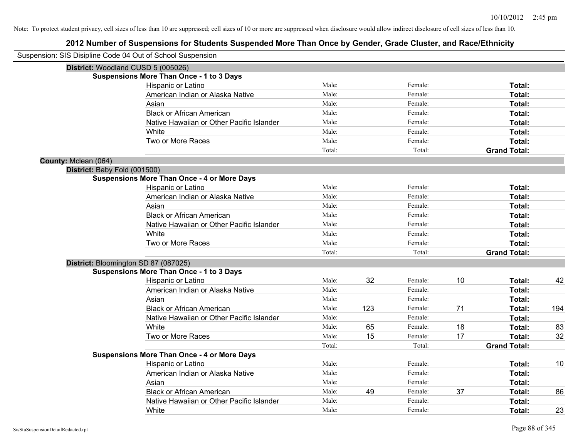|                      | Suspension: SIS Disipline Code 04 Out of School Suspension |        |     |         |    |                     |     |
|----------------------|------------------------------------------------------------|--------|-----|---------|----|---------------------|-----|
|                      | District: Woodland CUSD 5 (005026)                         |        |     |         |    |                     |     |
|                      | <b>Suspensions More Than Once - 1 to 3 Days</b>            |        |     |         |    |                     |     |
|                      | Hispanic or Latino                                         | Male:  |     | Female: |    | Total:              |     |
|                      | American Indian or Alaska Native                           | Male:  |     | Female: |    | Total:              |     |
|                      | Asian                                                      | Male:  |     | Female: |    | Total:              |     |
|                      | <b>Black or African American</b>                           | Male:  |     | Female: |    | Total:              |     |
|                      | Native Hawaiian or Other Pacific Islander                  | Male:  |     | Female: |    | Total:              |     |
|                      | White                                                      | Male:  |     | Female: |    | Total:              |     |
|                      | Two or More Races                                          | Male:  |     | Female: |    | <b>Total:</b>       |     |
|                      |                                                            | Total: |     | Total:  |    | <b>Grand Total:</b> |     |
| County: Mclean (064) |                                                            |        |     |         |    |                     |     |
|                      | District: Baby Fold (001500)                               |        |     |         |    |                     |     |
|                      | <b>Suspensions More Than Once - 4 or More Days</b>         |        |     |         |    |                     |     |
|                      | Hispanic or Latino                                         | Male:  |     | Female: |    | Total:              |     |
|                      | American Indian or Alaska Native                           | Male:  |     | Female: |    | Total:              |     |
|                      | Asian                                                      | Male:  |     | Female: |    | Total:              |     |
|                      | <b>Black or African American</b>                           | Male:  |     | Female: |    | Total:              |     |
|                      | Native Hawaiian or Other Pacific Islander                  | Male:  |     | Female: |    | Total:              |     |
|                      | White                                                      | Male:  |     | Female: |    | Total:              |     |
|                      | Two or More Races                                          | Male:  |     | Female: |    | <b>Total:</b>       |     |
|                      |                                                            | Total: |     | Total:  |    | <b>Grand Total:</b> |     |
|                      | District: Bloomington SD 87 (087025)                       |        |     |         |    |                     |     |
|                      | <b>Suspensions More Than Once - 1 to 3 Days</b>            |        |     |         |    |                     |     |
|                      | Hispanic or Latino                                         | Male:  | 32  | Female: | 10 | Total:              | 42  |
|                      | American Indian or Alaska Native                           | Male:  |     | Female: |    | Total:              |     |
|                      | Asian                                                      | Male:  |     | Female: |    | Total:              |     |
|                      | <b>Black or African American</b>                           | Male:  | 123 | Female: | 71 | Total:              | 194 |
|                      | Native Hawaiian or Other Pacific Islander                  | Male:  |     | Female: |    | Total:              |     |
|                      | White                                                      | Male:  | 65  | Female: | 18 | Total:              | 83  |
|                      | Two or More Races                                          | Male:  | 15  | Female: | 17 | <b>Total:</b>       | 32  |
|                      |                                                            | Total: |     | Total:  |    | <b>Grand Total:</b> |     |
|                      | <b>Suspensions More Than Once - 4 or More Days</b>         |        |     |         |    |                     |     |
|                      | Hispanic or Latino                                         | Male:  |     | Female: |    | Total:              | 10  |
|                      | American Indian or Alaska Native                           | Male:  |     | Female: |    | Total:              |     |
|                      | Asian                                                      | Male:  |     | Female: |    | Total:              |     |
|                      | <b>Black or African American</b>                           | Male:  | 49  | Female: | 37 | Total:              | 86  |
|                      | Native Hawaiian or Other Pacific Islander                  | Male:  |     | Female: |    | Total:              |     |
|                      | White                                                      | Male:  |     | Female: |    | Total:              | 23  |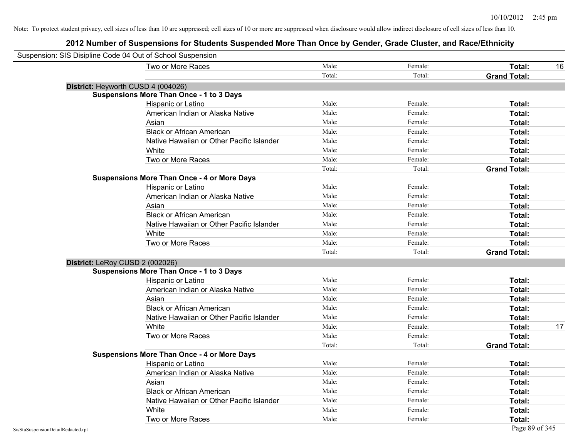| Suspension: SIS Disipline Code 04 Out of School Suspension |                                                    |        |         |                     |    |
|------------------------------------------------------------|----------------------------------------------------|--------|---------|---------------------|----|
|                                                            | Two or More Races                                  | Male:  | Female: | Total:              | 16 |
|                                                            |                                                    | Total: | Total:  | <b>Grand Total:</b> |    |
|                                                            | District: Heyworth CUSD 4 (004026)                 |        |         |                     |    |
|                                                            | <b>Suspensions More Than Once - 1 to 3 Days</b>    |        |         |                     |    |
|                                                            | Hispanic or Latino                                 | Male:  | Female: | Total:              |    |
|                                                            | American Indian or Alaska Native                   | Male:  | Female: | Total:              |    |
|                                                            | Asian                                              | Male:  | Female: | Total:              |    |
|                                                            | <b>Black or African American</b>                   | Male:  | Female: | Total:              |    |
|                                                            | Native Hawaiian or Other Pacific Islander          | Male:  | Female: | Total:              |    |
|                                                            | White                                              | Male:  | Female: | Total:              |    |
|                                                            | Two or More Races                                  | Male:  | Female: | Total:              |    |
|                                                            |                                                    | Total: | Total:  | <b>Grand Total:</b> |    |
|                                                            | <b>Suspensions More Than Once - 4 or More Days</b> |        |         |                     |    |
|                                                            | Hispanic or Latino                                 | Male:  | Female: | Total:              |    |
|                                                            | American Indian or Alaska Native                   | Male:  | Female: | Total:              |    |
|                                                            | Asian                                              | Male:  | Female: | Total:              |    |
|                                                            | <b>Black or African American</b>                   | Male:  | Female: | Total:              |    |
|                                                            | Native Hawaiian or Other Pacific Islander          | Male:  | Female: | Total:              |    |
|                                                            | White                                              | Male:  | Female: | Total:              |    |
|                                                            | Two or More Races                                  | Male:  | Female: | Total:              |    |
|                                                            |                                                    | Total: | Total:  | <b>Grand Total:</b> |    |
|                                                            | District: LeRoy CUSD 2 (002026)                    |        |         |                     |    |
|                                                            | <b>Suspensions More Than Once - 1 to 3 Days</b>    |        |         |                     |    |
|                                                            | Hispanic or Latino                                 | Male:  | Female: | Total:              |    |
|                                                            | American Indian or Alaska Native                   | Male:  | Female: | Total:              |    |
|                                                            | Asian                                              | Male:  | Female: | Total:              |    |
|                                                            | <b>Black or African American</b>                   | Male:  | Female: | Total:              |    |
|                                                            | Native Hawaiian or Other Pacific Islander          | Male:  | Female: | Total:              |    |
|                                                            | White                                              | Male:  | Female: | Total:              | 17 |
|                                                            | Two or More Races                                  | Male:  | Female: | Total:              |    |
|                                                            |                                                    | Total: | Total:  | <b>Grand Total:</b> |    |
|                                                            | <b>Suspensions More Than Once - 4 or More Days</b> |        |         |                     |    |
|                                                            | Hispanic or Latino                                 | Male:  | Female: | Total:              |    |
|                                                            | American Indian or Alaska Native                   | Male:  | Female: | Total:              |    |
|                                                            | Asian                                              | Male:  | Female: | Total:              |    |
|                                                            | <b>Black or African American</b>                   | Male:  | Female: | Total:              |    |
|                                                            | Native Hawaiian or Other Pacific Islander          | Male:  | Female: | Total:              |    |
|                                                            | White                                              | Male:  | Female: | <b>Total:</b>       |    |
|                                                            | Two or More Races                                  | Male:  | Female: | Total:              |    |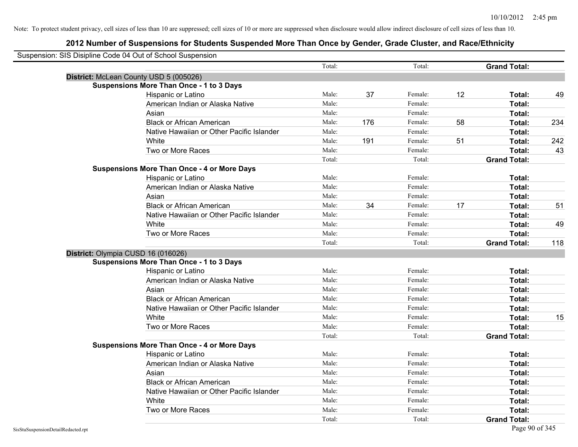|                                    | Suspension: SIS Disipline Code 04 Out of School Suspension                            |        |     |                   |    |                               |     |
|------------------------------------|---------------------------------------------------------------------------------------|--------|-----|-------------------|----|-------------------------------|-----|
|                                    |                                                                                       | Total: |     | Total:            |    | <b>Grand Total:</b>           |     |
|                                    | District: McLean County USD 5 (005026)                                                |        |     |                   |    |                               |     |
|                                    | <b>Suspensions More Than Once - 1 to 3 Days</b>                                       |        |     |                   |    |                               |     |
|                                    | Hispanic or Latino                                                                    | Male:  | 37  | Female:           | 12 | Total:                        | 49  |
|                                    | American Indian or Alaska Native                                                      | Male:  |     | Female:           |    | Total:                        |     |
|                                    | Asian                                                                                 | Male:  |     | Female:           |    | Total:                        |     |
|                                    | <b>Black or African American</b>                                                      | Male:  | 176 | Female:           | 58 | Total:                        | 234 |
|                                    | Native Hawaiian or Other Pacific Islander                                             | Male:  |     | Female:           |    | Total:                        |     |
|                                    | White                                                                                 | Male:  | 191 | Female:           | 51 | Total:                        | 242 |
|                                    | Two or More Races                                                                     | Male:  |     | Female:           |    | Total:                        | 43  |
|                                    |                                                                                       | Total: |     | Total:            |    | <b>Grand Total:</b>           |     |
|                                    | <b>Suspensions More Than Once - 4 or More Days</b>                                    |        |     |                   |    |                               |     |
|                                    | Hispanic or Latino                                                                    | Male:  |     | Female:           |    | Total:                        |     |
|                                    | American Indian or Alaska Native                                                      | Male:  |     | Female:           |    | Total:                        |     |
|                                    | Asian                                                                                 | Male:  |     | Female:           |    | Total:                        |     |
|                                    | <b>Black or African American</b>                                                      | Male:  | 34  | Female:           | 17 | Total:                        | 51  |
|                                    | Native Hawaiian or Other Pacific Islander                                             | Male:  |     | Female:           |    | Total:                        |     |
|                                    | White                                                                                 | Male:  |     | Female:           |    | Total:                        | 49  |
|                                    | Two or More Races                                                                     | Male:  |     | Female:           |    | Total:                        |     |
|                                    |                                                                                       | Total: |     | Total:            |    | <b>Grand Total:</b>           | 118 |
|                                    | District: Olympia CUSD 16 (016026)<br><b>Suspensions More Than Once - 1 to 3 Days</b> |        |     |                   |    |                               |     |
|                                    |                                                                                       | Male:  |     | Female:           |    | Total:                        |     |
|                                    | Hispanic or Latino                                                                    | Male:  |     | Female:           |    |                               |     |
|                                    | American Indian or Alaska Native                                                      | Male:  |     | Female:           |    | Total:                        |     |
|                                    | Asian                                                                                 | Male:  |     | Female:           |    | <b>Total:</b>                 |     |
|                                    | <b>Black or African American</b>                                                      | Male:  |     | Female:           |    | Total:                        |     |
|                                    | Native Hawaiian or Other Pacific Islander                                             | Male:  |     | Female:           |    | Total:                        |     |
|                                    | White                                                                                 | Male:  |     |                   |    | Total:                        | 15  |
|                                    | Two or More Races                                                                     | Total: |     | Female:<br>Total: |    | Total:<br><b>Grand Total:</b> |     |
|                                    | <b>Suspensions More Than Once - 4 or More Days</b>                                    |        |     |                   |    |                               |     |
|                                    | Hispanic or Latino                                                                    | Male:  |     | Female:           |    | Total:                        |     |
|                                    | American Indian or Alaska Native                                                      | Male:  |     | Female:           |    | <b>Total:</b>                 |     |
|                                    | Asian                                                                                 | Male:  |     | Female:           |    | Total:                        |     |
|                                    | <b>Black or African American</b>                                                      | Male:  |     | Female:           |    | Total:                        |     |
|                                    | Native Hawaiian or Other Pacific Islander                                             | Male:  |     | Female:           |    | Total:                        |     |
|                                    | White                                                                                 | Male:  |     | Female:           |    | Total:                        |     |
|                                    | Two or More Races                                                                     | Male:  |     | Female:           |    | Total:                        |     |
|                                    |                                                                                       | Total: |     | Total:            |    | <b>Grand Total:</b>           |     |
| SisStuSuspensionDetailRedacted.rpt |                                                                                       |        |     |                   |    | Page 90 of 345                |     |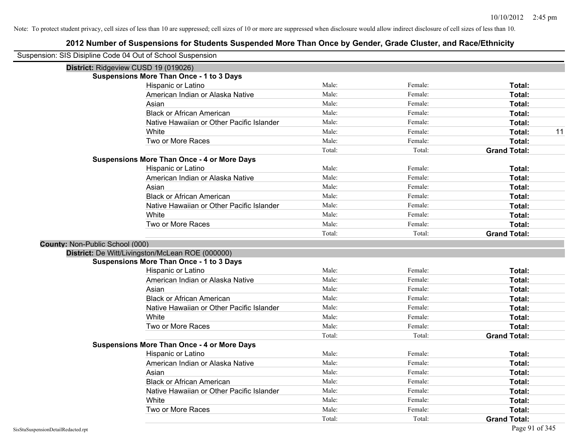| Suspension: SIS Disipline Code 04 Out of School Suspension |                                                    |        |         |                     |
|------------------------------------------------------------|----------------------------------------------------|--------|---------|---------------------|
| District: Ridgeview CUSD 19 (019026)                       |                                                    |        |         |                     |
|                                                            | <b>Suspensions More Than Once - 1 to 3 Days</b>    |        |         |                     |
|                                                            | Hispanic or Latino                                 | Male:  | Female: | Total:              |
|                                                            | American Indian or Alaska Native                   | Male:  | Female: | Total:              |
|                                                            | Asian                                              | Male:  | Female: | Total:              |
|                                                            | <b>Black or African American</b>                   | Male:  | Female: | Total:              |
|                                                            | Native Hawaiian or Other Pacific Islander          | Male:  | Female: | Total:              |
|                                                            | White                                              | Male:  | Female: | 11<br>Total:        |
|                                                            | Two or More Races                                  | Male:  | Female: | Total:              |
|                                                            |                                                    | Total: | Total:  | <b>Grand Total:</b> |
|                                                            | <b>Suspensions More Than Once - 4 or More Days</b> |        |         |                     |
|                                                            | Hispanic or Latino                                 | Male:  | Female: | Total:              |
|                                                            | American Indian or Alaska Native                   | Male:  | Female: | Total:              |
|                                                            | Asian                                              | Male:  | Female: | Total:              |
|                                                            | <b>Black or African American</b>                   | Male:  | Female: | Total:              |
|                                                            | Native Hawaiian or Other Pacific Islander          | Male:  | Female: | Total:              |
|                                                            | White                                              | Male:  | Female: | Total:              |
|                                                            | Two or More Races                                  | Male:  | Female: | Total:              |
|                                                            |                                                    | Total: | Total:  | <b>Grand Total:</b> |
| <b>County: Non-Public School (000)</b>                     |                                                    |        |         |                     |
|                                                            | District: De Witt/Livingston/McLean ROE (000000)   |        |         |                     |
|                                                            | <b>Suspensions More Than Once - 1 to 3 Days</b>    |        |         |                     |
|                                                            | Hispanic or Latino                                 | Male:  | Female: | Total:              |
|                                                            | American Indian or Alaska Native                   | Male:  | Female: | Total:              |
|                                                            | Asian                                              | Male:  | Female: | Total:              |
|                                                            | <b>Black or African American</b>                   | Male:  | Female: | Total:              |
|                                                            | Native Hawaiian or Other Pacific Islander          | Male:  | Female: | Total:              |
|                                                            | White                                              | Male:  | Female: | Total:              |
|                                                            | Two or More Races                                  | Male:  | Female: | Total:              |
|                                                            |                                                    | Total: | Total:  | <b>Grand Total:</b> |
|                                                            | <b>Suspensions More Than Once - 4 or More Days</b> |        |         |                     |
|                                                            | Hispanic or Latino                                 | Male:  | Female: | Total:              |
|                                                            | American Indian or Alaska Native                   | Male:  | Female: | Total:              |
|                                                            | Asian                                              | Male:  | Female: | Total:              |
|                                                            | <b>Black or African American</b>                   | Male:  | Female: | Total:              |
|                                                            | Native Hawaiian or Other Pacific Islander          | Male:  | Female: | Total:              |
|                                                            | White                                              | Male:  | Female: | Total:              |
|                                                            | Two or More Races                                  | Male:  | Female: | Total:              |
|                                                            |                                                    | Total: | Total:  | <b>Grand Total:</b> |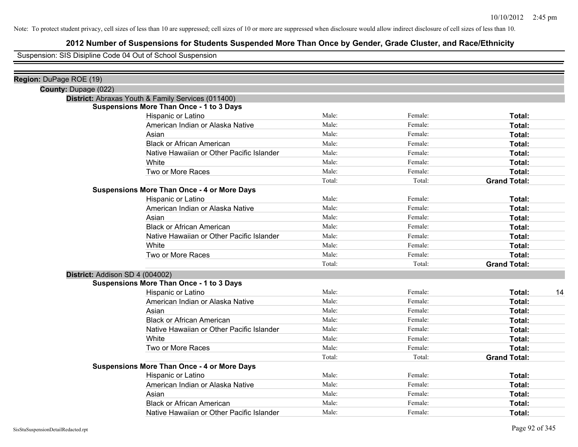## **2012 Number of Suspensions for Students Suspended More Than Once by Gender, Grade Cluster, and Race/Ethnicity**

Suspension: SIS Disipline Code 04 Out of School Suspension

| Region: DuPage ROE (19)                            |                                           |        |         |                     |    |
|----------------------------------------------------|-------------------------------------------|--------|---------|---------------------|----|
| County: Dupage (022)                               |                                           |        |         |                     |    |
| District: Abraxas Youth & Family Services (011400) |                                           |        |         |                     |    |
| <b>Suspensions More Than Once - 1 to 3 Days</b>    |                                           |        |         |                     |    |
| Hispanic or Latino                                 |                                           | Male:  | Female: | Total:              |    |
|                                                    | American Indian or Alaska Native          | Male:  | Female: | Total:              |    |
| Asian                                              |                                           | Male:  | Female: | Total:              |    |
| <b>Black or African American</b>                   |                                           | Male:  | Female: | Total:              |    |
|                                                    | Native Hawaiian or Other Pacific Islander | Male:  | Female: | Total:              |    |
| White                                              |                                           | Male:  | Female: | Total:              |    |
| Two or More Races                                  |                                           | Male:  | Female: | Total:              |    |
|                                                    |                                           | Total: | Total:  | <b>Grand Total:</b> |    |
| <b>Suspensions More Than Once - 4 or More Days</b> |                                           |        |         |                     |    |
| Hispanic or Latino                                 |                                           | Male:  | Female: | Total:              |    |
|                                                    | American Indian or Alaska Native          | Male:  | Female: | Total:              |    |
| Asian                                              |                                           | Male:  | Female: | Total:              |    |
| <b>Black or African American</b>                   |                                           | Male:  | Female: | Total:              |    |
|                                                    | Native Hawaiian or Other Pacific Islander | Male:  | Female: | Total:              |    |
| White                                              |                                           | Male:  | Female: | Total:              |    |
| Two or More Races                                  |                                           | Male:  | Female: | Total:              |    |
|                                                    |                                           | Total: | Total:  | <b>Grand Total:</b> |    |
| District: Addison SD 4 (004002)                    |                                           |        |         |                     |    |
| <b>Suspensions More Than Once - 1 to 3 Days</b>    |                                           |        |         |                     |    |
| Hispanic or Latino                                 |                                           | Male:  | Female: | Total:              | 14 |
|                                                    | American Indian or Alaska Native          | Male:  | Female: | Total:              |    |
| Asian                                              |                                           | Male:  | Female: | Total:              |    |
| <b>Black or African American</b>                   |                                           | Male:  | Female: | Total:              |    |
|                                                    | Native Hawaiian or Other Pacific Islander | Male:  | Female: | Total:              |    |
| White                                              |                                           | Male:  | Female: | Total:              |    |
| Two or More Races                                  |                                           | Male:  | Female: | Total:              |    |
|                                                    |                                           | Total: | Total:  | <b>Grand Total:</b> |    |
| <b>Suspensions More Than Once - 4 or More Days</b> |                                           |        |         |                     |    |
| Hispanic or Latino                                 |                                           | Male:  | Female: | Total:              |    |
|                                                    | American Indian or Alaska Native          | Male:  | Female: | Total:              |    |
| Asian                                              |                                           | Male:  | Female: | Total:              |    |
| <b>Black or African American</b>                   |                                           | Male:  | Female: | Total:              |    |
|                                                    | Native Hawaiian or Other Pacific Islander | Male:  | Female: | Total:              |    |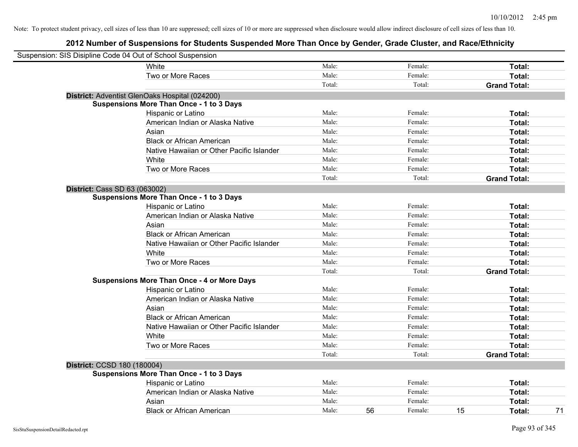| Suspension: SIS Disipline Code 04 Out of School Suspension |                                                    |        |    |         |    |                     |
|------------------------------------------------------------|----------------------------------------------------|--------|----|---------|----|---------------------|
|                                                            | White                                              | Male:  |    | Female: |    | Total:              |
|                                                            | Two or More Races                                  | Male:  |    | Female: |    | Total:              |
|                                                            |                                                    | Total: |    | Total:  |    | <b>Grand Total:</b> |
|                                                            | District: Adventist GlenOaks Hospital (024200)     |        |    |         |    |                     |
|                                                            | <b>Suspensions More Than Once - 1 to 3 Days</b>    |        |    |         |    |                     |
|                                                            | Hispanic or Latino                                 | Male:  |    | Female: |    | Total:              |
|                                                            | American Indian or Alaska Native                   | Male:  |    | Female: |    | Total:              |
|                                                            | Asian                                              | Male:  |    | Female: |    | Total:              |
|                                                            | <b>Black or African American</b>                   | Male:  |    | Female: |    | Total:              |
|                                                            | Native Hawaiian or Other Pacific Islander          | Male:  |    | Female: |    | Total:              |
|                                                            | White                                              | Male:  |    | Female: |    | Total:              |
|                                                            | Two or More Races                                  | Male:  |    | Female: |    | Total:              |
|                                                            |                                                    | Total: |    | Total:  |    | <b>Grand Total:</b> |
| <b>District: Cass SD 63 (063002)</b>                       |                                                    |        |    |         |    |                     |
|                                                            | <b>Suspensions More Than Once - 1 to 3 Days</b>    |        |    |         |    |                     |
|                                                            | Hispanic or Latino                                 | Male:  |    | Female: |    | Total:              |
|                                                            | American Indian or Alaska Native                   | Male:  |    | Female: |    | Total:              |
|                                                            | Asian                                              | Male:  |    | Female: |    | Total:              |
|                                                            | <b>Black or African American</b>                   | Male:  |    | Female: |    | Total:              |
|                                                            | Native Hawaiian or Other Pacific Islander          | Male:  |    | Female: |    | Total:              |
|                                                            | White                                              | Male:  |    | Female: |    | Total:              |
|                                                            | Two or More Races                                  | Male:  |    | Female: |    | Total:              |
|                                                            |                                                    | Total: |    | Total:  |    | <b>Grand Total:</b> |
|                                                            | <b>Suspensions More Than Once - 4 or More Days</b> |        |    |         |    |                     |
|                                                            | Hispanic or Latino                                 | Male:  |    | Female: |    | Total:              |
|                                                            | American Indian or Alaska Native                   | Male:  |    | Female: |    | Total:              |
|                                                            | Asian                                              | Male:  |    | Female: |    | Total:              |
|                                                            | <b>Black or African American</b>                   | Male:  |    | Female: |    | Total:              |
|                                                            | Native Hawaiian or Other Pacific Islander          | Male:  |    | Female: |    | Total:              |
|                                                            | White                                              | Male:  |    | Female: |    | Total:              |
|                                                            | Two or More Races                                  | Male:  |    | Female: |    | Total:              |
|                                                            |                                                    | Total: |    | Total:  |    | <b>Grand Total:</b> |
| District: CCSD 180 (180004)                                |                                                    |        |    |         |    |                     |
|                                                            | <b>Suspensions More Than Once - 1 to 3 Days</b>    |        |    |         |    |                     |
|                                                            | Hispanic or Latino                                 | Male:  |    | Female: |    | Total:              |
|                                                            | American Indian or Alaska Native                   | Male:  |    | Female: |    | Total:              |
|                                                            | Asian                                              | Male:  |    | Female: |    | Total:              |
|                                                            | <b>Black or African American</b>                   | Male:  | 56 | Female: | 15 | 71<br>Total:        |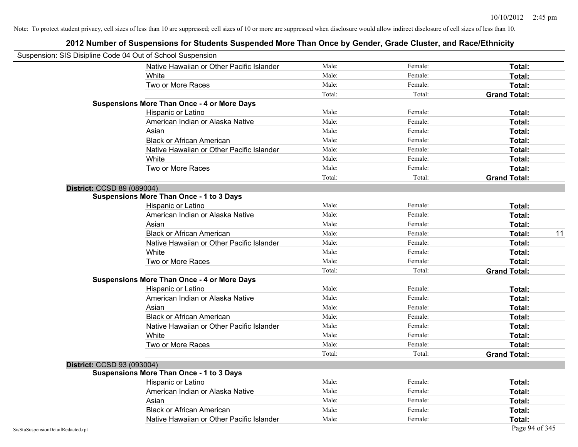| Suspension: SIS Disipline Code 04 Out of School Suspension |                                                    |        |         |                     |
|------------------------------------------------------------|----------------------------------------------------|--------|---------|---------------------|
|                                                            | Native Hawaiian or Other Pacific Islander          | Male:  | Female: | Total:              |
|                                                            | White                                              | Male:  | Female: | Total:              |
|                                                            | Two or More Races                                  | Male:  | Female: | Total:              |
|                                                            |                                                    | Total: | Total:  | <b>Grand Total:</b> |
|                                                            | <b>Suspensions More Than Once - 4 or More Days</b> |        |         |                     |
|                                                            | Hispanic or Latino                                 | Male:  | Female: | Total:              |
|                                                            | American Indian or Alaska Native                   | Male:  | Female: | Total:              |
|                                                            | Asian                                              | Male:  | Female: | Total:              |
|                                                            | <b>Black or African American</b>                   | Male:  | Female: | Total:              |
|                                                            | Native Hawaiian or Other Pacific Islander          | Male:  | Female: | Total:              |
|                                                            | White                                              | Male:  | Female: | Total:              |
|                                                            | Two or More Races                                  | Male:  | Female: | Total:              |
|                                                            |                                                    | Total: | Total:  | <b>Grand Total:</b> |
| District: CCSD 89 (089004)                                 |                                                    |        |         |                     |
|                                                            | Suspensions More Than Once - 1 to 3 Days           |        |         |                     |
|                                                            | Hispanic or Latino                                 | Male:  | Female: | Total:              |
|                                                            | American Indian or Alaska Native                   | Male:  | Female: | Total:              |
|                                                            | Asian                                              | Male:  | Female: | Total:              |
|                                                            | <b>Black or African American</b>                   | Male:  | Female: | Total:<br>11        |
|                                                            | Native Hawaiian or Other Pacific Islander          | Male:  | Female: | Total:              |
|                                                            | White                                              | Male:  | Female: | Total:              |
|                                                            | Two or More Races                                  | Male:  | Female: | Total:              |
|                                                            |                                                    | Total: | Total:  | <b>Grand Total:</b> |
|                                                            | <b>Suspensions More Than Once - 4 or More Days</b> |        |         |                     |
|                                                            | Hispanic or Latino                                 | Male:  | Female: | Total:              |
|                                                            | American Indian or Alaska Native                   | Male:  | Female: | Total:              |
|                                                            | Asian                                              | Male:  | Female: | Total:              |
|                                                            | <b>Black or African American</b>                   | Male:  | Female: | Total:              |
|                                                            | Native Hawaiian or Other Pacific Islander          | Male:  | Female: | Total:              |
|                                                            | White                                              | Male:  | Female: | Total:              |
|                                                            | Two or More Races                                  | Male:  | Female: | Total:              |
|                                                            |                                                    | Total: | Total:  | <b>Grand Total:</b> |
| District: CCSD 93 (093004)                                 |                                                    |        |         |                     |
|                                                            | <b>Suspensions More Than Once - 1 to 3 Days</b>    |        |         |                     |
|                                                            | Hispanic or Latino                                 | Male:  | Female: | Total:              |
|                                                            | American Indian or Alaska Native                   | Male:  | Female: | Total:              |
|                                                            | Asian                                              | Male:  | Female: | Total:              |
|                                                            | <b>Black or African American</b>                   | Male:  | Female: | Total:              |
|                                                            | Native Hawaiian or Other Pacific Islander          | Male:  | Female: | Total:              |
| SisStuSuspensionDetailRedacted.rpt                         |                                                    |        |         | Page 94 of 345      |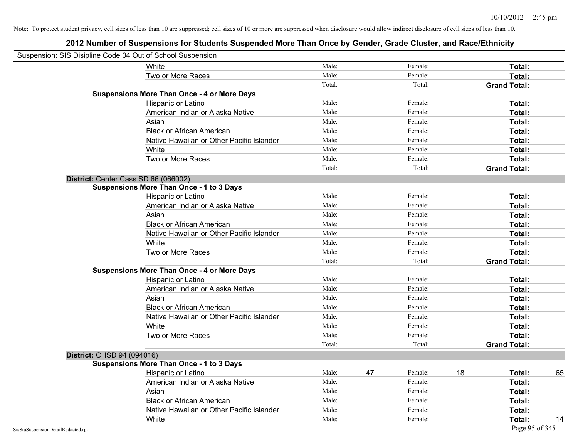|                                    | Suspension: SIS Disipline Code 04 Out of School Suspension |        |    |         |    |                     |    |
|------------------------------------|------------------------------------------------------------|--------|----|---------|----|---------------------|----|
|                                    | White                                                      | Male:  |    | Female: |    | Total:              |    |
|                                    | Two or More Races                                          | Male:  |    | Female: |    | Total:              |    |
|                                    |                                                            | Total: |    | Total:  |    | <b>Grand Total:</b> |    |
|                                    | <b>Suspensions More Than Once - 4 or More Days</b>         |        |    |         |    |                     |    |
|                                    | Hispanic or Latino                                         | Male:  |    | Female: |    | Total:              |    |
|                                    | American Indian or Alaska Native                           | Male:  |    | Female: |    | Total:              |    |
|                                    | Asian                                                      | Male:  |    | Female: |    | Total:              |    |
|                                    | <b>Black or African American</b>                           | Male:  |    | Female: |    | Total:              |    |
|                                    | Native Hawaiian or Other Pacific Islander                  | Male:  |    | Female: |    | Total:              |    |
|                                    | White                                                      | Male:  |    | Female: |    | Total:              |    |
|                                    | Two or More Races                                          | Male:  |    | Female: |    | Total:              |    |
|                                    |                                                            | Total: |    | Total:  |    | <b>Grand Total:</b> |    |
|                                    | District: Center Cass SD 66 (066002)                       |        |    |         |    |                     |    |
|                                    | <b>Suspensions More Than Once - 1 to 3 Days</b>            |        |    |         |    |                     |    |
|                                    | Hispanic or Latino                                         | Male:  |    | Female: |    | Total:              |    |
|                                    | American Indian or Alaska Native                           | Male:  |    | Female: |    | Total:              |    |
|                                    | Asian                                                      | Male:  |    | Female: |    | Total:              |    |
|                                    | <b>Black or African American</b>                           | Male:  |    | Female: |    | Total:              |    |
|                                    | Native Hawaiian or Other Pacific Islander                  | Male:  |    | Female: |    | Total:              |    |
|                                    | White                                                      | Male:  |    | Female: |    | Total:              |    |
|                                    | Two or More Races                                          | Male:  |    | Female: |    | Total:              |    |
|                                    |                                                            | Total: |    | Total:  |    | <b>Grand Total:</b> |    |
|                                    | <b>Suspensions More Than Once - 4 or More Days</b>         |        |    |         |    |                     |    |
|                                    | Hispanic or Latino                                         | Male:  |    | Female: |    | Total:              |    |
|                                    | American Indian or Alaska Native                           | Male:  |    | Female: |    | Total:              |    |
|                                    | Asian                                                      | Male:  |    | Female: |    | Total:              |    |
|                                    | <b>Black or African American</b>                           | Male:  |    | Female: |    | Total:              |    |
|                                    | Native Hawaiian or Other Pacific Islander                  | Male:  |    | Female: |    | Total:              |    |
|                                    | White                                                      | Male:  |    | Female: |    | Total:              |    |
|                                    | Two or More Races                                          | Male:  |    | Female: |    | Total:              |    |
|                                    |                                                            | Total: |    | Total:  |    | <b>Grand Total:</b> |    |
| District: CHSD 94 (094016)         |                                                            |        |    |         |    |                     |    |
|                                    | <b>Suspensions More Than Once - 1 to 3 Days</b>            |        |    |         |    |                     |    |
|                                    | Hispanic or Latino                                         | Male:  | 47 | Female: | 18 | Total:              | 65 |
|                                    | American Indian or Alaska Native                           | Male:  |    | Female: |    | Total:              |    |
|                                    | Asian                                                      | Male:  |    | Female: |    | Total:              |    |
|                                    | <b>Black or African American</b>                           | Male:  |    | Female: |    | Total:              |    |
|                                    | Native Hawaiian or Other Pacific Islander                  | Male:  |    | Female: |    | Total:              |    |
|                                    | White                                                      | Male:  |    | Female: |    | Total:              | 14 |
| SisStuSuspensionDetailRedacted.rpt |                                                            |        |    |         |    | Page 95 of 345      |    |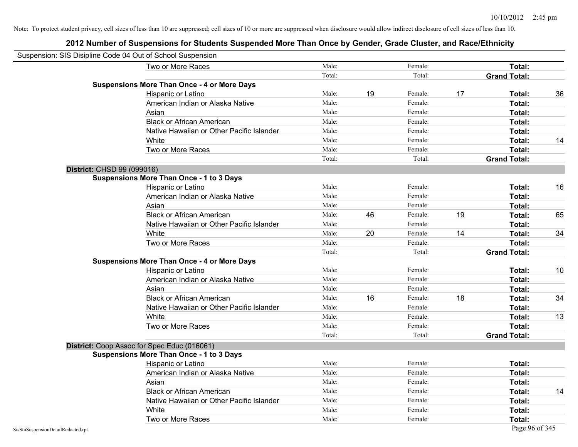| Suspension: SIS Disipline Code 04 Out of School Suspension |                                                    |        |    |         |    |                     |    |
|------------------------------------------------------------|----------------------------------------------------|--------|----|---------|----|---------------------|----|
|                                                            | Two or More Races                                  | Male:  |    | Female: |    | Total:              |    |
|                                                            |                                                    | Total: |    | Total:  |    | <b>Grand Total:</b> |    |
|                                                            | <b>Suspensions More Than Once - 4 or More Days</b> |        |    |         |    |                     |    |
|                                                            | Hispanic or Latino                                 | Male:  | 19 | Female: | 17 | Total:              | 36 |
|                                                            | American Indian or Alaska Native                   | Male:  |    | Female: |    | Total:              |    |
|                                                            | Asian                                              | Male:  |    | Female: |    | Total:              |    |
|                                                            | <b>Black or African American</b>                   | Male:  |    | Female: |    | Total:              |    |
|                                                            | Native Hawaiian or Other Pacific Islander          | Male:  |    | Female: |    | Total:              |    |
|                                                            | White                                              | Male:  |    | Female: |    | Total:              | 14 |
|                                                            | Two or More Races                                  | Male:  |    | Female: |    | Total:              |    |
|                                                            |                                                    | Total: |    | Total:  |    | <b>Grand Total:</b> |    |
| District: CHSD 99 (099016)                                 |                                                    |        |    |         |    |                     |    |
|                                                            | <b>Suspensions More Than Once - 1 to 3 Days</b>    |        |    |         |    |                     |    |
|                                                            | Hispanic or Latino                                 | Male:  |    | Female: |    | Total:              | 16 |
|                                                            | American Indian or Alaska Native                   | Male:  |    | Female: |    | Total:              |    |
|                                                            | Asian                                              | Male:  |    | Female: |    | Total:              |    |
|                                                            | <b>Black or African American</b>                   | Male:  | 46 | Female: | 19 | Total:              | 65 |
|                                                            | Native Hawaiian or Other Pacific Islander          | Male:  |    | Female: |    | Total:              |    |
|                                                            | White                                              | Male:  | 20 | Female: | 14 | Total:              | 34 |
|                                                            | Two or More Races                                  | Male:  |    | Female: |    | Total:              |    |
|                                                            |                                                    | Total: |    | Total:  |    | <b>Grand Total:</b> |    |
|                                                            | <b>Suspensions More Than Once - 4 or More Days</b> |        |    |         |    |                     |    |
|                                                            | Hispanic or Latino                                 | Male:  |    | Female: |    | Total:              | 10 |
|                                                            | American Indian or Alaska Native                   | Male:  |    | Female: |    | Total:              |    |
|                                                            | Asian                                              | Male:  |    | Female: |    | Total:              |    |
|                                                            | <b>Black or African American</b>                   | Male:  | 16 | Female: | 18 | Total:              | 34 |
|                                                            | Native Hawaiian or Other Pacific Islander          | Male:  |    | Female: |    | Total:              |    |
|                                                            | White                                              | Male:  |    | Female: |    | Total:              | 13 |
|                                                            | Two or More Races                                  | Male:  |    | Female: |    | Total:              |    |
|                                                            |                                                    | Total: |    | Total:  |    | <b>Grand Total:</b> |    |
|                                                            | District: Coop Assoc for Spec Educ (016061)        |        |    |         |    |                     |    |
|                                                            | <b>Suspensions More Than Once - 1 to 3 Days</b>    |        |    |         |    |                     |    |
|                                                            | Hispanic or Latino                                 | Male:  |    | Female: |    | Total:              |    |
|                                                            | American Indian or Alaska Native                   | Male:  |    | Female: |    | Total:              |    |
|                                                            | Asian                                              | Male:  |    | Female: |    | Total:              |    |
|                                                            | <b>Black or African American</b>                   | Male:  |    | Female: |    | Total:              | 14 |
|                                                            | Native Hawaiian or Other Pacific Islander          | Male:  |    | Female: |    | Total:              |    |
|                                                            | White                                              | Male:  |    | Female: |    | Total:              |    |
|                                                            | Two or More Races                                  | Male:  |    | Female: |    | Total:              |    |
| SisStuSuspensionDetailRedacted.rpt                         |                                                    |        |    |         |    | Page 96 of 345      |    |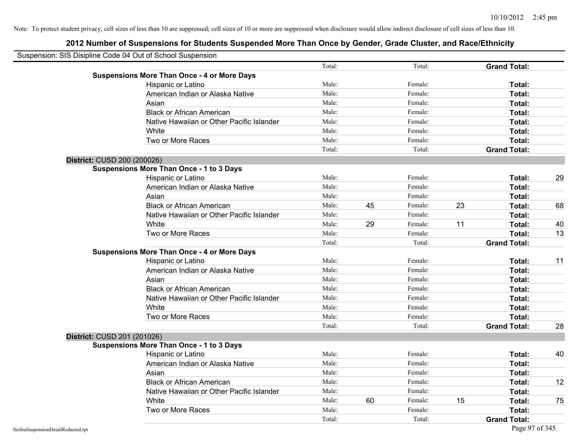| Suspension: SIS Disipline Code 04 Out of School Suspension |                                                    |        |    |         |    |                     |    |
|------------------------------------------------------------|----------------------------------------------------|--------|----|---------|----|---------------------|----|
|                                                            |                                                    | Total: |    | Total:  |    | <b>Grand Total:</b> |    |
|                                                            | <b>Suspensions More Than Once - 4 or More Days</b> |        |    |         |    |                     |    |
|                                                            | Hispanic or Latino                                 | Male:  |    | Female: |    | Total:              |    |
|                                                            | American Indian or Alaska Native                   | Male:  |    | Female: |    | Total:              |    |
|                                                            | Asian                                              | Male:  |    | Female: |    | Total:              |    |
|                                                            | <b>Black or African American</b>                   | Male:  |    | Female: |    | Total:              |    |
|                                                            | Native Hawaiian or Other Pacific Islander          | Male:  |    | Female: |    | Total:              |    |
|                                                            | White                                              | Male:  |    | Female: |    | Total:              |    |
|                                                            | Two or More Races                                  | Male:  |    | Female: |    | Total:              |    |
|                                                            |                                                    | Total: |    | Total:  |    | <b>Grand Total:</b> |    |
| District: CUSD 200 (200026)                                |                                                    |        |    |         |    |                     |    |
|                                                            | <b>Suspensions More Than Once - 1 to 3 Days</b>    |        |    |         |    |                     |    |
|                                                            | Hispanic or Latino                                 | Male:  |    | Female: |    | Total:              | 29 |
|                                                            | American Indian or Alaska Native                   | Male:  |    | Female: |    | Total:              |    |
|                                                            | Asian                                              | Male:  |    | Female: |    | Total:              |    |
|                                                            | <b>Black or African American</b>                   | Male:  | 45 | Female: | 23 | Total:              | 68 |
|                                                            | Native Hawaiian or Other Pacific Islander          | Male:  |    | Female: |    | Total:              |    |
|                                                            | White                                              | Male:  | 29 | Female: | 11 | Total:              | 40 |
|                                                            | Two or More Races                                  | Male:  |    | Female: |    | Total:              | 13 |
|                                                            |                                                    | Total: |    | Total:  |    | <b>Grand Total:</b> |    |
|                                                            | <b>Suspensions More Than Once - 4 or More Days</b> |        |    |         |    |                     |    |
|                                                            | Hispanic or Latino                                 | Male:  |    | Female: |    | Total:              | 11 |
|                                                            | American Indian or Alaska Native                   | Male:  |    | Female: |    | Total:              |    |
|                                                            | Asian                                              | Male:  |    | Female: |    | Total:              |    |
|                                                            | <b>Black or African American</b>                   | Male:  |    | Female: |    | Total:              |    |
|                                                            | Native Hawaiian or Other Pacific Islander          | Male:  |    | Female: |    | Total:              |    |
|                                                            | White                                              | Male:  |    | Female: |    | Total:              |    |
|                                                            | Two or More Races                                  | Male:  |    | Female: |    | Total:              |    |
|                                                            |                                                    | Total: |    | Total:  |    | <b>Grand Total:</b> | 28 |
| District: CUSD 201 (201026)                                |                                                    |        |    |         |    |                     |    |
|                                                            | <b>Suspensions More Than Once - 1 to 3 Days</b>    |        |    |         |    |                     |    |
|                                                            | Hispanic or Latino                                 | Male:  |    | Female: |    | Total:              | 40 |
|                                                            | American Indian or Alaska Native                   | Male:  |    | Female: |    | Total:              |    |
|                                                            | Asian                                              | Male:  |    | Female: |    | Total:              |    |
|                                                            | <b>Black or African American</b>                   | Male:  |    | Female: |    | Total:              | 12 |
|                                                            | Native Hawaiian or Other Pacific Islander          | Male:  |    | Female: |    | Total:              |    |
|                                                            | White                                              | Male:  | 60 | Female: | 15 | Total:              | 75 |
|                                                            | Two or More Races                                  | Male:  |    | Female: |    | Total:              |    |
|                                                            |                                                    | Total: |    | Total:  |    | <b>Grand Total:</b> |    |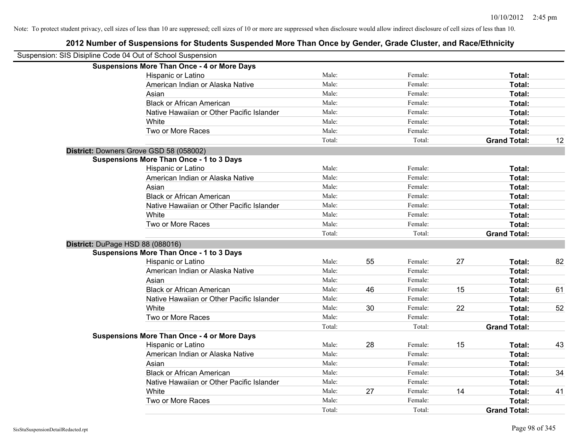| Suspension: SIS Disipline Code 04 Out of School Suspension |                                                    |        |    |         |    |                     |    |
|------------------------------------------------------------|----------------------------------------------------|--------|----|---------|----|---------------------|----|
|                                                            | <b>Suspensions More Than Once - 4 or More Days</b> |        |    |         |    |                     |    |
|                                                            | Hispanic or Latino                                 | Male:  |    | Female: |    | Total:              |    |
|                                                            | American Indian or Alaska Native                   | Male:  |    | Female: |    | Total:              |    |
|                                                            | Asian                                              | Male:  |    | Female: |    | Total:              |    |
|                                                            | <b>Black or African American</b>                   | Male:  |    | Female: |    | Total:              |    |
|                                                            | Native Hawaiian or Other Pacific Islander          | Male:  |    | Female: |    | Total:              |    |
|                                                            | White                                              | Male:  |    | Female: |    | Total:              |    |
|                                                            | Two or More Races                                  | Male:  |    | Female: |    | Total:              |    |
|                                                            |                                                    | Total: |    | Total:  |    | <b>Grand Total:</b> | 12 |
|                                                            | District: Downers Grove GSD 58 (058002)            |        |    |         |    |                     |    |
|                                                            | <b>Suspensions More Than Once - 1 to 3 Days</b>    |        |    |         |    |                     |    |
|                                                            | Hispanic or Latino                                 | Male:  |    | Female: |    | Total:              |    |
|                                                            | American Indian or Alaska Native                   | Male:  |    | Female: |    | Total:              |    |
|                                                            | Asian                                              | Male:  |    | Female: |    | Total:              |    |
|                                                            | <b>Black or African American</b>                   | Male:  |    | Female: |    | Total:              |    |
|                                                            | Native Hawaiian or Other Pacific Islander          | Male:  |    | Female: |    | Total:              |    |
|                                                            | White                                              | Male:  |    | Female: |    | Total:              |    |
|                                                            | Two or More Races                                  | Male:  |    | Female: |    | Total:              |    |
|                                                            |                                                    | Total: |    | Total:  |    | <b>Grand Total:</b> |    |
|                                                            | District: DuPage HSD 88 (088016)                   |        |    |         |    |                     |    |
|                                                            | <b>Suspensions More Than Once - 1 to 3 Days</b>    |        |    |         |    |                     |    |
|                                                            | Hispanic or Latino                                 | Male:  | 55 | Female: | 27 | Total:              | 82 |
|                                                            | American Indian or Alaska Native                   | Male:  |    | Female: |    | Total:              |    |
|                                                            | Asian                                              | Male:  |    | Female: |    | Total:              |    |
|                                                            | <b>Black or African American</b>                   | Male:  | 46 | Female: | 15 | Total:              | 61 |
|                                                            | Native Hawaiian or Other Pacific Islander          | Male:  |    | Female: |    | Total:              |    |
|                                                            | White                                              | Male:  | 30 | Female: | 22 | Total:              | 52 |
|                                                            | Two or More Races                                  | Male:  |    | Female: |    | Total:              |    |
|                                                            |                                                    | Total: |    | Total:  |    | <b>Grand Total:</b> |    |
|                                                            | <b>Suspensions More Than Once - 4 or More Days</b> |        |    |         |    |                     |    |
|                                                            | Hispanic or Latino                                 | Male:  | 28 | Female: | 15 | Total:              | 43 |
|                                                            | American Indian or Alaska Native                   | Male:  |    | Female: |    | Total:              |    |
|                                                            | Asian                                              | Male:  |    | Female: |    | Total:              |    |
|                                                            | <b>Black or African American</b>                   | Male:  |    | Female: |    | Total:              | 34 |
|                                                            | Native Hawaiian or Other Pacific Islander          | Male:  |    | Female: |    | Total:              |    |
|                                                            | White                                              | Male:  | 27 | Female: | 14 | Total:              | 41 |
|                                                            | Two or More Races                                  | Male:  |    | Female: |    | <b>Total:</b>       |    |
|                                                            |                                                    | Total: |    | Total:  |    | <b>Grand Total:</b> |    |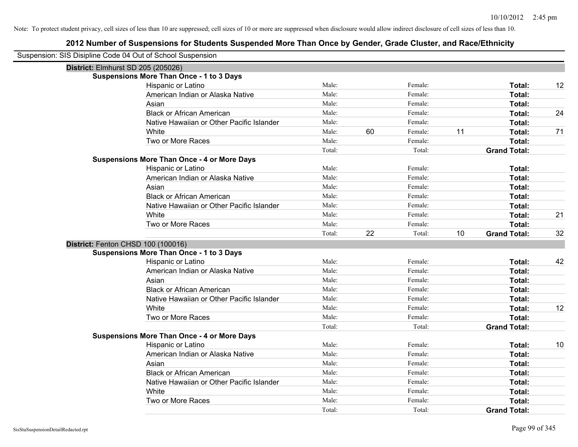| Suspension: SIS Disipline Code 04 Out of School Suspension |                                                    |                 |    |         |    |                                      |    |
|------------------------------------------------------------|----------------------------------------------------|-----------------|----|---------|----|--------------------------------------|----|
| District: Elmhurst SD 205 (205026)                         |                                                    |                 |    |         |    |                                      |    |
|                                                            | <b>Suspensions More Than Once - 1 to 3 Days</b>    |                 |    |         |    |                                      |    |
|                                                            | Hispanic or Latino                                 | Male:           |    | Female: |    | Total:                               | 12 |
|                                                            | American Indian or Alaska Native                   | Male:           |    | Female: |    | Total:                               |    |
|                                                            | Asian                                              | Male:           |    | Female: |    | Total:                               |    |
|                                                            | <b>Black or African American</b>                   | Male:           |    | Female: |    | Total:                               | 24 |
|                                                            | Native Hawaiian or Other Pacific Islander          | Male:           |    | Female: |    | Total:                               |    |
|                                                            | White                                              | Male:           | 60 | Female: | 11 | Total:                               | 71 |
|                                                            | Two or More Races                                  | Male:           |    | Female: |    | Total:                               |    |
|                                                            |                                                    | Total:          |    | Total:  |    | <b>Grand Total:</b>                  |    |
|                                                            | <b>Suspensions More Than Once - 4 or More Days</b> |                 |    |         |    |                                      |    |
|                                                            | Hispanic or Latino                                 | Male:           |    | Female: |    | Total:                               |    |
|                                                            | American Indian or Alaska Native                   | Male:           |    | Female: |    | Total:                               |    |
|                                                            | Asian                                              | Male:           |    | Female: |    | Total:                               |    |
|                                                            | <b>Black or African American</b>                   | Male:           |    | Female: |    | Total:                               |    |
|                                                            | Native Hawaiian or Other Pacific Islander          | Male:           |    | Female: |    | Total:                               |    |
|                                                            | White                                              | Male:           |    | Female: |    | Total:                               | 21 |
|                                                            | Two or More Races                                  | Male:           |    | Female: |    | Total:                               |    |
|                                                            |                                                    | Total:          | 22 | Total:  | 10 | <b>Grand Total:</b>                  | 32 |
|                                                            |                                                    |                 |    |         |    |                                      |    |
| District: Fenton CHSD 100 (100016)                         |                                                    |                 |    |         |    |                                      |    |
|                                                            | <b>Suspensions More Than Once - 1 to 3 Days</b>    |                 |    |         |    |                                      |    |
|                                                            | Hispanic or Latino                                 | Male:           |    | Female: |    | Total:                               | 42 |
|                                                            | American Indian or Alaska Native                   | Male:           |    | Female: |    | Total:                               |    |
|                                                            | Asian                                              | Male:           |    | Female: |    | Total:                               |    |
|                                                            | <b>Black or African American</b>                   | Male:           |    | Female: |    | Total:                               |    |
|                                                            | Native Hawaiian or Other Pacific Islander          | Male:           |    | Female: |    | Total:                               |    |
|                                                            | White                                              | Male:           |    | Female: |    | Total:                               | 12 |
|                                                            | Two or More Races                                  | Male:           |    | Female: |    | Total:                               |    |
|                                                            |                                                    | Total:          |    | Total:  |    | <b>Grand Total:</b>                  |    |
|                                                            | <b>Suspensions More Than Once - 4 or More Days</b> |                 |    |         |    |                                      |    |
|                                                            | Hispanic or Latino                                 | Male:           |    | Female: |    | Total:                               | 10 |
|                                                            | American Indian or Alaska Native                   | Male:           |    | Female: |    | Total:                               |    |
|                                                            | Asian                                              | Male:           |    | Female: |    | Total:                               |    |
|                                                            | <b>Black or African American</b>                   | Male:           |    | Female: |    | Total:                               |    |
|                                                            | Native Hawaiian or Other Pacific Islander          | Male:           |    | Female: |    | Total:                               |    |
|                                                            | White                                              | Male:           |    | Female: |    | Total:                               |    |
|                                                            | Two or More Races                                  | Male:<br>Total: |    | Female: |    | <b>Total:</b><br><b>Grand Total:</b> |    |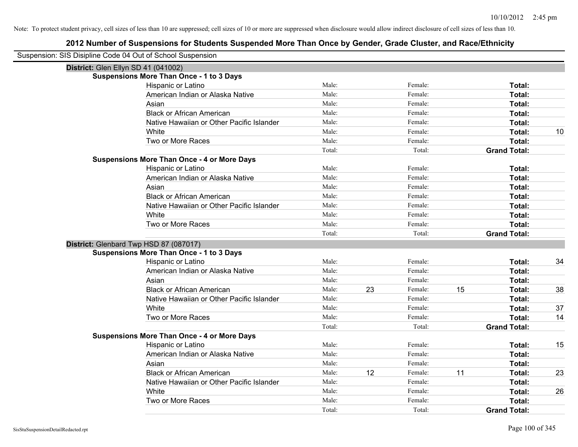| Suspension: SIS Disipline Code 04 Out of School Suspension |                                                    |        |    |         |    |                     |    |
|------------------------------------------------------------|----------------------------------------------------|--------|----|---------|----|---------------------|----|
| District: Glen Ellyn SD 41 (041002)                        |                                                    |        |    |         |    |                     |    |
|                                                            | <b>Suspensions More Than Once - 1 to 3 Days</b>    |        |    |         |    |                     |    |
|                                                            | Hispanic or Latino                                 | Male:  |    | Female: |    | Total:              |    |
|                                                            | American Indian or Alaska Native                   | Male:  |    | Female: |    | Total:              |    |
|                                                            | Asian                                              | Male:  |    | Female: |    | Total:              |    |
|                                                            | <b>Black or African American</b>                   | Male:  |    | Female: |    | Total:              |    |
|                                                            | Native Hawaiian or Other Pacific Islander          | Male:  |    | Female: |    | Total:              |    |
|                                                            | White                                              | Male:  |    | Female: |    | Total:              | 10 |
|                                                            | Two or More Races                                  | Male:  |    | Female: |    | Total:              |    |
|                                                            |                                                    | Total: |    | Total:  |    | <b>Grand Total:</b> |    |
|                                                            | <b>Suspensions More Than Once - 4 or More Days</b> |        |    |         |    |                     |    |
|                                                            | Hispanic or Latino                                 | Male:  |    | Female: |    | Total:              |    |
|                                                            | American Indian or Alaska Native                   | Male:  |    | Female: |    | Total:              |    |
|                                                            | Asian                                              | Male:  |    | Female: |    | Total:              |    |
|                                                            | <b>Black or African American</b>                   | Male:  |    | Female: |    | Total:              |    |
|                                                            | Native Hawaiian or Other Pacific Islander          | Male:  |    | Female: |    | Total:              |    |
|                                                            | White                                              | Male:  |    | Female: |    | Total:              |    |
|                                                            | Two or More Races                                  | Male:  |    | Female: |    | Total:              |    |
|                                                            |                                                    | Total: |    | Total:  |    | <b>Grand Total:</b> |    |
|                                                            | District: Glenbard Twp HSD 87 (087017)             |        |    |         |    |                     |    |
|                                                            | <b>Suspensions More Than Once - 1 to 3 Days</b>    |        |    |         |    |                     |    |
|                                                            | Hispanic or Latino                                 | Male:  |    | Female: |    | Total:              | 34 |
|                                                            | American Indian or Alaska Native                   | Male:  |    | Female: |    | Total:              |    |
|                                                            | Asian                                              | Male:  |    | Female: |    | Total:              |    |
|                                                            | <b>Black or African American</b>                   | Male:  | 23 | Female: | 15 | Total:              | 38 |
|                                                            | Native Hawaiian or Other Pacific Islander          | Male:  |    | Female: |    | Total:              |    |
|                                                            | White                                              | Male:  |    | Female: |    | Total:              | 37 |
|                                                            | Two or More Races                                  | Male:  |    | Female: |    | Total:              | 14 |
|                                                            |                                                    | Total: |    | Total:  |    | <b>Grand Total:</b> |    |
|                                                            | <b>Suspensions More Than Once - 4 or More Days</b> |        |    |         |    |                     |    |
|                                                            | Hispanic or Latino                                 | Male:  |    | Female: |    | Total:              | 15 |
|                                                            | American Indian or Alaska Native                   | Male:  |    | Female: |    | Total:              |    |
|                                                            | Asian                                              | Male:  |    | Female: |    | Total:              |    |
|                                                            | <b>Black or African American</b>                   | Male:  | 12 | Female: | 11 | Total:              | 23 |
|                                                            | Native Hawaiian or Other Pacific Islander          | Male:  |    | Female: |    | Total:              |    |
|                                                            | White                                              | Male:  |    | Female: |    | Total:              | 26 |
|                                                            | Two or More Races                                  | Male:  |    | Female: |    | Total:              |    |
|                                                            |                                                    | Total: |    | Total:  |    | <b>Grand Total:</b> |    |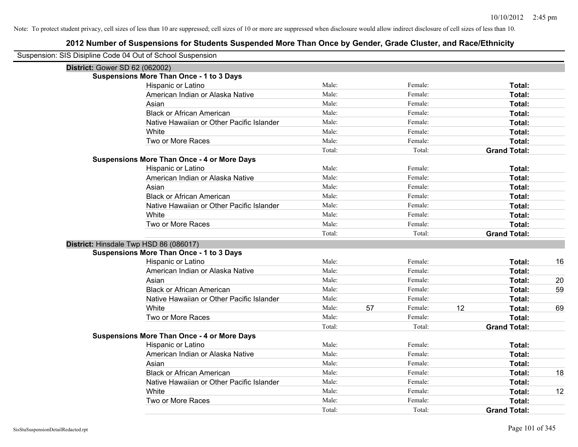| Suspension: SIS Disipline Code 04 Out of School Suspension |                                                    |        |    |         |    |                     |    |
|------------------------------------------------------------|----------------------------------------------------|--------|----|---------|----|---------------------|----|
| District: Gower SD 62 (062002)                             |                                                    |        |    |         |    |                     |    |
|                                                            | <b>Suspensions More Than Once - 1 to 3 Days</b>    |        |    |         |    |                     |    |
|                                                            | Hispanic or Latino                                 | Male:  |    | Female: |    | Total:              |    |
|                                                            | American Indian or Alaska Native                   | Male:  |    | Female: |    | Total:              |    |
|                                                            | Asian                                              | Male:  |    | Female: |    | Total:              |    |
|                                                            | <b>Black or African American</b>                   | Male:  |    | Female: |    | Total:              |    |
|                                                            | Native Hawaiian or Other Pacific Islander          | Male:  |    | Female: |    | Total:              |    |
|                                                            | White                                              | Male:  |    | Female: |    | Total:              |    |
|                                                            | Two or More Races                                  | Male:  |    | Female: |    | Total:              |    |
|                                                            |                                                    | Total: |    | Total:  |    | <b>Grand Total:</b> |    |
|                                                            | <b>Suspensions More Than Once - 4 or More Days</b> |        |    |         |    |                     |    |
|                                                            | Hispanic or Latino                                 | Male:  |    | Female: |    | Total:              |    |
|                                                            | American Indian or Alaska Native                   | Male:  |    | Female: |    | Total:              |    |
|                                                            | Asian                                              | Male:  |    | Female: |    | Total:              |    |
|                                                            | <b>Black or African American</b>                   | Male:  |    | Female: |    | Total:              |    |
|                                                            | Native Hawaiian or Other Pacific Islander          | Male:  |    | Female: |    | Total:              |    |
|                                                            | White                                              | Male:  |    | Female: |    | Total:              |    |
|                                                            | Two or More Races                                  | Male:  |    | Female: |    | Total:              |    |
|                                                            |                                                    | Total: |    | Total:  |    | <b>Grand Total:</b> |    |
| District: Hinsdale Twp HSD 86 (086017)                     |                                                    |        |    |         |    |                     |    |
|                                                            | <b>Suspensions More Than Once - 1 to 3 Days</b>    |        |    |         |    |                     |    |
|                                                            | Hispanic or Latino                                 | Male:  |    | Female: |    | Total:              | 16 |
|                                                            | American Indian or Alaska Native                   | Male:  |    | Female: |    | Total:              |    |
|                                                            | Asian                                              | Male:  |    | Female: |    | Total:              | 20 |
|                                                            | <b>Black or African American</b>                   | Male:  |    | Female: |    | Total:              | 59 |
|                                                            | Native Hawaiian or Other Pacific Islander          | Male:  |    | Female: |    | Total:              |    |
|                                                            | White                                              | Male:  | 57 | Female: | 12 | Total:              | 69 |
|                                                            | Two or More Races                                  | Male:  |    | Female: |    | Total:              |    |
|                                                            |                                                    | Total: |    | Total:  |    | <b>Grand Total:</b> |    |
|                                                            | <b>Suspensions More Than Once - 4 or More Days</b> |        |    |         |    |                     |    |
|                                                            | Hispanic or Latino                                 | Male:  |    | Female: |    | Total:              |    |
|                                                            | American Indian or Alaska Native                   | Male:  |    | Female: |    | Total:              |    |
|                                                            | Asian                                              | Male:  |    | Female: |    | Total:              |    |
|                                                            | <b>Black or African American</b>                   | Male:  |    | Female: |    | Total:              | 18 |
|                                                            | Native Hawaiian or Other Pacific Islander          | Male:  |    | Female: |    | Total:              |    |
|                                                            | White                                              | Male:  |    | Female: |    | <b>Total:</b>       | 12 |
|                                                            | Two or More Races                                  | Male:  |    | Female: |    | Total:              |    |
|                                                            |                                                    | Total: |    | Total:  |    | <b>Grand Total:</b> |    |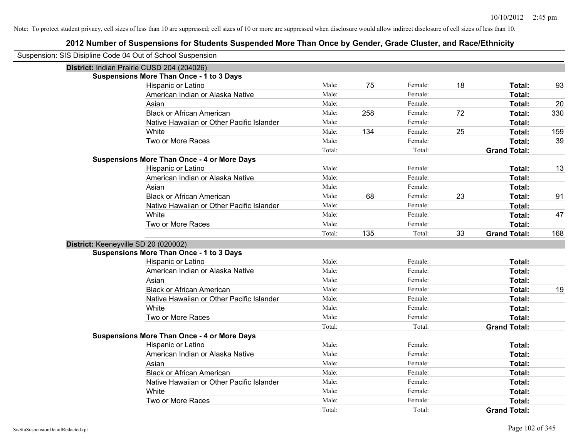| Suspension: SIS Disipline Code 04 Out of School Suspension |                                                    |        |     |         |    |                     |     |
|------------------------------------------------------------|----------------------------------------------------|--------|-----|---------|----|---------------------|-----|
|                                                            | District: Indian Prairie CUSD 204 (204026)         |        |     |         |    |                     |     |
|                                                            | <b>Suspensions More Than Once - 1 to 3 Days</b>    |        |     |         |    |                     |     |
|                                                            | Hispanic or Latino                                 | Male:  | 75  | Female: | 18 | Total:              | 93  |
|                                                            | American Indian or Alaska Native                   | Male:  |     | Female: |    | Total:              |     |
|                                                            | Asian                                              | Male:  |     | Female: |    | Total:              | 20  |
|                                                            | <b>Black or African American</b>                   | Male:  | 258 | Female: | 72 | Total:              | 330 |
|                                                            | Native Hawaiian or Other Pacific Islander          | Male:  |     | Female: |    | Total:              |     |
|                                                            | White                                              | Male:  | 134 | Female: | 25 | Total:              | 159 |
|                                                            | Two or More Races                                  | Male:  |     | Female: |    | Total:              | 39  |
|                                                            |                                                    | Total: |     | Total:  |    | <b>Grand Total:</b> |     |
|                                                            | <b>Suspensions More Than Once - 4 or More Days</b> |        |     |         |    |                     |     |
|                                                            | Hispanic or Latino                                 | Male:  |     | Female: |    | Total:              | 13  |
|                                                            | American Indian or Alaska Native                   | Male:  |     | Female: |    | Total:              |     |
|                                                            | Asian                                              | Male:  |     | Female: |    | Total:              |     |
|                                                            | <b>Black or African American</b>                   | Male:  | 68  | Female: | 23 | Total:              | 91  |
|                                                            | Native Hawaiian or Other Pacific Islander          | Male:  |     | Female: |    | Total:              |     |
|                                                            | White                                              | Male:  |     | Female: |    | Total:              | 47  |
|                                                            | Two or More Races                                  | Male:  |     | Female: |    | Total:              |     |
|                                                            |                                                    | Total: | 135 | Total:  | 33 | <b>Grand Total:</b> | 168 |
|                                                            | District: Keeneyville SD 20 (020002)               |        |     |         |    |                     |     |
|                                                            | <b>Suspensions More Than Once - 1 to 3 Days</b>    |        |     |         |    |                     |     |
|                                                            | Hispanic or Latino                                 | Male:  |     | Female: |    | Total:              |     |
|                                                            | American Indian or Alaska Native                   | Male:  |     | Female: |    | Total:              |     |
|                                                            | Asian                                              | Male:  |     | Female: |    | Total:              |     |
|                                                            | <b>Black or African American</b>                   | Male:  |     | Female: |    | Total:              | 19  |
|                                                            | Native Hawaiian or Other Pacific Islander          | Male:  |     | Female: |    | Total:              |     |
|                                                            | White                                              | Male:  |     | Female: |    | Total:              |     |
|                                                            | Two or More Races                                  | Male:  |     | Female: |    | Total:              |     |
|                                                            |                                                    | Total: |     | Total:  |    | <b>Grand Total:</b> |     |
|                                                            | <b>Suspensions More Than Once - 4 or More Days</b> |        |     |         |    |                     |     |
|                                                            | Hispanic or Latino                                 | Male:  |     | Female: |    | Total:              |     |
|                                                            | American Indian or Alaska Native                   | Male:  |     | Female: |    | Total:              |     |
|                                                            | Asian                                              | Male:  |     | Female: |    | Total:              |     |
|                                                            | <b>Black or African American</b>                   | Male:  |     | Female: |    | Total:              |     |
|                                                            | Native Hawaiian or Other Pacific Islander          | Male:  |     | Female: |    | Total:              |     |
|                                                            | White                                              | Male:  |     | Female: |    | Total:              |     |
|                                                            | Two or More Races                                  | Male:  |     | Female: |    | Total:              |     |
|                                                            |                                                    | Total: |     | Total:  |    | <b>Grand Total:</b> |     |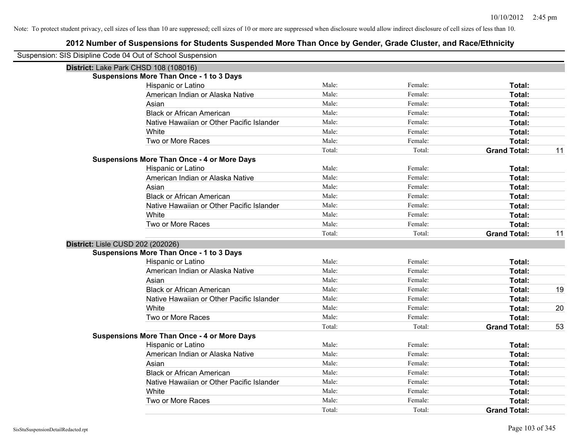| Suspension: SIS Disipline Code 04 Out of School Suspension |                                                    |        |         |                     |    |
|------------------------------------------------------------|----------------------------------------------------|--------|---------|---------------------|----|
| District: Lake Park CHSD 108 (108016)                      |                                                    |        |         |                     |    |
|                                                            | <b>Suspensions More Than Once - 1 to 3 Days</b>    |        |         |                     |    |
|                                                            | Hispanic or Latino                                 | Male:  | Female: | Total:              |    |
|                                                            | American Indian or Alaska Native                   | Male:  | Female: | <b>Total:</b>       |    |
|                                                            | Asian                                              | Male:  | Female: | Total:              |    |
|                                                            | <b>Black or African American</b>                   | Male:  | Female: | Total:              |    |
|                                                            | Native Hawaiian or Other Pacific Islander          | Male:  | Female: | Total:              |    |
|                                                            | White                                              | Male:  | Female: | Total:              |    |
|                                                            | Two or More Races                                  | Male:  | Female: | Total:              |    |
|                                                            |                                                    | Total: | Total:  | <b>Grand Total:</b> | 11 |
|                                                            | <b>Suspensions More Than Once - 4 or More Days</b> |        |         |                     |    |
|                                                            | Hispanic or Latino                                 | Male:  | Female: | Total:              |    |
|                                                            | American Indian or Alaska Native                   | Male:  | Female: | Total:              |    |
|                                                            | Asian                                              | Male:  | Female: | Total:              |    |
|                                                            | <b>Black or African American</b>                   | Male:  | Female: | Total:              |    |
|                                                            | Native Hawaiian or Other Pacific Islander          | Male:  | Female: | Total:              |    |
|                                                            | White                                              | Male:  | Female: | Total:              |    |
|                                                            | Two or More Races                                  | Male:  | Female: | Total:              |    |
|                                                            |                                                    | Total: | Total:  | <b>Grand Total:</b> | 11 |
| District: Lisle CUSD 202 (202026)                          |                                                    |        |         |                     |    |
|                                                            | <b>Suspensions More Than Once - 1 to 3 Days</b>    |        |         |                     |    |
|                                                            | Hispanic or Latino                                 | Male:  | Female: | Total:              |    |
|                                                            | American Indian or Alaska Native                   | Male:  | Female: | Total:              |    |
|                                                            | Asian                                              | Male:  | Female: | Total:              |    |
|                                                            | <b>Black or African American</b>                   | Male:  | Female: | Total:              | 19 |
|                                                            | Native Hawaiian or Other Pacific Islander          | Male:  | Female: | Total:              |    |
|                                                            | White                                              | Male:  | Female: | Total:              | 20 |
|                                                            | Two or More Races                                  | Male:  | Female: | Total:              |    |
|                                                            |                                                    | Total: | Total:  | <b>Grand Total:</b> | 53 |
|                                                            | <b>Suspensions More Than Once - 4 or More Days</b> |        |         |                     |    |
|                                                            | Hispanic or Latino                                 | Male:  | Female: | Total:              |    |
|                                                            | American Indian or Alaska Native                   | Male:  | Female: | Total:              |    |
|                                                            | Asian                                              | Male:  | Female: | Total:              |    |
|                                                            | <b>Black or African American</b>                   | Male:  | Female: | Total:              |    |
|                                                            | Native Hawaiian or Other Pacific Islander          | Male:  | Female: | Total:              |    |
|                                                            | White                                              | Male:  | Female: | Total:              |    |
|                                                            | Two or More Races                                  | Male:  | Female: | Total:              |    |
|                                                            |                                                    | Total: | Total:  | <b>Grand Total:</b> |    |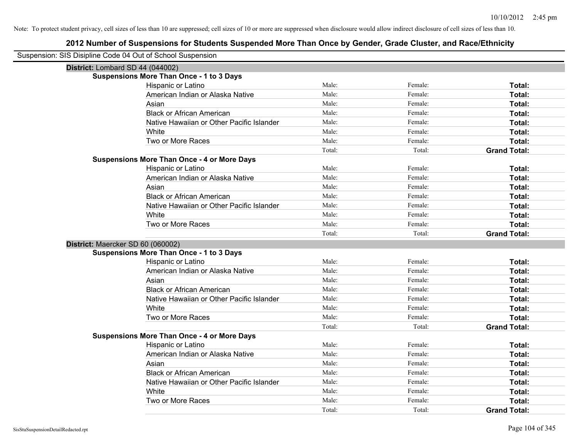| Suspension: SIS Disipline Code 04 Out of School Suspension |                                                    |        |         |                     |
|------------------------------------------------------------|----------------------------------------------------|--------|---------|---------------------|
| District: Lombard SD 44 (044002)                           |                                                    |        |         |                     |
|                                                            | <b>Suspensions More Than Once - 1 to 3 Days</b>    |        |         |                     |
|                                                            | Hispanic or Latino                                 | Male:  | Female: | Total:              |
|                                                            | American Indian or Alaska Native                   | Male:  | Female: | Total:              |
|                                                            | Asian                                              | Male:  | Female: | Total:              |
|                                                            | <b>Black or African American</b>                   | Male:  | Female: | Total:              |
|                                                            | Native Hawaiian or Other Pacific Islander          | Male:  | Female: | Total:              |
|                                                            | White                                              | Male:  | Female: | Total:              |
|                                                            | Two or More Races                                  | Male:  | Female: | Total:              |
|                                                            |                                                    | Total: | Total:  | <b>Grand Total:</b> |
|                                                            | <b>Suspensions More Than Once - 4 or More Days</b> |        |         |                     |
|                                                            | Hispanic or Latino                                 | Male:  | Female: | Total:              |
|                                                            | American Indian or Alaska Native                   | Male:  | Female: | Total:              |
|                                                            | Asian                                              | Male:  | Female: | Total:              |
|                                                            | <b>Black or African American</b>                   | Male:  | Female: | Total:              |
|                                                            | Native Hawaiian or Other Pacific Islander          | Male:  | Female: | Total:              |
|                                                            | White                                              | Male:  | Female: | Total:              |
|                                                            | Two or More Races                                  | Male:  | Female: | Total:              |
|                                                            |                                                    | Total: | Total:  | <b>Grand Total:</b> |
| District: Maercker SD 60 (060002)                          |                                                    |        |         |                     |
|                                                            | <b>Suspensions More Than Once - 1 to 3 Days</b>    |        |         |                     |
|                                                            | Hispanic or Latino                                 | Male:  | Female: | Total:              |
|                                                            | American Indian or Alaska Native                   | Male:  | Female: | Total:              |
|                                                            | Asian                                              | Male:  | Female: | Total:              |
|                                                            | <b>Black or African American</b>                   | Male:  | Female: | Total:              |
|                                                            | Native Hawaiian or Other Pacific Islander          | Male:  | Female: | Total:              |
|                                                            | White                                              | Male:  | Female: | Total:              |
|                                                            | Two or More Races                                  | Male:  | Female: | Total:              |
|                                                            |                                                    | Total: | Total:  | <b>Grand Total:</b> |
|                                                            | <b>Suspensions More Than Once - 4 or More Days</b> |        |         |                     |
|                                                            | Hispanic or Latino                                 | Male:  | Female: | Total:              |
|                                                            | American Indian or Alaska Native                   | Male:  | Female: | Total:              |
|                                                            | Asian                                              | Male:  | Female: | Total:              |
|                                                            | <b>Black or African American</b>                   | Male:  | Female: | Total:              |
|                                                            | Native Hawaiian or Other Pacific Islander          | Male:  | Female: | Total:              |
|                                                            | White                                              | Male:  | Female: | Total:              |
|                                                            | Two or More Races                                  | Male:  | Female: | Total:              |
|                                                            |                                                    | Total: | Total:  | <b>Grand Total:</b> |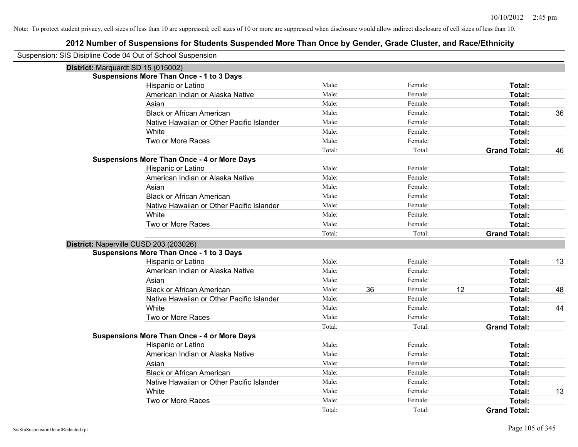| Suspension: SIS Disipline Code 04 Out of School Suspension |                                                    |        |    |         |    |                     |    |
|------------------------------------------------------------|----------------------------------------------------|--------|----|---------|----|---------------------|----|
| District: Marquardt SD 15 (015002)                         |                                                    |        |    |         |    |                     |    |
|                                                            | <b>Suspensions More Than Once - 1 to 3 Days</b>    |        |    |         |    |                     |    |
|                                                            | Hispanic or Latino                                 | Male:  |    | Female: |    | Total:              |    |
|                                                            | American Indian or Alaska Native                   | Male:  |    | Female: |    | Total:              |    |
|                                                            | Asian                                              | Male:  |    | Female: |    | Total:              |    |
|                                                            | <b>Black or African American</b>                   | Male:  |    | Female: |    | Total:              | 36 |
|                                                            | Native Hawaiian or Other Pacific Islander          | Male:  |    | Female: |    | <b>Total:</b>       |    |
|                                                            | White                                              | Male:  |    | Female: |    | Total:              |    |
|                                                            | Two or More Races                                  | Male:  |    | Female: |    | Total:              |    |
|                                                            |                                                    | Total: |    | Total:  |    | <b>Grand Total:</b> | 46 |
|                                                            | <b>Suspensions More Than Once - 4 or More Days</b> |        |    |         |    |                     |    |
|                                                            | Hispanic or Latino                                 | Male:  |    | Female: |    | Total:              |    |
|                                                            | American Indian or Alaska Native                   | Male:  |    | Female: |    | Total:              |    |
|                                                            | Asian                                              | Male:  |    | Female: |    | Total:              |    |
|                                                            | <b>Black or African American</b>                   | Male:  |    | Female: |    | Total:              |    |
|                                                            | Native Hawaiian or Other Pacific Islander          | Male:  |    | Female: |    | Total:              |    |
|                                                            | White                                              | Male:  |    | Female: |    | Total:              |    |
|                                                            | Two or More Races                                  | Male:  |    | Female: |    | Total:              |    |
|                                                            |                                                    | Total: |    | Total:  |    | <b>Grand Total:</b> |    |
|                                                            | District: Naperville CUSD 203 (203026)             |        |    |         |    |                     |    |
|                                                            | <b>Suspensions More Than Once - 1 to 3 Days</b>    |        |    |         |    |                     |    |
|                                                            | Hispanic or Latino                                 | Male:  |    | Female: |    | Total:              | 13 |
|                                                            | American Indian or Alaska Native                   | Male:  |    | Female: |    | Total:              |    |
|                                                            | Asian                                              | Male:  |    | Female: |    | Total:              |    |
|                                                            | <b>Black or African American</b>                   | Male:  | 36 | Female: | 12 | Total:              | 48 |
|                                                            | Native Hawaiian or Other Pacific Islander          | Male:  |    | Female: |    | Total:              |    |
|                                                            | White                                              | Male:  |    | Female: |    | Total:              | 44 |
|                                                            | Two or More Races                                  | Male:  |    | Female: |    | Total:              |    |
|                                                            |                                                    | Total: |    | Total:  |    | <b>Grand Total:</b> |    |
|                                                            | <b>Suspensions More Than Once - 4 or More Days</b> |        |    |         |    |                     |    |
|                                                            | Hispanic or Latino                                 | Male:  |    | Female: |    | Total:              |    |
|                                                            | American Indian or Alaska Native                   | Male:  |    | Female: |    | Total:              |    |
|                                                            | Asian                                              | Male:  |    | Female: |    | Total:              |    |
|                                                            | <b>Black or African American</b>                   | Male:  |    | Female: |    | Total:              |    |
|                                                            | Native Hawaiian or Other Pacific Islander          | Male:  |    | Female: |    | Total:              |    |
|                                                            | White                                              | Male:  |    | Female: |    | Total:              | 13 |
|                                                            | Two or More Races                                  | Male:  |    | Female: |    | Total:              |    |
|                                                            |                                                    | Total: |    | Total:  |    | <b>Grand Total:</b> |    |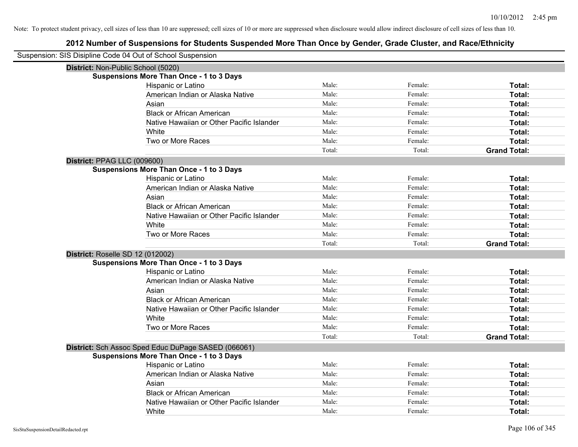| Suspension: SIS Disipline Code 04 Out of School Suspension |        |         |                     |
|------------------------------------------------------------|--------|---------|---------------------|
| District: Non-Public School (5020)                         |        |         |                     |
| <b>Suspensions More Than Once - 1 to 3 Days</b>            |        |         |                     |
| Hispanic or Latino                                         | Male:  | Female: | Total:              |
| American Indian or Alaska Native                           | Male:  | Female: | Total:              |
| Asian                                                      | Male:  | Female: | Total:              |
| <b>Black or African American</b>                           | Male:  | Female: | Total:              |
| Native Hawaiian or Other Pacific Islander                  | Male:  | Female: | Total:              |
| White                                                      | Male:  | Female: | Total:              |
| Two or More Races                                          | Male:  | Female: | Total:              |
|                                                            | Total: | Total:  | <b>Grand Total:</b> |
| District: PPAG LLC (009600)                                |        |         |                     |
| <b>Suspensions More Than Once - 1 to 3 Days</b>            |        |         |                     |
| Hispanic or Latino                                         | Male:  | Female: | Total:              |
| American Indian or Alaska Native                           | Male:  | Female: | Total:              |
| Asian                                                      | Male:  | Female: | Total:              |
| <b>Black or African American</b>                           | Male:  | Female: | Total:              |
| Native Hawaiian or Other Pacific Islander                  | Male:  | Female: | Total:              |
| White                                                      | Male:  | Female: | Total:              |
| Two or More Races                                          | Male:  | Female: | Total:              |
|                                                            | Total: | Total:  | <b>Grand Total:</b> |
| District: Roselle SD 12 (012002)                           |        |         |                     |
| <b>Suspensions More Than Once - 1 to 3 Days</b>            |        |         |                     |
| Hispanic or Latino                                         | Male:  | Female: | Total:              |
| American Indian or Alaska Native                           | Male:  | Female: | Total:              |
| Asian                                                      | Male:  | Female: | Total:              |
| <b>Black or African American</b>                           | Male:  | Female: | Total:              |
| Native Hawaiian or Other Pacific Islander                  | Male:  | Female: | Total:              |
| White                                                      | Male:  | Female: | Total:              |
| Two or More Races                                          | Male:  | Female: | Total:              |
|                                                            | Total: | Total:  | <b>Grand Total:</b> |
| District: Sch Assoc Sped Educ DuPage SASED (066061)        |        |         |                     |
| <b>Suspensions More Than Once - 1 to 3 Days</b>            |        |         |                     |
| Hispanic or Latino                                         | Male:  | Female: | Total:              |
| American Indian or Alaska Native                           | Male:  | Female: | Total:              |
| Asian                                                      | Male:  | Female: | Total:              |
| <b>Black or African American</b>                           | Male:  | Female: | Total:              |
| Native Hawaiian or Other Pacific Islander                  | Male:  | Female: | Total:              |
| White                                                      | Male:  | Female: | Total:              |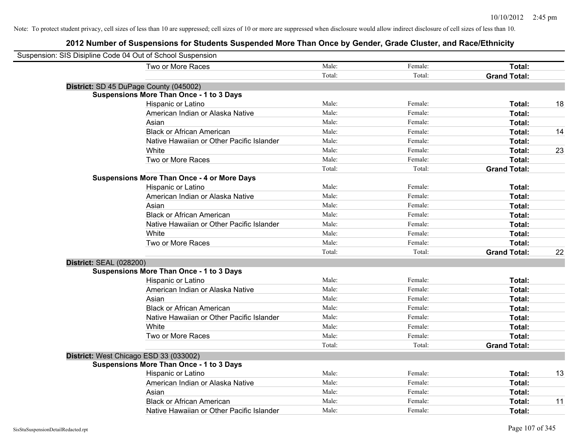| Suspension: SIS Disipline Code 04 Out of School Suspension |                                                    |        |         |                     |    |
|------------------------------------------------------------|----------------------------------------------------|--------|---------|---------------------|----|
|                                                            | Two or More Races                                  | Male:  | Female: | Total:              |    |
|                                                            |                                                    | Total: | Total:  | <b>Grand Total:</b> |    |
|                                                            | District: SD 45 DuPage County (045002)             |        |         |                     |    |
|                                                            | <b>Suspensions More Than Once - 1 to 3 Days</b>    |        |         |                     |    |
|                                                            | Hispanic or Latino                                 | Male:  | Female: | Total:              | 18 |
|                                                            | American Indian or Alaska Native                   | Male:  | Female: | <b>Total:</b>       |    |
|                                                            | Asian                                              | Male:  | Female: | Total:              |    |
|                                                            | <b>Black or African American</b>                   | Male:  | Female: | Total:              | 14 |
|                                                            | Native Hawaiian or Other Pacific Islander          | Male:  | Female: | Total:              |    |
|                                                            | White                                              | Male:  | Female: | Total:              | 23 |
|                                                            | Two or More Races                                  | Male:  | Female: | Total:              |    |
|                                                            |                                                    | Total: | Total:  | <b>Grand Total:</b> |    |
|                                                            | <b>Suspensions More Than Once - 4 or More Days</b> |        |         |                     |    |
|                                                            | Hispanic or Latino                                 | Male:  | Female: | Total:              |    |
|                                                            | American Indian or Alaska Native                   | Male:  | Female: | Total:              |    |
|                                                            | Asian                                              | Male:  | Female: | Total:              |    |
|                                                            | <b>Black or African American</b>                   | Male:  | Female: | Total:              |    |
|                                                            | Native Hawaiian or Other Pacific Islander          | Male:  | Female: | Total:              |    |
|                                                            | White                                              | Male:  | Female: | Total:              |    |
|                                                            | Two or More Races                                  | Male:  | Female: | Total:              |    |
|                                                            |                                                    | Total: | Total:  | <b>Grand Total:</b> | 22 |
| <b>District: SEAL (028200)</b>                             |                                                    |        |         |                     |    |
|                                                            | <b>Suspensions More Than Once - 1 to 3 Days</b>    |        |         |                     |    |
|                                                            | Hispanic or Latino                                 | Male:  | Female: | Total:              |    |
|                                                            | American Indian or Alaska Native                   | Male:  | Female: | Total:              |    |
|                                                            | Asian                                              | Male:  | Female: | Total:              |    |
|                                                            | <b>Black or African American</b>                   | Male:  | Female: | Total:              |    |
|                                                            | Native Hawaiian or Other Pacific Islander          | Male:  | Female: | Total:              |    |
|                                                            | White                                              | Male:  | Female: | Total:              |    |
|                                                            | Two or More Races                                  | Male:  | Female: | Total:              |    |
|                                                            |                                                    | Total: | Total:  | <b>Grand Total:</b> |    |
|                                                            | District: West Chicago ESD 33 (033002)             |        |         |                     |    |
|                                                            | <b>Suspensions More Than Once - 1 to 3 Days</b>    |        |         |                     |    |
|                                                            | Hispanic or Latino                                 | Male:  | Female: | Total:              | 13 |
|                                                            | American Indian or Alaska Native                   | Male:  | Female: | <b>Total:</b>       |    |
|                                                            | Asian                                              | Male:  | Female: | Total:              |    |
|                                                            | <b>Black or African American</b>                   | Male:  | Female: | <b>Total:</b>       | 11 |
|                                                            | Native Hawaiian or Other Pacific Islander          | Male:  | Female: | Total:              |    |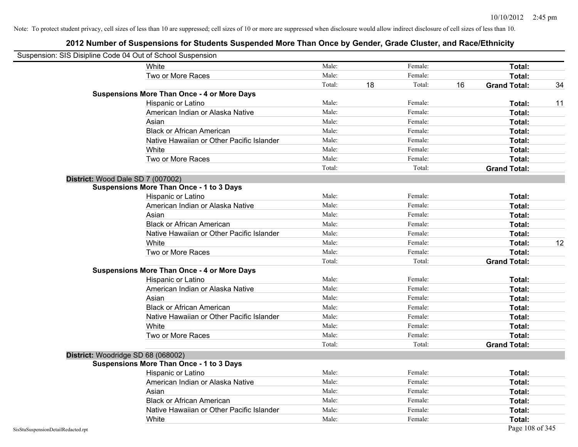|                                    | Suspension: SIS Disipline Code 04 Out of School Suspension |        |    |         |    |                     |    |
|------------------------------------|------------------------------------------------------------|--------|----|---------|----|---------------------|----|
|                                    | White                                                      | Male:  |    | Female: |    | <b>Total:</b>       |    |
|                                    | Two or More Races                                          | Male:  |    | Female: |    | Total:              |    |
|                                    |                                                            | Total: | 18 | Total:  | 16 | <b>Grand Total:</b> | 34 |
|                                    | <b>Suspensions More Than Once - 4 or More Days</b>         |        |    |         |    |                     |    |
|                                    | Hispanic or Latino                                         | Male:  |    | Female: |    | Total:              | 11 |
|                                    | American Indian or Alaska Native                           | Male:  |    | Female: |    | Total:              |    |
|                                    | Asian                                                      | Male:  |    | Female: |    | Total:              |    |
|                                    | <b>Black or African American</b>                           | Male:  |    | Female: |    | Total:              |    |
|                                    | Native Hawaiian or Other Pacific Islander                  | Male:  |    | Female: |    | Total:              |    |
|                                    | White                                                      | Male:  |    | Female: |    | Total:              |    |
|                                    | Two or More Races                                          | Male:  |    | Female: |    | Total:              |    |
|                                    |                                                            | Total: |    | Total:  |    | <b>Grand Total:</b> |    |
|                                    | District: Wood Dale SD 7 (007002)                          |        |    |         |    |                     |    |
|                                    | <b>Suspensions More Than Once - 1 to 3 Days</b>            |        |    |         |    |                     |    |
|                                    | Hispanic or Latino                                         | Male:  |    | Female: |    | Total:              |    |
|                                    | American Indian or Alaska Native                           | Male:  |    | Female: |    | Total:              |    |
|                                    | Asian                                                      | Male:  |    | Female: |    | Total:              |    |
|                                    | <b>Black or African American</b>                           | Male:  |    | Female: |    | Total:              |    |
|                                    | Native Hawaiian or Other Pacific Islander                  | Male:  |    | Female: |    | Total:              |    |
|                                    | White                                                      | Male:  |    | Female: |    | Total:              | 12 |
|                                    | Two or More Races                                          | Male:  |    | Female: |    | Total:              |    |
|                                    |                                                            | Total: |    | Total:  |    | <b>Grand Total:</b> |    |
|                                    | <b>Suspensions More Than Once - 4 or More Days</b>         |        |    |         |    |                     |    |
|                                    | Hispanic or Latino                                         | Male:  |    | Female: |    | Total:              |    |
|                                    | American Indian or Alaska Native                           | Male:  |    | Female: |    | Total:              |    |
|                                    | Asian                                                      | Male:  |    | Female: |    | Total:              |    |
|                                    | <b>Black or African American</b>                           | Male:  |    | Female: |    | Total:              |    |
|                                    | Native Hawaiian or Other Pacific Islander                  | Male:  |    | Female: |    | Total:              |    |
|                                    | White                                                      | Male:  |    | Female: |    | Total:              |    |
|                                    | Two or More Races                                          | Male:  |    | Female: |    | Total:              |    |
|                                    |                                                            | Total: |    | Total:  |    | <b>Grand Total:</b> |    |
|                                    | District: Woodridge SD 68 (068002)                         |        |    |         |    |                     |    |
|                                    | <b>Suspensions More Than Once - 1 to 3 Days</b>            |        |    |         |    |                     |    |
|                                    | Hispanic or Latino                                         | Male:  |    | Female: |    | Total:              |    |
|                                    | American Indian or Alaska Native                           | Male:  |    | Female: |    | Total:              |    |
|                                    | Asian                                                      | Male:  |    | Female: |    | Total:              |    |
|                                    | <b>Black or African American</b>                           | Male:  |    | Female: |    | Total:              |    |
|                                    | Native Hawaiian or Other Pacific Islander                  | Male:  |    | Female: |    | Total:              |    |
|                                    | White                                                      | Male:  |    | Female: |    | Total:              |    |
| SisStuSuspensionDetailRedacted.rpt |                                                            |        |    |         |    | Page 108 of 345     |    |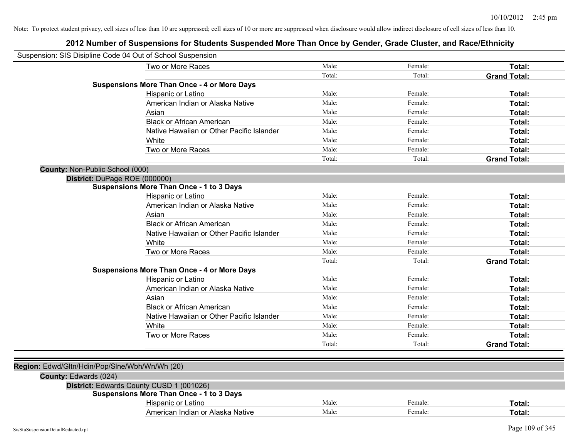|                                                | Suspension: SIS Disipline Code 04 Out of School Suspension |        |         |                     |
|------------------------------------------------|------------------------------------------------------------|--------|---------|---------------------|
|                                                | Two or More Races                                          | Male:  | Female: | Total:              |
|                                                |                                                            | Total: | Total:  | <b>Grand Total:</b> |
|                                                | <b>Suspensions More Than Once - 4 or More Days</b>         |        |         |                     |
|                                                | Hispanic or Latino                                         | Male:  | Female: | Total:              |
|                                                | American Indian or Alaska Native                           | Male:  | Female: | Total:              |
|                                                | Asian                                                      | Male:  | Female: | Total:              |
|                                                | <b>Black or African American</b>                           | Male:  | Female: | Total:              |
|                                                | Native Hawaiian or Other Pacific Islander                  | Male:  | Female: | Total:              |
|                                                | White                                                      | Male:  | Female: | Total:              |
|                                                | Two or More Races                                          | Male:  | Female: | Total:              |
|                                                |                                                            | Total: | Total:  | <b>Grand Total:</b> |
| County: Non-Public School (000)                |                                                            |        |         |                     |
|                                                | District: DuPage ROE (000000)                              |        |         |                     |
|                                                | <b>Suspensions More Than Once - 1 to 3 Days</b>            |        |         |                     |
|                                                | Hispanic or Latino                                         | Male:  | Female: | Total:              |
|                                                | American Indian or Alaska Native                           | Male:  | Female: | Total:              |
|                                                | Asian                                                      | Male:  | Female: | Total:              |
|                                                | <b>Black or African American</b>                           | Male:  | Female: | Total:              |
|                                                | Native Hawaiian or Other Pacific Islander                  | Male:  | Female: | Total:              |
|                                                | White                                                      | Male:  | Female: | Total:              |
|                                                | Two or More Races                                          | Male:  | Female: | Total:              |
|                                                |                                                            | Total: | Total:  | <b>Grand Total:</b> |
|                                                | <b>Suspensions More Than Once - 4 or More Days</b>         |        |         |                     |
|                                                | Hispanic or Latino                                         | Male:  | Female: | Total:              |
|                                                | American Indian or Alaska Native                           | Male:  | Female: | Total:              |
|                                                | Asian                                                      | Male:  | Female: | Total:              |
|                                                | <b>Black or African American</b>                           | Male:  | Female: | Total:              |
|                                                | Native Hawaiian or Other Pacific Islander                  | Male:  | Female: | Total:              |
|                                                | White                                                      | Male:  | Female: | Total:              |
|                                                | Two or More Races                                          | Male:  | Female: | Total:              |
|                                                |                                                            | Total: | Total:  | <b>Grand Total:</b> |
|                                                |                                                            |        |         |                     |
| Region: Edwd/Gltn/Hdin/Pop/Slne/Wbh/Wn/Wh (20) |                                                            |        |         |                     |
| County: Edwards (024)                          |                                                            |        |         |                     |
|                                                | District: Edwards County CUSD 1 (001026)                   |        |         |                     |
|                                                | <b>Suspensions More Than Once - 1 to 3 Days</b>            |        |         |                     |
|                                                | Hispanic or Latino                                         | Male:  | Female: | Total:              |
|                                                | American Indian or Alaska Native                           | Male:  | Female: | Total:              |
|                                                |                                                            |        |         |                     |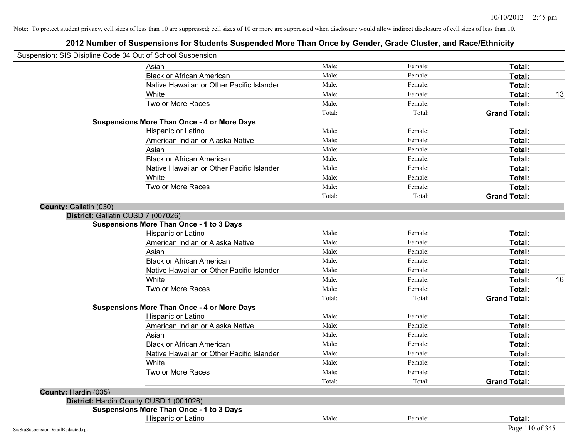|                        | Suspension: SIS Disipline Code 04 Out of School Suspension |        |         |                     |    |
|------------------------|------------------------------------------------------------|--------|---------|---------------------|----|
|                        | Asian                                                      | Male:  | Female: | Total:              |    |
|                        | <b>Black or African American</b>                           | Male:  | Female: | Total:              |    |
|                        | Native Hawaiian or Other Pacific Islander                  | Male:  | Female: | <b>Total:</b>       |    |
|                        | White                                                      | Male:  | Female: | Total:              | 13 |
|                        | Two or More Races                                          | Male:  | Female: | Total:              |    |
|                        |                                                            | Total: | Total:  | <b>Grand Total:</b> |    |
|                        | <b>Suspensions More Than Once - 4 or More Days</b>         |        |         |                     |    |
|                        | Hispanic or Latino                                         | Male:  | Female: | Total:              |    |
|                        | American Indian or Alaska Native                           | Male:  | Female: | Total:              |    |
|                        | Asian                                                      | Male:  | Female: | Total:              |    |
|                        | <b>Black or African American</b>                           | Male:  | Female: | Total:              |    |
|                        | Native Hawaiian or Other Pacific Islander                  | Male:  | Female: | Total:              |    |
|                        | White                                                      | Male:  | Female: | Total:              |    |
|                        | Two or More Races                                          | Male:  | Female: | Total:              |    |
|                        |                                                            | Total: | Total:  | <b>Grand Total:</b> |    |
| County: Gallatin (030) |                                                            |        |         |                     |    |
|                        | District: Gallatin CUSD 7 (007026)                         |        |         |                     |    |
|                        | <b>Suspensions More Than Once - 1 to 3 Days</b>            |        |         |                     |    |
|                        | Hispanic or Latino                                         | Male:  | Female: | Total:              |    |
|                        | American Indian or Alaska Native                           | Male:  | Female: | Total:              |    |
|                        | Asian                                                      | Male:  | Female: | Total:              |    |
|                        | <b>Black or African American</b>                           | Male:  | Female: | Total:              |    |
|                        | Native Hawaiian or Other Pacific Islander                  | Male:  | Female: | Total:              |    |
|                        | White                                                      | Male:  | Female: | Total:              | 16 |
|                        | Two or More Races                                          | Male:  | Female: | Total:              |    |
|                        |                                                            | Total: | Total:  | <b>Grand Total:</b> |    |
|                        | <b>Suspensions More Than Once - 4 or More Days</b>         |        |         |                     |    |
|                        | Hispanic or Latino                                         | Male:  | Female: | Total:              |    |
|                        | American Indian or Alaska Native                           | Male:  | Female: | Total:              |    |
|                        | Asian                                                      | Male:  | Female: | Total:              |    |
|                        | <b>Black or African American</b>                           | Male:  | Female: | <b>Total:</b>       |    |
|                        | Native Hawaiian or Other Pacific Islander                  | Male:  | Female: | Total:              |    |
|                        | White                                                      | Male:  | Female: | Total:              |    |
|                        | Two or More Races                                          | Male:  | Female: | Total:              |    |
|                        |                                                            | Total: | Total:  | <b>Grand Total:</b> |    |
| County: Hardin (035)   |                                                            |        |         |                     |    |
|                        | District: Hardin County CUSD 1 (001026)                    |        |         |                     |    |
|                        | <b>Suspensions More Than Once - 1 to 3 Days</b>            |        |         |                     |    |
|                        | Hispanic or Latino                                         | Male:  | Female: | Total:              |    |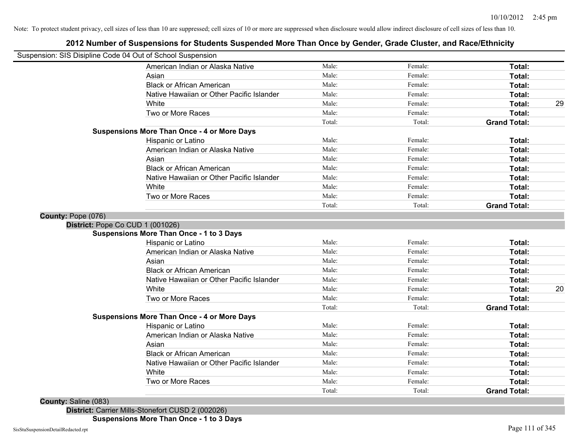## **2012 Number of Suspensions for Students Suspended More Than Once by Gender, Grade Cluster, and Race/Ethnicity**

| Suspension: SIS Disipline Code 04 Out of School Suspension |                                           |        |         |                     |    |
|------------------------------------------------------------|-------------------------------------------|--------|---------|---------------------|----|
| American Indian or Alaska Native                           |                                           | Male:  | Female: | Total:              |    |
| Asian                                                      |                                           | Male:  | Female: | Total:              |    |
| <b>Black or African American</b>                           |                                           | Male:  | Female: | Total:              |    |
|                                                            | Native Hawaiian or Other Pacific Islander | Male:  | Female: | Total:              |    |
| White                                                      |                                           | Male:  | Female: | Total:              | 29 |
| Two or More Races                                          |                                           | Male:  | Female: | Total:              |    |
|                                                            |                                           | Total: | Total:  | <b>Grand Total:</b> |    |
| <b>Suspensions More Than Once - 4 or More Days</b>         |                                           |        |         |                     |    |
| Hispanic or Latino                                         |                                           | Male:  | Female: | Total:              |    |
| American Indian or Alaska Native                           |                                           | Male:  | Female: | Total:              |    |
| Asian                                                      |                                           | Male:  | Female: | Total:              |    |
| <b>Black or African American</b>                           |                                           | Male:  | Female: | Total:              |    |
|                                                            | Native Hawaiian or Other Pacific Islander | Male:  | Female: | Total:              |    |
| White                                                      |                                           | Male:  | Female: | Total:              |    |
| Two or More Races                                          |                                           | Male:  | Female: | Total:              |    |
|                                                            |                                           | Total: | Total:  | <b>Grand Total:</b> |    |
| County: Pope (076)                                         |                                           |        |         |                     |    |
| District: Pope Co CUD 1 (001026)                           |                                           |        |         |                     |    |
| <b>Suspensions More Than Once - 1 to 3 Days</b>            |                                           |        |         |                     |    |
| <b>Hispanic or Latino</b>                                  |                                           | Male:  | Female: | Total:              |    |
| American Indian or Alaska Native                           |                                           | Male:  | Female: | <b>Total:</b>       |    |
| Asian                                                      |                                           | Male:  | Female: | Total:              |    |
| <b>Black or African American</b>                           |                                           | Male:  | Female: | Total:              |    |
|                                                            | Native Hawaiian or Other Pacific Islander | Male:  | Female: | <b>Total:</b>       |    |
| White                                                      |                                           | Male:  | Female: | Total:              | 20 |
| Two or More Races                                          |                                           | Male:  | Female: | Total:              |    |
|                                                            |                                           | Total: | Total:  | <b>Grand Total:</b> |    |
| <b>Suspensions More Than Once - 4 or More Days</b>         |                                           |        |         |                     |    |
| Hispanic or Latino                                         |                                           | Male:  | Female: | Total:              |    |
| American Indian or Alaska Native                           |                                           | Male:  | Female: | Total:              |    |
| Asian                                                      |                                           | Male:  | Female: | Total:              |    |
| <b>Black or African American</b>                           |                                           | Male:  | Female: | Total:              |    |
|                                                            | Native Hawaiian or Other Pacific Islander | Male:  | Female: | Total:              |    |
| White                                                      |                                           | Male:  | Female: | Total:              |    |
| Two or More Races                                          |                                           | Male:  | Female: | Total:              |    |
|                                                            |                                           | Total: | Total:  | <b>Grand Total:</b> |    |

**County:** Saline (083)

**District:** Carrier Mills-Stonefort CUSD 2 (002026)

**Suspensions More Than Once - 1 to 3 Days**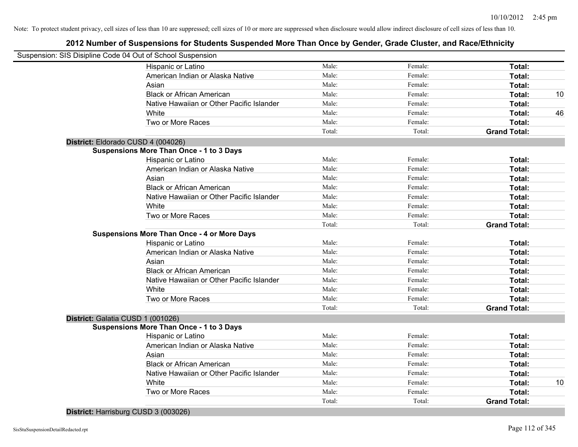| Suspension: SIS Disipline Code 04 Out of School Suspension |                                           |        |         |                     |    |
|------------------------------------------------------------|-------------------------------------------|--------|---------|---------------------|----|
| Hispanic or Latino                                         |                                           | Male:  | Female: | Total:              |    |
|                                                            | American Indian or Alaska Native          | Male:  | Female: | Total:              |    |
| Asian                                                      |                                           | Male:  | Female: | Total:              |    |
| <b>Black or African American</b>                           |                                           | Male:  | Female: | Total:              | 10 |
|                                                            | Native Hawaiian or Other Pacific Islander | Male:  | Female: | Total:              |    |
| White                                                      |                                           | Male:  | Female: | Total:              | 46 |
| Two or More Races                                          |                                           | Male:  | Female: | Total:              |    |
|                                                            |                                           | Total: | Total:  | <b>Grand Total:</b> |    |
| District: Eldorado CUSD 4 (004026)                         |                                           |        |         |                     |    |
| <b>Suspensions More Than Once - 1 to 3 Days</b>            |                                           |        |         |                     |    |
| Hispanic or Latino                                         |                                           | Male:  | Female: | Total:              |    |
|                                                            | American Indian or Alaska Native          | Male:  | Female: | Total:              |    |
| Asian                                                      |                                           | Male:  | Female: | Total:              |    |
| <b>Black or African American</b>                           |                                           | Male:  | Female: | Total:              |    |
|                                                            | Native Hawaiian or Other Pacific Islander | Male:  | Female: | Total:              |    |
| White                                                      |                                           | Male:  | Female: | Total:              |    |
| Two or More Races                                          |                                           | Male:  | Female: | Total:              |    |
|                                                            |                                           | Total: | Total:  | <b>Grand Total:</b> |    |
| <b>Suspensions More Than Once - 4 or More Days</b>         |                                           |        |         |                     |    |
| Hispanic or Latino                                         |                                           | Male:  | Female: | Total:              |    |
|                                                            | American Indian or Alaska Native          | Male:  | Female: | Total:              |    |
| Asian                                                      |                                           | Male:  | Female: | Total:              |    |
| <b>Black or African American</b>                           |                                           | Male:  | Female: | Total:              |    |
|                                                            | Native Hawaiian or Other Pacific Islander | Male:  | Female: | Total:              |    |
| White                                                      |                                           | Male:  | Female: | Total:              |    |
| Two or More Races                                          |                                           | Male:  | Female: | Total:              |    |
|                                                            |                                           | Total: | Total:  | <b>Grand Total:</b> |    |
| District: Galatia CUSD 1 (001026)                          |                                           |        |         |                     |    |
| <b>Suspensions More Than Once - 1 to 3 Days</b>            |                                           |        |         |                     |    |
| Hispanic or Latino                                         |                                           | Male:  | Female: | Total:              |    |
|                                                            | American Indian or Alaska Native          | Male:  | Female: | Total:              |    |
| Asian                                                      |                                           | Male:  | Female: | Total:              |    |
| <b>Black or African American</b>                           |                                           | Male:  | Female: | Total:              |    |
|                                                            | Native Hawaiian or Other Pacific Islander | Male:  | Female: | Total:              |    |
| White                                                      |                                           | Male:  | Female: | Total:              | 10 |
| Two or More Races                                          |                                           | Male:  | Female: | Total:              |    |
|                                                            |                                           | Total: | Total:  | <b>Grand Total:</b> |    |

**District:** Harrisburg CUSD 3 (003026)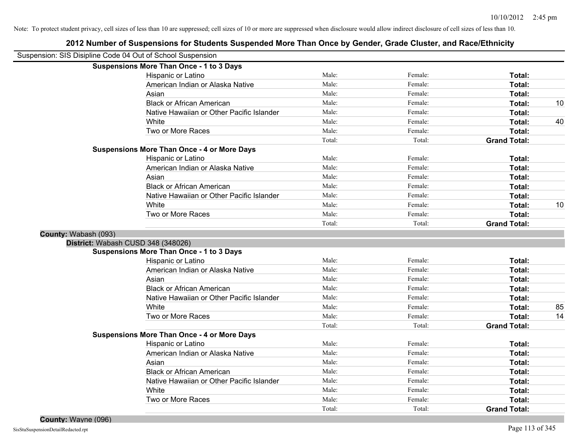| Suspension: SIS Disipline Code 04 Out of School Suspension |        |         |                     |    |
|------------------------------------------------------------|--------|---------|---------------------|----|
| <b>Suspensions More Than Once - 1 to 3 Days</b>            |        |         |                     |    |
| Hispanic or Latino                                         | Male:  | Female: | Total:              |    |
| American Indian or Alaska Native                           | Male:  | Female: | Total:              |    |
| Asian                                                      | Male:  | Female: | Total:              |    |
| <b>Black or African American</b>                           | Male:  | Female: | Total:              | 10 |
| Native Hawaiian or Other Pacific Islander                  | Male:  | Female: | Total:              |    |
| White                                                      | Male:  | Female: | Total:              | 40 |
| Two or More Races                                          | Male:  | Female: | Total:              |    |
|                                                            | Total: | Total:  | <b>Grand Total:</b> |    |
| <b>Suspensions More Than Once - 4 or More Days</b>         |        |         |                     |    |
| Hispanic or Latino                                         | Male:  | Female: | Total:              |    |
| American Indian or Alaska Native                           | Male:  | Female: | Total:              |    |
| Asian                                                      | Male:  | Female: | Total:              |    |
| <b>Black or African American</b>                           | Male:  | Female: | Total:              |    |
| Native Hawaiian or Other Pacific Islander                  | Male:  | Female: | Total:              |    |
| White                                                      | Male:  | Female: | Total:              | 10 |
| Two or More Races                                          | Male:  | Female: | Total:              |    |
|                                                            | Total: | Total:  | <b>Grand Total:</b> |    |
| County: Wabash (093)                                       |        |         |                     |    |
| District: Wabash CUSD 348 (348026)                         |        |         |                     |    |
| <b>Suspensions More Than Once - 1 to 3 Days</b>            |        |         |                     |    |
| Hispanic or Latino                                         | Male:  | Female: | Total:              |    |
| American Indian or Alaska Native                           | Male:  | Female: | Total:              |    |
| Asian                                                      | Male:  | Female: | Total:              |    |
| <b>Black or African American</b>                           | Male:  | Female: | Total:              |    |
| Native Hawaiian or Other Pacific Islander                  | Male:  | Female: | Total:              |    |
| White                                                      | Male:  | Female: | Total:              | 85 |
| Two or More Races                                          | Male:  | Female: | Total:              | 14 |
|                                                            | Total: | Total:  | <b>Grand Total:</b> |    |
| <b>Suspensions More Than Once - 4 or More Days</b>         | Male:  | Female: |                     |    |
| Hispanic or Latino                                         | Male:  | Female: | Total:              |    |
| American Indian or Alaska Native                           | Male:  | Female: | Total:              |    |
| Asian<br><b>Black or African American</b>                  | Male:  | Female: | Total:              |    |
| Native Hawaiian or Other Pacific Islander                  | Male:  | Female: | Total:              |    |
| White                                                      | Male:  | Female: | Total:              |    |
| Two or More Races                                          | Male:  | Female: | Total:<br>Total:    |    |
|                                                            | Total: | Total:  | <b>Grand Total:</b> |    |
|                                                            |        |         |                     |    |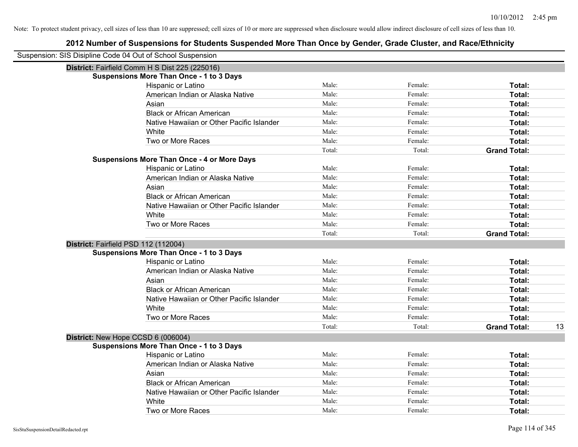| Suspension: SIS Disipline Code 04 Out of School Suspension |                                                    |        |         |                           |
|------------------------------------------------------------|----------------------------------------------------|--------|---------|---------------------------|
|                                                            | District: Fairfield Comm H S Dist 225 (225016)     |        |         |                           |
|                                                            | <b>Suspensions More Than Once - 1 to 3 Days</b>    |        |         |                           |
|                                                            | Hispanic or Latino                                 | Male:  | Female: | Total:                    |
|                                                            | American Indian or Alaska Native                   | Male:  | Female: | Total:                    |
|                                                            | Asian                                              | Male:  | Female: | Total:                    |
|                                                            | <b>Black or African American</b>                   | Male:  | Female: | Total:                    |
|                                                            | Native Hawaiian or Other Pacific Islander          | Male:  | Female: | Total:                    |
|                                                            | White                                              | Male:  | Female: | Total:                    |
|                                                            | Two or More Races                                  | Male:  | Female: | Total:                    |
|                                                            |                                                    | Total: | Total:  | <b>Grand Total:</b>       |
|                                                            | <b>Suspensions More Than Once - 4 or More Days</b> |        |         |                           |
|                                                            | Hispanic or Latino                                 | Male:  | Female: | Total:                    |
|                                                            | American Indian or Alaska Native                   | Male:  | Female: | Total:                    |
|                                                            | Asian                                              | Male:  | Female: | Total:                    |
|                                                            | <b>Black or African American</b>                   | Male:  | Female: | Total:                    |
|                                                            | Native Hawaiian or Other Pacific Islander          | Male:  | Female: | Total:                    |
|                                                            | White                                              | Male:  | Female: | Total:                    |
|                                                            | Two or More Races                                  | Male:  | Female: | Total:                    |
|                                                            |                                                    | Total: | Total:  | <b>Grand Total:</b>       |
|                                                            | District: Fairfield PSD 112 (112004)               |        |         |                           |
|                                                            | <b>Suspensions More Than Once - 1 to 3 Days</b>    |        |         |                           |
|                                                            | Hispanic or Latino                                 | Male:  | Female: | Total:                    |
|                                                            | American Indian or Alaska Native                   | Male:  | Female: | Total:                    |
|                                                            | Asian                                              | Male:  | Female: | Total:                    |
|                                                            | <b>Black or African American</b>                   | Male:  | Female: | Total:                    |
|                                                            | Native Hawaiian or Other Pacific Islander          | Male:  | Female: | Total:                    |
|                                                            | <b>White</b>                                       | Male:  | Female: | Total:                    |
|                                                            | Two or More Races                                  | Male:  | Female: | Total:                    |
|                                                            |                                                    | Total: | Total:  | <b>Grand Total:</b><br>13 |
|                                                            | District: New Hope CCSD 6 (006004)                 |        |         |                           |
|                                                            | <b>Suspensions More Than Once - 1 to 3 Days</b>    |        |         |                           |
|                                                            | Hispanic or Latino                                 | Male:  | Female: | Total:                    |
|                                                            | American Indian or Alaska Native                   | Male:  | Female: | Total:                    |
|                                                            | Asian                                              | Male:  | Female: | Total:                    |
|                                                            | <b>Black or African American</b>                   | Male:  | Female: | Total:                    |
|                                                            | Native Hawaiian or Other Pacific Islander          | Male:  | Female: | Total:                    |
|                                                            | White                                              | Male:  | Female: | Total:                    |
|                                                            | Two or More Races                                  | Male:  | Female: | Total:                    |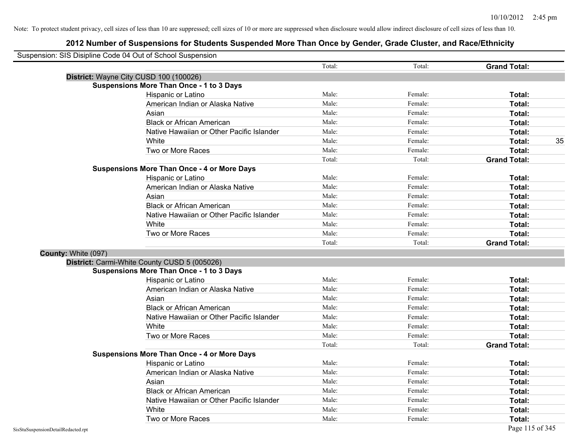|                     | Suspension: SIS Disipline Code 04 Out of School Suspension |        |         |                     |    |
|---------------------|------------------------------------------------------------|--------|---------|---------------------|----|
|                     |                                                            | Total: | Total:  | <b>Grand Total:</b> |    |
|                     | District: Wayne City CUSD 100 (100026)                     |        |         |                     |    |
|                     | <b>Suspensions More Than Once - 1 to 3 Days</b>            |        |         |                     |    |
|                     | Hispanic or Latino                                         | Male:  | Female: | Total:              |    |
|                     | American Indian or Alaska Native                           | Male:  | Female: | Total:              |    |
|                     | Asian                                                      | Male:  | Female: | Total:              |    |
|                     | <b>Black or African American</b>                           | Male:  | Female: | Total:              |    |
|                     | Native Hawaiian or Other Pacific Islander                  | Male:  | Female: | Total:              |    |
|                     | White                                                      | Male:  | Female: | Total:              | 35 |
|                     | Two or More Races                                          | Male:  | Female: | Total:              |    |
|                     |                                                            | Total: | Total:  | <b>Grand Total:</b> |    |
|                     | <b>Suspensions More Than Once - 4 or More Days</b>         |        |         |                     |    |
|                     | Hispanic or Latino                                         | Male:  | Female: | Total:              |    |
|                     | American Indian or Alaska Native                           | Male:  | Female: | Total:              |    |
|                     | Asian                                                      | Male:  | Female: | Total:              |    |
|                     | <b>Black or African American</b>                           | Male:  | Female: | Total:              |    |
|                     | Native Hawaiian or Other Pacific Islander                  | Male:  | Female: | Total:              |    |
|                     | White                                                      | Male:  | Female: | Total:              |    |
|                     | Two or More Races                                          | Male:  | Female: | Total:              |    |
|                     |                                                            | Total: | Total:  | <b>Grand Total:</b> |    |
| County: White (097) |                                                            |        |         |                     |    |
|                     | District: Carmi-White County CUSD 5 (005026)               |        |         |                     |    |
|                     | <b>Suspensions More Than Once - 1 to 3 Days</b>            |        |         |                     |    |
|                     | Hispanic or Latino                                         | Male:  | Female: | Total:              |    |
|                     | American Indian or Alaska Native                           | Male:  | Female: | Total:              |    |
|                     | Asian                                                      | Male:  | Female: | Total:              |    |
|                     | <b>Black or African American</b>                           | Male:  | Female: | Total:              |    |
|                     | Native Hawaiian or Other Pacific Islander                  | Male:  | Female: | Total:              |    |
|                     | White                                                      | Male:  | Female: | Total:              |    |
|                     | Two or More Races                                          | Male:  | Female: | Total:              |    |
|                     |                                                            | Total: | Total:  | <b>Grand Total:</b> |    |
|                     | <b>Suspensions More Than Once - 4 or More Days</b>         |        |         |                     |    |
|                     | Hispanic or Latino                                         | Male:  | Female: | Total:              |    |
|                     | American Indian or Alaska Native                           | Male:  | Female: | Total:              |    |
|                     | Asian                                                      | Male:  | Female: | Total:              |    |
|                     | <b>Black or African American</b>                           | Male:  | Female: | Total:              |    |
|                     | Native Hawaiian or Other Pacific Islander                  | Male:  | Female: | Total:              |    |
|                     | White                                                      | Male:  | Female: | Total:              |    |
|                     | Two or More Races                                          | Male:  | Female: | Total:              |    |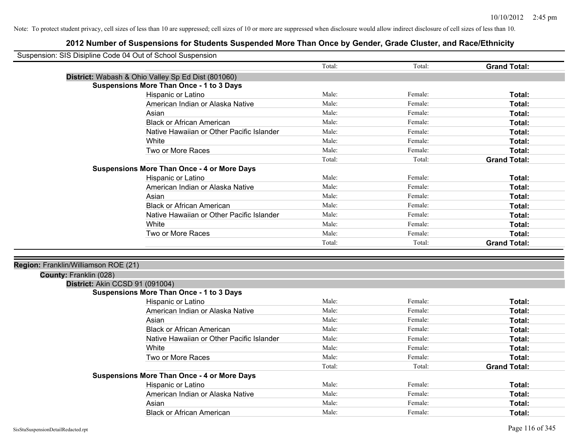| Suspension: SIS Disipline Code 04 Out of School Suspension |                                                    |        |         |                     |
|------------------------------------------------------------|----------------------------------------------------|--------|---------|---------------------|
|                                                            |                                                    | Total: | Total:  | <b>Grand Total:</b> |
|                                                            | District: Wabash & Ohio Valley Sp Ed Dist (801060) |        |         |                     |
|                                                            | <b>Suspensions More Than Once - 1 to 3 Days</b>    |        |         |                     |
|                                                            | Hispanic or Latino                                 | Male:  | Female: | Total:              |
|                                                            | American Indian or Alaska Native                   | Male:  | Female: | Total:              |
|                                                            | Asian                                              | Male:  | Female: | Total:              |
|                                                            | <b>Black or African American</b>                   | Male:  | Female: | Total:              |
|                                                            | Native Hawaiian or Other Pacific Islander          | Male:  | Female: | Total:              |
|                                                            | White                                              | Male:  | Female: | Total:              |
|                                                            | Two or More Races                                  | Male:  | Female: | Total:              |
|                                                            |                                                    | Total: | Total:  | <b>Grand Total:</b> |
|                                                            | <b>Suspensions More Than Once - 4 or More Days</b> |        |         |                     |
|                                                            | Hispanic or Latino                                 | Male:  | Female: | Total:              |
|                                                            | American Indian or Alaska Native                   | Male:  | Female: | Total:              |
|                                                            | Asian                                              | Male:  | Female: | Total:              |
|                                                            | <b>Black or African American</b>                   | Male:  | Female: | Total:              |
|                                                            | Native Hawaiian or Other Pacific Islander          | Male:  | Female: | Total:              |
|                                                            | White                                              | Male:  | Female: | Total:              |
|                                                            | Two or More Races                                  | Male:  | Female: | Total:              |
|                                                            |                                                    | Total: | Total:  | <b>Grand Total:</b> |
|                                                            |                                                    |        |         |                     |
| Region: Franklin/Williamson ROE (21)                       |                                                    |        |         |                     |
| County: Franklin (028)                                     |                                                    |        |         |                     |
| District: Akin CCSD 91 (091004)                            |                                                    |        |         |                     |
|                                                            | <b>Suspensions More Than Once - 1 to 3 Days</b>    |        |         |                     |
|                                                            | Hispanic or Latino                                 | Male:  | Female: | Total:              |
|                                                            | American Indian or Alaska Native                   | Male:  | Female: | Total:              |
|                                                            | Asian                                              | Male:  | Female: | Total:              |
|                                                            | <b>Black or African American</b>                   | Male:  | Female: | Total:              |
|                                                            | Native Hawaiian or Other Pacific Islander          | Male:  | Female: | Total:              |
|                                                            | White                                              | Male:  | Female: | Total:              |
|                                                            | Two or More Races                                  | Male:  | Female: | Total:              |
|                                                            |                                                    | Total: | Total:  | <b>Grand Total:</b> |
|                                                            | <b>Suspensions More Than Once - 4 or More Days</b> |        |         |                     |
|                                                            | Hispanic or Latino                                 | Male:  | Female: | Total:              |
|                                                            | American Indian or Alaska Native                   | Male:  | Female: | Total:              |
|                                                            | Asian                                              | Male:  | Female: | Total:              |
|                                                            | <b>Black or African American</b>                   | Male:  | Female: | Total:              |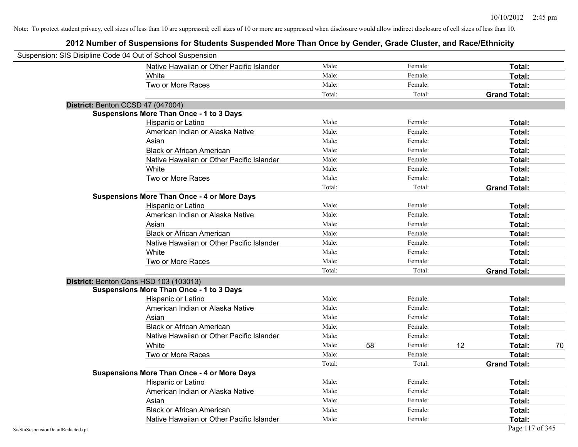| Suspension: SIS Disipline Code 04 Out of School Suspension |                                                    |        |    |         |    |                     |    |
|------------------------------------------------------------|----------------------------------------------------|--------|----|---------|----|---------------------|----|
|                                                            | Native Hawaiian or Other Pacific Islander          | Male:  |    | Female: |    | Total:              |    |
|                                                            | White                                              | Male:  |    | Female: |    | Total:              |    |
|                                                            | Two or More Races                                  | Male:  |    | Female: |    | Total:              |    |
|                                                            |                                                    | Total: |    | Total:  |    | <b>Grand Total:</b> |    |
| District: Benton CCSD 47 (047004)                          |                                                    |        |    |         |    |                     |    |
|                                                            | <b>Suspensions More Than Once - 1 to 3 Days</b>    |        |    |         |    |                     |    |
|                                                            | Hispanic or Latino                                 | Male:  |    | Female: |    | Total:              |    |
|                                                            | American Indian or Alaska Native                   | Male:  |    | Female: |    | Total:              |    |
|                                                            | Asian                                              | Male:  |    | Female: |    | Total:              |    |
|                                                            | <b>Black or African American</b>                   | Male:  |    | Female: |    | Total:              |    |
|                                                            | Native Hawaiian or Other Pacific Islander          | Male:  |    | Female: |    | Total:              |    |
|                                                            | White                                              | Male:  |    | Female: |    | Total:              |    |
|                                                            | Two or More Races                                  | Male:  |    | Female: |    | Total:              |    |
|                                                            |                                                    | Total: |    | Total:  |    | <b>Grand Total:</b> |    |
|                                                            | <b>Suspensions More Than Once - 4 or More Days</b> |        |    |         |    |                     |    |
|                                                            | Hispanic or Latino                                 | Male:  |    | Female: |    | Total:              |    |
|                                                            | American Indian or Alaska Native                   | Male:  |    | Female: |    | Total:              |    |
|                                                            | Asian                                              | Male:  |    | Female: |    | Total:              |    |
|                                                            | <b>Black or African American</b>                   | Male:  |    | Female: |    | Total:              |    |
|                                                            | Native Hawaiian or Other Pacific Islander          | Male:  |    | Female: |    | Total:              |    |
|                                                            | White                                              | Male:  |    | Female: |    | Total:              |    |
|                                                            | Two or More Races                                  | Male:  |    | Female: |    | Total:              |    |
|                                                            |                                                    | Total: |    | Total:  |    | <b>Grand Total:</b> |    |
| District: Benton Cons HSD 103 (103013)                     |                                                    |        |    |         |    |                     |    |
|                                                            | <b>Suspensions More Than Once - 1 to 3 Days</b>    |        |    |         |    |                     |    |
|                                                            | Hispanic or Latino                                 | Male:  |    | Female: |    | Total:              |    |
|                                                            | American Indian or Alaska Native                   | Male:  |    | Female: |    | Total:              |    |
|                                                            | Asian                                              | Male:  |    | Female: |    | Total:              |    |
|                                                            | <b>Black or African American</b>                   | Male:  |    | Female: |    | Total:              |    |
|                                                            | Native Hawaiian or Other Pacific Islander          | Male:  |    | Female: |    | Total:              |    |
|                                                            | White                                              | Male:  | 58 | Female: | 12 | <b>Total:</b>       | 70 |
|                                                            | Two or More Races                                  | Male:  |    | Female: |    | Total:              |    |
|                                                            |                                                    | Total: |    | Total:  |    | <b>Grand Total:</b> |    |
|                                                            | <b>Suspensions More Than Once - 4 or More Days</b> |        |    |         |    |                     |    |
|                                                            | Hispanic or Latino                                 | Male:  |    | Female: |    | Total:              |    |
|                                                            | American Indian or Alaska Native                   | Male:  |    | Female: |    | Total:              |    |
|                                                            | Asian                                              | Male:  |    | Female: |    | Total:              |    |
|                                                            | <b>Black or African American</b>                   | Male:  |    | Female: |    | <b>Total:</b>       |    |
|                                                            | Native Hawaiian or Other Pacific Islander          | Male:  |    | Female: |    | Total:              |    |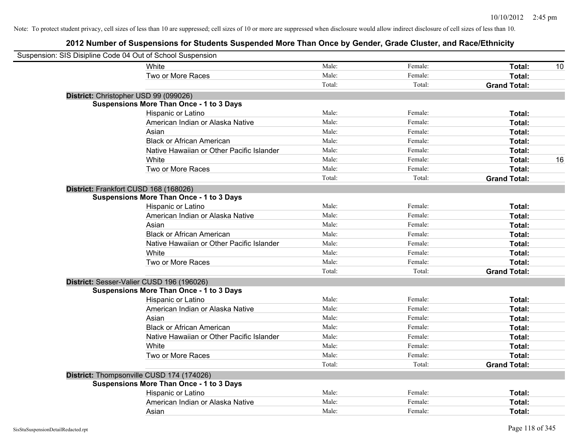| Suspension: SIS Disipline Code 04 Out of School Suspension |                                                 |        |         |                     |    |
|------------------------------------------------------------|-------------------------------------------------|--------|---------|---------------------|----|
|                                                            | White                                           | Male:  | Female: | Total:              | 10 |
|                                                            | Two or More Races                               | Male:  | Female: | Total:              |    |
|                                                            |                                                 | Total: | Total:  | <b>Grand Total:</b> |    |
| District: Christopher USD 99 (099026)                      |                                                 |        |         |                     |    |
|                                                            | <b>Suspensions More Than Once - 1 to 3 Days</b> |        |         |                     |    |
|                                                            | Hispanic or Latino                              | Male:  | Female: | Total:              |    |
|                                                            | American Indian or Alaska Native                | Male:  | Female: | Total:              |    |
|                                                            | Asian                                           | Male:  | Female: | Total:              |    |
|                                                            | <b>Black or African American</b>                | Male:  | Female: | Total:              |    |
|                                                            | Native Hawaiian or Other Pacific Islander       | Male:  | Female: | Total:              |    |
|                                                            | White                                           | Male:  | Female: | Total:              | 16 |
|                                                            | Two or More Races                               | Male:  | Female: | Total:              |    |
|                                                            |                                                 | Total: | Total:  | <b>Grand Total:</b> |    |
| District: Frankfort CUSD 168 (168026)                      |                                                 |        |         |                     |    |
|                                                            | <b>Suspensions More Than Once - 1 to 3 Days</b> |        |         |                     |    |
|                                                            | Hispanic or Latino                              | Male:  | Female: | Total:              |    |
|                                                            | American Indian or Alaska Native                | Male:  | Female: | Total:              |    |
|                                                            | Asian                                           | Male:  | Female: | Total:              |    |
|                                                            | <b>Black or African American</b>                | Male:  | Female: | Total:              |    |
|                                                            | Native Hawaiian or Other Pacific Islander       | Male:  | Female: | Total:              |    |
|                                                            | White                                           | Male:  | Female: | Total:              |    |
|                                                            | Two or More Races                               | Male:  | Female: | Total:              |    |
|                                                            |                                                 | Total: | Total:  | <b>Grand Total:</b> |    |
| District: Sesser-Valier CUSD 196 (196026)                  |                                                 |        |         |                     |    |
|                                                            | <b>Suspensions More Than Once - 1 to 3 Days</b> |        |         |                     |    |
|                                                            | Hispanic or Latino                              | Male:  | Female: | Total:              |    |
|                                                            | American Indian or Alaska Native                | Male:  | Female: | Total:              |    |
|                                                            | Asian                                           | Male:  | Female: | Total:              |    |
|                                                            | <b>Black or African American</b>                | Male:  | Female: | Total:              |    |
|                                                            | Native Hawaiian or Other Pacific Islander       | Male:  | Female: | Total:              |    |
|                                                            | White                                           | Male:  | Female: | Total:              |    |
|                                                            | Two or More Races                               | Male:  | Female: | Total:              |    |
|                                                            |                                                 | Total: | Total:  | <b>Grand Total:</b> |    |
| District: Thompsonville CUSD 174 (174026)                  |                                                 |        |         |                     |    |
|                                                            | <b>Suspensions More Than Once - 1 to 3 Days</b> |        |         |                     |    |
|                                                            | Hispanic or Latino                              | Male:  | Female: | Total:              |    |
|                                                            | American Indian or Alaska Native                | Male:  | Female: | Total:              |    |
|                                                            | Asian                                           | Male:  | Female: | Total:              |    |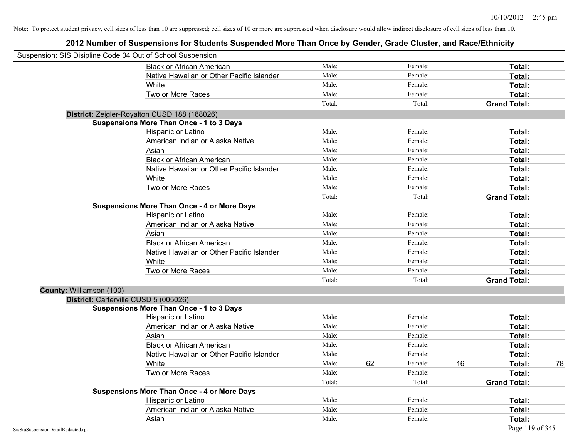|                          | Suspension: SIS Disipline Code 04 Out of School Suspension |        |    |         |    |                     |    |
|--------------------------|------------------------------------------------------------|--------|----|---------|----|---------------------|----|
|                          | <b>Black or African American</b>                           | Male:  |    | Female: |    | Total:              |    |
|                          | Native Hawaiian or Other Pacific Islander                  | Male:  |    | Female: |    | Total:              |    |
|                          | White                                                      | Male:  |    | Female: |    | Total:              |    |
|                          | Two or More Races                                          | Male:  |    | Female: |    | Total:              |    |
|                          |                                                            | Total: |    | Total:  |    | <b>Grand Total:</b> |    |
|                          | District: Zeigler-Royalton CUSD 188 (188026)               |        |    |         |    |                     |    |
|                          | <b>Suspensions More Than Once - 1 to 3 Days</b>            |        |    |         |    |                     |    |
|                          | Hispanic or Latino                                         | Male:  |    | Female: |    | Total:              |    |
|                          | American Indian or Alaska Native                           | Male:  |    | Female: |    | Total:              |    |
|                          | Asian                                                      | Male:  |    | Female: |    | Total:              |    |
|                          | <b>Black or African American</b>                           | Male:  |    | Female: |    | Total:              |    |
|                          | Native Hawaiian or Other Pacific Islander                  | Male:  |    | Female: |    | Total:              |    |
|                          | White                                                      | Male:  |    | Female: |    | Total:              |    |
|                          | Two or More Races                                          | Male:  |    | Female: |    | Total:              |    |
|                          |                                                            | Total: |    | Total:  |    | <b>Grand Total:</b> |    |
|                          | <b>Suspensions More Than Once - 4 or More Days</b>         |        |    |         |    |                     |    |
|                          | Hispanic or Latino                                         | Male:  |    | Female: |    | Total:              |    |
|                          | American Indian or Alaska Native                           | Male:  |    | Female: |    | Total:              |    |
|                          | Asian                                                      | Male:  |    | Female: |    | Total:              |    |
|                          | <b>Black or African American</b>                           | Male:  |    | Female: |    | Total:              |    |
|                          | Native Hawaiian or Other Pacific Islander                  | Male:  |    | Female: |    | Total:              |    |
|                          | White                                                      | Male:  |    | Female: |    | Total:              |    |
|                          | Two or More Races                                          | Male:  |    | Female: |    | Total:              |    |
|                          |                                                            | Total: |    | Total:  |    | <b>Grand Total:</b> |    |
| County: Williamson (100) |                                                            |        |    |         |    |                     |    |
|                          | District: Carterville CUSD 5 (005026)                      |        |    |         |    |                     |    |
|                          | <b>Suspensions More Than Once - 1 to 3 Days</b>            |        |    |         |    |                     |    |
|                          | Hispanic or Latino                                         | Male:  |    | Female: |    | Total:              |    |
|                          | American Indian or Alaska Native                           | Male:  |    | Female: |    | Total:              |    |
|                          | Asian                                                      | Male:  |    | Female: |    | Total:              |    |
|                          | <b>Black or African American</b>                           | Male:  |    | Female: |    | Total:              |    |
|                          | Native Hawaiian or Other Pacific Islander                  | Male:  |    | Female: |    | Total:              |    |
|                          | White                                                      | Male:  | 62 | Female: | 16 | Total:              | 78 |
|                          | Two or More Races                                          | Male:  |    | Female: |    | Total:              |    |
|                          |                                                            | Total: |    | Total:  |    | <b>Grand Total:</b> |    |
|                          | <b>Suspensions More Than Once - 4 or More Days</b>         |        |    |         |    |                     |    |
|                          | Hispanic or Latino                                         | Male:  |    | Female: |    | Total:              |    |
|                          | American Indian or Alaska Native                           | Male:  |    | Female: |    | <b>Total:</b>       |    |
|                          | Asian                                                      | Male:  |    | Female: |    | Total:              |    |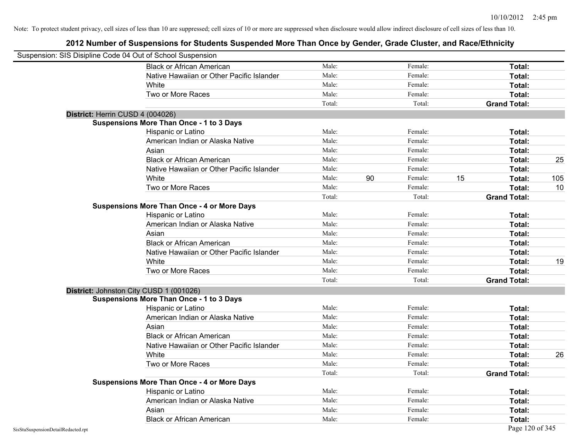| Suspension: SIS Disipline Code 04 Out of School Suspension |                                                    |        |    |         |    |                     |     |
|------------------------------------------------------------|----------------------------------------------------|--------|----|---------|----|---------------------|-----|
|                                                            | <b>Black or African American</b>                   | Male:  |    | Female: |    | Total:              |     |
|                                                            | Native Hawaiian or Other Pacific Islander          | Male:  |    | Female: |    | Total:              |     |
|                                                            | White                                              | Male:  |    | Female: |    | Total:              |     |
|                                                            | Two or More Races                                  | Male:  |    | Female: |    | Total:              |     |
|                                                            |                                                    | Total: |    | Total:  |    | <b>Grand Total:</b> |     |
| District: Herrin CUSD 4 (004026)                           |                                                    |        |    |         |    |                     |     |
|                                                            | Suspensions More Than Once - 1 to 3 Days           |        |    |         |    |                     |     |
|                                                            | Hispanic or Latino                                 | Male:  |    | Female: |    | Total:              |     |
|                                                            | American Indian or Alaska Native                   | Male:  |    | Female: |    | Total:              |     |
|                                                            | Asian                                              | Male:  |    | Female: |    | Total:              |     |
|                                                            | <b>Black or African American</b>                   | Male:  |    | Female: |    | Total:              | 25  |
|                                                            | Native Hawaiian or Other Pacific Islander          | Male:  |    | Female: |    | Total:              |     |
|                                                            | White                                              | Male:  | 90 | Female: | 15 | Total:              | 105 |
|                                                            | Two or More Races                                  | Male:  |    | Female: |    | Total:              | 10  |
|                                                            |                                                    | Total: |    | Total:  |    | <b>Grand Total:</b> |     |
|                                                            | <b>Suspensions More Than Once - 4 or More Days</b> |        |    |         |    |                     |     |
|                                                            | Hispanic or Latino                                 | Male:  |    | Female: |    | Total:              |     |
|                                                            | American Indian or Alaska Native                   | Male:  |    | Female: |    | Total:              |     |
|                                                            | Asian                                              | Male:  |    | Female: |    | Total:              |     |
|                                                            | <b>Black or African American</b>                   | Male:  |    | Female: |    | Total:              |     |
|                                                            | Native Hawaiian or Other Pacific Islander          | Male:  |    | Female: |    | Total:              |     |
|                                                            | White                                              | Male:  |    | Female: |    | Total:              | 19  |
|                                                            | Two or More Races                                  | Male:  |    | Female: |    | Total:              |     |
|                                                            |                                                    | Total: |    | Total:  |    | <b>Grand Total:</b> |     |
|                                                            | District: Johnston City CUSD 1 (001026)            |        |    |         |    |                     |     |
|                                                            | <b>Suspensions More Than Once - 1 to 3 Days</b>    |        |    |         |    |                     |     |
|                                                            | Hispanic or Latino                                 | Male:  |    | Female: |    | Total:              |     |
|                                                            | American Indian or Alaska Native                   | Male:  |    | Female: |    | Total:              |     |
|                                                            | Asian                                              | Male:  |    | Female: |    | Total:              |     |
|                                                            | <b>Black or African American</b>                   | Male:  |    | Female: |    | Total:              |     |
|                                                            | Native Hawaiian or Other Pacific Islander          | Male:  |    | Female: |    | Total:              |     |
|                                                            | <b>White</b>                                       | Male:  |    | Female: |    | Total:              | 26  |
|                                                            | Two or More Races                                  | Male:  |    | Female: |    | Total:              |     |
|                                                            |                                                    | Total: |    | Total:  |    | <b>Grand Total:</b> |     |
|                                                            | <b>Suspensions More Than Once - 4 or More Days</b> |        |    |         |    |                     |     |
|                                                            | Hispanic or Latino                                 | Male:  |    | Female: |    | Total:              |     |
|                                                            | American Indian or Alaska Native                   | Male:  |    | Female: |    | Total:              |     |
|                                                            | Asian                                              | Male:  |    | Female: |    | Total:              |     |
|                                                            | <b>Black or African American</b>                   | Male:  |    | Female: |    | Total:              |     |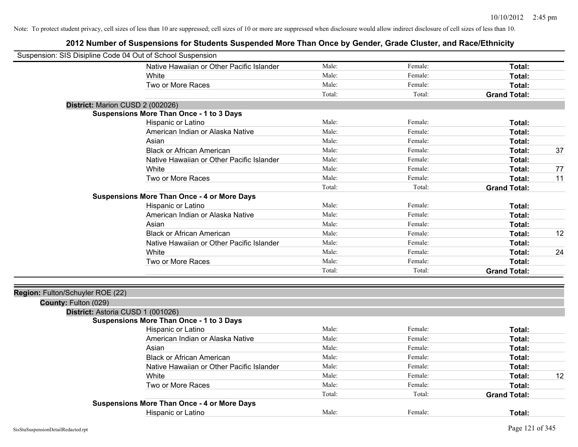| Suspension: SIS Disipline Code 04 Out of School Suspension |                                                    |        |         |                     |    |
|------------------------------------------------------------|----------------------------------------------------|--------|---------|---------------------|----|
|                                                            | Native Hawaiian or Other Pacific Islander          | Male:  | Female: | Total:              |    |
|                                                            | White                                              | Male:  | Female: | Total:              |    |
|                                                            | Two or More Races                                  | Male:  | Female: | Total:              |    |
|                                                            |                                                    | Total: | Total:  | <b>Grand Total:</b> |    |
| District: Marion CUSD 2 (002026)                           |                                                    |        |         |                     |    |
|                                                            | <b>Suspensions More Than Once - 1 to 3 Days</b>    |        |         |                     |    |
|                                                            | Hispanic or Latino                                 | Male:  | Female: | Total:              |    |
|                                                            | American Indian or Alaska Native                   | Male:  | Female: | Total:              |    |
|                                                            | Asian                                              | Male:  | Female: | Total:              |    |
|                                                            | <b>Black or African American</b>                   | Male:  | Female: | Total:              | 37 |
|                                                            | Native Hawaiian or Other Pacific Islander          | Male:  | Female: | Total:              |    |
|                                                            | White                                              | Male:  | Female: | Total:              | 77 |
|                                                            | Two or More Races                                  | Male:  | Female: | Total:              | 11 |
|                                                            |                                                    | Total: | Total:  | <b>Grand Total:</b> |    |
|                                                            | <b>Suspensions More Than Once - 4 or More Days</b> |        |         |                     |    |
|                                                            | Hispanic or Latino                                 | Male:  | Female: | Total:              |    |
|                                                            | American Indian or Alaska Native                   | Male:  | Female: | Total:              |    |
|                                                            | Asian                                              | Male:  | Female: | Total:              |    |
|                                                            | <b>Black or African American</b>                   | Male:  | Female: | Total:              | 12 |
|                                                            | Native Hawaiian or Other Pacific Islander          | Male:  | Female: | Total:              |    |
|                                                            | White                                              | Male:  | Female: | Total:              | 24 |
|                                                            | Two or More Races                                  | Male:  | Female: | Total:              |    |
|                                                            |                                                    | Total: | Total:  | <b>Grand Total:</b> |    |
| Region: Fulton/Schuyler ROE (22)<br>County: Fulton (029)   |                                                    |        |         |                     |    |
| District: Astoria CUSD 1 (001026)                          |                                                    |        |         |                     |    |
|                                                            | <b>Suspensions More Than Once - 1 to 3 Days</b>    |        |         |                     |    |
|                                                            | Hispanic or Latino                                 | Male:  | Female: | Total:              |    |
|                                                            | American Indian or Alaska Native                   | Male:  | Female: | Total:              |    |
|                                                            | Asian                                              | Male:  | Female: | Total:              |    |
|                                                            | <b>Black or African American</b>                   | Male:  | Female: | Total:              |    |
|                                                            | Native Hawaiian or Other Pacific Islander          | Male:  | Female: | Total:              |    |
|                                                            | White                                              | Male:  | Female: | Total:              | 12 |
|                                                            | Two or More Races                                  | Male:  | Female: | Total:              |    |
|                                                            |                                                    | Total: | Total:  | <b>Grand Total:</b> |    |
|                                                            | <b>Suspensions More Than Once - 4 or More Days</b> |        |         |                     |    |
|                                                            | <b>Hispanic or Latino</b>                          | Male:  | Female: | Total:              |    |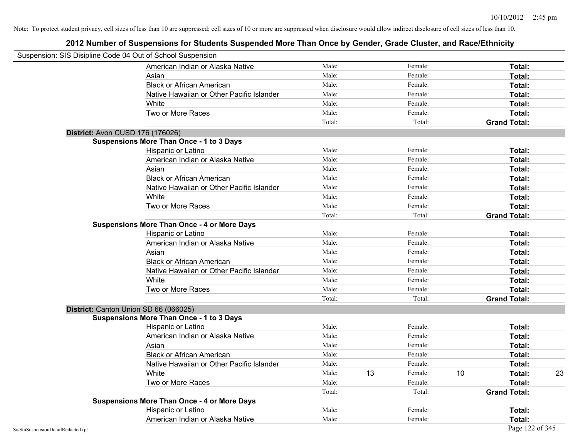|                                    | Suspension: SIS Disipline Code 04 Out of School Suspension |        |    |         |    |                     |    |
|------------------------------------|------------------------------------------------------------|--------|----|---------|----|---------------------|----|
|                                    | American Indian or Alaska Native                           | Male:  |    | Female: |    | Total:              |    |
|                                    | Asian                                                      | Male:  |    | Female: |    | Total:              |    |
|                                    | <b>Black or African American</b>                           | Male:  |    | Female: |    | Total:              |    |
|                                    | Native Hawaiian or Other Pacific Islander                  | Male:  |    | Female: |    | Total:              |    |
|                                    | White                                                      | Male:  |    | Female: |    | Total:              |    |
|                                    | Two or More Races                                          | Male:  |    | Female: |    | Total:              |    |
|                                    |                                                            | Total: |    | Total:  |    | <b>Grand Total:</b> |    |
|                                    | <b>District: Avon CUSD 176 (176026)</b>                    |        |    |         |    |                     |    |
|                                    | <b>Suspensions More Than Once - 1 to 3 Days</b>            |        |    |         |    |                     |    |
|                                    | Hispanic or Latino                                         | Male:  |    | Female: |    | Total:              |    |
|                                    | American Indian or Alaska Native                           | Male:  |    | Female: |    | Total:              |    |
|                                    | Asian                                                      | Male:  |    | Female: |    | Total:              |    |
|                                    | <b>Black or African American</b>                           | Male:  |    | Female: |    | Total:              |    |
|                                    | Native Hawaiian or Other Pacific Islander                  | Male:  |    | Female: |    | Total:              |    |
|                                    | White                                                      | Male:  |    | Female: |    | Total:              |    |
|                                    | Two or More Races                                          | Male:  |    | Female: |    | Total:              |    |
|                                    |                                                            | Total: |    | Total:  |    | <b>Grand Total:</b> |    |
|                                    | <b>Suspensions More Than Once - 4 or More Days</b>         |        |    |         |    |                     |    |
|                                    | Hispanic or Latino                                         | Male:  |    | Female: |    | Total:              |    |
|                                    | American Indian or Alaska Native                           | Male:  |    | Female: |    | Total:              |    |
|                                    | Asian                                                      | Male:  |    | Female: |    | Total:              |    |
|                                    | <b>Black or African American</b>                           | Male:  |    | Female: |    | Total:              |    |
|                                    | Native Hawaiian or Other Pacific Islander                  | Male:  |    | Female: |    | Total:              |    |
|                                    | White                                                      | Male:  |    | Female: |    | Total:              |    |
|                                    | Two or More Races                                          | Male:  |    | Female: |    | Total:              |    |
|                                    |                                                            | Total: |    | Total:  |    | <b>Grand Total:</b> |    |
|                                    | District: Canton Union SD 66 (066025)                      |        |    |         |    |                     |    |
|                                    | <b>Suspensions More Than Once - 1 to 3 Days</b>            |        |    |         |    |                     |    |
|                                    | Hispanic or Latino                                         | Male:  |    | Female: |    | Total:              |    |
|                                    | American Indian or Alaska Native                           | Male:  |    | Female: |    | Total:              |    |
|                                    | Asian                                                      | Male:  |    | Female: |    | Total:              |    |
|                                    | <b>Black or African American</b>                           | Male:  |    | Female: |    | Total:              |    |
|                                    | Native Hawaiian or Other Pacific Islander                  | Male:  |    | Female: |    | Total:              |    |
|                                    | White                                                      | Male:  | 13 | Female: | 10 | Total:              | 23 |
|                                    | Two or More Races                                          | Male:  |    | Female: |    | Total:              |    |
|                                    |                                                            | Total: |    | Total:  |    | <b>Grand Total:</b> |    |
|                                    | <b>Suspensions More Than Once - 4 or More Days</b>         |        |    |         |    |                     |    |
|                                    | Hispanic or Latino                                         | Male:  |    | Female: |    | Total:              |    |
|                                    | American Indian or Alaska Native                           | Male:  |    | Female: |    | Total:              |    |
| SisStuSuspensionDetailRedacted.rpt |                                                            |        |    |         |    | Page 122 of 345     |    |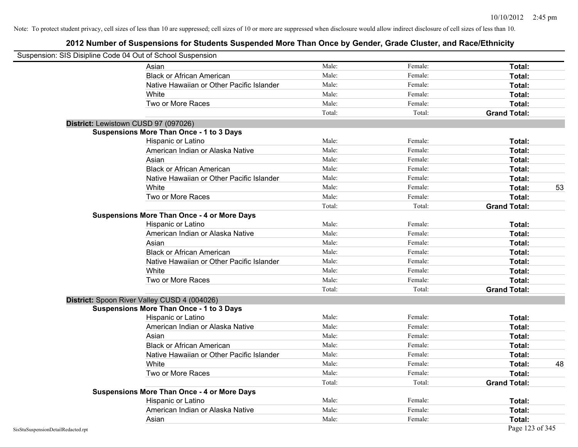| Suspension: SIS Disipline Code 04 Out of School Suspension |                                                    |        |         |                     |    |
|------------------------------------------------------------|----------------------------------------------------|--------|---------|---------------------|----|
|                                                            | Asian                                              | Male:  | Female: | Total:              |    |
|                                                            | <b>Black or African American</b>                   | Male:  | Female: | Total:              |    |
|                                                            | Native Hawaiian or Other Pacific Islander          | Male:  | Female: | Total:              |    |
|                                                            | White                                              | Male:  | Female: | Total:              |    |
|                                                            | Two or More Races                                  | Male:  | Female: | Total:              |    |
|                                                            |                                                    | Total: | Total:  | <b>Grand Total:</b> |    |
|                                                            | District: Lewistown CUSD 97 (097026)               |        |         |                     |    |
|                                                            | <b>Suspensions More Than Once - 1 to 3 Days</b>    |        |         |                     |    |
|                                                            | Hispanic or Latino                                 | Male:  | Female: | Total:              |    |
|                                                            | American Indian or Alaska Native                   | Male:  | Female: | Total:              |    |
|                                                            | Asian                                              | Male:  | Female: | Total:              |    |
|                                                            | <b>Black or African American</b>                   | Male:  | Female: | Total:              |    |
|                                                            | Native Hawaiian or Other Pacific Islander          | Male:  | Female: | Total:              |    |
|                                                            | White                                              | Male:  | Female: | Total:              | 53 |
|                                                            | Two or More Races                                  | Male:  | Female: | Total:              |    |
|                                                            |                                                    | Total: | Total:  | <b>Grand Total:</b> |    |
|                                                            | <b>Suspensions More Than Once - 4 or More Days</b> |        |         |                     |    |
|                                                            | Hispanic or Latino                                 | Male:  | Female: | Total:              |    |
|                                                            | American Indian or Alaska Native                   | Male:  | Female: | Total:              |    |
|                                                            | Asian                                              | Male:  | Female: | Total:              |    |
|                                                            | <b>Black or African American</b>                   | Male:  | Female: | Total:              |    |
|                                                            | Native Hawaiian or Other Pacific Islander          | Male:  | Female: | Total:              |    |
|                                                            | White                                              | Male:  | Female: | Total:              |    |
|                                                            | Two or More Races                                  | Male:  | Female: | Total:              |    |
|                                                            |                                                    | Total: | Total:  | <b>Grand Total:</b> |    |
|                                                            | District: Spoon River Valley CUSD 4 (004026)       |        |         |                     |    |
|                                                            | <b>Suspensions More Than Once - 1 to 3 Days</b>    |        |         |                     |    |
|                                                            | Hispanic or Latino                                 | Male:  | Female: | Total:              |    |
|                                                            | American Indian or Alaska Native                   | Male:  | Female: | Total:              |    |
|                                                            | Asian                                              | Male:  | Female: | Total:              |    |
|                                                            | <b>Black or African American</b>                   | Male:  | Female: | Total:              |    |
|                                                            | Native Hawaiian or Other Pacific Islander          | Male:  | Female: | Total:              |    |
|                                                            | White                                              | Male:  | Female: | Total:              | 48 |
|                                                            | Two or More Races                                  | Male:  | Female: | Total:              |    |
|                                                            |                                                    | Total: | Total:  | <b>Grand Total:</b> |    |
|                                                            | <b>Suspensions More Than Once - 4 or More Days</b> |        |         |                     |    |
|                                                            | Hispanic or Latino                                 | Male:  | Female: | Total:              |    |
|                                                            | American Indian or Alaska Native                   | Male:  | Female: | Total:              |    |
|                                                            | Asian                                              | Male:  | Female: | Total:              |    |
| SisStuSuspensionDetailRedacted.rpt                         |                                                    |        |         | Page 123 of 345     |    |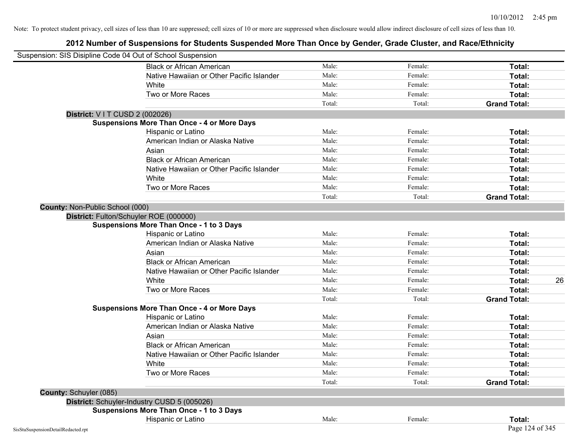| Suspension: SIS Disipline Code 04 Out of School Suspension |                                                    |        |         |                     |    |
|------------------------------------------------------------|----------------------------------------------------|--------|---------|---------------------|----|
|                                                            | <b>Black or African American</b>                   | Male:  | Female: | Total:              |    |
|                                                            | Native Hawaiian or Other Pacific Islander          | Male:  | Female: | Total:              |    |
|                                                            | White                                              | Male:  | Female: | Total:              |    |
|                                                            | Two or More Races                                  | Male:  | Female: | Total:              |    |
|                                                            |                                                    | Total: | Total:  | <b>Grand Total:</b> |    |
| District: V I T CUSD 2 (002026)                            |                                                    |        |         |                     |    |
|                                                            | <b>Suspensions More Than Once - 4 or More Days</b> |        |         |                     |    |
|                                                            | Hispanic or Latino                                 | Male:  | Female: | Total:              |    |
|                                                            | American Indian or Alaska Native                   | Male:  | Female: | Total:              |    |
|                                                            | Asian                                              | Male:  | Female: | Total:              |    |
|                                                            | <b>Black or African American</b>                   | Male:  | Female: | Total:              |    |
|                                                            | Native Hawaiian or Other Pacific Islander          | Male:  | Female: | Total:              |    |
|                                                            | White                                              | Male:  | Female: | Total:              |    |
|                                                            | Two or More Races                                  | Male:  | Female: | Total:              |    |
|                                                            |                                                    | Total: | Total:  | <b>Grand Total:</b> |    |
| County: Non-Public School (000)                            |                                                    |        |         |                     |    |
| District: Fulton/Schuyler ROE (000000)                     |                                                    |        |         |                     |    |
|                                                            | <b>Suspensions More Than Once - 1 to 3 Days</b>    |        |         |                     |    |
|                                                            | Hispanic or Latino                                 | Male:  | Female: | Total:              |    |
|                                                            | American Indian or Alaska Native                   | Male:  | Female: | Total:              |    |
|                                                            | Asian                                              | Male:  | Female: | Total:              |    |
|                                                            | <b>Black or African American</b>                   | Male:  | Female: | Total:              |    |
|                                                            | Native Hawaiian or Other Pacific Islander          | Male:  | Female: | Total:              |    |
|                                                            | White                                              | Male:  | Female: | Total:              | 26 |
|                                                            | Two or More Races                                  | Male:  | Female: | Total:              |    |
|                                                            |                                                    | Total: | Total:  | <b>Grand Total:</b> |    |
|                                                            | <b>Suspensions More Than Once - 4 or More Days</b> |        |         |                     |    |
|                                                            | Hispanic or Latino                                 | Male:  | Female: | Total:              |    |
|                                                            | American Indian or Alaska Native                   | Male:  | Female: | Total:              |    |
|                                                            | Asian                                              | Male:  | Female: | Total:              |    |
|                                                            | <b>Black or African American</b>                   | Male:  | Female: | Total:              |    |
|                                                            | Native Hawaiian or Other Pacific Islander          | Male:  | Female: | Total:              |    |
|                                                            | White                                              | Male:  | Female: | Total:              |    |
|                                                            | Two or More Races                                  | Male:  | Female: | Total:              |    |
|                                                            |                                                    | Total: | Total:  | <b>Grand Total:</b> |    |
| <b>County: Schuyler (085)</b>                              |                                                    |        |         |                     |    |
| District: Schuyler-Industry CUSD 5 (005026)                |                                                    |        |         |                     |    |
|                                                            | <b>Suspensions More Than Once - 1 to 3 Days</b>    |        |         |                     |    |
|                                                            | Hispanic or Latino                                 | Male:  | Female: | Total:              |    |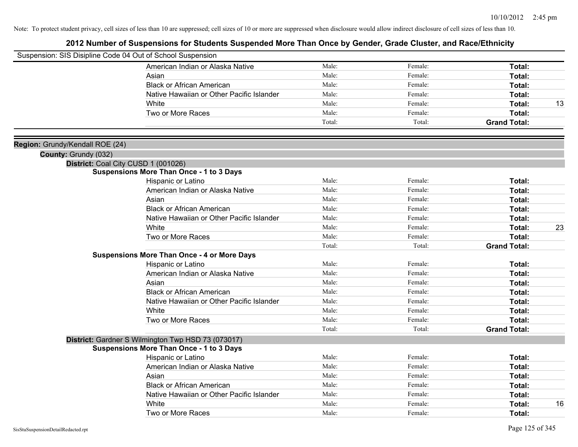| Suspension: SIS Disipline Code 04 Out of School Suspension |                                                    |        |         |                     |    |
|------------------------------------------------------------|----------------------------------------------------|--------|---------|---------------------|----|
|                                                            | American Indian or Alaska Native                   | Male:  | Female: | Total:              |    |
|                                                            | Asian                                              | Male:  | Female: | Total:              |    |
|                                                            | <b>Black or African American</b>                   | Male:  | Female: | Total:              |    |
|                                                            | Native Hawaiian or Other Pacific Islander          | Male:  | Female: | Total:              |    |
|                                                            | White                                              | Male:  | Female: | Total:              | 13 |
|                                                            | Two or More Races                                  | Male:  | Female: | Total:              |    |
|                                                            |                                                    | Total: | Total:  | <b>Grand Total:</b> |    |
|                                                            |                                                    |        |         |                     |    |
| Region: Grundy/Kendall ROE (24)                            |                                                    |        |         |                     |    |
| County: Grundy (032)                                       |                                                    |        |         |                     |    |
|                                                            | District: Coal City CUSD 1 (001026)                |        |         |                     |    |
|                                                            | <b>Suspensions More Than Once - 1 to 3 Days</b>    |        |         |                     |    |
|                                                            | Hispanic or Latino                                 | Male:  | Female: | Total:              |    |
|                                                            | American Indian or Alaska Native                   | Male:  | Female: | Total:              |    |
|                                                            | Asian                                              | Male:  | Female: | Total:              |    |
|                                                            | <b>Black or African American</b>                   | Male:  | Female: | Total:              |    |
|                                                            | Native Hawaiian or Other Pacific Islander          | Male:  | Female: | Total:              |    |
|                                                            | White                                              | Male:  | Female: | Total:              | 23 |
|                                                            | Two or More Races                                  | Male:  | Female: | Total:              |    |
|                                                            |                                                    | Total: | Total:  | <b>Grand Total:</b> |    |
|                                                            | <b>Suspensions More Than Once - 4 or More Days</b> |        |         |                     |    |
|                                                            | Hispanic or Latino                                 | Male:  | Female: | Total:              |    |
|                                                            | American Indian or Alaska Native                   | Male:  | Female: | Total:              |    |
|                                                            | Asian                                              | Male:  | Female: | Total:              |    |
|                                                            | <b>Black or African American</b>                   | Male:  | Female: | Total:              |    |
|                                                            | Native Hawaiian or Other Pacific Islander          | Male:  | Female: | Total:              |    |
|                                                            | White                                              | Male:  | Female: | Total:              |    |
|                                                            | Two or More Races                                  | Male:  | Female: | Total:              |    |
|                                                            |                                                    | Total: | Total:  | <b>Grand Total:</b> |    |
|                                                            | District: Gardner S Wilmington Twp HSD 73 (073017) |        |         |                     |    |
|                                                            | <b>Suspensions More Than Once - 1 to 3 Days</b>    |        |         |                     |    |
|                                                            | Hispanic or Latino                                 | Male:  | Female: | Total:              |    |
|                                                            | American Indian or Alaska Native                   | Male:  | Female: | Total:              |    |
|                                                            | Asian                                              | Male:  | Female: | Total:              |    |
|                                                            | <b>Black or African American</b>                   | Male:  | Female: | Total:              |    |
|                                                            | Native Hawaiian or Other Pacific Islander          | Male:  | Female: | Total:              |    |
|                                                            | White                                              | Male:  | Female: | Total:              | 16 |
|                                                            | Two or More Races                                  | Male:  | Female: | Total:              |    |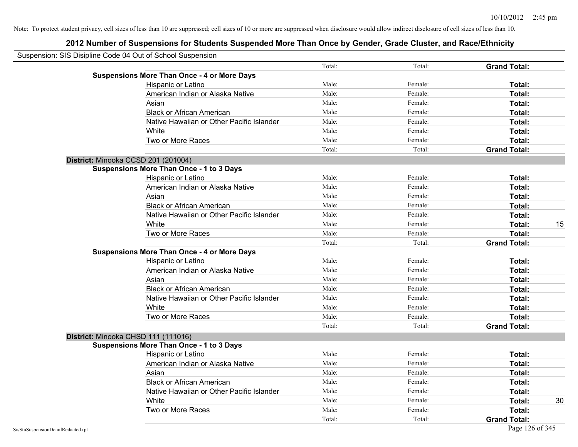| Suspension: SIS Disipline Code 04 Out of School Suspension |        |         |                     |    |
|------------------------------------------------------------|--------|---------|---------------------|----|
|                                                            | Total: | Total:  | <b>Grand Total:</b> |    |
| <b>Suspensions More Than Once - 4 or More Days</b>         |        |         |                     |    |
| Hispanic or Latino                                         | Male:  | Female: | Total:              |    |
| American Indian or Alaska Native                           | Male:  | Female: | Total:              |    |
| Asian                                                      | Male:  | Female: | Total:              |    |
| <b>Black or African American</b>                           | Male:  | Female: | Total:              |    |
| Native Hawaiian or Other Pacific Islander                  | Male:  | Female: | Total:              |    |
| White                                                      | Male:  | Female: | Total:              |    |
| Two or More Races                                          | Male:  | Female: | Total:              |    |
|                                                            | Total: | Total:  | <b>Grand Total:</b> |    |
| District: Minooka CCSD 201 (201004)                        |        |         |                     |    |
| <b>Suspensions More Than Once - 1 to 3 Days</b>            |        |         |                     |    |
| Hispanic or Latino                                         | Male:  | Female: | Total:              |    |
| American Indian or Alaska Native                           | Male:  | Female: | Total:              |    |
| Asian                                                      | Male:  | Female: | Total:              |    |
| <b>Black or African American</b>                           | Male:  | Female: | Total:              |    |
| Native Hawaiian or Other Pacific Islander                  | Male:  | Female: | Total:              |    |
| White                                                      | Male:  | Female: | Total:              | 15 |
| Two or More Races                                          | Male:  | Female: | Total:              |    |
|                                                            | Total: | Total:  | <b>Grand Total:</b> |    |
| <b>Suspensions More Than Once - 4 or More Days</b>         |        |         |                     |    |
| Hispanic or Latino                                         | Male:  | Female: | Total:              |    |
| American Indian or Alaska Native                           | Male:  | Female: | Total:              |    |
| Asian                                                      | Male:  | Female: | Total:              |    |
| <b>Black or African American</b>                           | Male:  | Female: | Total:              |    |
| Native Hawaiian or Other Pacific Islander                  | Male:  | Female: | Total:              |    |
| White                                                      | Male:  | Female: | Total:              |    |
| Two or More Races                                          | Male:  | Female: | Total:              |    |
|                                                            | Total: | Total:  | <b>Grand Total:</b> |    |
| District: Minooka CHSD 111 (111016)                        |        |         |                     |    |
| <b>Suspensions More Than Once - 1 to 3 Days</b>            |        |         |                     |    |
| Hispanic or Latino                                         | Male:  | Female: | Total:              |    |
| American Indian or Alaska Native                           | Male:  | Female: | Total:              |    |
| Asian                                                      | Male:  | Female: | Total:              |    |
| <b>Black or African American</b>                           | Male:  | Female: | Total:              |    |
| Native Hawaiian or Other Pacific Islander                  | Male:  | Female: | Total:              |    |
| White                                                      | Male:  | Female: | Total:              | 30 |
| Two or More Races                                          | Male:  | Female: | Total:              |    |
|                                                            | Total: | Total:  | <b>Grand Total:</b> |    |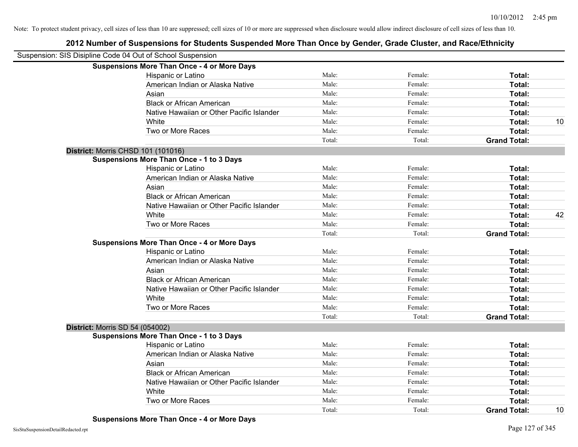# **2012 Number of Suspensions for Students Suspended More Than Once by Gender, Grade Cluster, and Race/Ethnicity**

| Suspension: SIS Disipline Code 04 Out of School Suspension |                                                    |        |         |                     |    |
|------------------------------------------------------------|----------------------------------------------------|--------|---------|---------------------|----|
|                                                            | <b>Suspensions More Than Once - 4 or More Days</b> |        |         |                     |    |
|                                                            | Hispanic or Latino                                 | Male:  | Female: | Total:              |    |
|                                                            | American Indian or Alaska Native                   | Male:  | Female: | Total:              |    |
|                                                            | Asian                                              | Male:  | Female: | Total:              |    |
|                                                            | <b>Black or African American</b>                   | Male:  | Female: | Total:              |    |
|                                                            | Native Hawaiian or Other Pacific Islander          | Male:  | Female: | Total:              |    |
|                                                            | White                                              | Male:  | Female: | Total:              | 10 |
|                                                            | Two or More Races                                  | Male:  | Female: | Total:              |    |
|                                                            |                                                    | Total: | Total:  | <b>Grand Total:</b> |    |
|                                                            | District: Morris CHSD 101 (101016)                 |        |         |                     |    |
|                                                            | <b>Suspensions More Than Once - 1 to 3 Days</b>    |        |         |                     |    |
|                                                            | Hispanic or Latino                                 | Male:  | Female: | Total:              |    |
|                                                            | American Indian or Alaska Native                   | Male:  | Female: | Total:              |    |
|                                                            | Asian                                              | Male:  | Female: | Total:              |    |
|                                                            | <b>Black or African American</b>                   | Male:  | Female: | Total:              |    |
|                                                            | Native Hawaiian or Other Pacific Islander          | Male:  | Female: | Total:              |    |
|                                                            | White                                              | Male:  | Female: | Total:              | 42 |
|                                                            | Two or More Races                                  | Male:  | Female: | Total:              |    |
|                                                            |                                                    | Total: | Total:  | <b>Grand Total:</b> |    |
|                                                            | <b>Suspensions More Than Once - 4 or More Days</b> |        |         |                     |    |
|                                                            | Hispanic or Latino                                 | Male:  | Female: | Total:              |    |
|                                                            | American Indian or Alaska Native                   | Male:  | Female: | Total:              |    |
|                                                            | Asian                                              | Male:  | Female: | Total:              |    |
|                                                            | <b>Black or African American</b>                   | Male:  | Female: | Total:              |    |
|                                                            | Native Hawaiian or Other Pacific Islander          | Male:  | Female: | Total:              |    |
|                                                            | White                                              | Male:  | Female: | Total:              |    |
|                                                            | Two or More Races                                  | Male:  | Female: | Total:              |    |
|                                                            |                                                    | Total: | Total:  | <b>Grand Total:</b> |    |
|                                                            | <b>District: Morris SD 54 (054002)</b>             |        |         |                     |    |
|                                                            | <b>Suspensions More Than Once - 1 to 3 Days</b>    |        |         |                     |    |
|                                                            | Hispanic or Latino                                 | Male:  | Female: | Total:              |    |
|                                                            | American Indian or Alaska Native                   | Male:  | Female: | Total:              |    |
|                                                            | Asian                                              | Male:  | Female: | Total:              |    |
|                                                            | <b>Black or African American</b>                   | Male:  | Female: | Total:              |    |
|                                                            | Native Hawaiian or Other Pacific Islander          | Male:  | Female: | Total:              |    |
|                                                            | White                                              | Male:  | Female: | Total:              |    |
|                                                            | Two or More Races                                  | Male:  | Female: | <b>Total:</b>       |    |
|                                                            |                                                    | Total: | Total:  | <b>Grand Total:</b> | 10 |

**Suspensions More Than Once - 4 or More Days**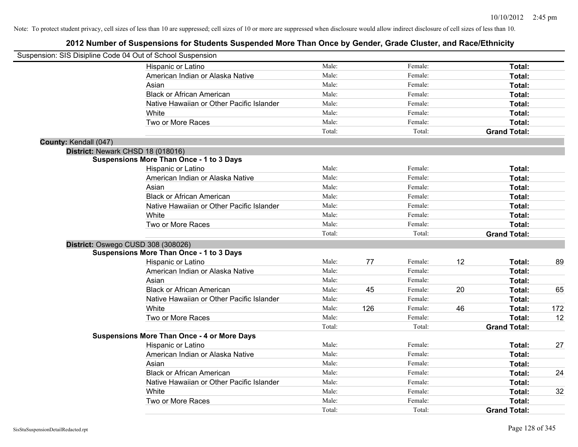| Suspension: SIS Disipline Code 04 Out of School Suspension |                                                    |        |     |         |    |                     |     |
|------------------------------------------------------------|----------------------------------------------------|--------|-----|---------|----|---------------------|-----|
|                                                            | Hispanic or Latino                                 | Male:  |     | Female: |    | Total:              |     |
|                                                            | American Indian or Alaska Native                   | Male:  |     | Female: |    | Total:              |     |
|                                                            | Asian                                              | Male:  |     | Female: |    | Total:              |     |
|                                                            | <b>Black or African American</b>                   | Male:  |     | Female: |    | Total:              |     |
|                                                            | Native Hawaiian or Other Pacific Islander          | Male:  |     | Female: |    | Total:              |     |
|                                                            | White                                              | Male:  |     | Female: |    | Total:              |     |
|                                                            | Two or More Races                                  | Male:  |     | Female: |    | Total:              |     |
|                                                            |                                                    | Total: |     | Total:  |    | <b>Grand Total:</b> |     |
| County: Kendall (047)                                      |                                                    |        |     |         |    |                     |     |
|                                                            | District: Newark CHSD 18 (018016)                  |        |     |         |    |                     |     |
|                                                            | <b>Suspensions More Than Once - 1 to 3 Days</b>    |        |     |         |    |                     |     |
|                                                            | Hispanic or Latino                                 | Male:  |     | Female: |    | Total:              |     |
|                                                            | American Indian or Alaska Native                   | Male:  |     | Female: |    | Total:              |     |
|                                                            | Asian                                              | Male:  |     | Female: |    | Total:              |     |
|                                                            | <b>Black or African American</b>                   | Male:  |     | Female: |    | Total:              |     |
|                                                            | Native Hawaiian or Other Pacific Islander          | Male:  |     | Female: |    | Total:              |     |
|                                                            | White                                              | Male:  |     | Female: |    | Total:              |     |
|                                                            | Two or More Races                                  | Male:  |     | Female: |    | Total:              |     |
|                                                            |                                                    | Total: |     | Total:  |    | <b>Grand Total:</b> |     |
|                                                            | District: Oswego CUSD 308 (308026)                 |        |     |         |    |                     |     |
|                                                            | <b>Suspensions More Than Once - 1 to 3 Days</b>    |        |     |         |    |                     |     |
|                                                            | Hispanic or Latino                                 | Male:  | 77  | Female: | 12 | Total:              | 89  |
|                                                            | American Indian or Alaska Native                   | Male:  |     | Female: |    | Total:              |     |
|                                                            | Asian                                              | Male:  |     | Female: |    | Total:              |     |
|                                                            | <b>Black or African American</b>                   | Male:  | 45  | Female: | 20 | Total:              | 65  |
|                                                            | Native Hawaiian or Other Pacific Islander          | Male:  |     | Female: |    | Total:              |     |
|                                                            | White                                              | Male:  | 126 | Female: | 46 | Total:              | 172 |
|                                                            | Two or More Races                                  | Male:  |     | Female: |    | Total:              | 12  |
|                                                            |                                                    | Total: |     | Total:  |    | <b>Grand Total:</b> |     |
|                                                            | <b>Suspensions More Than Once - 4 or More Days</b> |        |     |         |    |                     |     |
|                                                            | Hispanic or Latino                                 | Male:  |     | Female: |    | Total:              | 27  |
|                                                            | American Indian or Alaska Native                   | Male:  |     | Female: |    | Total:              |     |
|                                                            | Asian                                              | Male:  |     | Female: |    | Total:              |     |
|                                                            | <b>Black or African American</b>                   | Male:  |     | Female: |    | Total:              | 24  |
|                                                            | Native Hawaiian or Other Pacific Islander          | Male:  |     | Female: |    | Total:              |     |
|                                                            | White                                              | Male:  |     | Female: |    | Total:              | 32  |
|                                                            | Two or More Races                                  | Male:  |     | Female: |    | Total:              |     |
|                                                            |                                                    | Total: |     | Total:  |    | <b>Grand Total:</b> |     |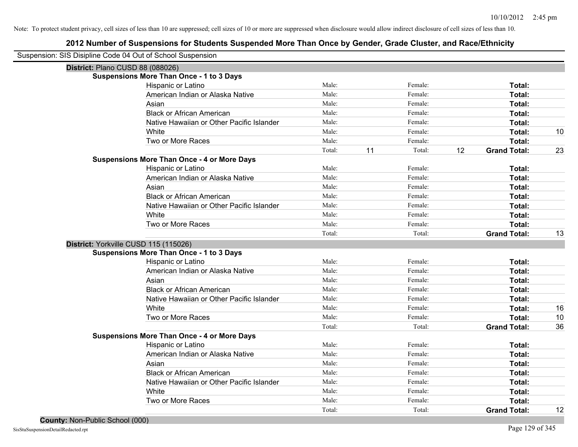| Suspension: SIS Disipline Code 04 Out of School Suspension |                                                    |        |    |         |    |                     |    |
|------------------------------------------------------------|----------------------------------------------------|--------|----|---------|----|---------------------|----|
| District: Plano CUSD 88 (088026)                           |                                                    |        |    |         |    |                     |    |
|                                                            | <b>Suspensions More Than Once - 1 to 3 Days</b>    |        |    |         |    |                     |    |
|                                                            | Hispanic or Latino                                 | Male:  |    | Female: |    | Total:              |    |
|                                                            | American Indian or Alaska Native                   | Male:  |    | Female: |    | Total:              |    |
|                                                            | Asian                                              | Male:  |    | Female: |    | Total:              |    |
|                                                            | <b>Black or African American</b>                   | Male:  |    | Female: |    | Total:              |    |
|                                                            | Native Hawaiian or Other Pacific Islander          | Male:  |    | Female: |    | Total:              |    |
|                                                            | White                                              | Male:  |    | Female: |    | Total:              | 10 |
|                                                            | Two or More Races                                  | Male:  |    | Female: |    | Total:              |    |
|                                                            |                                                    | Total: | 11 | Total:  | 12 | <b>Grand Total:</b> | 23 |
|                                                            | <b>Suspensions More Than Once - 4 or More Days</b> |        |    |         |    |                     |    |
|                                                            | Hispanic or Latino                                 | Male:  |    | Female: |    | Total:              |    |
|                                                            | American Indian or Alaska Native                   | Male:  |    | Female: |    | Total:              |    |
|                                                            | Asian                                              | Male:  |    | Female: |    | Total:              |    |
|                                                            | <b>Black or African American</b>                   | Male:  |    | Female: |    | Total:              |    |
|                                                            | Native Hawaiian or Other Pacific Islander          | Male:  |    | Female: |    | Total:              |    |
|                                                            | White                                              | Male:  |    | Female: |    | Total:              |    |
|                                                            | Two or More Races                                  | Male:  |    | Female: |    | Total:              |    |
|                                                            |                                                    | Total: |    | Total:  |    | <b>Grand Total:</b> | 13 |
| District: Yorkville CUSD 115 (115026)                      |                                                    |        |    |         |    |                     |    |
|                                                            | <b>Suspensions More Than Once - 1 to 3 Days</b>    |        |    |         |    |                     |    |
|                                                            | Hispanic or Latino                                 | Male:  |    | Female: |    | Total:              |    |
|                                                            | American Indian or Alaska Native                   | Male:  |    | Female: |    | Total:              |    |
|                                                            | Asian                                              | Male:  |    | Female: |    | Total:              |    |
|                                                            | <b>Black or African American</b>                   | Male:  |    | Female: |    | Total:              |    |
|                                                            | Native Hawaiian or Other Pacific Islander          | Male:  |    | Female: |    | Total:              |    |
|                                                            | White                                              | Male:  |    | Female: |    | Total:              | 16 |
|                                                            | Two or More Races                                  | Male:  |    | Female: |    | Total:              | 10 |
|                                                            |                                                    | Total: |    | Total:  |    | <b>Grand Total:</b> | 36 |
|                                                            | <b>Suspensions More Than Once - 4 or More Days</b> |        |    |         |    |                     |    |
|                                                            | Hispanic or Latino                                 | Male:  |    | Female: |    | Total:              |    |
|                                                            | American Indian or Alaska Native                   | Male:  |    | Female: |    | Total:              |    |
|                                                            | Asian                                              | Male:  |    | Female: |    | Total:              |    |
|                                                            | <b>Black or African American</b>                   | Male:  |    | Female: |    | Total:              |    |
|                                                            | Native Hawaiian or Other Pacific Islander          | Male:  |    | Female: |    | Total:              |    |
|                                                            | White                                              | Male:  |    | Female: |    | Total:              |    |
|                                                            | Two or More Races                                  | Male:  |    | Female: |    | Total:              |    |
|                                                            |                                                    | Total: |    | Total:  |    | <b>Grand Total:</b> | 12 |
|                                                            |                                                    |        |    |         |    |                     |    |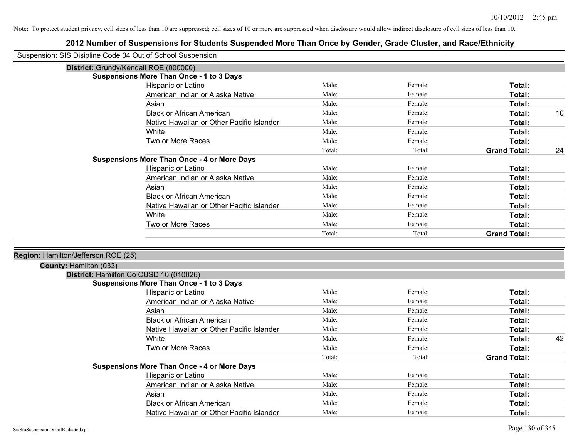| Suspension: SIS Disipline Code 04 Out of School Suspension |                                                    |        |         |                     |    |
|------------------------------------------------------------|----------------------------------------------------|--------|---------|---------------------|----|
|                                                            | District: Grundy/Kendall ROE (000000)              |        |         |                     |    |
|                                                            | <b>Suspensions More Than Once - 1 to 3 Days</b>    |        |         |                     |    |
|                                                            | Hispanic or Latino                                 | Male:  | Female: | Total:              |    |
|                                                            | American Indian or Alaska Native                   | Male:  | Female: | Total:              |    |
|                                                            | Asian                                              | Male:  | Female: | Total:              |    |
|                                                            | <b>Black or African American</b>                   | Male:  | Female: | Total:              | 10 |
|                                                            | Native Hawaiian or Other Pacific Islander          | Male:  | Female: | Total:              |    |
|                                                            | White                                              | Male:  | Female: | Total:              |    |
|                                                            | Two or More Races                                  | Male:  | Female: | Total:              |    |
|                                                            |                                                    | Total: | Total:  | <b>Grand Total:</b> | 24 |
|                                                            | <b>Suspensions More Than Once - 4 or More Days</b> |        |         |                     |    |
|                                                            | Hispanic or Latino                                 | Male:  | Female: | Total:              |    |
|                                                            | American Indian or Alaska Native                   | Male:  | Female: | Total:              |    |
|                                                            | Asian                                              | Male:  | Female: | Total:              |    |
|                                                            | <b>Black or African American</b>                   | Male:  | Female: | Total:              |    |
|                                                            | Native Hawaiian or Other Pacific Islander          | Male:  | Female: | Total:              |    |
|                                                            | White                                              | Male:  | Female: | Total:              |    |
|                                                            | Two or More Races                                  | Male:  | Female: | Total:              |    |
|                                                            |                                                    | Total: | Total:  | <b>Grand Total:</b> |    |
|                                                            |                                                    |        |         |                     |    |
| Region: Hamilton/Jefferson ROE (25)                        |                                                    |        |         |                     |    |
| County: Hamilton (033)                                     |                                                    |        |         |                     |    |
|                                                            | District: Hamilton Co CUSD 10 (010026)             |        |         |                     |    |
|                                                            | <b>Suspensions More Than Once - 1 to 3 Days</b>    |        |         |                     |    |
|                                                            | Hispanic or Latino                                 | Male:  | Female: | Total:              |    |
|                                                            | American Indian or Alaska Native                   | Male:  | Female: | Total:              |    |
|                                                            | Asian                                              | Male:  | Female: | Total:              |    |
|                                                            | <b>Black or African American</b>                   | Male:  | Female: | Total:              |    |
|                                                            | Native Hawaiian or Other Pacific Islander          | Male:  | Female: | Total:              |    |
|                                                            | White                                              | Male:  | Female: | Total:              | 42 |
|                                                            | Two or More Races                                  | Male:  | Female: | Total:              |    |
|                                                            |                                                    | Total: | Total:  | <b>Grand Total:</b> |    |
|                                                            | <b>Suspensions More Than Once - 4 or More Days</b> |        |         |                     |    |
|                                                            | Hispanic or Latino                                 | Male:  | Female: | Total:              |    |
|                                                            | American Indian or Alaska Native                   | Male:  | Female: | Total:              |    |
|                                                            | Asian                                              | Male:  | Female: | Total:              |    |
|                                                            | <b>Black or African American</b>                   | Male:  | Female: | Total:              |    |
|                                                            | Native Hawaiian or Other Pacific Islander          | Male:  | Female: | Total:              |    |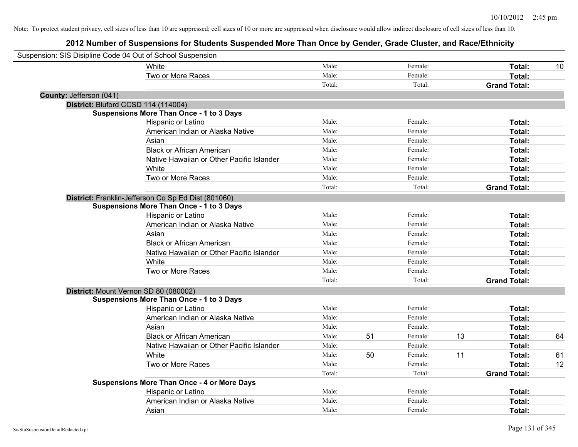|                         | Suspension: SIS Disipline Code 04 Out of School Suspension |        |    |         |    |                     |    |
|-------------------------|------------------------------------------------------------|--------|----|---------|----|---------------------|----|
|                         | White                                                      | Male:  |    | Female: |    | Total:              | 10 |
|                         | Two or More Races                                          | Male:  |    | Female: |    | Total:              |    |
|                         |                                                            | Total: |    | Total:  |    | <b>Grand Total:</b> |    |
| County: Jefferson (041) |                                                            |        |    |         |    |                     |    |
|                         | District: Bluford CCSD 114 (114004)                        |        |    |         |    |                     |    |
|                         | <b>Suspensions More Than Once - 1 to 3 Days</b>            |        |    |         |    |                     |    |
|                         | Hispanic or Latino                                         | Male:  |    | Female: |    | Total:              |    |
|                         | American Indian or Alaska Native                           | Male:  |    | Female: |    | Total:              |    |
|                         | Asian                                                      | Male:  |    | Female: |    | Total:              |    |
|                         | <b>Black or African American</b>                           | Male:  |    | Female: |    | Total:              |    |
|                         | Native Hawaiian or Other Pacific Islander                  | Male:  |    | Female: |    | Total:              |    |
|                         | White                                                      | Male:  |    | Female: |    | Total:              |    |
|                         | Two or More Races                                          | Male:  |    | Female: |    | Total:              |    |
|                         |                                                            | Total: |    | Total:  |    | <b>Grand Total:</b> |    |
|                         | District: Franklin-Jefferson Co Sp Ed Dist (801060)        |        |    |         |    |                     |    |
|                         | <b>Suspensions More Than Once - 1 to 3 Days</b>            |        |    |         |    |                     |    |
|                         | Hispanic or Latino                                         | Male:  |    | Female: |    | Total:              |    |
|                         | American Indian or Alaska Native                           | Male:  |    | Female: |    | Total:              |    |
|                         | Asian                                                      | Male:  |    | Female: |    | Total:              |    |
|                         | <b>Black or African American</b>                           | Male:  |    | Female: |    | Total:              |    |
|                         | Native Hawaiian or Other Pacific Islander                  | Male:  |    | Female: |    | Total:              |    |
|                         | White                                                      | Male:  |    | Female: |    | Total:              |    |
|                         | Two or More Races                                          | Male:  |    | Female: |    | Total:              |    |
|                         |                                                            | Total: |    | Total:  |    | <b>Grand Total:</b> |    |
|                         | District: Mount Vernon SD 80 (080002)                      |        |    |         |    |                     |    |
|                         | <b>Suspensions More Than Once - 1 to 3 Days</b>            |        |    |         |    |                     |    |
|                         | Hispanic or Latino                                         | Male:  |    | Female: |    | Total:              |    |
|                         | American Indian or Alaska Native                           | Male:  |    | Female: |    | Total:              |    |
|                         | Asian                                                      | Male:  |    | Female: |    | Total:              |    |
|                         | <b>Black or African American</b>                           | Male:  | 51 | Female: | 13 | Total:              | 64 |
|                         | Native Hawaiian or Other Pacific Islander                  | Male:  |    | Female: |    | Total:              |    |
|                         | White                                                      | Male:  | 50 | Female: | 11 | Total:              | 61 |
|                         | Two or More Races                                          | Male:  |    | Female: |    | Total:              | 12 |
|                         |                                                            | Total: |    | Total:  |    | <b>Grand Total:</b> |    |
|                         | <b>Suspensions More Than Once - 4 or More Days</b>         |        |    |         |    |                     |    |
|                         | Hispanic or Latino                                         | Male:  |    | Female: |    | Total:              |    |
|                         | American Indian or Alaska Native                           | Male:  |    | Female: |    | Total:              |    |
|                         | Asian                                                      | Male:  |    | Female: |    | Total:              |    |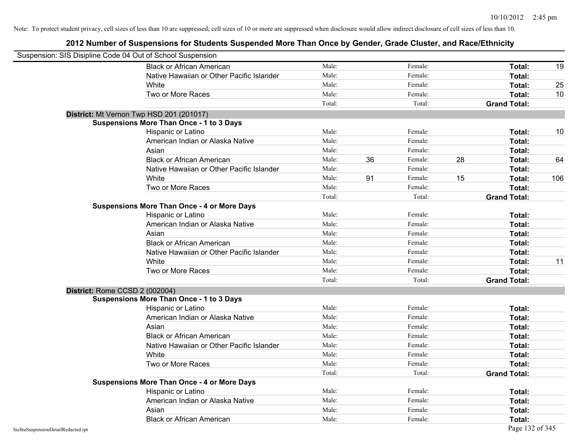| Suspension: SIS Disipline Code 04 Out of School Suspension |                                                    |        |    |         |                     |     |
|------------------------------------------------------------|----------------------------------------------------|--------|----|---------|---------------------|-----|
|                                                            | <b>Black or African American</b>                   | Male:  |    | Female: | Total:              | 19  |
|                                                            | Native Hawaiian or Other Pacific Islander          | Male:  |    | Female: | Total:              |     |
|                                                            | White                                              | Male:  |    | Female: | Total:              | 25  |
|                                                            | Two or More Races                                  | Male:  |    | Female: | Total:              | 10  |
|                                                            |                                                    | Total: |    | Total:  | <b>Grand Total:</b> |     |
|                                                            | District: Mt Vernon Twp HSD 201 (201017)           |        |    |         |                     |     |
|                                                            | <b>Suspensions More Than Once - 1 to 3 Days</b>    |        |    |         |                     |     |
|                                                            | Hispanic or Latino                                 | Male:  |    | Female: | Total:              | 10  |
|                                                            | American Indian or Alaska Native                   | Male:  |    | Female: | Total:              |     |
|                                                            | Asian                                              | Male:  |    | Female: | Total:              |     |
|                                                            | <b>Black or African American</b>                   | Male:  | 36 | Female: | 28<br>Total:        | 64  |
|                                                            | Native Hawaiian or Other Pacific Islander          | Male:  |    | Female: | Total:              |     |
|                                                            | White                                              | Male:  | 91 | Female: | 15<br>Total:        | 106 |
|                                                            | Two or More Races                                  | Male:  |    | Female: | Total:              |     |
|                                                            |                                                    | Total: |    | Total:  | <b>Grand Total:</b> |     |
|                                                            | <b>Suspensions More Than Once - 4 or More Days</b> |        |    |         |                     |     |
|                                                            | Hispanic or Latino                                 | Male:  |    | Female: | Total:              |     |
|                                                            | American Indian or Alaska Native                   | Male:  |    | Female: | Total:              |     |
|                                                            | Asian                                              | Male:  |    | Female: | Total:              |     |
|                                                            | <b>Black or African American</b>                   | Male:  |    | Female: | Total:              |     |
|                                                            | Native Hawaiian or Other Pacific Islander          | Male:  |    | Female: | Total:              |     |
|                                                            | White                                              | Male:  |    | Female: | Total:              | 11  |
|                                                            | Two or More Races                                  | Male:  |    | Female: | Total:              |     |
|                                                            |                                                    | Total: |    | Total:  | <b>Grand Total:</b> |     |
| District: Rome CCSD 2 (002004)                             |                                                    |        |    |         |                     |     |
|                                                            | <b>Suspensions More Than Once - 1 to 3 Days</b>    |        |    |         |                     |     |
|                                                            | Hispanic or Latino                                 | Male:  |    | Female: | Total:              |     |
|                                                            | American Indian or Alaska Native                   | Male:  |    | Female: | Total:              |     |
|                                                            | Asian                                              | Male:  |    | Female: | Total:              |     |
|                                                            | <b>Black or African American</b>                   | Male:  |    | Female: | Total:              |     |
|                                                            | Native Hawaiian or Other Pacific Islander          | Male:  |    | Female: | Total:              |     |
|                                                            | White                                              | Male:  |    | Female: | Total:              |     |
|                                                            | Two or More Races                                  | Male:  |    | Female: | Total:              |     |
|                                                            |                                                    | Total: |    | Total:  | <b>Grand Total:</b> |     |
|                                                            | <b>Suspensions More Than Once - 4 or More Days</b> |        |    |         |                     |     |
|                                                            | Hispanic or Latino                                 | Male:  |    | Female: | Total:              |     |
|                                                            | American Indian or Alaska Native                   | Male:  |    | Female: | Total:              |     |
|                                                            | Asian                                              | Male:  |    | Female: | Total:              |     |
|                                                            | <b>Black or African American</b>                   | Male:  |    | Female: | Total:              |     |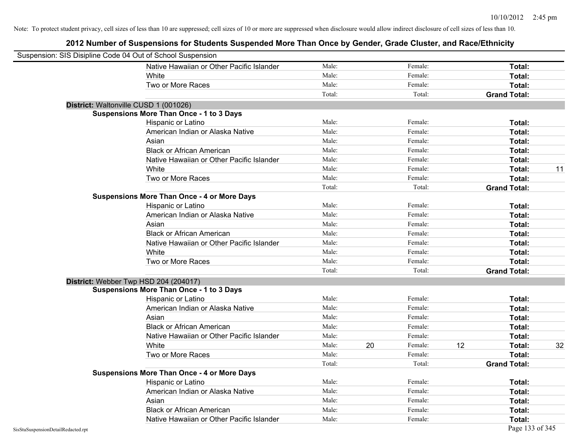| Suspension: SIS Disipline Code 04 Out of School Suspension |                                                    |        |    |         |    |                     |    |
|------------------------------------------------------------|----------------------------------------------------|--------|----|---------|----|---------------------|----|
|                                                            | Native Hawaiian or Other Pacific Islander          | Male:  |    | Female: |    | Total:              |    |
|                                                            | White                                              | Male:  |    | Female: |    | Total:              |    |
|                                                            | Two or More Races                                  | Male:  |    | Female: |    | Total:              |    |
|                                                            |                                                    | Total: |    | Total:  |    | <b>Grand Total:</b> |    |
| District: Waltonville CUSD 1 (001026)                      |                                                    |        |    |         |    |                     |    |
|                                                            | <b>Suspensions More Than Once - 1 to 3 Days</b>    |        |    |         |    |                     |    |
|                                                            | Hispanic or Latino                                 | Male:  |    | Female: |    | Total:              |    |
|                                                            | American Indian or Alaska Native                   | Male:  |    | Female: |    | Total:              |    |
|                                                            | Asian                                              | Male:  |    | Female: |    | Total:              |    |
|                                                            | <b>Black or African American</b>                   | Male:  |    | Female: |    | Total:              |    |
|                                                            | Native Hawaiian or Other Pacific Islander          | Male:  |    | Female: |    | Total:              |    |
|                                                            | White                                              | Male:  |    | Female: |    | Total:              | 11 |
|                                                            | Two or More Races                                  | Male:  |    | Female: |    | Total:              |    |
|                                                            |                                                    | Total: |    | Total:  |    | <b>Grand Total:</b> |    |
|                                                            | <b>Suspensions More Than Once - 4 or More Days</b> |        |    |         |    |                     |    |
|                                                            | Hispanic or Latino                                 | Male:  |    | Female: |    | Total:              |    |
|                                                            | American Indian or Alaska Native                   | Male:  |    | Female: |    | Total:              |    |
|                                                            | Asian                                              | Male:  |    | Female: |    | Total:              |    |
|                                                            | <b>Black or African American</b>                   | Male:  |    | Female: |    | Total:              |    |
|                                                            | Native Hawaiian or Other Pacific Islander          | Male:  |    | Female: |    | Total:              |    |
|                                                            | White                                              | Male:  |    | Female: |    | Total:              |    |
|                                                            | Two or More Races                                  | Male:  |    | Female: |    | Total:              |    |
|                                                            |                                                    | Total: |    | Total:  |    | <b>Grand Total:</b> |    |
| District: Webber Twp HSD 204 (204017)                      |                                                    |        |    |         |    |                     |    |
|                                                            | <b>Suspensions More Than Once - 1 to 3 Days</b>    |        |    |         |    |                     |    |
|                                                            | Hispanic or Latino                                 | Male:  |    | Female: |    | Total:              |    |
|                                                            | American Indian or Alaska Native                   | Male:  |    | Female: |    | Total:              |    |
|                                                            | Asian                                              | Male:  |    | Female: |    | Total:              |    |
|                                                            | <b>Black or African American</b>                   | Male:  |    | Female: |    | Total:              |    |
|                                                            | Native Hawaiian or Other Pacific Islander          | Male:  |    | Female: |    | Total:              |    |
|                                                            | White                                              | Male:  | 20 | Female: | 12 | Total:              | 32 |
|                                                            | Two or More Races                                  | Male:  |    | Female: |    | Total:              |    |
|                                                            |                                                    | Total: |    | Total:  |    | <b>Grand Total:</b> |    |
|                                                            | <b>Suspensions More Than Once - 4 or More Days</b> |        |    |         |    |                     |    |
|                                                            | Hispanic or Latino                                 | Male:  |    | Female: |    | Total:              |    |
|                                                            | American Indian or Alaska Native                   | Male:  |    | Female: |    | Total:              |    |
|                                                            | Asian                                              | Male:  |    | Female: |    | Total:              |    |
|                                                            | <b>Black or African American</b>                   | Male:  |    | Female: |    | Total:              |    |
|                                                            | Native Hawaiian or Other Pacific Islander          | Male:  |    | Female: |    | Total:              |    |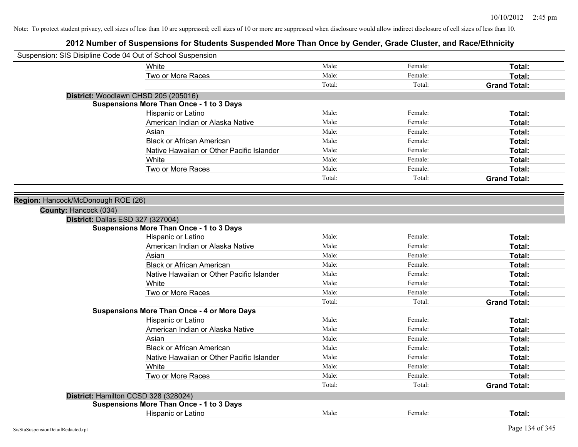| Suspension: SIS Disipline Code 04 Out of School Suspension |                                                    |        |         |                     |
|------------------------------------------------------------|----------------------------------------------------|--------|---------|---------------------|
|                                                            | White                                              | Male:  | Female: | Total:              |
|                                                            | Two or More Races                                  | Male:  | Female: | Total:              |
|                                                            |                                                    | Total: | Total:  | <b>Grand Total:</b> |
|                                                            | District: Woodlawn CHSD 205 (205016)               |        |         |                     |
|                                                            | <b>Suspensions More Than Once - 1 to 3 Days</b>    |        |         |                     |
|                                                            | Hispanic or Latino                                 | Male:  | Female: | Total:              |
|                                                            | American Indian or Alaska Native                   | Male:  | Female: | Total:              |
|                                                            | Asian                                              | Male:  | Female: | Total:              |
|                                                            | <b>Black or African American</b>                   | Male:  | Female: | Total:              |
|                                                            | Native Hawaiian or Other Pacific Islander          | Male:  | Female: | Total:              |
|                                                            | White                                              | Male:  | Female: | Total:              |
|                                                            | Two or More Races                                  | Male:  | Female: | Total:              |
|                                                            |                                                    | Total: | Total:  | <b>Grand Total:</b> |
|                                                            |                                                    |        |         |                     |
| Region: Hancock/McDonough ROE (26)                         |                                                    |        |         |                     |
| County: Hancock (034)                                      |                                                    |        |         |                     |
| District: Dallas ESD 327 (327004)                          |                                                    |        |         |                     |
|                                                            | <b>Suspensions More Than Once - 1 to 3 Days</b>    |        |         |                     |
|                                                            | Hispanic or Latino                                 | Male:  | Female: | Total:              |
|                                                            | American Indian or Alaska Native                   | Male:  | Female: | Total:              |
|                                                            | Asian                                              | Male:  | Female: | Total:              |
|                                                            | <b>Black or African American</b>                   | Male:  | Female: | Total:              |
|                                                            | Native Hawaiian or Other Pacific Islander          | Male:  | Female: | Total:              |
|                                                            | White                                              | Male:  | Female: | Total:              |
|                                                            | Two or More Races                                  | Male:  | Female: | Total:              |
|                                                            |                                                    | Total: | Total:  | <b>Grand Total:</b> |
|                                                            | <b>Suspensions More Than Once - 4 or More Days</b> |        |         |                     |
|                                                            | Hispanic or Latino                                 | Male:  | Female: | Total:              |
|                                                            | American Indian or Alaska Native                   | Male:  | Female: | Total:              |
|                                                            | Asian                                              | Male:  | Female: | Total:              |
|                                                            | <b>Black or African American</b>                   | Male:  | Female: | Total:              |
|                                                            | Native Hawaiian or Other Pacific Islander          | Male:  | Female: | Total:              |
|                                                            | White                                              | Male:  | Female: | Total:              |
|                                                            | Two or More Races                                  | Male:  | Female: | Total:              |
|                                                            |                                                    | Total: | Total:  | <b>Grand Total:</b> |
| District: Hamilton CCSD 328 (328024)                       |                                                    |        |         |                     |
|                                                            | <b>Suspensions More Than Once - 1 to 3 Days</b>    |        |         |                     |
|                                                            | Hispanic or Latino                                 | Male:  | Female: | Total:              |
|                                                            |                                                    |        |         |                     |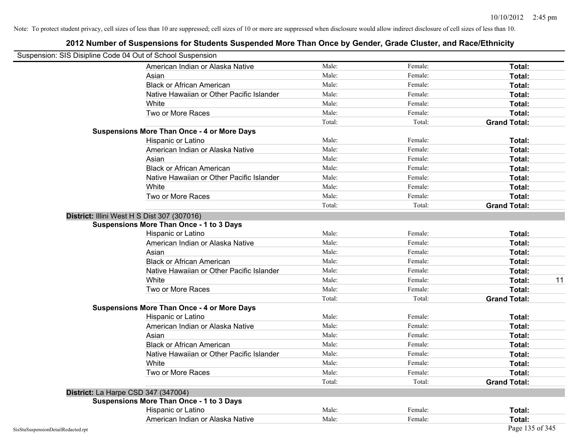| Suspension: SIS Disipline Code 04 Out of School Suspension |                                                    |        |         |                     |
|------------------------------------------------------------|----------------------------------------------------|--------|---------|---------------------|
|                                                            | American Indian or Alaska Native                   | Male:  | Female: | Total:              |
|                                                            | Asian                                              | Male:  | Female: | Total:              |
|                                                            | <b>Black or African American</b>                   | Male:  | Female: | Total:              |
|                                                            | Native Hawaiian or Other Pacific Islander          | Male:  | Female: | Total:              |
|                                                            | White                                              | Male:  | Female: | Total:              |
|                                                            | Two or More Races                                  | Male:  | Female: | Total:              |
|                                                            |                                                    | Total: | Total:  | <b>Grand Total:</b> |
|                                                            | <b>Suspensions More Than Once - 4 or More Days</b> |        |         |                     |
|                                                            | Hispanic or Latino                                 | Male:  | Female: | Total:              |
|                                                            | American Indian or Alaska Native                   | Male:  | Female: | Total:              |
|                                                            | Asian                                              | Male:  | Female: | Total:              |
|                                                            | <b>Black or African American</b>                   | Male:  | Female: | Total:              |
|                                                            | Native Hawaiian or Other Pacific Islander          | Male:  | Female: | Total:              |
|                                                            | White                                              | Male:  | Female: | Total:              |
|                                                            | Two or More Races                                  | Male:  | Female: | Total:              |
|                                                            |                                                    | Total: | Total:  | <b>Grand Total:</b> |
|                                                            | District: Illini West H S Dist 307 (307016)        |        |         |                     |
|                                                            | <b>Suspensions More Than Once - 1 to 3 Days</b>    |        |         |                     |
|                                                            | Hispanic or Latino                                 | Male:  | Female: | Total:              |
|                                                            | American Indian or Alaska Native                   | Male:  | Female: | Total:              |
|                                                            | Asian                                              | Male:  | Female: | Total:              |
|                                                            | <b>Black or African American</b>                   | Male:  | Female: | Total:              |
|                                                            | Native Hawaiian or Other Pacific Islander          | Male:  | Female: | Total:              |
|                                                            | White                                              | Male:  | Female: | 11<br>Total:        |
|                                                            | Two or More Races                                  | Male:  | Female: | Total:              |
|                                                            |                                                    | Total: | Total:  | <b>Grand Total:</b> |
|                                                            | <b>Suspensions More Than Once - 4 or More Days</b> |        |         |                     |
|                                                            | Hispanic or Latino                                 | Male:  | Female: | Total:              |
|                                                            | American Indian or Alaska Native                   | Male:  | Female: | Total:              |
|                                                            | Asian                                              | Male:  | Female: | Total:              |
|                                                            | <b>Black or African American</b>                   | Male:  | Female: | Total:              |
|                                                            | Native Hawaiian or Other Pacific Islander          | Male:  | Female: | Total:              |
|                                                            | White                                              | Male:  | Female: | Total:              |
|                                                            | Two or More Races                                  | Male:  | Female: | Total:              |
|                                                            |                                                    | Total: | Total:  | <b>Grand Total:</b> |
|                                                            | District: La Harpe CSD 347 (347004)                |        |         |                     |
|                                                            | <b>Suspensions More Than Once - 1 to 3 Days</b>    |        |         |                     |
|                                                            | Hispanic or Latino                                 | Male:  | Female: | Total:              |
|                                                            | American Indian or Alaska Native                   | Male:  | Female: | Total:              |
| SisStuSuspensionDetailRedacted.rpt                         |                                                    |        |         | Page 135 of 345     |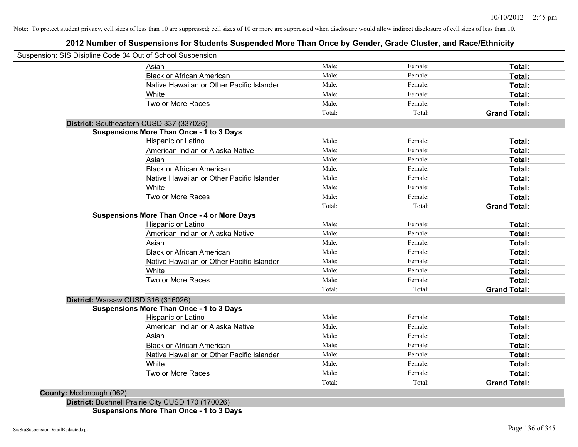## **2012 Number of Suspensions for Students Suspended More Than Once by Gender, Grade Cluster, and Race/Ethnicity**

|                         | Suspension: SIS Disipline Code 04 Out of School Suspension |        |         |                     |
|-------------------------|------------------------------------------------------------|--------|---------|---------------------|
|                         | Asian                                                      | Male:  | Female: | Total:              |
|                         | <b>Black or African American</b>                           | Male:  | Female: | Total:              |
|                         | Native Hawaiian or Other Pacific Islander                  | Male:  | Female: | Total:              |
|                         | White                                                      | Male:  | Female: | Total:              |
|                         | Two or More Races                                          | Male:  | Female: | Total:              |
|                         |                                                            | Total: | Total:  | <b>Grand Total:</b> |
|                         | District: Southeastern CUSD 337 (337026)                   |        |         |                     |
|                         | <b>Suspensions More Than Once - 1 to 3 Days</b>            |        |         |                     |
|                         | Hispanic or Latino                                         | Male:  | Female: | Total:              |
|                         | American Indian or Alaska Native                           | Male:  | Female: | Total:              |
|                         | Asian                                                      | Male:  | Female: | Total:              |
|                         | <b>Black or African American</b>                           | Male:  | Female: | Total:              |
|                         | Native Hawaiian or Other Pacific Islander                  | Male:  | Female: | Total:              |
|                         | White                                                      | Male:  | Female: | Total:              |
|                         | Two or More Races                                          | Male:  | Female: | Total:              |
|                         |                                                            | Total: | Total:  | <b>Grand Total:</b> |
|                         | <b>Suspensions More Than Once - 4 or More Days</b>         |        |         |                     |
|                         | Hispanic or Latino                                         | Male:  | Female: | Total:              |
|                         | American Indian or Alaska Native                           | Male:  | Female: | Total:              |
|                         | Asian                                                      | Male:  | Female: | Total:              |
|                         | <b>Black or African American</b>                           | Male:  | Female: | Total:              |
|                         | Native Hawaiian or Other Pacific Islander                  | Male:  | Female: | Total:              |
|                         | White                                                      | Male:  | Female: | Total:              |
|                         | Two or More Races                                          | Male:  | Female: | Total:              |
|                         |                                                            | Total: | Total:  | <b>Grand Total:</b> |
|                         | District: Warsaw CUSD 316 (316026)                         |        |         |                     |
|                         | <b>Suspensions More Than Once - 1 to 3 Days</b>            |        |         |                     |
|                         | Hispanic or Latino                                         | Male:  | Female: | Total:              |
|                         | American Indian or Alaska Native                           | Male:  | Female: | Total:              |
|                         | Asian                                                      | Male:  | Female: | Total:              |
|                         | <b>Black or African American</b>                           | Male:  | Female: | Total:              |
|                         | Native Hawaiian or Other Pacific Islander                  | Male:  | Female: | Total:              |
|                         | White                                                      | Male:  | Female: | Total:              |
|                         | Two or More Races                                          | Male:  | Female: | Total:              |
|                         |                                                            | Total: | Total:  | <b>Grand Total:</b> |
| County: Mcdonough (062) |                                                            |        |         |                     |

**Suspensions More Than Once - 1 to 3 Days**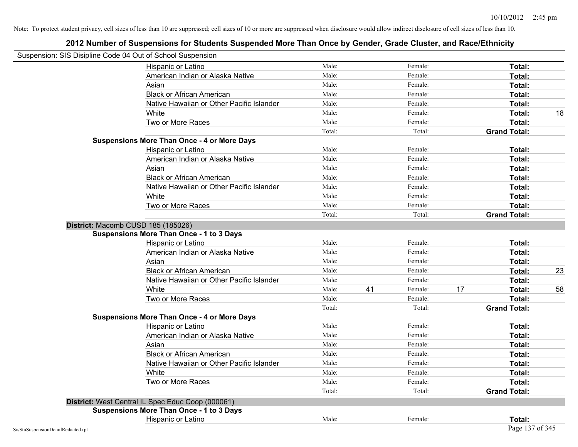| Suspension: SIS Disipline Code 04 Out of School Suspension |                                                    |        |    |         |    |                     |    |
|------------------------------------------------------------|----------------------------------------------------|--------|----|---------|----|---------------------|----|
|                                                            | Hispanic or Latino                                 | Male:  |    | Female: |    | Total:              |    |
|                                                            | American Indian or Alaska Native                   | Male:  |    | Female: |    | Total:              |    |
|                                                            | Asian                                              | Male:  |    | Female: |    | Total:              |    |
|                                                            | <b>Black or African American</b>                   | Male:  |    | Female: |    | Total:              |    |
|                                                            | Native Hawaiian or Other Pacific Islander          | Male:  |    | Female: |    | <b>Total:</b>       |    |
|                                                            | White                                              | Male:  |    | Female: |    | Total:              | 18 |
|                                                            | Two or More Races                                  | Male:  |    | Female: |    | Total:              |    |
|                                                            |                                                    | Total: |    | Total:  |    | <b>Grand Total:</b> |    |
|                                                            | <b>Suspensions More Than Once - 4 or More Days</b> |        |    |         |    |                     |    |
|                                                            | Hispanic or Latino                                 | Male:  |    | Female: |    | Total:              |    |
|                                                            | American Indian or Alaska Native                   | Male:  |    | Female: |    | Total:              |    |
|                                                            | Asian                                              | Male:  |    | Female: |    | Total:              |    |
|                                                            | <b>Black or African American</b>                   | Male:  |    | Female: |    | Total:              |    |
|                                                            | Native Hawaiian or Other Pacific Islander          | Male:  |    | Female: |    | Total:              |    |
|                                                            | White                                              | Male:  |    | Female: |    | <b>Total:</b>       |    |
|                                                            | Two or More Races                                  | Male:  |    | Female: |    | Total:              |    |
|                                                            |                                                    | Total: |    | Total:  |    | <b>Grand Total:</b> |    |
|                                                            | District: Macomb CUSD 185 (185026)                 |        |    |         |    |                     |    |
|                                                            | <b>Suspensions More Than Once - 1 to 3 Days</b>    |        |    |         |    |                     |    |
|                                                            | Hispanic or Latino                                 | Male:  |    | Female: |    | Total:              |    |
|                                                            | American Indian or Alaska Native                   | Male:  |    | Female: |    | Total:              |    |
|                                                            | Asian                                              | Male:  |    | Female: |    | Total:              |    |
|                                                            | <b>Black or African American</b>                   | Male:  |    | Female: |    | Total:              | 23 |
|                                                            | Native Hawaiian or Other Pacific Islander          | Male:  |    | Female: |    | Total:              |    |
|                                                            | White                                              | Male:  | 41 | Female: | 17 | Total:              | 58 |
|                                                            | Two or More Races                                  | Male:  |    | Female: |    | Total:              |    |
|                                                            |                                                    | Total: |    | Total:  |    | <b>Grand Total:</b> |    |
|                                                            | <b>Suspensions More Than Once - 4 or More Days</b> |        |    |         |    |                     |    |
|                                                            | Hispanic or Latino                                 | Male:  |    | Female: |    | Total:              |    |
|                                                            | American Indian or Alaska Native                   | Male:  |    | Female: |    | Total:              |    |
|                                                            | Asian                                              | Male:  |    | Female: |    | Total:              |    |
|                                                            | <b>Black or African American</b>                   | Male:  |    | Female: |    | Total:              |    |
|                                                            | Native Hawaiian or Other Pacific Islander          | Male:  |    | Female: |    | <b>Total:</b>       |    |
|                                                            | White                                              | Male:  |    | Female: |    | <b>Total:</b>       |    |
|                                                            | Two or More Races                                  | Male:  |    | Female: |    | Total:              |    |
|                                                            |                                                    | Total: |    | Total:  |    | <b>Grand Total:</b> |    |
|                                                            | District: West Central IL Spec Educ Coop (000061)  |        |    |         |    |                     |    |
|                                                            | <b>Suspensions More Than Once - 1 to 3 Days</b>    |        |    |         |    |                     |    |
|                                                            | Hispanic or Latino                                 | Male:  |    | Female: |    | Total:              |    |
| SisStuSuspensionDetailRedacted.rpt                         |                                                    |        |    |         |    | Page 137 of 345     |    |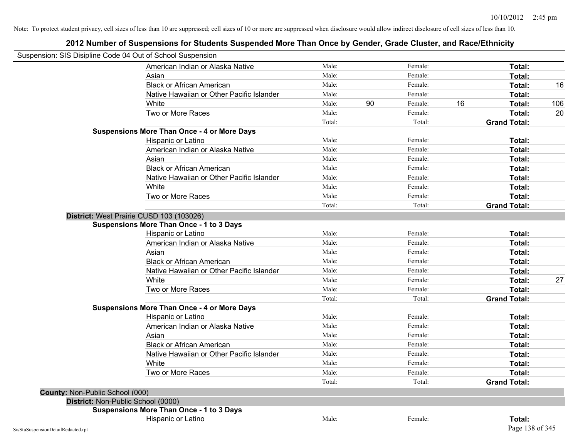|                                    | Suspension: SIS Disipline Code 04 Out of School Suspension |        |    |         |    |                     |     |
|------------------------------------|------------------------------------------------------------|--------|----|---------|----|---------------------|-----|
|                                    | American Indian or Alaska Native                           | Male:  |    | Female: |    | Total:              |     |
|                                    | Asian                                                      | Male:  |    | Female: |    | Total:              |     |
|                                    | <b>Black or African American</b>                           | Male:  |    | Female: |    | Total:              | 16  |
|                                    | Native Hawaiian or Other Pacific Islander                  | Male:  |    | Female: |    | Total:              |     |
|                                    | White                                                      | Male:  | 90 | Female: | 16 | Total:              | 106 |
|                                    | Two or More Races                                          | Male:  |    | Female: |    | Total:              | 20  |
|                                    |                                                            | Total: |    | Total:  |    | <b>Grand Total:</b> |     |
|                                    | <b>Suspensions More Than Once - 4 or More Days</b>         |        |    |         |    |                     |     |
|                                    | Hispanic or Latino                                         | Male:  |    | Female: |    | Total:              |     |
|                                    | American Indian or Alaska Native                           | Male:  |    | Female: |    | Total:              |     |
|                                    | Asian                                                      | Male:  |    | Female: |    | Total:              |     |
|                                    | <b>Black or African American</b>                           | Male:  |    | Female: |    | Total:              |     |
|                                    | Native Hawaiian or Other Pacific Islander                  | Male:  |    | Female: |    | Total:              |     |
|                                    | White                                                      | Male:  |    | Female: |    | Total:              |     |
|                                    | Two or More Races                                          | Male:  |    | Female: |    | Total:              |     |
|                                    |                                                            | Total: |    | Total:  |    | <b>Grand Total:</b> |     |
|                                    | District: West Prairie CUSD 103 (103026)                   |        |    |         |    |                     |     |
|                                    | <b>Suspensions More Than Once - 1 to 3 Days</b>            |        |    |         |    |                     |     |
|                                    | Hispanic or Latino                                         | Male:  |    | Female: |    | Total:              |     |
|                                    | American Indian or Alaska Native                           | Male:  |    | Female: |    | Total:              |     |
|                                    | Asian                                                      | Male:  |    | Female: |    | Total:              |     |
|                                    | <b>Black or African American</b>                           | Male:  |    | Female: |    | Total:              |     |
|                                    | Native Hawaiian or Other Pacific Islander                  | Male:  |    | Female: |    | Total:              |     |
|                                    | White                                                      | Male:  |    | Female: |    | Total:              | 27  |
|                                    | Two or More Races                                          | Male:  |    | Female: |    | Total:              |     |
|                                    |                                                            | Total: |    | Total:  |    | <b>Grand Total:</b> |     |
|                                    | <b>Suspensions More Than Once - 4 or More Days</b>         |        |    |         |    |                     |     |
|                                    | Hispanic or Latino                                         | Male:  |    | Female: |    | Total:              |     |
|                                    | American Indian or Alaska Native                           | Male:  |    | Female: |    | Total:              |     |
|                                    | Asian                                                      | Male:  |    | Female: |    | Total:              |     |
|                                    | <b>Black or African American</b>                           | Male:  |    | Female: |    | Total:              |     |
|                                    | Native Hawaiian or Other Pacific Islander                  | Male:  |    | Female: |    | Total:              |     |
|                                    | White                                                      | Male:  |    | Female: |    | Total:              |     |
|                                    | Two or More Races                                          | Male:  |    | Female: |    | Total:              |     |
|                                    |                                                            | Total: |    | Total:  |    | <b>Grand Total:</b> |     |
| County: Non-Public School (000)    |                                                            |        |    |         |    |                     |     |
| District: Non-Public School (0000) |                                                            |        |    |         |    |                     |     |
|                                    | <b>Suspensions More Than Once - 1 to 3 Days</b>            |        |    |         |    |                     |     |
|                                    | Hispanic or Latino                                         | Male:  |    | Female: |    | Total:              |     |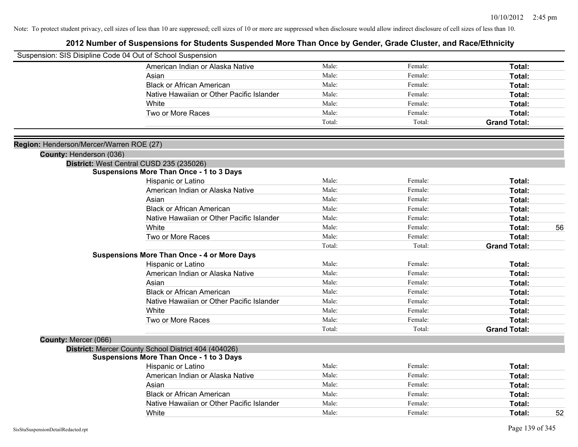|                                          | Suspension: SIS Disipline Code 04 Out of School Suspension |        |         |                     |    |
|------------------------------------------|------------------------------------------------------------|--------|---------|---------------------|----|
|                                          | American Indian or Alaska Native                           | Male:  | Female: | Total:              |    |
|                                          | Asian                                                      | Male:  | Female: | Total:              |    |
|                                          | <b>Black or African American</b>                           | Male:  | Female: | Total:              |    |
|                                          | Native Hawaiian or Other Pacific Islander                  | Male:  | Female: | Total:              |    |
|                                          | White                                                      | Male:  | Female: | Total:              |    |
|                                          | Two or More Races                                          | Male:  | Female: | Total:              |    |
|                                          |                                                            | Total: | Total:  | <b>Grand Total:</b> |    |
|                                          |                                                            |        |         |                     |    |
| Region: Henderson/Mercer/Warren ROE (27) |                                                            |        |         |                     |    |
| County: Henderson (036)                  |                                                            |        |         |                     |    |
|                                          | District: West Central CUSD 235 (235026)                   |        |         |                     |    |
|                                          | <b>Suspensions More Than Once - 1 to 3 Days</b>            |        |         |                     |    |
|                                          | Hispanic or Latino                                         | Male:  | Female: | Total:              |    |
|                                          | American Indian or Alaska Native                           | Male:  | Female: | Total:              |    |
|                                          | Asian                                                      | Male:  | Female: | Total:              |    |
|                                          | <b>Black or African American</b>                           | Male:  | Female: | Total:              |    |
|                                          | Native Hawaiian or Other Pacific Islander                  | Male:  | Female: | Total:              |    |
|                                          | White                                                      | Male:  | Female: | Total:              | 56 |
|                                          | Two or More Races                                          | Male:  | Female: | Total:              |    |
|                                          |                                                            | Total: | Total:  | <b>Grand Total:</b> |    |
|                                          | <b>Suspensions More Than Once - 4 or More Days</b>         |        |         |                     |    |
|                                          | Hispanic or Latino                                         | Male:  | Female: | Total:              |    |
|                                          | American Indian or Alaska Native                           | Male:  | Female: | Total:              |    |
|                                          | Asian                                                      | Male:  | Female: | Total:              |    |
|                                          | <b>Black or African American</b>                           | Male:  | Female: | Total:              |    |
|                                          | Native Hawaiian or Other Pacific Islander                  | Male:  | Female: | Total:              |    |
|                                          | White                                                      | Male:  | Female: | Total:              |    |
|                                          | Two or More Races                                          | Male:  | Female: | Total:              |    |
|                                          |                                                            | Total: | Total:  | <b>Grand Total:</b> |    |
| County: Mercer (066)                     |                                                            |        |         |                     |    |
|                                          | District: Mercer County School District 404 (404026)       |        |         |                     |    |
|                                          | <b>Suspensions More Than Once - 1 to 3 Days</b>            | Male:  | Female: |                     |    |
|                                          | Hispanic or Latino                                         |        |         | Total:              |    |
|                                          | American Indian or Alaska Native                           | Male:  | Female: | Total:              |    |
|                                          | Asian                                                      | Male:  | Female: | Total:              |    |
|                                          | <b>Black or African American</b>                           | Male:  | Female: | Total:              |    |
|                                          | Native Hawaiian or Other Pacific Islander                  | Male:  | Female: | Total:              |    |
|                                          | White                                                      | Male:  | Female: | Total:              | 52 |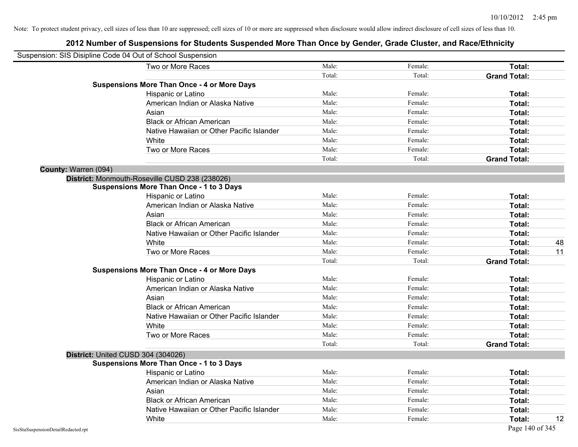|                      | Suspension: SIS Disipline Code 04 Out of School Suspension |        |         |                     |    |
|----------------------|------------------------------------------------------------|--------|---------|---------------------|----|
|                      | Two or More Races                                          | Male:  | Female: | Total:              |    |
|                      |                                                            | Total: | Total:  | <b>Grand Total:</b> |    |
|                      | <b>Suspensions More Than Once - 4 or More Days</b>         |        |         |                     |    |
|                      | Hispanic or Latino                                         | Male:  | Female: | Total:              |    |
|                      | American Indian or Alaska Native                           | Male:  | Female: | Total:              |    |
|                      | Asian                                                      | Male:  | Female: | Total:              |    |
|                      | <b>Black or African American</b>                           | Male:  | Female: | Total:              |    |
|                      | Native Hawaiian or Other Pacific Islander                  | Male:  | Female: | Total:              |    |
|                      | White                                                      | Male:  | Female: | Total:              |    |
|                      | Two or More Races                                          | Male:  | Female: | Total:              |    |
|                      |                                                            | Total: | Total:  | <b>Grand Total:</b> |    |
| County: Warren (094) |                                                            |        |         |                     |    |
|                      | District: Monmouth-Roseville CUSD 238 (238026)             |        |         |                     |    |
|                      | <b>Suspensions More Than Once - 1 to 3 Days</b>            |        |         |                     |    |
|                      | Hispanic or Latino                                         | Male:  | Female: | <b>Total:</b>       |    |
|                      | American Indian or Alaska Native                           | Male:  | Female: | Total:              |    |
|                      | Asian                                                      | Male:  | Female: | Total:              |    |
|                      | <b>Black or African American</b>                           | Male:  | Female: | Total:              |    |
|                      | Native Hawaiian or Other Pacific Islander                  | Male:  | Female: | Total:              |    |
|                      | White                                                      | Male:  | Female: | Total:              | 48 |
|                      | Two or More Races                                          | Male:  | Female: | Total:              | 11 |
|                      |                                                            | Total: | Total:  | <b>Grand Total:</b> |    |
|                      | <b>Suspensions More Than Once - 4 or More Days</b>         |        |         |                     |    |
|                      | Hispanic or Latino                                         | Male:  | Female: | Total:              |    |
|                      | American Indian or Alaska Native                           | Male:  | Female: | Total:              |    |
|                      | Asian                                                      | Male:  | Female: | Total:              |    |
|                      | <b>Black or African American</b>                           | Male:  | Female: | Total:              |    |
|                      | Native Hawaiian or Other Pacific Islander                  | Male:  | Female: | Total:              |    |
|                      | White                                                      | Male:  | Female: | <b>Total:</b>       |    |
|                      | Two or More Races                                          | Male:  | Female: | Total:              |    |
|                      |                                                            | Total: | Total:  | <b>Grand Total:</b> |    |
|                      | District: United CUSD 304 (304026)                         |        |         |                     |    |
|                      | <b>Suspensions More Than Once - 1 to 3 Days</b>            |        |         |                     |    |
|                      | Hispanic or Latino                                         | Male:  | Female: | Total:              |    |
|                      | American Indian or Alaska Native                           | Male:  | Female: | Total:              |    |
|                      | Asian                                                      | Male:  | Female: | Total:              |    |
|                      | <b>Black or African American</b>                           | Male:  | Female: | Total:              |    |
|                      | Native Hawaiian or Other Pacific Islander                  | Male:  | Female: | Total:              |    |
|                      | White                                                      | Male:  | Female: | Total:              | 12 |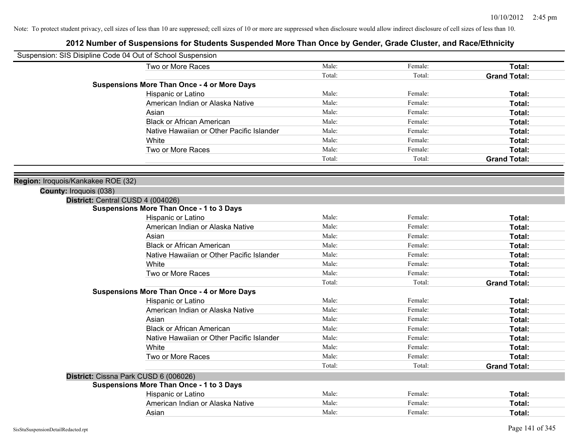| Suspension: SIS Disipline Code 04 Out of School Suspension |                                                    |        |         |                     |
|------------------------------------------------------------|----------------------------------------------------|--------|---------|---------------------|
|                                                            | Two or More Races                                  | Male:  | Female: | Total:              |
|                                                            |                                                    | Total: | Total:  | <b>Grand Total:</b> |
|                                                            | <b>Suspensions More Than Once - 4 or More Days</b> |        |         |                     |
|                                                            | Hispanic or Latino                                 | Male:  | Female: | Total:              |
|                                                            | American Indian or Alaska Native                   | Male:  | Female: | Total:              |
|                                                            | Asian                                              | Male:  | Female: | Total:              |
|                                                            | <b>Black or African American</b>                   | Male:  | Female: | Total:              |
|                                                            | Native Hawaiian or Other Pacific Islander          | Male:  | Female: | Total:              |
|                                                            | White                                              | Male:  | Female: | Total:              |
|                                                            | Two or More Races                                  | Male:  | Female: | Total:              |
|                                                            |                                                    | Total: | Total:  | <b>Grand Total:</b> |
|                                                            |                                                    |        |         |                     |
| Region: Iroquois/Kankakee ROE (32)                         |                                                    |        |         |                     |
| County: Iroquois (038)                                     |                                                    |        |         |                     |
| District: Central CUSD 4 (004026)                          |                                                    |        |         |                     |
|                                                            | <b>Suspensions More Than Once - 1 to 3 Days</b>    |        |         |                     |
|                                                            | Hispanic or Latino                                 | Male:  | Female: | Total:              |
|                                                            | American Indian or Alaska Native                   | Male:  | Female: | Total:              |
|                                                            | Asian                                              | Male:  | Female: | Total:              |
|                                                            | <b>Black or African American</b>                   | Male:  | Female: | Total:              |
|                                                            | Native Hawaiian or Other Pacific Islander          | Male:  | Female: | Total:              |
|                                                            | White                                              | Male:  | Female: | Total:              |
|                                                            | Two or More Races                                  | Male:  | Female: | Total:              |
|                                                            |                                                    | Total: | Total:  | <b>Grand Total:</b> |
|                                                            | <b>Suspensions More Than Once - 4 or More Days</b> |        |         |                     |
|                                                            | Hispanic or Latino                                 | Male:  | Female: | Total:              |
|                                                            | American Indian or Alaska Native                   | Male:  | Female: | Total:              |
|                                                            | Asian                                              | Male:  | Female: | Total:              |
|                                                            | <b>Black or African American</b>                   | Male:  | Female: | Total:              |
|                                                            | Native Hawaiian or Other Pacific Islander          | Male:  | Female: | Total:              |
|                                                            | White                                              | Male:  | Female: | Total:              |
|                                                            | Two or More Races                                  | Male:  | Female: | Total:              |
|                                                            |                                                    | Total: | Total:  | <b>Grand Total:</b> |
| District: Cissna Park CUSD 6 (006026)                      |                                                    |        |         |                     |
|                                                            | <b>Suspensions More Than Once - 1 to 3 Days</b>    |        |         |                     |
|                                                            | Hispanic or Latino                                 | Male:  | Female: | Total:              |
|                                                            | American Indian or Alaska Native                   | Male:  | Female: | Total:              |
|                                                            | Asian                                              | Male:  | Female: | Total:              |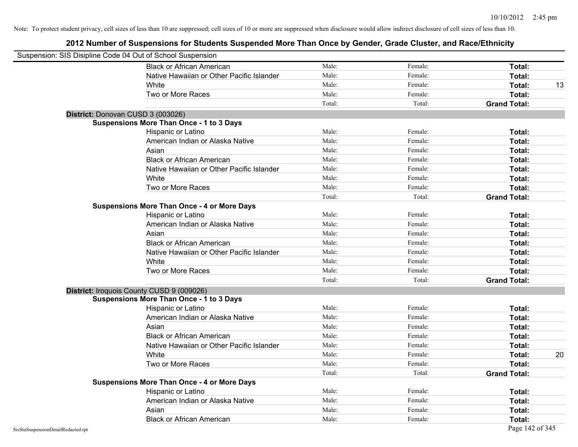| Suspension: SIS Disipline Code 04 Out of School Suspension |                                                    |        |         |                     |
|------------------------------------------------------------|----------------------------------------------------|--------|---------|---------------------|
|                                                            | <b>Black or African American</b>                   | Male:  | Female: | Total:              |
|                                                            | Native Hawaiian or Other Pacific Islander          | Male:  | Female: | Total:              |
|                                                            | White                                              | Male:  | Female: | Total:<br>13        |
|                                                            | Two or More Races                                  | Male:  | Female: | Total:              |
|                                                            |                                                    | Total: | Total:  | <b>Grand Total:</b> |
|                                                            | District: Donovan CUSD 3 (003026)                  |        |         |                     |
|                                                            | <b>Suspensions More Than Once - 1 to 3 Days</b>    |        |         |                     |
|                                                            | Hispanic or Latino                                 | Male:  | Female: | Total:              |
|                                                            | American Indian or Alaska Native                   | Male:  | Female: | Total:              |
|                                                            | Asian                                              | Male:  | Female: | Total:              |
|                                                            | <b>Black or African American</b>                   | Male:  | Female: | Total:              |
|                                                            | Native Hawaiian or Other Pacific Islander          | Male:  | Female: | Total:              |
|                                                            | White                                              | Male:  | Female: | Total:              |
|                                                            | Two or More Races                                  | Male:  | Female: | Total:              |
|                                                            |                                                    | Total: | Total:  | <b>Grand Total:</b> |
|                                                            | <b>Suspensions More Than Once - 4 or More Days</b> |        |         |                     |
|                                                            | Hispanic or Latino                                 | Male:  | Female: | Total:              |
|                                                            | American Indian or Alaska Native                   | Male:  | Female: | Total:              |
|                                                            | Asian                                              | Male:  | Female: | Total:              |
|                                                            | <b>Black or African American</b>                   | Male:  | Female: | Total:              |
|                                                            | Native Hawaiian or Other Pacific Islander          | Male:  | Female: | Total:              |
|                                                            | White                                              | Male:  | Female: | Total:              |
|                                                            | Two or More Races                                  | Male:  | Female: | Total:              |
|                                                            |                                                    | Total: | Total:  | <b>Grand Total:</b> |
|                                                            | District: Iroquois County CUSD 9 (009026)          |        |         |                     |
|                                                            | <b>Suspensions More Than Once - 1 to 3 Days</b>    |        |         |                     |
|                                                            | Hispanic or Latino                                 | Male:  | Female: | Total:              |
|                                                            | American Indian or Alaska Native                   | Male:  | Female: | Total:              |
|                                                            | Asian                                              | Male:  | Female: | Total:              |
|                                                            | <b>Black or African American</b>                   | Male:  | Female: | Total:              |
|                                                            | Native Hawaiian or Other Pacific Islander          | Male:  | Female: | Total:              |
|                                                            | White                                              | Male:  | Female: | 20<br>Total:        |
|                                                            | Two or More Races                                  | Male:  | Female: | Total:              |
|                                                            |                                                    | Total: | Total:  | <b>Grand Total:</b> |
|                                                            | <b>Suspensions More Than Once - 4 or More Days</b> |        |         |                     |
|                                                            | Hispanic or Latino                                 | Male:  | Female: | Total:              |
|                                                            | American Indian or Alaska Native                   | Male:  | Female: | Total:              |
|                                                            | Asian                                              | Male:  | Female: | <b>Total:</b>       |
|                                                            | <b>Black or African American</b>                   | Male:  | Female: | Total:              |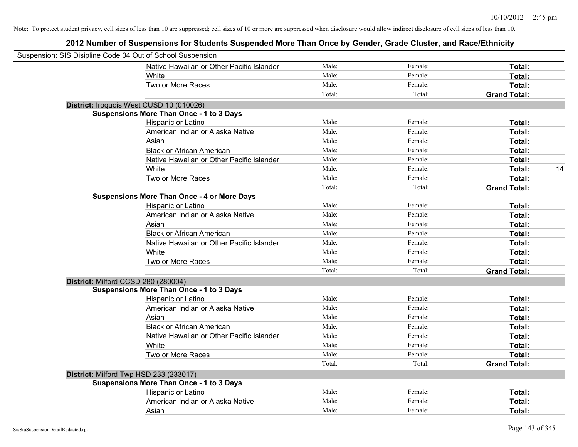| Suspension: SIS Disipline Code 04 Out of School Suspension |                                                    |        |         |                     |    |
|------------------------------------------------------------|----------------------------------------------------|--------|---------|---------------------|----|
|                                                            | Native Hawaiian or Other Pacific Islander          | Male:  | Female: | Total:              |    |
|                                                            | White                                              | Male:  | Female: | Total:              |    |
|                                                            | Two or More Races                                  | Male:  | Female: | Total:              |    |
|                                                            |                                                    | Total: | Total:  | <b>Grand Total:</b> |    |
| District: Iroquois West CUSD 10 (010026)                   |                                                    |        |         |                     |    |
|                                                            | <b>Suspensions More Than Once - 1 to 3 Days</b>    |        |         |                     |    |
|                                                            | Hispanic or Latino                                 | Male:  | Female: | Total:              |    |
|                                                            | American Indian or Alaska Native                   | Male:  | Female: | Total:              |    |
|                                                            | Asian                                              | Male:  | Female: | Total:              |    |
|                                                            | <b>Black or African American</b>                   | Male:  | Female: | Total:              |    |
|                                                            | Native Hawaiian or Other Pacific Islander          | Male:  | Female: | Total:              |    |
|                                                            | White                                              | Male:  | Female: | Total:              | 14 |
|                                                            | Two or More Races                                  | Male:  | Female: | Total:              |    |
|                                                            |                                                    | Total: | Total:  | <b>Grand Total:</b> |    |
|                                                            | <b>Suspensions More Than Once - 4 or More Days</b> |        |         |                     |    |
|                                                            | Hispanic or Latino                                 | Male:  | Female: | Total:              |    |
|                                                            | American Indian or Alaska Native                   | Male:  | Female: | Total:              |    |
|                                                            | Asian                                              | Male:  | Female: | Total:              |    |
|                                                            | <b>Black or African American</b>                   | Male:  | Female: | Total:              |    |
|                                                            | Native Hawaiian or Other Pacific Islander          | Male:  | Female: | Total:              |    |
|                                                            | White                                              | Male:  | Female: | Total:              |    |
|                                                            | Two or More Races                                  | Male:  | Female: | Total:              |    |
|                                                            |                                                    | Total: | Total:  | <b>Grand Total:</b> |    |
| District: Milford CCSD 280 (280004)                        |                                                    |        |         |                     |    |
|                                                            | <b>Suspensions More Than Once - 1 to 3 Days</b>    |        |         |                     |    |
|                                                            | Hispanic or Latino                                 | Male:  | Female: | Total:              |    |
|                                                            | American Indian or Alaska Native                   | Male:  | Female: | Total:              |    |
|                                                            | Asian                                              | Male:  | Female: | Total:              |    |
|                                                            | <b>Black or African American</b>                   | Male:  | Female: | Total:              |    |
|                                                            | Native Hawaiian or Other Pacific Islander          | Male:  | Female: | Total:              |    |
|                                                            | White                                              | Male:  | Female: | Total:              |    |
|                                                            | Two or More Races                                  | Male:  | Female: | Total:              |    |
|                                                            |                                                    | Total: | Total:  | <b>Grand Total:</b> |    |
| District: Milford Twp HSD 233 (233017)                     |                                                    |        |         |                     |    |
|                                                            | <b>Suspensions More Than Once - 1 to 3 Days</b>    |        |         |                     |    |
|                                                            | Hispanic or Latino                                 | Male:  | Female: | Total:              |    |
|                                                            | American Indian or Alaska Native                   | Male:  | Female: | Total:              |    |
|                                                            | Asian                                              | Male:  | Female: | Total:              |    |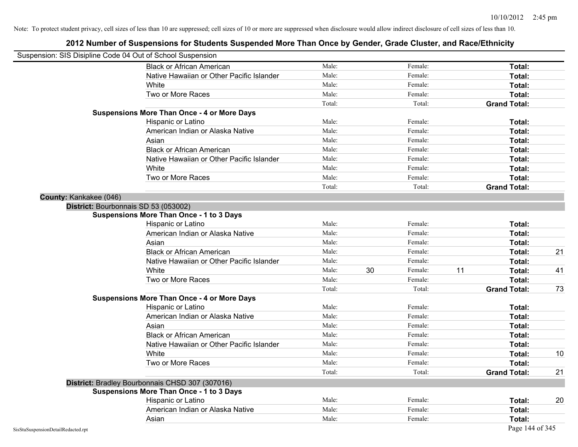|                                    | Suspension: SIS Disipline Code 04 Out of School Suspension |        |    |         |    |                     |    |
|------------------------------------|------------------------------------------------------------|--------|----|---------|----|---------------------|----|
|                                    | <b>Black or African American</b>                           | Male:  |    | Female: |    | <b>Total:</b>       |    |
|                                    | Native Hawaiian or Other Pacific Islander                  | Male:  |    | Female: |    | Total:              |    |
|                                    | White                                                      | Male:  |    | Female: |    | Total:              |    |
|                                    | Two or More Races                                          | Male:  |    | Female: |    | Total:              |    |
|                                    |                                                            | Total: |    | Total:  |    | <b>Grand Total:</b> |    |
|                                    | <b>Suspensions More Than Once - 4 or More Days</b>         |        |    |         |    |                     |    |
|                                    | Hispanic or Latino                                         | Male:  |    | Female: |    | Total:              |    |
|                                    | American Indian or Alaska Native                           | Male:  |    | Female: |    | Total:              |    |
|                                    | Asian                                                      | Male:  |    | Female: |    | Total:              |    |
|                                    | <b>Black or African American</b>                           | Male:  |    | Female: |    | Total:              |    |
|                                    | Native Hawaiian or Other Pacific Islander                  | Male:  |    | Female: |    | Total:              |    |
|                                    | White                                                      | Male:  |    | Female: |    | Total:              |    |
|                                    | Two or More Races                                          | Male:  |    | Female: |    | Total:              |    |
|                                    |                                                            | Total: |    | Total:  |    | <b>Grand Total:</b> |    |
| County: Kankakee (046)             |                                                            |        |    |         |    |                     |    |
|                                    | District: Bourbonnais SD 53 (053002)                       |        |    |         |    |                     |    |
|                                    | <b>Suspensions More Than Once - 1 to 3 Days</b>            |        |    |         |    |                     |    |
|                                    | Hispanic or Latino                                         | Male:  |    | Female: |    | Total:              |    |
|                                    | American Indian or Alaska Native                           | Male:  |    | Female: |    | Total:              |    |
|                                    | Asian                                                      | Male:  |    | Female: |    | Total:              |    |
|                                    | <b>Black or African American</b>                           | Male:  |    | Female: |    | Total:              | 21 |
|                                    | Native Hawaiian or Other Pacific Islander                  | Male:  |    | Female: |    | Total:              |    |
|                                    | White                                                      | Male:  | 30 | Female: | 11 | Total:              | 41 |
|                                    | Two or More Races                                          | Male:  |    | Female: |    | <b>Total:</b>       |    |
|                                    |                                                            | Total: |    | Total:  |    | <b>Grand Total:</b> | 73 |
|                                    | <b>Suspensions More Than Once - 4 or More Days</b>         |        |    |         |    |                     |    |
|                                    | Hispanic or Latino                                         | Male:  |    | Female: |    | Total:              |    |
|                                    | American Indian or Alaska Native                           | Male:  |    | Female: |    | Total:              |    |
|                                    | Asian                                                      | Male:  |    | Female: |    | Total:              |    |
|                                    | <b>Black or African American</b>                           | Male:  |    | Female: |    | Total:              |    |
|                                    | Native Hawaiian or Other Pacific Islander                  | Male:  |    | Female: |    | Total:              |    |
|                                    | White                                                      | Male:  |    | Female: |    | Total:              | 10 |
|                                    | Two or More Races                                          | Male:  |    | Female: |    | <b>Total:</b>       |    |
|                                    |                                                            | Total: |    | Total:  |    | <b>Grand Total:</b> | 21 |
|                                    | District: Bradley Bourbonnais CHSD 307 (307016)            |        |    |         |    |                     |    |
|                                    | Suspensions More Than Once - 1 to 3 Days                   |        |    |         |    |                     |    |
|                                    | Hispanic or Latino                                         | Male:  |    | Female: |    | Total:              | 20 |
|                                    | American Indian or Alaska Native                           | Male:  |    | Female: |    | Total:              |    |
|                                    | Asian                                                      | Male:  |    | Female: |    | Total:              |    |
| SisStuSuspensionDetailRedacted.rpt |                                                            |        |    |         |    | Page 144 of 345     |    |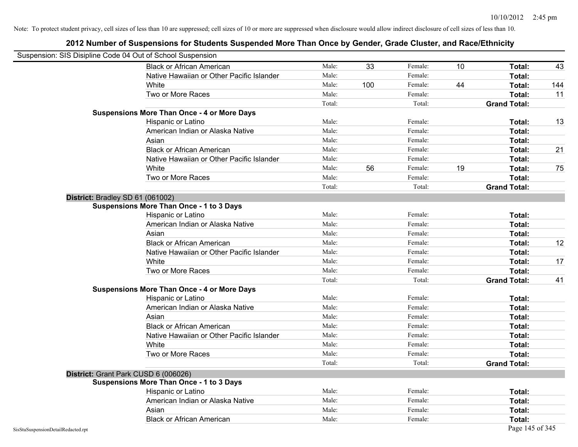|                                    | Suspension: SIS Disipline Code 04 Out of School Suspension |        |     |         |    |                     |     |
|------------------------------------|------------------------------------------------------------|--------|-----|---------|----|---------------------|-----|
|                                    | <b>Black or African American</b>                           | Male:  | 33  | Female: | 10 | Total:              | 43  |
|                                    | Native Hawaiian or Other Pacific Islander                  | Male:  |     | Female: |    | Total:              |     |
|                                    | White                                                      | Male:  | 100 | Female: | 44 | Total:              | 144 |
|                                    | Two or More Races                                          | Male:  |     | Female: |    | Total:              | 11  |
|                                    |                                                            | Total: |     | Total:  |    | <b>Grand Total:</b> |     |
|                                    | <b>Suspensions More Than Once - 4 or More Days</b>         |        |     |         |    |                     |     |
|                                    | Hispanic or Latino                                         | Male:  |     | Female: |    | Total:              | 13  |
|                                    | American Indian or Alaska Native                           | Male:  |     | Female: |    | Total:              |     |
|                                    | Asian                                                      | Male:  |     | Female: |    | Total:              |     |
|                                    | <b>Black or African American</b>                           | Male:  |     | Female: |    | Total:              | 21  |
|                                    | Native Hawaiian or Other Pacific Islander                  | Male:  |     | Female: |    | Total:              |     |
|                                    | White                                                      | Male:  | 56  | Female: | 19 | Total:              | 75  |
|                                    | Two or More Races                                          | Male:  |     | Female: |    | Total:              |     |
|                                    |                                                            | Total: |     | Total:  |    | <b>Grand Total:</b> |     |
|                                    | District: Bradley SD 61 (061002)                           |        |     |         |    |                     |     |
|                                    | <b>Suspensions More Than Once - 1 to 3 Days</b>            |        |     |         |    |                     |     |
|                                    | Hispanic or Latino                                         | Male:  |     | Female: |    | Total:              |     |
|                                    | American Indian or Alaska Native                           | Male:  |     | Female: |    | Total:              |     |
|                                    | Asian                                                      | Male:  |     | Female: |    | Total:              |     |
|                                    | <b>Black or African American</b>                           | Male:  |     | Female: |    | Total:              | 12  |
|                                    | Native Hawaiian or Other Pacific Islander                  | Male:  |     | Female: |    | Total:              |     |
|                                    | White                                                      | Male:  |     | Female: |    | Total:              | 17  |
|                                    | Two or More Races                                          | Male:  |     | Female: |    | Total:              |     |
|                                    |                                                            | Total: |     | Total:  |    | <b>Grand Total:</b> | 41  |
|                                    | <b>Suspensions More Than Once - 4 or More Days</b>         |        |     |         |    |                     |     |
|                                    | Hispanic or Latino                                         | Male:  |     | Female: |    | Total:              |     |
|                                    | American Indian or Alaska Native                           | Male:  |     | Female: |    | Total:              |     |
|                                    | Asian                                                      | Male:  |     | Female: |    | Total:              |     |
|                                    | <b>Black or African American</b>                           | Male:  |     | Female: |    | Total:              |     |
|                                    | Native Hawaiian or Other Pacific Islander                  | Male:  |     | Female: |    | Total:              |     |
|                                    | White                                                      | Male:  |     | Female: |    | Total:              |     |
|                                    | Two or More Races                                          | Male:  |     | Female: |    | Total:              |     |
|                                    |                                                            | Total: |     | Total:  |    | <b>Grand Total:</b> |     |
|                                    | District: Grant Park CUSD 6 (006026)                       |        |     |         |    |                     |     |
|                                    | <b>Suspensions More Than Once - 1 to 3 Days</b>            |        |     |         |    |                     |     |
|                                    | Hispanic or Latino                                         | Male:  |     | Female: |    | Total:              |     |
|                                    | American Indian or Alaska Native                           | Male:  |     | Female: |    | Total:              |     |
|                                    | Asian                                                      | Male:  |     | Female: |    | Total:              |     |
|                                    | <b>Black or African American</b>                           | Male:  |     | Female: |    | Total:              |     |
| SisStuSuspensionDetailRedacted.rpt |                                                            |        |     |         |    | Page 145 of 345     |     |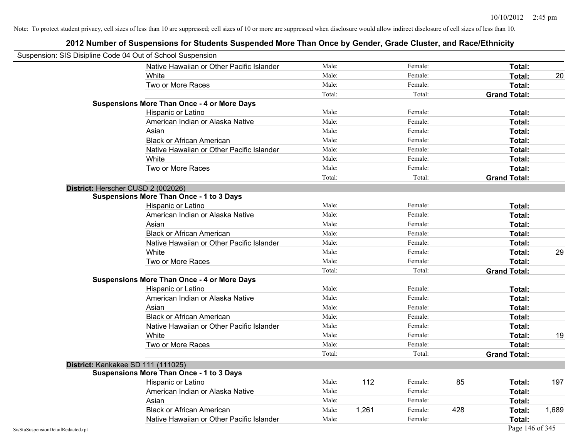| Suspension: SIS Disipline Code 04 Out of School Suspension |                                                    |        |       |         |     |                     |       |
|------------------------------------------------------------|----------------------------------------------------|--------|-------|---------|-----|---------------------|-------|
|                                                            | Native Hawaiian or Other Pacific Islander          | Male:  |       | Female: |     | Total:              |       |
|                                                            | White                                              | Male:  |       | Female: |     | Total:              | 20    |
|                                                            | Two or More Races                                  | Male:  |       | Female: |     | Total:              |       |
|                                                            |                                                    | Total: |       | Total:  |     | <b>Grand Total:</b> |       |
|                                                            | <b>Suspensions More Than Once - 4 or More Days</b> |        |       |         |     |                     |       |
|                                                            | Hispanic or Latino                                 | Male:  |       | Female: |     | Total:              |       |
|                                                            | American Indian or Alaska Native                   | Male:  |       | Female: |     | Total:              |       |
|                                                            | Asian                                              | Male:  |       | Female: |     | Total:              |       |
|                                                            | <b>Black or African American</b>                   | Male:  |       | Female: |     | Total:              |       |
|                                                            | Native Hawaiian or Other Pacific Islander          | Male:  |       | Female: |     | Total:              |       |
|                                                            | White                                              | Male:  |       | Female: |     | Total:              |       |
|                                                            | Two or More Races                                  | Male:  |       | Female: |     | Total:              |       |
|                                                            |                                                    | Total: |       | Total:  |     | <b>Grand Total:</b> |       |
|                                                            | District: Herscher CUSD 2 (002026)                 |        |       |         |     |                     |       |
|                                                            | <b>Suspensions More Than Once - 1 to 3 Days</b>    |        |       |         |     |                     |       |
|                                                            | Hispanic or Latino                                 | Male:  |       | Female: |     | Total:              |       |
|                                                            | American Indian or Alaska Native                   | Male:  |       | Female: |     | Total:              |       |
|                                                            | Asian                                              | Male:  |       | Female: |     | Total:              |       |
|                                                            | <b>Black or African American</b>                   | Male:  |       | Female: |     | Total:              |       |
|                                                            | Native Hawaiian or Other Pacific Islander          | Male:  |       | Female: |     | Total:              |       |
|                                                            | White                                              | Male:  |       | Female: |     | Total:              | 29    |
|                                                            | Two or More Races                                  | Male:  |       | Female: |     | Total:              |       |
|                                                            |                                                    | Total: |       | Total:  |     | <b>Grand Total:</b> |       |
|                                                            | <b>Suspensions More Than Once - 4 or More Days</b> |        |       |         |     |                     |       |
|                                                            | Hispanic or Latino                                 | Male:  |       | Female: |     | Total:              |       |
|                                                            | American Indian or Alaska Native                   | Male:  |       | Female: |     | Total:              |       |
|                                                            | Asian                                              | Male:  |       | Female: |     | Total:              |       |
|                                                            | <b>Black or African American</b>                   | Male:  |       | Female: |     | Total:              |       |
|                                                            | Native Hawaiian or Other Pacific Islander          | Male:  |       | Female: |     | Total:              |       |
|                                                            | White                                              | Male:  |       | Female: |     | Total:              | 19    |
|                                                            | Two or More Races                                  | Male:  |       | Female: |     | Total:              |       |
|                                                            |                                                    | Total: |       | Total:  |     | <b>Grand Total:</b> |       |
|                                                            | District: Kankakee SD 111 (111025)                 |        |       |         |     |                     |       |
|                                                            | <b>Suspensions More Than Once - 1 to 3 Days</b>    |        |       |         |     |                     |       |
|                                                            | Hispanic or Latino                                 | Male:  | 112   | Female: | 85  | Total:              | 197   |
|                                                            | American Indian or Alaska Native                   | Male:  |       | Female: |     | Total:              |       |
|                                                            | Asian                                              | Male:  |       | Female: |     | Total:              |       |
|                                                            | <b>Black or African American</b>                   | Male:  | 1,261 | Female: | 428 | Total:              | 1.689 |
|                                                            | Native Hawaiian or Other Pacific Islander          | Male:  |       | Female: |     | Total:              |       |
| SisStuSuspensionDetailRedacted.rpt                         |                                                    |        |       |         |     | Page 146 of 345     |       |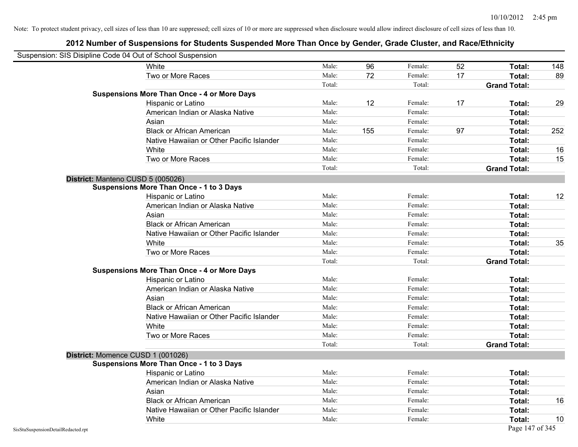| Suspension: SIS Disipline Code 04 Out of School Suspension |                                                    |        |     |         |    |                     |     |
|------------------------------------------------------------|----------------------------------------------------|--------|-----|---------|----|---------------------|-----|
|                                                            | White                                              | Male:  | 96  | Female: | 52 | Total:              | 148 |
|                                                            | Two or More Races                                  | Male:  | 72  | Female: | 17 | Total:              | 89  |
|                                                            |                                                    | Total: |     | Total:  |    | <b>Grand Total:</b> |     |
|                                                            | <b>Suspensions More Than Once - 4 or More Days</b> |        |     |         |    |                     |     |
|                                                            | Hispanic or Latino                                 | Male:  | 12  | Female: | 17 | Total:              | 29  |
|                                                            | American Indian or Alaska Native                   | Male:  |     | Female: |    | Total:              |     |
|                                                            | Asian                                              | Male:  |     | Female: |    | Total:              |     |
|                                                            | <b>Black or African American</b>                   | Male:  | 155 | Female: | 97 | Total:              | 252 |
|                                                            | Native Hawaiian or Other Pacific Islander          | Male:  |     | Female: |    | Total:              |     |
|                                                            | White                                              | Male:  |     | Female: |    | Total:              | 16  |
|                                                            | Two or More Races                                  | Male:  |     | Female: |    | Total:              | 15  |
|                                                            |                                                    | Total: |     | Total:  |    | <b>Grand Total:</b> |     |
|                                                            | District: Manteno CUSD 5 (005026)                  |        |     |         |    |                     |     |
|                                                            | <b>Suspensions More Than Once - 1 to 3 Days</b>    |        |     |         |    |                     |     |
|                                                            | Hispanic or Latino                                 | Male:  |     | Female: |    | Total:              | 12  |
|                                                            | American Indian or Alaska Native                   | Male:  |     | Female: |    | Total:              |     |
|                                                            | Asian                                              | Male:  |     | Female: |    | Total:              |     |
|                                                            | <b>Black or African American</b>                   | Male:  |     | Female: |    | Total:              |     |
|                                                            | Native Hawaiian or Other Pacific Islander          | Male:  |     | Female: |    | Total:              |     |
|                                                            | White                                              | Male:  |     | Female: |    | Total:              | 35  |
|                                                            | Two or More Races                                  | Male:  |     | Female: |    | Total:              |     |
|                                                            |                                                    | Total: |     | Total:  |    | <b>Grand Total:</b> |     |
|                                                            | <b>Suspensions More Than Once - 4 or More Days</b> |        |     |         |    |                     |     |
|                                                            | Hispanic or Latino                                 | Male:  |     | Female: |    | Total:              |     |
|                                                            | American Indian or Alaska Native                   | Male:  |     | Female: |    | Total:              |     |
|                                                            | Asian                                              | Male:  |     | Female: |    | Total:              |     |
|                                                            | <b>Black or African American</b>                   | Male:  |     | Female: |    | Total:              |     |
|                                                            | Native Hawaiian or Other Pacific Islander          | Male:  |     | Female: |    | Total:              |     |
|                                                            | White                                              | Male:  |     | Female: |    | Total:              |     |
|                                                            | Two or More Races                                  | Male:  |     | Female: |    | Total:              |     |
|                                                            |                                                    | Total: |     | Total:  |    | <b>Grand Total:</b> |     |
|                                                            | District: Momence CUSD 1 (001026)                  |        |     |         |    |                     |     |
|                                                            | <b>Suspensions More Than Once - 1 to 3 Days</b>    |        |     |         |    |                     |     |
|                                                            | Hispanic or Latino                                 | Male:  |     | Female: |    | Total:              |     |
|                                                            | American Indian or Alaska Native                   | Male:  |     | Female: |    | Total:              |     |
|                                                            | Asian                                              | Male:  |     | Female: |    | Total:              |     |
|                                                            | <b>Black or African American</b>                   | Male:  |     | Female: |    | Total:              | 16  |
|                                                            | Native Hawaiian or Other Pacific Islander          | Male:  |     | Female: |    | Total:              |     |
|                                                            | White                                              | Male:  |     | Female: |    | Total:              | 10  |
| SisStuSuspensionDetailRedacted.rpt                         |                                                    |        |     |         |    | Page 147 of 345     |     |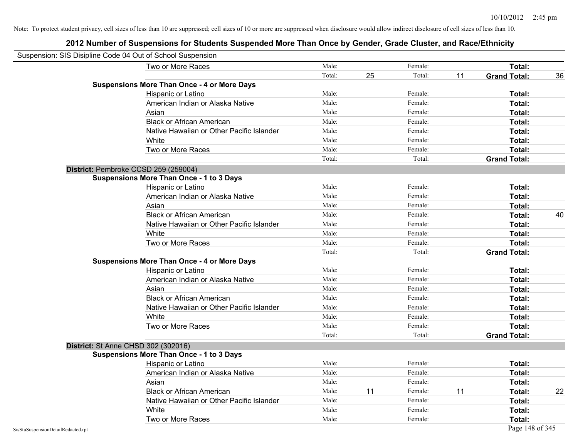| Suspension: SIS Disipline Code 04 Out of School Suspension |                                                    |        |    |         |    |                     |    |
|------------------------------------------------------------|----------------------------------------------------|--------|----|---------|----|---------------------|----|
|                                                            | Two or More Races                                  | Male:  |    | Female: |    | Total:              |    |
|                                                            |                                                    | Total: | 25 | Total:  | 11 | <b>Grand Total:</b> | 36 |
|                                                            | <b>Suspensions More Than Once - 4 or More Days</b> |        |    |         |    |                     |    |
|                                                            | Hispanic or Latino                                 | Male:  |    | Female: |    | Total:              |    |
|                                                            | American Indian or Alaska Native                   | Male:  |    | Female: |    | Total:              |    |
|                                                            | Asian                                              | Male:  |    | Female: |    | Total:              |    |
|                                                            | <b>Black or African American</b>                   | Male:  |    | Female: |    | Total:              |    |
|                                                            | Native Hawaiian or Other Pacific Islander          | Male:  |    | Female: |    | Total:              |    |
|                                                            | White                                              | Male:  |    | Female: |    | Total:              |    |
|                                                            | Two or More Races                                  | Male:  |    | Female: |    | Total:              |    |
|                                                            |                                                    | Total: |    | Total:  |    | <b>Grand Total:</b> |    |
|                                                            | District: Pembroke CCSD 259 (259004)               |        |    |         |    |                     |    |
|                                                            | <b>Suspensions More Than Once - 1 to 3 Days</b>    |        |    |         |    |                     |    |
|                                                            | Hispanic or Latino                                 | Male:  |    | Female: |    | Total:              |    |
|                                                            | American Indian or Alaska Native                   | Male:  |    | Female: |    | Total:              |    |
|                                                            | Asian                                              | Male:  |    | Female: |    | Total:              |    |
|                                                            | <b>Black or African American</b>                   | Male:  |    | Female: |    | Total:              | 40 |
|                                                            | Native Hawaiian or Other Pacific Islander          | Male:  |    | Female: |    | Total:              |    |
|                                                            | White                                              | Male:  |    | Female: |    | Total:              |    |
|                                                            | Two or More Races                                  | Male:  |    | Female: |    | Total:              |    |
|                                                            |                                                    | Total: |    | Total:  |    | <b>Grand Total:</b> |    |
|                                                            | <b>Suspensions More Than Once - 4 or More Days</b> |        |    |         |    |                     |    |
|                                                            | Hispanic or Latino                                 | Male:  |    | Female: |    | Total:              |    |
|                                                            | American Indian or Alaska Native                   | Male:  |    | Female: |    | Total:              |    |
|                                                            | Asian                                              | Male:  |    | Female: |    | Total:              |    |
|                                                            | <b>Black or African American</b>                   | Male:  |    | Female: |    | Total:              |    |
|                                                            | Native Hawaiian or Other Pacific Islander          | Male:  |    | Female: |    | Total:              |    |
|                                                            | White                                              | Male:  |    | Female: |    | Total:              |    |
|                                                            | Two or More Races                                  | Male:  |    | Female: |    | Total:              |    |
|                                                            |                                                    | Total: |    | Total:  |    | <b>Grand Total:</b> |    |
|                                                            | <b>District: St Anne CHSD 302 (302016)</b>         |        |    |         |    |                     |    |
|                                                            | <b>Suspensions More Than Once - 1 to 3 Days</b>    |        |    |         |    |                     |    |
|                                                            | Hispanic or Latino                                 | Male:  |    | Female: |    | Total:              |    |
|                                                            | American Indian or Alaska Native                   | Male:  |    | Female: |    | Total:              |    |
|                                                            | Asian                                              | Male:  |    | Female: |    | Total:              |    |
|                                                            | <b>Black or African American</b>                   | Male:  | 11 | Female: | 11 | Total:              | 22 |
|                                                            | Native Hawaiian or Other Pacific Islander          | Male:  |    | Female: |    | Total:              |    |
|                                                            | White                                              | Male:  |    | Female: |    | Total:              |    |
|                                                            | Two or More Races                                  | Male:  |    | Female: |    | Total:              |    |
| SisStuSuspensionDetailRedacted.rpt                         |                                                    |        |    |         |    | Page 148 of 345     |    |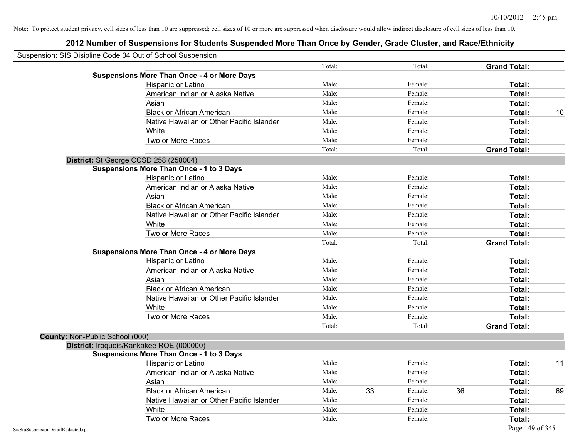| Suspension: SIS Disipline Code 04 Out of School Suspension |                                                    |        |    |         |    |                     |    |
|------------------------------------------------------------|----------------------------------------------------|--------|----|---------|----|---------------------|----|
|                                                            |                                                    | Total: |    | Total:  |    | <b>Grand Total:</b> |    |
|                                                            | <b>Suspensions More Than Once - 4 or More Days</b> |        |    |         |    |                     |    |
|                                                            | Hispanic or Latino                                 | Male:  |    | Female: |    | Total:              |    |
|                                                            | American Indian or Alaska Native                   | Male:  |    | Female: |    | Total:              |    |
|                                                            | Asian                                              | Male:  |    | Female: |    | Total:              |    |
|                                                            | <b>Black or African American</b>                   | Male:  |    | Female: |    | Total:              | 10 |
|                                                            | Native Hawaiian or Other Pacific Islander          | Male:  |    | Female: |    | Total:              |    |
|                                                            | White                                              | Male:  |    | Female: |    | Total:              |    |
|                                                            | Two or More Races                                  | Male:  |    | Female: |    | Total:              |    |
|                                                            |                                                    | Total: |    | Total:  |    | <b>Grand Total:</b> |    |
| District: St George CCSD 258 (258004)                      |                                                    |        |    |         |    |                     |    |
|                                                            | <b>Suspensions More Than Once - 1 to 3 Days</b>    |        |    |         |    |                     |    |
|                                                            | Hispanic or Latino                                 | Male:  |    | Female: |    | Total:              |    |
|                                                            | American Indian or Alaska Native                   | Male:  |    | Female: |    | Total:              |    |
|                                                            | Asian                                              | Male:  |    | Female: |    | Total:              |    |
|                                                            | <b>Black or African American</b>                   | Male:  |    | Female: |    | Total:              |    |
|                                                            | Native Hawaiian or Other Pacific Islander          | Male:  |    | Female: |    | Total:              |    |
|                                                            | White                                              | Male:  |    | Female: |    | Total:              |    |
|                                                            | Two or More Races                                  | Male:  |    | Female: |    | Total:              |    |
|                                                            |                                                    | Total: |    | Total:  |    | <b>Grand Total:</b> |    |
|                                                            | <b>Suspensions More Than Once - 4 or More Days</b> |        |    |         |    |                     |    |
|                                                            | Hispanic or Latino                                 | Male:  |    | Female: |    | Total:              |    |
|                                                            | American Indian or Alaska Native                   | Male:  |    | Female: |    | Total:              |    |
|                                                            | Asian                                              | Male:  |    | Female: |    | Total:              |    |
|                                                            | <b>Black or African American</b>                   | Male:  |    | Female: |    | Total:              |    |
|                                                            | Native Hawaiian or Other Pacific Islander          | Male:  |    | Female: |    | Total:              |    |
|                                                            | White                                              | Male:  |    | Female: |    | Total:              |    |
|                                                            | Two or More Races                                  | Male:  |    | Female: |    | Total:              |    |
|                                                            |                                                    | Total: |    | Total:  |    | <b>Grand Total:</b> |    |
| County: Non-Public School (000)                            |                                                    |        |    |         |    |                     |    |
| District: Iroquois/Kankakee ROE (000000)                   |                                                    |        |    |         |    |                     |    |
|                                                            | <b>Suspensions More Than Once - 1 to 3 Days</b>    |        |    |         |    |                     |    |
|                                                            | <b>Hispanic or Latino</b>                          | Male:  |    | Female: |    | Total:              | 11 |
|                                                            | American Indian or Alaska Native                   | Male:  |    | Female: |    | Total:              |    |
|                                                            | Asian                                              | Male:  |    | Female: |    | Total:              |    |
|                                                            | <b>Black or African American</b>                   | Male:  | 33 | Female: | 36 | Total:              | 69 |
|                                                            | Native Hawaiian or Other Pacific Islander          | Male:  |    | Female: |    | Total:              |    |
|                                                            | White                                              | Male:  |    | Female: |    | Total:              |    |
|                                                            | Two or More Races                                  | Male:  |    | Female: |    | Total:              |    |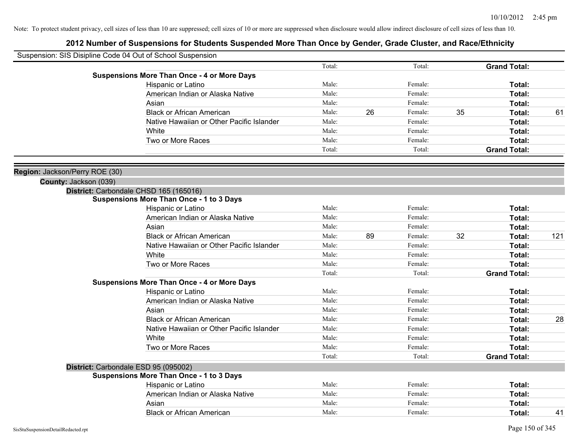| Suspension: SIS Disipline Code 04 Out of School Suspension |                                                    |        |    |         |    |                     |     |
|------------------------------------------------------------|----------------------------------------------------|--------|----|---------|----|---------------------|-----|
|                                                            |                                                    | Total: |    | Total:  |    | <b>Grand Total:</b> |     |
|                                                            | <b>Suspensions More Than Once - 4 or More Days</b> |        |    |         |    |                     |     |
|                                                            | Hispanic or Latino                                 | Male:  |    | Female: |    | Total:              |     |
|                                                            | American Indian or Alaska Native                   | Male:  |    | Female: |    | Total:              |     |
|                                                            | Asian                                              | Male:  |    | Female: |    | Total:              |     |
|                                                            | <b>Black or African American</b>                   | Male:  | 26 | Female: | 35 | Total:              | 61  |
|                                                            | Native Hawaiian or Other Pacific Islander          | Male:  |    | Female: |    | Total:              |     |
|                                                            | White                                              | Male:  |    | Female: |    | Total:              |     |
|                                                            | Two or More Races                                  | Male:  |    | Female: |    | Total:              |     |
|                                                            |                                                    | Total: |    | Total:  |    | <b>Grand Total:</b> |     |
| Region: Jackson/Perry ROE (30)                             |                                                    |        |    |         |    |                     |     |
| County: Jackson (039)                                      |                                                    |        |    |         |    |                     |     |
|                                                            | District: Carbondale CHSD 165 (165016)             |        |    |         |    |                     |     |
|                                                            | <b>Suspensions More Than Once - 1 to 3 Days</b>    |        |    |         |    |                     |     |
|                                                            | Hispanic or Latino                                 | Male:  |    | Female: |    | Total:              |     |
|                                                            | American Indian or Alaska Native                   | Male:  |    | Female: |    | Total:              |     |
|                                                            | Asian                                              | Male:  |    | Female: |    | Total:              |     |
|                                                            | <b>Black or African American</b>                   | Male:  | 89 | Female: | 32 | Total:              | 121 |
|                                                            | Native Hawaiian or Other Pacific Islander          | Male:  |    | Female: |    | Total:              |     |
|                                                            | White                                              | Male:  |    | Female: |    | Total:              |     |
|                                                            | Two or More Races                                  | Male:  |    | Female: |    | Total:              |     |
|                                                            |                                                    | Total: |    | Total:  |    | <b>Grand Total:</b> |     |
|                                                            | <b>Suspensions More Than Once - 4 or More Days</b> |        |    |         |    |                     |     |
|                                                            | Hispanic or Latino                                 | Male:  |    | Female: |    | Total:              |     |
|                                                            | American Indian or Alaska Native                   | Male:  |    | Female: |    | Total:              |     |
|                                                            | Asian                                              | Male:  |    | Female: |    | Total:              |     |
|                                                            | <b>Black or African American</b>                   | Male:  |    | Female: |    | Total:              | 28  |
|                                                            | Native Hawaiian or Other Pacific Islander          | Male:  |    | Female: |    | Total:              |     |
|                                                            | <b>White</b>                                       | Male:  |    | Female: |    | Total:              |     |
|                                                            | Two or More Races                                  | Male:  |    | Female: |    | Total:              |     |
|                                                            |                                                    | Total: |    | Total:  |    | <b>Grand Total:</b> |     |
|                                                            | District: Carbondale ESD 95 (095002)               |        |    |         |    |                     |     |
|                                                            | <b>Suspensions More Than Once - 1 to 3 Days</b>    |        |    |         |    |                     |     |
|                                                            | Hispanic or Latino                                 | Male:  |    | Female: |    | Total:              |     |
|                                                            | American Indian or Alaska Native                   | Male:  |    | Female: |    | Total:              |     |
|                                                            | Asian                                              | Male:  |    | Female: |    | Total:              |     |
|                                                            | <b>Black or African American</b>                   | Male:  |    | Female: |    | Total:              | 41  |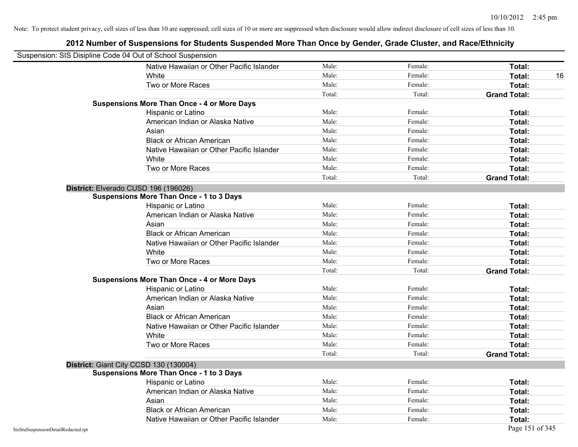| Suspension: SIS Disipline Code 04 Out of School Suspension |                                                    |        |         |                     |
|------------------------------------------------------------|----------------------------------------------------|--------|---------|---------------------|
|                                                            | Native Hawaiian or Other Pacific Islander          | Male:  | Female: | Total:              |
|                                                            | White                                              | Male:  | Female: | Total:<br>16        |
|                                                            | Two or More Races                                  | Male:  | Female: | Total:              |
|                                                            |                                                    | Total: | Total:  | <b>Grand Total:</b> |
|                                                            | <b>Suspensions More Than Once - 4 or More Days</b> |        |         |                     |
|                                                            | Hispanic or Latino                                 | Male:  | Female: | Total:              |
|                                                            | American Indian or Alaska Native                   | Male:  | Female: | Total:              |
|                                                            | Asian                                              | Male:  | Female: | Total:              |
|                                                            | <b>Black or African American</b>                   | Male:  | Female: | Total:              |
|                                                            | Native Hawaiian or Other Pacific Islander          | Male:  | Female: | Total:              |
|                                                            | White                                              | Male:  | Female: | Total:              |
|                                                            | Two or More Races                                  | Male:  | Female: | Total:              |
|                                                            |                                                    | Total: | Total:  | <b>Grand Total:</b> |
|                                                            | District: Elverado CUSD 196 (196026)               |        |         |                     |
|                                                            | <b>Suspensions More Than Once - 1 to 3 Days</b>    |        |         |                     |
|                                                            | Hispanic or Latino                                 | Male:  | Female: | Total:              |
|                                                            | American Indian or Alaska Native                   | Male:  | Female: | Total:              |
|                                                            | Asian                                              | Male:  | Female: | Total:              |
|                                                            | <b>Black or African American</b>                   | Male:  | Female: | Total:              |
|                                                            | Native Hawaiian or Other Pacific Islander          | Male:  | Female: | Total:              |
|                                                            | White                                              | Male:  | Female: | Total:              |
|                                                            | Two or More Races                                  | Male:  | Female: | Total:              |
|                                                            |                                                    | Total: | Total:  | <b>Grand Total:</b> |
|                                                            | <b>Suspensions More Than Once - 4 or More Days</b> |        |         |                     |
|                                                            | Hispanic or Latino                                 | Male:  | Female: | Total:              |
|                                                            | American Indian or Alaska Native                   | Male:  | Female: | Total:              |
|                                                            | Asian                                              | Male:  | Female: | Total:              |
|                                                            | <b>Black or African American</b>                   | Male:  | Female: | Total:              |
|                                                            | Native Hawaiian or Other Pacific Islander          | Male:  | Female: | Total:              |
|                                                            | White                                              | Male:  | Female: | Total:              |
|                                                            | Two or More Races                                  | Male:  | Female: | Total:              |
|                                                            |                                                    | Total: | Total:  | <b>Grand Total:</b> |
|                                                            | District: Giant City CCSD 130 (130004)             |        |         |                     |
|                                                            | <b>Suspensions More Than Once - 1 to 3 Days</b>    |        |         |                     |
|                                                            | Hispanic or Latino                                 | Male:  | Female: | Total:              |
|                                                            | American Indian or Alaska Native                   | Male:  | Female: | Total:              |
|                                                            | Asian                                              | Male:  | Female: | Total:              |
|                                                            | <b>Black or African American</b>                   | Male:  | Female: | Total:              |
|                                                            | Native Hawaiian or Other Pacific Islander          | Male:  | Female: | Total:              |
| SisStuSuspensionDetailRedacted.rpt                         |                                                    |        |         | Page 151 of 345     |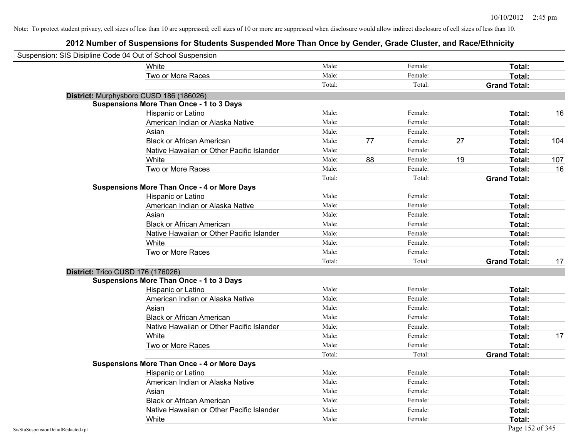| Suspension: SIS Disipline Code 04 Out of School Suspension |                                                    |        |    |         |                     |     |
|------------------------------------------------------------|----------------------------------------------------|--------|----|---------|---------------------|-----|
|                                                            | White                                              | Male:  |    | Female: | Total:              |     |
|                                                            | Two or More Races                                  | Male:  |    | Female: | Total:              |     |
|                                                            |                                                    | Total: |    | Total:  | <b>Grand Total:</b> |     |
|                                                            | District: Murphysboro CUSD 186 (186026)            |        |    |         |                     |     |
|                                                            | <b>Suspensions More Than Once - 1 to 3 Days</b>    |        |    |         |                     |     |
|                                                            | Hispanic or Latino                                 | Male:  |    | Female: | Total:              | 16  |
|                                                            | American Indian or Alaska Native                   | Male:  |    | Female: | Total:              |     |
|                                                            | Asian                                              | Male:  |    | Female: | Total:              |     |
|                                                            | <b>Black or African American</b>                   | Male:  | 77 | Female: | 27<br>Total:        | 104 |
|                                                            | Native Hawaiian or Other Pacific Islander          | Male:  |    | Female: | Total:              |     |
|                                                            | White                                              | Male:  | 88 | Female: | 19<br>Total:        | 107 |
|                                                            | Two or More Races                                  | Male:  |    | Female: | Total:              | 16  |
|                                                            |                                                    | Total: |    | Total:  | <b>Grand Total:</b> |     |
|                                                            | <b>Suspensions More Than Once - 4 or More Days</b> |        |    |         |                     |     |
|                                                            | Hispanic or Latino                                 | Male:  |    | Female: | Total:              |     |
|                                                            | American Indian or Alaska Native                   | Male:  |    | Female: | Total:              |     |
|                                                            | Asian                                              | Male:  |    | Female: | Total:              |     |
|                                                            | <b>Black or African American</b>                   | Male:  |    | Female: | Total:              |     |
|                                                            | Native Hawaiian or Other Pacific Islander          | Male:  |    | Female: | Total:              |     |
|                                                            | White                                              | Male:  |    | Female: | Total:              |     |
|                                                            | Two or More Races                                  | Male:  |    | Female: | Total:              |     |
|                                                            |                                                    | Total: |    | Total:  | <b>Grand Total:</b> | 17  |
|                                                            | District: Trico CUSD 176 (176026)                  |        |    |         |                     |     |
|                                                            | <b>Suspensions More Than Once - 1 to 3 Days</b>    |        |    |         |                     |     |
|                                                            | Hispanic or Latino                                 | Male:  |    | Female: | Total:              |     |
|                                                            | American Indian or Alaska Native                   | Male:  |    | Female: | Total:              |     |
|                                                            | Asian                                              | Male:  |    | Female: | Total:              |     |
|                                                            | <b>Black or African American</b>                   | Male:  |    | Female: | Total:              |     |
|                                                            | Native Hawaiian or Other Pacific Islander          | Male:  |    | Female: | Total:              |     |
|                                                            | White                                              | Male:  |    | Female: | Total:              | 17  |
|                                                            | Two or More Races                                  | Male:  |    | Female: | Total:              |     |
|                                                            |                                                    | Total: |    | Total:  | <b>Grand Total:</b> |     |
|                                                            | <b>Suspensions More Than Once - 4 or More Days</b> |        |    |         |                     |     |
|                                                            | Hispanic or Latino                                 | Male:  |    | Female: | Total:              |     |
|                                                            | American Indian or Alaska Native                   | Male:  |    | Female: | Total:              |     |
|                                                            | Asian                                              | Male:  |    | Female: | Total:              |     |
|                                                            | <b>Black or African American</b>                   | Male:  |    | Female: | Total:              |     |
|                                                            | Native Hawaiian or Other Pacific Islander          | Male:  |    | Female: | Total:              |     |
|                                                            | White                                              | Male:  |    | Female: | Total:              |     |
| SisStuSuspensionDetailRedacted.rpt                         |                                                    |        |    |         | Page 152 of 345     |     |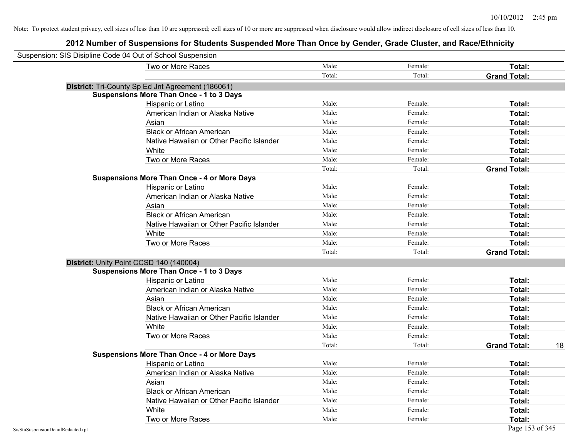| Suspension: SIS Disipline Code 04 Out of School Suspension |                                                    |        |         |                     |    |
|------------------------------------------------------------|----------------------------------------------------|--------|---------|---------------------|----|
|                                                            | Two or More Races                                  | Male:  | Female: | Total:              |    |
|                                                            |                                                    | Total: | Total:  | <b>Grand Total:</b> |    |
|                                                            | District: Tri-County Sp Ed Jnt Agreement (186061)  |        |         |                     |    |
|                                                            | <b>Suspensions More Than Once - 1 to 3 Days</b>    |        |         |                     |    |
|                                                            | Hispanic or Latino                                 | Male:  | Female: | Total:              |    |
|                                                            | American Indian or Alaska Native                   | Male:  | Female: | Total:              |    |
|                                                            | Asian                                              | Male:  | Female: | Total:              |    |
|                                                            | <b>Black or African American</b>                   | Male:  | Female: | Total:              |    |
|                                                            | Native Hawaiian or Other Pacific Islander          | Male:  | Female: | Total:              |    |
|                                                            | White                                              | Male:  | Female: | Total:              |    |
|                                                            | Two or More Races                                  | Male:  | Female: | Total:              |    |
|                                                            |                                                    | Total: | Total:  | <b>Grand Total:</b> |    |
|                                                            | <b>Suspensions More Than Once - 4 or More Days</b> |        |         |                     |    |
|                                                            | Hispanic or Latino                                 | Male:  | Female: | Total:              |    |
|                                                            | American Indian or Alaska Native                   | Male:  | Female: | Total:              |    |
|                                                            | Asian                                              | Male:  | Female: | Total:              |    |
|                                                            | <b>Black or African American</b>                   | Male:  | Female: | Total:              |    |
|                                                            | Native Hawaiian or Other Pacific Islander          | Male:  | Female: | Total:              |    |
|                                                            | White                                              | Male:  | Female: | Total:              |    |
|                                                            | Two or More Races                                  | Male:  | Female: | Total:              |    |
|                                                            |                                                    | Total: | Total:  | <b>Grand Total:</b> |    |
|                                                            | District: Unity Point CCSD 140 (140004)            |        |         |                     |    |
|                                                            | <b>Suspensions More Than Once - 1 to 3 Days</b>    |        |         |                     |    |
|                                                            | Hispanic or Latino                                 | Male:  | Female: | Total:              |    |
|                                                            | American Indian or Alaska Native                   | Male:  | Female: | Total:              |    |
|                                                            | Asian                                              | Male:  | Female: | Total:              |    |
|                                                            | <b>Black or African American</b>                   | Male:  | Female: | Total:              |    |
|                                                            | Native Hawaiian or Other Pacific Islander          | Male:  | Female: | Total:              |    |
|                                                            | White                                              | Male:  | Female: | Total:              |    |
|                                                            | Two or More Races                                  | Male:  | Female: | Total:              |    |
|                                                            |                                                    | Total: | Total:  | <b>Grand Total:</b> | 18 |
|                                                            | <b>Suspensions More Than Once - 4 or More Days</b> |        |         |                     |    |
|                                                            | Hispanic or Latino                                 | Male:  | Female: | Total:              |    |
|                                                            | American Indian or Alaska Native                   | Male:  | Female: | Total:              |    |
|                                                            | Asian                                              | Male:  | Female: | Total:              |    |
|                                                            | <b>Black or African American</b>                   | Male:  | Female: | Total:              |    |
|                                                            | Native Hawaiian or Other Pacific Islander          | Male:  | Female: | Total:              |    |
|                                                            | White                                              | Male:  | Female: | Total:              |    |
|                                                            | Two or More Races                                  | Male:  | Female: | Total:              |    |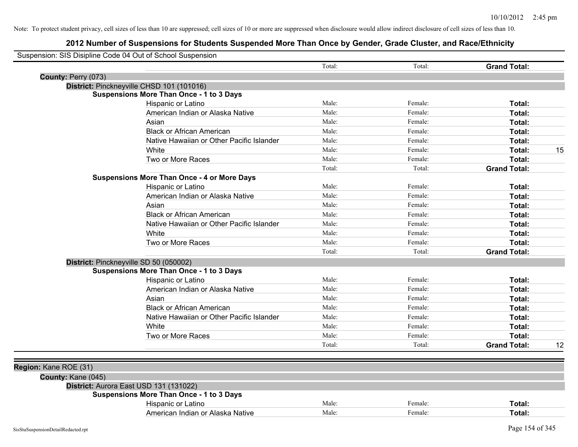|                       | Suspension: SIS Disipline Code 04 Out of School Suspension |        |         |                     |    |
|-----------------------|------------------------------------------------------------|--------|---------|---------------------|----|
|                       |                                                            | Total: | Total:  | <b>Grand Total:</b> |    |
| County: Perry (073)   |                                                            |        |         |                     |    |
|                       | District: Pinckneyville CHSD 101 (101016)                  |        |         |                     |    |
|                       | <b>Suspensions More Than Once - 1 to 3 Days</b>            |        |         |                     |    |
|                       | Hispanic or Latino                                         | Male:  | Female: | Total:              |    |
|                       | American Indian or Alaska Native                           | Male:  | Female: | Total:              |    |
|                       | Asian                                                      | Male:  | Female: | Total:              |    |
|                       | <b>Black or African American</b>                           | Male:  | Female: | Total:              |    |
|                       | Native Hawaiian or Other Pacific Islander                  | Male:  | Female: | Total:              |    |
|                       | White                                                      | Male:  | Female: | Total:              | 15 |
|                       | Two or More Races                                          | Male:  | Female: | Total:              |    |
|                       |                                                            | Total: | Total:  | <b>Grand Total:</b> |    |
|                       | <b>Suspensions More Than Once - 4 or More Days</b>         |        |         |                     |    |
|                       | Hispanic or Latino                                         | Male:  | Female: | Total:              |    |
|                       | American Indian or Alaska Native                           | Male:  | Female: | Total:              |    |
|                       | Asian                                                      | Male:  | Female: | Total:              |    |
|                       | <b>Black or African American</b>                           | Male:  | Female: | Total:              |    |
|                       | Native Hawaiian or Other Pacific Islander                  | Male:  | Female: | Total:              |    |
|                       | White                                                      | Male:  | Female: | Total:              |    |
|                       | Two or More Races                                          | Male:  | Female: | Total:              |    |
|                       |                                                            | Total: | Total:  | <b>Grand Total:</b> |    |
|                       | District: Pinckneyville SD 50 (050002)                     |        |         |                     |    |
|                       | <b>Suspensions More Than Once - 1 to 3 Days</b>            |        |         |                     |    |
|                       | Hispanic or Latino                                         | Male:  | Female: | Total:              |    |
|                       | American Indian or Alaska Native                           | Male:  | Female: | Total:              |    |
|                       | Asian                                                      | Male:  | Female: | Total:              |    |
|                       | <b>Black or African American</b>                           | Male:  | Female: | Total:              |    |
|                       | Native Hawaiian or Other Pacific Islander                  | Male:  | Female: | Total:              |    |
|                       | White                                                      | Male:  | Female: | Total:              |    |
|                       | Two or More Races                                          | Male:  | Female: | Total:              |    |
|                       |                                                            | Total: | Total:  | <b>Grand Total:</b> | 12 |
| Region: Kane ROE (31) |                                                            |        |         |                     |    |
| County: Kane (045)    |                                                            |        |         |                     |    |
|                       | District: Aurora East USD 131 (131022)                     |        |         |                     |    |
|                       | <b>Suspensions More Than Once - 1 to 3 Days</b>            |        |         |                     |    |
|                       | Hispanic or Latino                                         | Male:  | Female: | Total:              |    |
|                       | American Indian or Alaska Native                           | Male:  | Female: | Total:              |    |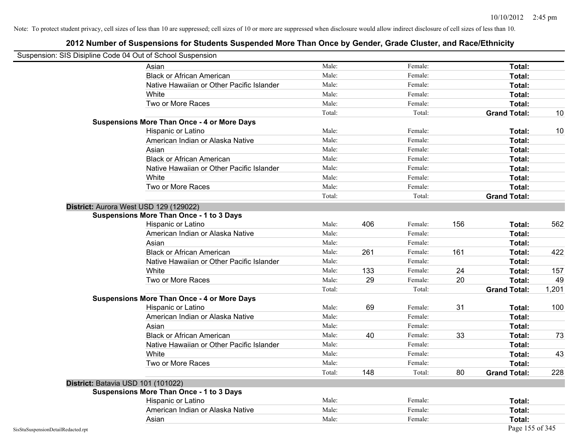|                                    | Suspension: SIS Disipline Code 04 Out of School Suspension |        |     |         |     |                     |       |
|------------------------------------|------------------------------------------------------------|--------|-----|---------|-----|---------------------|-------|
|                                    | Asian                                                      | Male:  |     | Female: |     | Total:              |       |
|                                    | <b>Black or African American</b>                           | Male:  |     | Female: |     | Total:              |       |
|                                    | Native Hawaiian or Other Pacific Islander                  | Male:  |     | Female: |     | Total:              |       |
|                                    | White                                                      | Male:  |     | Female: |     | Total:              |       |
|                                    | Two or More Races                                          | Male:  |     | Female: |     | Total:              |       |
|                                    |                                                            | Total: |     | Total:  |     | <b>Grand Total:</b> | 10    |
|                                    | <b>Suspensions More Than Once - 4 or More Days</b>         |        |     |         |     |                     |       |
|                                    | Hispanic or Latino                                         | Male:  |     | Female: |     | Total:              | 10    |
|                                    | American Indian or Alaska Native                           | Male:  |     | Female: |     | Total:              |       |
|                                    | Asian                                                      | Male:  |     | Female: |     | Total:              |       |
|                                    | <b>Black or African American</b>                           | Male:  |     | Female: |     | Total:              |       |
|                                    | Native Hawaiian or Other Pacific Islander                  | Male:  |     | Female: |     | Total:              |       |
|                                    | White                                                      | Male:  |     | Female: |     | Total:              |       |
|                                    | Two or More Races                                          | Male:  |     | Female: |     | Total:              |       |
|                                    |                                                            | Total: |     | Total:  |     | <b>Grand Total:</b> |       |
|                                    | District: Aurora West USD 129 (129022)                     |        |     |         |     |                     |       |
|                                    | <b>Suspensions More Than Once - 1 to 3 Days</b>            |        |     |         |     |                     |       |
|                                    | Hispanic or Latino                                         | Male:  | 406 | Female: | 156 | Total:              | 562   |
|                                    | American Indian or Alaska Native                           | Male:  |     | Female: |     | Total:              |       |
|                                    | Asian                                                      | Male:  |     | Female: |     | Total:              |       |
|                                    | <b>Black or African American</b>                           | Male:  | 261 | Female: | 161 | Total:              | 422   |
|                                    | Native Hawaiian or Other Pacific Islander                  | Male:  |     | Female: |     | Total:              |       |
|                                    | White                                                      | Male:  | 133 | Female: | 24  | <b>Total:</b>       | 157   |
|                                    | Two or More Races                                          | Male:  | 29  | Female: | 20  | Total:              | 49    |
|                                    |                                                            | Total: |     | Total:  |     | <b>Grand Total:</b> | 1,201 |
|                                    | <b>Suspensions More Than Once - 4 or More Days</b>         |        |     |         |     |                     |       |
|                                    | Hispanic or Latino                                         | Male:  | 69  | Female: | 31  | Total:              | 100   |
|                                    | American Indian or Alaska Native                           | Male:  |     | Female: |     | <b>Total:</b>       |       |
|                                    | Asian                                                      | Male:  |     | Female: |     | Total:              |       |
|                                    | <b>Black or African American</b>                           | Male:  | 40  | Female: | 33  | Total:              | 73    |
|                                    | Native Hawaiian or Other Pacific Islander                  | Male:  |     | Female: |     | Total:              |       |
|                                    | White                                                      | Male:  |     | Female: |     | Total:              | 43    |
|                                    | Two or More Races                                          | Male:  |     | Female: |     | Total:              |       |
|                                    |                                                            | Total: | 148 | Total:  | 80  | <b>Grand Total:</b> | 228   |
|                                    | District: Batavia USD 101 (101022)                         |        |     |         |     |                     |       |
|                                    | <b>Suspensions More Than Once - 1 to 3 Days</b>            |        |     |         |     |                     |       |
|                                    | Hispanic or Latino                                         | Male:  |     | Female: |     | Total:              |       |
|                                    | American Indian or Alaska Native                           | Male:  |     | Female: |     | Total:              |       |
|                                    | Asian                                                      | Male:  |     | Female: |     | <b>Total:</b>       |       |
| SisStuSuspensionDetailRedacted.rpt |                                                            |        |     |         |     | Page 155 of 345     |       |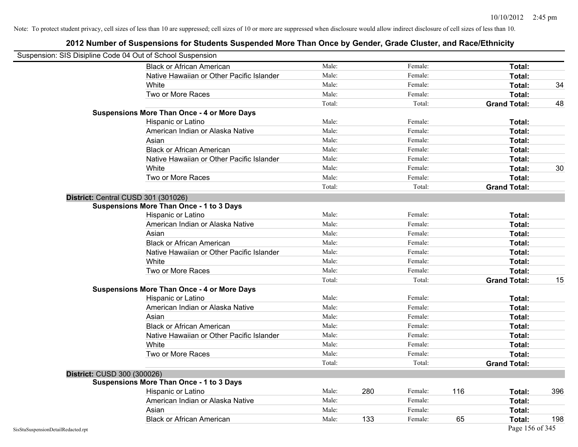| Suspension: SIS Disipline Code 04 Out of School Suspension |                                                    |        |     |         |     |                     |     |
|------------------------------------------------------------|----------------------------------------------------|--------|-----|---------|-----|---------------------|-----|
|                                                            | <b>Black or African American</b>                   | Male:  |     | Female: |     | Total:              |     |
|                                                            | Native Hawaiian or Other Pacific Islander          | Male:  |     | Female: |     | Total:              |     |
|                                                            | White                                              | Male:  |     | Female: |     | Total:              | 34  |
|                                                            | Two or More Races                                  | Male:  |     | Female: |     | Total:              |     |
|                                                            |                                                    | Total: |     | Total:  |     | <b>Grand Total:</b> | 48  |
|                                                            | <b>Suspensions More Than Once - 4 or More Days</b> |        |     |         |     |                     |     |
|                                                            | Hispanic or Latino                                 | Male:  |     | Female: |     | Total:              |     |
|                                                            | American Indian or Alaska Native                   | Male:  |     | Female: |     | Total:              |     |
|                                                            | Asian                                              | Male:  |     | Female: |     | Total:              |     |
|                                                            | <b>Black or African American</b>                   | Male:  |     | Female: |     | Total:              |     |
|                                                            | Native Hawaiian or Other Pacific Islander          | Male:  |     | Female: |     | Total:              |     |
|                                                            | White                                              | Male:  |     | Female: |     | Total:              | 30  |
|                                                            | Two or More Races                                  | Male:  |     | Female: |     | Total:              |     |
|                                                            |                                                    | Total: |     | Total:  |     | <b>Grand Total:</b> |     |
|                                                            | District: Central CUSD 301 (301026)                |        |     |         |     |                     |     |
|                                                            | <b>Suspensions More Than Once - 1 to 3 Days</b>    |        |     |         |     |                     |     |
|                                                            | Hispanic or Latino                                 | Male:  |     | Female: |     | Total:              |     |
|                                                            | American Indian or Alaska Native                   | Male:  |     | Female: |     | Total:              |     |
|                                                            | Asian                                              | Male:  |     | Female: |     | Total:              |     |
|                                                            | <b>Black or African American</b>                   | Male:  |     | Female: |     | Total:              |     |
|                                                            | Native Hawaiian or Other Pacific Islander          | Male:  |     | Female: |     | Total:              |     |
|                                                            | White                                              | Male:  |     | Female: |     | Total:              |     |
|                                                            | Two or More Races                                  | Male:  |     | Female: |     | Total:              |     |
|                                                            |                                                    | Total: |     | Total:  |     | <b>Grand Total:</b> | 15  |
|                                                            | <b>Suspensions More Than Once - 4 or More Days</b> |        |     |         |     |                     |     |
|                                                            | Hispanic or Latino                                 | Male:  |     | Female: |     | Total:              |     |
|                                                            | American Indian or Alaska Native                   | Male:  |     | Female: |     | Total:              |     |
|                                                            | Asian                                              | Male:  |     | Female: |     | Total:              |     |
|                                                            | <b>Black or African American</b>                   | Male:  |     | Female: |     | Total:              |     |
|                                                            | Native Hawaiian or Other Pacific Islander          | Male:  |     | Female: |     | Total:              |     |
|                                                            | White                                              | Male:  |     | Female: |     | Total:              |     |
|                                                            | Two or More Races                                  | Male:  |     | Female: |     | Total:              |     |
|                                                            |                                                    | Total: |     | Total:  |     | <b>Grand Total:</b> |     |
| District: CUSD 300 (300026)                                |                                                    |        |     |         |     |                     |     |
|                                                            | <b>Suspensions More Than Once - 1 to 3 Days</b>    |        |     |         |     |                     |     |
|                                                            | Hispanic or Latino                                 | Male:  | 280 | Female: | 116 | Total:              | 396 |
|                                                            | American Indian or Alaska Native                   | Male:  |     | Female: |     | Total:              |     |
|                                                            | Asian                                              | Male:  |     | Female: |     | Total:              |     |
|                                                            | <b>Black or African American</b>                   | Male:  | 133 | Female: | 65  | Total:              | 198 |
| SisStuSuspensionDetailRedacted.rpt                         |                                                    |        |     |         |     | Page 156 of 345     |     |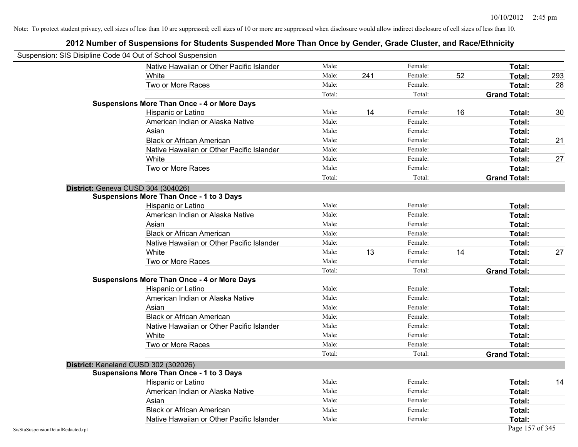| Suspension: SIS Disipline Code 04 Out of School Suspension |                                                    |        |     |         |    |                     |     |
|------------------------------------------------------------|----------------------------------------------------|--------|-----|---------|----|---------------------|-----|
|                                                            | Native Hawaiian or Other Pacific Islander          | Male:  |     | Female: |    | Total:              |     |
|                                                            | White                                              | Male:  | 241 | Female: | 52 | Total:              | 293 |
|                                                            | Two or More Races                                  | Male:  |     | Female: |    | Total:              | 28  |
|                                                            |                                                    | Total: |     | Total:  |    | <b>Grand Total:</b> |     |
|                                                            | <b>Suspensions More Than Once - 4 or More Days</b> |        |     |         |    |                     |     |
|                                                            | Hispanic or Latino                                 | Male:  | 14  | Female: | 16 | Total:              | 30  |
|                                                            | American Indian or Alaska Native                   | Male:  |     | Female: |    | Total:              |     |
|                                                            | Asian                                              | Male:  |     | Female: |    | Total:              |     |
|                                                            | <b>Black or African American</b>                   | Male:  |     | Female: |    | Total:              | 21  |
|                                                            | Native Hawaiian or Other Pacific Islander          | Male:  |     | Female: |    | Total:              |     |
|                                                            | White                                              | Male:  |     | Female: |    | Total:              | 27  |
|                                                            | Two or More Races                                  | Male:  |     | Female: |    | Total:              |     |
|                                                            |                                                    | Total: |     | Total:  |    | <b>Grand Total:</b> |     |
|                                                            | District: Geneva CUSD 304 (304026)                 |        |     |         |    |                     |     |
|                                                            | Suspensions More Than Once - 1 to 3 Days           |        |     |         |    |                     |     |
|                                                            | Hispanic or Latino                                 | Male:  |     | Female: |    | Total:              |     |
|                                                            | American Indian or Alaska Native                   | Male:  |     | Female: |    | Total:              |     |
|                                                            | Asian                                              | Male:  |     | Female: |    | Total:              |     |
|                                                            | <b>Black or African American</b>                   | Male:  |     | Female: |    | Total:              |     |
|                                                            | Native Hawaiian or Other Pacific Islander          | Male:  |     | Female: |    | Total:              |     |
|                                                            | White                                              | Male:  | 13  | Female: | 14 | Total:              | 27  |
|                                                            | Two or More Races                                  | Male:  |     | Female: |    | Total:              |     |
|                                                            |                                                    | Total: |     | Total:  |    | <b>Grand Total:</b> |     |
|                                                            | <b>Suspensions More Than Once - 4 or More Days</b> |        |     |         |    |                     |     |
|                                                            | Hispanic or Latino                                 | Male:  |     | Female: |    | Total:              |     |
|                                                            | American Indian or Alaska Native                   | Male:  |     | Female: |    | Total:              |     |
|                                                            | Asian                                              | Male:  |     | Female: |    | Total:              |     |
|                                                            | <b>Black or African American</b>                   | Male:  |     | Female: |    | Total:              |     |
|                                                            | Native Hawaiian or Other Pacific Islander          | Male:  |     | Female: |    | Total:              |     |
|                                                            | White                                              | Male:  |     | Female: |    | Total:              |     |
|                                                            | Two or More Races                                  | Male:  |     | Female: |    | Total:              |     |
|                                                            |                                                    | Total: |     | Total:  |    | <b>Grand Total:</b> |     |
|                                                            | District: Kaneland CUSD 302 (302026)               |        |     |         |    |                     |     |
|                                                            | <b>Suspensions More Than Once - 1 to 3 Days</b>    |        |     |         |    |                     |     |
|                                                            | Hispanic or Latino                                 | Male:  |     | Female: |    | Total:              | 14  |
|                                                            | American Indian or Alaska Native                   | Male:  |     | Female: |    | Total:              |     |
|                                                            | Asian                                              | Male:  |     | Female: |    | Total:              |     |
|                                                            | <b>Black or African American</b>                   | Male:  |     | Female: |    | Total:              |     |
|                                                            | Native Hawaiian or Other Pacific Islander          | Male:  |     | Female: |    | Total:              |     |
| SisStuSuspensionDetailRedacted.rpt                         |                                                    |        |     |         |    | Page 157 of 345     |     |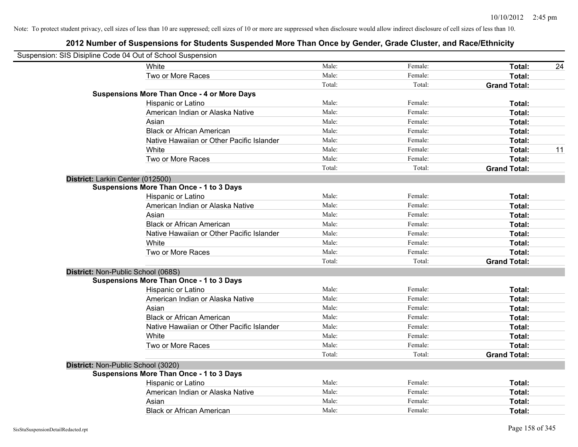| Suspension: SIS Disipline Code 04 Out of School Suspension |                                                    |        |         |                     |    |
|------------------------------------------------------------|----------------------------------------------------|--------|---------|---------------------|----|
|                                                            | <b>White</b>                                       | Male:  | Female: | Total:              | 24 |
|                                                            | Two or More Races                                  | Male:  | Female: | Total:              |    |
|                                                            |                                                    | Total: | Total:  | <b>Grand Total:</b> |    |
|                                                            | <b>Suspensions More Than Once - 4 or More Days</b> |        |         |                     |    |
|                                                            | Hispanic or Latino                                 | Male:  | Female: | Total:              |    |
|                                                            | American Indian or Alaska Native                   | Male:  | Female: | Total:              |    |
|                                                            | Asian                                              | Male:  | Female: | Total:              |    |
|                                                            | <b>Black or African American</b>                   | Male:  | Female: | Total:              |    |
|                                                            | Native Hawaiian or Other Pacific Islander          | Male:  | Female: | Total:              |    |
|                                                            | White                                              | Male:  | Female: | Total:              | 11 |
|                                                            | Two or More Races                                  | Male:  | Female: | Total:              |    |
|                                                            |                                                    | Total: | Total:  | <b>Grand Total:</b> |    |
| District: Larkin Center (012500)                           |                                                    |        |         |                     |    |
|                                                            | <b>Suspensions More Than Once - 1 to 3 Days</b>    |        |         |                     |    |
|                                                            | Hispanic or Latino                                 | Male:  | Female: | Total:              |    |
|                                                            | American Indian or Alaska Native                   | Male:  | Female: | Total:              |    |
|                                                            | Asian                                              | Male:  | Female: | Total:              |    |
|                                                            | <b>Black or African American</b>                   | Male:  | Female: | Total:              |    |
|                                                            | Native Hawaiian or Other Pacific Islander          | Male:  | Female: | Total:              |    |
|                                                            | White                                              | Male:  | Female: | Total:              |    |
|                                                            | Two or More Races                                  | Male:  | Female: | Total:              |    |
|                                                            |                                                    | Total: | Total:  | <b>Grand Total:</b> |    |
| District: Non-Public School (068S)                         |                                                    |        |         |                     |    |
|                                                            | <b>Suspensions More Than Once - 1 to 3 Days</b>    |        |         |                     |    |
|                                                            | Hispanic or Latino                                 | Male:  | Female: | Total:              |    |
|                                                            | American Indian or Alaska Native                   | Male:  | Female: | Total:              |    |
|                                                            | Asian                                              | Male:  | Female: | Total:              |    |
|                                                            | <b>Black or African American</b>                   | Male:  | Female: | Total:              |    |
|                                                            | Native Hawaiian or Other Pacific Islander          | Male:  | Female: | Total:              |    |
|                                                            | White                                              | Male:  | Female: | Total:              |    |
|                                                            | Two or More Races                                  | Male:  | Female: | Total:              |    |
|                                                            |                                                    | Total: | Total:  | <b>Grand Total:</b> |    |
| District: Non-Public School (3020)                         |                                                    |        |         |                     |    |
|                                                            | <b>Suspensions More Than Once - 1 to 3 Days</b>    |        |         |                     |    |
|                                                            | Hispanic or Latino                                 | Male:  | Female: | Total:              |    |
|                                                            | American Indian or Alaska Native                   | Male:  | Female: | Total:              |    |
|                                                            | Asian                                              | Male:  | Female: | Total:              |    |
|                                                            | <b>Black or African American</b>                   | Male:  | Female: | Total:              |    |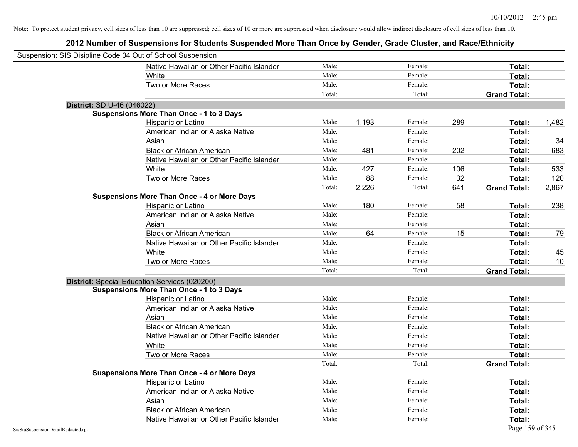| Suspension: SIS Disipline Code 04 Out of School Suspension |                                                    |        |       |         |     |                     |       |
|------------------------------------------------------------|----------------------------------------------------|--------|-------|---------|-----|---------------------|-------|
|                                                            | Native Hawaiian or Other Pacific Islander          | Male:  |       | Female: |     | Total:              |       |
|                                                            | White                                              | Male:  |       | Female: |     | Total:              |       |
|                                                            | Two or More Races                                  | Male:  |       | Female: |     | Total:              |       |
|                                                            |                                                    | Total: |       | Total:  |     | <b>Grand Total:</b> |       |
| District: SD U-46 (046022)                                 |                                                    |        |       |         |     |                     |       |
|                                                            | <b>Suspensions More Than Once - 1 to 3 Days</b>    |        |       |         |     |                     |       |
|                                                            | Hispanic or Latino                                 | Male:  | 1,193 | Female: | 289 | Total:              | 1,482 |
|                                                            | American Indian or Alaska Native                   | Male:  |       | Female: |     | Total:              |       |
|                                                            | Asian                                              | Male:  |       | Female: |     | Total:              | 34    |
|                                                            | <b>Black or African American</b>                   | Male:  | 481   | Female: | 202 | Total:              | 683   |
|                                                            | Native Hawaiian or Other Pacific Islander          | Male:  |       | Female: |     | Total:              |       |
|                                                            | White                                              | Male:  | 427   | Female: | 106 | Total:              | 533   |
|                                                            | Two or More Races                                  | Male:  | 88    | Female: | 32  | Total:              | 120   |
|                                                            |                                                    | Total: | 2,226 | Total:  | 641 | <b>Grand Total:</b> | 2,867 |
|                                                            | <b>Suspensions More Than Once - 4 or More Days</b> |        |       |         |     |                     |       |
|                                                            | Hispanic or Latino                                 | Male:  | 180   | Female: | 58  | Total:              | 238   |
|                                                            | American Indian or Alaska Native                   | Male:  |       | Female: |     | Total:              |       |
|                                                            | Asian                                              | Male:  |       | Female: |     | Total:              |       |
|                                                            | <b>Black or African American</b>                   | Male:  | 64    | Female: | 15  | Total:              | 79    |
|                                                            | Native Hawaiian or Other Pacific Islander          | Male:  |       | Female: |     | Total:              |       |
|                                                            | White                                              | Male:  |       | Female: |     | Total:              | 45    |
|                                                            | Two or More Races                                  | Male:  |       | Female: |     | Total:              | 10    |
|                                                            |                                                    | Total: |       | Total:  |     | <b>Grand Total:</b> |       |
|                                                            | District: Special Education Services (020200)      |        |       |         |     |                     |       |
|                                                            | <b>Suspensions More Than Once - 1 to 3 Days</b>    |        |       |         |     |                     |       |
|                                                            | Hispanic or Latino                                 | Male:  |       | Female: |     | Total:              |       |
|                                                            | American Indian or Alaska Native                   | Male:  |       | Female: |     | Total:              |       |
|                                                            | Asian                                              | Male:  |       | Female: |     | Total:              |       |
|                                                            | <b>Black or African American</b>                   | Male:  |       | Female: |     | Total:              |       |
|                                                            | Native Hawaiian or Other Pacific Islander          | Male:  |       | Female: |     | Total:              |       |
|                                                            | White                                              | Male:  |       | Female: |     | Total:              |       |
|                                                            | Two or More Races                                  | Male:  |       | Female: |     | Total:              |       |
|                                                            |                                                    | Total: |       | Total:  |     | <b>Grand Total:</b> |       |
|                                                            | <b>Suspensions More Than Once - 4 or More Days</b> |        |       |         |     |                     |       |
|                                                            | Hispanic or Latino                                 | Male:  |       | Female: |     | Total:              |       |
|                                                            | American Indian or Alaska Native                   | Male:  |       | Female: |     | Total:              |       |
|                                                            | Asian                                              | Male:  |       | Female: |     | Total:              |       |
|                                                            | <b>Black or African American</b>                   | Male:  |       | Female: |     | Total:              |       |
|                                                            | Native Hawaiian or Other Pacific Islander          | Male:  |       | Female: |     | Total:              |       |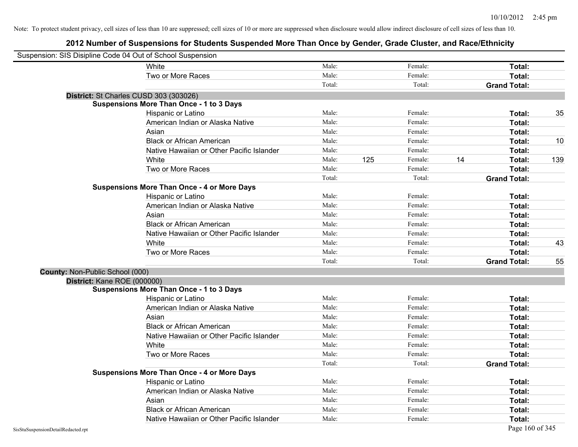| Suspension: SIS Disipline Code 04 Out of School Suspension |                                                    |        |     |         |                     |     |
|------------------------------------------------------------|----------------------------------------------------|--------|-----|---------|---------------------|-----|
|                                                            | White                                              | Male:  |     | Female: | Total:              |     |
|                                                            | Two or More Races                                  | Male:  |     | Female: | Total:              |     |
|                                                            |                                                    | Total: |     | Total:  | <b>Grand Total:</b> |     |
| District: St Charles CUSD 303 (303026)                     |                                                    |        |     |         |                     |     |
|                                                            | <b>Suspensions More Than Once - 1 to 3 Days</b>    |        |     |         |                     |     |
|                                                            | Hispanic or Latino                                 | Male:  |     | Female: | Total:              | 35  |
|                                                            | American Indian or Alaska Native                   | Male:  |     | Female: | Total:              |     |
|                                                            | Asian                                              | Male:  |     | Female: | Total:              |     |
|                                                            | <b>Black or African American</b>                   | Male:  |     | Female: | Total:              | 10  |
|                                                            | Native Hawaiian or Other Pacific Islander          | Male:  |     | Female: | Total:              |     |
|                                                            | White                                              | Male:  | 125 | Female: | 14<br>Total:        | 139 |
|                                                            | Two or More Races                                  | Male:  |     | Female: | Total:              |     |
|                                                            |                                                    | Total: |     | Total:  | <b>Grand Total:</b> |     |
|                                                            | <b>Suspensions More Than Once - 4 or More Days</b> |        |     |         |                     |     |
|                                                            | Hispanic or Latino                                 | Male:  |     | Female: | Total:              |     |
|                                                            | American Indian or Alaska Native                   | Male:  |     | Female: | Total:              |     |
|                                                            | Asian                                              | Male:  |     | Female: | Total:              |     |
|                                                            | <b>Black or African American</b>                   | Male:  |     | Female: | Total:              |     |
|                                                            | Native Hawaiian or Other Pacific Islander          | Male:  |     | Female: | Total:              |     |
|                                                            | White                                              | Male:  |     | Female: | Total:              | 43  |
|                                                            | Two or More Races                                  | Male:  |     | Female: | Total:              |     |
|                                                            |                                                    | Total: |     | Total:  | <b>Grand Total:</b> | 55  |
| County: Non-Public School (000)                            |                                                    |        |     |         |                     |     |
| District: Kane ROE (000000)                                |                                                    |        |     |         |                     |     |
|                                                            | <b>Suspensions More Than Once - 1 to 3 Days</b>    |        |     |         |                     |     |
|                                                            | Hispanic or Latino                                 | Male:  |     | Female: | Total:              |     |
|                                                            | American Indian or Alaska Native                   | Male:  |     | Female: | Total:              |     |
|                                                            | Asian                                              | Male:  |     | Female: | Total:              |     |
|                                                            | <b>Black or African American</b>                   | Male:  |     | Female: | Total:              |     |
|                                                            | Native Hawaiian or Other Pacific Islander          | Male:  |     | Female: | Total:              |     |
|                                                            | White                                              | Male:  |     | Female: | Total:              |     |
|                                                            | Two or More Races                                  | Male:  |     | Female: | Total:              |     |
|                                                            |                                                    | Total: |     | Total:  | <b>Grand Total:</b> |     |
|                                                            | <b>Suspensions More Than Once - 4 or More Days</b> |        |     |         |                     |     |
|                                                            | Hispanic or Latino                                 | Male:  |     | Female: | Total:              |     |
|                                                            | American Indian or Alaska Native                   | Male:  |     | Female: | Total:              |     |
|                                                            | Asian                                              | Male:  |     | Female: | Total:              |     |
|                                                            | <b>Black or African American</b>                   | Male:  |     | Female: | Total:              |     |
|                                                            | Native Hawaiian or Other Pacific Islander          | Male:  |     | Female: | Total:              |     |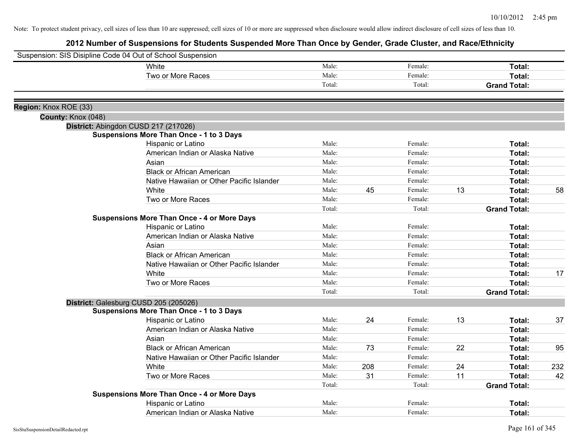| Suspension: SIS Disipline Code 04 Out of School Suspension |                                                    |        |     |         |    |                     |     |
|------------------------------------------------------------|----------------------------------------------------|--------|-----|---------|----|---------------------|-----|
|                                                            | White                                              | Male:  |     | Female: |    | Total:              |     |
|                                                            | Two or More Races                                  | Male:  |     | Female: |    | Total:              |     |
|                                                            |                                                    | Total: |     | Total:  |    | <b>Grand Total:</b> |     |
|                                                            |                                                    |        |     |         |    |                     |     |
| Region: Knox ROE (33)                                      |                                                    |        |     |         |    |                     |     |
| County: Knox (048)                                         |                                                    |        |     |         |    |                     |     |
|                                                            | District: Abingdon CUSD 217 (217026)               |        |     |         |    |                     |     |
|                                                            | <b>Suspensions More Than Once - 1 to 3 Days</b>    |        |     |         |    |                     |     |
|                                                            | Hispanic or Latino                                 | Male:  |     | Female: |    | Total:              |     |
|                                                            | American Indian or Alaska Native                   | Male:  |     | Female: |    | Total:              |     |
|                                                            | Asian                                              | Male:  |     | Female: |    | Total:              |     |
|                                                            | <b>Black or African American</b>                   | Male:  |     | Female: |    | Total:              |     |
|                                                            | Native Hawaiian or Other Pacific Islander          | Male:  |     | Female: |    | Total:              |     |
|                                                            | White                                              | Male:  | 45  | Female: | 13 | Total:              | 58  |
|                                                            | Two or More Races                                  | Male:  |     | Female: |    | Total:              |     |
|                                                            |                                                    | Total: |     | Total:  |    | <b>Grand Total:</b> |     |
|                                                            | <b>Suspensions More Than Once - 4 or More Days</b> |        |     |         |    |                     |     |
|                                                            | Hispanic or Latino                                 | Male:  |     | Female: |    | Total:              |     |
|                                                            | American Indian or Alaska Native                   | Male:  |     | Female: |    | Total:              |     |
|                                                            | Asian                                              | Male:  |     | Female: |    | Total:              |     |
|                                                            | <b>Black or African American</b>                   | Male:  |     | Female: |    | Total:              |     |
|                                                            | Native Hawaiian or Other Pacific Islander          | Male:  |     | Female: |    | Total:              |     |
|                                                            | White                                              | Male:  |     | Female: |    | Total:              | 17  |
|                                                            | Two or More Races                                  | Male:  |     | Female: |    | Total:              |     |
|                                                            |                                                    | Total: |     | Total:  |    | <b>Grand Total:</b> |     |
|                                                            | District: Galesburg CUSD 205 (205026)              |        |     |         |    |                     |     |
|                                                            | <b>Suspensions More Than Once - 1 to 3 Days</b>    |        |     |         |    |                     |     |
|                                                            | Hispanic or Latino                                 | Male:  | 24  | Female: | 13 | Total:              | 37  |
|                                                            | American Indian or Alaska Native                   | Male:  |     | Female: |    | Total:              |     |
|                                                            | Asian                                              | Male:  |     | Female: |    | Total:              |     |
|                                                            | <b>Black or African American</b>                   | Male:  | 73  | Female: | 22 | Total:              | 95  |
|                                                            | Native Hawaiian or Other Pacific Islander          | Male:  |     | Female: |    | Total:              |     |
|                                                            | White                                              | Male:  | 208 | Female: | 24 | Total:              | 232 |
|                                                            | Two or More Races                                  | Male:  | 31  | Female: | 11 | Total:              | 42  |
|                                                            |                                                    | Total: |     | Total:  |    | <b>Grand Total:</b> |     |
|                                                            | <b>Suspensions More Than Once - 4 or More Days</b> |        |     |         |    |                     |     |
|                                                            | Hispanic or Latino                                 | Male:  |     | Female: |    | Total:              |     |
|                                                            | American Indian or Alaska Native                   | Male:  |     | Female: |    | Total:              |     |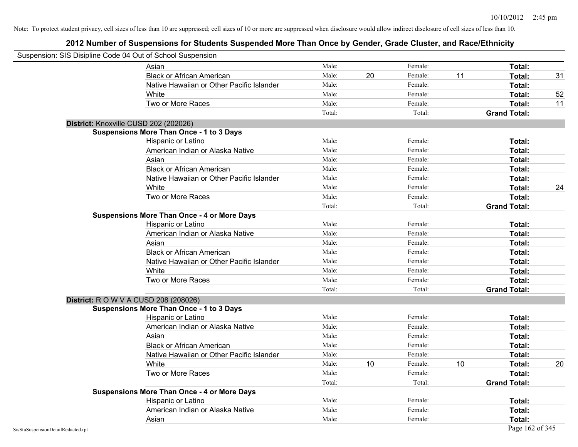| Suspension: SIS Disipline Code 04 Out of School Suspension |                                                    |        |    |         |    |                     |    |
|------------------------------------------------------------|----------------------------------------------------|--------|----|---------|----|---------------------|----|
|                                                            | Asian                                              | Male:  |    | Female: |    | Total:              |    |
|                                                            | <b>Black or African American</b>                   | Male:  | 20 | Female: | 11 | Total:              | 31 |
|                                                            | Native Hawaiian or Other Pacific Islander          | Male:  |    | Female: |    | Total:              |    |
|                                                            | White                                              | Male:  |    | Female: |    | Total:              | 52 |
|                                                            | Two or More Races                                  | Male:  |    | Female: |    | Total:              | 11 |
|                                                            |                                                    | Total: |    | Total:  |    | <b>Grand Total:</b> |    |
|                                                            | District: Knoxville CUSD 202 (202026)              |        |    |         |    |                     |    |
|                                                            | <b>Suspensions More Than Once - 1 to 3 Days</b>    |        |    |         |    |                     |    |
|                                                            | Hispanic or Latino                                 | Male:  |    | Female: |    | Total:              |    |
|                                                            | American Indian or Alaska Native                   | Male:  |    | Female: |    | Total:              |    |
|                                                            | Asian                                              | Male:  |    | Female: |    | Total:              |    |
|                                                            | <b>Black or African American</b>                   | Male:  |    | Female: |    | Total:              |    |
|                                                            | Native Hawaiian or Other Pacific Islander          | Male:  |    | Female: |    | Total:              |    |
|                                                            | White                                              | Male:  |    | Female: |    | Total:              | 24 |
|                                                            | Two or More Races                                  | Male:  |    | Female: |    | Total:              |    |
|                                                            |                                                    | Total: |    | Total:  |    | <b>Grand Total:</b> |    |
|                                                            | <b>Suspensions More Than Once - 4 or More Days</b> |        |    |         |    |                     |    |
|                                                            | Hispanic or Latino                                 | Male:  |    | Female: |    | Total:              |    |
|                                                            | American Indian or Alaska Native                   | Male:  |    | Female: |    | Total:              |    |
|                                                            | Asian                                              | Male:  |    | Female: |    | Total:              |    |
|                                                            | <b>Black or African American</b>                   | Male:  |    | Female: |    | Total:              |    |
|                                                            | Native Hawaiian or Other Pacific Islander          | Male:  |    | Female: |    | Total:              |    |
|                                                            | White                                              | Male:  |    | Female: |    | Total:              |    |
|                                                            | Two or More Races                                  | Male:  |    | Female: |    | Total:              |    |
|                                                            |                                                    | Total: |    | Total:  |    | <b>Grand Total:</b> |    |
|                                                            | <b>District: R O W V A CUSD 208 (208026)</b>       |        |    |         |    |                     |    |
|                                                            | <b>Suspensions More Than Once - 1 to 3 Days</b>    |        |    |         |    |                     |    |
|                                                            | Hispanic or Latino                                 | Male:  |    | Female: |    | Total:              |    |
|                                                            | American Indian or Alaska Native                   | Male:  |    | Female: |    | Total:              |    |
|                                                            | Asian                                              | Male:  |    | Female: |    | Total:              |    |
|                                                            | <b>Black or African American</b>                   | Male:  |    | Female: |    | Total:              |    |
|                                                            | Native Hawaiian or Other Pacific Islander          | Male:  |    | Female: |    | Total:              |    |
|                                                            | White                                              | Male:  | 10 | Female: | 10 | Total:              | 20 |
|                                                            | Two or More Races                                  | Male:  |    | Female: |    | Total:              |    |
|                                                            |                                                    | Total: |    | Total:  |    | <b>Grand Total:</b> |    |
|                                                            | <b>Suspensions More Than Once - 4 or More Days</b> |        |    |         |    |                     |    |
|                                                            | Hispanic or Latino                                 | Male:  |    | Female: |    | Total:              |    |
|                                                            | American Indian or Alaska Native                   | Male:  |    | Female: |    | Total:              |    |
|                                                            | Asian                                              | Male:  |    | Female: |    | Total:              |    |
| SisStuSuspensionDetailRedacted.rpt                         |                                                    |        |    |         |    | Page 162 of 345     |    |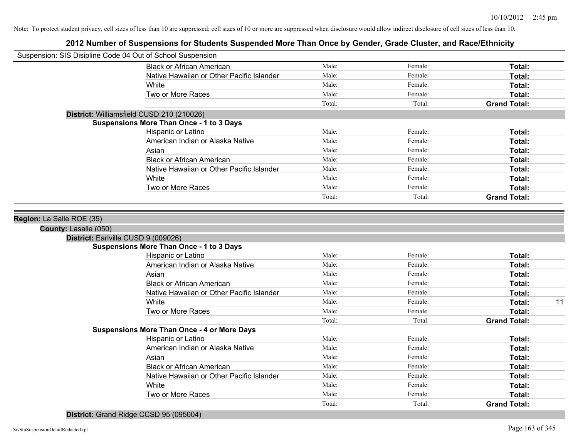| Suspension: SIS Disipline Code 04 Out of School Suspension |                                                    |        |         |                     |    |
|------------------------------------------------------------|----------------------------------------------------|--------|---------|---------------------|----|
|                                                            | <b>Black or African American</b>                   | Male:  | Female: | Total:              |    |
|                                                            | Native Hawaiian or Other Pacific Islander          | Male:  | Female: | Total:              |    |
|                                                            | White                                              | Male:  | Female: | Total:              |    |
|                                                            | Two or More Races                                  | Male:  | Female: | Total:              |    |
|                                                            |                                                    | Total: | Total:  | <b>Grand Total:</b> |    |
|                                                            | District: Williamsfield CUSD 210 (210026)          |        |         |                     |    |
|                                                            | <b>Suspensions More Than Once - 1 to 3 Days</b>    |        |         |                     |    |
|                                                            | Hispanic or Latino                                 | Male:  | Female: | Total:              |    |
|                                                            | American Indian or Alaska Native                   | Male:  | Female: | Total:              |    |
|                                                            | Asian                                              | Male:  | Female: | Total:              |    |
|                                                            | <b>Black or African American</b>                   | Male:  | Female: | Total:              |    |
|                                                            | Native Hawaiian or Other Pacific Islander          | Male:  | Female: | Total:              |    |
|                                                            | White                                              | Male:  | Female: | Total:              |    |
|                                                            | Two or More Races                                  | Male:  | Female: | Total:              |    |
|                                                            |                                                    | Total: | Total:  | <b>Grand Total:</b> |    |
|                                                            |                                                    |        |         |                     |    |
| Region: La Salle ROE (35)                                  |                                                    |        |         |                     |    |
| County: Lasalle (050)                                      |                                                    |        |         |                     |    |
| District: Earlville CUSD 9 (009026)                        |                                                    |        |         |                     |    |
|                                                            | <b>Suspensions More Than Once - 1 to 3 Days</b>    |        |         |                     |    |
|                                                            | Hispanic or Latino                                 | Male:  | Female: | Total:              |    |
|                                                            | American Indian or Alaska Native                   | Male:  | Female: | Total:              |    |
|                                                            | Asian                                              | Male:  | Female: | Total:              |    |
|                                                            | <b>Black or African American</b>                   | Male:  | Female: | Total:              |    |
|                                                            | Native Hawaiian or Other Pacific Islander          | Male:  | Female: | Total:              |    |
|                                                            | White                                              | Male:  | Female: | Total:              | 11 |
|                                                            | Two or More Races                                  | Male:  | Female: | Total:              |    |
|                                                            |                                                    | Total: | Total:  | <b>Grand Total:</b> |    |
|                                                            | <b>Suspensions More Than Once - 4 or More Days</b> |        |         |                     |    |
|                                                            | Hispanic or Latino                                 | Male:  | Female: | Total:              |    |
|                                                            | American Indian or Alaska Native                   | Male:  | Female: | Total:              |    |
|                                                            | Asian                                              | Male:  | Female: | Total:              |    |
|                                                            | <b>Black or African American</b>                   | Male:  | Female: | Total:              |    |
|                                                            | Native Hawaiian or Other Pacific Islander          | Male:  | Female: | Total:              |    |
|                                                            | White                                              | Male:  | Female: | Total:              |    |
|                                                            | Two or More Races                                  | Male:  | Female: | Total:              |    |
|                                                            |                                                    | Total: | Total:  | <b>Grand Total:</b> |    |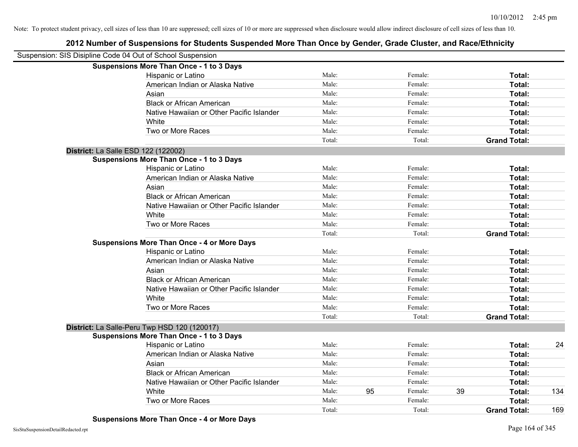| Suspension: SIS Disipline Code 04 Out of School Suspension |                                                    |        |    |         |    |                     |     |
|------------------------------------------------------------|----------------------------------------------------|--------|----|---------|----|---------------------|-----|
|                                                            | <b>Suspensions More Than Once - 1 to 3 Days</b>    |        |    |         |    |                     |     |
|                                                            | Hispanic or Latino                                 | Male:  |    | Female: |    | Total:              |     |
|                                                            | American Indian or Alaska Native                   | Male:  |    | Female: |    | Total:              |     |
|                                                            | Asian                                              | Male:  |    | Female: |    | Total:              |     |
|                                                            | <b>Black or African American</b>                   | Male:  |    | Female: |    | Total:              |     |
|                                                            | Native Hawaiian or Other Pacific Islander          | Male:  |    | Female: |    | Total:              |     |
|                                                            | White                                              | Male:  |    | Female: |    | Total:              |     |
|                                                            | Two or More Races                                  | Male:  |    | Female: |    | Total:              |     |
|                                                            |                                                    | Total: |    | Total:  |    | <b>Grand Total:</b> |     |
|                                                            | District: La Salle ESD 122 (122002)                |        |    |         |    |                     |     |
|                                                            | <b>Suspensions More Than Once - 1 to 3 Days</b>    |        |    |         |    |                     |     |
|                                                            | Hispanic or Latino                                 | Male:  |    | Female: |    | Total:              |     |
|                                                            | American Indian or Alaska Native                   | Male:  |    | Female: |    | Total:              |     |
|                                                            | Asian                                              | Male:  |    | Female: |    | Total:              |     |
|                                                            | <b>Black or African American</b>                   | Male:  |    | Female: |    | Total:              |     |
|                                                            | Native Hawaiian or Other Pacific Islander          | Male:  |    | Female: |    | Total:              |     |
|                                                            | White                                              | Male:  |    | Female: |    | Total:              |     |
|                                                            | Two or More Races                                  | Male:  |    | Female: |    | Total:              |     |
|                                                            |                                                    | Total: |    | Total:  |    | <b>Grand Total:</b> |     |
|                                                            | <b>Suspensions More Than Once - 4 or More Days</b> |        |    |         |    |                     |     |
|                                                            | Hispanic or Latino                                 | Male:  |    | Female: |    | Total:              |     |
|                                                            | American Indian or Alaska Native                   | Male:  |    | Female: |    | Total:              |     |
|                                                            | Asian                                              | Male:  |    | Female: |    | Total:              |     |
|                                                            | <b>Black or African American</b>                   | Male:  |    | Female: |    | Total:              |     |
|                                                            | Native Hawaiian or Other Pacific Islander          | Male:  |    | Female: |    | Total:              |     |
|                                                            | White                                              | Male:  |    | Female: |    | Total:              |     |
|                                                            | Two or More Races                                  | Male:  |    | Female: |    | Total:              |     |
|                                                            |                                                    | Total: |    | Total:  |    | <b>Grand Total:</b> |     |
|                                                            | District: La Salle-Peru Twp HSD 120 (120017)       |        |    |         |    |                     |     |
|                                                            | <b>Suspensions More Than Once - 1 to 3 Days</b>    |        |    |         |    |                     |     |
|                                                            | Hispanic or Latino                                 | Male:  |    | Female: |    | Total:              | 24  |
|                                                            | American Indian or Alaska Native                   | Male:  |    | Female: |    | Total:              |     |
|                                                            | Asian                                              | Male:  |    | Female: |    | Total:              |     |
|                                                            | <b>Black or African American</b>                   | Male:  |    | Female: |    | Total:              |     |
|                                                            | Native Hawaiian or Other Pacific Islander          | Male:  |    | Female: |    | Total:              |     |
|                                                            | White                                              | Male:  | 95 | Female: | 39 | Total:              | 134 |
|                                                            | Two or More Races                                  | Male:  |    | Female: |    | <b>Total:</b>       |     |
|                                                            |                                                    | Total: |    | Total:  |    | <b>Grand Total:</b> | 169 |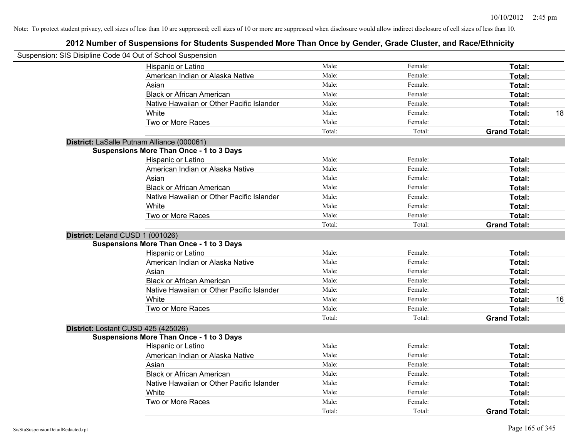| Suspension: SIS Disipline Code 04 Out of School Suspension |        |         |                     |    |
|------------------------------------------------------------|--------|---------|---------------------|----|
| Hispanic or Latino                                         | Male:  | Female: | Total:              |    |
| American Indian or Alaska Native                           | Male:  | Female: | Total:              |    |
| Asian                                                      | Male:  | Female: | Total:              |    |
| <b>Black or African American</b>                           | Male:  | Female: | Total:              |    |
| Native Hawaiian or Other Pacific Islander                  | Male:  | Female: | Total:              |    |
| White                                                      | Male:  | Female: | Total:              | 18 |
| Two or More Races                                          | Male:  | Female: | Total:              |    |
|                                                            | Total: | Total:  | <b>Grand Total:</b> |    |
| District: LaSalle Putnam Alliance (000061)                 |        |         |                     |    |
| <b>Suspensions More Than Once - 1 to 3 Days</b>            |        |         |                     |    |
| Hispanic or Latino                                         | Male:  | Female: | Total:              |    |
| American Indian or Alaska Native                           | Male:  | Female: | Total:              |    |
| Asian                                                      | Male:  | Female: | Total:              |    |
| <b>Black or African American</b>                           | Male:  | Female: | Total:              |    |
| Native Hawaiian or Other Pacific Islander                  | Male:  | Female: | Total:              |    |
| White                                                      | Male:  | Female: | Total:              |    |
| Two or More Races                                          | Male:  | Female: | Total:              |    |
|                                                            | Total: | Total:  | <b>Grand Total:</b> |    |
| District: Leland CUSD 1 (001026)                           |        |         |                     |    |
| <b>Suspensions More Than Once - 1 to 3 Days</b>            |        |         |                     |    |
| Hispanic or Latino                                         | Male:  | Female: | Total:              |    |
| American Indian or Alaska Native                           | Male:  | Female: | Total:              |    |
| Asian                                                      | Male:  | Female: | Total:              |    |
| <b>Black or African American</b>                           | Male:  | Female: | Total:              |    |
| Native Hawaiian or Other Pacific Islander                  | Male:  | Female: | Total:              |    |
| White                                                      | Male:  | Female: | Total:              | 16 |
| Two or More Races                                          | Male:  | Female: | Total:              |    |
|                                                            | Total: | Total:  | <b>Grand Total:</b> |    |
| District: Lostant CUSD 425 (425026)                        |        |         |                     |    |
| <b>Suspensions More Than Once - 1 to 3 Days</b>            |        |         |                     |    |
| Hispanic or Latino                                         | Male:  | Female: | Total:              |    |
| American Indian or Alaska Native                           | Male:  | Female: | Total:              |    |
| Asian                                                      | Male:  | Female: | Total:              |    |
| <b>Black or African American</b>                           | Male:  | Female: | Total:              |    |
| Native Hawaiian or Other Pacific Islander                  | Male:  | Female: | Total:              |    |
| White                                                      | Male:  | Female: | Total:              |    |
| Two or More Races                                          | Male:  | Female: | <b>Total:</b>       |    |
|                                                            | Total: | Total:  | <b>Grand Total:</b> |    |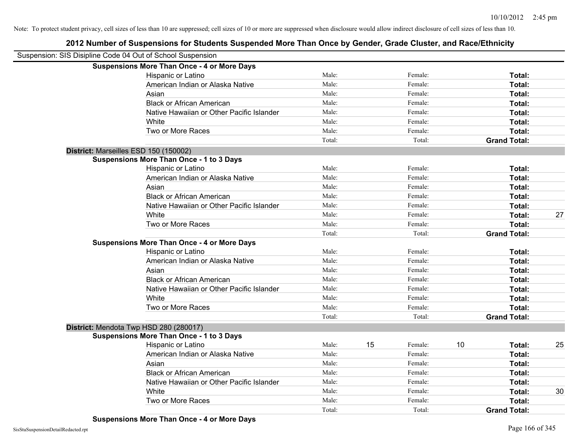| Suspension: SIS Disipline Code 04 Out of School Suspension |                                                    |        |    |         |    |                     |    |
|------------------------------------------------------------|----------------------------------------------------|--------|----|---------|----|---------------------|----|
|                                                            | <b>Suspensions More Than Once - 4 or More Days</b> |        |    |         |    |                     |    |
|                                                            | Hispanic or Latino                                 | Male:  |    | Female: |    | Total:              |    |
|                                                            | American Indian or Alaska Native                   | Male:  |    | Female: |    | <b>Total:</b>       |    |
|                                                            | Asian                                              | Male:  |    | Female: |    | Total:              |    |
|                                                            | <b>Black or African American</b>                   | Male:  |    | Female: |    | Total:              |    |
|                                                            | Native Hawaiian or Other Pacific Islander          | Male:  |    | Female: |    | Total:              |    |
|                                                            | White                                              | Male:  |    | Female: |    | Total:              |    |
|                                                            | Two or More Races                                  | Male:  |    | Female: |    | Total:              |    |
|                                                            |                                                    | Total: |    | Total:  |    | <b>Grand Total:</b> |    |
|                                                            | District: Marseilles ESD 150 (150002)              |        |    |         |    |                     |    |
|                                                            | <b>Suspensions More Than Once - 1 to 3 Days</b>    |        |    |         |    |                     |    |
|                                                            | Hispanic or Latino                                 | Male:  |    | Female: |    | Total:              |    |
|                                                            | American Indian or Alaska Native                   | Male:  |    | Female: |    | Total:              |    |
|                                                            | Asian                                              | Male:  |    | Female: |    | Total:              |    |
|                                                            | <b>Black or African American</b>                   | Male:  |    | Female: |    | Total:              |    |
|                                                            | Native Hawaiian or Other Pacific Islander          | Male:  |    | Female: |    | Total:              |    |
|                                                            | White                                              | Male:  |    | Female: |    | Total:              | 27 |
|                                                            | Two or More Races                                  | Male:  |    | Female: |    | Total:              |    |
|                                                            |                                                    | Total: |    | Total:  |    | <b>Grand Total:</b> |    |
|                                                            | <b>Suspensions More Than Once - 4 or More Days</b> |        |    |         |    |                     |    |
|                                                            | Hispanic or Latino                                 | Male:  |    | Female: |    | Total:              |    |
|                                                            | American Indian or Alaska Native                   | Male:  |    | Female: |    | Total:              |    |
|                                                            | Asian                                              | Male:  |    | Female: |    | Total:              |    |
|                                                            | <b>Black or African American</b>                   | Male:  |    | Female: |    | Total:              |    |
|                                                            | Native Hawaiian or Other Pacific Islander          | Male:  |    | Female: |    | Total:              |    |
|                                                            | White                                              | Male:  |    | Female: |    | Total:              |    |
|                                                            | Two or More Races                                  | Male:  |    | Female: |    | Total:              |    |
|                                                            |                                                    | Total: |    | Total:  |    | <b>Grand Total:</b> |    |
|                                                            | District: Mendota Twp HSD 280 (280017)             |        |    |         |    |                     |    |
|                                                            | <b>Suspensions More Than Once - 1 to 3 Days</b>    |        |    |         |    |                     |    |
|                                                            | Hispanic or Latino                                 | Male:  | 15 | Female: | 10 | Total:              | 25 |
|                                                            | American Indian or Alaska Native                   | Male:  |    | Female: |    | <b>Total:</b>       |    |
|                                                            | Asian                                              | Male:  |    | Female: |    | Total:              |    |
|                                                            | <b>Black or African American</b>                   | Male:  |    | Female: |    | Total:              |    |
|                                                            | Native Hawaiian or Other Pacific Islander          | Male:  |    | Female: |    | Total:              |    |
|                                                            | White                                              | Male:  |    | Female: |    | <b>Total:</b>       | 30 |
|                                                            | Two or More Races                                  | Male:  |    | Female: |    | Total:              |    |
|                                                            |                                                    | Total: |    | Total:  |    | <b>Grand Total:</b> |    |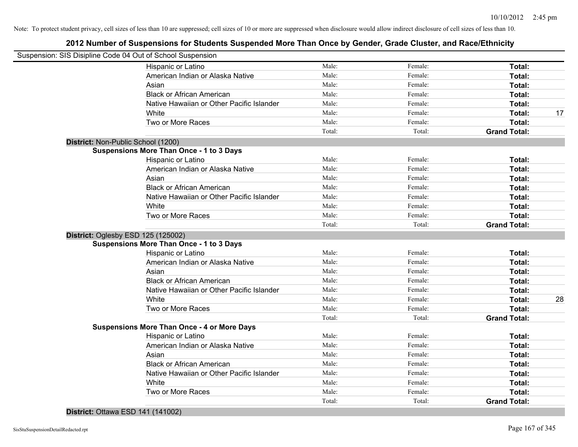| Suspension: SIS Disipline Code 04 Out of School Suspension |                 |                   |                               |    |
|------------------------------------------------------------|-----------------|-------------------|-------------------------------|----|
| Hispanic or Latino                                         | Male:           | Female:           | Total:                        |    |
| American Indian or Alaska Native                           | Male:           | Female:           | Total:                        |    |
| Asian                                                      | Male:           | Female:           | Total:                        |    |
| <b>Black or African American</b>                           | Male:           | Female:           | Total:                        |    |
| Native Hawaiian or Other Pacific Islander                  | Male:           | Female:           | Total:                        |    |
| White                                                      | Male:           | Female:           | Total:                        | 17 |
| Two or More Races                                          | Male:           | Female:           | Total:                        |    |
|                                                            | Total:          | Total:            | <b>Grand Total:</b>           |    |
| District: Non-Public School (1200)                         |                 |                   |                               |    |
| <b>Suspensions More Than Once - 1 to 3 Days</b>            |                 |                   |                               |    |
| Hispanic or Latino                                         | Male:           | Female:           | Total:                        |    |
| American Indian or Alaska Native                           | Male:           | Female:           | Total:                        |    |
| Asian                                                      | Male:           | Female:           | Total:                        |    |
| <b>Black or African American</b>                           | Male:           | Female:           | Total:                        |    |
| Native Hawaiian or Other Pacific Islander                  | Male:           | Female:           | Total:                        |    |
| White                                                      | Male:           | Female:           | Total:                        |    |
| Two or More Races                                          | Male:           | Female:           | Total:                        |    |
|                                                            | Total:          | Total:            | <b>Grand Total:</b>           |    |
| District: Oglesby ESD 125 (125002)                         |                 |                   |                               |    |
| <b>Suspensions More Than Once - 1 to 3 Days</b>            |                 |                   |                               |    |
| Hispanic or Latino                                         | Male:           | Female:           | Total:                        |    |
| American Indian or Alaska Native                           | Male:           | Female:           | Total:                        |    |
| Asian                                                      | Male:           | Female:           | Total:                        |    |
| <b>Black or African American</b>                           | Male:           | Female:           | Total:                        |    |
| Native Hawaiian or Other Pacific Islander                  | Male:           | Female:           | Total:                        |    |
| White                                                      | Male:           | Female:           | Total:                        | 28 |
| Two or More Races                                          | Male:           | Female:           | Total:                        |    |
|                                                            | Total:          | Total:            | <b>Grand Total:</b>           |    |
| <b>Suspensions More Than Once - 4 or More Days</b>         |                 |                   |                               |    |
| Hispanic or Latino                                         | Male:           | Female:           | Total:                        |    |
| American Indian or Alaska Native                           | Male:           | Female:           | Total:                        |    |
|                                                            | Male:           | Female:           | Total:                        |    |
| Asian                                                      |                 |                   |                               |    |
| <b>Black or African American</b>                           | Male:           | Female:           | Total:                        |    |
| Native Hawaiian or Other Pacific Islander                  | Male:           | Female:           | Total:                        |    |
| White                                                      | Male:           | Female:           | Total:                        |    |
| Two or More Races                                          | Male:<br>Total: | Female:<br>Total: | Total:<br><b>Grand Total:</b> |    |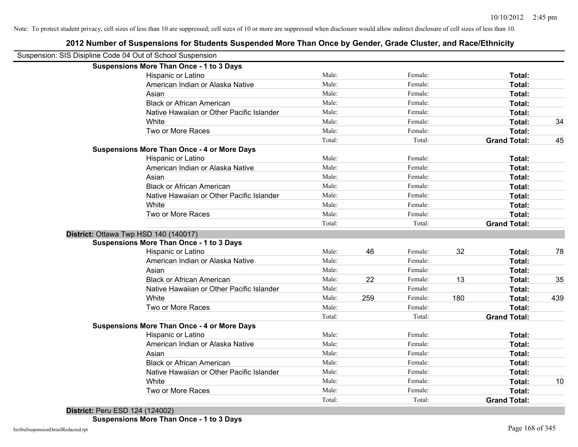|                                                            | 2012 Number of Suspensions for Students Suspended More Than Once by Gender, Grade Cluster, and Race/Ethnicity |        |     |         |     |                     |     |
|------------------------------------------------------------|---------------------------------------------------------------------------------------------------------------|--------|-----|---------|-----|---------------------|-----|
| Suspension: SIS Disipline Code 04 Out of School Suspension |                                                                                                               |        |     |         |     |                     |     |
|                                                            | <b>Suspensions More Than Once - 1 to 3 Days</b>                                                               |        |     |         |     |                     |     |
|                                                            | Hispanic or Latino                                                                                            | Male:  |     | Female: |     | Total:              |     |
|                                                            | American Indian or Alaska Native                                                                              | Male:  |     | Female: |     | Total:              |     |
|                                                            | Asian                                                                                                         | Male:  |     | Female: |     | <b>Total:</b>       |     |
|                                                            | <b>Black or African American</b>                                                                              | Male:  |     | Female: |     | Total:              |     |
|                                                            | Native Hawaiian or Other Pacific Islander                                                                     | Male:  |     | Female: |     | Total:              |     |
|                                                            | White                                                                                                         | Male:  |     | Female: |     | Total:              | 34  |
|                                                            | Two or More Races                                                                                             | Male:  |     | Female: |     | Total:              |     |
|                                                            |                                                                                                               | Total: |     | Total:  |     | <b>Grand Total:</b> | 45  |
|                                                            | <b>Suspensions More Than Once - 4 or More Days</b>                                                            |        |     |         |     |                     |     |
|                                                            | Hispanic or Latino                                                                                            | Male:  |     | Female: |     | Total:              |     |
|                                                            | American Indian or Alaska Native                                                                              | Male:  |     | Female: |     | Total:              |     |
|                                                            | Asian                                                                                                         | Male:  |     | Female: |     | Total:              |     |
|                                                            | <b>Black or African American</b>                                                                              | Male:  |     | Female: |     | Total:              |     |
|                                                            | Native Hawaiian or Other Pacific Islander                                                                     | Male:  |     | Female: |     | Total:              |     |
|                                                            | White                                                                                                         | Male:  |     | Female: |     | Total:              |     |
|                                                            | Two or More Races                                                                                             | Male:  |     | Female: |     | Total:              |     |
|                                                            |                                                                                                               | Total: |     | Total:  |     | <b>Grand Total:</b> |     |
|                                                            | District: Ottawa Twp HSD 140 (140017)                                                                         |        |     |         |     |                     |     |
|                                                            | <b>Suspensions More Than Once - 1 to 3 Days</b>                                                               |        |     |         |     |                     |     |
|                                                            | Hispanic or Latino                                                                                            | Male:  | 46  | Female: | 32  | Total:              | 78  |
|                                                            | American Indian or Alaska Native                                                                              | Male:  |     | Female: |     | Total:              |     |
|                                                            | Asian                                                                                                         | Male:  |     | Female: |     | Total:              |     |
|                                                            | <b>Black or African American</b>                                                                              | Male:  | 22  | Female: | 13  | Total:              | 35  |
|                                                            | Native Hawaiian or Other Pacific Islander                                                                     | Male:  |     | Female: |     | Total:              |     |
|                                                            | White                                                                                                         | Male:  | 259 | Female: | 180 | Total:              | 439 |
|                                                            | Two or More Races                                                                                             | Male:  |     | Female: |     | Total:              |     |
|                                                            |                                                                                                               | Total: |     | Total:  |     | <b>Grand Total:</b> |     |
|                                                            | <b>Suspensions More Than Once - 4 or More Days</b>                                                            |        |     |         |     |                     |     |
|                                                            | Hispanic or Latino                                                                                            | Male:  |     | Female: |     | Total:              |     |
|                                                            | American Indian or Alaska Native                                                                              | Male:  |     | Female: |     | Total:              |     |
|                                                            | Asian                                                                                                         | Male:  |     | Female: |     | Total:              |     |
|                                                            | <b>Black or African American</b>                                                                              | Male:  |     | Female: |     | Total:              |     |
|                                                            | Native Hawaiian or Other Pacific Islander                                                                     | Male:  |     | Female: |     | Total:              |     |
|                                                            | White                                                                                                         | Male:  |     | Female: |     | Total:              | 10  |
|                                                            | Two or More Races                                                                                             | Male:  |     | Female: |     | Total:              |     |
|                                                            |                                                                                                               | Total: |     | Total:  |     | <b>Grand Total:</b> |     |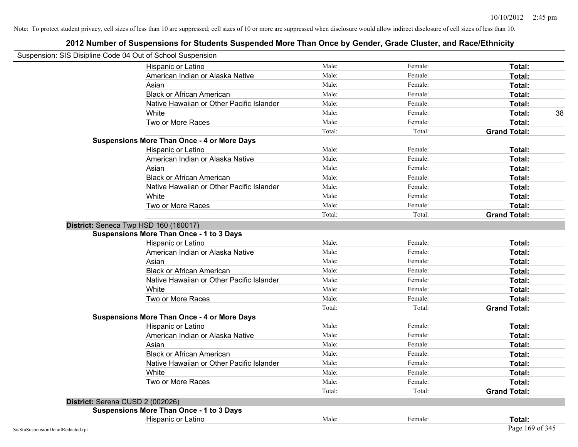| Suspension: SIS Disipline Code 04 Out of School Suspension |                                                    |        |         |                     |
|------------------------------------------------------------|----------------------------------------------------|--------|---------|---------------------|
|                                                            | Hispanic or Latino                                 | Male:  | Female: | Total:              |
|                                                            | American Indian or Alaska Native                   | Male:  | Female: | Total:              |
|                                                            | Asian                                              | Male:  | Female: | Total:              |
|                                                            | <b>Black or African American</b>                   | Male:  | Female: | Total:              |
|                                                            | Native Hawaiian or Other Pacific Islander          | Male:  | Female: | <b>Total:</b>       |
|                                                            | White                                              | Male:  | Female: | 38<br>Total:        |
|                                                            | Two or More Races                                  | Male:  | Female: | Total:              |
|                                                            |                                                    | Total: | Total:  | <b>Grand Total:</b> |
|                                                            | <b>Suspensions More Than Once - 4 or More Days</b> |        |         |                     |
|                                                            | Hispanic or Latino                                 | Male:  | Female: | Total:              |
|                                                            | American Indian or Alaska Native                   | Male:  | Female: | Total:              |
|                                                            | Asian                                              | Male:  | Female: | Total:              |
|                                                            | <b>Black or African American</b>                   | Male:  | Female: | Total:              |
|                                                            | Native Hawaiian or Other Pacific Islander          | Male:  | Female: | Total:              |
|                                                            | White                                              | Male:  | Female: | <b>Total:</b>       |
|                                                            | Two or More Races                                  | Male:  | Female: | Total:              |
|                                                            |                                                    | Total: | Total:  | <b>Grand Total:</b> |
|                                                            | District: Seneca Twp HSD 160 (160017)              |        |         |                     |
|                                                            | <b>Suspensions More Than Once - 1 to 3 Days</b>    |        |         |                     |
|                                                            | Hispanic or Latino                                 | Male:  | Female: | Total:              |
|                                                            | American Indian or Alaska Native                   | Male:  | Female: | Total:              |
|                                                            | Asian                                              | Male:  | Female: | Total:              |
|                                                            | <b>Black or African American</b>                   | Male:  | Female: | Total:              |
|                                                            | Native Hawaiian or Other Pacific Islander          | Male:  | Female: | Total:              |
|                                                            | White                                              | Male:  | Female: | Total:              |
|                                                            | Two or More Races                                  | Male:  | Female: | Total:              |
|                                                            |                                                    | Total: | Total:  | <b>Grand Total:</b> |
|                                                            | <b>Suspensions More Than Once - 4 or More Days</b> |        |         |                     |
|                                                            | Hispanic or Latino                                 | Male:  | Female: | Total:              |
|                                                            | American Indian or Alaska Native                   | Male:  | Female: | Total:              |
|                                                            | Asian                                              | Male:  | Female: | Total:              |
|                                                            | <b>Black or African American</b>                   | Male:  | Female: | Total:              |
|                                                            | Native Hawaiian or Other Pacific Islander          | Male:  | Female: | <b>Total:</b>       |
|                                                            | White                                              | Male:  | Female: | <b>Total:</b>       |
|                                                            | Two or More Races                                  | Male:  | Female: | Total:              |
|                                                            |                                                    | Total: | Total:  | <b>Grand Total:</b> |
| District: Serena CUSD 2 (002026)                           |                                                    |        |         |                     |
|                                                            | <b>Suspensions More Than Once - 1 to 3 Days</b>    |        |         |                     |
|                                                            | Hispanic or Latino                                 | Male:  | Female: | Total:              |
| SisStuSuspensionDetailRedacted.rpt                         |                                                    |        |         | Page 169 of 345     |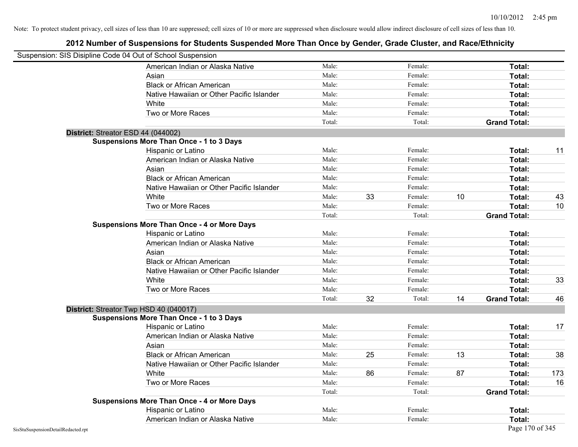|                                    | Suspension: SIS Disipline Code 04 Out of School Suspension |        |    |         |    |                     |     |
|------------------------------------|------------------------------------------------------------|--------|----|---------|----|---------------------|-----|
|                                    | American Indian or Alaska Native                           | Male:  |    | Female: |    | Total:              |     |
|                                    | Asian                                                      | Male:  |    | Female: |    | Total:              |     |
|                                    | <b>Black or African American</b>                           | Male:  |    | Female: |    | Total:              |     |
|                                    | Native Hawaiian or Other Pacific Islander                  | Male:  |    | Female: |    | Total:              |     |
|                                    | White                                                      | Male:  |    | Female: |    | Total:              |     |
|                                    | Two or More Races                                          | Male:  |    | Female: |    | Total:              |     |
|                                    |                                                            | Total: |    | Total:  |    | <b>Grand Total:</b> |     |
|                                    | District: Streator ESD 44 (044002)                         |        |    |         |    |                     |     |
|                                    | <b>Suspensions More Than Once - 1 to 3 Days</b>            |        |    |         |    |                     |     |
|                                    | Hispanic or Latino                                         | Male:  |    | Female: |    | Total:              | 11  |
|                                    | American Indian or Alaska Native                           | Male:  |    | Female: |    | Total:              |     |
|                                    | Asian                                                      | Male:  |    | Female: |    | Total:              |     |
|                                    | <b>Black or African American</b>                           | Male:  |    | Female: |    | Total:              |     |
|                                    | Native Hawaiian or Other Pacific Islander                  | Male:  |    | Female: |    | Total:              |     |
|                                    | White                                                      | Male:  | 33 | Female: | 10 | Total:              | 43  |
|                                    | Two or More Races                                          | Male:  |    | Female: |    | Total:              | 10  |
|                                    |                                                            | Total: |    | Total:  |    | <b>Grand Total:</b> |     |
|                                    | <b>Suspensions More Than Once - 4 or More Days</b>         |        |    |         |    |                     |     |
|                                    | Hispanic or Latino                                         | Male:  |    | Female: |    | Total:              |     |
|                                    | American Indian or Alaska Native                           | Male:  |    | Female: |    | Total:              |     |
|                                    | Asian                                                      | Male:  |    | Female: |    | Total:              |     |
|                                    | <b>Black or African American</b>                           | Male:  |    | Female: |    | Total:              |     |
|                                    | Native Hawaiian or Other Pacific Islander                  | Male:  |    | Female: |    | Total:              |     |
|                                    | White                                                      | Male:  |    | Female: |    | Total:              | 33  |
|                                    | Two or More Races                                          | Male:  |    | Female: |    | Total:              |     |
|                                    |                                                            | Total: | 32 | Total:  | 14 | <b>Grand Total:</b> | 46  |
|                                    | District: Streator Twp HSD 40 (040017)                     |        |    |         |    |                     |     |
|                                    | <b>Suspensions More Than Once - 1 to 3 Days</b>            |        |    |         |    |                     |     |
|                                    | Hispanic or Latino                                         | Male:  |    | Female: |    | Total:              | 17  |
|                                    | American Indian or Alaska Native                           | Male:  |    | Female: |    | Total:              |     |
|                                    | Asian                                                      | Male:  |    | Female: |    | Total:              |     |
|                                    | <b>Black or African American</b>                           | Male:  | 25 | Female: | 13 | Total:              | 38  |
|                                    | Native Hawaiian or Other Pacific Islander                  | Male:  |    | Female: |    | Total:              |     |
|                                    | White                                                      | Male:  | 86 | Female: | 87 | Total:              | 173 |
|                                    | Two or More Races                                          | Male:  |    | Female: |    | Total:              | 16  |
|                                    |                                                            | Total: |    | Total:  |    | <b>Grand Total:</b> |     |
|                                    | <b>Suspensions More Than Once - 4 or More Days</b>         |        |    |         |    |                     |     |
|                                    | Hispanic or Latino                                         | Male:  |    | Female: |    | Total:              |     |
|                                    | American Indian or Alaska Native                           | Male:  |    | Female: |    | Total:              |     |
| SisStuSuspensionDetailRedacted.rpt |                                                            |        |    |         |    | Page 170 of 345     |     |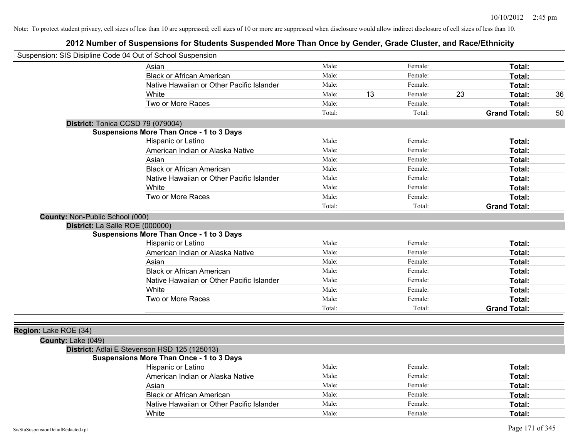| Suspension: SIS Disipline Code 04 Out of School Suspension |        |    |         |    |                     |    |
|------------------------------------------------------------|--------|----|---------|----|---------------------|----|
| Asian                                                      | Male:  |    | Female: |    | Total:              |    |
| <b>Black or African American</b>                           | Male:  |    | Female: |    | Total:              |    |
| Native Hawaiian or Other Pacific Islander                  | Male:  |    | Female: |    | Total:              |    |
| White                                                      | Male:  | 13 | Female: | 23 | Total:              | 36 |
| Two or More Races                                          | Male:  |    | Female: |    | <b>Total:</b>       |    |
|                                                            | Total: |    | Total:  |    | <b>Grand Total:</b> | 50 |
| District: Tonica CCSD 79 (079004)                          |        |    |         |    |                     |    |
| <b>Suspensions More Than Once - 1 to 3 Days</b>            |        |    |         |    |                     |    |
| Hispanic or Latino                                         | Male:  |    | Female: |    | Total:              |    |
| American Indian or Alaska Native                           | Male:  |    | Female: |    | Total:              |    |
| Asian                                                      | Male:  |    | Female: |    | Total:              |    |
| <b>Black or African American</b>                           | Male:  |    | Female: |    | Total:              |    |
| Native Hawaiian or Other Pacific Islander                  | Male:  |    | Female: |    | Total:              |    |
| White                                                      | Male:  |    | Female: |    | Total:              |    |
| Two or More Races                                          | Male:  |    | Female: |    | Total:              |    |
|                                                            | Total: |    | Total:  |    | <b>Grand Total:</b> |    |
| County: Non-Public School (000)                            |        |    |         |    |                     |    |
| District: La Salle ROE (000000)                            |        |    |         |    |                     |    |
| <b>Suspensions More Than Once - 1 to 3 Days</b>            |        |    |         |    |                     |    |
| Hispanic or Latino                                         | Male:  |    | Female: |    | Total:              |    |
| American Indian or Alaska Native                           | Male:  |    | Female: |    | Total:              |    |
| Asian                                                      | Male:  |    | Female: |    | Total:              |    |
| <b>Black or African American</b>                           | Male:  |    | Female: |    | Total:              |    |
| Native Hawaiian or Other Pacific Islander                  | Male:  |    | Female: |    | Total:              |    |
| White                                                      | Male:  |    | Female: |    | Total:              |    |
| Two or More Races                                          | Male:  |    | Female: |    | Total:              |    |
|                                                            | Total: |    | Total:  |    | <b>Grand Total:</b> |    |
|                                                            |        |    |         |    |                     |    |
| Region: Lake ROE (34)                                      |        |    |         |    |                     |    |
| County: Lake (049)                                         |        |    |         |    |                     |    |
| District: Adlai E Stevenson HSD 125 (125013)               |        |    |         |    |                     |    |
| <b>Suspensions More Than Once - 1 to 3 Days</b>            |        |    |         |    |                     |    |
| Hispanic or Latino                                         | Male:  |    | Female: |    | Total:              |    |
| American Indian or Alaska Native                           | Male:  |    | Female: |    | Total:              |    |
| Asian                                                      | Male:  |    | Female: |    | Total:              |    |
| <b>Black or African American</b>                           | Male:  |    | Female: |    | Total:              |    |
| Native Hawaiian or Other Pacific Islander                  | Male:  |    | Female: |    | Total:              |    |
| White                                                      | Male:  |    | Female: |    | Total:              |    |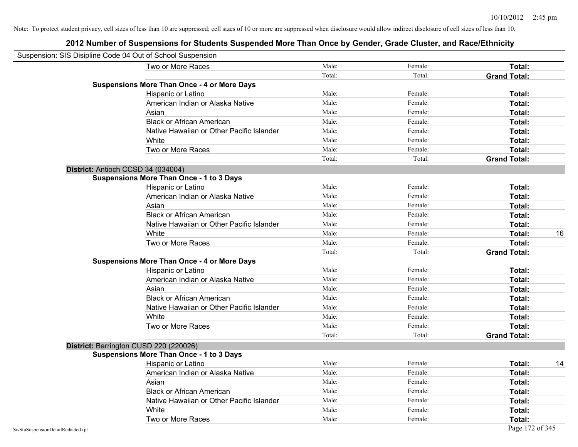|                                    | Suspension: SIS Disipline Code 04 Out of School Suspension |        |         |                     |    |
|------------------------------------|------------------------------------------------------------|--------|---------|---------------------|----|
|                                    | Two or More Races                                          | Male:  | Female: | Total:              |    |
|                                    |                                                            | Total: | Total:  | <b>Grand Total:</b> |    |
|                                    | <b>Suspensions More Than Once - 4 or More Days</b>         |        |         |                     |    |
|                                    | Hispanic or Latino                                         | Male:  | Female: | Total:              |    |
|                                    | American Indian or Alaska Native                           | Male:  | Female: | Total:              |    |
|                                    | Asian                                                      | Male:  | Female: | Total:              |    |
|                                    | <b>Black or African American</b>                           | Male:  | Female: | Total:              |    |
|                                    | Native Hawaiian or Other Pacific Islander                  | Male:  | Female: | Total:              |    |
|                                    | White                                                      | Male:  | Female: | Total:              |    |
|                                    | Two or More Races                                          | Male:  | Female: | Total:              |    |
|                                    |                                                            | Total: | Total:  | <b>Grand Total:</b> |    |
|                                    | District: Antioch CCSD 34 (034004)                         |        |         |                     |    |
|                                    | <b>Suspensions More Than Once - 1 to 3 Days</b>            |        |         |                     |    |
|                                    | Hispanic or Latino                                         | Male:  | Female: | Total:              |    |
|                                    | American Indian or Alaska Native                           | Male:  | Female: | Total:              |    |
|                                    | Asian                                                      | Male:  | Female: | Total:              |    |
|                                    | <b>Black or African American</b>                           | Male:  | Female: | Total:              |    |
|                                    | Native Hawaiian or Other Pacific Islander                  | Male:  | Female: | Total:              |    |
|                                    | White                                                      | Male:  | Female: | Total:              | 16 |
|                                    | Two or More Races                                          | Male:  | Female: | Total:              |    |
|                                    |                                                            | Total: | Total:  | <b>Grand Total:</b> |    |
|                                    | <b>Suspensions More Than Once - 4 or More Days</b>         |        |         |                     |    |
|                                    | Hispanic or Latino                                         | Male:  | Female: | Total:              |    |
|                                    | American Indian or Alaska Native                           | Male:  | Female: | Total:              |    |
|                                    | Asian                                                      | Male:  | Female: | Total:              |    |
|                                    | <b>Black or African American</b>                           | Male:  | Female: | Total:              |    |
|                                    | Native Hawaiian or Other Pacific Islander                  | Male:  | Female: | Total:              |    |
|                                    | White                                                      | Male:  | Female: | Total:              |    |
|                                    | Two or More Races                                          | Male:  | Female: | Total:              |    |
|                                    |                                                            | Total: | Total:  | <b>Grand Total:</b> |    |
|                                    | District: Barrington CUSD 220 (220026)                     |        |         |                     |    |
|                                    | Suspensions More Than Once - 1 to 3 Days                   |        |         |                     |    |
|                                    | Hispanic or Latino                                         | Male:  | Female: | Total:              | 14 |
|                                    | American Indian or Alaska Native                           | Male:  | Female: | Total:              |    |
|                                    | Asian                                                      | Male:  | Female: | Total:              |    |
|                                    | <b>Black or African American</b>                           | Male:  | Female: | Total:              |    |
|                                    | Native Hawaiian or Other Pacific Islander                  | Male:  | Female: | Total:              |    |
|                                    | White                                                      | Male:  | Female: | Total:              |    |
|                                    | Two or More Races                                          | Male:  | Female: | Total:              |    |
| SisStuSuspensionDetailRedacted.rpt |                                                            |        |         | Page 172 of 345     |    |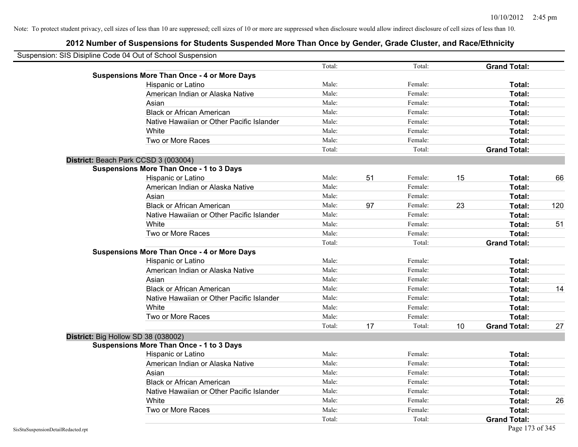| Suspension: SIS Disipline Code 04 Out of School Suspension |                                                    |        |    |         |    |                     |     |
|------------------------------------------------------------|----------------------------------------------------|--------|----|---------|----|---------------------|-----|
|                                                            |                                                    | Total: |    | Total:  |    | <b>Grand Total:</b> |     |
|                                                            | <b>Suspensions More Than Once - 4 or More Days</b> |        |    |         |    |                     |     |
|                                                            | Hispanic or Latino                                 | Male:  |    | Female: |    | Total:              |     |
|                                                            | American Indian or Alaska Native                   | Male:  |    | Female: |    | Total:              |     |
|                                                            | Asian                                              | Male:  |    | Female: |    | Total:              |     |
|                                                            | <b>Black or African American</b>                   | Male:  |    | Female: |    | Total:              |     |
|                                                            | Native Hawaiian or Other Pacific Islander          | Male:  |    | Female: |    | Total:              |     |
|                                                            | White                                              | Male:  |    | Female: |    | Total:              |     |
|                                                            | Two or More Races                                  | Male:  |    | Female: |    | Total:              |     |
|                                                            |                                                    | Total: |    | Total:  |    | <b>Grand Total:</b> |     |
|                                                            | District: Beach Park CCSD 3 (003004)               |        |    |         |    |                     |     |
|                                                            | <b>Suspensions More Than Once - 1 to 3 Days</b>    |        |    |         |    |                     |     |
|                                                            | Hispanic or Latino                                 | Male:  | 51 | Female: | 15 | Total:              | 66  |
|                                                            | American Indian or Alaska Native                   | Male:  |    | Female: |    | Total:              |     |
|                                                            | Asian                                              | Male:  |    | Female: |    | Total:              |     |
|                                                            | <b>Black or African American</b>                   | Male:  | 97 | Female: | 23 | Total:              | 120 |
|                                                            | Native Hawaiian or Other Pacific Islander          | Male:  |    | Female: |    | Total:              |     |
|                                                            | White                                              | Male:  |    | Female: |    | Total:              | 51  |
|                                                            | Two or More Races                                  | Male:  |    | Female: |    | Total:              |     |
|                                                            |                                                    | Total: |    | Total:  |    | <b>Grand Total:</b> |     |
|                                                            | <b>Suspensions More Than Once - 4 or More Days</b> |        |    |         |    |                     |     |
|                                                            | Hispanic or Latino                                 | Male:  |    | Female: |    | Total:              |     |
|                                                            | American Indian or Alaska Native                   | Male:  |    | Female: |    | Total:              |     |
|                                                            | Asian                                              | Male:  |    | Female: |    | Total:              |     |
|                                                            | <b>Black or African American</b>                   | Male:  |    | Female: |    | Total:              | 14  |
|                                                            | Native Hawaiian or Other Pacific Islander          | Male:  |    | Female: |    | Total:              |     |
|                                                            | White                                              | Male:  |    | Female: |    | Total:              |     |
|                                                            | Two or More Races                                  | Male:  |    | Female: |    | Total:              |     |
|                                                            |                                                    | Total: | 17 | Total:  | 10 | <b>Grand Total:</b> | 27  |
|                                                            | District: Big Hollow SD 38 (038002)                |        |    |         |    |                     |     |
|                                                            | <b>Suspensions More Than Once - 1 to 3 Days</b>    |        |    |         |    |                     |     |
|                                                            | Hispanic or Latino                                 | Male:  |    | Female: |    | Total:              |     |
|                                                            | American Indian or Alaska Native                   | Male:  |    | Female: |    | Total:              |     |
|                                                            | Asian                                              | Male:  |    | Female: |    | Total:              |     |
|                                                            | <b>Black or African American</b>                   | Male:  |    | Female: |    | Total:              |     |
|                                                            | Native Hawaiian or Other Pacific Islander          | Male:  |    | Female: |    | Total:              |     |
|                                                            | White                                              | Male:  |    | Female: |    | Total:              | 26  |
|                                                            | Two or More Races                                  | Male:  |    | Female: |    | Total:              |     |
|                                                            |                                                    | Total: |    | Total:  |    | <b>Grand Total:</b> |     |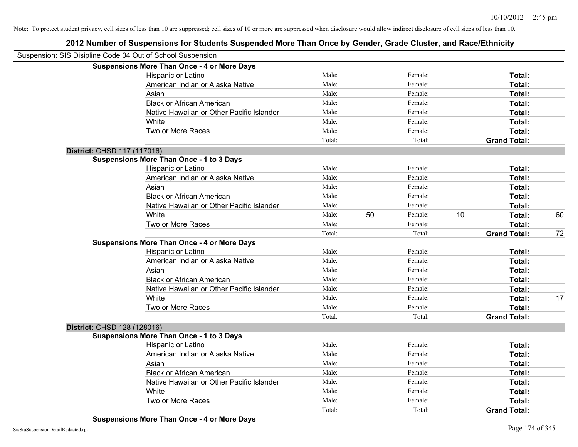| Suspension: SIS Disipline Code 04 Out of School Suspension |                                                    |        |    |         |    |                     |    |
|------------------------------------------------------------|----------------------------------------------------|--------|----|---------|----|---------------------|----|
|                                                            | <b>Suspensions More Than Once - 4 or More Days</b> |        |    |         |    |                     |    |
|                                                            | Hispanic or Latino                                 | Male:  |    | Female: |    | Total:              |    |
|                                                            | American Indian or Alaska Native                   | Male:  |    | Female: |    | Total:              |    |
|                                                            | Asian                                              | Male:  |    | Female: |    | Total:              |    |
|                                                            | <b>Black or African American</b>                   | Male:  |    | Female: |    | Total:              |    |
|                                                            | Native Hawaiian or Other Pacific Islander          | Male:  |    | Female: |    | Total:              |    |
|                                                            | White                                              | Male:  |    | Female: |    | Total:              |    |
|                                                            | Two or More Races                                  | Male:  |    | Female: |    | Total:              |    |
|                                                            |                                                    | Total: |    | Total:  |    | <b>Grand Total:</b> |    |
| District: CHSD 117 (117016)                                |                                                    |        |    |         |    |                     |    |
|                                                            | <b>Suspensions More Than Once - 1 to 3 Days</b>    |        |    |         |    |                     |    |
|                                                            | Hispanic or Latino                                 | Male:  |    | Female: |    | Total:              |    |
|                                                            | American Indian or Alaska Native                   | Male:  |    | Female: |    | Total:              |    |
|                                                            | Asian                                              | Male:  |    | Female: |    | Total:              |    |
|                                                            | <b>Black or African American</b>                   | Male:  |    | Female: |    | Total:              |    |
|                                                            | Native Hawaiian or Other Pacific Islander          | Male:  |    | Female: |    | Total:              |    |
|                                                            | White                                              | Male:  | 50 | Female: | 10 | Total:              | 60 |
|                                                            | Two or More Races                                  | Male:  |    | Female: |    | Total:              |    |
|                                                            |                                                    | Total: |    | Total:  |    | <b>Grand Total:</b> | 72 |
|                                                            | <b>Suspensions More Than Once - 4 or More Days</b> |        |    |         |    |                     |    |
|                                                            | Hispanic or Latino                                 | Male:  |    | Female: |    | Total:              |    |
|                                                            | American Indian or Alaska Native                   | Male:  |    | Female: |    | Total:              |    |
|                                                            | Asian                                              | Male:  |    | Female: |    | Total:              |    |
|                                                            | <b>Black or African American</b>                   | Male:  |    | Female: |    | Total:              |    |
|                                                            | Native Hawaiian or Other Pacific Islander          | Male:  |    | Female: |    | Total:              |    |
|                                                            | White                                              | Male:  |    | Female: |    | Total:              | 17 |
|                                                            | Two or More Races                                  | Male:  |    | Female: |    | Total:              |    |
|                                                            |                                                    | Total: |    | Total:  |    | <b>Grand Total:</b> |    |
| District: CHSD 128 (128016)                                |                                                    |        |    |         |    |                     |    |
|                                                            | <b>Suspensions More Than Once - 1 to 3 Days</b>    |        |    |         |    |                     |    |
|                                                            | Hispanic or Latino                                 | Male:  |    | Female: |    | Total:              |    |
|                                                            | American Indian or Alaska Native                   | Male:  |    | Female: |    | Total:              |    |
|                                                            | Asian                                              | Male:  |    | Female: |    | Total:              |    |
|                                                            | <b>Black or African American</b>                   | Male:  |    | Female: |    | Total:              |    |
|                                                            | Native Hawaiian or Other Pacific Islander          | Male:  |    | Female: |    | Total:              |    |
|                                                            | White                                              | Male:  |    | Female: |    | Total:              |    |
|                                                            | Two or More Races                                  | Male:  |    | Female: |    | <b>Total:</b>       |    |
|                                                            |                                                    | Total: |    | Total:  |    | <b>Grand Total:</b> |    |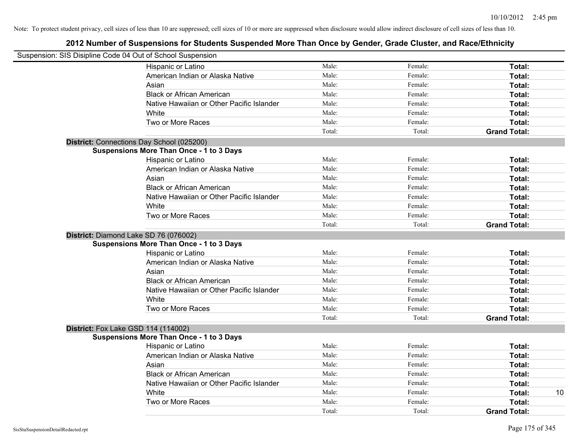| Suspension: SIS Disipline Code 04 Out of School Suspension |                                                 |        |         |                     |
|------------------------------------------------------------|-------------------------------------------------|--------|---------|---------------------|
|                                                            | Hispanic or Latino                              | Male:  | Female: | Total:              |
|                                                            | American Indian or Alaska Native                | Male:  | Female: | Total:              |
|                                                            | Asian                                           | Male:  | Female: | Total:              |
|                                                            | <b>Black or African American</b>                | Male:  | Female: | Total:              |
|                                                            | Native Hawaiian or Other Pacific Islander       | Male:  | Female: | Total:              |
|                                                            | White                                           | Male:  | Female: | Total:              |
|                                                            | Two or More Races                               | Male:  | Female: | Total:              |
|                                                            |                                                 | Total: | Total:  | <b>Grand Total:</b> |
|                                                            | District: Connections Day School (025200)       |        |         |                     |
|                                                            | <b>Suspensions More Than Once - 1 to 3 Days</b> |        |         |                     |
|                                                            | Hispanic or Latino                              | Male:  | Female: | Total:              |
|                                                            | American Indian or Alaska Native                | Male:  | Female: | Total:              |
|                                                            | Asian                                           | Male:  | Female: | Total:              |
|                                                            | <b>Black or African American</b>                | Male:  | Female: | Total:              |
|                                                            | Native Hawaiian or Other Pacific Islander       | Male:  | Female: | Total:              |
|                                                            | White                                           | Male:  | Female: | Total:              |
|                                                            | Two or More Races                               | Male:  | Female: | Total:              |
|                                                            |                                                 | Total: | Total:  | <b>Grand Total:</b> |
|                                                            | District: Diamond Lake SD 76 (076002)           |        |         |                     |
|                                                            | <b>Suspensions More Than Once - 1 to 3 Days</b> |        |         |                     |
|                                                            | Hispanic or Latino                              | Male:  | Female: | Total:              |
|                                                            | American Indian or Alaska Native                | Male:  | Female: | Total:              |
|                                                            | Asian                                           | Male:  | Female: | Total:              |
|                                                            | <b>Black or African American</b>                | Male:  | Female: | Total:              |
|                                                            | Native Hawaiian or Other Pacific Islander       | Male:  | Female: | Total:              |
|                                                            | White                                           | Male:  | Female: | <b>Total:</b>       |
|                                                            | Two or More Races                               | Male:  | Female: | Total:              |
|                                                            |                                                 | Total: | Total:  | <b>Grand Total:</b> |
|                                                            | <b>District:</b> Fox Lake GSD 114 (114002)      |        |         |                     |
|                                                            | <b>Suspensions More Than Once - 1 to 3 Days</b> |        |         |                     |
|                                                            | Hispanic or Latino                              | Male:  | Female: | Total:              |
|                                                            | American Indian or Alaska Native                | Male:  | Female: | Total:              |
|                                                            | Asian                                           | Male:  | Female: | Total:              |
|                                                            | <b>Black or African American</b>                | Male:  | Female: | Total:              |
|                                                            | Native Hawaiian or Other Pacific Islander       | Male:  | Female: | Total:              |
|                                                            | White                                           | Male:  | Female: | 10<br>Total:        |
|                                                            | Two or More Races                               | Male:  | Female: | Total:              |
|                                                            |                                                 | Total: | Total:  | <b>Grand Total:</b> |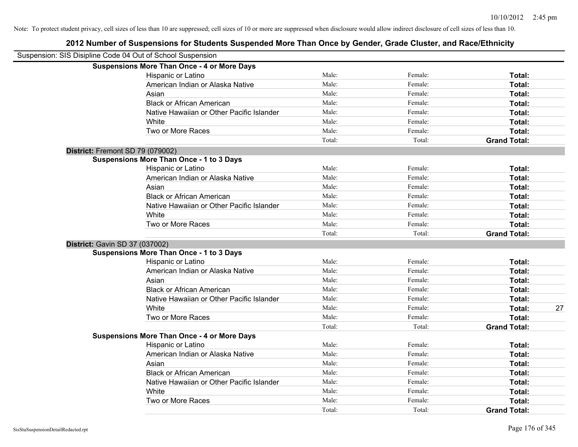| Suspension: SIS Disipline Code 04 Out of School Suspension |                                                    |        |         |                     |    |
|------------------------------------------------------------|----------------------------------------------------|--------|---------|---------------------|----|
|                                                            | <b>Suspensions More Than Once - 4 or More Days</b> |        |         |                     |    |
|                                                            | Hispanic or Latino                                 | Male:  | Female: | Total:              |    |
|                                                            | American Indian or Alaska Native                   | Male:  | Female: | Total:              |    |
|                                                            | Asian                                              | Male:  | Female: | Total:              |    |
|                                                            | <b>Black or African American</b>                   | Male:  | Female: | Total:              |    |
|                                                            | Native Hawaiian or Other Pacific Islander          | Male:  | Female: | Total:              |    |
|                                                            | White                                              | Male:  | Female: | Total:              |    |
|                                                            | Two or More Races                                  | Male:  | Female: | Total:              |    |
|                                                            |                                                    | Total: | Total:  | <b>Grand Total:</b> |    |
| District: Fremont SD 79 (079002)                           |                                                    |        |         |                     |    |
|                                                            | <b>Suspensions More Than Once - 1 to 3 Days</b>    |        |         |                     |    |
|                                                            | Hispanic or Latino                                 | Male:  | Female: | Total:              |    |
|                                                            | American Indian or Alaska Native                   | Male:  | Female: | Total:              |    |
|                                                            | Asian                                              | Male:  | Female: | Total:              |    |
|                                                            | <b>Black or African American</b>                   | Male:  | Female: | Total:              |    |
|                                                            | Native Hawaiian or Other Pacific Islander          | Male:  | Female: | Total:              |    |
|                                                            | White                                              | Male:  | Female: | Total:              |    |
|                                                            | Two or More Races                                  | Male:  | Female: | Total:              |    |
|                                                            |                                                    | Total: | Total:  | <b>Grand Total:</b> |    |
| District: Gavin SD 37 (037002)                             |                                                    |        |         |                     |    |
|                                                            | <b>Suspensions More Than Once - 1 to 3 Days</b>    |        |         |                     |    |
|                                                            | Hispanic or Latino                                 | Male:  | Female: | Total:              |    |
|                                                            | American Indian or Alaska Native                   | Male:  | Female: | Total:              |    |
|                                                            | Asian                                              | Male:  | Female: | Total:              |    |
|                                                            | <b>Black or African American</b>                   | Male:  | Female: | Total:              |    |
|                                                            | Native Hawaiian or Other Pacific Islander          | Male:  | Female: | Total:              |    |
|                                                            | White                                              | Male:  | Female: | Total:              | 27 |
|                                                            | Two or More Races                                  | Male:  | Female: | Total:              |    |
|                                                            |                                                    | Total: | Total:  | <b>Grand Total:</b> |    |
|                                                            | <b>Suspensions More Than Once - 4 or More Days</b> |        |         |                     |    |
|                                                            | Hispanic or Latino                                 | Male:  | Female: | Total:              |    |
|                                                            | American Indian or Alaska Native                   | Male:  | Female: | Total:              |    |
|                                                            | Asian                                              | Male:  | Female: | Total:              |    |
|                                                            | <b>Black or African American</b>                   | Male:  | Female: | Total:              |    |
|                                                            | Native Hawaiian or Other Pacific Islander          | Male:  | Female: | Total:              |    |
|                                                            | White                                              | Male:  | Female: | Total:              |    |
|                                                            | Two or More Races                                  | Male:  | Female: | <b>Total:</b>       |    |
|                                                            |                                                    | Total: | Total:  | <b>Grand Total:</b> |    |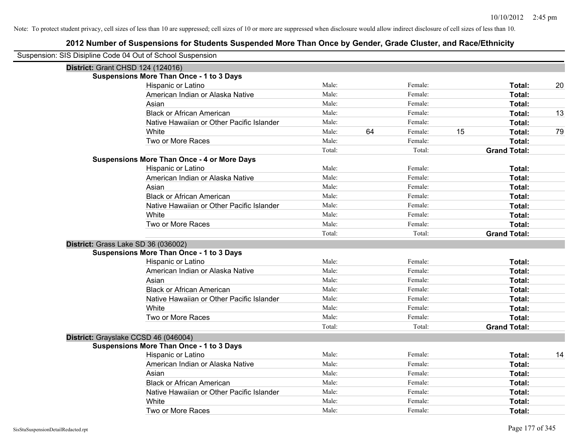| Suspension: SIS Disipline Code 04 Out of School Suspension |        |    |         |    |                     |    |
|------------------------------------------------------------|--------|----|---------|----|---------------------|----|
| <b>District: Grant CHSD 124 (124016)</b>                   |        |    |         |    |                     |    |
| <b>Suspensions More Than Once - 1 to 3 Days</b>            |        |    |         |    |                     |    |
| Hispanic or Latino                                         | Male:  |    | Female: |    | Total:              | 20 |
| American Indian or Alaska Native                           | Male:  |    | Female: |    | Total:              |    |
| Asian                                                      | Male:  |    | Female: |    | Total:              |    |
| <b>Black or African American</b>                           | Male:  |    | Female: |    | Total:              | 13 |
| Native Hawaiian or Other Pacific Islander                  | Male:  |    | Female: |    | Total:              |    |
| White                                                      | Male:  | 64 | Female: | 15 | Total:              | 79 |
| Two or More Races                                          | Male:  |    | Female: |    | Total:              |    |
|                                                            | Total: |    | Total:  |    | <b>Grand Total:</b> |    |
| <b>Suspensions More Than Once - 4 or More Days</b>         |        |    |         |    |                     |    |
| Hispanic or Latino                                         | Male:  |    | Female: |    | Total:              |    |
| American Indian or Alaska Native                           | Male:  |    | Female: |    | Total:              |    |
| Asian                                                      | Male:  |    | Female: |    | Total:              |    |
| <b>Black or African American</b>                           | Male:  |    | Female: |    | Total:              |    |
| Native Hawaiian or Other Pacific Islander                  | Male:  |    | Female: |    | Total:              |    |
| White                                                      | Male:  |    | Female: |    | Total:              |    |
| Two or More Races                                          | Male:  |    | Female: |    | Total:              |    |
|                                                            | Total: |    | Total:  |    | <b>Grand Total:</b> |    |
| District: Grass Lake SD 36 (036002)                        |        |    |         |    |                     |    |
| <b>Suspensions More Than Once - 1 to 3 Days</b>            |        |    |         |    |                     |    |
| Hispanic or Latino                                         | Male:  |    | Female: |    | Total:              |    |
| American Indian or Alaska Native                           | Male:  |    | Female: |    | Total:              |    |
| Asian                                                      | Male:  |    | Female: |    | Total:              |    |
| <b>Black or African American</b>                           | Male:  |    | Female: |    | Total:              |    |
| Native Hawaiian or Other Pacific Islander                  | Male:  |    | Female: |    | Total:              |    |
| White                                                      | Male:  |    | Female: |    | Total:              |    |
| Two or More Races                                          | Male:  |    | Female: |    | Total:              |    |
|                                                            | Total: |    | Total:  |    | <b>Grand Total:</b> |    |
| District: Grayslake CCSD 46 (046004)                       |        |    |         |    |                     |    |
| <b>Suspensions More Than Once - 1 to 3 Days</b>            |        |    |         |    |                     |    |
| Hispanic or Latino                                         | Male:  |    | Female: |    | Total:              | 14 |
| American Indian or Alaska Native                           | Male:  |    | Female: |    | Total:              |    |
| Asian                                                      | Male:  |    | Female: |    | Total:              |    |
| <b>Black or African American</b>                           | Male:  |    | Female: |    | Total:              |    |
| Native Hawaiian or Other Pacific Islander                  | Male:  |    | Female: |    | Total:              |    |
| White                                                      | Male:  |    | Female: |    | Total:              |    |
| Two or More Races                                          | Male:  |    | Female: |    | Total:              |    |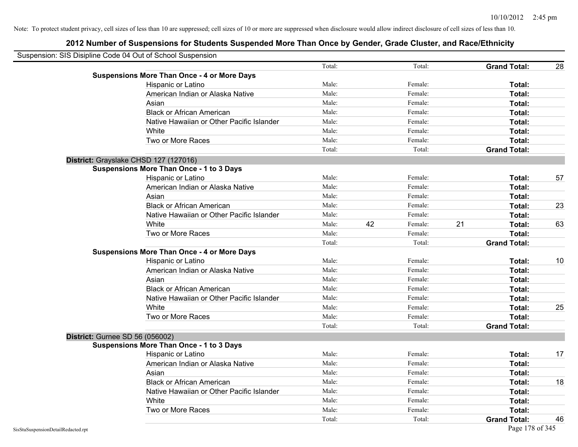| Suspension: SIS Disipline Code 04 Out of School Suspension |                                                    |        |    |         |    |                     |    |
|------------------------------------------------------------|----------------------------------------------------|--------|----|---------|----|---------------------|----|
|                                                            |                                                    | Total: |    | Total:  |    | <b>Grand Total:</b> | 28 |
|                                                            | <b>Suspensions More Than Once - 4 or More Days</b> |        |    |         |    |                     |    |
|                                                            | Hispanic or Latino                                 | Male:  |    | Female: |    | Total:              |    |
|                                                            | American Indian or Alaska Native                   | Male:  |    | Female: |    | Total:              |    |
|                                                            | Asian                                              | Male:  |    | Female: |    | Total:              |    |
|                                                            | <b>Black or African American</b>                   | Male:  |    | Female: |    | Total:              |    |
|                                                            | Native Hawaiian or Other Pacific Islander          | Male:  |    | Female: |    | Total:              |    |
|                                                            | White                                              | Male:  |    | Female: |    | Total:              |    |
|                                                            | Two or More Races                                  | Male:  |    | Female: |    | Total:              |    |
|                                                            |                                                    | Total: |    | Total:  |    | <b>Grand Total:</b> |    |
|                                                            | District: Grayslake CHSD 127 (127016)              |        |    |         |    |                     |    |
|                                                            | <b>Suspensions More Than Once - 1 to 3 Days</b>    |        |    |         |    |                     |    |
|                                                            | Hispanic or Latino                                 | Male:  |    | Female: |    | Total:              | 57 |
|                                                            | American Indian or Alaska Native                   | Male:  |    | Female: |    | Total:              |    |
|                                                            | Asian                                              | Male:  |    | Female: |    | Total:              |    |
|                                                            | <b>Black or African American</b>                   | Male:  |    | Female: |    | Total:              | 23 |
|                                                            | Native Hawaiian or Other Pacific Islander          | Male:  |    | Female: |    | Total:              |    |
|                                                            | White                                              | Male:  | 42 | Female: | 21 | Total:              | 63 |
|                                                            | Two or More Races                                  | Male:  |    | Female: |    | Total:              |    |
|                                                            |                                                    | Total: |    | Total:  |    | <b>Grand Total:</b> |    |
|                                                            | <b>Suspensions More Than Once - 4 or More Days</b> |        |    |         |    |                     |    |
|                                                            | Hispanic or Latino                                 | Male:  |    | Female: |    | Total:              | 10 |
|                                                            | American Indian or Alaska Native                   | Male:  |    | Female: |    | Total:              |    |
|                                                            | Asian                                              | Male:  |    | Female: |    | Total:              |    |
|                                                            | <b>Black or African American</b>                   | Male:  |    | Female: |    | Total:              |    |
|                                                            | Native Hawaiian or Other Pacific Islander          | Male:  |    | Female: |    | Total:              |    |
|                                                            | White                                              | Male:  |    | Female: |    | Total:              | 25 |
|                                                            | Two or More Races                                  | Male:  |    | Female: |    | Total:              |    |
|                                                            |                                                    | Total: |    | Total:  |    | <b>Grand Total:</b> |    |
| <b>District: Gurnee SD 56 (056002)</b>                     |                                                    |        |    |         |    |                     |    |
|                                                            | <b>Suspensions More Than Once - 1 to 3 Days</b>    |        |    |         |    |                     |    |
|                                                            | Hispanic or Latino                                 | Male:  |    | Female: |    | Total:              | 17 |
|                                                            | American Indian or Alaska Native                   | Male:  |    | Female: |    | Total:              |    |
|                                                            | Asian                                              | Male:  |    | Female: |    | Total:              |    |
|                                                            | <b>Black or African American</b>                   | Male:  |    | Female: |    | Total:              | 18 |
|                                                            | Native Hawaiian or Other Pacific Islander          | Male:  |    | Female: |    | Total:              |    |
|                                                            | White                                              | Male:  |    | Female: |    | Total:              |    |
|                                                            | Two or More Races                                  | Male:  |    | Female: |    | Total:              |    |
|                                                            |                                                    | Total: |    | Total:  |    | <b>Grand Total:</b> | 46 |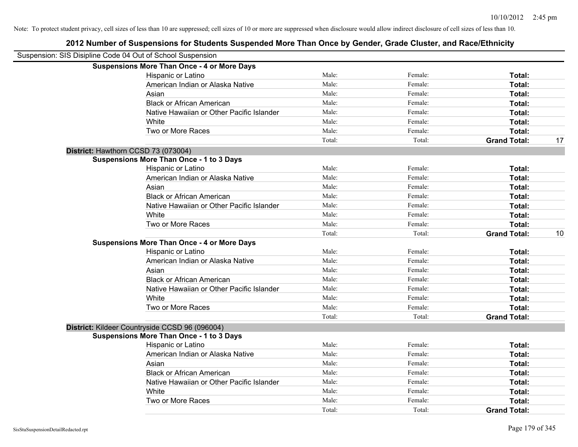| Suspension: SIS Disipline Code 04 Out of School Suspension |                                                    |        |         |                     |    |
|------------------------------------------------------------|----------------------------------------------------|--------|---------|---------------------|----|
|                                                            | <b>Suspensions More Than Once - 4 or More Days</b> |        |         |                     |    |
|                                                            | Hispanic or Latino                                 | Male:  | Female: | Total:              |    |
|                                                            | American Indian or Alaska Native                   | Male:  | Female: | Total:              |    |
|                                                            | Asian                                              | Male:  | Female: | Total:              |    |
|                                                            | <b>Black or African American</b>                   | Male:  | Female: | Total:              |    |
|                                                            | Native Hawaiian or Other Pacific Islander          | Male:  | Female: | Total:              |    |
|                                                            | White                                              | Male:  | Female: | Total:              |    |
|                                                            | Two or More Races                                  | Male:  | Female: | Total:              |    |
|                                                            |                                                    | Total: | Total:  | <b>Grand Total:</b> | 17 |
|                                                            | District: Hawthorn CCSD 73 (073004)                |        |         |                     |    |
|                                                            | <b>Suspensions More Than Once - 1 to 3 Days</b>    |        |         |                     |    |
|                                                            | Hispanic or Latino                                 | Male:  | Female: | Total:              |    |
|                                                            | American Indian or Alaska Native                   | Male:  | Female: | Total:              |    |
|                                                            | Asian                                              | Male:  | Female: | Total:              |    |
|                                                            | <b>Black or African American</b>                   | Male:  | Female: | Total:              |    |
|                                                            | Native Hawaiian or Other Pacific Islander          | Male:  | Female: | Total:              |    |
|                                                            | White                                              | Male:  | Female: | Total:              |    |
|                                                            | Two or More Races                                  | Male:  | Female: | Total:              |    |
|                                                            |                                                    | Total: | Total:  | <b>Grand Total:</b> | 10 |
|                                                            | <b>Suspensions More Than Once - 4 or More Days</b> |        |         |                     |    |
|                                                            | Hispanic or Latino                                 | Male:  | Female: | Total:              |    |
|                                                            | American Indian or Alaska Native                   | Male:  | Female: | Total:              |    |
|                                                            | Asian                                              | Male:  | Female: | Total:              |    |
|                                                            | <b>Black or African American</b>                   | Male:  | Female: | Total:              |    |
|                                                            | Native Hawaiian or Other Pacific Islander          | Male:  | Female: | Total:              |    |
|                                                            | White                                              | Male:  | Female: | Total:              |    |
|                                                            | Two or More Races                                  | Male:  | Female: | Total:              |    |
|                                                            |                                                    | Total: | Total:  | <b>Grand Total:</b> |    |
|                                                            | District: Kildeer Countryside CCSD 96 (096004)     |        |         |                     |    |
|                                                            | <b>Suspensions More Than Once - 1 to 3 Days</b>    |        |         |                     |    |
|                                                            | Hispanic or Latino                                 | Male:  | Female: | Total:              |    |
|                                                            | American Indian or Alaska Native                   | Male:  | Female: | Total:              |    |
|                                                            | Asian                                              | Male:  | Female: | Total:              |    |
|                                                            | <b>Black or African American</b>                   | Male:  | Female: | Total:              |    |
|                                                            | Native Hawaiian or Other Pacific Islander          | Male:  | Female: | Total:              |    |
|                                                            | White                                              | Male:  | Female: | Total:              |    |
|                                                            | Two or More Races                                  | Male:  | Female: | Total:              |    |
|                                                            |                                                    | Total: | Total:  | <b>Grand Total:</b> |    |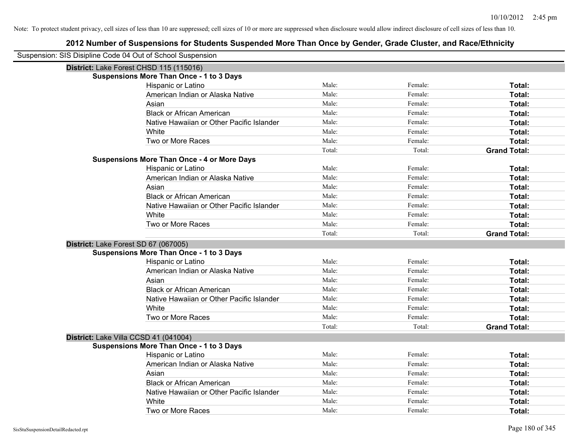| Suspension: SIS Disipline Code 04 Out of School Suspension |                                                    |        |         |                     |
|------------------------------------------------------------|----------------------------------------------------|--------|---------|---------------------|
| District: Lake Forest CHSD 115 (115016)                    |                                                    |        |         |                     |
|                                                            | <b>Suspensions More Than Once - 1 to 3 Days</b>    |        |         |                     |
|                                                            | Hispanic or Latino                                 | Male:  | Female: | Total:              |
|                                                            | American Indian or Alaska Native                   | Male:  | Female: | Total:              |
|                                                            | Asian                                              | Male:  | Female: | Total:              |
|                                                            | <b>Black or African American</b>                   | Male:  | Female: | Total:              |
|                                                            | Native Hawaiian or Other Pacific Islander          | Male:  | Female: | Total:              |
|                                                            | White                                              | Male:  | Female: | Total:              |
|                                                            | Two or More Races                                  | Male:  | Female: | Total:              |
|                                                            |                                                    | Total: | Total:  | <b>Grand Total:</b> |
|                                                            | <b>Suspensions More Than Once - 4 or More Days</b> |        |         |                     |
|                                                            | Hispanic or Latino                                 | Male:  | Female: | Total:              |
|                                                            | American Indian or Alaska Native                   | Male:  | Female: | Total:              |
|                                                            | Asian                                              | Male:  | Female: | Total:              |
|                                                            | <b>Black or African American</b>                   | Male:  | Female: | Total:              |
|                                                            | Native Hawaiian or Other Pacific Islander          | Male:  | Female: | Total:              |
|                                                            | White                                              | Male:  | Female: | Total:              |
|                                                            | Two or More Races                                  | Male:  | Female: | Total:              |
|                                                            |                                                    | Total: | Total:  | <b>Grand Total:</b> |
| District: Lake Forest SD 67 (067005)                       |                                                    |        |         |                     |
|                                                            | <b>Suspensions More Than Once - 1 to 3 Days</b>    |        |         |                     |
|                                                            | Hispanic or Latino                                 | Male:  | Female: | Total:              |
|                                                            | American Indian or Alaska Native                   | Male:  | Female: | Total:              |
|                                                            | Asian                                              | Male:  | Female: | Total:              |
|                                                            | <b>Black or African American</b>                   | Male:  | Female: | Total:              |
|                                                            | Native Hawaiian or Other Pacific Islander          | Male:  | Female: | Total:              |
|                                                            | White                                              | Male:  | Female: | Total:              |
|                                                            | Two or More Races                                  | Male:  | Female: | Total:              |
|                                                            |                                                    | Total: | Total:  | <b>Grand Total:</b> |
| District: Lake Villa CCSD 41 (041004)                      |                                                    |        |         |                     |
|                                                            | <b>Suspensions More Than Once - 1 to 3 Days</b>    |        |         |                     |
|                                                            | Hispanic or Latino                                 | Male:  | Female: | Total:              |
|                                                            | American Indian or Alaska Native                   | Male:  | Female: | Total:              |
|                                                            | Asian                                              | Male:  | Female: | Total:              |
|                                                            | <b>Black or African American</b>                   | Male:  | Female: | Total:              |
|                                                            | Native Hawaiian or Other Pacific Islander          | Male:  | Female: | Total:              |
|                                                            | White                                              | Male:  | Female: | <b>Total:</b>       |
|                                                            | Two or More Races                                  | Male:  | Female: | Total:              |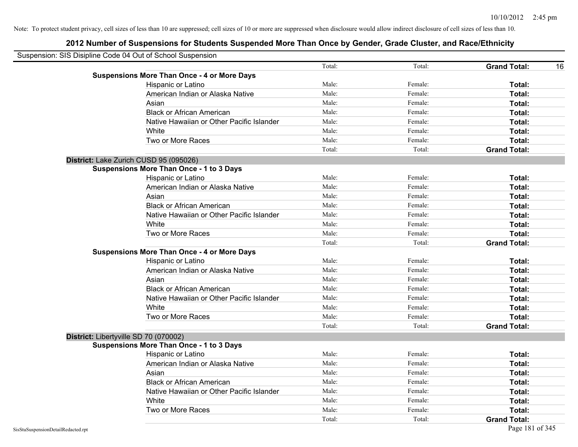| Suspension: SIS Disipline Code 04 Out of School Suspension |                                                    |        |         |                     |    |
|------------------------------------------------------------|----------------------------------------------------|--------|---------|---------------------|----|
|                                                            |                                                    | Total: | Total:  | <b>Grand Total:</b> | 16 |
|                                                            | <b>Suspensions More Than Once - 4 or More Days</b> |        |         |                     |    |
|                                                            | Hispanic or Latino                                 | Male:  | Female: | Total:              |    |
|                                                            | American Indian or Alaska Native                   | Male:  | Female: | Total:              |    |
|                                                            | Asian                                              | Male:  | Female: | Total:              |    |
|                                                            | <b>Black or African American</b>                   | Male:  | Female: | Total:              |    |
|                                                            | Native Hawaiian or Other Pacific Islander          | Male:  | Female: | Total:              |    |
|                                                            | White                                              | Male:  | Female: | Total:              |    |
|                                                            | Two or More Races                                  | Male:  | Female: | Total:              |    |
|                                                            |                                                    | Total: | Total:  | <b>Grand Total:</b> |    |
|                                                            | District: Lake Zurich CUSD 95 (095026)             |        |         |                     |    |
|                                                            | <b>Suspensions More Than Once - 1 to 3 Days</b>    |        |         |                     |    |
|                                                            | Hispanic or Latino                                 | Male:  | Female: | Total:              |    |
|                                                            | American Indian or Alaska Native                   | Male:  | Female: | Total:              |    |
|                                                            | Asian                                              | Male:  | Female: | Total:              |    |
|                                                            | <b>Black or African American</b>                   | Male:  | Female: | Total:              |    |
|                                                            | Native Hawaiian or Other Pacific Islander          | Male:  | Female: | Total:              |    |
|                                                            | White                                              | Male:  | Female: | Total:              |    |
|                                                            | Two or More Races                                  | Male:  | Female: | Total:              |    |
|                                                            |                                                    | Total: | Total:  | <b>Grand Total:</b> |    |
|                                                            | <b>Suspensions More Than Once - 4 or More Days</b> |        |         |                     |    |
|                                                            | Hispanic or Latino                                 | Male:  | Female: | Total:              |    |
|                                                            | American Indian or Alaska Native                   | Male:  | Female: | Total:              |    |
|                                                            | Asian                                              | Male:  | Female: | Total:              |    |
|                                                            | <b>Black or African American</b>                   | Male:  | Female: | Total:              |    |
|                                                            | Native Hawaiian or Other Pacific Islander          | Male:  | Female: | Total:              |    |
|                                                            | White                                              | Male:  | Female: | Total:              |    |
|                                                            | Two or More Races                                  | Male:  | Female: | Total:              |    |
|                                                            |                                                    | Total: | Total:  | <b>Grand Total:</b> |    |
|                                                            | District: Libertyville SD 70 (070002)              |        |         |                     |    |
|                                                            | <b>Suspensions More Than Once - 1 to 3 Days</b>    |        |         |                     |    |
|                                                            | Hispanic or Latino                                 | Male:  | Female: | Total:              |    |
|                                                            | American Indian or Alaska Native                   | Male:  | Female: | Total:              |    |
|                                                            | Asian                                              | Male:  | Female: | Total:              |    |
|                                                            | <b>Black or African American</b>                   | Male:  | Female: | Total:              |    |
|                                                            | Native Hawaiian or Other Pacific Islander          | Male:  | Female: | Total:              |    |
|                                                            | White                                              | Male:  | Female: | Total:              |    |
|                                                            | Two or More Races                                  | Male:  | Female: | Total:              |    |
|                                                            |                                                    | Total: | Total:  | <b>Grand Total:</b> |    |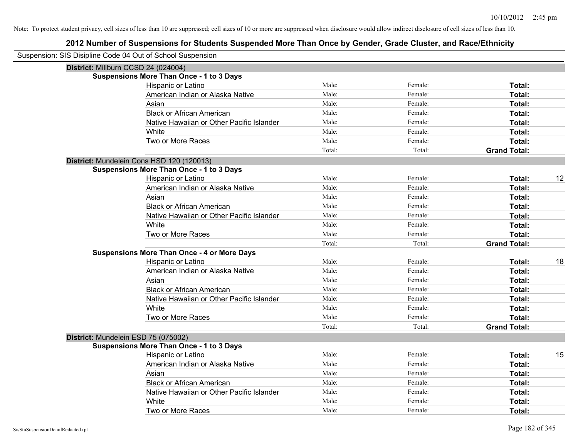| Suspension: SIS Disipline Code 04 Out of School Suspension |                                                    |        |         |                     |    |
|------------------------------------------------------------|----------------------------------------------------|--------|---------|---------------------|----|
| District: Millburn CCSD 24 (024004)                        |                                                    |        |         |                     |    |
|                                                            | <b>Suspensions More Than Once - 1 to 3 Days</b>    |        |         |                     |    |
|                                                            | Hispanic or Latino                                 | Male:  | Female: | Total:              |    |
|                                                            | American Indian or Alaska Native                   | Male:  | Female: | Total:              |    |
|                                                            | Asian                                              | Male:  | Female: | Total:              |    |
|                                                            | <b>Black or African American</b>                   | Male:  | Female: | Total:              |    |
|                                                            | Native Hawaiian or Other Pacific Islander          | Male:  | Female: | Total:              |    |
|                                                            | White                                              | Male:  | Female: | Total:              |    |
|                                                            | Two or More Races                                  | Male:  | Female: | Total:              |    |
|                                                            |                                                    | Total: | Total:  | <b>Grand Total:</b> |    |
|                                                            | District: Mundelein Cons HSD 120 (120013)          |        |         |                     |    |
|                                                            | <b>Suspensions More Than Once - 1 to 3 Days</b>    |        |         |                     |    |
|                                                            | Hispanic or Latino                                 | Male:  | Female: | Total:              | 12 |
|                                                            | American Indian or Alaska Native                   | Male:  | Female: | Total:              |    |
|                                                            | Asian                                              | Male:  | Female: | Total:              |    |
|                                                            | <b>Black or African American</b>                   | Male:  | Female: | Total:              |    |
|                                                            | Native Hawaiian or Other Pacific Islander          | Male:  | Female: | Total:              |    |
|                                                            | White                                              | Male:  | Female: | Total:              |    |
|                                                            | Two or More Races                                  | Male:  | Female: | Total:              |    |
|                                                            |                                                    | Total: | Total:  | <b>Grand Total:</b> |    |
|                                                            | <b>Suspensions More Than Once - 4 or More Days</b> |        |         |                     |    |
|                                                            | Hispanic or Latino                                 | Male:  | Female: | Total:              | 18 |
|                                                            | American Indian or Alaska Native                   | Male:  | Female: | Total:              |    |
|                                                            | Asian                                              | Male:  | Female: | Total:              |    |
|                                                            | <b>Black or African American</b>                   | Male:  | Female: | Total:              |    |
|                                                            | Native Hawaiian or Other Pacific Islander          | Male:  | Female: | Total:              |    |
|                                                            | White                                              | Male:  | Female: | Total:              |    |
|                                                            | Two or More Races                                  | Male:  | Female: | Total:              |    |
|                                                            |                                                    | Total: | Total:  | <b>Grand Total:</b> |    |
| District: Mundelein ESD 75 (075002)                        |                                                    |        |         |                     |    |
|                                                            | <b>Suspensions More Than Once - 1 to 3 Days</b>    |        |         |                     |    |
|                                                            | Hispanic or Latino                                 | Male:  | Female: | Total:              | 15 |
|                                                            | American Indian or Alaska Native                   | Male:  | Female: | Total:              |    |
|                                                            | Asian                                              | Male:  | Female: | Total:              |    |
|                                                            | <b>Black or African American</b>                   | Male:  | Female: | Total:              |    |
|                                                            | Native Hawaiian or Other Pacific Islander          | Male:  | Female: | Total:              |    |
|                                                            | White                                              | Male:  | Female: | Total:              |    |
|                                                            | Two or More Races                                  | Male:  | Female: | Total:              |    |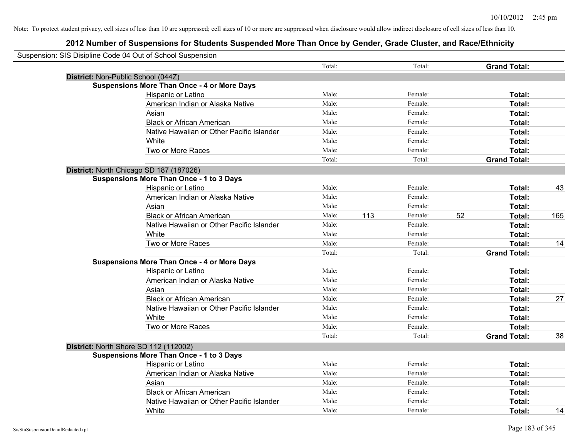| Suspension: SIS Disipline Code 04 Out of School Suspension |                                                    |        |     |         |    |                     |     |
|------------------------------------------------------------|----------------------------------------------------|--------|-----|---------|----|---------------------|-----|
|                                                            |                                                    | Total: |     | Total:  |    | <b>Grand Total:</b> |     |
|                                                            | District: Non-Public School (044Z)                 |        |     |         |    |                     |     |
|                                                            | <b>Suspensions More Than Once - 4 or More Days</b> |        |     |         |    |                     |     |
|                                                            | Hispanic or Latino                                 | Male:  |     | Female: |    | Total:              |     |
|                                                            | American Indian or Alaska Native                   | Male:  |     | Female: |    | Total:              |     |
|                                                            | Asian                                              | Male:  |     | Female: |    | Total:              |     |
|                                                            | <b>Black or African American</b>                   | Male:  |     | Female: |    | Total:              |     |
|                                                            | Native Hawaiian or Other Pacific Islander          | Male:  |     | Female: |    | Total:              |     |
|                                                            | White                                              | Male:  |     | Female: |    | Total:              |     |
|                                                            | Two or More Races                                  | Male:  |     | Female: |    | Total:              |     |
|                                                            |                                                    | Total: |     | Total:  |    | <b>Grand Total:</b> |     |
|                                                            | District: North Chicago SD 187 (187026)            |        |     |         |    |                     |     |
|                                                            | <b>Suspensions More Than Once - 1 to 3 Days</b>    |        |     |         |    |                     |     |
|                                                            | Hispanic or Latino                                 | Male:  |     | Female: |    | Total:              | 43  |
|                                                            | American Indian or Alaska Native                   | Male:  |     | Female: |    | Total:              |     |
|                                                            | Asian                                              | Male:  |     | Female: |    | Total:              |     |
|                                                            | <b>Black or African American</b>                   | Male:  | 113 | Female: | 52 | Total:              | 165 |
|                                                            | Native Hawaiian or Other Pacific Islander          | Male:  |     | Female: |    | Total:              |     |
|                                                            | White                                              | Male:  |     | Female: |    | Total:              |     |
|                                                            | Two or More Races                                  | Male:  |     | Female: |    | Total:              | 14  |
|                                                            |                                                    | Total: |     | Total:  |    | <b>Grand Total:</b> |     |
|                                                            | <b>Suspensions More Than Once - 4 or More Days</b> |        |     |         |    |                     |     |
|                                                            | Hispanic or Latino                                 | Male:  |     | Female: |    | Total:              |     |
|                                                            | American Indian or Alaska Native                   | Male:  |     | Female: |    | Total:              |     |
|                                                            | Asian                                              | Male:  |     | Female: |    | Total:              |     |
|                                                            | <b>Black or African American</b>                   | Male:  |     | Female: |    | Total:              | 27  |
|                                                            | Native Hawaiian or Other Pacific Islander          | Male:  |     | Female: |    | Total:              |     |
|                                                            | <b>White</b>                                       | Male:  |     | Female: |    | Total:              |     |
|                                                            | Two or More Races                                  | Male:  |     | Female: |    | Total:              |     |
|                                                            |                                                    | Total: |     | Total:  |    | <b>Grand Total:</b> | 38  |
|                                                            | District: North Shore SD 112 (112002)              |        |     |         |    |                     |     |
|                                                            | <b>Suspensions More Than Once - 1 to 3 Days</b>    |        |     |         |    |                     |     |
|                                                            | Hispanic or Latino                                 | Male:  |     | Female: |    | Total:              |     |
|                                                            | American Indian or Alaska Native                   | Male:  |     | Female: |    | Total:              |     |
|                                                            | Asian                                              | Male:  |     | Female: |    | Total:              |     |
|                                                            | <b>Black or African American</b>                   | Male:  |     | Female: |    | Total:              |     |
|                                                            | Native Hawaiian or Other Pacific Islander          | Male:  |     | Female: |    | Total:              |     |
|                                                            | White                                              | Male:  |     | Female: |    | Total:              | 14  |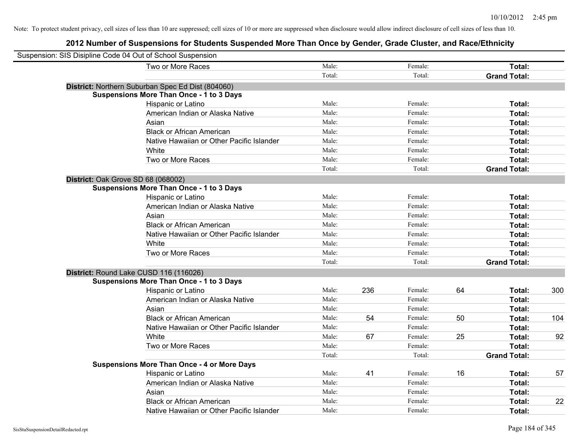| Suspension: SIS Disipline Code 04 Out of School Suspension |        |     |         |    |                     |     |
|------------------------------------------------------------|--------|-----|---------|----|---------------------|-----|
| Two or More Races                                          | Male:  |     | Female: |    | Total:              |     |
|                                                            | Total: |     | Total:  |    | <b>Grand Total:</b> |     |
| District: Northern Suburban Spec Ed Dist (804060)          |        |     |         |    |                     |     |
| <b>Suspensions More Than Once - 1 to 3 Days</b>            |        |     |         |    |                     |     |
| Hispanic or Latino                                         | Male:  |     | Female: |    | Total:              |     |
| American Indian or Alaska Native                           | Male:  |     | Female: |    | Total:              |     |
| Asian                                                      | Male:  |     | Female: |    | Total:              |     |
| <b>Black or African American</b>                           | Male:  |     | Female: |    | Total:              |     |
| Native Hawaiian or Other Pacific Islander                  | Male:  |     | Female: |    | Total:              |     |
| White                                                      | Male:  |     | Female: |    | Total:              |     |
| Two or More Races                                          | Male:  |     | Female: |    | Total:              |     |
|                                                            | Total: |     | Total:  |    | <b>Grand Total:</b> |     |
| District: Oak Grove SD 68 (068002)                         |        |     |         |    |                     |     |
| <b>Suspensions More Than Once - 1 to 3 Days</b>            |        |     |         |    |                     |     |
| Hispanic or Latino                                         | Male:  |     | Female: |    | Total:              |     |
| American Indian or Alaska Native                           | Male:  |     | Female: |    | Total:              |     |
| Asian                                                      | Male:  |     | Female: |    | Total:              |     |
| <b>Black or African American</b>                           | Male:  |     | Female: |    | Total:              |     |
| Native Hawaiian or Other Pacific Islander                  | Male:  |     | Female: |    | Total:              |     |
| White                                                      | Male:  |     | Female: |    | Total:              |     |
| Two or More Races                                          | Male:  |     | Female: |    | Total:              |     |
|                                                            | Total: |     | Total:  |    | <b>Grand Total:</b> |     |
| District: Round Lake CUSD 116 (116026)                     |        |     |         |    |                     |     |
| <b>Suspensions More Than Once - 1 to 3 Days</b>            |        |     |         |    |                     |     |
| Hispanic or Latino                                         | Male:  | 236 | Female: | 64 | Total:              | 300 |
| American Indian or Alaska Native                           | Male:  |     | Female: |    | Total:              |     |
| Asian                                                      | Male:  |     | Female: |    | Total:              |     |
| <b>Black or African American</b>                           | Male:  | 54  | Female: | 50 | Total:              | 104 |
| Native Hawaiian or Other Pacific Islander                  | Male:  |     | Female: |    | Total:              |     |
| White                                                      | Male:  | 67  | Female: | 25 | Total:              | 92  |
| Two or More Races                                          | Male:  |     | Female: |    | Total:              |     |
|                                                            | Total: |     | Total:  |    | <b>Grand Total:</b> |     |
| <b>Suspensions More Than Once - 4 or More Days</b>         |        |     |         |    |                     |     |
| Hispanic or Latino                                         | Male:  | 41  | Female: | 16 | Total:              | 57  |
| American Indian or Alaska Native                           | Male:  |     | Female: |    | Total:              |     |
| Asian                                                      | Male:  |     | Female: |    | Total:              |     |
| <b>Black or African American</b>                           | Male:  |     | Female: |    | Total:              | 22  |
| Native Hawaiian or Other Pacific Islander                  | Male:  |     | Female: |    | Total:              |     |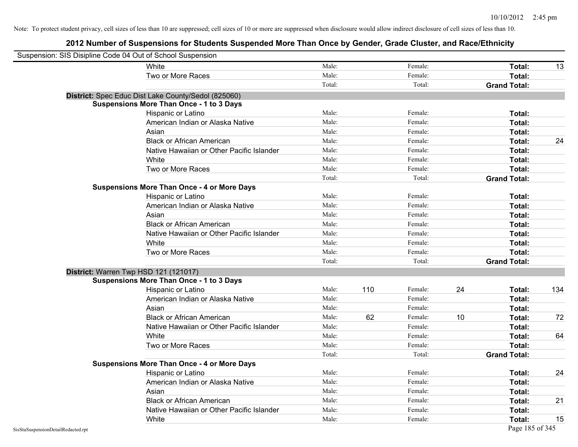| Suspension: SIS Disipline Code 04 Out of School Suspension |                                                     |        |     |         |    |                     |     |
|------------------------------------------------------------|-----------------------------------------------------|--------|-----|---------|----|---------------------|-----|
|                                                            | White                                               | Male:  |     | Female: |    | Total:              | 13  |
|                                                            | Two or More Races                                   | Male:  |     | Female: |    | Total:              |     |
|                                                            |                                                     | Total: |     | Total:  |    | <b>Grand Total:</b> |     |
|                                                            | District: Spec Educ Dist Lake County/Sedol (825060) |        |     |         |    |                     |     |
|                                                            | <b>Suspensions More Than Once - 1 to 3 Days</b>     |        |     |         |    |                     |     |
|                                                            | Hispanic or Latino                                  | Male:  |     | Female: |    | Total:              |     |
|                                                            | American Indian or Alaska Native                    | Male:  |     | Female: |    | Total:              |     |
|                                                            | Asian                                               | Male:  |     | Female: |    | Total:              |     |
|                                                            | <b>Black or African American</b>                    | Male:  |     | Female: |    | Total:              | 24  |
|                                                            | Native Hawaiian or Other Pacific Islander           | Male:  |     | Female: |    | Total:              |     |
|                                                            | White                                               | Male:  |     | Female: |    | Total:              |     |
|                                                            | Two or More Races                                   | Male:  |     | Female: |    | Total:              |     |
|                                                            |                                                     | Total: |     | Total:  |    | <b>Grand Total:</b> |     |
|                                                            | <b>Suspensions More Than Once - 4 or More Days</b>  |        |     |         |    |                     |     |
|                                                            | Hispanic or Latino                                  | Male:  |     | Female: |    | Total:              |     |
|                                                            | American Indian or Alaska Native                    | Male:  |     | Female: |    | Total:              |     |
|                                                            | Asian                                               | Male:  |     | Female: |    | Total:              |     |
|                                                            | <b>Black or African American</b>                    | Male:  |     | Female: |    | Total:              |     |
|                                                            | Native Hawaiian or Other Pacific Islander           | Male:  |     | Female: |    | Total:              |     |
|                                                            | White                                               | Male:  |     | Female: |    | Total:              |     |
|                                                            | Two or More Races                                   | Male:  |     | Female: |    | Total:              |     |
|                                                            |                                                     | Total: |     | Total:  |    | <b>Grand Total:</b> |     |
|                                                            | District: Warren Twp HSD 121 (121017)               |        |     |         |    |                     |     |
|                                                            | <b>Suspensions More Than Once - 1 to 3 Days</b>     |        |     |         |    |                     |     |
|                                                            | Hispanic or Latino                                  | Male:  | 110 | Female: | 24 | Total:              | 134 |
|                                                            | American Indian or Alaska Native                    | Male:  |     | Female: |    | Total:              |     |
|                                                            | Asian                                               | Male:  |     | Female: |    | Total:              |     |
|                                                            | <b>Black or African American</b>                    | Male:  | 62  | Female: | 10 | Total:              | 72  |
|                                                            | Native Hawaiian or Other Pacific Islander           | Male:  |     | Female: |    | Total:              |     |
|                                                            | White                                               | Male:  |     | Female: |    | Total:              | 64  |
|                                                            | Two or More Races                                   | Male:  |     | Female: |    | Total:              |     |
|                                                            |                                                     | Total: |     | Total:  |    | <b>Grand Total:</b> |     |
|                                                            | <b>Suspensions More Than Once - 4 or More Days</b>  |        |     |         |    |                     |     |
|                                                            | Hispanic or Latino                                  | Male:  |     | Female: |    | Total:              | 24  |
|                                                            | American Indian or Alaska Native                    | Male:  |     | Female: |    | Total:              |     |
|                                                            | Asian                                               | Male:  |     | Female: |    | Total:              |     |
|                                                            | <b>Black or African American</b>                    | Male:  |     | Female: |    | Total:              | 21  |
|                                                            | Native Hawaiian or Other Pacific Islander           | Male:  |     | Female: |    | Total:              |     |
|                                                            | White                                               | Male:  |     | Female: |    | Total:              | 15  |
| SisStuSuspensionDetailRedacted.rpt                         |                                                     |        |     |         |    | Page 185 of 345     |     |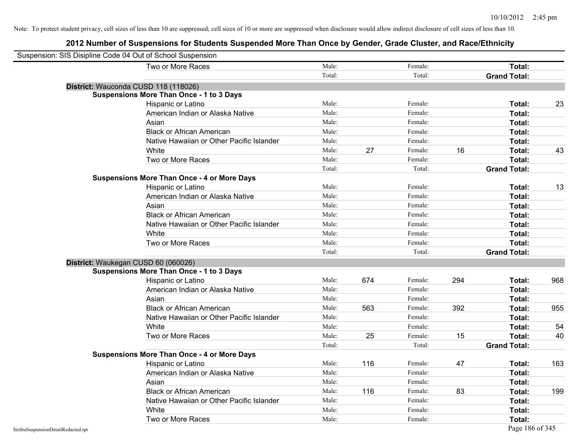| Suspension: SIS Disipline Code 04 Out of School Suspension |                                                    |        |     |         |     |                     |     |
|------------------------------------------------------------|----------------------------------------------------|--------|-----|---------|-----|---------------------|-----|
|                                                            | Two or More Races                                  | Male:  |     | Female: |     | Total:              |     |
|                                                            |                                                    | Total: |     | Total:  |     | <b>Grand Total:</b> |     |
| District: Wauconda CUSD 118 (118026)                       |                                                    |        |     |         |     |                     |     |
|                                                            | <b>Suspensions More Than Once - 1 to 3 Days</b>    |        |     |         |     |                     |     |
|                                                            | Hispanic or Latino                                 | Male:  |     | Female: |     | Total:              | 23  |
|                                                            | American Indian or Alaska Native                   | Male:  |     | Female: |     | Total:              |     |
|                                                            | Asian                                              | Male:  |     | Female: |     | Total:              |     |
|                                                            | <b>Black or African American</b>                   | Male:  |     | Female: |     | Total:              |     |
|                                                            | Native Hawaiian or Other Pacific Islander          | Male:  |     | Female: |     | Total:              |     |
|                                                            | White                                              | Male:  | 27  | Female: | 16  | Total:              | 43  |
|                                                            | Two or More Races                                  | Male:  |     | Female: |     | Total:              |     |
|                                                            |                                                    | Total: |     | Total:  |     | <b>Grand Total:</b> |     |
|                                                            | <b>Suspensions More Than Once - 4 or More Days</b> |        |     |         |     |                     |     |
|                                                            | Hispanic or Latino                                 | Male:  |     | Female: |     | Total:              | 13  |
|                                                            | American Indian or Alaska Native                   | Male:  |     | Female: |     | Total:              |     |
|                                                            | Asian                                              | Male:  |     | Female: |     | Total:              |     |
|                                                            | <b>Black or African American</b>                   | Male:  |     | Female: |     | Total:              |     |
|                                                            | Native Hawaiian or Other Pacific Islander          | Male:  |     | Female: |     | Total:              |     |
|                                                            | White                                              | Male:  |     | Female: |     | Total:              |     |
|                                                            | Two or More Races                                  | Male:  |     | Female: |     | Total:              |     |
|                                                            |                                                    | Total: |     | Total:  |     | <b>Grand Total:</b> |     |
| District: Waukegan CUSD 60 (060026)                        |                                                    |        |     |         |     |                     |     |
|                                                            | <b>Suspensions More Than Once - 1 to 3 Days</b>    |        |     |         |     |                     |     |
|                                                            | Hispanic or Latino                                 | Male:  | 674 | Female: | 294 | Total:              | 968 |
|                                                            | American Indian or Alaska Native                   | Male:  |     | Female: |     | Total:              |     |
|                                                            | Asian                                              | Male:  |     | Female: |     | Total:              |     |
|                                                            | <b>Black or African American</b>                   | Male:  | 563 | Female: | 392 | Total:              | 955 |
|                                                            | Native Hawaiian or Other Pacific Islander          | Male:  |     | Female: |     | Total:              |     |
|                                                            | White                                              | Male:  |     | Female: |     | Total:              | 54  |
|                                                            | Two or More Races                                  | Male:  | 25  | Female: | 15  | Total:              | 40  |
|                                                            |                                                    | Total: |     | Total:  |     | <b>Grand Total:</b> |     |
|                                                            | <b>Suspensions More Than Once - 4 or More Days</b> |        |     |         |     |                     |     |
|                                                            | Hispanic or Latino                                 | Male:  | 116 | Female: | 47  | Total:              | 163 |
|                                                            | American Indian or Alaska Native                   | Male:  |     | Female: |     | Total:              |     |
|                                                            | Asian                                              | Male:  |     | Female: |     | Total:              |     |
|                                                            | <b>Black or African American</b>                   | Male:  | 116 | Female: | 83  | Total:              | 199 |
|                                                            | Native Hawaiian or Other Pacific Islander          | Male:  |     | Female: |     | Total:              |     |
|                                                            | White                                              | Male:  |     | Female: |     | Total:              |     |
|                                                            | Two or More Races                                  | Male:  |     | Female: |     | Total:              |     |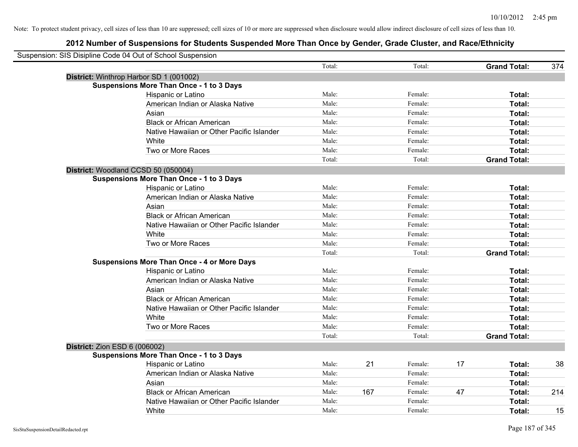| Suspension: SIS Disipline Code 04 Out of School Suspension |                                                    |        |     |         |    |                     |     |
|------------------------------------------------------------|----------------------------------------------------|--------|-----|---------|----|---------------------|-----|
|                                                            |                                                    | Total: |     | Total:  |    | <b>Grand Total:</b> | 374 |
| District: Winthrop Harbor SD 1 (001002)                    |                                                    |        |     |         |    |                     |     |
| <b>Suspensions More Than Once - 1 to 3 Days</b>            |                                                    |        |     |         |    |                     |     |
|                                                            | Hispanic or Latino                                 | Male:  |     | Female: |    | Total:              |     |
|                                                            | American Indian or Alaska Native                   | Male:  |     | Female: |    | Total:              |     |
| Asian                                                      |                                                    | Male:  |     | Female: |    | Total:              |     |
|                                                            | <b>Black or African American</b>                   | Male:  |     | Female: |    | Total:              |     |
|                                                            | Native Hawaiian or Other Pacific Islander          | Male:  |     | Female: |    | Total:              |     |
| White                                                      |                                                    | Male:  |     | Female: |    | Total:              |     |
|                                                            | Two or More Races                                  | Male:  |     | Female: |    | Total:              |     |
|                                                            |                                                    | Total: |     | Total:  |    | <b>Grand Total:</b> |     |
| District: Woodland CCSD 50 (050004)                        |                                                    |        |     |         |    |                     |     |
| <b>Suspensions More Than Once - 1 to 3 Days</b>            |                                                    |        |     |         |    |                     |     |
|                                                            | Hispanic or Latino                                 | Male:  |     | Female: |    | Total:              |     |
|                                                            | American Indian or Alaska Native                   | Male:  |     | Female: |    | Total:              |     |
| Asian                                                      |                                                    | Male:  |     | Female: |    | Total:              |     |
|                                                            | <b>Black or African American</b>                   | Male:  |     | Female: |    | Total:              |     |
|                                                            | Native Hawaiian or Other Pacific Islander          | Male:  |     | Female: |    | Total:              |     |
| White                                                      |                                                    | Male:  |     | Female: |    | Total:              |     |
|                                                            | Two or More Races                                  | Male:  |     | Female: |    | Total:              |     |
|                                                            |                                                    | Total: |     | Total:  |    | <b>Grand Total:</b> |     |
|                                                            | <b>Suspensions More Than Once - 4 or More Days</b> |        |     |         |    |                     |     |
|                                                            | Hispanic or Latino                                 | Male:  |     | Female: |    | Total:              |     |
|                                                            | American Indian or Alaska Native                   | Male:  |     | Female: |    | Total:              |     |
| Asian                                                      |                                                    | Male:  |     | Female: |    | Total:              |     |
|                                                            | <b>Black or African American</b>                   | Male:  |     | Female: |    | Total:              |     |
|                                                            | Native Hawaiian or Other Pacific Islander          | Male:  |     | Female: |    | Total:              |     |
| White                                                      |                                                    | Male:  |     | Female: |    | Total:              |     |
|                                                            | Two or More Races                                  | Male:  |     | Female: |    | Total:              |     |
|                                                            |                                                    | Total: |     | Total:  |    | <b>Grand Total:</b> |     |
| <b>District: Zion ESD 6 (006002)</b>                       |                                                    |        |     |         |    |                     |     |
| <b>Suspensions More Than Once - 1 to 3 Days</b>            |                                                    |        |     |         |    |                     |     |
|                                                            | Hispanic or Latino                                 | Male:  | 21  | Female: | 17 | Total:              | 38  |
|                                                            | American Indian or Alaska Native                   | Male:  |     | Female: |    | Total:              |     |
| Asian                                                      |                                                    | Male:  |     | Female: |    | Total:              |     |
|                                                            | <b>Black or African American</b>                   | Male:  | 167 | Female: | 47 | Total:              | 214 |
|                                                            | Native Hawaiian or Other Pacific Islander          | Male:  |     | Female: |    | Total:              |     |
| White                                                      |                                                    | Male:  |     | Female: |    | Total:              | 15  |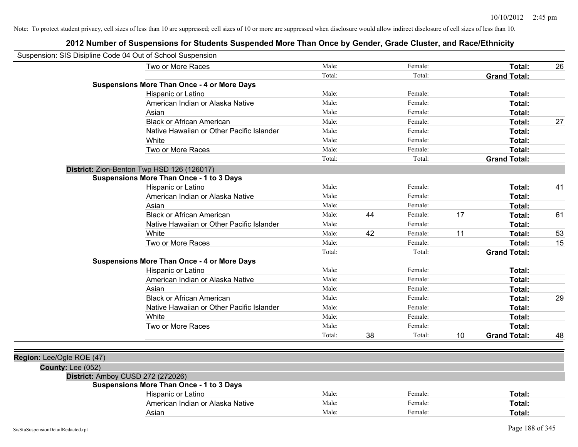| Suspension: SIS Disipline Code 04 Out of School Suspension |                                                    |        |    |         |    |                     |    |
|------------------------------------------------------------|----------------------------------------------------|--------|----|---------|----|---------------------|----|
|                                                            | Two or More Races                                  | Male:  |    | Female: |    | Total:              | 26 |
|                                                            |                                                    | Total: |    | Total:  |    | <b>Grand Total:</b> |    |
|                                                            | <b>Suspensions More Than Once - 4 or More Days</b> |        |    |         |    |                     |    |
|                                                            | Hispanic or Latino                                 | Male:  |    | Female: |    | Total:              |    |
|                                                            | American Indian or Alaska Native                   | Male:  |    | Female: |    | Total:              |    |
|                                                            | Asian                                              | Male:  |    | Female: |    | Total:              |    |
|                                                            | <b>Black or African American</b>                   | Male:  |    | Female: |    | Total:              | 27 |
|                                                            | Native Hawaiian or Other Pacific Islander          | Male:  |    | Female: |    | Total:              |    |
|                                                            | White                                              | Male:  |    | Female: |    | Total:              |    |
|                                                            | Two or More Races                                  | Male:  |    | Female: |    | Total:              |    |
|                                                            |                                                    | Total: |    | Total:  |    | <b>Grand Total:</b> |    |
|                                                            | District: Zion-Benton Twp HSD 126 (126017)         |        |    |         |    |                     |    |
|                                                            | <b>Suspensions More Than Once - 1 to 3 Days</b>    |        |    |         |    |                     |    |
|                                                            | Hispanic or Latino                                 | Male:  |    | Female: |    | Total:              | 41 |
|                                                            | American Indian or Alaska Native                   | Male:  |    | Female: |    | Total:              |    |
|                                                            | Asian                                              | Male:  |    | Female: |    | Total:              |    |
|                                                            | <b>Black or African American</b>                   | Male:  | 44 | Female: | 17 | Total:              | 61 |
|                                                            | Native Hawaiian or Other Pacific Islander          | Male:  |    | Female: |    | Total:              |    |
|                                                            | White                                              | Male:  | 42 | Female: | 11 | Total:              | 53 |
|                                                            | Two or More Races                                  | Male:  |    | Female: |    | Total:              | 15 |
|                                                            |                                                    | Total: |    | Total:  |    | <b>Grand Total:</b> |    |
|                                                            | <b>Suspensions More Than Once - 4 or More Days</b> |        |    |         |    |                     |    |
|                                                            | Hispanic or Latino                                 | Male:  |    | Female: |    | Total:              |    |
|                                                            | American Indian or Alaska Native                   | Male:  |    | Female: |    | Total:              |    |
|                                                            | Asian                                              | Male:  |    | Female: |    | Total:              |    |
|                                                            | <b>Black or African American</b>                   | Male:  |    | Female: |    | Total:              | 29 |
|                                                            | Native Hawaiian or Other Pacific Islander          | Male:  |    | Female: |    | Total:              |    |
|                                                            | White                                              | Male:  |    | Female: |    | Total:              |    |
|                                                            | Two or More Races                                  | Male:  |    | Female: |    | Total:              |    |
|                                                            |                                                    | Total: | 38 | Total:  | 10 | <b>Grand Total:</b> | 48 |
|                                                            |                                                    |        |    |         |    |                     |    |
| Region: Lee/Ogle ROE (47)                                  |                                                    |        |    |         |    |                     |    |
| County: Lee (052)                                          |                                                    |        |    |         |    |                     |    |
| District: Amboy CUSD 272 (272026)                          |                                                    |        |    |         |    |                     |    |
|                                                            | <b>Suspensions More Than Once - 1 to 3 Days</b>    |        |    |         |    |                     |    |
|                                                            | Hispanic or Latino                                 | Male:  |    | Female: |    | Total:              |    |
|                                                            | American Indian or Alaska Native                   | Male:  |    | Female: |    | Total:              |    |
|                                                            | Asian                                              | Male:  |    | Female: |    | Total:              |    |
|                                                            |                                                    |        |    |         |    |                     |    |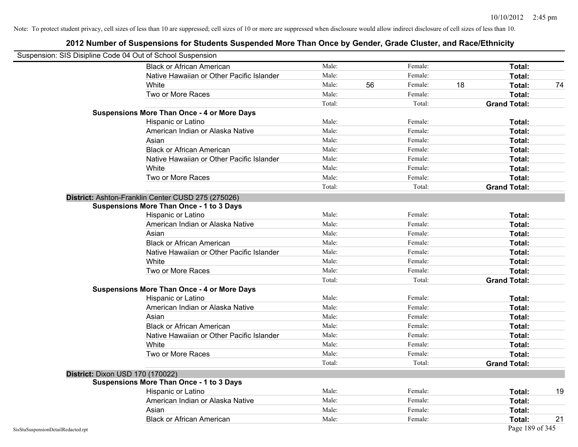| Suspension: SIS Disipline Code 04 Out of School Suspension |                                                    |        |    |         |    |                     |    |
|------------------------------------------------------------|----------------------------------------------------|--------|----|---------|----|---------------------|----|
|                                                            | <b>Black or African American</b>                   | Male:  |    | Female: |    | Total:              |    |
|                                                            | Native Hawaiian or Other Pacific Islander          | Male:  |    | Female: |    | Total:              |    |
|                                                            | White                                              | Male:  | 56 | Female: | 18 | Total:              | 74 |
|                                                            | Two or More Races                                  | Male:  |    | Female: |    | Total:              |    |
|                                                            |                                                    | Total: |    | Total:  |    | <b>Grand Total:</b> |    |
|                                                            | <b>Suspensions More Than Once - 4 or More Days</b> |        |    |         |    |                     |    |
|                                                            | Hispanic or Latino                                 | Male:  |    | Female: |    | Total:              |    |
|                                                            | American Indian or Alaska Native                   | Male:  |    | Female: |    | Total:              |    |
|                                                            | Asian                                              | Male:  |    | Female: |    | Total:              |    |
|                                                            | <b>Black or African American</b>                   | Male:  |    | Female: |    | Total:              |    |
|                                                            | Native Hawaiian or Other Pacific Islander          | Male:  |    | Female: |    | Total:              |    |
|                                                            | White                                              | Male:  |    | Female: |    | Total:              |    |
|                                                            | Two or More Races                                  | Male:  |    | Female: |    | Total:              |    |
|                                                            |                                                    | Total: |    | Total:  |    | <b>Grand Total:</b> |    |
|                                                            | District: Ashton-Franklin Center CUSD 275 (275026) |        |    |         |    |                     |    |
|                                                            | Suspensions More Than Once - 1 to 3 Days           |        |    |         |    |                     |    |
|                                                            | Hispanic or Latino                                 | Male:  |    | Female: |    | Total:              |    |
|                                                            | American Indian or Alaska Native                   | Male:  |    | Female: |    | Total:              |    |
|                                                            | Asian                                              | Male:  |    | Female: |    | Total:              |    |
|                                                            | <b>Black or African American</b>                   | Male:  |    | Female: |    | Total:              |    |
|                                                            | Native Hawaiian or Other Pacific Islander          | Male:  |    | Female: |    | Total:              |    |
|                                                            | White                                              | Male:  |    | Female: |    | Total:              |    |
|                                                            | Two or More Races                                  | Male:  |    | Female: |    | Total:              |    |
|                                                            |                                                    | Total: |    | Total:  |    | <b>Grand Total:</b> |    |
|                                                            | <b>Suspensions More Than Once - 4 or More Days</b> |        |    |         |    |                     |    |
|                                                            | Hispanic or Latino                                 | Male:  |    | Female: |    | Total:              |    |
|                                                            | American Indian or Alaska Native                   | Male:  |    | Female: |    | Total:              |    |
|                                                            | Asian                                              | Male:  |    | Female: |    | Total:              |    |
|                                                            | <b>Black or African American</b>                   | Male:  |    | Female: |    | Total:              |    |
|                                                            | Native Hawaiian or Other Pacific Islander          | Male:  |    | Female: |    | Total:              |    |
|                                                            | White                                              | Male:  |    | Female: |    | Total:              |    |
|                                                            | Two or More Races                                  | Male:  |    | Female: |    | Total:              |    |
|                                                            |                                                    | Total: |    | Total:  |    | <b>Grand Total:</b> |    |
|                                                            | <b>District: Dixon USD 170 (170022)</b>            |        |    |         |    |                     |    |
|                                                            | <b>Suspensions More Than Once - 1 to 3 Days</b>    |        |    |         |    |                     |    |
|                                                            | Hispanic or Latino                                 | Male:  |    | Female: |    | Total:              | 19 |
|                                                            | American Indian or Alaska Native                   | Male:  |    | Female: |    | Total:              |    |
|                                                            | Asian                                              | Male:  |    | Female: |    | Total:              |    |
|                                                            | <b>Black or African American</b>                   | Male:  |    | Female: |    | Total:              | 21 |
| SisStuSuspensionDetailRedacted.rpt                         |                                                    |        |    |         |    | Page 189 of 345     |    |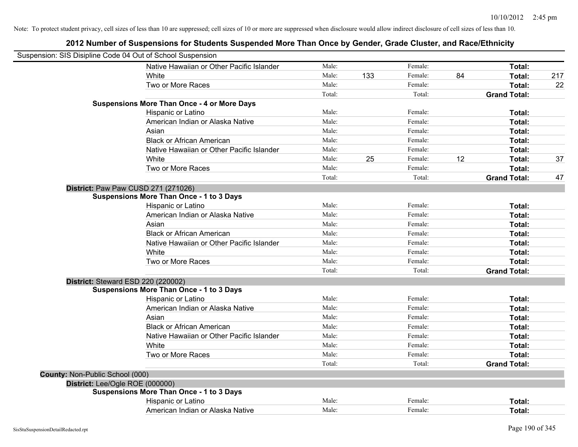| Suspension: SIS Disipline Code 04 Out of School Suspension |                                                    |        |     |         |    |                     |     |
|------------------------------------------------------------|----------------------------------------------------|--------|-----|---------|----|---------------------|-----|
|                                                            | Native Hawaiian or Other Pacific Islander          | Male:  |     | Female: |    | Total:              |     |
|                                                            | White                                              | Male:  | 133 | Female: | 84 | Total:              | 217 |
|                                                            | Two or More Races                                  | Male:  |     | Female: |    | Total:              | 22  |
|                                                            |                                                    | Total: |     | Total:  |    | <b>Grand Total:</b> |     |
|                                                            | <b>Suspensions More Than Once - 4 or More Days</b> |        |     |         |    |                     |     |
|                                                            | Hispanic or Latino                                 | Male:  |     | Female: |    | Total:              |     |
|                                                            | American Indian or Alaska Native                   | Male:  |     | Female: |    | Total:              |     |
|                                                            | Asian                                              | Male:  |     | Female: |    | Total:              |     |
|                                                            | <b>Black or African American</b>                   | Male:  |     | Female: |    | Total:              |     |
|                                                            | Native Hawaiian or Other Pacific Islander          | Male:  |     | Female: |    | Total:              |     |
|                                                            | White                                              | Male:  | 25  | Female: | 12 | Total:              | 37  |
|                                                            | Two or More Races                                  | Male:  |     | Female: |    | Total:              |     |
|                                                            |                                                    | Total: |     | Total:  |    | <b>Grand Total:</b> | 47  |
| District: Paw Paw CUSD 271 (271026)                        |                                                    |        |     |         |    |                     |     |
|                                                            | <b>Suspensions More Than Once - 1 to 3 Days</b>    |        |     |         |    |                     |     |
|                                                            | Hispanic or Latino                                 | Male:  |     | Female: |    | Total:              |     |
|                                                            | American Indian or Alaska Native                   | Male:  |     | Female: |    | Total:              |     |
|                                                            | Asian                                              | Male:  |     | Female: |    | Total:              |     |
|                                                            | <b>Black or African American</b>                   | Male:  |     | Female: |    | Total:              |     |
|                                                            | Native Hawaiian or Other Pacific Islander          | Male:  |     | Female: |    | Total:              |     |
|                                                            | White                                              | Male:  |     | Female: |    | Total:              |     |
|                                                            | Two or More Races                                  | Male:  |     | Female: |    | Total:              |     |
|                                                            |                                                    | Total: |     | Total:  |    | <b>Grand Total:</b> |     |
| District: Steward ESD 220 (220002)                         |                                                    |        |     |         |    |                     |     |
|                                                            | <b>Suspensions More Than Once - 1 to 3 Days</b>    |        |     |         |    |                     |     |
|                                                            | Hispanic or Latino                                 | Male:  |     | Female: |    | Total:              |     |
|                                                            | American Indian or Alaska Native                   | Male:  |     | Female: |    | Total:              |     |
|                                                            | Asian                                              | Male:  |     | Female: |    | Total:              |     |
|                                                            | <b>Black or African American</b>                   | Male:  |     | Female: |    | Total:              |     |
|                                                            | Native Hawaiian or Other Pacific Islander          | Male:  |     | Female: |    | Total:              |     |
|                                                            | White                                              | Male:  |     | Female: |    | Total:              |     |
|                                                            | Two or More Races                                  | Male:  |     | Female: |    | Total:              |     |
|                                                            |                                                    | Total: |     | Total:  |    | <b>Grand Total:</b> |     |
| <b>County: Non-Public School (000)</b>                     |                                                    |        |     |         |    |                     |     |
| District: Lee/Ogle ROE (000000)                            |                                                    |        |     |         |    |                     |     |
|                                                            | <b>Suspensions More Than Once - 1 to 3 Days</b>    |        |     |         |    |                     |     |
|                                                            | Hispanic or Latino                                 | Male:  |     | Female: |    | Total:              |     |
|                                                            | American Indian or Alaska Native                   | Male:  |     | Female: |    | Total:              |     |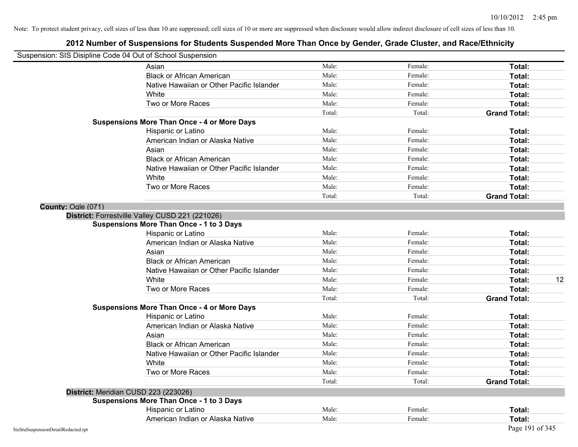|                                    | Suspension: SIS Disipline Code 04 Out of School Suspension |        |         |                     |
|------------------------------------|------------------------------------------------------------|--------|---------|---------------------|
|                                    | Asian                                                      | Male:  | Female: | Total:              |
|                                    | <b>Black or African American</b>                           | Male:  | Female: | Total:              |
|                                    | Native Hawaiian or Other Pacific Islander                  | Male:  | Female: | Total:              |
|                                    | White                                                      | Male:  | Female: | Total:              |
|                                    | Two or More Races                                          | Male:  | Female: | Total:              |
|                                    |                                                            | Total: | Total:  | <b>Grand Total:</b> |
|                                    | <b>Suspensions More Than Once - 4 or More Days</b>         |        |         |                     |
|                                    | Hispanic or Latino                                         | Male:  | Female: | Total:              |
|                                    | American Indian or Alaska Native                           | Male:  | Female: | Total:              |
|                                    | Asian                                                      | Male:  | Female: | Total:              |
|                                    | <b>Black or African American</b>                           | Male:  | Female: | Total:              |
|                                    | Native Hawaiian or Other Pacific Islander                  | Male:  | Female: | Total:              |
|                                    | White                                                      | Male:  | Female: | Total:              |
|                                    | Two or More Races                                          | Male:  | Female: | Total:              |
|                                    |                                                            | Total: | Total:  | <b>Grand Total:</b> |
| County: Ogle (071)                 |                                                            |        |         |                     |
|                                    | District: Forrestville Valley CUSD 221 (221026)            |        |         |                     |
|                                    | <b>Suspensions More Than Once - 1 to 3 Days</b>            |        |         |                     |
|                                    | Hispanic or Latino                                         | Male:  | Female: | Total:              |
|                                    | American Indian or Alaska Native                           | Male:  | Female: | Total:              |
|                                    | Asian                                                      | Male:  | Female: | Total:              |
|                                    | <b>Black or African American</b>                           | Male:  | Female: | Total:              |
|                                    | Native Hawaiian or Other Pacific Islander                  | Male:  | Female: | Total:              |
|                                    | White                                                      | Male:  | Female: | 12<br>Total:        |
|                                    | Two or More Races                                          | Male:  | Female: | Total:              |
|                                    |                                                            | Total: | Total:  | <b>Grand Total:</b> |
|                                    | <b>Suspensions More Than Once - 4 or More Days</b>         |        |         |                     |
|                                    | Hispanic or Latino                                         | Male:  | Female: | Total:              |
|                                    | American Indian or Alaska Native                           | Male:  | Female: | Total:              |
|                                    | Asian                                                      | Male:  | Female: | Total:              |
|                                    | <b>Black or African American</b>                           | Male:  | Female: | Total:              |
|                                    | Native Hawaiian or Other Pacific Islander                  | Male:  | Female: | Total:              |
|                                    | White                                                      | Male:  | Female: | Total:              |
|                                    | Two or More Races                                          | Male:  | Female: | Total:              |
|                                    |                                                            | Total: | Total:  | <b>Grand Total:</b> |
|                                    | District: Meridian CUSD 223 (223026)                       |        |         |                     |
|                                    | <b>Suspensions More Than Once - 1 to 3 Days</b>            |        |         |                     |
|                                    | Hispanic or Latino                                         | Male:  | Female: | Total:              |
|                                    | American Indian or Alaska Native                           | Male:  | Female: | Total:              |
| SisStuSuspensionDetailRedacted.rpt |                                                            |        |         | Page 191 of 345     |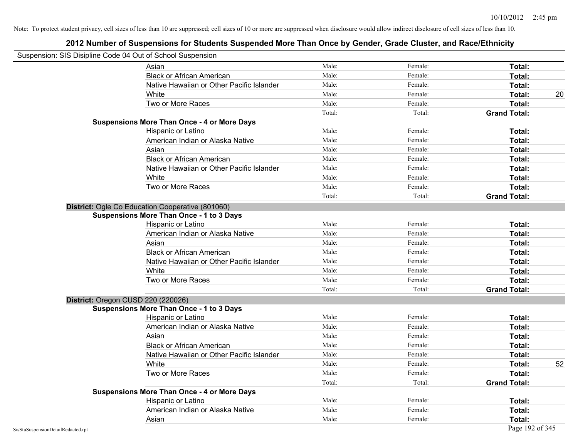| Suspension: SIS Disipline Code 04 Out of School Suspension |                                                    |        |         |                     |    |
|------------------------------------------------------------|----------------------------------------------------|--------|---------|---------------------|----|
|                                                            | Asian                                              | Male:  | Female: | Total:              |    |
|                                                            | <b>Black or African American</b>                   | Male:  | Female: | Total:              |    |
|                                                            | Native Hawaiian or Other Pacific Islander          | Male:  | Female: | Total:              |    |
|                                                            | White                                              | Male:  | Female: | Total:              | 20 |
|                                                            | Two or More Races                                  | Male:  | Female: | Total:              |    |
|                                                            |                                                    | Total: | Total:  | <b>Grand Total:</b> |    |
|                                                            | <b>Suspensions More Than Once - 4 or More Days</b> |        |         |                     |    |
|                                                            | Hispanic or Latino                                 | Male:  | Female: | Total:              |    |
|                                                            | American Indian or Alaska Native                   | Male:  | Female: | Total:              |    |
|                                                            | Asian                                              | Male:  | Female: | Total:              |    |
|                                                            | <b>Black or African American</b>                   | Male:  | Female: | Total:              |    |
|                                                            | Native Hawaiian or Other Pacific Islander          | Male:  | Female: | Total:              |    |
|                                                            | White                                              | Male:  | Female: | Total:              |    |
|                                                            | Two or More Races                                  | Male:  | Female: | Total:              |    |
|                                                            |                                                    | Total: | Total:  | <b>Grand Total:</b> |    |
|                                                            | District: Ogle Co Education Cooperative (801060)   |        |         |                     |    |
|                                                            | <b>Suspensions More Than Once - 1 to 3 Days</b>    |        |         |                     |    |
|                                                            | Hispanic or Latino                                 | Male:  | Female: | Total:              |    |
|                                                            | American Indian or Alaska Native                   | Male:  | Female: | Total:              |    |
|                                                            | Asian                                              | Male:  | Female: | Total:              |    |
|                                                            | <b>Black or African American</b>                   | Male:  | Female: | Total:              |    |
|                                                            | Native Hawaiian or Other Pacific Islander          | Male:  | Female: | Total:              |    |
|                                                            | White                                              | Male:  | Female: | Total:              |    |
|                                                            | Two or More Races                                  | Male:  | Female: | Total:              |    |
|                                                            |                                                    | Total: | Total:  | <b>Grand Total:</b> |    |
| District: Oregon CUSD 220 (220026)                         |                                                    |        |         |                     |    |
|                                                            | <b>Suspensions More Than Once - 1 to 3 Days</b>    |        |         |                     |    |
|                                                            | Hispanic or Latino                                 | Male:  | Female: | Total:              |    |
|                                                            | American Indian or Alaska Native                   | Male:  | Female: | Total:              |    |
|                                                            | Asian                                              | Male:  | Female: | Total:              |    |
|                                                            | <b>Black or African American</b>                   | Male:  | Female: | Total:              |    |
|                                                            | Native Hawaiian or Other Pacific Islander          | Male:  | Female: | Total:              |    |
|                                                            | White                                              | Male:  | Female: | Total:              | 52 |
|                                                            | Two or More Races                                  | Male:  | Female: | Total:              |    |
|                                                            |                                                    | Total: | Total:  | <b>Grand Total:</b> |    |
|                                                            | <b>Suspensions More Than Once - 4 or More Days</b> |        |         |                     |    |
|                                                            | Hispanic or Latino                                 | Male:  | Female: | Total:              |    |
|                                                            | American Indian or Alaska Native                   | Male:  | Female: | Total:              |    |
|                                                            | Asian                                              | Male:  | Female: | Total:              |    |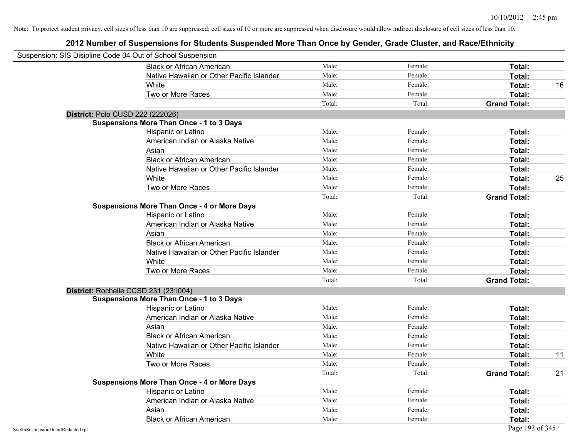| Suspension: SIS Disipline Code 04 Out of School Suspension |                                                    |        |         |                     |    |
|------------------------------------------------------------|----------------------------------------------------|--------|---------|---------------------|----|
|                                                            | <b>Black or African American</b>                   | Male:  | Female: | Total:              |    |
|                                                            | Native Hawaiian or Other Pacific Islander          | Male:  | Female: | Total:              |    |
|                                                            | White                                              | Male:  | Female: | Total:              | 16 |
|                                                            | Two or More Races                                  | Male:  | Female: | Total:              |    |
|                                                            |                                                    | Total: | Total:  | <b>Grand Total:</b> |    |
| District: Polo CUSD 222 (222026)                           |                                                    |        |         |                     |    |
|                                                            | <b>Suspensions More Than Once - 1 to 3 Days</b>    |        |         |                     |    |
|                                                            | Hispanic or Latino                                 | Male:  | Female: | Total:              |    |
|                                                            | American Indian or Alaska Native                   | Male:  | Female: | Total:              |    |
|                                                            | Asian                                              | Male:  | Female: | Total:              |    |
|                                                            | <b>Black or African American</b>                   | Male:  | Female: | Total:              |    |
|                                                            | Native Hawaiian or Other Pacific Islander          | Male:  | Female: | Total:              |    |
|                                                            | White                                              | Male:  | Female: | Total:              | 25 |
|                                                            | Two or More Races                                  | Male:  | Female: | Total:              |    |
|                                                            |                                                    | Total: | Total:  | <b>Grand Total:</b> |    |
|                                                            | <b>Suspensions More Than Once - 4 or More Days</b> |        |         |                     |    |
|                                                            | Hispanic or Latino                                 | Male:  | Female: | Total:              |    |
|                                                            | American Indian or Alaska Native                   | Male:  | Female: | Total:              |    |
|                                                            | Asian                                              | Male:  | Female: | Total:              |    |
|                                                            | <b>Black or African American</b>                   | Male:  | Female: | Total:              |    |
|                                                            | Native Hawaiian or Other Pacific Islander          | Male:  | Female: | Total:              |    |
|                                                            | White                                              | Male:  | Female: | Total:              |    |
|                                                            | Two or More Races                                  | Male:  | Female: | Total:              |    |
|                                                            |                                                    | Total: | Total:  | <b>Grand Total:</b> |    |
|                                                            | District: Rochelle CCSD 231 (231004)               |        |         |                     |    |
|                                                            | <b>Suspensions More Than Once - 1 to 3 Days</b>    |        |         |                     |    |
|                                                            | Hispanic or Latino                                 | Male:  | Female: | Total:              |    |
|                                                            | American Indian or Alaska Native                   | Male:  | Female: | Total:              |    |
|                                                            | Asian                                              | Male:  | Female: | Total:              |    |
|                                                            | <b>Black or African American</b>                   | Male:  | Female: | Total:              |    |
|                                                            | Native Hawaiian or Other Pacific Islander          | Male:  | Female: | Total:              |    |
|                                                            | White                                              | Male:  | Female: | Total:              | 11 |
|                                                            | Two or More Races                                  | Male:  | Female: | Total:              |    |
|                                                            |                                                    | Total: | Total:  | <b>Grand Total:</b> | 21 |
|                                                            | <b>Suspensions More Than Once - 4 or More Days</b> |        |         |                     |    |
|                                                            | Hispanic or Latino                                 | Male:  | Female: | Total:              |    |
|                                                            | American Indian or Alaska Native                   | Male:  | Female: | Total:              |    |
|                                                            | Asian                                              | Male:  | Female: | Total:              |    |
|                                                            | <b>Black or African American</b>                   | Male:  | Female: | Total:              |    |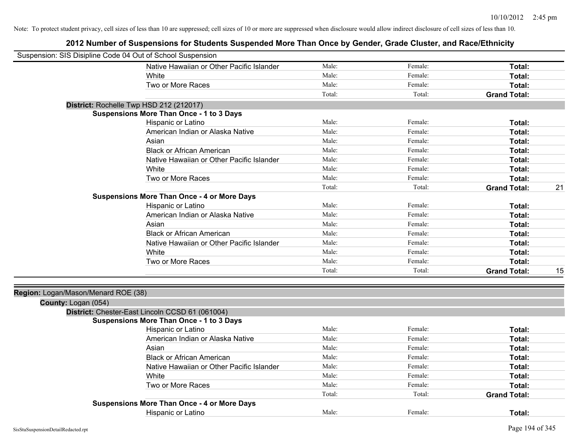| Suspension: SIS Disipline Code 04 Out of School Suspension |                                                    |        |         |                     |    |
|------------------------------------------------------------|----------------------------------------------------|--------|---------|---------------------|----|
|                                                            | Native Hawaiian or Other Pacific Islander          | Male:  | Female: | Total:              |    |
|                                                            | White                                              | Male:  | Female: | Total:              |    |
|                                                            | Two or More Races                                  | Male:  | Female: | Total:              |    |
|                                                            |                                                    | Total: | Total:  | <b>Grand Total:</b> |    |
|                                                            | District: Rochelle Twp HSD 212 (212017)            |        |         |                     |    |
|                                                            | <b>Suspensions More Than Once - 1 to 3 Days</b>    |        |         |                     |    |
|                                                            | Hispanic or Latino                                 | Male:  | Female: | Total:              |    |
|                                                            | American Indian or Alaska Native                   | Male:  | Female: | Total:              |    |
|                                                            | Asian                                              | Male:  | Female: | Total:              |    |
|                                                            | <b>Black or African American</b>                   | Male:  | Female: | Total:              |    |
|                                                            | Native Hawaiian or Other Pacific Islander          | Male:  | Female: | Total:              |    |
|                                                            | White                                              | Male:  | Female: | Total:              |    |
|                                                            | Two or More Races                                  | Male:  | Female: | Total:              |    |
|                                                            |                                                    | Total: | Total:  | <b>Grand Total:</b> | 21 |
|                                                            | <b>Suspensions More Than Once - 4 or More Days</b> |        |         |                     |    |
|                                                            | Hispanic or Latino                                 | Male:  | Female: | Total:              |    |
|                                                            | American Indian or Alaska Native                   | Male:  | Female: | Total:              |    |
|                                                            | Asian                                              | Male:  | Female: | Total:              |    |
|                                                            | <b>Black or African American</b>                   | Male:  | Female: | Total:              |    |
|                                                            | Native Hawaiian or Other Pacific Islander          | Male:  | Female: | Total:              |    |
|                                                            | White                                              | Male:  | Female: | Total:              |    |
|                                                            | Two or More Races                                  | Male:  | Female: | Total:              |    |
|                                                            |                                                    | Total: | Total:  | <b>Grand Total:</b> | 15 |
| Region: Logan/Mason/Menard ROE (38)                        |                                                    |        |         |                     |    |
| County: Logan (054)                                        |                                                    |        |         |                     |    |
|                                                            | District: Chester-East Lincoln CCSD 61 (061004)    |        |         |                     |    |
|                                                            | <b>Suspensions More Than Once - 1 to 3 Days</b>    |        |         |                     |    |
|                                                            | Hispanic or Latino                                 | Male:  | Female: | Total:              |    |
|                                                            | American Indian or Alaska Native                   | Male:  | Female: | Total:              |    |
|                                                            | Asian                                              | Male:  | Female: | Total:              |    |
|                                                            | <b>Black or African American</b>                   | Male:  | Female: | Total:              |    |
|                                                            | Native Hawaiian or Other Pacific Islander          | Male:  | Female: | Total:              |    |
|                                                            | White                                              | Male:  | Female: | Total:              |    |
|                                                            | Two or More Races                                  | Male:  | Female: | Total:              |    |
|                                                            |                                                    | Total: | Total:  | <b>Grand Total:</b> |    |
|                                                            | <b>Suspensions More Than Once - 4 or More Days</b> |        |         |                     |    |
|                                                            | Hispanic or Latino                                 | Male:  | Female: | Total:              |    |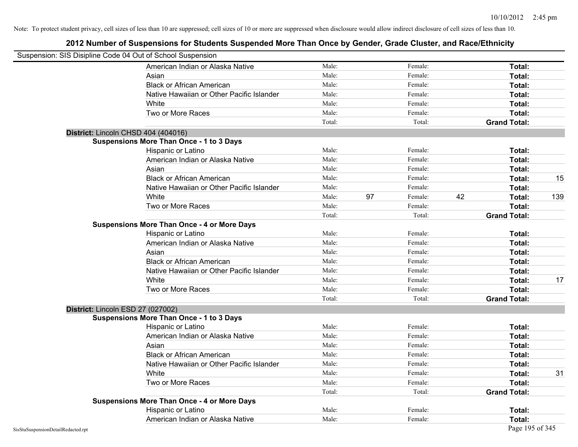| Suspension: SIS Disipline Code 04 Out of School Suspension |        |    |         |    |                     |     |
|------------------------------------------------------------|--------|----|---------|----|---------------------|-----|
| American Indian or Alaska Native                           | Male:  |    | Female: |    | Total:              |     |
| Asian                                                      | Male:  |    | Female: |    | Total:              |     |
| <b>Black or African American</b>                           | Male:  |    | Female: |    | Total:              |     |
| Native Hawaiian or Other Pacific Islander                  | Male:  |    | Female: |    | Total:              |     |
| White                                                      | Male:  |    | Female: |    | Total:              |     |
| Two or More Races                                          | Male:  |    | Female: |    | Total:              |     |
|                                                            | Total: |    | Total:  |    | <b>Grand Total:</b> |     |
| District: Lincoln CHSD 404 (404016)                        |        |    |         |    |                     |     |
| <b>Suspensions More Than Once - 1 to 3 Days</b>            |        |    |         |    |                     |     |
| Hispanic or Latino                                         | Male:  |    | Female: |    | Total:              |     |
| American Indian or Alaska Native                           | Male:  |    | Female: |    | Total:              |     |
| Asian                                                      | Male:  |    | Female: |    | Total:              |     |
| <b>Black or African American</b>                           | Male:  |    | Female: |    | Total:              | 15  |
| Native Hawaiian or Other Pacific Islander                  | Male:  |    | Female: |    | Total:              |     |
| White                                                      | Male:  | 97 | Female: | 42 | Total:              | 139 |
| Two or More Races                                          | Male:  |    | Female: |    | Total:              |     |
|                                                            | Total: |    | Total:  |    | <b>Grand Total:</b> |     |
| <b>Suspensions More Than Once - 4 or More Days</b>         |        |    |         |    |                     |     |
| Hispanic or Latino                                         | Male:  |    | Female: |    | Total:              |     |
| American Indian or Alaska Native                           | Male:  |    | Female: |    | Total:              |     |
| Asian                                                      | Male:  |    | Female: |    | Total:              |     |
| <b>Black or African American</b>                           | Male:  |    | Female: |    | Total:              |     |
| Native Hawaiian or Other Pacific Islander                  | Male:  |    | Female: |    | Total:              |     |
| White                                                      | Male:  |    | Female: |    | Total:              | 17  |
| Two or More Races                                          | Male:  |    | Female: |    | <b>Total:</b>       |     |
|                                                            | Total: |    | Total:  |    | <b>Grand Total:</b> |     |
| District: Lincoln ESD 27 (027002)                          |        |    |         |    |                     |     |
| <b>Suspensions More Than Once - 1 to 3 Days</b>            |        |    |         |    |                     |     |
| Hispanic or Latino                                         | Male:  |    | Female: |    | Total:              |     |
| American Indian or Alaska Native                           | Male:  |    | Female: |    | Total:              |     |
| Asian                                                      | Male:  |    | Female: |    | Total:              |     |
| <b>Black or African American</b>                           | Male:  |    | Female: |    | Total:              |     |
| Native Hawaiian or Other Pacific Islander                  | Male:  |    | Female: |    | Total:              |     |
| White                                                      | Male:  |    | Female: |    | Total:              | 31  |
| Two or More Races                                          | Male:  |    | Female: |    | Total:              |     |
|                                                            | Total: |    | Total:  |    | <b>Grand Total:</b> |     |
| <b>Suspensions More Than Once - 4 or More Days</b>         |        |    |         |    |                     |     |
| Hispanic or Latino                                         | Male:  |    | Female: |    | Total:              |     |
| American Indian or Alaska Native                           | Male:  |    | Female: |    | Total:              |     |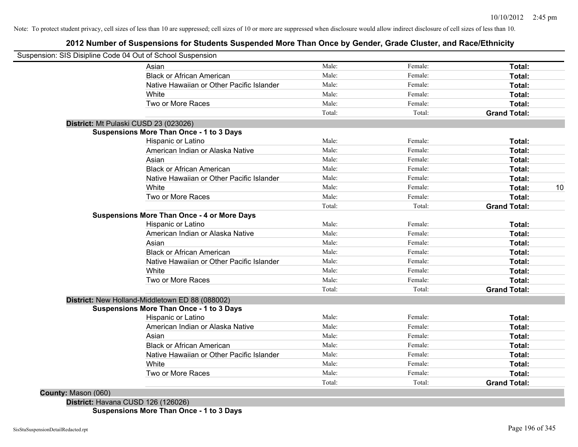### **2012 Number of Suspensions for Students Suspended More Than Once by Gender, Grade Cluster, and Race/Ethnicity**

| Suspension: SIS Disipline Code 04 Out of School Suspension |        |         |                     |
|------------------------------------------------------------|--------|---------|---------------------|
| Asian                                                      | Male:  | Female: | Total:              |
| <b>Black or African American</b>                           | Male:  | Female: | Total:              |
| Native Hawaiian or Other Pacific Islander                  | Male:  | Female: | Total:              |
| White                                                      | Male:  | Female: | Total:              |
| Two or More Races                                          | Male:  | Female: | Total:              |
|                                                            | Total: | Total:  | <b>Grand Total:</b> |
| District: Mt Pulaski CUSD 23 (023026)                      |        |         |                     |
| <b>Suspensions More Than Once - 1 to 3 Days</b>            |        |         |                     |
| Hispanic or Latino                                         | Male:  | Female: | Total:              |
| American Indian or Alaska Native                           | Male:  | Female: | Total:              |
| Asian                                                      | Male:  | Female: | Total:              |
| <b>Black or African American</b>                           | Male:  | Female: | Total:              |
| Native Hawaiian or Other Pacific Islander                  | Male:  | Female: | Total:              |
| White                                                      | Male:  | Female: | Total:              |
| Two or More Races                                          | Male:  | Female: | Total:              |
|                                                            | Total: | Total:  | <b>Grand Total:</b> |
| <b>Suspensions More Than Once - 4 or More Days</b>         |        |         |                     |
| Hispanic or Latino                                         | Male:  | Female: | Total:              |
| American Indian or Alaska Native                           | Male:  | Female: | Total:              |
| Asian                                                      | Male:  | Female: | Total:              |
| <b>Black or African American</b>                           | Male:  | Female: | Total:              |
| Native Hawaiian or Other Pacific Islander                  | Male:  | Female: | Total:              |
| White                                                      | Male:  | Female: | Total:              |
| Two or More Races                                          | Male:  | Female: | Total:              |
|                                                            | Total: | Total:  | <b>Grand Total:</b> |
| District: New Holland-Middletown ED 88 (088002)            |        |         |                     |
| <b>Suspensions More Than Once - 1 to 3 Days</b>            |        |         |                     |
| Hispanic or Latino                                         | Male:  | Female: | Total:              |
| American Indian or Alaska Native                           | Male:  | Female: | Total:              |
| Asian                                                      | Male:  | Female: | Total:              |
| <b>Black or African American</b>                           | Male:  | Female: | Total:              |
| Native Hawaiian or Other Pacific Islander                  | Male:  | Female: | Total:              |
| White                                                      | Male:  | Female: | Total:              |
| Two or More Races                                          | Male:  | Female: | Total:              |
|                                                            | Total: | Total:  | <b>Grand Total:</b> |

**Suspensions More Than Once - 1 to 3 Days**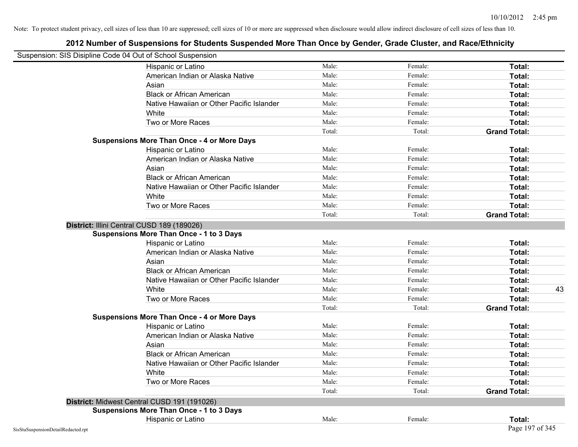|                                    | Suspension: SIS Disipline Code 04 Out of School Suspension |        |         |                     |
|------------------------------------|------------------------------------------------------------|--------|---------|---------------------|
|                                    | Hispanic or Latino                                         | Male:  | Female: | Total:              |
|                                    | American Indian or Alaska Native                           | Male:  | Female: | Total:              |
|                                    | Asian                                                      | Male:  | Female: | Total:              |
|                                    | <b>Black or African American</b>                           | Male:  | Female: | Total:              |
|                                    | Native Hawaiian or Other Pacific Islander                  | Male:  | Female: | Total:              |
|                                    | White                                                      | Male:  | Female: | Total:              |
|                                    | Two or More Races                                          | Male:  | Female: | Total:              |
|                                    |                                                            | Total: | Total:  | <b>Grand Total:</b> |
|                                    | <b>Suspensions More Than Once - 4 or More Days</b>         |        |         |                     |
|                                    | Hispanic or Latino                                         | Male:  | Female: | Total:              |
|                                    | American Indian or Alaska Native                           | Male:  | Female: | Total:              |
|                                    | Asian                                                      | Male:  | Female: | Total:              |
|                                    | <b>Black or African American</b>                           | Male:  | Female: | Total:              |
|                                    | Native Hawaiian or Other Pacific Islander                  | Male:  | Female: | Total:              |
|                                    | White                                                      | Male:  | Female: | Total:              |
|                                    | Two or More Races                                          | Male:  | Female: | Total:              |
|                                    |                                                            | Total: | Total:  | <b>Grand Total:</b> |
|                                    | District: Illini Central CUSD 189 (189026)                 |        |         |                     |
|                                    | <b>Suspensions More Than Once - 1 to 3 Days</b>            |        |         |                     |
|                                    | Hispanic or Latino                                         | Male:  | Female: | Total:              |
|                                    | American Indian or Alaska Native                           | Male:  | Female: | Total:              |
|                                    | Asian                                                      | Male:  | Female: | Total:              |
|                                    | <b>Black or African American</b>                           | Male:  | Female: | Total:              |
|                                    | Native Hawaiian or Other Pacific Islander                  | Male:  | Female: | Total:              |
|                                    | White                                                      | Male:  | Female: | Total:<br>43        |
|                                    | Two or More Races                                          | Male:  | Female: | Total:              |
|                                    |                                                            | Total: | Total:  | <b>Grand Total:</b> |
|                                    | <b>Suspensions More Than Once - 4 or More Days</b>         |        |         |                     |
|                                    | Hispanic or Latino                                         | Male:  | Female: | Total:              |
|                                    | American Indian or Alaska Native                           | Male:  | Female: | Total:              |
|                                    | Asian                                                      | Male:  | Female: | Total:              |
|                                    | <b>Black or African American</b>                           | Male:  | Female: | Total:              |
|                                    | Native Hawaiian or Other Pacific Islander                  | Male:  | Female: | Total:              |
|                                    | White                                                      | Male:  | Female: | Total:              |
|                                    | Two or More Races                                          | Male:  | Female: | Total:              |
|                                    |                                                            | Total: | Total:  | <b>Grand Total:</b> |
|                                    | District: Midwest Central CUSD 191 (191026)                |        |         |                     |
|                                    | <b>Suspensions More Than Once - 1 to 3 Days</b>            |        |         |                     |
|                                    | Hispanic or Latino                                         | Male:  | Female: | Total:              |
| SisStuSuspensionDetailRedacted.rpt |                                                            |        |         | Page 197 of 345     |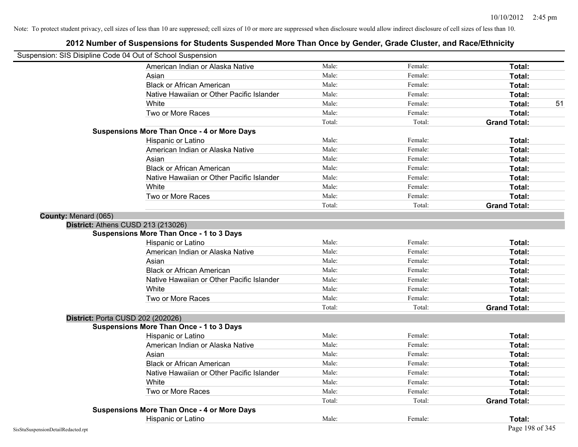| Suspension: SIS Disipline Code 04 Out of School Suspension |                                                    |        |         |                     |    |
|------------------------------------------------------------|----------------------------------------------------|--------|---------|---------------------|----|
|                                                            | American Indian or Alaska Native                   | Male:  | Female: | Total:              |    |
|                                                            | Asian                                              | Male:  | Female: | Total:              |    |
|                                                            | <b>Black or African American</b>                   | Male:  | Female: | <b>Total:</b>       |    |
|                                                            | Native Hawaiian or Other Pacific Islander          | Male:  | Female: | Total:              |    |
|                                                            | White                                              | Male:  | Female: | Total:              | 51 |
|                                                            | Two or More Races                                  | Male:  | Female: | Total:              |    |
|                                                            |                                                    | Total: | Total:  | <b>Grand Total:</b> |    |
|                                                            | <b>Suspensions More Than Once - 4 or More Days</b> |        |         |                     |    |
|                                                            | Hispanic or Latino                                 | Male:  | Female: | Total:              |    |
|                                                            | American Indian or Alaska Native                   | Male:  | Female: | Total:              |    |
|                                                            | Asian                                              | Male:  | Female: | Total:              |    |
|                                                            | <b>Black or African American</b>                   | Male:  | Female: | Total:              |    |
|                                                            | Native Hawaiian or Other Pacific Islander          | Male:  | Female: | Total:              |    |
|                                                            | White                                              | Male:  | Female: | Total:              |    |
|                                                            | Two or More Races                                  | Male:  | Female: | Total:              |    |
|                                                            |                                                    | Total: | Total:  | <b>Grand Total:</b> |    |
| County: Menard (065)                                       |                                                    |        |         |                     |    |
| District: Athens CUSD 213 (213026)                         |                                                    |        |         |                     |    |
|                                                            | <b>Suspensions More Than Once - 1 to 3 Days</b>    |        |         |                     |    |
|                                                            | Hispanic or Latino                                 | Male:  | Female: | Total:              |    |
|                                                            | American Indian or Alaska Native                   | Male:  | Female: | Total:              |    |
|                                                            | Asian                                              | Male:  | Female: | Total:              |    |
|                                                            | <b>Black or African American</b>                   | Male:  | Female: | Total:              |    |
|                                                            | Native Hawaiian or Other Pacific Islander          | Male:  | Female: | Total:              |    |
|                                                            | White                                              | Male:  | Female: | Total:              |    |
|                                                            | Two or More Races                                  | Male:  | Female: | Total:              |    |
|                                                            |                                                    | Total: | Total:  | <b>Grand Total:</b> |    |
| District: Porta CUSD 202 (202026)                          |                                                    |        |         |                     |    |
|                                                            | <b>Suspensions More Than Once - 1 to 3 Days</b>    |        |         |                     |    |
|                                                            | Hispanic or Latino                                 | Male:  | Female: | Total:              |    |
|                                                            | American Indian or Alaska Native                   | Male:  | Female: | Total:              |    |
|                                                            | Asian                                              | Male:  | Female: | Total:              |    |
|                                                            | <b>Black or African American</b>                   | Male:  | Female: | Total:              |    |
|                                                            | Native Hawaiian or Other Pacific Islander          | Male:  | Female: | Total:              |    |
|                                                            | White                                              | Male:  | Female: | Total:              |    |
|                                                            | Two or More Races                                  | Male:  | Female: | Total:              |    |
|                                                            |                                                    | Total: | Total:  | <b>Grand Total:</b> |    |
|                                                            | <b>Suspensions More Than Once - 4 or More Days</b> |        |         |                     |    |
|                                                            | Hispanic or Latino                                 | Male:  | Female: | Total:              |    |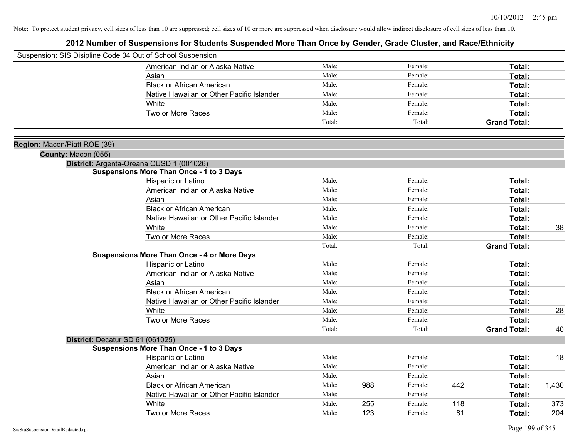| Suspension: SIS Disipline Code 04 Out of School Suspension |                                                                                             |        |     |         |     |                     |       |
|------------------------------------------------------------|---------------------------------------------------------------------------------------------|--------|-----|---------|-----|---------------------|-------|
|                                                            | American Indian or Alaska Native                                                            | Male:  |     | Female: |     | Total:              |       |
|                                                            | Asian                                                                                       | Male:  |     | Female: |     | Total:              |       |
|                                                            | <b>Black or African American</b>                                                            | Male:  |     | Female: |     | Total:              |       |
|                                                            | Native Hawaiian or Other Pacific Islander                                                   | Male:  |     | Female: |     | Total:              |       |
|                                                            | White                                                                                       | Male:  |     | Female: |     | Total:              |       |
|                                                            | Two or More Races                                                                           | Male:  |     | Female: |     | Total:              |       |
|                                                            |                                                                                             | Total: |     | Total:  |     | <b>Grand Total:</b> |       |
|                                                            |                                                                                             |        |     |         |     |                     |       |
| Region: Macon/Piatt ROE (39)                               |                                                                                             |        |     |         |     |                     |       |
| County: Macon (055)                                        |                                                                                             |        |     |         |     |                     |       |
|                                                            | District: Argenta-Oreana CUSD 1 (001026)<br><b>Suspensions More Than Once - 1 to 3 Days</b> |        |     |         |     |                     |       |
|                                                            | Hispanic or Latino                                                                          | Male:  |     | Female: |     | Total:              |       |
|                                                            | American Indian or Alaska Native                                                            | Male:  |     | Female: |     | Total:              |       |
|                                                            | Asian                                                                                       | Male:  |     | Female: |     | Total:              |       |
|                                                            | <b>Black or African American</b>                                                            | Male:  |     | Female: |     | Total:              |       |
|                                                            | Native Hawaiian or Other Pacific Islander                                                   | Male:  |     | Female: |     | Total:              |       |
|                                                            | White                                                                                       | Male:  |     | Female: |     | Total:              | 38    |
|                                                            | Two or More Races                                                                           | Male:  |     | Female: |     | Total:              |       |
|                                                            |                                                                                             | Total: |     | Total:  |     | <b>Grand Total:</b> |       |
|                                                            | <b>Suspensions More Than Once - 4 or More Days</b>                                          |        |     |         |     |                     |       |
|                                                            | Hispanic or Latino                                                                          | Male:  |     | Female: |     | Total:              |       |
|                                                            | American Indian or Alaska Native                                                            | Male:  |     | Female: |     | Total:              |       |
|                                                            | Asian                                                                                       | Male:  |     | Female: |     | Total:              |       |
|                                                            | <b>Black or African American</b>                                                            | Male:  |     | Female: |     | Total:              |       |
|                                                            | Native Hawaiian or Other Pacific Islander                                                   | Male:  |     | Female: |     | Total:              |       |
|                                                            | White                                                                                       | Male:  |     | Female: |     | Total:              | 28    |
|                                                            | Two or More Races                                                                           | Male:  |     | Female: |     | Total:              |       |
|                                                            |                                                                                             | Total: |     | Total:  |     | <b>Grand Total:</b> | 40    |
|                                                            | District: Decatur SD 61 (061025)                                                            |        |     |         |     |                     |       |
|                                                            | <b>Suspensions More Than Once - 1 to 3 Days</b>                                             |        |     |         |     |                     |       |
|                                                            | Hispanic or Latino                                                                          | Male:  |     | Female: |     | Total:              | 18    |
|                                                            | American Indian or Alaska Native                                                            | Male:  |     | Female: |     | Total:              |       |
|                                                            | Asian                                                                                       | Male:  |     | Female: |     | Total:              |       |
|                                                            | <b>Black or African American</b>                                                            | Male:  | 988 | Female: | 442 | Total:              | 1,430 |
|                                                            | Native Hawaiian or Other Pacific Islander                                                   | Male:  |     | Female: |     | Total:              |       |
|                                                            | White                                                                                       | Male:  | 255 | Female: | 118 | Total:              | 373   |
|                                                            | Two or More Races                                                                           | Male:  | 123 | Female: | 81  | Total:              | 204   |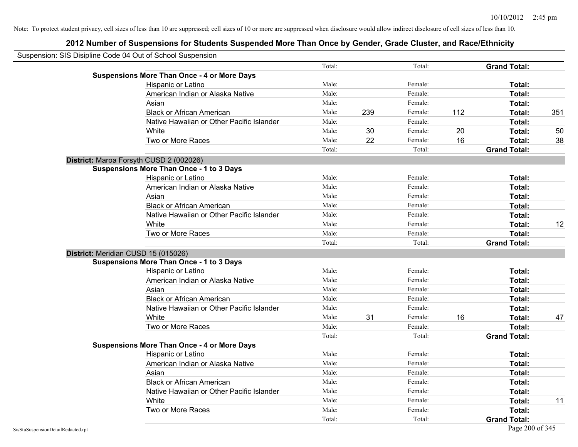| Suspension: SIS Disipline Code 04 Out of School Suspension |                                                    |        |     |         |     |                     |     |
|------------------------------------------------------------|----------------------------------------------------|--------|-----|---------|-----|---------------------|-----|
|                                                            |                                                    | Total: |     | Total:  |     | <b>Grand Total:</b> |     |
|                                                            | <b>Suspensions More Than Once - 4 or More Days</b> |        |     |         |     |                     |     |
|                                                            | Hispanic or Latino                                 | Male:  |     | Female: |     | Total:              |     |
|                                                            | American Indian or Alaska Native                   | Male:  |     | Female: |     | Total:              |     |
|                                                            | Asian                                              | Male:  |     | Female: |     | Total:              |     |
|                                                            | <b>Black or African American</b>                   | Male:  | 239 | Female: | 112 | Total:              | 351 |
|                                                            | Native Hawaiian or Other Pacific Islander          | Male:  |     | Female: |     | Total:              |     |
|                                                            | White                                              | Male:  | 30  | Female: | 20  | Total:              | 50  |
|                                                            | Two or More Races                                  | Male:  | 22  | Female: | 16  | Total:              | 38  |
|                                                            |                                                    | Total: |     | Total:  |     | <b>Grand Total:</b> |     |
|                                                            | District: Maroa Forsyth CUSD 2 (002026)            |        |     |         |     |                     |     |
|                                                            | Suspensions More Than Once - 1 to 3 Days           |        |     |         |     |                     |     |
|                                                            | Hispanic or Latino                                 | Male:  |     | Female: |     | Total:              |     |
|                                                            | American Indian or Alaska Native                   | Male:  |     | Female: |     | Total:              |     |
|                                                            | Asian                                              | Male:  |     | Female: |     | Total:              |     |
|                                                            | <b>Black or African American</b>                   | Male:  |     | Female: |     | Total:              |     |
|                                                            | Native Hawaiian or Other Pacific Islander          | Male:  |     | Female: |     | Total:              |     |
|                                                            | White                                              | Male:  |     | Female: |     | Total:              | 12  |
|                                                            | Two or More Races                                  | Male:  |     | Female: |     | Total:              |     |
|                                                            |                                                    | Total: |     | Total:  |     | <b>Grand Total:</b> |     |
| District: Meridian CUSD 15 (015026)                        |                                                    |        |     |         |     |                     |     |
|                                                            | <b>Suspensions More Than Once - 1 to 3 Days</b>    |        |     |         |     |                     |     |
|                                                            | Hispanic or Latino                                 | Male:  |     | Female: |     | Total:              |     |
|                                                            | American Indian or Alaska Native                   | Male:  |     | Female: |     | Total:              |     |
|                                                            | Asian                                              | Male:  |     | Female: |     | Total:              |     |
|                                                            | <b>Black or African American</b>                   | Male:  |     | Female: |     | Total:              |     |
|                                                            | Native Hawaiian or Other Pacific Islander          | Male:  |     | Female: |     | Total:              |     |
|                                                            | White                                              | Male:  | 31  | Female: | 16  | Total:              | 47  |
|                                                            | Two or More Races                                  | Male:  |     | Female: |     | Total:              |     |
|                                                            |                                                    | Total: |     | Total:  |     | <b>Grand Total:</b> |     |
|                                                            | <b>Suspensions More Than Once - 4 or More Days</b> |        |     |         |     |                     |     |
|                                                            | Hispanic or Latino                                 | Male:  |     | Female: |     | Total:              |     |
|                                                            | American Indian or Alaska Native                   | Male:  |     | Female: |     | Total:              |     |
|                                                            | Asian                                              | Male:  |     | Female: |     | Total:              |     |
|                                                            | <b>Black or African American</b>                   | Male:  |     | Female: |     | Total:              |     |
|                                                            | Native Hawaiian or Other Pacific Islander          | Male:  |     | Female: |     | Total:              |     |
|                                                            | White                                              | Male:  |     | Female: |     | Total:              | 11  |
|                                                            | Two or More Races                                  | Male:  |     | Female: |     | Total:              |     |
|                                                            |                                                    | Total: |     | Total:  |     | <b>Grand Total:</b> |     |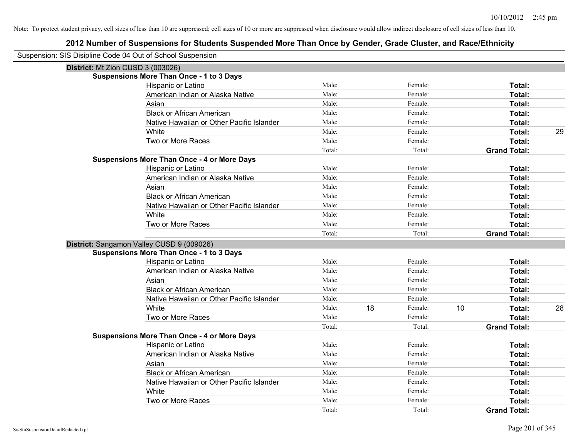| Suspension: SIS Disipline Code 04 Out of School Suspension |                                                    |        |    |         |    |                     |    |
|------------------------------------------------------------|----------------------------------------------------|--------|----|---------|----|---------------------|----|
| District: Mt Zion CUSD 3 (003026)                          |                                                    |        |    |         |    |                     |    |
|                                                            | <b>Suspensions More Than Once - 1 to 3 Days</b>    |        |    |         |    |                     |    |
|                                                            | Hispanic or Latino                                 | Male:  |    | Female: |    | Total:              |    |
|                                                            | American Indian or Alaska Native                   | Male:  |    | Female: |    | Total:              |    |
|                                                            | Asian                                              | Male:  |    | Female: |    | Total:              |    |
|                                                            | <b>Black or African American</b>                   | Male:  |    | Female: |    | Total:              |    |
|                                                            | Native Hawaiian or Other Pacific Islander          | Male:  |    | Female: |    | Total:              |    |
|                                                            | White                                              | Male:  |    | Female: |    | Total:              | 29 |
|                                                            | Two or More Races                                  | Male:  |    | Female: |    | Total:              |    |
|                                                            |                                                    | Total: |    | Total:  |    | <b>Grand Total:</b> |    |
|                                                            | <b>Suspensions More Than Once - 4 or More Days</b> |        |    |         |    |                     |    |
|                                                            | Hispanic or Latino                                 | Male:  |    | Female: |    | Total:              |    |
|                                                            | American Indian or Alaska Native                   | Male:  |    | Female: |    | Total:              |    |
|                                                            | Asian                                              | Male:  |    | Female: |    | Total:              |    |
|                                                            | <b>Black or African American</b>                   | Male:  |    | Female: |    | Total:              |    |
|                                                            | Native Hawaiian or Other Pacific Islander          | Male:  |    | Female: |    | Total:              |    |
|                                                            | White                                              | Male:  |    | Female: |    | Total:              |    |
|                                                            | Two or More Races                                  | Male:  |    | Female: |    | Total:              |    |
|                                                            |                                                    | Total: |    | Total:  |    | <b>Grand Total:</b> |    |
|                                                            | District: Sangamon Valley CUSD 9 (009026)          |        |    |         |    |                     |    |
|                                                            | <b>Suspensions More Than Once - 1 to 3 Days</b>    |        |    |         |    |                     |    |
|                                                            | Hispanic or Latino                                 | Male:  |    | Female: |    | Total:              |    |
|                                                            | American Indian or Alaska Native                   | Male:  |    | Female: |    | Total:              |    |
|                                                            | Asian                                              | Male:  |    | Female: |    | Total:              |    |
|                                                            | <b>Black or African American</b>                   | Male:  |    | Female: |    | Total:              |    |
|                                                            | Native Hawaiian or Other Pacific Islander          | Male:  |    | Female: |    | Total:              |    |
|                                                            | White                                              | Male:  | 18 | Female: | 10 | Total:              | 28 |
|                                                            | Two or More Races                                  | Male:  |    | Female: |    | Total:              |    |
|                                                            |                                                    | Total: |    | Total:  |    | <b>Grand Total:</b> |    |
|                                                            | <b>Suspensions More Than Once - 4 or More Days</b> |        |    |         |    |                     |    |
|                                                            | Hispanic or Latino                                 | Male:  |    | Female: |    | Total:              |    |
|                                                            | American Indian or Alaska Native                   | Male:  |    | Female: |    | Total:              |    |
|                                                            | Asian                                              | Male:  |    | Female: |    | Total:              |    |
|                                                            | <b>Black or African American</b>                   | Male:  |    | Female: |    | Total:              |    |
|                                                            | Native Hawaiian or Other Pacific Islander          | Male:  |    | Female: |    | Total:              |    |
|                                                            | White                                              | Male:  |    | Female: |    | Total:              |    |
|                                                            | Two or More Races                                  | Male:  |    | Female: |    | Total:              |    |
|                                                            |                                                    | Total: |    | Total:  |    | <b>Grand Total:</b> |    |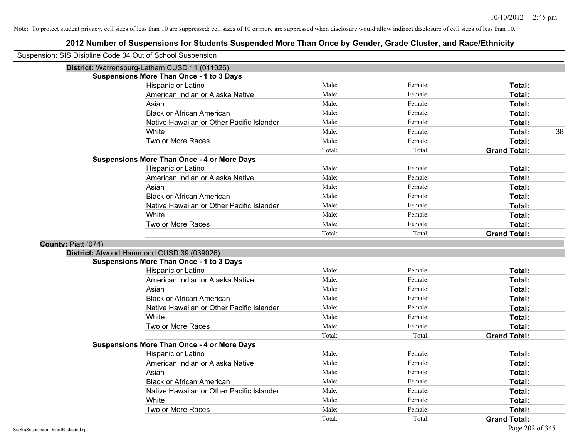| Suspension: SIS Disipline Code 04 Out of School Suspension |                                                    |        |         |                     |
|------------------------------------------------------------|----------------------------------------------------|--------|---------|---------------------|
|                                                            | District: Warrensburg-Latham CUSD 11 (011026)      |        |         |                     |
|                                                            | <b>Suspensions More Than Once - 1 to 3 Days</b>    |        |         |                     |
|                                                            | Hispanic or Latino                                 | Male:  | Female: | Total:              |
|                                                            | American Indian or Alaska Native                   | Male:  | Female: | Total:              |
|                                                            | Asian                                              | Male:  | Female: | Total:              |
|                                                            | <b>Black or African American</b>                   | Male:  | Female: | Total:              |
|                                                            | Native Hawaiian or Other Pacific Islander          | Male:  | Female: | Total:              |
|                                                            | White                                              | Male:  | Female: | 38<br>Total:        |
|                                                            | Two or More Races                                  | Male:  | Female: | Total:              |
|                                                            |                                                    | Total: | Total:  | <b>Grand Total:</b> |
|                                                            | <b>Suspensions More Than Once - 4 or More Days</b> |        |         |                     |
|                                                            | Hispanic or Latino                                 | Male:  | Female: | Total:              |
|                                                            | American Indian or Alaska Native                   | Male:  | Female: | Total:              |
|                                                            | Asian                                              | Male:  | Female: | Total:              |
|                                                            | <b>Black or African American</b>                   | Male:  | Female: | Total:              |
|                                                            | Native Hawaiian or Other Pacific Islander          | Male:  | Female: | Total:              |
|                                                            | White                                              | Male:  | Female: | Total:              |
|                                                            | Two or More Races                                  | Male:  | Female: | Total:              |
|                                                            |                                                    | Total: | Total:  | <b>Grand Total:</b> |
| County: Piatt (074)                                        |                                                    |        |         |                     |
|                                                            | District: Atwood Hammond CUSD 39 (039026)          |        |         |                     |
|                                                            | <b>Suspensions More Than Once - 1 to 3 Days</b>    |        |         |                     |
|                                                            | <b>Hispanic or Latino</b>                          | Male:  | Female: | Total:              |
|                                                            | American Indian or Alaska Native                   | Male:  | Female: | Total:              |
|                                                            | Asian                                              | Male:  | Female: | Total:              |
|                                                            | <b>Black or African American</b>                   | Male:  | Female: | Total:              |
|                                                            | Native Hawaiian or Other Pacific Islander          | Male:  | Female: | Total:              |
|                                                            | White                                              | Male:  | Female: | Total:              |
|                                                            | Two or More Races                                  | Male:  | Female: | Total:              |
|                                                            |                                                    | Total: | Total:  | <b>Grand Total:</b> |
|                                                            | <b>Suspensions More Than Once - 4 or More Days</b> |        |         |                     |
|                                                            | Hispanic or Latino                                 | Male:  | Female: | Total:              |
|                                                            | American Indian or Alaska Native                   | Male:  | Female: | Total:              |
|                                                            | Asian                                              | Male:  | Female: | Total:              |
|                                                            | <b>Black or African American</b>                   | Male:  | Female: | Total:              |
|                                                            | Native Hawaiian or Other Pacific Islander          | Male:  | Female: | Total:              |
|                                                            | White                                              | Male:  | Female: | Total:              |
|                                                            | Two or More Races                                  | Male:  | Female: | Total:              |
|                                                            |                                                    | Total: | Total:  | <b>Grand Total:</b> |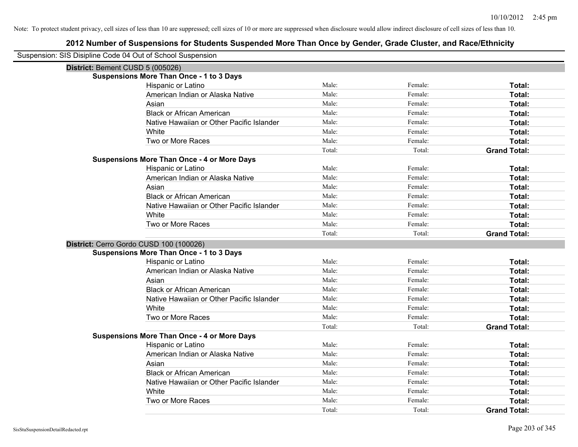| Suspension: SIS Disipline Code 04 Out of School Suspension |                                                    |        |         |                     |
|------------------------------------------------------------|----------------------------------------------------|--------|---------|---------------------|
| District: Bement CUSD 5 (005026)                           |                                                    |        |         |                     |
|                                                            | <b>Suspensions More Than Once - 1 to 3 Days</b>    |        |         |                     |
|                                                            | Hispanic or Latino                                 | Male:  | Female: | Total:              |
|                                                            | American Indian or Alaska Native                   | Male:  | Female: | Total:              |
|                                                            | Asian                                              | Male:  | Female: | Total:              |
|                                                            | <b>Black or African American</b>                   | Male:  | Female: | Total:              |
|                                                            | Native Hawaiian or Other Pacific Islander          | Male:  | Female: | Total:              |
|                                                            | White                                              | Male:  | Female: | Total:              |
|                                                            | Two or More Races                                  | Male:  | Female: | Total:              |
|                                                            |                                                    | Total: | Total:  | <b>Grand Total:</b> |
|                                                            | <b>Suspensions More Than Once - 4 or More Days</b> |        |         |                     |
|                                                            | Hispanic or Latino                                 | Male:  | Female: | Total:              |
|                                                            | American Indian or Alaska Native                   | Male:  | Female: | Total:              |
|                                                            | Asian                                              | Male:  | Female: | Total:              |
|                                                            | <b>Black or African American</b>                   | Male:  | Female: | Total:              |
|                                                            | Native Hawaiian or Other Pacific Islander          | Male:  | Female: | Total:              |
|                                                            | White                                              | Male:  | Female: | Total:              |
|                                                            | Two or More Races                                  | Male:  | Female: | Total:              |
|                                                            |                                                    | Total: | Total:  | <b>Grand Total:</b> |
|                                                            | District: Cerro Gordo CUSD 100 (100026)            |        |         |                     |
|                                                            | <b>Suspensions More Than Once - 1 to 3 Days</b>    |        |         |                     |
|                                                            | Hispanic or Latino                                 | Male:  | Female: | Total:              |
|                                                            | American Indian or Alaska Native                   | Male:  | Female: | Total:              |
|                                                            | Asian                                              | Male:  | Female: | Total:              |
|                                                            | <b>Black or African American</b>                   | Male:  | Female: | Total:              |
|                                                            | Native Hawaiian or Other Pacific Islander          | Male:  | Female: | Total:              |
|                                                            | <b>White</b>                                       | Male:  | Female: | Total:              |
|                                                            | Two or More Races                                  | Male:  | Female: | Total:              |
|                                                            |                                                    | Total: | Total:  | <b>Grand Total:</b> |
|                                                            | <b>Suspensions More Than Once - 4 or More Days</b> |        |         |                     |
|                                                            | Hispanic or Latino                                 | Male:  | Female: | Total:              |
|                                                            | American Indian or Alaska Native                   | Male:  | Female: | Total:              |
|                                                            | Asian                                              | Male:  | Female: | Total:              |
|                                                            | <b>Black or African American</b>                   | Male:  | Female: | Total:              |
|                                                            | Native Hawaiian or Other Pacific Islander          | Male:  | Female: | Total:              |
|                                                            | White                                              | Male:  | Female: | Total:              |
|                                                            | Two or More Races                                  | Male:  | Female: | Total:              |
|                                                            |                                                    | Total: | Total:  | <b>Grand Total:</b> |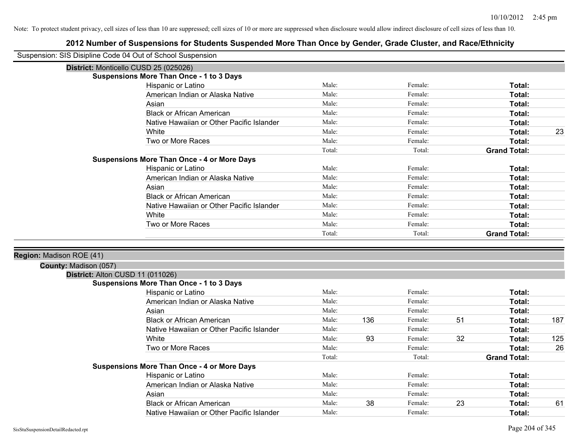|                          | Suspension: SIS Disipline Code 04 Out of School Suspension |        |     |         |    |                     |     |
|--------------------------|------------------------------------------------------------|--------|-----|---------|----|---------------------|-----|
|                          | District: Monticello CUSD 25 (025026)                      |        |     |         |    |                     |     |
|                          | <b>Suspensions More Than Once - 1 to 3 Days</b>            |        |     |         |    |                     |     |
|                          | Hispanic or Latino                                         | Male:  |     | Female: |    | Total:              |     |
|                          | American Indian or Alaska Native                           | Male:  |     | Female: |    | Total:              |     |
|                          | Asian                                                      | Male:  |     | Female: |    | Total:              |     |
|                          | <b>Black or African American</b>                           | Male:  |     | Female: |    | Total:              |     |
|                          | Native Hawaiian or Other Pacific Islander                  | Male:  |     | Female: |    | Total:              |     |
|                          | White                                                      | Male:  |     | Female: |    | Total:              | 23  |
|                          | Two or More Races                                          | Male:  |     | Female: |    | Total:              |     |
|                          |                                                            | Total: |     | Total:  |    | <b>Grand Total:</b> |     |
|                          | <b>Suspensions More Than Once - 4 or More Days</b>         |        |     |         |    |                     |     |
|                          | Hispanic or Latino                                         | Male:  |     | Female: |    | Total:              |     |
|                          | American Indian or Alaska Native                           | Male:  |     | Female: |    | Total:              |     |
|                          | Asian                                                      | Male:  |     | Female: |    | Total:              |     |
|                          | <b>Black or African American</b>                           | Male:  |     | Female: |    | Total:              |     |
|                          | Native Hawaiian or Other Pacific Islander                  | Male:  |     | Female: |    | Total:              |     |
|                          | White                                                      | Male:  |     | Female: |    | Total:              |     |
|                          | Two or More Races                                          | Male:  |     | Female: |    | Total:              |     |
|                          |                                                            | Total: |     | Total:  |    | <b>Grand Total:</b> |     |
|                          |                                                            |        |     |         |    |                     |     |
| Region: Madison ROE (41) |                                                            |        |     |         |    |                     |     |
| County: Madison (057)    |                                                            |        |     |         |    |                     |     |
|                          | District: Alton CUSD 11 (011026)                           |        |     |         |    |                     |     |
|                          | <b>Suspensions More Than Once - 1 to 3 Days</b>            |        |     |         |    |                     |     |
|                          | Hispanic or Latino                                         | Male:  |     | Female: |    | Total:              |     |
|                          | American Indian or Alaska Native                           | Male:  |     | Female: |    | Total:              |     |
|                          | Asian                                                      | Male:  |     | Female: |    | Total:              |     |
|                          | <b>Black or African American</b>                           | Male:  | 136 | Female: | 51 | Total:              | 187 |
|                          | Native Hawaiian or Other Pacific Islander                  | Male:  |     | Female: |    | Total:              |     |
|                          | White                                                      | Male:  | 93  | Female: | 32 | Total:              | 125 |
|                          | Two or More Races                                          | Male:  |     | Female: |    | Total:              | 26  |
|                          |                                                            | Total: |     | Total:  |    | <b>Grand Total:</b> |     |
|                          | <b>Suspensions More Than Once - 4 or More Days</b>         |        |     |         |    |                     |     |
|                          | Hispanic or Latino                                         | Male:  |     | Female: |    | Total:              |     |
|                          | American Indian or Alaska Native                           | Male:  |     | Female: |    | Total:              |     |
|                          | Asian                                                      | Male:  |     | Female: |    | Total:              |     |
|                          | <b>Black or African American</b>                           | Male:  | 38  | Female: | 23 | Total:              | 61  |
|                          | Native Hawaiian or Other Pacific Islander                  | Male:  |     | Female: |    | Total:              |     |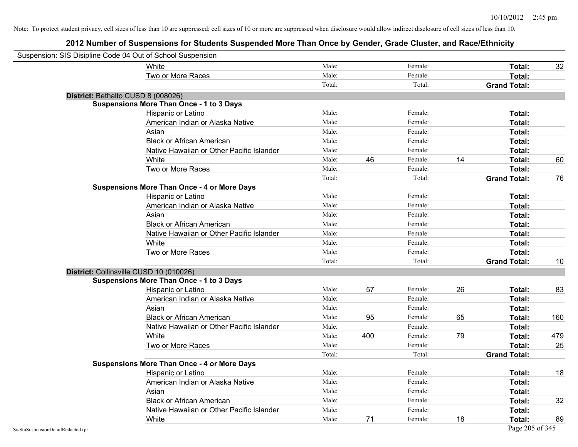| Suspension: SIS Disipline Code 04 Out of School Suspension |                                                    |        |     |         |    |                     |     |
|------------------------------------------------------------|----------------------------------------------------|--------|-----|---------|----|---------------------|-----|
|                                                            | White                                              | Male:  |     | Female: |    | Total:              | 32  |
|                                                            | Two or More Races                                  | Male:  |     | Female: |    | Total:              |     |
|                                                            |                                                    | Total: |     | Total:  |    | <b>Grand Total:</b> |     |
| District: Bethalto CUSD 8 (008026)                         |                                                    |        |     |         |    |                     |     |
|                                                            | <b>Suspensions More Than Once - 1 to 3 Days</b>    |        |     |         |    |                     |     |
|                                                            | Hispanic or Latino                                 | Male:  |     | Female: |    | Total:              |     |
|                                                            | American Indian or Alaska Native                   | Male:  |     | Female: |    | Total:              |     |
|                                                            | Asian                                              | Male:  |     | Female: |    | Total:              |     |
|                                                            | <b>Black or African American</b>                   | Male:  |     | Female: |    | Total:              |     |
|                                                            | Native Hawaiian or Other Pacific Islander          | Male:  |     | Female: |    | Total:              |     |
|                                                            | White                                              | Male:  | 46  | Female: | 14 | Total:              | 60  |
|                                                            | Two or More Races                                  | Male:  |     | Female: |    | Total:              |     |
|                                                            |                                                    | Total: |     | Total:  |    | <b>Grand Total:</b> | 76  |
|                                                            | <b>Suspensions More Than Once - 4 or More Days</b> |        |     |         |    |                     |     |
|                                                            | Hispanic or Latino                                 | Male:  |     | Female: |    | Total:              |     |
|                                                            | American Indian or Alaska Native                   | Male:  |     | Female: |    | Total:              |     |
|                                                            | Asian                                              | Male:  |     | Female: |    | Total:              |     |
|                                                            | <b>Black or African American</b>                   | Male:  |     | Female: |    | Total:              |     |
|                                                            | Native Hawaiian or Other Pacific Islander          | Male:  |     | Female: |    | Total:              |     |
|                                                            | White                                              | Male:  |     | Female: |    | Total:              |     |
|                                                            | Two or More Races                                  | Male:  |     | Female: |    | Total:              |     |
|                                                            |                                                    | Total: |     | Total:  |    | <b>Grand Total:</b> | 10  |
|                                                            | District: Collinsville CUSD 10 (010026)            |        |     |         |    |                     |     |
|                                                            | <b>Suspensions More Than Once - 1 to 3 Days</b>    |        |     |         |    |                     |     |
|                                                            | Hispanic or Latino                                 | Male:  | 57  | Female: | 26 | Total:              | 83  |
|                                                            | American Indian or Alaska Native                   | Male:  |     | Female: |    | Total:              |     |
|                                                            | Asian                                              | Male:  |     | Female: |    | Total:              |     |
|                                                            | <b>Black or African American</b>                   | Male:  | 95  | Female: | 65 | Total:              | 160 |
|                                                            | Native Hawaiian or Other Pacific Islander          | Male:  |     | Female: |    | Total:              |     |
|                                                            | White                                              | Male:  | 400 | Female: | 79 | Total:              | 479 |
|                                                            | Two or More Races                                  | Male:  |     | Female: |    | Total:              | 25  |
|                                                            |                                                    | Total: |     | Total:  |    | <b>Grand Total:</b> |     |
|                                                            | <b>Suspensions More Than Once - 4 or More Days</b> |        |     |         |    |                     |     |
|                                                            | Hispanic or Latino                                 | Male:  |     | Female: |    | Total:              | 18  |
|                                                            | American Indian or Alaska Native                   | Male:  |     | Female: |    | Total:              |     |
|                                                            | Asian                                              | Male:  |     | Female: |    | Total:              |     |
|                                                            | <b>Black or African American</b>                   | Male:  |     | Female: |    | Total:              | 32  |
|                                                            | Native Hawaiian or Other Pacific Islander          | Male:  |     | Female: |    | Total:              |     |
|                                                            | White                                              | Male:  | 71  | Female: | 18 | Total:              | 89  |
| SisStuSuspensionDetailRedacted.rpt                         |                                                    |        |     |         |    | Page 205 of 345     |     |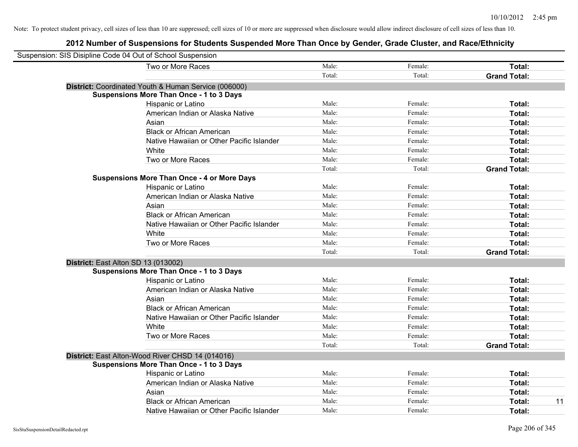| Suspension: SIS Disipline Code 04 Out of School Suspension |        |         |                     |
|------------------------------------------------------------|--------|---------|---------------------|
| Two or More Races                                          | Male:  | Female: | Total:              |
|                                                            | Total: | Total:  | <b>Grand Total:</b> |
| District: Coordinated Youth & Human Service (006000)       |        |         |                     |
| <b>Suspensions More Than Once - 1 to 3 Days</b>            |        |         |                     |
| Hispanic or Latino                                         | Male:  | Female: | Total:              |
| American Indian or Alaska Native                           | Male:  | Female: | Total:              |
| Asian                                                      | Male:  | Female: | Total:              |
| <b>Black or African American</b>                           | Male:  | Female: | Total:              |
| Native Hawaiian or Other Pacific Islander                  | Male:  | Female: | Total:              |
| White                                                      | Male:  | Female: | Total:              |
| Two or More Races                                          | Male:  | Female: | Total:              |
|                                                            | Total: | Total:  | <b>Grand Total:</b> |
| <b>Suspensions More Than Once - 4 or More Days</b>         |        |         |                     |
| Hispanic or Latino                                         | Male:  | Female: | Total:              |
| American Indian or Alaska Native                           | Male:  | Female: | Total:              |
| Asian                                                      | Male:  | Female: | Total:              |
| <b>Black or African American</b>                           | Male:  | Female: | Total:              |
| Native Hawaiian or Other Pacific Islander                  | Male:  | Female: | Total:              |
| White                                                      | Male:  | Female: | Total:              |
| Two or More Races                                          | Male:  | Female: | Total:              |
|                                                            | Total: | Total:  | <b>Grand Total:</b> |
| District: East Alton SD 13 (013002)                        |        |         |                     |
| <b>Suspensions More Than Once - 1 to 3 Days</b>            |        |         |                     |
| Hispanic or Latino                                         | Male:  | Female: | Total:              |
| American Indian or Alaska Native                           | Male:  | Female: | Total:              |
| Asian                                                      | Male:  | Female: | Total:              |
| <b>Black or African American</b>                           | Male:  | Female: | Total:              |
| Native Hawaiian or Other Pacific Islander                  | Male:  | Female: | Total:              |
| White                                                      | Male:  | Female: | Total:              |
| Two or More Races                                          | Male:  | Female: | Total:              |
|                                                            | Total: | Total:  | <b>Grand Total:</b> |
| District: East Alton-Wood River CHSD 14 (014016)           |        |         |                     |
| <b>Suspensions More Than Once - 1 to 3 Days</b>            |        |         |                     |
| Hispanic or Latino                                         | Male:  | Female: | Total:              |
| American Indian or Alaska Native                           | Male:  | Female: | Total:              |
| Asian                                                      | Male:  | Female: | Total:              |
| <b>Black or African American</b>                           | Male:  | Female: | 11<br>Total:        |
| Native Hawaiian or Other Pacific Islander                  | Male:  | Female: | Total:              |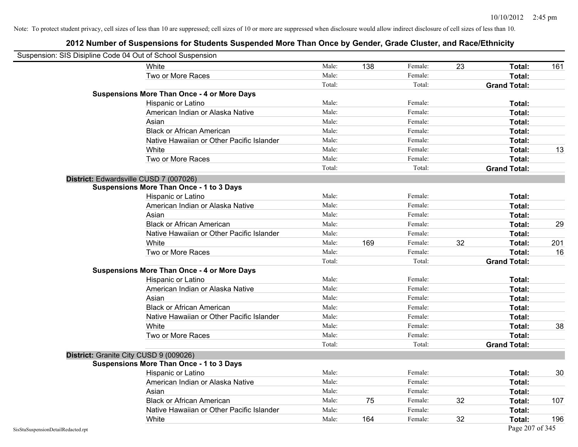| Suspension: SIS Disipline Code 04 Out of School Suspension |                                                    |        |     |         |    |                     |     |
|------------------------------------------------------------|----------------------------------------------------|--------|-----|---------|----|---------------------|-----|
|                                                            | White                                              | Male:  | 138 | Female: | 23 | Total:              | 161 |
|                                                            | Two or More Races                                  | Male:  |     | Female: |    | Total:              |     |
|                                                            |                                                    | Total: |     | Total:  |    | <b>Grand Total:</b> |     |
|                                                            | <b>Suspensions More Than Once - 4 or More Days</b> |        |     |         |    |                     |     |
|                                                            | Hispanic or Latino                                 | Male:  |     | Female: |    | Total:              |     |
|                                                            | American Indian or Alaska Native                   | Male:  |     | Female: |    | Total:              |     |
|                                                            | Asian                                              | Male:  |     | Female: |    | Total:              |     |
|                                                            | <b>Black or African American</b>                   | Male:  |     | Female: |    | Total:              |     |
|                                                            | Native Hawaiian or Other Pacific Islander          | Male:  |     | Female: |    | Total:              |     |
|                                                            | White                                              | Male:  |     | Female: |    | Total:              | 13  |
|                                                            | Two or More Races                                  | Male:  |     | Female: |    | Total:              |     |
|                                                            |                                                    | Total: |     | Total:  |    | <b>Grand Total:</b> |     |
|                                                            | District: Edwardsville CUSD 7 (007026)             |        |     |         |    |                     |     |
|                                                            | <b>Suspensions More Than Once - 1 to 3 Days</b>    |        |     |         |    |                     |     |
|                                                            | Hispanic or Latino                                 | Male:  |     | Female: |    | Total:              |     |
|                                                            | American Indian or Alaska Native                   | Male:  |     | Female: |    | Total:              |     |
|                                                            | Asian                                              | Male:  |     | Female: |    | Total:              |     |
|                                                            | <b>Black or African American</b>                   | Male:  |     | Female: |    | Total:              | 29  |
|                                                            | Native Hawaiian or Other Pacific Islander          | Male:  |     | Female: |    | Total:              |     |
|                                                            | White                                              | Male:  | 169 | Female: | 32 | Total:              | 201 |
|                                                            | Two or More Races                                  | Male:  |     | Female: |    | Total:              | 16  |
|                                                            |                                                    | Total: |     | Total:  |    | <b>Grand Total:</b> |     |
|                                                            | <b>Suspensions More Than Once - 4 or More Days</b> |        |     |         |    |                     |     |
|                                                            | Hispanic or Latino                                 | Male:  |     | Female: |    | Total:              |     |
|                                                            | American Indian or Alaska Native                   | Male:  |     | Female: |    | Total:              |     |
|                                                            | Asian                                              | Male:  |     | Female: |    | Total:              |     |
|                                                            | <b>Black or African American</b>                   | Male:  |     | Female: |    | Total:              |     |
|                                                            | Native Hawaiian or Other Pacific Islander          | Male:  |     | Female: |    | Total:              |     |
|                                                            | White                                              | Male:  |     | Female: |    | Total:              | 38  |
|                                                            | Two or More Races                                  | Male:  |     | Female: |    | Total:              |     |
|                                                            |                                                    | Total: |     | Total:  |    | <b>Grand Total:</b> |     |
|                                                            | District: Granite City CUSD 9 (009026)             |        |     |         |    |                     |     |
|                                                            | <b>Suspensions More Than Once - 1 to 3 Days</b>    |        |     |         |    |                     |     |
|                                                            | Hispanic or Latino                                 | Male:  |     | Female: |    | Total:              | 30  |
|                                                            | American Indian or Alaska Native                   | Male:  |     | Female: |    | Total:              |     |
|                                                            | Asian                                              | Male:  |     | Female: |    | Total:              |     |
|                                                            | <b>Black or African American</b>                   | Male:  | 75  | Female: | 32 | Total:              | 107 |
|                                                            | Native Hawaiian or Other Pacific Islander          | Male:  |     | Female: |    | Total:              |     |
|                                                            | White                                              | Male:  | 164 | Female: | 32 | Total:              | 196 |
| SisStuSuspensionDetailRedacted.rpt                         |                                                    |        |     |         |    | Page 207 of 345     |     |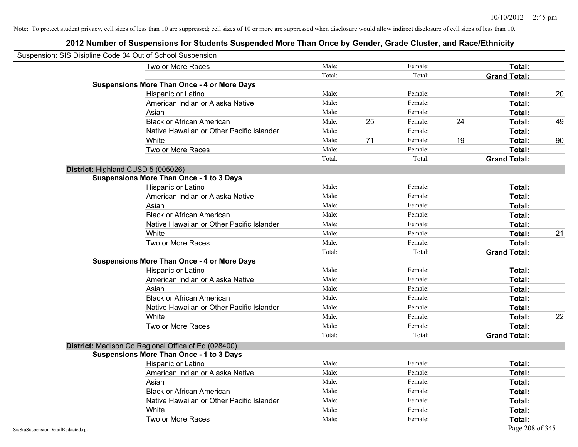| Suspension: SIS Disipline Code 04 Out of School Suspension |                                                     |        |    |         |    |                     |    |
|------------------------------------------------------------|-----------------------------------------------------|--------|----|---------|----|---------------------|----|
|                                                            | Two or More Races                                   | Male:  |    | Female: |    | Total:              |    |
|                                                            |                                                     | Total: |    | Total:  |    | <b>Grand Total:</b> |    |
|                                                            | <b>Suspensions More Than Once - 4 or More Days</b>  |        |    |         |    |                     |    |
|                                                            | Hispanic or Latino                                  | Male:  |    | Female: |    | Total:              | 20 |
|                                                            | American Indian or Alaska Native                    | Male:  |    | Female: |    | Total:              |    |
|                                                            | Asian                                               | Male:  |    | Female: |    | Total:              |    |
|                                                            | <b>Black or African American</b>                    | Male:  | 25 | Female: | 24 | Total:              | 49 |
|                                                            | Native Hawaiian or Other Pacific Islander           | Male:  |    | Female: |    | Total:              |    |
|                                                            | White                                               | Male:  | 71 | Female: | 19 | Total:              | 90 |
|                                                            | Two or More Races                                   | Male:  |    | Female: |    | Total:              |    |
|                                                            |                                                     | Total: |    | Total:  |    | <b>Grand Total:</b> |    |
|                                                            | District: Highland CUSD 5 (005026)                  |        |    |         |    |                     |    |
|                                                            | <b>Suspensions More Than Once - 1 to 3 Days</b>     |        |    |         |    |                     |    |
|                                                            | Hispanic or Latino                                  | Male:  |    | Female: |    | Total:              |    |
|                                                            | American Indian or Alaska Native                    | Male:  |    | Female: |    | Total:              |    |
|                                                            | Asian                                               | Male:  |    | Female: |    | Total:              |    |
|                                                            | <b>Black or African American</b>                    | Male:  |    | Female: |    | Total:              |    |
|                                                            | Native Hawaiian or Other Pacific Islander           | Male:  |    | Female: |    | Total:              |    |
|                                                            | White                                               | Male:  |    | Female: |    | Total:              | 21 |
|                                                            | Two or More Races                                   | Male:  |    | Female: |    | Total:              |    |
|                                                            |                                                     | Total: |    | Total:  |    | <b>Grand Total:</b> |    |
|                                                            | <b>Suspensions More Than Once - 4 or More Days</b>  |        |    |         |    |                     |    |
|                                                            | Hispanic or Latino                                  | Male:  |    | Female: |    | Total:              |    |
|                                                            | American Indian or Alaska Native                    | Male:  |    | Female: |    | Total:              |    |
|                                                            | Asian                                               | Male:  |    | Female: |    | Total:              |    |
|                                                            | <b>Black or African American</b>                    | Male:  |    | Female: |    | Total:              |    |
|                                                            | Native Hawaiian or Other Pacific Islander           | Male:  |    | Female: |    | Total:              |    |
|                                                            | White                                               | Male:  |    | Female: |    | Total:              | 22 |
|                                                            | Two or More Races                                   | Male:  |    | Female: |    | Total:              |    |
|                                                            |                                                     | Total: |    | Total:  |    | <b>Grand Total:</b> |    |
|                                                            | District: Madison Co Regional Office of Ed (028400) |        |    |         |    |                     |    |
|                                                            | <b>Suspensions More Than Once - 1 to 3 Days</b>     |        |    |         |    |                     |    |
|                                                            | Hispanic or Latino                                  | Male:  |    | Female: |    | Total:              |    |
|                                                            | American Indian or Alaska Native                    | Male:  |    | Female: |    | Total:              |    |
|                                                            | Asian                                               | Male:  |    | Female: |    | Total:              |    |
|                                                            | <b>Black or African American</b>                    | Male:  |    | Female: |    | Total:              |    |
|                                                            | Native Hawaiian or Other Pacific Islander           | Male:  |    | Female: |    | Total:              |    |
|                                                            | White                                               | Male:  |    | Female: |    | Total:              |    |
|                                                            | Two or More Races                                   | Male:  |    | Female: |    | Total:              |    |
| SisStuSuspensionDetailRedacted.rpt                         |                                                     |        |    |         |    | Page 208 of 345     |    |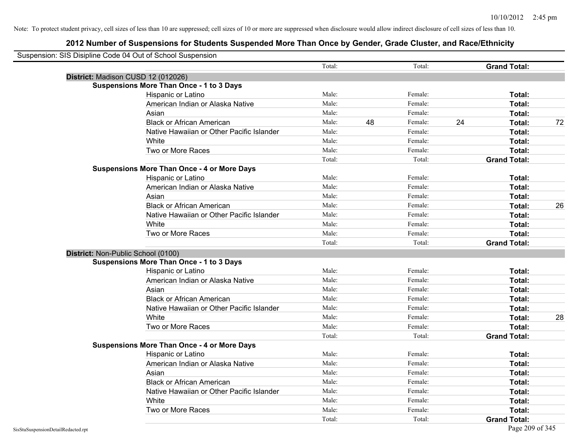| Suspension: SIS Disipline Code 04 Out of School Suspension |                                                    |        |    |         |    |                     |    |
|------------------------------------------------------------|----------------------------------------------------|--------|----|---------|----|---------------------|----|
|                                                            |                                                    | Total: |    | Total:  |    | <b>Grand Total:</b> |    |
| District: Madison CUSD 12 (012026)                         |                                                    |        |    |         |    |                     |    |
|                                                            | <b>Suspensions More Than Once - 1 to 3 Days</b>    |        |    |         |    |                     |    |
|                                                            | Hispanic or Latino                                 | Male:  |    | Female: |    | Total:              |    |
|                                                            | American Indian or Alaska Native                   | Male:  |    | Female: |    | Total:              |    |
|                                                            | Asian                                              | Male:  |    | Female: |    | Total:              |    |
|                                                            | <b>Black or African American</b>                   | Male:  | 48 | Female: | 24 | Total:              | 72 |
|                                                            | Native Hawaiian or Other Pacific Islander          | Male:  |    | Female: |    | Total:              |    |
|                                                            | White                                              | Male:  |    | Female: |    | Total:              |    |
|                                                            | Two or More Races                                  | Male:  |    | Female: |    | Total:              |    |
|                                                            |                                                    | Total: |    | Total:  |    | <b>Grand Total:</b> |    |
|                                                            | <b>Suspensions More Than Once - 4 or More Days</b> |        |    |         |    |                     |    |
|                                                            | Hispanic or Latino                                 | Male:  |    | Female: |    | Total:              |    |
|                                                            | American Indian or Alaska Native                   | Male:  |    | Female: |    | Total:              |    |
|                                                            | Asian                                              | Male:  |    | Female: |    | Total:              |    |
|                                                            | <b>Black or African American</b>                   | Male:  |    | Female: |    | Total:              | 26 |
|                                                            | Native Hawaiian or Other Pacific Islander          | Male:  |    | Female: |    | Total:              |    |
|                                                            | White                                              | Male:  |    | Female: |    | Total:              |    |
|                                                            | Two or More Races                                  | Male:  |    | Female: |    | Total:              |    |
|                                                            |                                                    | Total: |    | Total:  |    | <b>Grand Total:</b> |    |
| District: Non-Public School (0100)                         |                                                    |        |    |         |    |                     |    |
|                                                            | <b>Suspensions More Than Once - 1 to 3 Days</b>    |        |    |         |    |                     |    |
|                                                            | <b>Hispanic or Latino</b>                          | Male:  |    | Female: |    | Total:              |    |
|                                                            | American Indian or Alaska Native                   | Male:  |    | Female: |    | Total:              |    |
|                                                            | Asian                                              | Male:  |    | Female: |    | Total:              |    |
|                                                            | <b>Black or African American</b>                   | Male:  |    | Female: |    | Total:              |    |
|                                                            | Native Hawaiian or Other Pacific Islander          | Male:  |    | Female: |    | Total:              |    |
|                                                            | White                                              | Male:  |    | Female: |    | Total:              | 28 |
|                                                            | Two or More Races                                  | Male:  |    | Female: |    | Total:              |    |
|                                                            |                                                    | Total: |    | Total:  |    | <b>Grand Total:</b> |    |
|                                                            | <b>Suspensions More Than Once - 4 or More Days</b> |        |    |         |    |                     |    |
|                                                            | Hispanic or Latino                                 | Male:  |    | Female: |    | Total:              |    |
|                                                            | American Indian or Alaska Native                   | Male:  |    | Female: |    | Total:              |    |
|                                                            | Asian                                              | Male:  |    | Female: |    | Total:              |    |
|                                                            | <b>Black or African American</b>                   | Male:  |    | Female: |    | Total:              |    |
|                                                            | Native Hawaiian or Other Pacific Islander          | Male:  |    | Female: |    | Total:              |    |
|                                                            | White                                              | Male:  |    | Female: |    | Total:              |    |
|                                                            | Two or More Races                                  | Male:  |    | Female: |    | <b>Total:</b>       |    |
|                                                            |                                                    | Total: |    | Total:  |    | <b>Grand Total:</b> |    |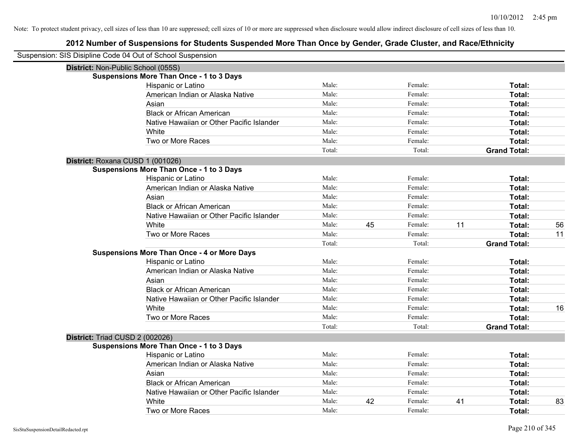| Suspension: SIS Disipline Code 04 Out of School Suspension |                                                    |        |    |         |    |                     |    |
|------------------------------------------------------------|----------------------------------------------------|--------|----|---------|----|---------------------|----|
| District: Non-Public School (055S)                         |                                                    |        |    |         |    |                     |    |
|                                                            | <b>Suspensions More Than Once - 1 to 3 Days</b>    |        |    |         |    |                     |    |
|                                                            | Hispanic or Latino                                 | Male:  |    | Female: |    | Total:              |    |
|                                                            | American Indian or Alaska Native                   | Male:  |    | Female: |    | Total:              |    |
|                                                            | Asian                                              | Male:  |    | Female: |    | <b>Total:</b>       |    |
|                                                            | <b>Black or African American</b>                   | Male:  |    | Female: |    | <b>Total:</b>       |    |
|                                                            | Native Hawaiian or Other Pacific Islander          | Male:  |    | Female: |    | Total:              |    |
|                                                            | White                                              | Male:  |    | Female: |    | Total:              |    |
|                                                            | Two or More Races                                  | Male:  |    | Female: |    | Total:              |    |
|                                                            |                                                    | Total: |    | Total:  |    | <b>Grand Total:</b> |    |
| District: Roxana CUSD 1 (001026)                           |                                                    |        |    |         |    |                     |    |
|                                                            | <b>Suspensions More Than Once - 1 to 3 Days</b>    |        |    |         |    |                     |    |
|                                                            | Hispanic or Latino                                 | Male:  |    | Female: |    | Total:              |    |
|                                                            | American Indian or Alaska Native                   | Male:  |    | Female: |    | Total:              |    |
|                                                            | Asian                                              | Male:  |    | Female: |    | Total:              |    |
|                                                            | <b>Black or African American</b>                   | Male:  |    | Female: |    | Total:              |    |
|                                                            | Native Hawaiian or Other Pacific Islander          | Male:  |    | Female: |    | Total:              |    |
|                                                            | White                                              | Male:  | 45 | Female: | 11 | Total:              | 56 |
|                                                            | Two or More Races                                  | Male:  |    | Female: |    | Total:              | 11 |
|                                                            |                                                    | Total: |    | Total:  |    | <b>Grand Total:</b> |    |
|                                                            | <b>Suspensions More Than Once - 4 or More Days</b> |        |    |         |    |                     |    |
|                                                            | Hispanic or Latino                                 | Male:  |    | Female: |    | Total:              |    |
|                                                            | American Indian or Alaska Native                   | Male:  |    | Female: |    | Total:              |    |
|                                                            | Asian                                              | Male:  |    | Female: |    | Total:              |    |
|                                                            | <b>Black or African American</b>                   | Male:  |    | Female: |    | Total:              |    |
|                                                            | Native Hawaiian or Other Pacific Islander          | Male:  |    | Female: |    | Total:              |    |
|                                                            | White                                              | Male:  |    | Female: |    | Total:              | 16 |
|                                                            | Two or More Races                                  | Male:  |    | Female: |    | Total:              |    |
|                                                            |                                                    | Total: |    | Total:  |    | <b>Grand Total:</b> |    |
| District: Triad CUSD 2 (002026)                            |                                                    |        |    |         |    |                     |    |
|                                                            | <b>Suspensions More Than Once - 1 to 3 Days</b>    |        |    |         |    |                     |    |
|                                                            | Hispanic or Latino                                 | Male:  |    | Female: |    | Total:              |    |
|                                                            | American Indian or Alaska Native                   | Male:  |    | Female: |    | Total:              |    |
|                                                            | Asian                                              | Male:  |    | Female: |    | Total:              |    |
|                                                            | <b>Black or African American</b>                   | Male:  |    | Female: |    | Total:              |    |
|                                                            | Native Hawaiian or Other Pacific Islander          | Male:  |    | Female: |    | Total:              |    |
|                                                            | White                                              | Male:  | 42 | Female: | 41 | <b>Total:</b>       | 83 |
|                                                            | Two or More Races                                  | Male:  |    | Female: |    | Total:              |    |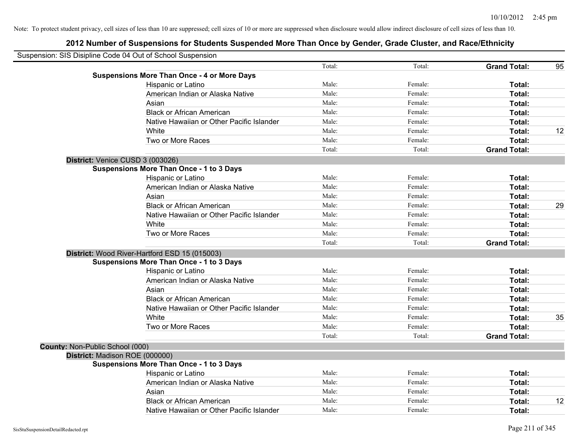|                                 | Suspension: SIS Disipline Code 04 Out of School Suspension |        |         |                     |    |
|---------------------------------|------------------------------------------------------------|--------|---------|---------------------|----|
|                                 |                                                            | Total: | Total:  | <b>Grand Total:</b> | 95 |
|                                 | <b>Suspensions More Than Once - 4 or More Days</b>         |        |         |                     |    |
|                                 | Hispanic or Latino                                         | Male:  | Female: | Total:              |    |
|                                 | American Indian or Alaska Native                           | Male:  | Female: | Total:              |    |
|                                 | Asian                                                      | Male:  | Female: | Total:              |    |
|                                 | <b>Black or African American</b>                           | Male:  | Female: | Total:              |    |
|                                 | Native Hawaiian or Other Pacific Islander                  | Male:  | Female: | Total:              |    |
|                                 | White                                                      | Male:  | Female: | Total:              | 12 |
|                                 | Two or More Races                                          | Male:  | Female: | Total:              |    |
|                                 |                                                            | Total: | Total:  | <b>Grand Total:</b> |    |
|                                 | District: Venice CUSD 3 (003026)                           |        |         |                     |    |
|                                 | <b>Suspensions More Than Once - 1 to 3 Days</b>            |        |         |                     |    |
|                                 | Hispanic or Latino                                         | Male:  | Female: | Total:              |    |
|                                 | American Indian or Alaska Native                           | Male:  | Female: | Total:              |    |
|                                 | Asian                                                      | Male:  | Female: | Total:              |    |
|                                 | <b>Black or African American</b>                           | Male:  | Female: | Total:              | 29 |
|                                 | Native Hawaiian or Other Pacific Islander                  | Male:  | Female: | Total:              |    |
|                                 | White                                                      | Male:  | Female: | Total:              |    |
|                                 | Two or More Races                                          | Male:  | Female: | Total:              |    |
|                                 |                                                            | Total: | Total:  | <b>Grand Total:</b> |    |
|                                 | District: Wood River-Hartford ESD 15 (015003)              |        |         |                     |    |
|                                 | <b>Suspensions More Than Once - 1 to 3 Days</b>            |        |         |                     |    |
|                                 | Hispanic or Latino                                         | Male:  | Female: | Total:              |    |
|                                 | American Indian or Alaska Native                           | Male:  | Female: | Total:              |    |
|                                 | Asian                                                      | Male:  | Female: | Total:              |    |
|                                 | <b>Black or African American</b>                           | Male:  | Female: | Total:              |    |
|                                 | Native Hawaiian or Other Pacific Islander                  | Male:  | Female: | Total:              |    |
|                                 | White                                                      | Male:  | Female: | Total:              | 35 |
|                                 | Two or More Races                                          | Male:  | Female: | Total:              |    |
|                                 |                                                            | Total: | Total:  | <b>Grand Total:</b> |    |
| County: Non-Public School (000) |                                                            |        |         |                     |    |
|                                 | District: Madison ROE (000000)                             |        |         |                     |    |
|                                 | Suspensions More Than Once - 1 to 3 Days                   |        |         |                     |    |
|                                 | Hispanic or Latino                                         | Male:  | Female: | Total:              |    |
|                                 | American Indian or Alaska Native                           | Male:  | Female: | Total:              |    |
|                                 | Asian                                                      | Male:  | Female: | Total:              |    |
|                                 | <b>Black or African American</b>                           | Male:  | Female: | Total:              | 12 |
|                                 | Native Hawaiian or Other Pacific Islander                  | Male:  | Female: | Total:              |    |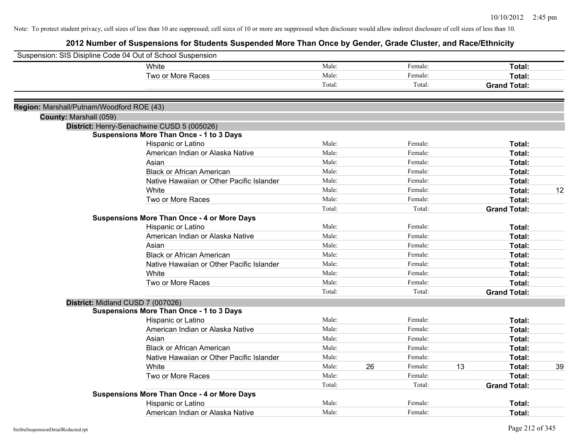| Suspension: SIS Disipline Code 04 Out of School Suspension |                                                                                               |        |    |         |    |                     |    |
|------------------------------------------------------------|-----------------------------------------------------------------------------------------------|--------|----|---------|----|---------------------|----|
|                                                            | White                                                                                         | Male:  |    | Female: |    | Total:              |    |
|                                                            | Two or More Races                                                                             | Male:  |    | Female: |    | Total:              |    |
|                                                            |                                                                                               | Total: |    | Total:  |    | <b>Grand Total:</b> |    |
|                                                            |                                                                                               |        |    |         |    |                     |    |
| Region: Marshall/Putnam/Woodford ROE (43)                  |                                                                                               |        |    |         |    |                     |    |
| County: Marshall (059)                                     |                                                                                               |        |    |         |    |                     |    |
|                                                            | District: Henry-Senachwine CUSD 5 (005026)<br><b>Suspensions More Than Once - 1 to 3 Days</b> |        |    |         |    |                     |    |
|                                                            | Hispanic or Latino                                                                            | Male:  |    | Female: |    | Total:              |    |
|                                                            | American Indian or Alaska Native                                                              | Male:  |    | Female: |    | Total:              |    |
|                                                            | Asian                                                                                         | Male:  |    | Female: |    | Total:              |    |
|                                                            | <b>Black or African American</b>                                                              | Male:  |    | Female: |    | Total:              |    |
|                                                            | Native Hawaiian or Other Pacific Islander                                                     | Male:  |    | Female: |    | Total:              |    |
|                                                            | White                                                                                         | Male:  |    | Female: |    | Total:              | 12 |
|                                                            | Two or More Races                                                                             | Male:  |    | Female: |    | Total:              |    |
|                                                            |                                                                                               | Total: |    | Total:  |    | <b>Grand Total:</b> |    |
|                                                            | <b>Suspensions More Than Once - 4 or More Days</b>                                            |        |    |         |    |                     |    |
|                                                            | Hispanic or Latino                                                                            | Male:  |    | Female: |    | Total:              |    |
|                                                            | American Indian or Alaska Native                                                              | Male:  |    | Female: |    | Total:              |    |
|                                                            | Asian                                                                                         | Male:  |    | Female: |    | Total:              |    |
|                                                            | <b>Black or African American</b>                                                              | Male:  |    | Female: |    | Total:              |    |
|                                                            | Native Hawaiian or Other Pacific Islander                                                     | Male:  |    | Female: |    | Total:              |    |
|                                                            | White                                                                                         | Male:  |    | Female: |    | Total:              |    |
|                                                            | Two or More Races                                                                             | Male:  |    | Female: |    | Total:              |    |
|                                                            |                                                                                               | Total: |    | Total:  |    | <b>Grand Total:</b> |    |
|                                                            | District: Midland CUSD 7 (007026)                                                             |        |    |         |    |                     |    |
|                                                            | <b>Suspensions More Than Once - 1 to 3 Days</b>                                               |        |    |         |    |                     |    |
|                                                            | Hispanic or Latino                                                                            | Male:  |    | Female: |    | Total:              |    |
|                                                            | American Indian or Alaska Native                                                              | Male:  |    | Female: |    | Total:              |    |
|                                                            | Asian                                                                                         | Male:  |    | Female: |    | Total:              |    |
|                                                            | <b>Black or African American</b>                                                              | Male:  |    | Female: |    | Total:              |    |
|                                                            | Native Hawaiian or Other Pacific Islander                                                     | Male:  |    | Female: |    | Total:              |    |
|                                                            | White                                                                                         | Male:  | 26 | Female: | 13 | Total:              | 39 |
|                                                            | Two or More Races                                                                             | Male:  |    | Female: |    | Total:              |    |
|                                                            |                                                                                               | Total: |    | Total:  |    | <b>Grand Total:</b> |    |
|                                                            | <b>Suspensions More Than Once - 4 or More Days</b>                                            |        |    |         |    |                     |    |
|                                                            | Hispanic or Latino                                                                            | Male:  |    | Female: |    | Total:              |    |
|                                                            | American Indian or Alaska Native                                                              | Male:  |    | Female: |    | Total:              |    |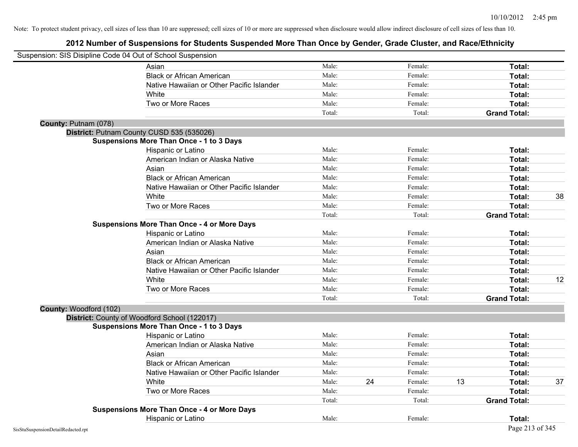|                        | Suspension: SIS Disipline Code 04 Out of School Suspension |        |    |         |    |                     |    |
|------------------------|------------------------------------------------------------|--------|----|---------|----|---------------------|----|
|                        | Asian                                                      | Male:  |    | Female: |    | Total:              |    |
|                        | <b>Black or African American</b>                           | Male:  |    | Female: |    | Total:              |    |
|                        | Native Hawaiian or Other Pacific Islander                  | Male:  |    | Female: |    | Total:              |    |
|                        | White                                                      | Male:  |    | Female: |    | Total:              |    |
|                        | Two or More Races                                          | Male:  |    | Female: |    | Total:              |    |
|                        |                                                            | Total: |    | Total:  |    | <b>Grand Total:</b> |    |
| County: Putnam (078)   |                                                            |        |    |         |    |                     |    |
|                        | District: Putnam County CUSD 535 (535026)                  |        |    |         |    |                     |    |
|                        | <b>Suspensions More Than Once - 1 to 3 Days</b>            |        |    |         |    |                     |    |
|                        | Hispanic or Latino                                         | Male:  |    | Female: |    | Total:              |    |
|                        | American Indian or Alaska Native                           | Male:  |    | Female: |    | Total:              |    |
|                        | Asian                                                      | Male:  |    | Female: |    | Total:              |    |
|                        | <b>Black or African American</b>                           | Male:  |    | Female: |    | Total:              |    |
|                        | Native Hawaiian or Other Pacific Islander                  | Male:  |    | Female: |    | Total:              |    |
|                        | White                                                      | Male:  |    | Female: |    | Total:              | 38 |
|                        | Two or More Races                                          | Male:  |    | Female: |    | Total:              |    |
|                        |                                                            | Total: |    | Total:  |    | <b>Grand Total:</b> |    |
|                        | <b>Suspensions More Than Once - 4 or More Days</b>         |        |    |         |    |                     |    |
|                        | Hispanic or Latino                                         | Male:  |    | Female: |    | Total:              |    |
|                        | American Indian or Alaska Native                           | Male:  |    | Female: |    | Total:              |    |
|                        | Asian                                                      | Male:  |    | Female: |    | Total:              |    |
|                        | <b>Black or African American</b>                           | Male:  |    | Female: |    | Total:              |    |
|                        | Native Hawaiian or Other Pacific Islander                  | Male:  |    | Female: |    | Total:              |    |
|                        | White                                                      | Male:  |    | Female: |    | <b>Total:</b>       | 12 |
|                        | Two or More Races                                          | Male:  |    | Female: |    | Total:              |    |
|                        |                                                            | Total: |    | Total:  |    | <b>Grand Total:</b> |    |
| County: Woodford (102) |                                                            |        |    |         |    |                     |    |
|                        | District: County of Woodford School (122017)               |        |    |         |    |                     |    |
|                        | <b>Suspensions More Than Once - 1 to 3 Days</b>            |        |    |         |    |                     |    |
|                        | Hispanic or Latino                                         | Male:  |    | Female: |    | Total:              |    |
|                        | American Indian or Alaska Native                           | Male:  |    | Female: |    | Total:              |    |
|                        | Asian                                                      | Male:  |    | Female: |    | Total:              |    |
|                        | <b>Black or African American</b>                           | Male:  |    | Female: |    | Total:              |    |
|                        | Native Hawaiian or Other Pacific Islander                  | Male:  |    | Female: |    | Total:              |    |
|                        | White                                                      | Male:  | 24 | Female: | 13 | Total:              | 37 |
|                        | Two or More Races                                          | Male:  |    | Female: |    | Total:              |    |
|                        |                                                            | Total: |    | Total:  |    | <b>Grand Total:</b> |    |
|                        | <b>Suspensions More Than Once - 4 or More Days</b>         |        |    |         |    |                     |    |
|                        | Hispanic or Latino                                         | Male:  |    | Female: |    | Total:              |    |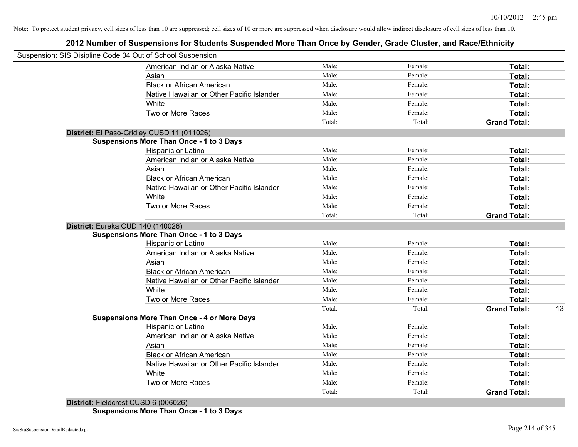# **2012 Number of Suspensions for Students Suspended More Than Once by Gender, Grade Cluster, and Race/Ethnicity**

| Suspension: SIS Disipline Code 04 Out of School Suspension |        |         |                     |    |
|------------------------------------------------------------|--------|---------|---------------------|----|
| American Indian or Alaska Native                           | Male:  | Female: | Total:              |    |
| Asian                                                      | Male:  | Female: | Total:              |    |
| <b>Black or African American</b>                           | Male:  | Female: | Total:              |    |
| Native Hawaiian or Other Pacific Islander                  | Male:  | Female: | Total:              |    |
| White                                                      | Male:  | Female: | Total:              |    |
| Two or More Races                                          | Male:  | Female: | Total:              |    |
|                                                            | Total: | Total:  | <b>Grand Total:</b> |    |
| District: El Paso-Gridley CUSD 11 (011026)                 |        |         |                     |    |
| <b>Suspensions More Than Once - 1 to 3 Days</b>            |        |         |                     |    |
| Hispanic or Latino                                         | Male:  | Female: | Total:              |    |
| American Indian or Alaska Native                           | Male:  | Female: | Total:              |    |
| Asian                                                      | Male:  | Female: | Total:              |    |
| <b>Black or African American</b>                           | Male:  | Female: | Total:              |    |
| Native Hawaiian or Other Pacific Islander                  | Male:  | Female: | Total:              |    |
| White                                                      | Male:  | Female: | Total:              |    |
| Two or More Races                                          | Male:  | Female: | Total:              |    |
|                                                            | Total: | Total:  | <b>Grand Total:</b> |    |
| District: Eureka CUD 140 (140026)                          |        |         |                     |    |
| <b>Suspensions More Than Once - 1 to 3 Days</b>            |        |         |                     |    |
| Hispanic or Latino                                         | Male:  | Female: | Total:              |    |
| American Indian or Alaska Native                           | Male:  | Female: | Total:              |    |
| Asian                                                      | Male:  | Female: | Total:              |    |
| <b>Black or African American</b>                           | Male:  | Female: | Total:              |    |
| Native Hawaiian or Other Pacific Islander                  | Male:  | Female: | Total:              |    |
| White                                                      | Male:  | Female: | Total:              |    |
| Two or More Races                                          | Male:  | Female: | Total:              |    |
|                                                            | Total: | Total:  | <b>Grand Total:</b> | 13 |
| <b>Suspensions More Than Once - 4 or More Days</b>         |        |         |                     |    |
| Hispanic or Latino                                         | Male:  | Female: | Total:              |    |
| American Indian or Alaska Native                           | Male:  | Female: | Total:              |    |
| Asian                                                      | Male:  | Female: | Total:              |    |
| <b>Black or African American</b>                           | Male:  | Female: | Total:              |    |
| Native Hawaiian or Other Pacific Islander                  | Male:  | Female: | Total:              |    |
| White                                                      | Male:  | Female: | Total:              |    |
| Two or More Races                                          | Male:  | Female: | Total:              |    |
|                                                            | Total: | Total:  | <b>Grand Total:</b> |    |
| $D_{i}$ to the Left and CHCD C (000000)                    |        |         |                     |    |

**District:** Fieldcrest CUSD 6 (006026) **Suspensions More Than Once - 1 to 3 Days**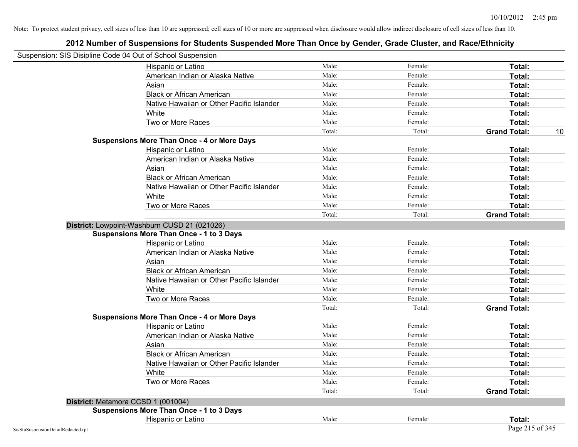| Suspension: SIS Disipline Code 04 Out of School Suspension |                                                    |        |         |                           |
|------------------------------------------------------------|----------------------------------------------------|--------|---------|---------------------------|
|                                                            | Hispanic or Latino                                 | Male:  | Female: | Total:                    |
|                                                            | American Indian or Alaska Native                   | Male:  | Female: | Total:                    |
|                                                            | Asian                                              | Male:  | Female: | Total:                    |
|                                                            | <b>Black or African American</b>                   | Male:  | Female: | Total:                    |
|                                                            | Native Hawaiian or Other Pacific Islander          | Male:  | Female: | Total:                    |
|                                                            | White                                              | Male:  | Female: | Total:                    |
|                                                            | Two or More Races                                  | Male:  | Female: | Total:                    |
|                                                            |                                                    | Total: | Total:  | <b>Grand Total:</b><br>10 |
|                                                            | <b>Suspensions More Than Once - 4 or More Days</b> |        |         |                           |
|                                                            | Hispanic or Latino                                 | Male:  | Female: | Total:                    |
|                                                            | American Indian or Alaska Native                   | Male:  | Female: | Total:                    |
|                                                            | Asian                                              | Male:  | Female: | Total:                    |
|                                                            | <b>Black or African American</b>                   | Male:  | Female: | Total:                    |
|                                                            | Native Hawaiian or Other Pacific Islander          | Male:  | Female: | Total:                    |
|                                                            | White                                              | Male:  | Female: | Total:                    |
|                                                            | Two or More Races                                  | Male:  | Female: | Total:                    |
|                                                            |                                                    | Total: | Total:  | <b>Grand Total:</b>       |
|                                                            | District: Lowpoint-Washburn CUSD 21 (021026)       |        |         |                           |
|                                                            | <b>Suspensions More Than Once - 1 to 3 Days</b>    |        |         |                           |
|                                                            | Hispanic or Latino                                 | Male:  | Female: | Total:                    |
|                                                            | American Indian or Alaska Native                   | Male:  | Female: | Total:                    |
|                                                            | Asian                                              | Male:  | Female: | Total:                    |
|                                                            | <b>Black or African American</b>                   | Male:  | Female: | Total:                    |
|                                                            | Native Hawaiian or Other Pacific Islander          | Male:  | Female: | Total:                    |
|                                                            | White                                              | Male:  | Female: | Total:                    |
|                                                            | Two or More Races                                  | Male:  | Female: | Total:                    |
|                                                            |                                                    | Total: | Total:  | <b>Grand Total:</b>       |
|                                                            | <b>Suspensions More Than Once - 4 or More Days</b> |        |         |                           |
|                                                            | Hispanic or Latino                                 | Male:  | Female: | Total:                    |
|                                                            | American Indian or Alaska Native                   | Male:  | Female: | Total:                    |
|                                                            | Asian                                              | Male:  | Female: | Total:                    |
|                                                            | <b>Black or African American</b>                   | Male:  | Female: | Total:                    |
|                                                            | Native Hawaiian or Other Pacific Islander          | Male:  | Female: | Total:                    |
|                                                            | White                                              | Male:  | Female: | Total:                    |
|                                                            | Two or More Races                                  | Male:  | Female: | Total:                    |
|                                                            |                                                    | Total: | Total:  | <b>Grand Total:</b>       |
|                                                            | District: Metamora CCSD 1 (001004)                 |        |         |                           |
|                                                            | <b>Suspensions More Than Once - 1 to 3 Days</b>    |        |         |                           |
|                                                            | Hispanic or Latino                                 | Male:  | Female: | Total:                    |
| SisStuSuspensionDetailRedacted.rpt                         |                                                    |        |         | Page 215 of 345           |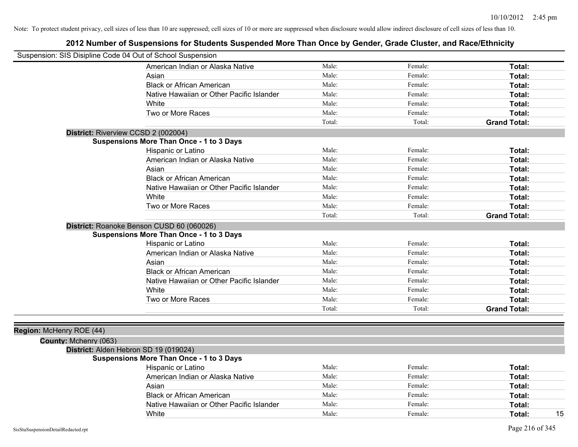|                          | Suspension: SIS Disipline Code 04 Out of School Suspension |        |         |                     |
|--------------------------|------------------------------------------------------------|--------|---------|---------------------|
|                          | American Indian or Alaska Native                           | Male:  | Female: | Total:              |
|                          | Asian                                                      | Male:  | Female: | Total:              |
|                          | <b>Black or African American</b>                           | Male:  | Female: | Total:              |
|                          | Native Hawaiian or Other Pacific Islander                  | Male:  | Female: | Total:              |
|                          | <b>White</b>                                               | Male:  | Female: | Total:              |
|                          | Two or More Races                                          | Male:  | Female: | Total:              |
|                          |                                                            | Total: | Total:  | <b>Grand Total:</b> |
|                          | District: Riverview CCSD 2 (002004)                        |        |         |                     |
|                          | <b>Suspensions More Than Once - 1 to 3 Days</b>            |        |         |                     |
|                          | Hispanic or Latino                                         | Male:  | Female: | Total:              |
|                          | American Indian or Alaska Native                           | Male:  | Female: | Total:              |
|                          | Asian                                                      | Male:  | Female: | Total:              |
|                          | <b>Black or African American</b>                           | Male:  | Female: | Total:              |
|                          | Native Hawaiian or Other Pacific Islander                  | Male:  | Female: | Total:              |
|                          | White                                                      | Male:  | Female: | Total:              |
|                          | Two or More Races                                          | Male:  | Female: | Total:              |
|                          |                                                            | Total: | Total:  | <b>Grand Total:</b> |
|                          | District: Roanoke Benson CUSD 60 (060026)                  |        |         |                     |
|                          | <b>Suspensions More Than Once - 1 to 3 Days</b>            |        |         |                     |
|                          | Hispanic or Latino                                         | Male:  | Female: | Total:              |
|                          | American Indian or Alaska Native                           | Male:  | Female: | Total:              |
|                          | Asian                                                      | Male:  | Female: | Total:              |
|                          | <b>Black or African American</b>                           | Male:  | Female: | Total:              |
|                          | Native Hawaiian or Other Pacific Islander                  | Male:  | Female: | Total:              |
|                          | White                                                      | Male:  | Female: | Total:              |
|                          | Two or More Races                                          | Male:  | Female: | Total:              |
|                          |                                                            | Total: | Total:  | <b>Grand Total:</b> |
|                          |                                                            |        |         |                     |
| Region: McHenry ROE (44) |                                                            |        |         |                     |
| County: Mchenry (063)    |                                                            |        |         |                     |
|                          | District: Alden Hebron SD 19 (019024)                      |        |         |                     |
|                          | <b>Suspensions More Than Once - 1 to 3 Days</b>            |        |         |                     |
|                          | Hispanic or Latino                                         | Male:  | Female: | Total:              |
|                          | American Indian or Alaska Native                           | Male:  | Female: | Total:              |
|                          | Asian                                                      | Male:  | Female: | Total:              |
|                          | <b>Black or African American</b>                           | Male:  | Female: | Total:              |
|                          | Native Hawaiian or Other Pacific Islander                  | Male:  | Female: | Total:              |
|                          | White                                                      | Male:  | Female: | 15<br>Total:        |
|                          |                                                            |        |         |                     |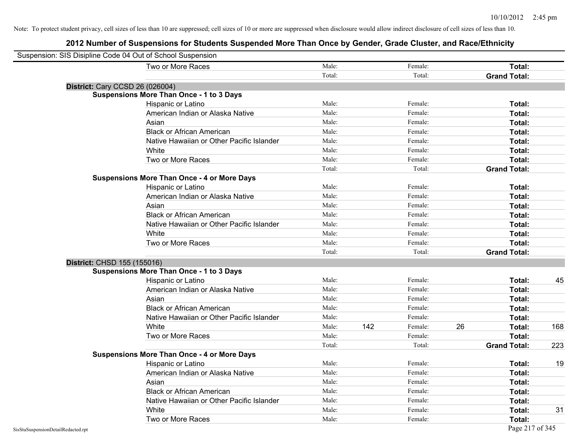| Suspension: SIS Disipline Code 04 Out of School Suspension |                                                    |        |     |         |    |                     |     |
|------------------------------------------------------------|----------------------------------------------------|--------|-----|---------|----|---------------------|-----|
|                                                            | Two or More Races                                  | Male:  |     | Female: |    | Total:              |     |
|                                                            |                                                    | Total: |     | Total:  |    | <b>Grand Total:</b> |     |
| <b>District: Cary CCSD 26 (026004)</b>                     |                                                    |        |     |         |    |                     |     |
|                                                            | <b>Suspensions More Than Once - 1 to 3 Days</b>    |        |     |         |    |                     |     |
|                                                            | Hispanic or Latino                                 | Male:  |     | Female: |    | Total:              |     |
|                                                            | American Indian or Alaska Native                   | Male:  |     | Female: |    | Total:              |     |
|                                                            | Asian                                              | Male:  |     | Female: |    | Total:              |     |
|                                                            | <b>Black or African American</b>                   | Male:  |     | Female: |    | Total:              |     |
|                                                            | Native Hawaiian or Other Pacific Islander          | Male:  |     | Female: |    | Total:              |     |
|                                                            | White                                              | Male:  |     | Female: |    | Total:              |     |
|                                                            | Two or More Races                                  | Male:  |     | Female: |    | Total:              |     |
|                                                            |                                                    | Total: |     | Total:  |    | <b>Grand Total:</b> |     |
|                                                            | <b>Suspensions More Than Once - 4 or More Days</b> |        |     |         |    |                     |     |
|                                                            | Hispanic or Latino                                 | Male:  |     | Female: |    | Total:              |     |
|                                                            | American Indian or Alaska Native                   | Male:  |     | Female: |    | Total:              |     |
|                                                            | Asian                                              | Male:  |     | Female: |    | Total:              |     |
|                                                            | <b>Black or African American</b>                   | Male:  |     | Female: |    | Total:              |     |
|                                                            | Native Hawaiian or Other Pacific Islander          | Male:  |     | Female: |    | Total:              |     |
|                                                            | White                                              | Male:  |     | Female: |    | Total:              |     |
|                                                            | Two or More Races                                  | Male:  |     | Female: |    | Total:              |     |
|                                                            |                                                    | Total: |     | Total:  |    | <b>Grand Total:</b> |     |
| District: CHSD 155 (155016)                                |                                                    |        |     |         |    |                     |     |
|                                                            | <b>Suspensions More Than Once - 1 to 3 Days</b>    |        |     |         |    |                     |     |
|                                                            | Hispanic or Latino                                 | Male:  |     | Female: |    | Total:              | 45  |
|                                                            | American Indian or Alaska Native                   | Male:  |     | Female: |    | Total:              |     |
|                                                            | Asian                                              | Male:  |     | Female: |    | Total:              |     |
|                                                            | <b>Black or African American</b>                   | Male:  |     | Female: |    | Total:              |     |
|                                                            | Native Hawaiian or Other Pacific Islander          | Male:  |     | Female: |    | Total:              |     |
|                                                            | White                                              | Male:  | 142 | Female: | 26 | Total:              | 168 |
|                                                            | Two or More Races                                  | Male:  |     | Female: |    | <b>Total:</b>       |     |
|                                                            |                                                    | Total: |     | Total:  |    | <b>Grand Total:</b> | 223 |
|                                                            | <b>Suspensions More Than Once - 4 or More Days</b> |        |     |         |    |                     |     |
|                                                            | Hispanic or Latino                                 | Male:  |     | Female: |    | Total:              | 19  |
|                                                            | American Indian or Alaska Native                   | Male:  |     | Female: |    | Total:              |     |
|                                                            | Asian                                              | Male:  |     | Female: |    | Total:              |     |
|                                                            | <b>Black or African American</b>                   | Male:  |     | Female: |    | Total:              |     |
|                                                            | Native Hawaiian or Other Pacific Islander          | Male:  |     | Female: |    | Total:              |     |
|                                                            | White                                              | Male:  |     | Female: |    | Total:              | 31  |
|                                                            | Two or More Races                                  | Male:  |     | Female: |    | Total:              |     |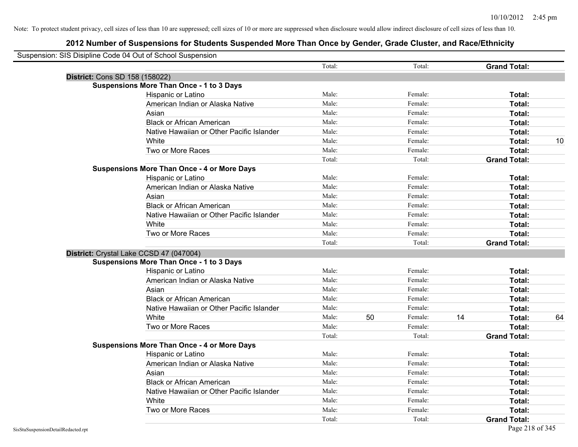| Suspension: SIS Disipline Code 04 Out of School Suspension |                                                    |        |    |         |    |                     |    |
|------------------------------------------------------------|----------------------------------------------------|--------|----|---------|----|---------------------|----|
|                                                            |                                                    | Total: |    | Total:  |    | <b>Grand Total:</b> |    |
|                                                            | District: Cons SD 158 (158022)                     |        |    |         |    |                     |    |
|                                                            | <b>Suspensions More Than Once - 1 to 3 Days</b>    |        |    |         |    |                     |    |
|                                                            | Hispanic or Latino                                 | Male:  |    | Female: |    | Total:              |    |
|                                                            | American Indian or Alaska Native                   | Male:  |    | Female: |    | Total:              |    |
|                                                            | Asian                                              | Male:  |    | Female: |    | Total:              |    |
|                                                            | <b>Black or African American</b>                   | Male:  |    | Female: |    | Total:              |    |
|                                                            | Native Hawaiian or Other Pacific Islander          | Male:  |    | Female: |    | Total:              |    |
|                                                            | White                                              | Male:  |    | Female: |    | Total:              | 10 |
|                                                            | Two or More Races                                  | Male:  |    | Female: |    | Total:              |    |
|                                                            |                                                    | Total: |    | Total:  |    | <b>Grand Total:</b> |    |
|                                                            | <b>Suspensions More Than Once - 4 or More Days</b> |        |    |         |    |                     |    |
|                                                            | Hispanic or Latino                                 | Male:  |    | Female: |    | Total:              |    |
|                                                            | American Indian or Alaska Native                   | Male:  |    | Female: |    | Total:              |    |
|                                                            | Asian                                              | Male:  |    | Female: |    | Total:              |    |
|                                                            | <b>Black or African American</b>                   | Male:  |    | Female: |    | Total:              |    |
|                                                            | Native Hawaiian or Other Pacific Islander          | Male:  |    | Female: |    | Total:              |    |
|                                                            | White                                              | Male:  |    | Female: |    | Total:              |    |
|                                                            | Two or More Races                                  | Male:  |    | Female: |    | Total:              |    |
|                                                            |                                                    | Total: |    | Total:  |    | <b>Grand Total:</b> |    |
|                                                            | District: Crystal Lake CCSD 47 (047004)            |        |    |         |    |                     |    |
|                                                            | <b>Suspensions More Than Once - 1 to 3 Days</b>    |        |    |         |    |                     |    |
|                                                            | Hispanic or Latino                                 | Male:  |    | Female: |    | Total:              |    |
|                                                            | American Indian or Alaska Native                   | Male:  |    | Female: |    | Total:              |    |
|                                                            | Asian                                              | Male:  |    | Female: |    | Total:              |    |
|                                                            | <b>Black or African American</b>                   | Male:  |    | Female: |    | Total:              |    |
|                                                            | Native Hawaiian or Other Pacific Islander          | Male:  |    | Female: |    | Total:              |    |
|                                                            | White                                              | Male:  | 50 | Female: | 14 | Total:              | 64 |
|                                                            | Two or More Races                                  | Male:  |    | Female: |    | Total:              |    |
|                                                            |                                                    | Total: |    | Total:  |    | <b>Grand Total:</b> |    |
|                                                            | <b>Suspensions More Than Once - 4 or More Days</b> |        |    |         |    |                     |    |
|                                                            | Hispanic or Latino                                 | Male:  |    | Female: |    | Total:              |    |
|                                                            | American Indian or Alaska Native                   | Male:  |    | Female: |    | Total:              |    |
|                                                            | Asian                                              | Male:  |    | Female: |    | Total:              |    |
|                                                            | <b>Black or African American</b>                   | Male:  |    | Female: |    | Total:              |    |
|                                                            | Native Hawaiian or Other Pacific Islander          | Male:  |    | Female: |    | Total:              |    |
|                                                            | White                                              | Male:  |    | Female: |    | Total:              |    |
|                                                            | Two or More Races                                  | Male:  |    | Female: |    | Total:              |    |
|                                                            |                                                    | Total: |    | Total:  |    | <b>Grand Total:</b> |    |
| SisStuSuspensionDetailRedacted.rpt                         |                                                    |        |    |         |    | Page 218 of 345     |    |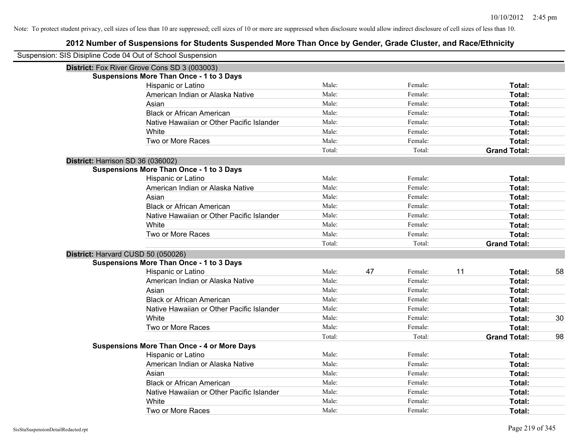| Suspension: SIS Disipline Code 04 Out of School Suspension |        |    |         |    |                     |    |
|------------------------------------------------------------|--------|----|---------|----|---------------------|----|
| District: Fox River Grove Cons SD 3 (003003)               |        |    |         |    |                     |    |
| <b>Suspensions More Than Once - 1 to 3 Days</b>            |        |    |         |    |                     |    |
| Hispanic or Latino                                         | Male:  |    | Female: |    | Total:              |    |
| American Indian or Alaska Native                           | Male:  |    | Female: |    | Total:              |    |
| Asian                                                      | Male:  |    | Female: |    | Total:              |    |
| <b>Black or African American</b>                           | Male:  |    | Female: |    | Total:              |    |
| Native Hawaiian or Other Pacific Islander                  | Male:  |    | Female: |    | Total:              |    |
| White                                                      | Male:  |    | Female: |    | Total:              |    |
| Two or More Races                                          | Male:  |    | Female: |    | Total:              |    |
|                                                            | Total: |    | Total:  |    | <b>Grand Total:</b> |    |
| District: Harrison SD 36 (036002)                          |        |    |         |    |                     |    |
| <b>Suspensions More Than Once - 1 to 3 Days</b>            |        |    |         |    |                     |    |
| Hispanic or Latino                                         | Male:  |    | Female: |    | Total:              |    |
| American Indian or Alaska Native                           | Male:  |    | Female: |    | Total:              |    |
| Asian                                                      | Male:  |    | Female: |    | Total:              |    |
| <b>Black or African American</b>                           | Male:  |    | Female: |    | Total:              |    |
| Native Hawaiian or Other Pacific Islander                  | Male:  |    | Female: |    | Total:              |    |
| White                                                      | Male:  |    | Female: |    | Total:              |    |
| Two or More Races                                          | Male:  |    | Female: |    | Total:              |    |
|                                                            | Total: |    | Total:  |    | <b>Grand Total:</b> |    |
| District: Harvard CUSD 50 (050026)                         |        |    |         |    |                     |    |
| <b>Suspensions More Than Once - 1 to 3 Days</b>            |        |    |         |    |                     |    |
| Hispanic or Latino                                         | Male:  | 47 | Female: | 11 | Total:              | 58 |
| American Indian or Alaska Native                           | Male:  |    | Female: |    | Total:              |    |
| Asian                                                      | Male:  |    | Female: |    | Total:              |    |
| <b>Black or African American</b>                           | Male:  |    | Female: |    | Total:              |    |
| Native Hawaiian or Other Pacific Islander                  | Male:  |    | Female: |    | Total:              |    |
| White                                                      | Male:  |    | Female: |    | Total:              | 30 |
| Two or More Races                                          | Male:  |    | Female: |    | Total:              |    |
|                                                            | Total: |    | Total:  |    | <b>Grand Total:</b> | 98 |
| <b>Suspensions More Than Once - 4 or More Days</b>         |        |    |         |    |                     |    |
| Hispanic or Latino                                         | Male:  |    | Female: |    | Total:              |    |
| American Indian or Alaska Native                           | Male:  |    | Female: |    | Total:              |    |
| Asian                                                      | Male:  |    | Female: |    | Total:              |    |
| <b>Black or African American</b>                           | Male:  |    | Female: |    | Total:              |    |
| Native Hawaiian or Other Pacific Islander                  | Male:  |    | Female: |    | Total:              |    |
| White                                                      | Male:  |    | Female: |    | Total:              |    |
| Two or More Races                                          | Male:  |    | Female: |    | Total:              |    |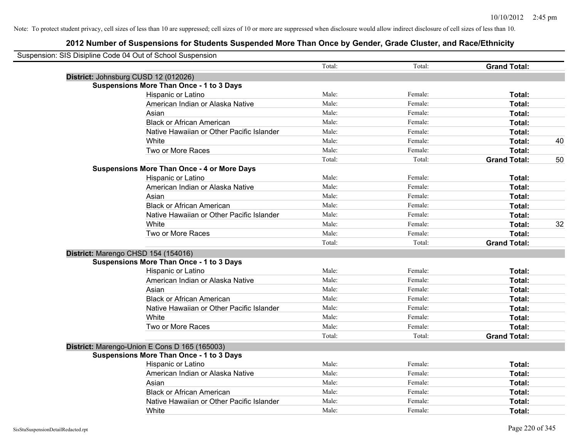| Suspension: SIS Disipline Code 04 Out of School Suspension |        |         |                     |    |
|------------------------------------------------------------|--------|---------|---------------------|----|
|                                                            | Total: | Total:  | <b>Grand Total:</b> |    |
| District: Johnsburg CUSD 12 (012026)                       |        |         |                     |    |
| <b>Suspensions More Than Once - 1 to 3 Days</b>            |        |         |                     |    |
| Hispanic or Latino                                         | Male:  | Female: | Total:              |    |
| American Indian or Alaska Native                           | Male:  | Female: | Total:              |    |
| Asian                                                      | Male:  | Female: | Total:              |    |
| <b>Black or African American</b>                           | Male:  | Female: | Total:              |    |
| Native Hawaiian or Other Pacific Islander                  | Male:  | Female: | Total:              |    |
| White                                                      | Male:  | Female: | Total:              | 40 |
| Two or More Races                                          | Male:  | Female: | Total:              |    |
|                                                            | Total: | Total:  | <b>Grand Total:</b> | 50 |
| <b>Suspensions More Than Once - 4 or More Days</b>         |        |         |                     |    |
| Hispanic or Latino                                         | Male:  | Female: | Total:              |    |
| American Indian or Alaska Native                           | Male:  | Female: | Total:              |    |
| Asian                                                      | Male:  | Female: | Total:              |    |
| <b>Black or African American</b>                           | Male:  | Female: | Total:              |    |
| Native Hawaiian or Other Pacific Islander                  | Male:  | Female: | Total:              |    |
| White                                                      | Male:  | Female: | Total:              | 32 |
| Two or More Races                                          | Male:  | Female: | Total:              |    |
|                                                            | Total: | Total:  | <b>Grand Total:</b> |    |
| District: Marengo CHSD 154 (154016)                        |        |         |                     |    |
| <b>Suspensions More Than Once - 1 to 3 Days</b>            |        |         |                     |    |
| Hispanic or Latino                                         | Male:  | Female: | Total:              |    |
| American Indian or Alaska Native                           | Male:  | Female: | Total:              |    |
| Asian                                                      | Male:  | Female: | Total:              |    |
| <b>Black or African American</b>                           | Male:  | Female: | Total:              |    |
| Native Hawaiian or Other Pacific Islander                  | Male:  | Female: | Total:              |    |
| White                                                      | Male:  | Female: | Total:              |    |
| Two or More Races                                          | Male:  | Female: | Total:              |    |
|                                                            | Total: | Total:  | <b>Grand Total:</b> |    |
| District: Marengo-Union E Cons D 165 (165003)              |        |         |                     |    |
| <b>Suspensions More Than Once - 1 to 3 Days</b>            |        |         |                     |    |
| Hispanic or Latino                                         | Male:  | Female: | Total:              |    |
| American Indian or Alaska Native                           | Male:  | Female: | Total:              |    |
| Asian                                                      | Male:  | Female: | Total:              |    |
| <b>Black or African American</b>                           | Male:  | Female: | Total:              |    |
| Native Hawaiian or Other Pacific Islander                  | Male:  | Female: | Total:              |    |
| White                                                      | Male:  | Female: | Total:              |    |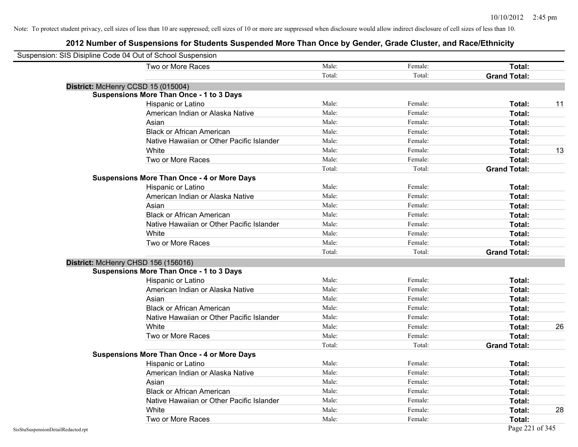| Suspension: SIS Disipline Code 04 Out of School Suspension |                                                    |        |         |                     |    |
|------------------------------------------------------------|----------------------------------------------------|--------|---------|---------------------|----|
|                                                            | Two or More Races                                  | Male:  | Female: | Total:              |    |
|                                                            |                                                    | Total: | Total:  | <b>Grand Total:</b> |    |
|                                                            | District: McHenry CCSD 15 (015004)                 |        |         |                     |    |
|                                                            | <b>Suspensions More Than Once - 1 to 3 Days</b>    |        |         |                     |    |
|                                                            | Hispanic or Latino                                 | Male:  | Female: | Total:              | 11 |
|                                                            | American Indian or Alaska Native                   | Male:  | Female: | Total:              |    |
|                                                            | Asian                                              | Male:  | Female: | Total:              |    |
|                                                            | <b>Black or African American</b>                   | Male:  | Female: | Total:              |    |
|                                                            | Native Hawaiian or Other Pacific Islander          | Male:  | Female: | Total:              |    |
|                                                            | White                                              | Male:  | Female: | Total:              | 13 |
|                                                            | Two or More Races                                  | Male:  | Female: | Total:              |    |
|                                                            |                                                    | Total: | Total:  | <b>Grand Total:</b> |    |
|                                                            | <b>Suspensions More Than Once - 4 or More Days</b> |        |         |                     |    |
|                                                            | Hispanic or Latino                                 | Male:  | Female: | Total:              |    |
|                                                            | American Indian or Alaska Native                   | Male:  | Female: | Total:              |    |
|                                                            | Asian                                              | Male:  | Female: | Total:              |    |
|                                                            | <b>Black or African American</b>                   | Male:  | Female: | Total:              |    |
|                                                            | Native Hawaiian or Other Pacific Islander          | Male:  | Female: | Total:              |    |
|                                                            | White                                              | Male:  | Female: | Total:              |    |
|                                                            | Two or More Races                                  | Male:  | Female: | Total:              |    |
|                                                            |                                                    | Total: | Total:  | <b>Grand Total:</b> |    |
|                                                            | District: McHenry CHSD 156 (156016)                |        |         |                     |    |
|                                                            | <b>Suspensions More Than Once - 1 to 3 Days</b>    |        |         |                     |    |
|                                                            | Hispanic or Latino                                 | Male:  | Female: | Total:              |    |
|                                                            | American Indian or Alaska Native                   | Male:  | Female: | Total:              |    |
|                                                            | Asian                                              | Male:  | Female: | Total:              |    |
|                                                            | <b>Black or African American</b>                   | Male:  | Female: | Total:              |    |
|                                                            | Native Hawaiian or Other Pacific Islander          | Male:  | Female: | Total:              |    |
|                                                            | White                                              | Male:  | Female: | Total:              | 26 |
|                                                            | Two or More Races                                  | Male:  | Female: | Total:              |    |
|                                                            |                                                    | Total: | Total:  | <b>Grand Total:</b> |    |
|                                                            | <b>Suspensions More Than Once - 4 or More Days</b> |        |         |                     |    |
|                                                            | Hispanic or Latino                                 | Male:  | Female: | Total:              |    |
|                                                            | American Indian or Alaska Native                   | Male:  | Female: | Total:              |    |
|                                                            | Asian                                              | Male:  | Female: | Total:              |    |
|                                                            | <b>Black or African American</b>                   | Male:  | Female: | Total:              |    |
|                                                            | Native Hawaiian or Other Pacific Islander          | Male:  | Female: | Total:              |    |
|                                                            | White                                              | Male:  | Female: | Total:              | 28 |
|                                                            | Two or More Races                                  | Male:  | Female: | Total:              |    |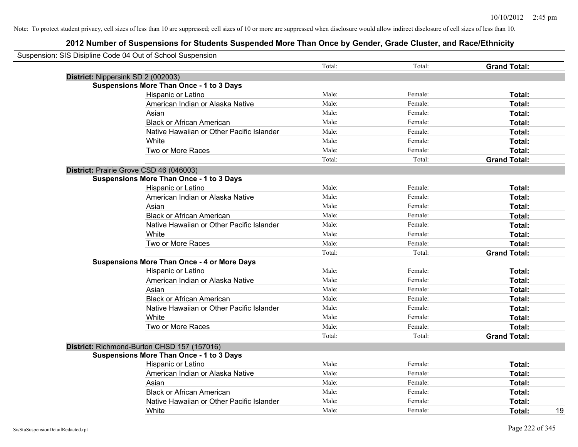| Suspension: SIS Disipline Code 04 Out of School Suspension |                                           |        |         |                     |    |
|------------------------------------------------------------|-------------------------------------------|--------|---------|---------------------|----|
|                                                            |                                           | Total: | Total:  | <b>Grand Total:</b> |    |
| District: Nippersink SD 2 (002003)                         |                                           |        |         |                     |    |
| <b>Suspensions More Than Once - 1 to 3 Days</b>            |                                           |        |         |                     |    |
| Hispanic or Latino                                         |                                           | Male:  | Female: | Total:              |    |
|                                                            | American Indian or Alaska Native          | Male:  | Female: | Total:              |    |
| Asian                                                      |                                           | Male:  | Female: | Total:              |    |
| <b>Black or African American</b>                           |                                           | Male:  | Female: | Total:              |    |
|                                                            | Native Hawaiian or Other Pacific Islander | Male:  | Female: | Total:              |    |
| White                                                      |                                           | Male:  | Female: | Total:              |    |
| Two or More Races                                          |                                           | Male:  | Female: | Total:              |    |
|                                                            |                                           | Total: | Total:  | <b>Grand Total:</b> |    |
| District: Prairie Grove CSD 46 (046003)                    |                                           |        |         |                     |    |
| <b>Suspensions More Than Once - 1 to 3 Days</b>            |                                           |        |         |                     |    |
| Hispanic or Latino                                         |                                           | Male:  | Female: | Total:              |    |
|                                                            | American Indian or Alaska Native          | Male:  | Female: | Total:              |    |
| Asian                                                      |                                           | Male:  | Female: | Total:              |    |
| <b>Black or African American</b>                           |                                           | Male:  | Female: | Total:              |    |
|                                                            | Native Hawaiian or Other Pacific Islander | Male:  | Female: | Total:              |    |
| White                                                      |                                           | Male:  | Female: | Total:              |    |
| Two or More Races                                          |                                           | Male:  | Female: | Total:              |    |
|                                                            |                                           | Total: | Total:  | <b>Grand Total:</b> |    |
| <b>Suspensions More Than Once - 4 or More Days</b>         |                                           |        |         |                     |    |
| Hispanic or Latino                                         |                                           | Male:  | Female: | Total:              |    |
|                                                            | American Indian or Alaska Native          | Male:  | Female: | Total:              |    |
| Asian                                                      |                                           | Male:  | Female: | Total:              |    |
| <b>Black or African American</b>                           |                                           | Male:  | Female: | Total:              |    |
|                                                            | Native Hawaiian or Other Pacific Islander | Male:  | Female: | Total:              |    |
| White                                                      |                                           | Male:  | Female: | Total:              |    |
| Two or More Races                                          |                                           | Male:  | Female: | Total:              |    |
|                                                            |                                           | Total: | Total:  | <b>Grand Total:</b> |    |
| District: Richmond-Burton CHSD 157 (157016)                |                                           |        |         |                     |    |
| <b>Suspensions More Than Once - 1 to 3 Days</b>            |                                           |        |         |                     |    |
| Hispanic or Latino                                         |                                           | Male:  | Female: | Total:              |    |
|                                                            | American Indian or Alaska Native          | Male:  | Female: | Total:              |    |
| Asian                                                      |                                           | Male:  | Female: | Total:              |    |
| <b>Black or African American</b>                           |                                           | Male:  | Female: | Total:              |    |
|                                                            | Native Hawaiian or Other Pacific Islander | Male:  | Female: | Total:              |    |
| White                                                      |                                           | Male:  | Female: | Total:              | 19 |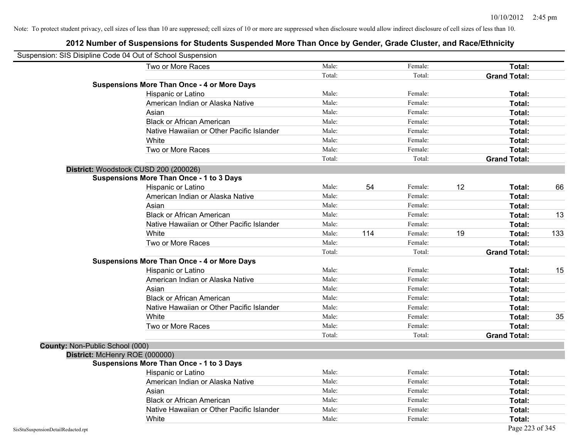|                                 | Suspension: SIS Disipline Code 04 Out of School Suspension |        |     |         |    |                     |     |
|---------------------------------|------------------------------------------------------------|--------|-----|---------|----|---------------------|-----|
|                                 | Two or More Races                                          | Male:  |     | Female: |    | Total:              |     |
|                                 |                                                            | Total: |     | Total:  |    | <b>Grand Total:</b> |     |
|                                 | <b>Suspensions More Than Once - 4 or More Days</b>         |        |     |         |    |                     |     |
|                                 | Hispanic or Latino                                         | Male:  |     | Female: |    | Total:              |     |
|                                 | American Indian or Alaska Native                           | Male:  |     | Female: |    | Total:              |     |
|                                 | Asian                                                      | Male:  |     | Female: |    | Total:              |     |
|                                 | <b>Black or African American</b>                           | Male:  |     | Female: |    | Total:              |     |
|                                 | Native Hawaiian or Other Pacific Islander                  | Male:  |     | Female: |    | Total:              |     |
|                                 | White                                                      | Male:  |     | Female: |    | Total:              |     |
|                                 | Two or More Races                                          | Male:  |     | Female: |    | Total:              |     |
|                                 |                                                            | Total: |     | Total:  |    | <b>Grand Total:</b> |     |
|                                 | District: Woodstock CUSD 200 (200026)                      |        |     |         |    |                     |     |
|                                 | <b>Suspensions More Than Once - 1 to 3 Days</b>            |        |     |         |    |                     |     |
|                                 | Hispanic or Latino                                         | Male:  | 54  | Female: | 12 | Total:              | 66  |
|                                 | American Indian or Alaska Native                           | Male:  |     | Female: |    | <b>Total:</b>       |     |
|                                 | Asian                                                      | Male:  |     | Female: |    | Total:              |     |
|                                 | <b>Black or African American</b>                           | Male:  |     | Female: |    | Total:              | 13  |
|                                 | Native Hawaiian or Other Pacific Islander                  | Male:  |     | Female: |    | Total:              |     |
|                                 | White                                                      | Male:  | 114 | Female: | 19 | Total:              | 133 |
|                                 | Two or More Races                                          | Male:  |     | Female: |    | Total:              |     |
|                                 |                                                            | Total: |     | Total:  |    | <b>Grand Total:</b> |     |
|                                 | <b>Suspensions More Than Once - 4 or More Days</b>         |        |     |         |    |                     |     |
|                                 | Hispanic or Latino                                         | Male:  |     | Female: |    | Total:              | 15  |
|                                 | American Indian or Alaska Native                           | Male:  |     | Female: |    | Total:              |     |
|                                 | Asian                                                      | Male:  |     | Female: |    | Total:              |     |
|                                 | <b>Black or African American</b>                           | Male:  |     | Female: |    | Total:              |     |
|                                 | Native Hawaiian or Other Pacific Islander                  | Male:  |     | Female: |    | Total:              |     |
|                                 | White                                                      | Male:  |     | Female: |    | Total:              | 35  |
|                                 | Two or More Races                                          | Male:  |     | Female: |    | Total:              |     |
|                                 |                                                            | Total: |     | Total:  |    | <b>Grand Total:</b> |     |
| County: Non-Public School (000) |                                                            |        |     |         |    |                     |     |
|                                 | District: McHenry ROE (000000)                             |        |     |         |    |                     |     |
|                                 | <b>Suspensions More Than Once - 1 to 3 Days</b>            |        |     |         |    |                     |     |
|                                 | Hispanic or Latino                                         | Male:  |     | Female: |    | Total:              |     |
|                                 | American Indian or Alaska Native                           | Male:  |     | Female: |    | Total:              |     |
|                                 | Asian                                                      | Male:  |     | Female: |    | Total:              |     |
|                                 | <b>Black or African American</b>                           | Male:  |     | Female: |    | Total:              |     |
|                                 | Native Hawaiian or Other Pacific Islander                  | Male:  |     | Female: |    | Total:              |     |
|                                 | White                                                      | Male:  |     | Female: |    | Total:              |     |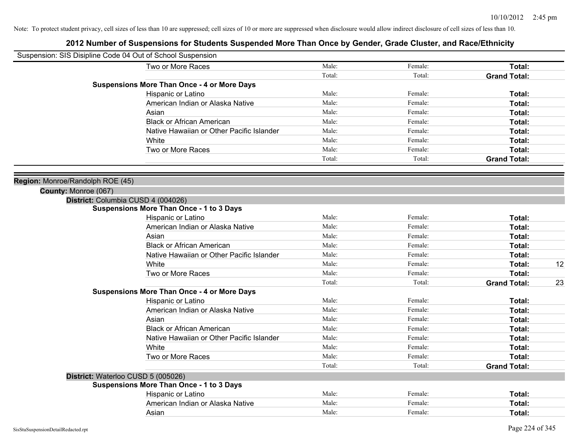|                                  | Suspension: SIS Disipline Code 04 Out of School Suspension |        |         |                     |    |
|----------------------------------|------------------------------------------------------------|--------|---------|---------------------|----|
|                                  | Two or More Races                                          | Male:  | Female: | Total:              |    |
|                                  |                                                            | Total: | Total:  | <b>Grand Total:</b> |    |
|                                  | <b>Suspensions More Than Once - 4 or More Days</b>         |        |         |                     |    |
|                                  | Hispanic or Latino                                         | Male:  | Female: | Total:              |    |
|                                  | American Indian or Alaska Native                           | Male:  | Female: | Total:              |    |
|                                  | Asian                                                      | Male:  | Female: | Total:              |    |
|                                  | <b>Black or African American</b>                           | Male:  | Female: | Total:              |    |
|                                  | Native Hawaiian or Other Pacific Islander                  | Male:  | Female: | Total:              |    |
|                                  | White                                                      | Male:  | Female: | Total:              |    |
|                                  | Two or More Races                                          | Male:  | Female: | Total:              |    |
|                                  |                                                            | Total: | Total:  | <b>Grand Total:</b> |    |
|                                  |                                                            |        |         |                     |    |
| Region: Monroe/Randolph ROE (45) |                                                            |        |         |                     |    |
| County: Monroe (067)             |                                                            |        |         |                     |    |
|                                  | District: Columbia CUSD 4 (004026)                         |        |         |                     |    |
|                                  | <b>Suspensions More Than Once - 1 to 3 Days</b>            |        |         |                     |    |
|                                  | Hispanic or Latino                                         | Male:  | Female: | Total:              |    |
|                                  | American Indian or Alaska Native                           | Male:  | Female: | Total:              |    |
|                                  | Asian                                                      | Male:  | Female: | Total:              |    |
|                                  | <b>Black or African American</b>                           | Male:  | Female: | Total:              |    |
|                                  | Native Hawaiian or Other Pacific Islander                  | Male:  | Female: | Total:              |    |
|                                  | White                                                      | Male:  | Female: | Total:              | 12 |
|                                  | Two or More Races                                          | Male:  | Female: | Total:              |    |
|                                  |                                                            | Total: | Total:  | <b>Grand Total:</b> | 23 |
|                                  | <b>Suspensions More Than Once - 4 or More Days</b>         |        |         |                     |    |
|                                  | Hispanic or Latino                                         | Male:  | Female: | Total:              |    |
|                                  | American Indian or Alaska Native                           | Male:  | Female: | Total:              |    |
|                                  | Asian                                                      | Male:  | Female: | Total:              |    |
|                                  | <b>Black or African American</b>                           | Male:  | Female: | Total:              |    |
|                                  | Native Hawaiian or Other Pacific Islander                  | Male:  | Female: | Total:              |    |
|                                  | White                                                      | Male:  | Female: | Total:              |    |
|                                  | Two or More Races                                          | Male:  | Female: | Total:              |    |
|                                  |                                                            | Total: | Total:  | <b>Grand Total:</b> |    |
|                                  | District: Waterloo CUSD 5 (005026)                         |        |         |                     |    |
|                                  | <b>Suspensions More Than Once - 1 to 3 Days</b>            |        |         |                     |    |
|                                  | Hispanic or Latino                                         | Male:  | Female: | Total:              |    |
|                                  | American Indian or Alaska Native                           | Male:  | Female: | Total:              |    |
|                                  | Asian                                                      | Male:  | Female: | Total:              |    |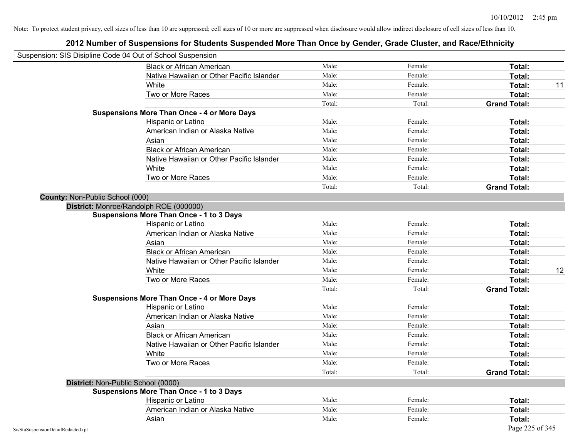| Suspension: SIS Disipline Code 04 Out of School Suspension |                                                    |        |         |                     |
|------------------------------------------------------------|----------------------------------------------------|--------|---------|---------------------|
|                                                            | <b>Black or African American</b>                   | Male:  | Female: | <b>Total:</b>       |
|                                                            | Native Hawaiian or Other Pacific Islander          | Male:  | Female: | Total:              |
|                                                            | White                                              | Male:  | Female: | 11<br>Total:        |
|                                                            | Two or More Races                                  | Male:  | Female: | Total:              |
|                                                            |                                                    | Total: | Total:  | <b>Grand Total:</b> |
|                                                            | <b>Suspensions More Than Once - 4 or More Days</b> |        |         |                     |
|                                                            | Hispanic or Latino                                 | Male:  | Female: | Total:              |
|                                                            | American Indian or Alaska Native                   | Male:  | Female: | Total:              |
|                                                            | Asian                                              | Male:  | Female: | Total:              |
|                                                            | <b>Black or African American</b>                   | Male:  | Female: | Total:              |
|                                                            | Native Hawaiian or Other Pacific Islander          | Male:  | Female: | Total:              |
|                                                            | White                                              | Male:  | Female: | Total:              |
|                                                            | Two or More Races                                  | Male:  | Female: | Total:              |
|                                                            |                                                    | Total: | Total:  | <b>Grand Total:</b> |
| <b>County: Non-Public School (000)</b>                     |                                                    |        |         |                     |
|                                                            | District: Monroe/Randolph ROE (000000)             |        |         |                     |
|                                                            | Suspensions More Than Once - 1 to 3 Days           |        |         |                     |
|                                                            | Hispanic or Latino                                 | Male:  | Female: | Total:              |
|                                                            | American Indian or Alaska Native                   | Male:  | Female: | Total:              |
|                                                            | Asian                                              | Male:  | Female: | Total:              |
|                                                            | <b>Black or African American</b>                   | Male:  | Female: | Total:              |
|                                                            | Native Hawaiian or Other Pacific Islander          | Male:  | Female: | Total:              |
|                                                            | White                                              | Male:  | Female: | 12<br>Total:        |
|                                                            | Two or More Races                                  | Male:  | Female: | Total:              |
|                                                            |                                                    | Total: | Total:  | <b>Grand Total:</b> |
|                                                            | <b>Suspensions More Than Once - 4 or More Days</b> |        |         |                     |
|                                                            | Hispanic or Latino                                 | Male:  | Female: | Total:              |
|                                                            | American Indian or Alaska Native                   | Male:  | Female: | Total:              |
|                                                            | Asian                                              | Male:  | Female: | Total:              |
|                                                            | <b>Black or African American</b>                   | Male:  | Female: | Total:              |
|                                                            | Native Hawaiian or Other Pacific Islander          | Male:  | Female: | Total:              |
|                                                            | White                                              | Male:  | Female: | Total:              |
|                                                            | Two or More Races                                  | Male:  | Female: | Total:              |
|                                                            |                                                    | Total: | Total:  | <b>Grand Total:</b> |
|                                                            | District: Non-Public School (0000)                 |        |         |                     |
|                                                            | <b>Suspensions More Than Once - 1 to 3 Days</b>    |        |         |                     |
|                                                            | Hispanic or Latino                                 | Male:  | Female: | Total:              |
|                                                            | American Indian or Alaska Native                   | Male:  | Female: | Total:              |
|                                                            | Asian                                              | Male:  | Female: | Total:              |
| SisStuSuspensionDetailRedacted.rpt                         |                                                    |        |         | Page 225 of 345     |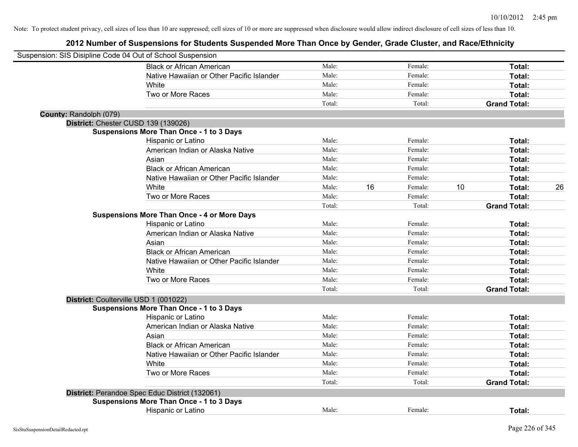| Suspension: SIS Disipline Code 04 Out of School Suspension |                                                    |        |    |         |    |                     |    |
|------------------------------------------------------------|----------------------------------------------------|--------|----|---------|----|---------------------|----|
|                                                            | <b>Black or African American</b>                   | Male:  |    | Female: |    | Total:              |    |
|                                                            | Native Hawaiian or Other Pacific Islander          | Male:  |    | Female: |    | Total:              |    |
|                                                            | White                                              | Male:  |    | Female: |    | Total:              |    |
|                                                            | Two or More Races                                  | Male:  |    | Female: |    | Total:              |    |
|                                                            |                                                    | Total: |    | Total:  |    | <b>Grand Total:</b> |    |
| County: Randolph (079)                                     |                                                    |        |    |         |    |                     |    |
|                                                            | District: Chester CUSD 139 (139026)                |        |    |         |    |                     |    |
|                                                            | <b>Suspensions More Than Once - 1 to 3 Days</b>    |        |    |         |    |                     |    |
|                                                            | Hispanic or Latino                                 | Male:  |    | Female: |    | Total:              |    |
|                                                            | American Indian or Alaska Native                   | Male:  |    | Female: |    | Total:              |    |
|                                                            | Asian                                              | Male:  |    | Female: |    | Total:              |    |
|                                                            | <b>Black or African American</b>                   | Male:  |    | Female: |    | Total:              |    |
|                                                            | Native Hawaiian or Other Pacific Islander          | Male:  |    | Female: |    | Total:              |    |
|                                                            | White                                              | Male:  | 16 | Female: | 10 | Total:              | 26 |
|                                                            | Two or More Races                                  | Male:  |    | Female: |    | Total:              |    |
|                                                            |                                                    | Total: |    | Total:  |    | <b>Grand Total:</b> |    |
|                                                            | <b>Suspensions More Than Once - 4 or More Days</b> |        |    |         |    |                     |    |
|                                                            | Hispanic or Latino                                 | Male:  |    | Female: |    | Total:              |    |
|                                                            | American Indian or Alaska Native                   | Male:  |    | Female: |    | Total:              |    |
|                                                            | Asian                                              | Male:  |    | Female: |    | Total:              |    |
|                                                            | <b>Black or African American</b>                   | Male:  |    | Female: |    | Total:              |    |
|                                                            | Native Hawaiian or Other Pacific Islander          | Male:  |    | Female: |    | Total:              |    |
|                                                            | <b>White</b>                                       | Male:  |    | Female: |    | Total:              |    |
|                                                            | Two or More Races                                  | Male:  |    | Female: |    | Total:              |    |
|                                                            |                                                    | Total: |    | Total:  |    | <b>Grand Total:</b> |    |
|                                                            | District: Coulterville USD 1 (001022)              |        |    |         |    |                     |    |
|                                                            | <b>Suspensions More Than Once - 1 to 3 Days</b>    |        |    |         |    |                     |    |
|                                                            | Hispanic or Latino                                 | Male:  |    | Female: |    | Total:              |    |
|                                                            | American Indian or Alaska Native                   | Male:  |    | Female: |    | Total:              |    |
|                                                            | Asian                                              | Male:  |    | Female: |    | Total:              |    |
|                                                            | <b>Black or African American</b>                   | Male:  |    | Female: |    | Total:              |    |
|                                                            | Native Hawaiian or Other Pacific Islander          | Male:  |    | Female: |    | Total:              |    |
|                                                            | White                                              | Male:  |    | Female: |    | Total:              |    |
|                                                            | Two or More Races                                  | Male:  |    | Female: |    | Total:              |    |
|                                                            |                                                    | Total: |    | Total:  |    | <b>Grand Total:</b> |    |
|                                                            | District: Perandoe Spec Educ District (132061)     |        |    |         |    |                     |    |
|                                                            | <b>Suspensions More Than Once - 1 to 3 Days</b>    |        |    |         |    |                     |    |
|                                                            | <b>Hispanic or Latino</b>                          | Male:  |    | Female: |    | Total:              |    |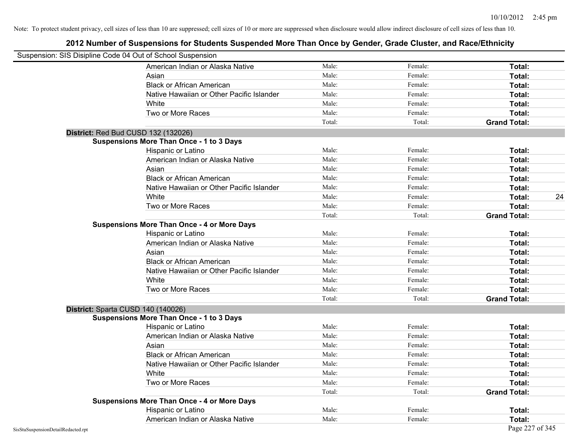| Suspension: SIS Disipline Code 04 Out of School Suspension |        |         |                     |    |
|------------------------------------------------------------|--------|---------|---------------------|----|
| American Indian or Alaska Native                           | Male:  | Female: | Total:              |    |
| Asian                                                      | Male:  | Female: | Total:              |    |
| <b>Black or African American</b>                           | Male:  | Female: | Total:              |    |
| Native Hawaiian or Other Pacific Islander                  | Male:  | Female: | Total:              |    |
| White                                                      | Male:  | Female: | Total:              |    |
| Two or More Races                                          | Male:  | Female: | Total:              |    |
|                                                            | Total: | Total:  | <b>Grand Total:</b> |    |
| District: Red Bud CUSD 132 (132026)                        |        |         |                     |    |
| <b>Suspensions More Than Once - 1 to 3 Days</b>            |        |         |                     |    |
| Hispanic or Latino                                         | Male:  | Female: | Total:              |    |
| American Indian or Alaska Native                           | Male:  | Female: | Total:              |    |
| Asian                                                      | Male:  | Female: | Total:              |    |
| <b>Black or African American</b>                           | Male:  | Female: | Total:              |    |
| Native Hawaiian or Other Pacific Islander                  | Male:  | Female: | Total:              |    |
| White                                                      | Male:  | Female: | Total:              | 24 |
| Two or More Races                                          | Male:  | Female: | Total:              |    |
|                                                            | Total: | Total:  | <b>Grand Total:</b> |    |
| <b>Suspensions More Than Once - 4 or More Days</b>         |        |         |                     |    |
| Hispanic or Latino                                         | Male:  | Female: | Total:              |    |
| American Indian or Alaska Native                           | Male:  | Female: | Total:              |    |
| Asian                                                      | Male:  | Female: | Total:              |    |
| <b>Black or African American</b>                           | Male:  | Female: | Total:              |    |
| Native Hawaiian or Other Pacific Islander                  | Male:  | Female: | Total:              |    |
| White                                                      | Male:  | Female: | Total:              |    |
| Two or More Races                                          | Male:  | Female: | Total:              |    |
|                                                            | Total: | Total:  | <b>Grand Total:</b> |    |
| District: Sparta CUSD 140 (140026)                         |        |         |                     |    |
| <b>Suspensions More Than Once - 1 to 3 Days</b>            |        |         |                     |    |
| Hispanic or Latino                                         | Male:  | Female: | <b>Total:</b>       |    |
| American Indian or Alaska Native                           | Male:  | Female: | Total:              |    |
| Asian                                                      | Male:  | Female: | Total:              |    |
| <b>Black or African American</b>                           | Male:  | Female: | Total:              |    |
| Native Hawaiian or Other Pacific Islander                  | Male:  | Female: | Total:              |    |
| White                                                      | Male:  | Female: | Total:              |    |
| Two or More Races                                          | Male:  | Female: | Total:              |    |
|                                                            | Total: | Total:  | <b>Grand Total:</b> |    |
| <b>Suspensions More Than Once - 4 or More Days</b>         |        |         |                     |    |
| Hispanic or Latino                                         | Male:  | Female: | Total:              |    |
| American Indian or Alaska Native                           | Male:  | Female: | Total:              |    |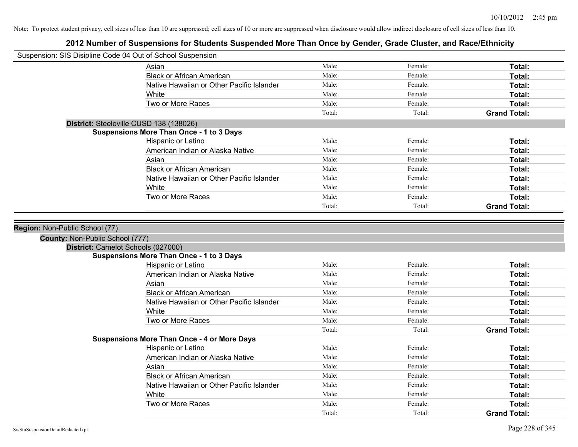| Suspension: SIS Disipline Code 04 Out of School Suspension |                                                    |                |                    |                     |
|------------------------------------------------------------|----------------------------------------------------|----------------|--------------------|---------------------|
|                                                            | Asian                                              | Male:          | Female:            | Total:              |
|                                                            | <b>Black or African American</b>                   | Male:          | Female:            | Total:              |
|                                                            | Native Hawaiian or Other Pacific Islander          | Male:          | Female:            | Total:              |
|                                                            | White                                              | Male:          | Female:            | Total:              |
|                                                            | Two or More Races                                  | Male:          | Female:            | Total:              |
|                                                            |                                                    | Total:         | Total:             | <b>Grand Total:</b> |
|                                                            | District: Steeleville CUSD 138 (138026)            |                |                    |                     |
|                                                            | <b>Suspensions More Than Once - 1 to 3 Days</b>    |                |                    |                     |
|                                                            | Hispanic or Latino                                 | Male:          | Female:            | Total:              |
|                                                            | American Indian or Alaska Native                   | Male:          | Female:            | Total:              |
|                                                            | Asian                                              | Male:          | Female:            | Total:              |
|                                                            | <b>Black or African American</b>                   | Male:          | Female:            | Total:              |
|                                                            | Native Hawaiian or Other Pacific Islander          | Male:          | Female:            | Total:              |
|                                                            | White                                              | Male:          | Female:            | Total:              |
|                                                            | Two or More Races                                  | Male:          | Female:            | Total:              |
|                                                            |                                                    | Total:         | Total:             | <b>Grand Total:</b> |
|                                                            |                                                    |                |                    |                     |
|                                                            |                                                    |                |                    |                     |
| County: Non-Public School (777)                            |                                                    |                |                    |                     |
|                                                            | District: Camelot Schools (027000)                 |                |                    |                     |
|                                                            | <b>Suspensions More Than Once - 1 to 3 Days</b>    |                |                    |                     |
|                                                            | Hispanic or Latino                                 | Male:          | Female:<br>Female: | Total:              |
|                                                            | American Indian or Alaska Native                   | Male:          | Female:            | Total:              |
|                                                            | Asian                                              | Male:<br>Male: | Female:            | Total:              |
|                                                            | <b>Black or African American</b>                   | Male:          | Female:            | Total:<br>Total:    |
|                                                            | Native Hawaiian or Other Pacific Islander<br>White | Male:          | Female:            | Total:              |
|                                                            | Two or More Races                                  | Male:          | Female:            | Total:              |
|                                                            |                                                    | Total:         | Total:             | <b>Grand Total:</b> |
|                                                            | <b>Suspensions More Than Once - 4 or More Days</b> |                |                    |                     |
|                                                            | Hispanic or Latino                                 | Male:          | Female:            | Total:              |
|                                                            | American Indian or Alaska Native                   | Male:          | Female:            | Total:              |
|                                                            | Asian                                              | Male:          | Female:            | Total:              |
|                                                            | <b>Black or African American</b>                   | Male:          | Female:            | Total:              |
|                                                            | Native Hawaiian or Other Pacific Islander          | Male:          | Female:            | Total:              |
|                                                            | White                                              | Male:          | Female:            | Total:              |
|                                                            | Two or More Races                                  | Male:          | Female:            | <b>Total:</b>       |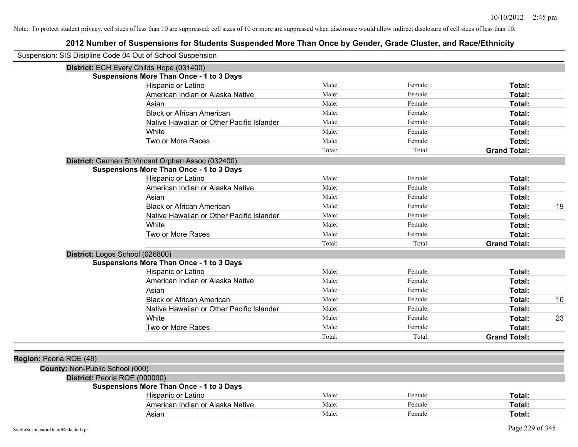|                                 | Suspension: SIS Disipline Code 04 Out of School Suspension |        |         |                     |    |
|---------------------------------|------------------------------------------------------------|--------|---------|---------------------|----|
|                                 | District: ECH Every Childs Hope (031400)                   |        |         |                     |    |
|                                 | <b>Suspensions More Than Once - 1 to 3 Days</b>            |        |         |                     |    |
|                                 | Hispanic or Latino                                         | Male:  | Female: | Total:              |    |
|                                 | American Indian or Alaska Native                           | Male:  | Female: | Total:              |    |
|                                 | Asian                                                      | Male:  | Female: | Total:              |    |
|                                 | <b>Black or African American</b>                           | Male:  | Female: | Total:              |    |
|                                 | Native Hawaiian or Other Pacific Islander                  | Male:  | Female: | Total:              |    |
|                                 | White                                                      | Male:  | Female: | Total:              |    |
|                                 | Two or More Races                                          | Male:  | Female: | Total:              |    |
|                                 |                                                            | Total: | Total:  | <b>Grand Total:</b> |    |
|                                 | District: German St Vincent Orphan Assoc (032400)          |        |         |                     |    |
|                                 | <b>Suspensions More Than Once - 1 to 3 Days</b>            |        |         |                     |    |
|                                 | Hispanic or Latino                                         | Male:  | Female: | Total:              |    |
|                                 | American Indian or Alaska Native                           | Male:  | Female: | Total:              |    |
|                                 | Asian                                                      | Male:  | Female: | Total:              |    |
|                                 | <b>Black or African American</b>                           | Male:  | Female: | Total:              | 19 |
|                                 | Native Hawaiian or Other Pacific Islander                  | Male:  | Female: | Total:              |    |
|                                 | White                                                      | Male:  | Female: | Total:              |    |
|                                 | Two or More Races                                          | Male:  | Female: | Total:              |    |
|                                 |                                                            | Total: | Total:  | <b>Grand Total:</b> |    |
|                                 | District: Logos School (026800)                            |        |         |                     |    |
|                                 | <b>Suspensions More Than Once - 1 to 3 Days</b>            |        |         |                     |    |
|                                 | Hispanic or Latino                                         | Male:  | Female: | Total:              |    |
|                                 | American Indian or Alaska Native                           | Male:  | Female: | Total:              |    |
|                                 | Asian                                                      | Male:  | Female: | Total:              |    |
|                                 | <b>Black or African American</b>                           | Male:  | Female: | Total:              | 10 |
|                                 | Native Hawaiian or Other Pacific Islander                  | Male:  | Female: | Total:              |    |
|                                 | White                                                      | Male:  | Female: | Total:              | 23 |
|                                 | Two or More Races                                          | Male:  | Female: | Total:              |    |
|                                 |                                                            | Total: | Total:  | <b>Grand Total:</b> |    |
|                                 |                                                            |        |         |                     |    |
| Region: Peoria ROE (48)         |                                                            |        |         |                     |    |
| County: Non-Public School (000) |                                                            |        |         |                     |    |
|                                 | District: Peoria ROE (000000)                              |        |         |                     |    |
|                                 | <b>Suspensions More Than Once - 1 to 3 Days</b>            |        |         |                     |    |
|                                 | <b>Hispanic or Latino</b>                                  | Male:  | Female: | Total:              |    |
|                                 | American Indian or Alaska Native                           | Male:  | Female: | Total:              |    |
|                                 | Asian                                                      | Male:  | Female: | Total:              |    |
|                                 |                                                            |        |         |                     |    |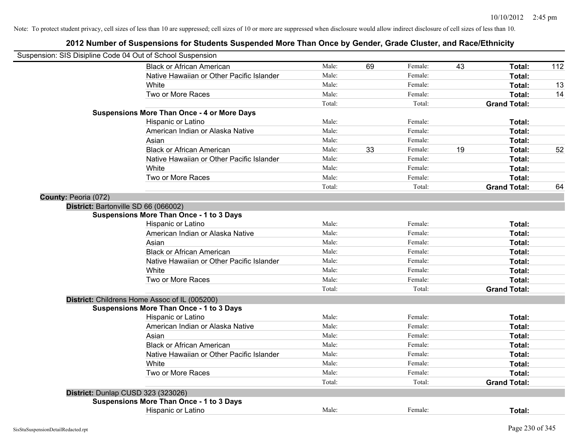| Suspension: SIS Disipline Code 04 Out of School Suspension |                                                    |        |    |         |    |                     |     |
|------------------------------------------------------------|----------------------------------------------------|--------|----|---------|----|---------------------|-----|
|                                                            | <b>Black or African American</b>                   | Male:  | 69 | Female: | 43 | Total:              | 112 |
|                                                            | Native Hawaiian or Other Pacific Islander          | Male:  |    | Female: |    | Total:              |     |
|                                                            | <b>White</b>                                       | Male:  |    | Female: |    | Total:              | 13  |
|                                                            | Two or More Races                                  | Male:  |    | Female: |    | <b>Total:</b>       | 14  |
|                                                            |                                                    | Total: |    | Total:  |    | <b>Grand Total:</b> |     |
|                                                            | <b>Suspensions More Than Once - 4 or More Days</b> |        |    |         |    |                     |     |
|                                                            | Hispanic or Latino                                 | Male:  |    | Female: |    | Total:              |     |
|                                                            | American Indian or Alaska Native                   | Male:  |    | Female: |    | Total:              |     |
|                                                            | Asian                                              | Male:  |    | Female: |    | Total:              |     |
|                                                            | <b>Black or African American</b>                   | Male:  | 33 | Female: | 19 | Total:              | 52  |
|                                                            | Native Hawaiian or Other Pacific Islander          | Male:  |    | Female: |    | Total:              |     |
|                                                            | White                                              | Male:  |    | Female: |    | Total:              |     |
|                                                            | Two or More Races                                  | Male:  |    | Female: |    | Total:              |     |
|                                                            |                                                    | Total: |    | Total:  |    | <b>Grand Total:</b> | 64  |
| County: Peoria (072)                                       |                                                    |        |    |         |    |                     |     |
|                                                            | District: Bartonville SD 66 (066002)               |        |    |         |    |                     |     |
|                                                            | <b>Suspensions More Than Once - 1 to 3 Days</b>    |        |    |         |    |                     |     |
|                                                            | Hispanic or Latino                                 | Male:  |    | Female: |    | Total:              |     |
|                                                            | American Indian or Alaska Native                   | Male:  |    | Female: |    | Total:              |     |
|                                                            | Asian                                              | Male:  |    | Female: |    | Total:              |     |
|                                                            | <b>Black or African American</b>                   | Male:  |    | Female: |    | Total:              |     |
|                                                            | Native Hawaiian or Other Pacific Islander          | Male:  |    | Female: |    | Total:              |     |
|                                                            | White                                              | Male:  |    | Female: |    | Total:              |     |
|                                                            | Two or More Races                                  | Male:  |    | Female: |    | Total:              |     |
|                                                            |                                                    | Total: |    | Total:  |    | <b>Grand Total:</b> |     |
|                                                            | District: Childrens Home Assoc of IL (005200)      |        |    |         |    |                     |     |
|                                                            | <b>Suspensions More Than Once - 1 to 3 Days</b>    |        |    |         |    |                     |     |
|                                                            | Hispanic or Latino                                 | Male:  |    | Female: |    | Total:              |     |
|                                                            | American Indian or Alaska Native                   | Male:  |    | Female: |    | Total:              |     |
|                                                            | Asian                                              | Male:  |    | Female: |    | Total:              |     |
|                                                            | <b>Black or African American</b>                   | Male:  |    | Female: |    | Total:              |     |
|                                                            | Native Hawaiian or Other Pacific Islander          | Male:  |    | Female: |    | Total:              |     |
|                                                            | White                                              | Male:  |    | Female: |    | Total:              |     |
|                                                            | Two or More Races                                  | Male:  |    | Female: |    | Total:              |     |
|                                                            |                                                    | Total: |    | Total:  |    | <b>Grand Total:</b> |     |
|                                                            | District: Dunlap CUSD 323 (323026)                 |        |    |         |    |                     |     |
|                                                            | <b>Suspensions More Than Once - 1 to 3 Days</b>    |        |    |         |    |                     |     |
|                                                            | Hispanic or Latino                                 | Male:  |    | Female: |    | Total:              |     |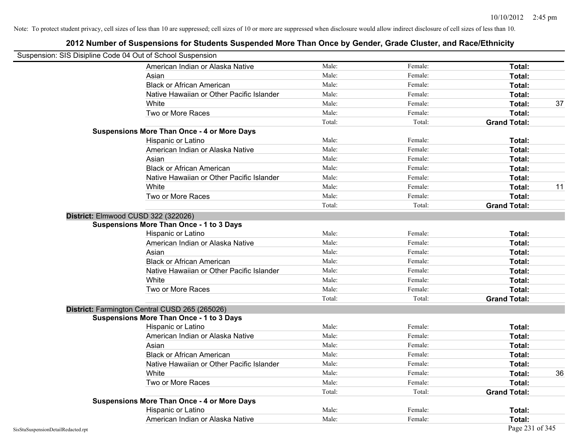| Suspension: SIS Disipline Code 04 Out of School Suspension |                                                    |        |         |                     |    |
|------------------------------------------------------------|----------------------------------------------------|--------|---------|---------------------|----|
|                                                            | American Indian or Alaska Native                   | Male:  | Female: | Total:              |    |
|                                                            | Asian                                              | Male:  | Female: | Total:              |    |
|                                                            | <b>Black or African American</b>                   | Male:  | Female: | Total:              |    |
|                                                            | Native Hawaiian or Other Pacific Islander          | Male:  | Female: | Total:              |    |
|                                                            | White                                              | Male:  | Female: | Total:              | 37 |
|                                                            | Two or More Races                                  | Male:  | Female: | Total:              |    |
|                                                            |                                                    | Total: | Total:  | <b>Grand Total:</b> |    |
|                                                            | <b>Suspensions More Than Once - 4 or More Days</b> |        |         |                     |    |
|                                                            | Hispanic or Latino                                 | Male:  | Female: | Total:              |    |
|                                                            | American Indian or Alaska Native                   | Male:  | Female: | Total:              |    |
|                                                            | Asian                                              | Male:  | Female: | Total:              |    |
|                                                            | <b>Black or African American</b>                   | Male:  | Female: | Total:              |    |
|                                                            | Native Hawaiian or Other Pacific Islander          | Male:  | Female: | Total:              |    |
|                                                            | White                                              | Male:  | Female: | Total:              | 11 |
|                                                            | Two or More Races                                  | Male:  | Female: | Total:              |    |
|                                                            |                                                    | Total: | Total:  | <b>Grand Total:</b> |    |
|                                                            | District: Elmwood CUSD 322 (322026)                |        |         |                     |    |
|                                                            | <b>Suspensions More Than Once - 1 to 3 Days</b>    |        |         |                     |    |
|                                                            | Hispanic or Latino                                 | Male:  | Female: | Total:              |    |
|                                                            | American Indian or Alaska Native                   | Male:  | Female: | Total:              |    |
|                                                            | Asian                                              | Male:  | Female: | Total:              |    |
|                                                            | <b>Black or African American</b>                   | Male:  | Female: | Total:              |    |
|                                                            | Native Hawaiian or Other Pacific Islander          | Male:  | Female: | Total:              |    |
|                                                            | White                                              | Male:  | Female: | Total:              |    |
|                                                            | Two or More Races                                  | Male:  | Female: | Total:              |    |
|                                                            |                                                    | Total: | Total:  | <b>Grand Total:</b> |    |
|                                                            | District: Farmington Central CUSD 265 (265026)     |        |         |                     |    |
|                                                            | <b>Suspensions More Than Once - 1 to 3 Days</b>    |        |         |                     |    |
|                                                            | Hispanic or Latino                                 | Male:  | Female: | Total:              |    |
|                                                            | American Indian or Alaska Native                   | Male:  | Female: | Total:              |    |
|                                                            | Asian                                              | Male:  | Female: | Total:              |    |
|                                                            | <b>Black or African American</b>                   | Male:  | Female: | Total:              |    |
|                                                            | Native Hawaiian or Other Pacific Islander          | Male:  | Female: | Total:              |    |
|                                                            | White                                              | Male:  | Female: | Total:              | 36 |
|                                                            | Two or More Races                                  | Male:  | Female: | Total:              |    |
|                                                            |                                                    | Total: | Total:  | <b>Grand Total:</b> |    |
|                                                            | <b>Suspensions More Than Once - 4 or More Days</b> |        |         |                     |    |
|                                                            | Hispanic or Latino                                 | Male:  | Female: | Total:              |    |
|                                                            | American Indian or Alaska Native                   | Male:  | Female: | Total:              |    |
| SisStuSuspensionDetailRedacted.rpt                         |                                                    |        |         | Page 231 of 345     |    |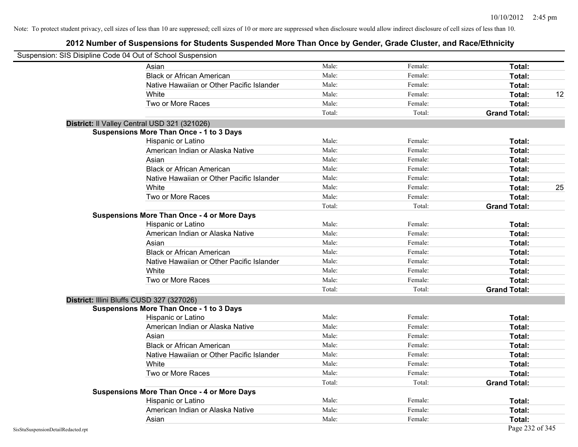| Suspension: SIS Disipline Code 04 Out of School Suspension |                                                    |        |         |                     |
|------------------------------------------------------------|----------------------------------------------------|--------|---------|---------------------|
|                                                            | Asian                                              | Male:  | Female: | Total:              |
|                                                            | <b>Black or African American</b>                   | Male:  | Female: | Total:              |
|                                                            | Native Hawaiian or Other Pacific Islander          | Male:  | Female: | Total:              |
|                                                            | White                                              | Male:  | Female: | 12<br>Total:        |
|                                                            | Two or More Races                                  | Male:  | Female: | Total:              |
|                                                            |                                                    | Total: | Total:  | <b>Grand Total:</b> |
|                                                            | District: Il Valley Central USD 321 (321026)       |        |         |                     |
|                                                            | <b>Suspensions More Than Once - 1 to 3 Days</b>    |        |         |                     |
|                                                            | Hispanic or Latino                                 | Male:  | Female: | Total:              |
|                                                            | American Indian or Alaska Native                   | Male:  | Female: | Total:              |
|                                                            | Asian                                              | Male:  | Female: | Total:              |
|                                                            | <b>Black or African American</b>                   | Male:  | Female: | Total:              |
|                                                            | Native Hawaiian or Other Pacific Islander          | Male:  | Female: | Total:              |
|                                                            | White                                              | Male:  | Female: | 25<br>Total:        |
|                                                            | Two or More Races                                  | Male:  | Female: | Total:              |
|                                                            |                                                    | Total: | Total:  | <b>Grand Total:</b> |
|                                                            | <b>Suspensions More Than Once - 4 or More Days</b> |        |         |                     |
|                                                            | Hispanic or Latino                                 | Male:  | Female: | Total:              |
|                                                            | American Indian or Alaska Native                   | Male:  | Female: | Total:              |
|                                                            | Asian                                              | Male:  | Female: | Total:              |
|                                                            | <b>Black or African American</b>                   | Male:  | Female: | Total:              |
|                                                            | Native Hawaiian or Other Pacific Islander          | Male:  | Female: | Total:              |
|                                                            | White                                              | Male:  | Female: | Total:              |
|                                                            | Two or More Races                                  | Male:  | Female: | Total:              |
|                                                            |                                                    | Total: | Total:  | <b>Grand Total:</b> |
|                                                            | District: Illini Bluffs CUSD 327 (327026)          |        |         |                     |
|                                                            | <b>Suspensions More Than Once - 1 to 3 Days</b>    |        |         |                     |
|                                                            | Hispanic or Latino                                 | Male:  | Female: | Total:              |
|                                                            | American Indian or Alaska Native                   | Male:  | Female: | Total:              |
|                                                            | Asian                                              | Male:  | Female: | Total:              |
|                                                            | <b>Black or African American</b>                   | Male:  | Female: | Total:              |
|                                                            | Native Hawaiian or Other Pacific Islander          | Male:  | Female: | Total:              |
|                                                            | White                                              | Male:  | Female: | Total:              |
|                                                            | Two or More Races                                  | Male:  | Female: | Total:              |
|                                                            |                                                    | Total: | Total:  | <b>Grand Total:</b> |
|                                                            | <b>Suspensions More Than Once - 4 or More Days</b> |        |         |                     |
|                                                            | Hispanic or Latino                                 | Male:  | Female: | Total:              |
|                                                            | American Indian or Alaska Native                   | Male:  | Female: | Total:              |
|                                                            | Asian                                              | Male:  | Female: | Total:              |
| SisStuSuspensionDetailRedacted.rpt                         |                                                    |        |         | Page 232 of 345     |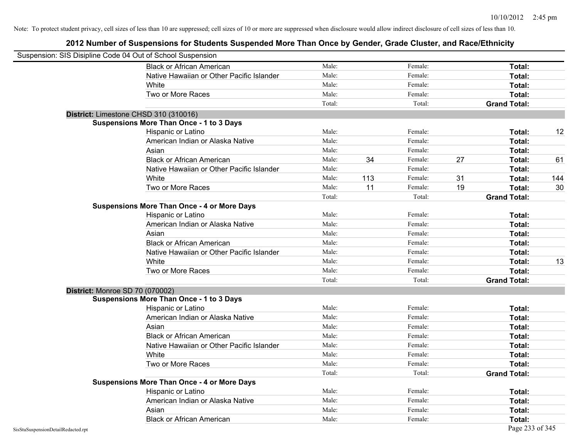| Suspension: SIS Disipline Code 04 Out of School Suspension |                                                    |        |     |         |    |                     |     |
|------------------------------------------------------------|----------------------------------------------------|--------|-----|---------|----|---------------------|-----|
|                                                            | <b>Black or African American</b>                   | Male:  |     | Female: |    | Total:              |     |
|                                                            | Native Hawaiian or Other Pacific Islander          | Male:  |     | Female: |    | Total:              |     |
|                                                            | White                                              | Male:  |     | Female: |    | Total:              |     |
|                                                            | Two or More Races                                  | Male:  |     | Female: |    | Total:              |     |
|                                                            |                                                    | Total: |     | Total:  |    | <b>Grand Total:</b> |     |
|                                                            | District: Limestone CHSD 310 (310016)              |        |     |         |    |                     |     |
|                                                            | <b>Suspensions More Than Once - 1 to 3 Days</b>    |        |     |         |    |                     |     |
|                                                            | Hispanic or Latino                                 | Male:  |     | Female: |    | Total:              | 12  |
|                                                            | American Indian or Alaska Native                   | Male:  |     | Female: |    | Total:              |     |
|                                                            | Asian                                              | Male:  |     | Female: |    | Total:              |     |
|                                                            | <b>Black or African American</b>                   | Male:  | 34  | Female: | 27 | Total:              | 61  |
|                                                            | Native Hawaiian or Other Pacific Islander          | Male:  |     | Female: |    | Total:              |     |
|                                                            | White                                              | Male:  | 113 | Female: | 31 | Total:              | 144 |
|                                                            | Two or More Races                                  | Male:  | 11  | Female: | 19 | Total:              | 30  |
|                                                            |                                                    | Total: |     | Total:  |    | <b>Grand Total:</b> |     |
|                                                            | <b>Suspensions More Than Once - 4 or More Days</b> |        |     |         |    |                     |     |
|                                                            | Hispanic or Latino                                 | Male:  |     | Female: |    | Total:              |     |
|                                                            | American Indian or Alaska Native                   | Male:  |     | Female: |    | Total:              |     |
|                                                            | Asian                                              | Male:  |     | Female: |    | Total:              |     |
|                                                            | <b>Black or African American</b>                   | Male:  |     | Female: |    | Total:              |     |
|                                                            | Native Hawaiian or Other Pacific Islander          | Male:  |     | Female: |    | Total:              |     |
|                                                            | White                                              | Male:  |     | Female: |    | Total:              | 13  |
|                                                            | Two or More Races                                  | Male:  |     | Female: |    | Total:              |     |
|                                                            |                                                    | Total: |     | Total:  |    | <b>Grand Total:</b> |     |
| District: Monroe SD 70 (070002)                            |                                                    |        |     |         |    |                     |     |
|                                                            | <b>Suspensions More Than Once - 1 to 3 Days</b>    |        |     |         |    |                     |     |
|                                                            | Hispanic or Latino                                 | Male:  |     | Female: |    | Total:              |     |
|                                                            | American Indian or Alaska Native                   | Male:  |     | Female: |    | Total:              |     |
|                                                            | Asian                                              | Male:  |     | Female: |    | Total:              |     |
|                                                            | <b>Black or African American</b>                   | Male:  |     | Female: |    | Total:              |     |
|                                                            | Native Hawaiian or Other Pacific Islander          | Male:  |     | Female: |    | Total:              |     |
|                                                            | White                                              | Male:  |     | Female: |    | Total:              |     |
|                                                            | Two or More Races                                  | Male:  |     | Female: |    | Total:              |     |
|                                                            |                                                    | Total: |     | Total:  |    | <b>Grand Total:</b> |     |
|                                                            | <b>Suspensions More Than Once - 4 or More Days</b> |        |     |         |    |                     |     |
|                                                            | Hispanic or Latino                                 | Male:  |     | Female: |    | Total:              |     |
|                                                            | American Indian or Alaska Native                   | Male:  |     | Female: |    | Total:              |     |
|                                                            | Asian                                              | Male:  |     | Female: |    | Total:              |     |
|                                                            | <b>Black or African American</b>                   | Male:  |     | Female: |    | Total:              |     |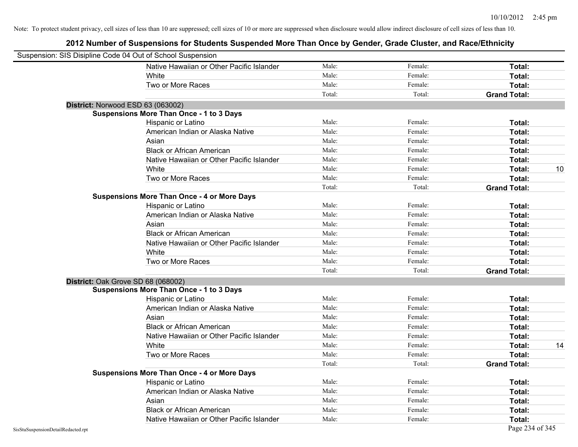| Suspension: SIS Disipline Code 04 Out of School Suspension |                                                    |        |         |                     |    |
|------------------------------------------------------------|----------------------------------------------------|--------|---------|---------------------|----|
|                                                            | Native Hawaiian or Other Pacific Islander          | Male:  | Female: | Total:              |    |
|                                                            | White                                              | Male:  | Female: | Total:              |    |
|                                                            | Two or More Races                                  | Male:  | Female: | Total:              |    |
|                                                            |                                                    | Total: | Total:  | <b>Grand Total:</b> |    |
| District: Norwood ESD 63 (063002)                          |                                                    |        |         |                     |    |
|                                                            | <b>Suspensions More Than Once - 1 to 3 Days</b>    |        |         |                     |    |
|                                                            | Hispanic or Latino                                 | Male:  | Female: | Total:              |    |
|                                                            | American Indian or Alaska Native                   | Male:  | Female: | Total:              |    |
|                                                            | Asian                                              | Male:  | Female: | Total:              |    |
|                                                            | <b>Black or African American</b>                   | Male:  | Female: | Total:              |    |
|                                                            | Native Hawaiian or Other Pacific Islander          | Male:  | Female: | Total:              |    |
|                                                            | White                                              | Male:  | Female: | Total:              | 10 |
|                                                            | Two or More Races                                  | Male:  | Female: | Total:              |    |
|                                                            |                                                    | Total: | Total:  | <b>Grand Total:</b> |    |
|                                                            | <b>Suspensions More Than Once - 4 or More Days</b> |        |         |                     |    |
|                                                            | Hispanic or Latino                                 | Male:  | Female: | Total:              |    |
|                                                            | American Indian or Alaska Native                   | Male:  | Female: | Total:              |    |
|                                                            | Asian                                              | Male:  | Female: | Total:              |    |
|                                                            | <b>Black or African American</b>                   | Male:  | Female: | Total:              |    |
|                                                            | Native Hawaiian or Other Pacific Islander          | Male:  | Female: | Total:              |    |
|                                                            | White                                              | Male:  | Female: | Total:              |    |
|                                                            | Two or More Races                                  | Male:  | Female: | Total:              |    |
|                                                            |                                                    | Total: | Total:  | <b>Grand Total:</b> |    |
| District: Oak Grove SD 68 (068002)                         |                                                    |        |         |                     |    |
|                                                            | <b>Suspensions More Than Once - 1 to 3 Days</b>    |        |         |                     |    |
|                                                            | Hispanic or Latino                                 | Male:  | Female: | Total:              |    |
|                                                            | American Indian or Alaska Native                   | Male:  | Female: | Total:              |    |
|                                                            | Asian                                              | Male:  | Female: | Total:              |    |
|                                                            | <b>Black or African American</b>                   | Male:  | Female: | Total:              |    |
|                                                            | Native Hawaiian or Other Pacific Islander          | Male:  | Female: | Total:              |    |
|                                                            | White                                              | Male:  | Female: | <b>Total:</b>       | 14 |
|                                                            | Two or More Races                                  | Male:  | Female: | Total:              |    |
|                                                            |                                                    | Total: | Total:  | <b>Grand Total:</b> |    |
|                                                            | <b>Suspensions More Than Once - 4 or More Days</b> |        |         |                     |    |
|                                                            | Hispanic or Latino                                 | Male:  | Female: | Total:              |    |
|                                                            | American Indian or Alaska Native                   | Male:  | Female: | Total:              |    |
|                                                            | Asian                                              | Male:  | Female: | Total:              |    |
|                                                            | <b>Black or African American</b>                   | Male:  | Female: | <b>Total:</b>       |    |
|                                                            | Native Hawaiian or Other Pacific Islander          | Male:  | Female: | Total:              |    |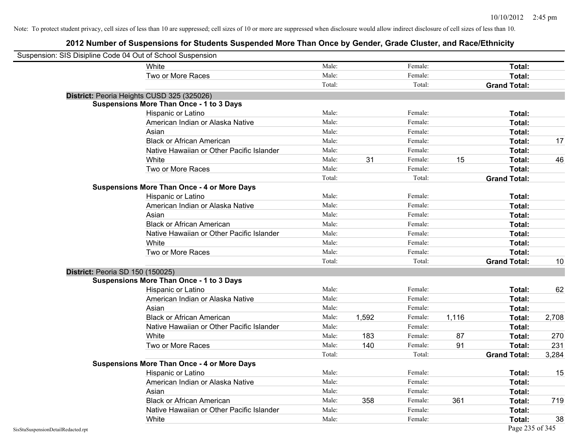| Suspension: SIS Disipline Code 04 Out of School Suspension |                                                    |        |       |         |       |                     |       |
|------------------------------------------------------------|----------------------------------------------------|--------|-------|---------|-------|---------------------|-------|
|                                                            | White                                              | Male:  |       | Female: |       | Total:              |       |
|                                                            | Two or More Races                                  | Male:  |       | Female: |       | Total:              |       |
|                                                            |                                                    | Total: |       | Total:  |       | <b>Grand Total:</b> |       |
|                                                            | District: Peoria Heights CUSD 325 (325026)         |        |       |         |       |                     |       |
|                                                            | <b>Suspensions More Than Once - 1 to 3 Days</b>    |        |       |         |       |                     |       |
|                                                            | Hispanic or Latino                                 | Male:  |       | Female: |       | Total:              |       |
|                                                            | American Indian or Alaska Native                   | Male:  |       | Female: |       | <b>Total:</b>       |       |
|                                                            | Asian                                              | Male:  |       | Female: |       | Total:              |       |
|                                                            | <b>Black or African American</b>                   | Male:  |       | Female: |       | Total:              | 17    |
|                                                            | Native Hawaiian or Other Pacific Islander          | Male:  |       | Female: |       | Total:              |       |
|                                                            | White                                              | Male:  | 31    | Female: | 15    | <b>Total:</b>       | 46    |
|                                                            | Two or More Races                                  | Male:  |       | Female: |       | <b>Total:</b>       |       |
|                                                            |                                                    | Total: |       | Total:  |       | <b>Grand Total:</b> |       |
|                                                            | <b>Suspensions More Than Once - 4 or More Days</b> |        |       |         |       |                     |       |
|                                                            | Hispanic or Latino                                 | Male:  |       | Female: |       | Total:              |       |
|                                                            | American Indian or Alaska Native                   | Male:  |       | Female: |       | Total:              |       |
|                                                            | Asian                                              | Male:  |       | Female: |       | <b>Total:</b>       |       |
|                                                            | <b>Black or African American</b>                   | Male:  |       | Female: |       | Total:              |       |
|                                                            | Native Hawaiian or Other Pacific Islander          | Male:  |       | Female: |       | Total:              |       |
|                                                            | White                                              | Male:  |       | Female: |       | Total:              |       |
|                                                            | Two or More Races                                  | Male:  |       | Female: |       | Total:              |       |
|                                                            |                                                    | Total: |       | Total:  |       | <b>Grand Total:</b> | 10    |
| <b>District: Peoria SD 150 (150025)</b>                    |                                                    |        |       |         |       |                     |       |
|                                                            | <b>Suspensions More Than Once - 1 to 3 Days</b>    |        |       |         |       |                     |       |
|                                                            | Hispanic or Latino                                 | Male:  |       | Female: |       | Total:              | 62    |
|                                                            | American Indian or Alaska Native                   | Male:  |       | Female: |       | Total:              |       |
|                                                            | Asian                                              | Male:  |       | Female: |       | Total:              |       |
|                                                            | <b>Black or African American</b>                   | Male:  | 1,592 | Female: | 1,116 | Total:              | 2,708 |
|                                                            | Native Hawaiian or Other Pacific Islander          | Male:  |       | Female: |       | <b>Total:</b>       |       |
|                                                            | White                                              | Male:  | 183   | Female: | 87    | Total:              | 270   |
|                                                            | Two or More Races                                  | Male:  | 140   | Female: | 91    | Total:              | 231   |
|                                                            |                                                    | Total: |       | Total:  |       | <b>Grand Total:</b> | 3,284 |
|                                                            | <b>Suspensions More Than Once - 4 or More Days</b> |        |       |         |       |                     |       |
|                                                            | Hispanic or Latino                                 | Male:  |       | Female: |       | Total:              | 15    |
|                                                            | American Indian or Alaska Native                   | Male:  |       | Female: |       | Total:              |       |
|                                                            | Asian                                              | Male:  |       | Female: |       | Total:              |       |
|                                                            | <b>Black or African American</b>                   | Male:  | 358   | Female: | 361   | Total:              | 719   |
|                                                            | Native Hawaiian or Other Pacific Islander          | Male:  |       | Female: |       | <b>Total:</b>       |       |
|                                                            | White                                              | Male:  |       | Female: |       | Total:              | 38    |
| SisStuSuspensionDetailRedacted.rpt                         |                                                    |        |       |         |       | Page 235 of 345     |       |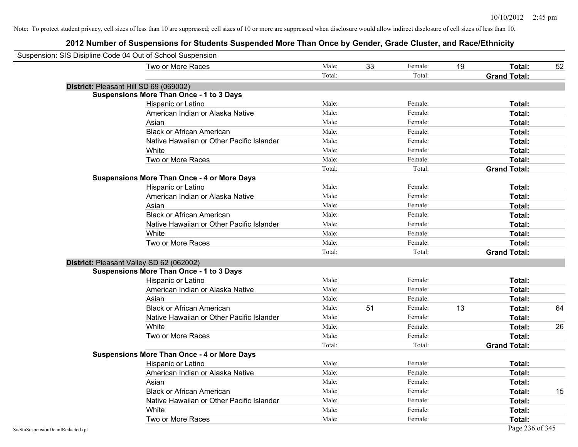| Suspension: SIS Disipline Code 04 Out of School Suspension |                                                    |        |    |         |    |                     |    |
|------------------------------------------------------------|----------------------------------------------------|--------|----|---------|----|---------------------|----|
|                                                            | Two or More Races                                  | Male:  | 33 | Female: | 19 | Total:              | 52 |
|                                                            |                                                    | Total: |    | Total:  |    | <b>Grand Total:</b> |    |
|                                                            | District: Pleasant Hill SD 69 (069002)             |        |    |         |    |                     |    |
|                                                            | <b>Suspensions More Than Once - 1 to 3 Days</b>    |        |    |         |    |                     |    |
|                                                            | Hispanic or Latino                                 | Male:  |    | Female: |    | Total:              |    |
|                                                            | American Indian or Alaska Native                   | Male:  |    | Female: |    | Total:              |    |
|                                                            | Asian                                              | Male:  |    | Female: |    | Total:              |    |
|                                                            | <b>Black or African American</b>                   | Male:  |    | Female: |    | Total:              |    |
|                                                            | Native Hawaiian or Other Pacific Islander          | Male:  |    | Female: |    | Total:              |    |
|                                                            | White                                              | Male:  |    | Female: |    | Total:              |    |
|                                                            | Two or More Races                                  | Male:  |    | Female: |    | Total:              |    |
|                                                            |                                                    | Total: |    | Total:  |    | <b>Grand Total:</b> |    |
|                                                            | <b>Suspensions More Than Once - 4 or More Days</b> |        |    |         |    |                     |    |
|                                                            | Hispanic or Latino                                 | Male:  |    | Female: |    | Total:              |    |
|                                                            | American Indian or Alaska Native                   | Male:  |    | Female: |    | Total:              |    |
|                                                            | Asian                                              | Male:  |    | Female: |    | Total:              |    |
|                                                            | <b>Black or African American</b>                   | Male:  |    | Female: |    | Total:              |    |
|                                                            | Native Hawaiian or Other Pacific Islander          | Male:  |    | Female: |    | Total:              |    |
|                                                            | White                                              | Male:  |    | Female: |    | Total:              |    |
|                                                            | Two or More Races                                  | Male:  |    | Female: |    | Total:              |    |
|                                                            |                                                    | Total: |    | Total:  |    | <b>Grand Total:</b> |    |
|                                                            | District: Pleasant Valley SD 62 (062002)           |        |    |         |    |                     |    |
|                                                            | <b>Suspensions More Than Once - 1 to 3 Days</b>    |        |    |         |    |                     |    |
|                                                            | Hispanic or Latino                                 | Male:  |    | Female: |    | Total:              |    |
|                                                            | American Indian or Alaska Native                   | Male:  |    | Female: |    | Total:              |    |
|                                                            | Asian                                              | Male:  |    | Female: |    | Total:              |    |
|                                                            | <b>Black or African American</b>                   | Male:  | 51 | Female: | 13 | Total:              | 64 |
|                                                            | Native Hawaiian or Other Pacific Islander          | Male:  |    | Female: |    | Total:              |    |
|                                                            | White                                              | Male:  |    | Female: |    | Total:              | 26 |
|                                                            | Two or More Races                                  | Male:  |    | Female: |    | Total:              |    |
|                                                            |                                                    | Total: |    | Total:  |    | <b>Grand Total:</b> |    |
|                                                            | <b>Suspensions More Than Once - 4 or More Days</b> |        |    |         |    |                     |    |
|                                                            | Hispanic or Latino                                 | Male:  |    | Female: |    | Total:              |    |
|                                                            | American Indian or Alaska Native                   | Male:  |    | Female: |    | Total:              |    |
|                                                            | Asian                                              | Male:  |    | Female: |    | Total:              |    |
|                                                            | <b>Black or African American</b>                   | Male:  |    | Female: |    | Total:              | 15 |
|                                                            | Native Hawaiian or Other Pacific Islander          | Male:  |    | Female: |    | Total:              |    |
|                                                            | White                                              | Male:  |    | Female: |    | Total:              |    |
|                                                            | Two or More Races                                  | Male:  |    | Female: |    | Total:              |    |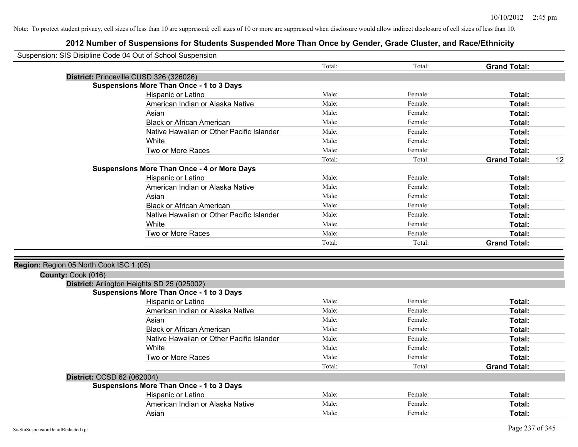| Suspension: SIS Disipline Code 04 Out of School Suspension |        |         |                     |    |
|------------------------------------------------------------|--------|---------|---------------------|----|
|                                                            | Total: | Total:  | <b>Grand Total:</b> |    |
| District: Princeville CUSD 326 (326026)                    |        |         |                     |    |
| <b>Suspensions More Than Once - 1 to 3 Days</b>            |        |         |                     |    |
| Hispanic or Latino                                         | Male:  | Female: | Total:              |    |
| American Indian or Alaska Native                           | Male:  | Female: | Total:              |    |
| Asian                                                      | Male:  | Female: | Total:              |    |
| <b>Black or African American</b>                           | Male:  | Female: | Total:              |    |
| Native Hawaiian or Other Pacific Islander                  | Male:  | Female: | Total:              |    |
| White                                                      | Male:  | Female: | Total:              |    |
| Two or More Races                                          | Male:  | Female: | Total:              |    |
|                                                            | Total: | Total:  | <b>Grand Total:</b> | 12 |
| <b>Suspensions More Than Once - 4 or More Days</b>         |        |         |                     |    |
| Hispanic or Latino                                         | Male:  | Female: | Total:              |    |
| American Indian or Alaska Native                           | Male:  | Female: | Total:              |    |
| Asian                                                      | Male:  | Female: | Total:              |    |
| <b>Black or African American</b>                           | Male:  | Female: | Total:              |    |
| Native Hawaiian or Other Pacific Islander                  | Male:  | Female: | Total:              |    |
| White                                                      | Male:  | Female: | Total:              |    |
| Two or More Races                                          | Male:  | Female: | Total:              |    |
|                                                            | Total: | Total:  | <b>Grand Total:</b> |    |
|                                                            |        |         |                     |    |
| Region: Region 05 North Cook ISC 1 (05)                    |        |         |                     |    |
| County: Cook (016)                                         |        |         |                     |    |
| District: Arlington Heights SD 25 (025002)                 |        |         |                     |    |
| <b>Suspensions More Than Once - 1 to 3 Days</b>            |        |         |                     |    |
| Hispanic or Latino                                         | Male:  | Female: | Total:              |    |
| American Indian or Alaska Native                           | Male:  | Female: | Total:              |    |
| Asian                                                      | Male:  | Female: | Total:              |    |
| <b>Black or African American</b>                           | Male:  | Female: | Total:              |    |
| Native Hawaiian or Other Pacific Islander                  | Male:  | Female: | Total:              |    |
| White                                                      | Male:  | Female: | Total:              |    |
| Two or More Races                                          | Male:  | Female: | Total:              |    |
|                                                            | Total: | Total:  | <b>Grand Total:</b> |    |
| District: CCSD 62 (062004)                                 |        |         |                     |    |
| <b>Suspensions More Than Once - 1 to 3 Days</b>            |        |         |                     |    |
| Hispanic or Latino                                         | Male:  | Female: | Total:              |    |
| American Indian or Alaska Native                           | Male:  | Female: | Total:              |    |
| Asian                                                      | Male:  | Female: | Total:              |    |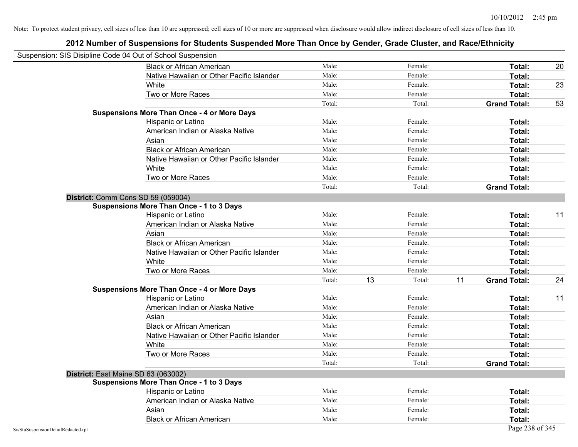| Suspension: SIS Disipline Code 04 Out of School Suspension |                                                    |        |              |                           |    |
|------------------------------------------------------------|----------------------------------------------------|--------|--------------|---------------------------|----|
|                                                            | <b>Black or African American</b>                   | Male:  | Female:      | Total:                    | 20 |
|                                                            | Native Hawaiian or Other Pacific Islander          | Male:  | Female:      | Total:                    |    |
|                                                            | White                                              | Male:  | Female:      | Total:                    | 23 |
|                                                            | Two or More Races                                  | Male:  | Female:      | Total:                    |    |
|                                                            |                                                    | Total: | Total:       | <b>Grand Total:</b>       | 53 |
|                                                            | <b>Suspensions More Than Once - 4 or More Days</b> |        |              |                           |    |
|                                                            | Hispanic or Latino                                 | Male:  | Female:      | Total:                    |    |
|                                                            | American Indian or Alaska Native                   | Male:  | Female:      | Total:                    |    |
|                                                            | Asian                                              | Male:  | Female:      | Total:                    |    |
|                                                            | <b>Black or African American</b>                   | Male:  | Female:      | Total:                    |    |
|                                                            | Native Hawaiian or Other Pacific Islander          | Male:  | Female:      | Total:                    |    |
|                                                            | White                                              | Male:  | Female:      | Total:                    |    |
|                                                            | Two or More Races                                  | Male:  | Female:      | Total:                    |    |
|                                                            |                                                    | Total: | Total:       | <b>Grand Total:</b>       |    |
| District: Comm Cons SD 59 (059004)                         |                                                    |        |              |                           |    |
|                                                            | Suspensions More Than Once - 1 to 3 Days           |        |              |                           |    |
|                                                            | Hispanic or Latino                                 | Male:  | Female:      | Total:                    | 11 |
|                                                            | American Indian or Alaska Native                   | Male:  | Female:      | Total:                    |    |
|                                                            | Asian                                              | Male:  | Female:      | Total:                    |    |
|                                                            | <b>Black or African American</b>                   | Male:  | Female:      | Total:                    |    |
|                                                            | Native Hawaiian or Other Pacific Islander          | Male:  | Female:      | Total:                    |    |
|                                                            | White                                              | Male:  | Female:      | Total:                    |    |
|                                                            | Two or More Races                                  | Male:  | Female:      | Total:                    |    |
|                                                            |                                                    | Total: | 13<br>Total: | 11<br><b>Grand Total:</b> | 24 |
|                                                            | <b>Suspensions More Than Once - 4 or More Days</b> |        |              |                           |    |
|                                                            | Hispanic or Latino                                 | Male:  | Female:      | Total:                    | 11 |
|                                                            | American Indian or Alaska Native                   | Male:  | Female:      | Total:                    |    |
|                                                            | Asian                                              | Male:  | Female:      | Total:                    |    |
|                                                            | <b>Black or African American</b>                   | Male:  | Female:      | Total:                    |    |
|                                                            | Native Hawaiian or Other Pacific Islander          | Male:  | Female:      | Total:                    |    |
|                                                            | White                                              | Male:  | Female:      | Total:                    |    |
|                                                            | Two or More Races                                  | Male:  | Female:      | Total:                    |    |
|                                                            |                                                    | Total: | Total:       | <b>Grand Total:</b>       |    |
| District: East Maine SD 63 (063002)                        |                                                    |        |              |                           |    |
|                                                            | <b>Suspensions More Than Once - 1 to 3 Days</b>    |        |              |                           |    |
|                                                            | Hispanic or Latino                                 | Male:  | Female:      | Total:                    |    |
|                                                            | American Indian or Alaska Native                   | Male:  | Female:      | Total:                    |    |
|                                                            | Asian                                              | Male:  | Female:      | Total:                    |    |
|                                                            | <b>Black or African American</b>                   | Male:  | Female:      | Total:                    |    |
| SisStuSuspensionDetailRedacted.rpt                         |                                                    |        |              | Page 238 of 345           |    |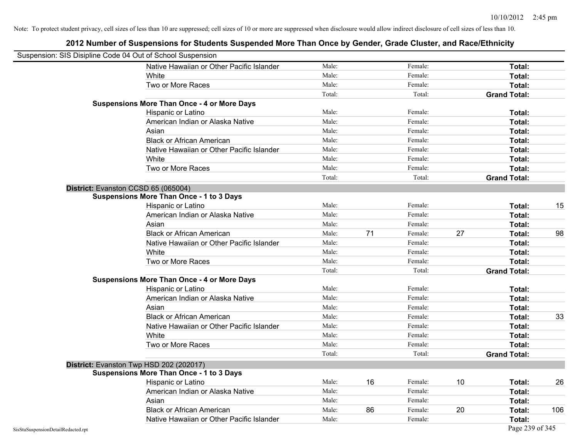| Suspension: SIS Disipline Code 04 Out of School Suspension |                                                    |        |    |         |    |                     |     |
|------------------------------------------------------------|----------------------------------------------------|--------|----|---------|----|---------------------|-----|
|                                                            | Native Hawaiian or Other Pacific Islander          | Male:  |    | Female: |    | Total:              |     |
|                                                            | White                                              | Male:  |    | Female: |    | Total:              |     |
|                                                            | Two or More Races                                  | Male:  |    | Female: |    | Total:              |     |
|                                                            |                                                    | Total: |    | Total:  |    | <b>Grand Total:</b> |     |
|                                                            | <b>Suspensions More Than Once - 4 or More Days</b> |        |    |         |    |                     |     |
|                                                            | Hispanic or Latino                                 | Male:  |    | Female: |    | Total:              |     |
|                                                            | American Indian or Alaska Native                   | Male:  |    | Female: |    | Total:              |     |
|                                                            | Asian                                              | Male:  |    | Female: |    | Total:              |     |
|                                                            | <b>Black or African American</b>                   | Male:  |    | Female: |    | Total:              |     |
|                                                            | Native Hawaiian or Other Pacific Islander          | Male:  |    | Female: |    | Total:              |     |
|                                                            | White                                              | Male:  |    | Female: |    | Total:              |     |
|                                                            | Two or More Races                                  | Male:  |    | Female: |    | Total:              |     |
|                                                            |                                                    | Total: |    | Total:  |    | <b>Grand Total:</b> |     |
|                                                            | District: Evanston CCSD 65 (065004)                |        |    |         |    |                     |     |
|                                                            | <b>Suspensions More Than Once - 1 to 3 Days</b>    |        |    |         |    |                     |     |
|                                                            | Hispanic or Latino                                 | Male:  |    | Female: |    | Total:              | 15  |
|                                                            | American Indian or Alaska Native                   | Male:  |    | Female: |    | Total:              |     |
|                                                            | Asian                                              | Male:  |    | Female: |    | Total:              |     |
|                                                            | <b>Black or African American</b>                   | Male:  | 71 | Female: | 27 | Total:              | 98  |
|                                                            | Native Hawaiian or Other Pacific Islander          | Male:  |    | Female: |    | Total:              |     |
|                                                            | White                                              | Male:  |    | Female: |    | Total:              |     |
|                                                            | Two or More Races                                  | Male:  |    | Female: |    | Total:              |     |
|                                                            |                                                    | Total: |    | Total:  |    | <b>Grand Total:</b> |     |
|                                                            | <b>Suspensions More Than Once - 4 or More Days</b> |        |    |         |    |                     |     |
|                                                            | Hispanic or Latino                                 | Male:  |    | Female: |    | Total:              |     |
|                                                            | American Indian or Alaska Native                   | Male:  |    | Female: |    | Total:              |     |
|                                                            | Asian                                              | Male:  |    | Female: |    | Total:              |     |
|                                                            | <b>Black or African American</b>                   | Male:  |    | Female: |    | Total:              | 33  |
|                                                            | Native Hawaiian or Other Pacific Islander          | Male:  |    | Female: |    | Total:              |     |
|                                                            | White                                              | Male:  |    | Female: |    | Total:              |     |
|                                                            | Two or More Races                                  | Male:  |    | Female: |    | Total:              |     |
|                                                            |                                                    | Total: |    | Total:  |    | <b>Grand Total:</b> |     |
|                                                            | District: Evanston Twp HSD 202 (202017)            |        |    |         |    |                     |     |
|                                                            | <b>Suspensions More Than Once - 1 to 3 Days</b>    |        |    |         |    |                     |     |
|                                                            | Hispanic or Latino                                 | Male:  | 16 | Female: | 10 | Total:              | 26  |
|                                                            | American Indian or Alaska Native                   | Male:  |    | Female: |    | Total:              |     |
|                                                            | Asian                                              | Male:  |    | Female: |    | Total:              |     |
|                                                            | <b>Black or African American</b>                   | Male:  | 86 | Female: | 20 | Total:              | 106 |
|                                                            | Native Hawaiian or Other Pacific Islander          | Male:  |    | Female: |    | Total:              |     |
| SisStuSuspensionDetailRedacted.rpt                         |                                                    |        |    |         |    | Page 239 of 345     |     |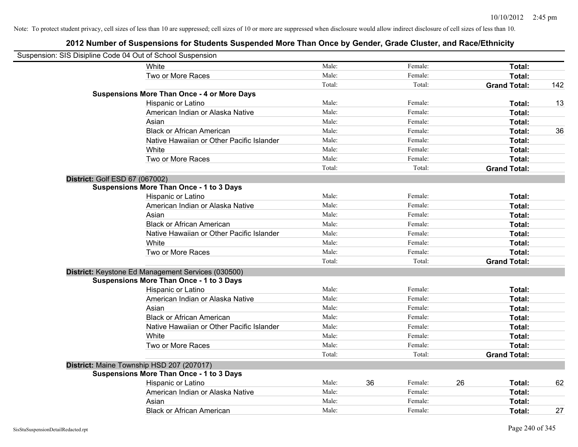| Suspension: SIS Disipline Code 04 Out of School Suspension |                                                    |        |    |         |    |                     |     |
|------------------------------------------------------------|----------------------------------------------------|--------|----|---------|----|---------------------|-----|
|                                                            | <b>White</b>                                       | Male:  |    | Female: |    | Total:              |     |
|                                                            | Two or More Races                                  | Male:  |    | Female: |    | Total:              |     |
|                                                            |                                                    | Total: |    | Total:  |    | <b>Grand Total:</b> | 142 |
|                                                            | <b>Suspensions More Than Once - 4 or More Days</b> |        |    |         |    |                     |     |
|                                                            | Hispanic or Latino                                 | Male:  |    | Female: |    | Total:              | 13  |
|                                                            | American Indian or Alaska Native                   | Male:  |    | Female: |    | Total:              |     |
|                                                            | Asian                                              | Male:  |    | Female: |    | Total:              |     |
|                                                            | <b>Black or African American</b>                   | Male:  |    | Female: |    | Total:              | 36  |
|                                                            | Native Hawaiian or Other Pacific Islander          | Male:  |    | Female: |    | Total:              |     |
|                                                            | White                                              | Male:  |    | Female: |    | Total:              |     |
|                                                            | Two or More Races                                  | Male:  |    | Female: |    | Total:              |     |
|                                                            |                                                    | Total: |    | Total:  |    | <b>Grand Total:</b> |     |
| District: Golf ESD 67 (067002)                             |                                                    |        |    |         |    |                     |     |
|                                                            | <b>Suspensions More Than Once - 1 to 3 Days</b>    |        |    |         |    |                     |     |
|                                                            | Hispanic or Latino                                 | Male:  |    | Female: |    | Total:              |     |
|                                                            | American Indian or Alaska Native                   | Male:  |    | Female: |    | Total:              |     |
|                                                            | Asian                                              | Male:  |    | Female: |    | Total:              |     |
|                                                            | <b>Black or African American</b>                   | Male:  |    | Female: |    | Total:              |     |
|                                                            | Native Hawaiian or Other Pacific Islander          | Male:  |    | Female: |    | Total:              |     |
|                                                            | White                                              | Male:  |    | Female: |    | Total:              |     |
|                                                            | Two or More Races                                  | Male:  |    | Female: |    | Total:              |     |
|                                                            |                                                    | Total: |    | Total:  |    | <b>Grand Total:</b> |     |
|                                                            | District: Keystone Ed Management Services (030500) |        |    |         |    |                     |     |
|                                                            | <b>Suspensions More Than Once - 1 to 3 Days</b>    |        |    |         |    |                     |     |
|                                                            | Hispanic or Latino                                 | Male:  |    | Female: |    | Total:              |     |
|                                                            | American Indian or Alaska Native                   | Male:  |    | Female: |    | Total:              |     |
|                                                            | Asian                                              | Male:  |    | Female: |    | Total:              |     |
|                                                            | <b>Black or African American</b>                   | Male:  |    | Female: |    | Total:              |     |
|                                                            | Native Hawaiian or Other Pacific Islander          | Male:  |    | Female: |    | Total:              |     |
|                                                            | <b>White</b>                                       | Male:  |    | Female: |    | Total:              |     |
|                                                            | Two or More Races                                  | Male:  |    | Female: |    | Total:              |     |
|                                                            |                                                    | Total: |    | Total:  |    | <b>Grand Total:</b> |     |
|                                                            | District: Maine Township HSD 207 (207017)          |        |    |         |    |                     |     |
|                                                            | <b>Suspensions More Than Once - 1 to 3 Days</b>    |        |    |         |    |                     |     |
|                                                            | Hispanic or Latino                                 | Male:  | 36 | Female: | 26 | Total:              | 62  |
|                                                            | American Indian or Alaska Native                   | Male:  |    | Female: |    | Total:              |     |
|                                                            | Asian                                              | Male:  |    | Female: |    | Total:              |     |
|                                                            | <b>Black or African American</b>                   | Male:  |    | Female: |    | Total:              | 27  |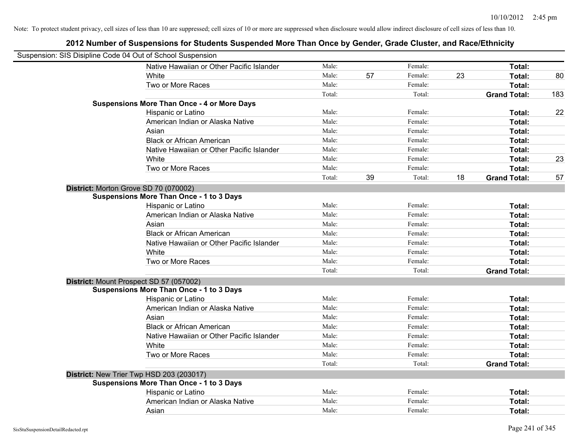| Suspension: SIS Disipline Code 04 Out of School Suspension |                                                    |        |    |         |    |                     |     |
|------------------------------------------------------------|----------------------------------------------------|--------|----|---------|----|---------------------|-----|
|                                                            | Native Hawaiian or Other Pacific Islander          | Male:  |    | Female: |    | Total:              |     |
|                                                            | White                                              | Male:  | 57 | Female: | 23 | Total:              | 80  |
|                                                            | Two or More Races                                  | Male:  |    | Female: |    | Total:              |     |
|                                                            |                                                    | Total: |    | Total:  |    | <b>Grand Total:</b> | 183 |
|                                                            | <b>Suspensions More Than Once - 4 or More Days</b> |        |    |         |    |                     |     |
|                                                            | Hispanic or Latino                                 | Male:  |    | Female: |    | Total:              | 22  |
|                                                            | American Indian or Alaska Native                   | Male:  |    | Female: |    | Total:              |     |
|                                                            | Asian                                              | Male:  |    | Female: |    | Total:              |     |
|                                                            | <b>Black or African American</b>                   | Male:  |    | Female: |    | Total:              |     |
|                                                            | Native Hawaiian or Other Pacific Islander          | Male:  |    | Female: |    | Total:              |     |
|                                                            | White                                              | Male:  |    | Female: |    | Total:              | 23  |
|                                                            | Two or More Races                                  | Male:  |    | Female: |    | Total:              |     |
|                                                            |                                                    | Total: | 39 | Total:  | 18 | <b>Grand Total:</b> | 57  |
| District: Morton Grove SD 70 (070002)                      |                                                    |        |    |         |    |                     |     |
|                                                            | <b>Suspensions More Than Once - 1 to 3 Days</b>    |        |    |         |    |                     |     |
|                                                            | Hispanic or Latino                                 | Male:  |    | Female: |    | Total:              |     |
|                                                            | American Indian or Alaska Native                   | Male:  |    | Female: |    | Total:              |     |
|                                                            | Asian                                              | Male:  |    | Female: |    | Total:              |     |
|                                                            | <b>Black or African American</b>                   | Male:  |    | Female: |    | Total:              |     |
|                                                            | Native Hawaiian or Other Pacific Islander          | Male:  |    | Female: |    | Total:              |     |
|                                                            | White                                              | Male:  |    | Female: |    | Total:              |     |
|                                                            | Two or More Races                                  | Male:  |    | Female: |    | Total:              |     |
|                                                            |                                                    | Total: |    | Total:  |    | <b>Grand Total:</b> |     |
| District: Mount Prospect SD 57 (057002)                    |                                                    |        |    |         |    |                     |     |
|                                                            | <b>Suspensions More Than Once - 1 to 3 Days</b>    |        |    |         |    |                     |     |
|                                                            | Hispanic or Latino                                 | Male:  |    | Female: |    | Total:              |     |
|                                                            | American Indian or Alaska Native                   | Male:  |    | Female: |    | Total:              |     |
|                                                            | Asian                                              | Male:  |    | Female: |    | Total:              |     |
|                                                            | <b>Black or African American</b>                   | Male:  |    | Female: |    | Total:              |     |
|                                                            | Native Hawaiian or Other Pacific Islander          | Male:  |    | Female: |    | Total:              |     |
|                                                            | White                                              | Male:  |    | Female: |    | Total:              |     |
|                                                            | Two or More Races                                  | Male:  |    | Female: |    | Total:              |     |
|                                                            |                                                    | Total: |    | Total:  |    | <b>Grand Total:</b> |     |
|                                                            | District: New Trier Twp HSD 203 (203017)           |        |    |         |    |                     |     |
|                                                            | <b>Suspensions More Than Once - 1 to 3 Days</b>    |        |    |         |    |                     |     |
|                                                            | Hispanic or Latino                                 | Male:  |    | Female: |    | Total:              |     |
|                                                            | American Indian or Alaska Native                   | Male:  |    | Female: |    | Total:              |     |
|                                                            | Asian                                              | Male:  |    | Female: |    | Total:              |     |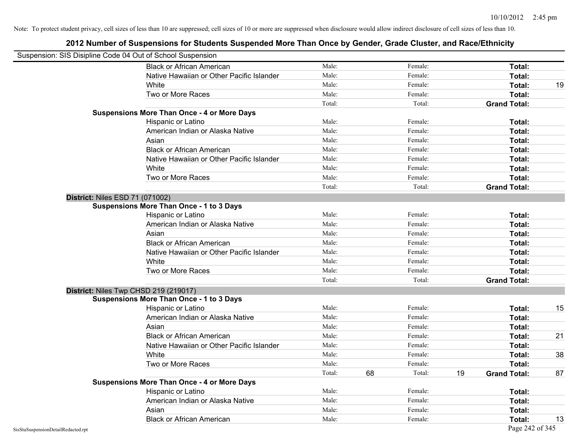| Suspension: SIS Disipline Code 04 Out of School Suspension |                                                    |        |    |         |    |                     |    |
|------------------------------------------------------------|----------------------------------------------------|--------|----|---------|----|---------------------|----|
|                                                            | <b>Black or African American</b>                   | Male:  |    | Female: |    | <b>Total:</b>       |    |
|                                                            | Native Hawaiian or Other Pacific Islander          | Male:  |    | Female: |    | Total:              |    |
|                                                            | White                                              | Male:  |    | Female: |    | Total:              | 19 |
|                                                            | Two or More Races                                  | Male:  |    | Female: |    | Total:              |    |
|                                                            |                                                    | Total: |    | Total:  |    | <b>Grand Total:</b> |    |
|                                                            | <b>Suspensions More Than Once - 4 or More Days</b> |        |    |         |    |                     |    |
|                                                            | Hispanic or Latino                                 | Male:  |    | Female: |    | Total:              |    |
|                                                            | American Indian or Alaska Native                   | Male:  |    | Female: |    | Total:              |    |
|                                                            | Asian                                              | Male:  |    | Female: |    | Total:              |    |
|                                                            | <b>Black or African American</b>                   | Male:  |    | Female: |    | Total:              |    |
|                                                            | Native Hawaiian or Other Pacific Islander          | Male:  |    | Female: |    | Total:              |    |
|                                                            | White                                              | Male:  |    | Female: |    | Total:              |    |
|                                                            | Two or More Races                                  | Male:  |    | Female: |    | Total:              |    |
|                                                            |                                                    | Total: |    | Total:  |    | <b>Grand Total:</b> |    |
| <b>District: Niles ESD 71 (071002)</b>                     |                                                    |        |    |         |    |                     |    |
|                                                            | <b>Suspensions More Than Once - 1 to 3 Days</b>    |        |    |         |    |                     |    |
|                                                            | Hispanic or Latino                                 | Male:  |    | Female: |    | Total:              |    |
|                                                            | American Indian or Alaska Native                   | Male:  |    | Female: |    | Total:              |    |
|                                                            | Asian                                              | Male:  |    | Female: |    | Total:              |    |
|                                                            | <b>Black or African American</b>                   | Male:  |    | Female: |    | Total:              |    |
|                                                            | Native Hawaiian or Other Pacific Islander          | Male:  |    | Female: |    | Total:              |    |
|                                                            | White                                              | Male:  |    | Female: |    | Total:              |    |
|                                                            | Two or More Races                                  | Male:  |    | Female: |    | Total:              |    |
|                                                            |                                                    | Total: |    | Total:  |    | <b>Grand Total:</b> |    |
|                                                            | District: Niles Twp CHSD 219 (219017)              |        |    |         |    |                     |    |
|                                                            | <b>Suspensions More Than Once - 1 to 3 Days</b>    |        |    |         |    |                     |    |
|                                                            | Hispanic or Latino                                 | Male:  |    | Female: |    | Total:              | 15 |
|                                                            | American Indian or Alaska Native                   | Male:  |    | Female: |    | <b>Total:</b>       |    |
|                                                            | Asian                                              | Male:  |    | Female: |    | Total:              |    |
|                                                            | <b>Black or African American</b>                   | Male:  |    | Female: |    | Total:              | 21 |
|                                                            | Native Hawaiian or Other Pacific Islander          | Male:  |    | Female: |    | Total:              |    |
|                                                            | White                                              | Male:  |    | Female: |    | Total:              | 38 |
|                                                            | Two or More Races                                  | Male:  |    | Female: |    | Total:              |    |
|                                                            |                                                    | Total: | 68 | Total:  | 19 | <b>Grand Total:</b> | 87 |
|                                                            | <b>Suspensions More Than Once - 4 or More Days</b> |        |    |         |    |                     |    |
|                                                            | Hispanic or Latino                                 | Male:  |    | Female: |    | Total:              |    |
|                                                            | American Indian or Alaska Native                   | Male:  |    | Female: |    | Total:              |    |
|                                                            | Asian                                              | Male:  |    | Female: |    | Total:              |    |
|                                                            | <b>Black or African American</b>                   | Male:  |    | Female: |    | Total:              | 13 |
| SisStuSuspensionDetailRedacted.rpt                         |                                                    |        |    |         |    | Page 242 of 345     |    |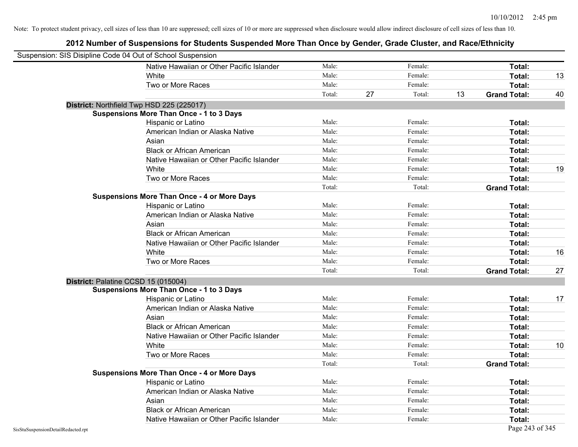| Suspension: SIS Disipline Code 04 Out of School Suspension |                                                    |        |    |         |    |                     |    |
|------------------------------------------------------------|----------------------------------------------------|--------|----|---------|----|---------------------|----|
|                                                            | Native Hawaiian or Other Pacific Islander          | Male:  |    | Female: |    | Total:              |    |
|                                                            | White                                              | Male:  |    | Female: |    | Total:              | 13 |
|                                                            | Two or More Races                                  | Male:  |    | Female: |    | Total:              |    |
|                                                            |                                                    | Total: | 27 | Total:  | 13 | <b>Grand Total:</b> | 40 |
|                                                            | District: Northfield Twp HSD 225 (225017)          |        |    |         |    |                     |    |
|                                                            | <b>Suspensions More Than Once - 1 to 3 Days</b>    |        |    |         |    |                     |    |
|                                                            | Hispanic or Latino                                 | Male:  |    | Female: |    | Total:              |    |
|                                                            | American Indian or Alaska Native                   | Male:  |    | Female: |    | Total:              |    |
|                                                            | Asian                                              | Male:  |    | Female: |    | Total:              |    |
|                                                            | <b>Black or African American</b>                   | Male:  |    | Female: |    | Total:              |    |
|                                                            | Native Hawaiian or Other Pacific Islander          | Male:  |    | Female: |    | Total:              |    |
|                                                            | White                                              | Male:  |    | Female: |    | Total:              | 19 |
|                                                            | Two or More Races                                  | Male:  |    | Female: |    | Total:              |    |
|                                                            |                                                    | Total: |    | Total:  |    | <b>Grand Total:</b> |    |
|                                                            | <b>Suspensions More Than Once - 4 or More Days</b> |        |    |         |    |                     |    |
|                                                            | Hispanic or Latino                                 | Male:  |    | Female: |    | Total:              |    |
|                                                            | American Indian or Alaska Native                   | Male:  |    | Female: |    | Total:              |    |
|                                                            | Asian                                              | Male:  |    | Female: |    | Total:              |    |
|                                                            | <b>Black or African American</b>                   | Male:  |    | Female: |    | Total:              |    |
|                                                            | Native Hawaiian or Other Pacific Islander          | Male:  |    | Female: |    | Total:              |    |
|                                                            | White                                              | Male:  |    | Female: |    | Total:              | 16 |
|                                                            | Two or More Races                                  | Male:  |    | Female: |    | Total:              |    |
|                                                            |                                                    | Total: |    | Total:  |    | <b>Grand Total:</b> | 27 |
| District: Palatine CCSD 15 (015004)                        |                                                    |        |    |         |    |                     |    |
|                                                            | <b>Suspensions More Than Once - 1 to 3 Days</b>    |        |    |         |    |                     |    |
|                                                            | Hispanic or Latino                                 | Male:  |    | Female: |    | Total:              | 17 |
|                                                            | American Indian or Alaska Native                   | Male:  |    | Female: |    | Total:              |    |
|                                                            | Asian                                              | Male:  |    | Female: |    | Total:              |    |
|                                                            | <b>Black or African American</b>                   | Male:  |    | Female: |    | Total:              |    |
|                                                            | Native Hawaiian or Other Pacific Islander          | Male:  |    | Female: |    | Total:              |    |
|                                                            | White                                              | Male:  |    | Female: |    | Total:              | 10 |
|                                                            | Two or More Races                                  | Male:  |    | Female: |    | Total:              |    |
|                                                            |                                                    | Total: |    | Total:  |    | <b>Grand Total:</b> |    |
|                                                            | <b>Suspensions More Than Once - 4 or More Days</b> |        |    |         |    |                     |    |
|                                                            | Hispanic or Latino                                 | Male:  |    | Female: |    | Total:              |    |
|                                                            | American Indian or Alaska Native                   | Male:  |    | Female: |    | Total:              |    |
|                                                            | Asian                                              | Male:  |    | Female: |    | Total:              |    |
|                                                            | <b>Black or African American</b>                   | Male:  |    | Female: |    | Total:              |    |
|                                                            | Native Hawaiian or Other Pacific Islander          | Male:  |    | Female: |    | Total:              |    |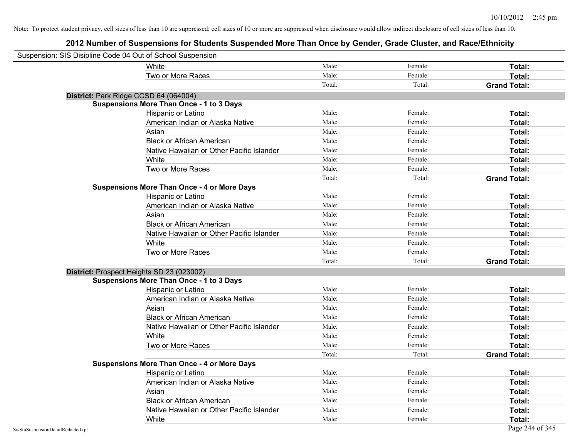| Suspension: SIS Disipline Code 04 Out of School Suspension |                                                    |        |         |                     |
|------------------------------------------------------------|----------------------------------------------------|--------|---------|---------------------|
|                                                            | <b>White</b>                                       | Male:  | Female: | Total:              |
|                                                            | Two or More Races                                  | Male:  | Female: | Total:              |
|                                                            |                                                    | Total: | Total:  | <b>Grand Total:</b> |
| District: Park Ridge CCSD 64 (064004)                      |                                                    |        |         |                     |
|                                                            | <b>Suspensions More Than Once - 1 to 3 Days</b>    |        |         |                     |
|                                                            | Hispanic or Latino                                 | Male:  | Female: | Total:              |
|                                                            | American Indian or Alaska Native                   | Male:  | Female: | Total:              |
|                                                            | Asian                                              | Male:  | Female: | Total:              |
|                                                            | <b>Black or African American</b>                   | Male:  | Female: | Total:              |
|                                                            | Native Hawaiian or Other Pacific Islander          | Male:  | Female: | Total:              |
|                                                            | White                                              | Male:  | Female: | Total:              |
|                                                            | Two or More Races                                  | Male:  | Female: | Total:              |
|                                                            |                                                    | Total: | Total:  | <b>Grand Total:</b> |
|                                                            | <b>Suspensions More Than Once - 4 or More Days</b> |        |         |                     |
|                                                            | Hispanic or Latino                                 | Male:  | Female: | Total:              |
|                                                            | American Indian or Alaska Native                   | Male:  | Female: | Total:              |
|                                                            | Asian                                              | Male:  | Female: | Total:              |
|                                                            | <b>Black or African American</b>                   | Male:  | Female: | Total:              |
|                                                            | Native Hawaiian or Other Pacific Islander          | Male:  | Female: | Total:              |
|                                                            | White                                              | Male:  | Female: | Total:              |
|                                                            | Two or More Races                                  | Male:  | Female: | Total:              |
|                                                            |                                                    | Total: | Total:  | <b>Grand Total:</b> |
| District: Prospect Heights SD 23 (023002)                  |                                                    |        |         |                     |
|                                                            | <b>Suspensions More Than Once - 1 to 3 Days</b>    |        |         |                     |
|                                                            | Hispanic or Latino                                 | Male:  | Female: | Total:              |
|                                                            | American Indian or Alaska Native                   | Male:  | Female: | Total:              |
|                                                            | Asian                                              | Male:  | Female: | Total:              |
|                                                            | <b>Black or African American</b>                   | Male:  | Female: | Total:              |
|                                                            | Native Hawaiian or Other Pacific Islander          | Male:  | Female: | Total:              |
|                                                            | White                                              | Male:  | Female: | Total:              |
|                                                            | Two or More Races                                  | Male:  | Female: | Total:              |
|                                                            |                                                    | Total: | Total:  | <b>Grand Total:</b> |
|                                                            | <b>Suspensions More Than Once - 4 or More Days</b> |        |         |                     |
|                                                            | Hispanic or Latino                                 | Male:  | Female: | Total:              |
|                                                            | American Indian or Alaska Native                   | Male:  | Female: | Total:              |
|                                                            | Asian                                              | Male:  | Female: | Total:              |
|                                                            | <b>Black or African American</b>                   | Male:  | Female: | Total:              |
|                                                            | Native Hawaiian or Other Pacific Islander          | Male:  | Female: | Total:              |
|                                                            | White                                              | Male:  | Female: | Total:              |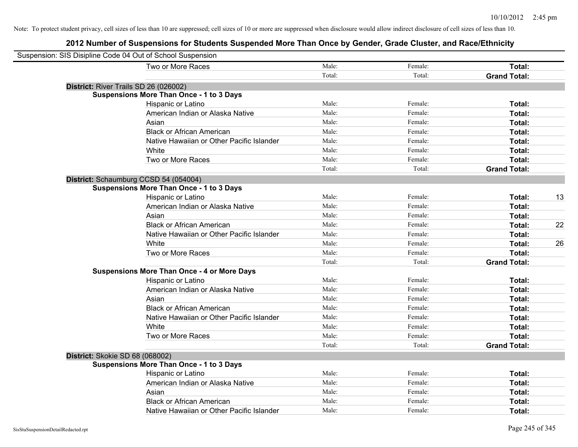| Suspension: SIS Disipline Code 04 Out of School Suspension |                                                    |        |         |                     |    |
|------------------------------------------------------------|----------------------------------------------------|--------|---------|---------------------|----|
|                                                            | Two or More Races                                  | Male:  | Female: | Total:              |    |
|                                                            |                                                    | Total: | Total:  | <b>Grand Total:</b> |    |
|                                                            | District: River Trails SD 26 (026002)              |        |         |                     |    |
|                                                            | <b>Suspensions More Than Once - 1 to 3 Days</b>    |        |         |                     |    |
|                                                            | Hispanic or Latino                                 | Male:  | Female: | Total:              |    |
|                                                            | American Indian or Alaska Native                   | Male:  | Female: | Total:              |    |
|                                                            | Asian                                              | Male:  | Female: | Total:              |    |
|                                                            | <b>Black or African American</b>                   | Male:  | Female: | Total:              |    |
|                                                            | Native Hawaiian or Other Pacific Islander          | Male:  | Female: | Total:              |    |
|                                                            | White                                              | Male:  | Female: | Total:              |    |
|                                                            | Two or More Races                                  | Male:  | Female: | Total:              |    |
|                                                            |                                                    | Total: | Total:  | <b>Grand Total:</b> |    |
|                                                            | District: Schaumburg CCSD 54 (054004)              |        |         |                     |    |
|                                                            | <b>Suspensions More Than Once - 1 to 3 Days</b>    |        |         |                     |    |
|                                                            | Hispanic or Latino                                 | Male:  | Female: | Total:              | 13 |
|                                                            | American Indian or Alaska Native                   | Male:  | Female: | Total:              |    |
|                                                            | Asian                                              | Male:  | Female: | Total:              |    |
|                                                            | <b>Black or African American</b>                   | Male:  | Female: | Total:              | 22 |
|                                                            | Native Hawaiian or Other Pacific Islander          | Male:  | Female: | Total:              |    |
|                                                            | White                                              | Male:  | Female: | Total:              | 26 |
|                                                            | Two or More Races                                  | Male:  | Female: | Total:              |    |
|                                                            |                                                    | Total: | Total:  | <b>Grand Total:</b> |    |
|                                                            | <b>Suspensions More Than Once - 4 or More Days</b> |        |         |                     |    |
|                                                            | Hispanic or Latino                                 | Male:  | Female: | Total:              |    |
|                                                            | American Indian or Alaska Native                   | Male:  | Female: | Total:              |    |
|                                                            | Asian                                              | Male:  | Female: | Total:              |    |
|                                                            | <b>Black or African American</b>                   | Male:  | Female: | Total:              |    |
|                                                            | Native Hawaiian or Other Pacific Islander          | Male:  | Female: | Total:              |    |
|                                                            | White                                              | Male:  | Female: | Total:              |    |
|                                                            | Two or More Races                                  | Male:  | Female: | Total:              |    |
|                                                            |                                                    | Total: | Total:  | <b>Grand Total:</b> |    |
|                                                            | District: Skokie SD 68 (068002)                    |        |         |                     |    |
|                                                            | <b>Suspensions More Than Once - 1 to 3 Days</b>    |        |         |                     |    |
|                                                            | Hispanic or Latino                                 | Male:  | Female: | Total:              |    |
|                                                            | American Indian or Alaska Native                   | Male:  | Female: | Total:              |    |
|                                                            | Asian                                              | Male:  | Female: | Total:              |    |
|                                                            | <b>Black or African American</b>                   | Male:  | Female: | Total:              |    |
|                                                            | Native Hawaiian or Other Pacific Islander          | Male:  | Female: | Total:              |    |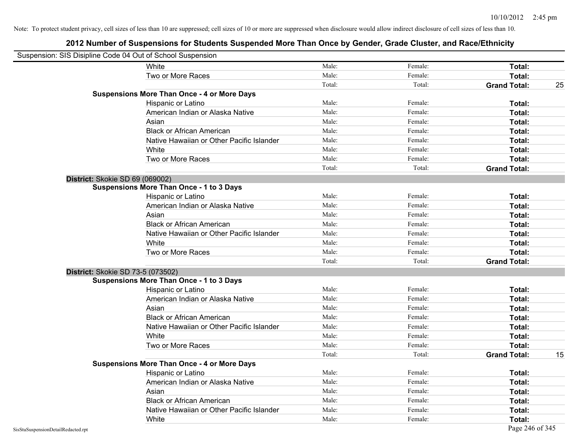| Suspension: SIS Disipline Code 04 Out of School Suspension |                                                    |        |         |                     |    |
|------------------------------------------------------------|----------------------------------------------------|--------|---------|---------------------|----|
|                                                            | White                                              | Male:  | Female: | <b>Total:</b>       |    |
|                                                            | Two or More Races                                  | Male:  | Female: | Total:              |    |
|                                                            |                                                    | Total: | Total:  | <b>Grand Total:</b> | 25 |
|                                                            | <b>Suspensions More Than Once - 4 or More Days</b> |        |         |                     |    |
|                                                            | Hispanic or Latino                                 | Male:  | Female: | Total:              |    |
|                                                            | American Indian or Alaska Native                   | Male:  | Female: | Total:              |    |
|                                                            | Asian                                              | Male:  | Female: | Total:              |    |
|                                                            | <b>Black or African American</b>                   | Male:  | Female: | Total:              |    |
|                                                            | Native Hawaiian or Other Pacific Islander          | Male:  | Female: | Total:              |    |
|                                                            | White                                              | Male:  | Female: | Total:              |    |
|                                                            | Two or More Races                                  | Male:  | Female: | Total:              |    |
|                                                            |                                                    | Total: | Total:  | <b>Grand Total:</b> |    |
|                                                            | District: Skokie SD 69 (069002)                    |        |         |                     |    |
|                                                            | <b>Suspensions More Than Once - 1 to 3 Days</b>    |        |         |                     |    |
|                                                            | Hispanic or Latino                                 | Male:  | Female: | Total:              |    |
|                                                            | American Indian or Alaska Native                   | Male:  | Female: | Total:              |    |
|                                                            | Asian                                              | Male:  | Female: | Total:              |    |
|                                                            | <b>Black or African American</b>                   | Male:  | Female: | Total:              |    |
|                                                            | Native Hawaiian or Other Pacific Islander          | Male:  | Female: | Total:              |    |
|                                                            | White                                              | Male:  | Female: | Total:              |    |
|                                                            | Two or More Races                                  | Male:  | Female: | Total:              |    |
|                                                            |                                                    | Total: | Total:  | <b>Grand Total:</b> |    |
|                                                            | District: Skokie SD 73-5 (073502)                  |        |         |                     |    |
|                                                            | <b>Suspensions More Than Once - 1 to 3 Days</b>    |        |         |                     |    |
|                                                            | Hispanic or Latino                                 | Male:  | Female: | Total:              |    |
|                                                            | American Indian or Alaska Native                   | Male:  | Female: | Total:              |    |
|                                                            | Asian                                              | Male:  | Female: | Total:              |    |
|                                                            | <b>Black or African American</b>                   | Male:  | Female: | Total:              |    |
|                                                            | Native Hawaiian or Other Pacific Islander          | Male:  | Female: | Total:              |    |
|                                                            | White                                              | Male:  | Female: | Total:              |    |
|                                                            | Two or More Races                                  | Male:  | Female: | Total:              |    |
|                                                            |                                                    | Total: | Total:  | <b>Grand Total:</b> | 15 |
|                                                            | <b>Suspensions More Than Once - 4 or More Days</b> |        |         |                     |    |
|                                                            | Hispanic or Latino                                 | Male:  | Female: | Total:              |    |
|                                                            | American Indian or Alaska Native                   | Male:  | Female: | Total:              |    |
|                                                            | Asian                                              | Male:  | Female: | Total:              |    |
|                                                            | <b>Black or African American</b>                   | Male:  | Female: | Total:              |    |
|                                                            | Native Hawaiian or Other Pacific Islander          | Male:  | Female: | Total:              |    |
|                                                            | White                                              | Male:  | Female: | Total:              |    |
| SisStuSuspensionDetailRedacted.rpt                         |                                                    |        |         | Page 246 of 345     |    |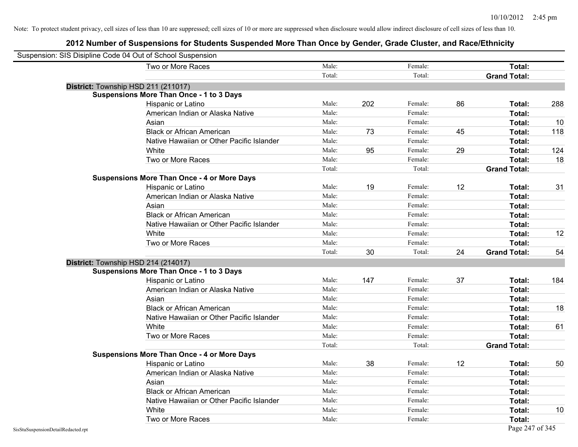| Suspension: SIS Disipline Code 04 Out of School Suspension |                                                    |        |     |         |    |                     |     |
|------------------------------------------------------------|----------------------------------------------------|--------|-----|---------|----|---------------------|-----|
|                                                            | Two or More Races                                  | Male:  |     | Female: |    | Total:              |     |
|                                                            |                                                    | Total: |     | Total:  |    | <b>Grand Total:</b> |     |
| District: Township HSD 211 (211017)                        |                                                    |        |     |         |    |                     |     |
|                                                            | Suspensions More Than Once - 1 to 3 Days           |        |     |         |    |                     |     |
|                                                            | Hispanic or Latino                                 | Male:  | 202 | Female: | 86 | Total:              | 288 |
|                                                            | American Indian or Alaska Native                   | Male:  |     | Female: |    | Total:              |     |
|                                                            | Asian                                              | Male:  |     | Female: |    | Total:              | 10  |
|                                                            | <b>Black or African American</b>                   | Male:  | 73  | Female: | 45 | Total:              | 118 |
|                                                            | Native Hawaiian or Other Pacific Islander          | Male:  |     | Female: |    | Total:              |     |
|                                                            | White                                              | Male:  | 95  | Female: | 29 | Total:              | 124 |
|                                                            | Two or More Races                                  | Male:  |     | Female: |    | Total:              | 18  |
|                                                            |                                                    | Total: |     | Total:  |    | <b>Grand Total:</b> |     |
|                                                            | <b>Suspensions More Than Once - 4 or More Days</b> |        |     |         |    |                     |     |
|                                                            | Hispanic or Latino                                 | Male:  | 19  | Female: | 12 | Total:              | 31  |
|                                                            | American Indian or Alaska Native                   | Male:  |     | Female: |    | Total:              |     |
|                                                            | Asian                                              | Male:  |     | Female: |    | Total:              |     |
|                                                            | <b>Black or African American</b>                   | Male:  |     | Female: |    | Total:              |     |
|                                                            | Native Hawaiian or Other Pacific Islander          | Male:  |     | Female: |    | Total:              |     |
|                                                            | White                                              | Male:  |     | Female: |    | Total:              | 12  |
|                                                            | Two or More Races                                  | Male:  |     | Female: |    | Total:              |     |
|                                                            |                                                    | Total: | 30  | Total:  | 24 | <b>Grand Total:</b> | 54  |
| District: Township HSD 214 (214017)                        |                                                    |        |     |         |    |                     |     |
|                                                            | <b>Suspensions More Than Once - 1 to 3 Days</b>    |        |     |         |    |                     |     |
|                                                            | Hispanic or Latino                                 | Male:  | 147 | Female: | 37 | Total:              | 184 |
|                                                            | American Indian or Alaska Native                   | Male:  |     | Female: |    | Total:              |     |
|                                                            | Asian                                              | Male:  |     | Female: |    | Total:              |     |
|                                                            | <b>Black or African American</b>                   | Male:  |     | Female: |    | Total:              | 18  |
|                                                            | Native Hawaiian or Other Pacific Islander          | Male:  |     | Female: |    | Total:              |     |
|                                                            | White                                              | Male:  |     | Female: |    | Total:              | 61  |
|                                                            | Two or More Races                                  | Male:  |     | Female: |    | Total:              |     |
|                                                            |                                                    | Total: |     | Total:  |    | <b>Grand Total:</b> |     |
|                                                            | <b>Suspensions More Than Once - 4 or More Days</b> |        |     |         |    |                     |     |
|                                                            | Hispanic or Latino                                 | Male:  | 38  | Female: | 12 | Total:              | 50  |
|                                                            | American Indian or Alaska Native                   | Male:  |     | Female: |    | Total:              |     |
|                                                            | Asian                                              | Male:  |     | Female: |    | Total:              |     |
|                                                            | <b>Black or African American</b>                   | Male:  |     | Female: |    | Total:              |     |
|                                                            | Native Hawaiian or Other Pacific Islander          | Male:  |     | Female: |    | Total:              |     |
|                                                            | White                                              | Male:  |     | Female: |    | Total:              | 10  |
|                                                            | Two or More Races                                  | Male:  |     | Female: |    | Total:              |     |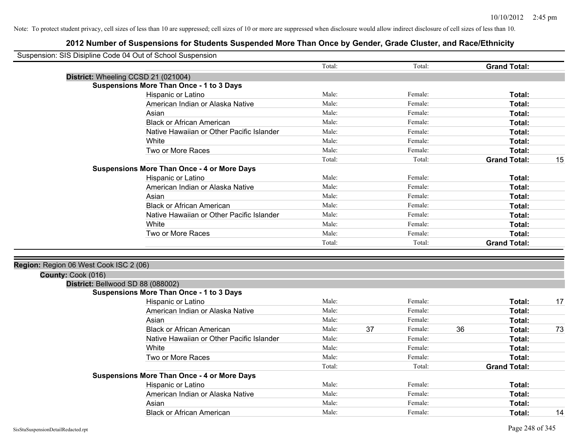| Suspension: SIS Disipline Code 04 Out of School Suspension |                                                    |        |    |         |    |                     |    |
|------------------------------------------------------------|----------------------------------------------------|--------|----|---------|----|---------------------|----|
|                                                            |                                                    | Total: |    | Total:  |    | <b>Grand Total:</b> |    |
|                                                            | District: Wheeling CCSD 21 (021004)                |        |    |         |    |                     |    |
|                                                            | <b>Suspensions More Than Once - 1 to 3 Days</b>    |        |    |         |    |                     |    |
|                                                            | Hispanic or Latino                                 | Male:  |    | Female: |    | Total:              |    |
|                                                            | American Indian or Alaska Native                   | Male:  |    | Female: |    | <b>Total:</b>       |    |
|                                                            | Asian                                              | Male:  |    | Female: |    | Total:              |    |
|                                                            | <b>Black or African American</b>                   | Male:  |    | Female: |    | Total:              |    |
|                                                            | Native Hawaiian or Other Pacific Islander          | Male:  |    | Female: |    | Total:              |    |
|                                                            | White                                              | Male:  |    | Female: |    | Total:              |    |
|                                                            | Two or More Races                                  | Male:  |    | Female: |    | Total:              |    |
|                                                            |                                                    | Total: |    | Total:  |    | <b>Grand Total:</b> | 15 |
|                                                            | <b>Suspensions More Than Once - 4 or More Days</b> |        |    |         |    |                     |    |
|                                                            | Hispanic or Latino                                 | Male:  |    | Female: |    | Total:              |    |
|                                                            | American Indian or Alaska Native                   | Male:  |    | Female: |    | Total:              |    |
|                                                            | Asian                                              | Male:  |    | Female: |    | Total:              |    |
|                                                            | <b>Black or African American</b>                   | Male:  |    | Female: |    | Total:              |    |
|                                                            | Native Hawaiian or Other Pacific Islander          | Male:  |    | Female: |    | Total:              |    |
|                                                            | White                                              | Male:  |    | Female: |    | Total:              |    |
|                                                            | Two or More Races                                  | Male:  |    | Female: |    | Total:              |    |
|                                                            |                                                    | Total: |    | Total:  |    | <b>Grand Total:</b> |    |
|                                                            |                                                    |        |    |         |    |                     |    |
| Region: Region 06 West Cook ISC 2 (06)                     |                                                    |        |    |         |    |                     |    |
| County: Cook (016)                                         |                                                    |        |    |         |    |                     |    |
| District: Bellwood SD 88 (088002)                          |                                                    |        |    |         |    |                     |    |
|                                                            | <b>Suspensions More Than Once - 1 to 3 Days</b>    |        |    |         |    |                     |    |
|                                                            | Hispanic or Latino                                 | Male:  |    | Female: |    | Total:              | 17 |
|                                                            | American Indian or Alaska Native                   | Male:  |    | Female: |    | <b>Total:</b>       |    |
|                                                            | Asian                                              | Male:  |    | Female: |    | Total:              |    |
|                                                            | <b>Black or African American</b>                   | Male:  | 37 | Female: | 36 | Total:              | 73 |
|                                                            | Native Hawaiian or Other Pacific Islander          | Male:  |    | Female: |    | Total:              |    |
|                                                            | White                                              | Male:  |    | Female: |    | Total:              |    |
|                                                            | Two or More Races                                  | Male:  |    | Female: |    | Total:              |    |
|                                                            |                                                    | Total: |    | Total:  |    | <b>Grand Total:</b> |    |
|                                                            | <b>Suspensions More Than Once - 4 or More Days</b> |        |    |         |    |                     |    |
|                                                            | Hispanic or Latino                                 | Male:  |    | Female: |    | Total:              |    |
|                                                            | American Indian or Alaska Native                   | Male:  |    | Female: |    | Total:              |    |
|                                                            | Asian                                              | Male:  |    | Female: |    | Total:              |    |
|                                                            | <b>Black or African American</b>                   | Male:  |    | Female: |    | Total:              | 14 |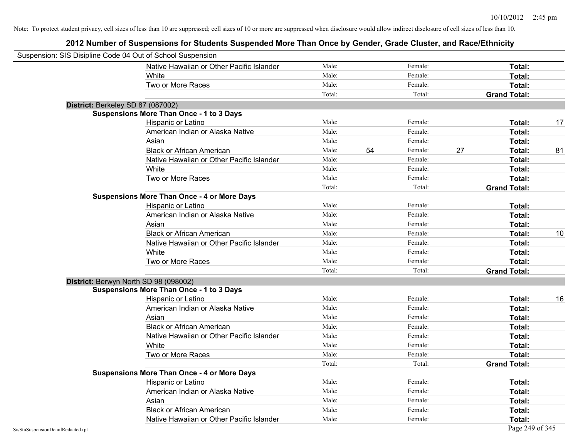| Suspension: SIS Disipline Code 04 Out of School Suspension |                                                    |        |    |         |    |                     |    |
|------------------------------------------------------------|----------------------------------------------------|--------|----|---------|----|---------------------|----|
|                                                            | Native Hawaiian or Other Pacific Islander          | Male:  |    | Female: |    | Total:              |    |
|                                                            | White                                              | Male:  |    | Female: |    | Total:              |    |
|                                                            | Two or More Races                                  | Male:  |    | Female: |    | Total:              |    |
|                                                            |                                                    | Total: |    | Total:  |    | <b>Grand Total:</b> |    |
| District: Berkeley SD 87 (087002)                          |                                                    |        |    |         |    |                     |    |
|                                                            | <b>Suspensions More Than Once - 1 to 3 Days</b>    |        |    |         |    |                     |    |
|                                                            | Hispanic or Latino                                 | Male:  |    | Female: |    | Total:              | 17 |
|                                                            | American Indian or Alaska Native                   | Male:  |    | Female: |    | Total:              |    |
|                                                            | Asian                                              | Male:  |    | Female: |    | Total:              |    |
|                                                            | <b>Black or African American</b>                   | Male:  | 54 | Female: | 27 | Total:              | 81 |
|                                                            | Native Hawaiian or Other Pacific Islander          | Male:  |    | Female: |    | Total:              |    |
|                                                            | White                                              | Male:  |    | Female: |    | Total:              |    |
|                                                            | Two or More Races                                  | Male:  |    | Female: |    | Total:              |    |
|                                                            |                                                    | Total: |    | Total:  |    | <b>Grand Total:</b> |    |
|                                                            | <b>Suspensions More Than Once - 4 or More Days</b> |        |    |         |    |                     |    |
|                                                            | Hispanic or Latino                                 | Male:  |    | Female: |    | Total:              |    |
|                                                            | American Indian or Alaska Native                   | Male:  |    | Female: |    | Total:              |    |
|                                                            | Asian                                              | Male:  |    | Female: |    | Total:              |    |
|                                                            | <b>Black or African American</b>                   | Male:  |    | Female: |    | Total:              | 10 |
|                                                            | Native Hawaiian or Other Pacific Islander          | Male:  |    | Female: |    | Total:              |    |
|                                                            | White                                              | Male:  |    | Female: |    | Total:              |    |
|                                                            | Two or More Races                                  | Male:  |    | Female: |    | Total:              |    |
|                                                            |                                                    | Total: |    | Total:  |    | <b>Grand Total:</b> |    |
| District: Berwyn North SD 98 (098002)                      |                                                    |        |    |         |    |                     |    |
|                                                            | <b>Suspensions More Than Once - 1 to 3 Days</b>    |        |    |         |    |                     |    |
|                                                            | Hispanic or Latino                                 | Male:  |    | Female: |    | Total:              | 16 |
|                                                            | American Indian or Alaska Native                   | Male:  |    | Female: |    | Total:              |    |
|                                                            | Asian                                              | Male:  |    | Female: |    | Total:              |    |
|                                                            | <b>Black or African American</b>                   | Male:  |    | Female: |    | Total:              |    |
|                                                            | Native Hawaiian or Other Pacific Islander          | Male:  |    | Female: |    | Total:              |    |
|                                                            | White                                              | Male:  |    | Female: |    | Total:              |    |
|                                                            | Two or More Races                                  | Male:  |    | Female: |    | Total:              |    |
|                                                            |                                                    | Total: |    | Total:  |    | <b>Grand Total:</b> |    |
|                                                            | <b>Suspensions More Than Once - 4 or More Days</b> |        |    |         |    |                     |    |
|                                                            | Hispanic or Latino                                 | Male:  |    | Female: |    | Total:              |    |
|                                                            | American Indian or Alaska Native                   | Male:  |    | Female: |    | Total:              |    |
|                                                            | Asian                                              | Male:  |    | Female: |    | Total:              |    |
|                                                            | <b>Black or African American</b>                   | Male:  |    | Female: |    | <b>Total:</b>       |    |
|                                                            | Native Hawaiian or Other Pacific Islander          | Male:  |    | Female: |    | Total:              |    |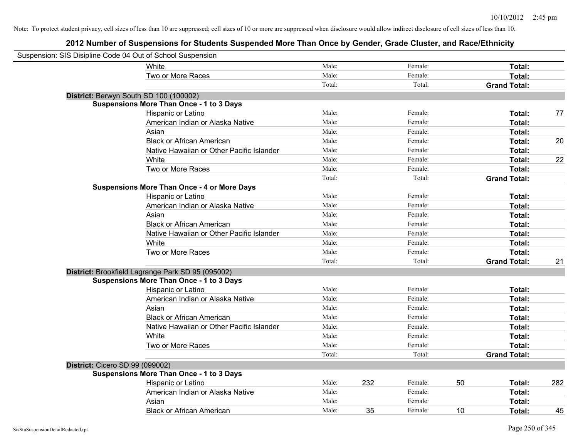| Suspension: SIS Disipline Code 04 Out of School Suspension |                                                    |        |     |         |    |                     |     |
|------------------------------------------------------------|----------------------------------------------------|--------|-----|---------|----|---------------------|-----|
|                                                            | White                                              | Male:  |     | Female: |    | Total:              |     |
|                                                            | Two or More Races                                  | Male:  |     | Female: |    | Total:              |     |
|                                                            |                                                    | Total: |     | Total:  |    | <b>Grand Total:</b> |     |
| District: Berwyn South SD 100 (100002)                     |                                                    |        |     |         |    |                     |     |
|                                                            | <b>Suspensions More Than Once - 1 to 3 Days</b>    |        |     |         |    |                     |     |
|                                                            | Hispanic or Latino                                 | Male:  |     | Female: |    | Total:              | 77  |
|                                                            | American Indian or Alaska Native                   | Male:  |     | Female: |    | Total:              |     |
|                                                            | Asian                                              | Male:  |     | Female: |    | Total:              |     |
|                                                            | <b>Black or African American</b>                   | Male:  |     | Female: |    | Total:              | 20  |
|                                                            | Native Hawaiian or Other Pacific Islander          | Male:  |     | Female: |    | Total:              |     |
|                                                            | White                                              | Male:  |     | Female: |    | Total:              | 22  |
|                                                            | Two or More Races                                  | Male:  |     | Female: |    | Total:              |     |
|                                                            |                                                    | Total: |     | Total:  |    | <b>Grand Total:</b> |     |
|                                                            | <b>Suspensions More Than Once - 4 or More Days</b> |        |     |         |    |                     |     |
|                                                            | Hispanic or Latino                                 | Male:  |     | Female: |    | Total:              |     |
|                                                            | American Indian or Alaska Native                   | Male:  |     | Female: |    | Total:              |     |
|                                                            | Asian                                              | Male:  |     | Female: |    | Total:              |     |
|                                                            | <b>Black or African American</b>                   | Male:  |     | Female: |    | Total:              |     |
|                                                            | Native Hawaiian or Other Pacific Islander          | Male:  |     | Female: |    | Total:              |     |
|                                                            | White                                              | Male:  |     | Female: |    | Total:              |     |
|                                                            | Two or More Races                                  | Male:  |     | Female: |    | Total:              |     |
|                                                            |                                                    | Total: |     | Total:  |    | <b>Grand Total:</b> | 21  |
|                                                            | District: Brookfield Lagrange Park SD 95 (095002)  |        |     |         |    |                     |     |
|                                                            | <b>Suspensions More Than Once - 1 to 3 Days</b>    |        |     |         |    |                     |     |
|                                                            | Hispanic or Latino                                 | Male:  |     | Female: |    | Total:              |     |
|                                                            | American Indian or Alaska Native                   | Male:  |     | Female: |    | Total:              |     |
|                                                            | Asian                                              | Male:  |     | Female: |    | Total:              |     |
|                                                            | <b>Black or African American</b>                   | Male:  |     | Female: |    | Total:              |     |
|                                                            | Native Hawaiian or Other Pacific Islander          | Male:  |     | Female: |    | Total:              |     |
|                                                            | White                                              | Male:  |     | Female: |    | Total:              |     |
|                                                            | Two or More Races                                  | Male:  |     | Female: |    | Total:              |     |
|                                                            |                                                    | Total: |     | Total:  |    | <b>Grand Total:</b> |     |
| District: Cicero SD 99 (099002)                            |                                                    |        |     |         |    |                     |     |
|                                                            | <b>Suspensions More Than Once - 1 to 3 Days</b>    |        |     |         |    |                     |     |
|                                                            | Hispanic or Latino                                 | Male:  | 232 | Female: | 50 | Total:              | 282 |
|                                                            | American Indian or Alaska Native                   | Male:  |     | Female: |    | Total:              |     |
|                                                            | Asian                                              | Male:  |     | Female: |    | Total:              |     |
|                                                            | <b>Black or African American</b>                   | Male:  | 35  | Female: | 10 | Total:              | 45  |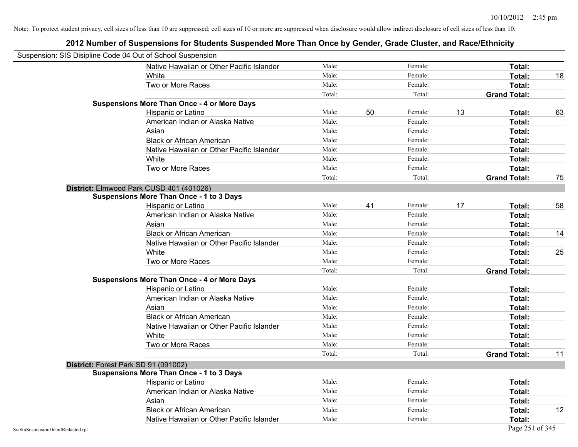| Suspension: SIS Disipline Code 04 Out of School Suspension |                                                    |        |    |         |    |                     |    |
|------------------------------------------------------------|----------------------------------------------------|--------|----|---------|----|---------------------|----|
|                                                            | Native Hawaiian or Other Pacific Islander          | Male:  |    | Female: |    | Total:              |    |
|                                                            | White                                              | Male:  |    | Female: |    | Total:              | 18 |
|                                                            | Two or More Races                                  | Male:  |    | Female: |    | Total:              |    |
|                                                            |                                                    | Total: |    | Total:  |    | <b>Grand Total:</b> |    |
|                                                            | <b>Suspensions More Than Once - 4 or More Days</b> |        |    |         |    |                     |    |
|                                                            | Hispanic or Latino                                 | Male:  | 50 | Female: | 13 | Total:              | 63 |
|                                                            | American Indian or Alaska Native                   | Male:  |    | Female: |    | Total:              |    |
|                                                            | Asian                                              | Male:  |    | Female: |    | Total:              |    |
|                                                            | <b>Black or African American</b>                   | Male:  |    | Female: |    | Total:              |    |
|                                                            | Native Hawaiian or Other Pacific Islander          | Male:  |    | Female: |    | Total:              |    |
|                                                            | White                                              | Male:  |    | Female: |    | Total:              |    |
|                                                            | Two or More Races                                  | Male:  |    | Female: |    | Total:              |    |
|                                                            |                                                    | Total: |    | Total:  |    | <b>Grand Total:</b> | 75 |
|                                                            | District: Elmwood Park CUSD 401 (401026)           |        |    |         |    |                     |    |
|                                                            | <b>Suspensions More Than Once - 1 to 3 Days</b>    |        |    |         |    |                     |    |
|                                                            | Hispanic or Latino                                 | Male:  | 41 | Female: | 17 | Total:              | 58 |
|                                                            | American Indian or Alaska Native                   | Male:  |    | Female: |    | Total:              |    |
|                                                            | Asian                                              | Male:  |    | Female: |    | Total:              |    |
|                                                            | <b>Black or African American</b>                   | Male:  |    | Female: |    | Total:              | 14 |
|                                                            | Native Hawaiian or Other Pacific Islander          | Male:  |    | Female: |    | Total:              |    |
|                                                            | White                                              | Male:  |    | Female: |    | Total:              | 25 |
|                                                            | Two or More Races                                  | Male:  |    | Female: |    | Total:              |    |
|                                                            |                                                    | Total: |    | Total:  |    | <b>Grand Total:</b> |    |
|                                                            | <b>Suspensions More Than Once - 4 or More Days</b> |        |    |         |    |                     |    |
|                                                            | Hispanic or Latino                                 | Male:  |    | Female: |    | Total:              |    |
|                                                            | American Indian or Alaska Native                   | Male:  |    | Female: |    | Total:              |    |
|                                                            | Asian                                              | Male:  |    | Female: |    | Total:              |    |
|                                                            | <b>Black or African American</b>                   | Male:  |    | Female: |    | Total:              |    |
|                                                            | Native Hawaiian or Other Pacific Islander          | Male:  |    | Female: |    | Total:              |    |
|                                                            | White                                              | Male:  |    | Female: |    | Total:              |    |
|                                                            | Two or More Races                                  | Male:  |    | Female: |    | Total:              |    |
|                                                            |                                                    | Total: |    | Total:  |    | <b>Grand Total:</b> | 11 |
|                                                            | District: Forest Park SD 91 (091002)               |        |    |         |    |                     |    |
|                                                            | <b>Suspensions More Than Once - 1 to 3 Days</b>    |        |    |         |    |                     |    |
|                                                            | Hispanic or Latino                                 | Male:  |    | Female: |    | Total:              |    |
|                                                            | American Indian or Alaska Native                   | Male:  |    | Female: |    | Total:              |    |
|                                                            | Asian                                              | Male:  |    | Female: |    | Total:              |    |
|                                                            | <b>Black or African American</b>                   | Male:  |    | Female: |    | Total:              | 12 |
|                                                            | Native Hawaiian or Other Pacific Islander          | Male:  |    | Female: |    | Total:              |    |
| SisStuSuspensionDetailRedacted.rpt                         |                                                    |        |    |         |    | Page 251 of 345     |    |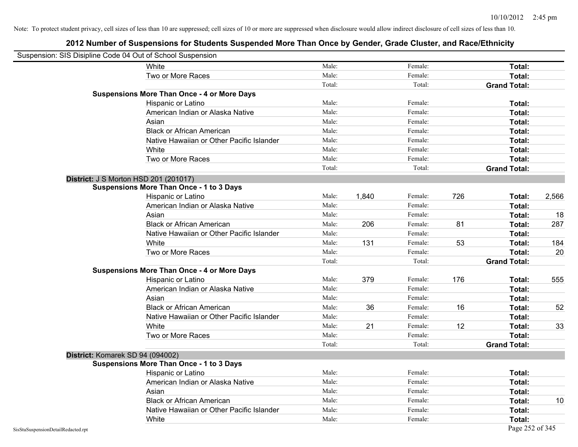|                                    | Suspension: SIS Disipline Code 04 Out of School Suspension |        |       |         |     |                     |       |
|------------------------------------|------------------------------------------------------------|--------|-------|---------|-----|---------------------|-------|
|                                    | White                                                      | Male:  |       | Female: |     | Total:              |       |
|                                    | Two or More Races                                          | Male:  |       | Female: |     | Total:              |       |
|                                    |                                                            | Total: |       | Total:  |     | <b>Grand Total:</b> |       |
|                                    | <b>Suspensions More Than Once - 4 or More Days</b>         |        |       |         |     |                     |       |
|                                    | Hispanic or Latino                                         | Male:  |       | Female: |     | Total:              |       |
|                                    | American Indian or Alaska Native                           | Male:  |       | Female: |     | Total:              |       |
|                                    | Asian                                                      | Male:  |       | Female: |     | Total:              |       |
|                                    | <b>Black or African American</b>                           | Male:  |       | Female: |     | Total:              |       |
|                                    | Native Hawaiian or Other Pacific Islander                  | Male:  |       | Female: |     | Total:              |       |
|                                    | White                                                      | Male:  |       | Female: |     | Total:              |       |
|                                    | Two or More Races                                          | Male:  |       | Female: |     | Total:              |       |
|                                    |                                                            | Total: |       | Total:  |     | <b>Grand Total:</b> |       |
|                                    | District: J S Morton HSD 201 (201017)                      |        |       |         |     |                     |       |
|                                    | <b>Suspensions More Than Once - 1 to 3 Days</b>            |        |       |         |     |                     |       |
|                                    | Hispanic or Latino                                         | Male:  | 1,840 | Female: | 726 | Total:              | 2,566 |
|                                    | American Indian or Alaska Native                           | Male:  |       | Female: |     | Total:              |       |
|                                    | Asian                                                      | Male:  |       | Female: |     | Total:              | 18    |
|                                    | <b>Black or African American</b>                           | Male:  | 206   | Female: | 81  | Total:              | 287   |
|                                    | Native Hawaiian or Other Pacific Islander                  | Male:  |       | Female: |     | Total:              |       |
|                                    | White                                                      | Male:  | 131   | Female: | 53  | Total:              | 184   |
|                                    | Two or More Races                                          | Male:  |       | Female: |     | Total:              | 20    |
|                                    |                                                            | Total: |       | Total:  |     | <b>Grand Total:</b> |       |
|                                    | <b>Suspensions More Than Once - 4 or More Days</b>         |        |       |         |     |                     |       |
|                                    | Hispanic or Latino                                         | Male:  | 379   | Female: | 176 | Total:              | 555   |
|                                    | American Indian or Alaska Native                           | Male:  |       | Female: |     | Total:              |       |
|                                    | Asian                                                      | Male:  |       | Female: |     | Total:              |       |
|                                    | <b>Black or African American</b>                           | Male:  | 36    | Female: | 16  | Total:              | 52    |
|                                    | Native Hawaiian or Other Pacific Islander                  | Male:  |       | Female: |     | Total:              |       |
|                                    | White                                                      | Male:  | 21    | Female: | 12  | Total:              | 33    |
|                                    | Two or More Races                                          | Male:  |       | Female: |     | Total:              |       |
|                                    |                                                            | Total: |       | Total:  |     | <b>Grand Total:</b> |       |
|                                    | District: Komarek SD 94 (094002)                           |        |       |         |     |                     |       |
|                                    | <b>Suspensions More Than Once - 1 to 3 Days</b>            |        |       |         |     |                     |       |
|                                    | Hispanic or Latino                                         | Male:  |       | Female: |     | Total:              |       |
|                                    | American Indian or Alaska Native                           | Male:  |       | Female: |     | Total:              |       |
|                                    | Asian                                                      | Male:  |       | Female: |     | Total:              |       |
|                                    | <b>Black or African American</b>                           | Male:  |       | Female: |     | Total:              | 10    |
|                                    | Native Hawaiian or Other Pacific Islander                  | Male:  |       | Female: |     | Total:              |       |
|                                    | White                                                      | Male:  |       | Female: |     | Total:              |       |
| SisStuSuspensionDetailRedacted.rpt |                                                            |        |       |         |     | Page 252 of 345     |       |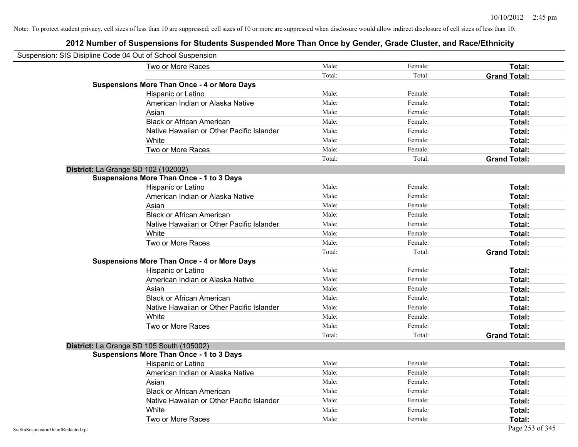| Suspension: SIS Disipline Code 04 Out of School Suspension |                                                    |        |         |                     |
|------------------------------------------------------------|----------------------------------------------------|--------|---------|---------------------|
|                                                            | Two or More Races                                  | Male:  | Female: | Total:              |
|                                                            |                                                    | Total: | Total:  | <b>Grand Total:</b> |
|                                                            | <b>Suspensions More Than Once - 4 or More Days</b> |        |         |                     |
|                                                            | Hispanic or Latino                                 | Male:  | Female: | Total:              |
|                                                            | American Indian or Alaska Native                   | Male:  | Female: | Total:              |
|                                                            | Asian                                              | Male:  | Female: | Total:              |
|                                                            | <b>Black or African American</b>                   | Male:  | Female: | Total:              |
|                                                            | Native Hawaiian or Other Pacific Islander          | Male:  | Female: | Total:              |
|                                                            | White                                              | Male:  | Female: | Total:              |
|                                                            | Two or More Races                                  | Male:  | Female: | Total:              |
|                                                            |                                                    | Total: | Total:  | <b>Grand Total:</b> |
|                                                            | <b>District:</b> La Grange SD 102 (102002)         |        |         |                     |
|                                                            | <b>Suspensions More Than Once - 1 to 3 Days</b>    |        |         |                     |
|                                                            | Hispanic or Latino                                 | Male:  | Female: | Total:              |
|                                                            | American Indian or Alaska Native                   | Male:  | Female: | Total:              |
|                                                            | Asian                                              | Male:  | Female: | Total:              |
|                                                            | <b>Black or African American</b>                   | Male:  | Female: | Total:              |
|                                                            | Native Hawaiian or Other Pacific Islander          | Male:  | Female: | Total:              |
|                                                            | White                                              | Male:  | Female: | Total:              |
|                                                            | Two or More Races                                  | Male:  | Female: | Total:              |
|                                                            |                                                    | Total: | Total:  | <b>Grand Total:</b> |
|                                                            | <b>Suspensions More Than Once - 4 or More Days</b> |        |         |                     |
|                                                            | Hispanic or Latino                                 | Male:  | Female: | Total:              |
|                                                            | American Indian or Alaska Native                   | Male:  | Female: | Total:              |
|                                                            | Asian                                              | Male:  | Female: | Total:              |
|                                                            | <b>Black or African American</b>                   | Male:  | Female: | Total:              |
|                                                            | Native Hawaiian or Other Pacific Islander          | Male:  | Female: | Total:              |
|                                                            | White                                              | Male:  | Female: | Total:              |
|                                                            | Two or More Races                                  | Male:  | Female: | Total:              |
|                                                            |                                                    | Total: | Total:  | <b>Grand Total:</b> |
|                                                            | District: La Grange SD 105 South (105002)          |        |         |                     |
|                                                            | <b>Suspensions More Than Once - 1 to 3 Days</b>    |        |         |                     |
|                                                            | Hispanic or Latino                                 | Male:  | Female: | Total:              |
|                                                            | American Indian or Alaska Native                   | Male:  | Female: | Total:              |
|                                                            | Asian                                              | Male:  | Female: | Total:              |
|                                                            | <b>Black or African American</b>                   | Male:  | Female: | Total:              |
|                                                            | Native Hawaiian or Other Pacific Islander          | Male:  | Female: | Total:              |
|                                                            | White                                              | Male:  | Female: | Total:              |
|                                                            | Two or More Races                                  | Male:  | Female: | Total:              |
| SisStuSuspensionDetailRedacted.rpt                         |                                                    |        |         | Page 253 of 345     |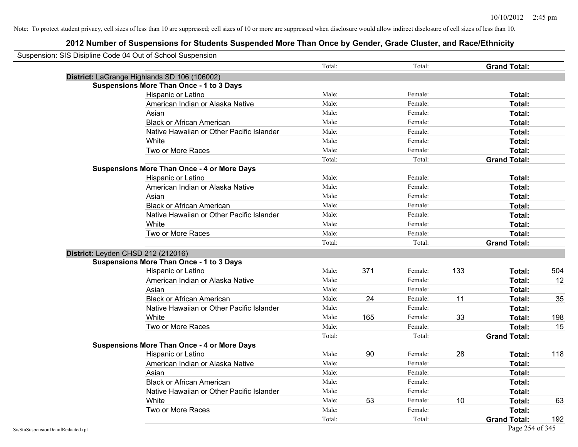|                                    | Suspension: SIS Disipline Code 04 Out of School Suspension |        |     |         |     |                     |     |
|------------------------------------|------------------------------------------------------------|--------|-----|---------|-----|---------------------|-----|
|                                    |                                                            | Total: |     | Total:  |     | <b>Grand Total:</b> |     |
|                                    | District: LaGrange Highlands SD 106 (106002)               |        |     |         |     |                     |     |
|                                    | <b>Suspensions More Than Once - 1 to 3 Days</b>            |        |     |         |     |                     |     |
|                                    | Hispanic or Latino                                         | Male:  |     | Female: |     | Total:              |     |
|                                    | American Indian or Alaska Native                           | Male:  |     | Female: |     | Total:              |     |
|                                    | Asian                                                      | Male:  |     | Female: |     | Total:              |     |
|                                    | <b>Black or African American</b>                           | Male:  |     | Female: |     | Total:              |     |
|                                    | Native Hawaiian or Other Pacific Islander                  | Male:  |     | Female: |     | Total:              |     |
|                                    | White                                                      | Male:  |     | Female: |     | Total:              |     |
|                                    | Two or More Races                                          | Male:  |     | Female: |     | Total:              |     |
|                                    |                                                            | Total: |     | Total:  |     | <b>Grand Total:</b> |     |
|                                    | <b>Suspensions More Than Once - 4 or More Days</b>         |        |     |         |     |                     |     |
|                                    | Hispanic or Latino                                         | Male:  |     | Female: |     | Total:              |     |
|                                    | American Indian or Alaska Native                           | Male:  |     | Female: |     | Total:              |     |
|                                    | Asian                                                      | Male:  |     | Female: |     | Total:              |     |
|                                    | <b>Black or African American</b>                           | Male:  |     | Female: |     | Total:              |     |
|                                    | Native Hawaiian or Other Pacific Islander                  | Male:  |     | Female: |     | Total:              |     |
|                                    | White                                                      | Male:  |     | Female: |     | Total:              |     |
|                                    | Two or More Races                                          | Male:  |     | Female: |     | Total:              |     |
|                                    |                                                            | Total: |     | Total:  |     | <b>Grand Total:</b> |     |
|                                    | District: Leyden CHSD 212 (212016)                         |        |     |         |     |                     |     |
|                                    | <b>Suspensions More Than Once - 1 to 3 Days</b>            |        |     |         |     |                     |     |
|                                    | Hispanic or Latino                                         | Male:  | 371 | Female: | 133 | Total:              | 504 |
|                                    | American Indian or Alaska Native                           | Male:  |     | Female: |     | Total:              | 12  |
|                                    | Asian                                                      | Male:  |     | Female: |     | Total:              |     |
|                                    | <b>Black or African American</b>                           | Male:  | 24  | Female: | 11  | Total:              | 35  |
|                                    | Native Hawaiian or Other Pacific Islander                  | Male:  |     | Female: |     | Total:              |     |
|                                    | White                                                      | Male:  | 165 | Female: | 33  | Total:              | 198 |
|                                    | Two or More Races                                          | Male:  |     | Female: |     | Total:              | 15  |
|                                    |                                                            | Total: |     | Total:  |     | <b>Grand Total:</b> |     |
|                                    | <b>Suspensions More Than Once - 4 or More Days</b>         |        |     |         |     |                     |     |
|                                    | Hispanic or Latino                                         | Male:  | 90  | Female: | 28  | Total:              | 118 |
|                                    | American Indian or Alaska Native                           | Male:  |     | Female: |     | Total:              |     |
|                                    | Asian                                                      | Male:  |     | Female: |     | Total:              |     |
|                                    | <b>Black or African American</b>                           | Male:  |     | Female: |     | Total:              |     |
|                                    | Native Hawaiian or Other Pacific Islander                  | Male:  |     | Female: |     | Total:              |     |
|                                    | White                                                      | Male:  | 53  | Female: | 10  | Total:              | 63  |
|                                    | Two or More Races                                          | Male:  |     | Female: |     | Total:              |     |
|                                    |                                                            | Total: |     | Total:  |     | <b>Grand Total:</b> | 192 |
| SisStuSuspensionDetailRedacted.rpt |                                                            |        |     |         |     | Page 254 of 345     |     |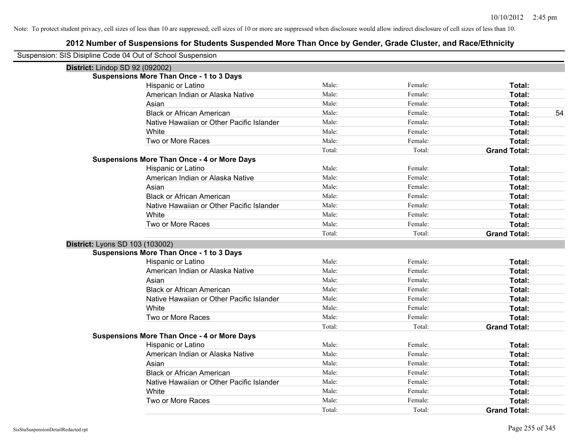| Suspension: SIS Disipline Code 04 Out of School Suspension |                                                    |        |         |                     |
|------------------------------------------------------------|----------------------------------------------------|--------|---------|---------------------|
| District: Lindop SD 92 (092002)                            |                                                    |        |         |                     |
|                                                            | <b>Suspensions More Than Once - 1 to 3 Days</b>    |        |         |                     |
|                                                            | Hispanic or Latino                                 | Male:  | Female: | Total:              |
|                                                            | American Indian or Alaska Native                   | Male:  | Female: | Total:              |
|                                                            | Asian                                              | Male:  | Female: | Total:              |
|                                                            | <b>Black or African American</b>                   | Male:  | Female: | Total:<br>54        |
|                                                            | Native Hawaiian or Other Pacific Islander          | Male:  | Female: | Total:              |
|                                                            | White                                              | Male:  | Female: | Total:              |
|                                                            | Two or More Races                                  | Male:  | Female: | Total:              |
|                                                            |                                                    | Total: | Total:  | <b>Grand Total:</b> |
|                                                            | <b>Suspensions More Than Once - 4 or More Days</b> |        |         |                     |
|                                                            | Hispanic or Latino                                 | Male:  | Female: | Total:              |
|                                                            | American Indian or Alaska Native                   | Male:  | Female: | Total:              |
|                                                            | Asian                                              | Male:  | Female: | Total:              |
|                                                            | <b>Black or African American</b>                   | Male:  | Female: | Total:              |
|                                                            | Native Hawaiian or Other Pacific Islander          | Male:  | Female: | Total:              |
|                                                            | White                                              | Male:  | Female: | Total:              |
|                                                            | Two or More Races                                  | Male:  | Female: | Total:              |
|                                                            |                                                    | Total: | Total:  | <b>Grand Total:</b> |
| District: Lyons SD 103 (103002)                            |                                                    |        |         |                     |
|                                                            | <b>Suspensions More Than Once - 1 to 3 Days</b>    |        |         |                     |
|                                                            | Hispanic or Latino                                 | Male:  | Female: | Total:              |
|                                                            | American Indian or Alaska Native                   | Male:  | Female: | Total:              |
|                                                            | Asian                                              | Male:  | Female: | Total:              |
|                                                            | <b>Black or African American</b>                   | Male:  | Female: | Total:              |
|                                                            | Native Hawaiian or Other Pacific Islander          | Male:  | Female: | <b>Total:</b>       |
|                                                            | White                                              | Male:  | Female: | Total:              |
|                                                            | Two or More Races                                  | Male:  | Female: | Total:              |
|                                                            |                                                    | Total: | Total:  | <b>Grand Total:</b> |
|                                                            | <b>Suspensions More Than Once - 4 or More Days</b> |        |         |                     |
|                                                            | Hispanic or Latino                                 | Male:  | Female: | Total:              |
|                                                            | American Indian or Alaska Native                   | Male:  | Female: | Total:              |
|                                                            | Asian                                              | Male:  | Female: | Total:              |
|                                                            | <b>Black or African American</b>                   | Male:  | Female: | Total:              |
|                                                            | Native Hawaiian or Other Pacific Islander          | Male:  | Female: | Total:              |
|                                                            | White                                              | Male:  | Female: | Total:              |
|                                                            | Two or More Races                                  | Male:  | Female: | Total:              |
|                                                            |                                                    | Total: | Total:  | <b>Grand Total:</b> |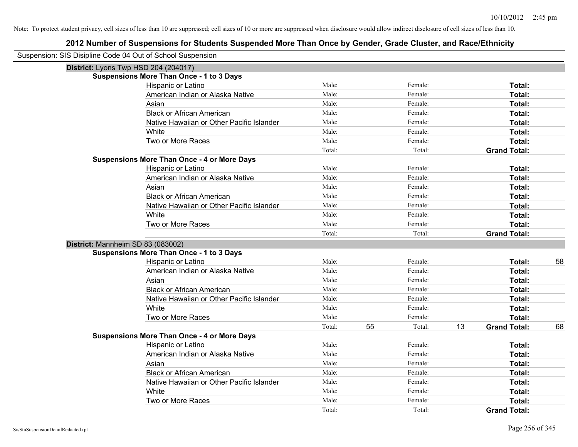| Suspension: SIS Disipline Code 04 Out of School Suspension |                                                    |        |              |                           |    |
|------------------------------------------------------------|----------------------------------------------------|--------|--------------|---------------------------|----|
| District: Lyons Twp HSD 204 (204017)                       |                                                    |        |              |                           |    |
|                                                            | <b>Suspensions More Than Once - 1 to 3 Days</b>    |        |              |                           |    |
|                                                            | Hispanic or Latino                                 | Male:  | Female:      | Total:                    |    |
|                                                            | American Indian or Alaska Native                   | Male:  | Female:      | Total:                    |    |
|                                                            | Asian                                              | Male:  | Female:      | Total:                    |    |
|                                                            | <b>Black or African American</b>                   | Male:  | Female:      | Total:                    |    |
|                                                            | Native Hawaiian or Other Pacific Islander          | Male:  | Female:      | Total:                    |    |
|                                                            | White                                              | Male:  | Female:      | Total:                    |    |
|                                                            | Two or More Races                                  | Male:  | Female:      | Total:                    |    |
|                                                            |                                                    | Total: | Total:       | <b>Grand Total:</b>       |    |
|                                                            | <b>Suspensions More Than Once - 4 or More Days</b> |        |              |                           |    |
|                                                            | Hispanic or Latino                                 | Male:  | Female:      | Total:                    |    |
|                                                            | American Indian or Alaska Native                   | Male:  | Female:      | Total:                    |    |
|                                                            | Asian                                              | Male:  | Female:      | Total:                    |    |
|                                                            | <b>Black or African American</b>                   | Male:  | Female:      | Total:                    |    |
|                                                            | Native Hawaiian or Other Pacific Islander          | Male:  | Female:      | Total:                    |    |
|                                                            | White                                              | Male:  | Female:      | Total:                    |    |
|                                                            | Two or More Races                                  | Male:  | Female:      | Total:                    |    |
|                                                            |                                                    | Total: | Total:       | <b>Grand Total:</b>       |    |
| District: Mannheim SD 83 (083002)                          |                                                    |        |              |                           |    |
|                                                            | <b>Suspensions More Than Once - 1 to 3 Days</b>    |        |              |                           |    |
|                                                            | Hispanic or Latino                                 | Male:  | Female:      | Total:                    | 58 |
|                                                            | American Indian or Alaska Native                   | Male:  | Female:      | Total:                    |    |
|                                                            | Asian                                              | Male:  | Female:      | Total:                    |    |
|                                                            | <b>Black or African American</b>                   | Male:  | Female:      | Total:                    |    |
|                                                            | Native Hawaiian or Other Pacific Islander          | Male:  | Female:      | Total:                    |    |
|                                                            | White                                              | Male:  | Female:      | Total:                    |    |
|                                                            | Two or More Races                                  | Male:  | Female:      | Total:                    |    |
|                                                            |                                                    | Total: | 55<br>Total: | 13<br><b>Grand Total:</b> | 68 |
|                                                            | <b>Suspensions More Than Once - 4 or More Days</b> |        |              |                           |    |
|                                                            | Hispanic or Latino                                 | Male:  | Female:      | Total:                    |    |
|                                                            | American Indian or Alaska Native                   | Male:  | Female:      | Total:                    |    |
|                                                            | Asian                                              | Male:  | Female:      | Total:                    |    |
|                                                            | <b>Black or African American</b>                   | Male:  | Female:      | Total:                    |    |
|                                                            | Native Hawaiian or Other Pacific Islander          | Male:  | Female:      | Total:                    |    |
|                                                            | White                                              | Male:  | Female:      | Total:                    |    |
|                                                            | Two or More Races                                  | Male:  | Female:      | Total:                    |    |
|                                                            |                                                    | Total: | Total:       | <b>Grand Total:</b>       |    |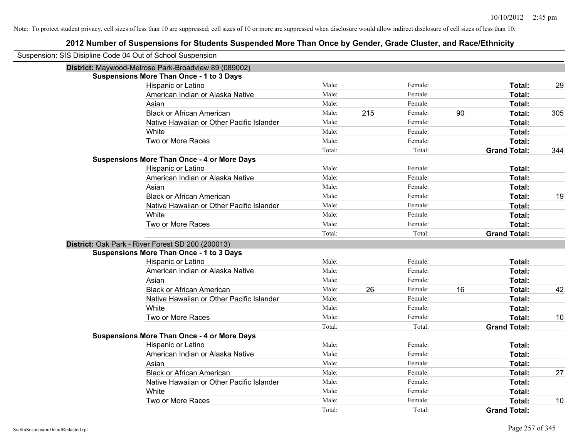| Suspension: SIS Disipline Code 04 Out of School Suspension |                                                      |        |     |         |    |                     |     |
|------------------------------------------------------------|------------------------------------------------------|--------|-----|---------|----|---------------------|-----|
|                                                            | District: Maywood-Melrose Park-Broadview 89 (089002) |        |     |         |    |                     |     |
|                                                            | <b>Suspensions More Than Once - 1 to 3 Days</b>      |        |     |         |    |                     |     |
|                                                            | Hispanic or Latino                                   | Male:  |     | Female: |    | Total:              | 29  |
|                                                            | American Indian or Alaska Native                     | Male:  |     | Female: |    | Total:              |     |
|                                                            | Asian                                                | Male:  |     | Female: |    | Total:              |     |
|                                                            | <b>Black or African American</b>                     | Male:  | 215 | Female: | 90 | Total:              | 305 |
|                                                            | Native Hawaiian or Other Pacific Islander            | Male:  |     | Female: |    | Total:              |     |
|                                                            | White                                                | Male:  |     | Female: |    | Total:              |     |
|                                                            | Two or More Races                                    | Male:  |     | Female: |    | Total:              |     |
|                                                            |                                                      | Total: |     | Total:  |    | <b>Grand Total:</b> | 344 |
|                                                            | <b>Suspensions More Than Once - 4 or More Days</b>   |        |     |         |    |                     |     |
|                                                            | Hispanic or Latino                                   | Male:  |     | Female: |    | Total:              |     |
|                                                            | American Indian or Alaska Native                     | Male:  |     | Female: |    | Total:              |     |
|                                                            | Asian                                                | Male:  |     | Female: |    | Total:              |     |
|                                                            | <b>Black or African American</b>                     | Male:  |     | Female: |    | Total:              | 19  |
|                                                            | Native Hawaiian or Other Pacific Islander            | Male:  |     | Female: |    | <b>Total:</b>       |     |
|                                                            | White                                                | Male:  |     | Female: |    | Total:              |     |
|                                                            | Two or More Races                                    | Male:  |     | Female: |    | Total:              |     |
|                                                            |                                                      | Total: |     | Total:  |    | <b>Grand Total:</b> |     |
|                                                            | District: Oak Park - River Forest SD 200 (200013)    |        |     |         |    |                     |     |
|                                                            | <b>Suspensions More Than Once - 1 to 3 Days</b>      |        |     |         |    |                     |     |
|                                                            | Hispanic or Latino                                   | Male:  |     | Female: |    | Total:              |     |
|                                                            | American Indian or Alaska Native                     | Male:  |     | Female: |    | Total:              |     |
|                                                            | Asian                                                | Male:  |     | Female: |    | Total:              |     |
|                                                            | <b>Black or African American</b>                     | Male:  | 26  | Female: | 16 | Total:              | 42  |
|                                                            | Native Hawaiian or Other Pacific Islander            | Male:  |     | Female: |    | Total:              |     |
|                                                            | White                                                | Male:  |     | Female: |    | Total:              |     |
|                                                            | Two or More Races                                    | Male:  |     | Female: |    | Total:              | 10  |
|                                                            |                                                      | Total: |     | Total:  |    | <b>Grand Total:</b> |     |
|                                                            | <b>Suspensions More Than Once - 4 or More Days</b>   |        |     |         |    |                     |     |
|                                                            | Hispanic or Latino                                   | Male:  |     | Female: |    | Total:              |     |
|                                                            | American Indian or Alaska Native                     | Male:  |     | Female: |    | Total:              |     |
|                                                            | Asian                                                | Male:  |     | Female: |    | Total:              |     |
|                                                            | <b>Black or African American</b>                     | Male:  |     | Female: |    | Total:              | 27  |
|                                                            | Native Hawaiian or Other Pacific Islander            | Male:  |     | Female: |    | Total:              |     |
|                                                            | White                                                | Male:  |     | Female: |    | Total:              |     |
|                                                            | Two or More Races                                    | Male:  |     | Female: |    | <b>Total:</b>       | 10  |
|                                                            |                                                      | Total: |     | Total:  |    | <b>Grand Total:</b> |     |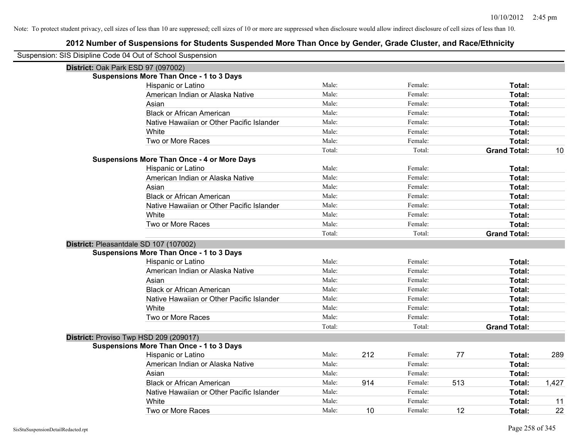| Suspension: SIS Disipline Code 04 Out of School Suspension |                                                    |        |     |         |     |                     |       |
|------------------------------------------------------------|----------------------------------------------------|--------|-----|---------|-----|---------------------|-------|
| District: Oak Park ESD 97 (097002)                         |                                                    |        |     |         |     |                     |       |
|                                                            | <b>Suspensions More Than Once - 1 to 3 Days</b>    |        |     |         |     |                     |       |
|                                                            | Hispanic or Latino                                 | Male:  |     | Female: |     | Total:              |       |
|                                                            | American Indian or Alaska Native                   | Male:  |     | Female: |     | Total:              |       |
|                                                            | Asian                                              | Male:  |     | Female: |     | Total:              |       |
|                                                            | <b>Black or African American</b>                   | Male:  |     | Female: |     | Total:              |       |
|                                                            | Native Hawaiian or Other Pacific Islander          | Male:  |     | Female: |     | Total:              |       |
|                                                            | White                                              | Male:  |     | Female: |     | Total:              |       |
|                                                            | Two or More Races                                  | Male:  |     | Female: |     | Total:              |       |
|                                                            |                                                    | Total: |     | Total:  |     | <b>Grand Total:</b> | 10    |
|                                                            | <b>Suspensions More Than Once - 4 or More Days</b> |        |     |         |     |                     |       |
|                                                            | Hispanic or Latino                                 | Male:  |     | Female: |     | Total:              |       |
|                                                            | American Indian or Alaska Native                   | Male:  |     | Female: |     | Total:              |       |
|                                                            | Asian                                              | Male:  |     | Female: |     | Total:              |       |
|                                                            | <b>Black or African American</b>                   | Male:  |     | Female: |     | Total:              |       |
|                                                            | Native Hawaiian or Other Pacific Islander          | Male:  |     | Female: |     | Total:              |       |
|                                                            | White                                              | Male:  |     | Female: |     | Total:              |       |
|                                                            | Two or More Races                                  | Male:  |     | Female: |     | Total:              |       |
|                                                            |                                                    | Total: |     | Total:  |     | <b>Grand Total:</b> |       |
| District: Pleasantdale SD 107 (107002)                     |                                                    |        |     |         |     |                     |       |
|                                                            | <b>Suspensions More Than Once - 1 to 3 Days</b>    |        |     |         |     |                     |       |
|                                                            | Hispanic or Latino                                 | Male:  |     | Female: |     | Total:              |       |
|                                                            | American Indian or Alaska Native                   | Male:  |     | Female: |     | Total:              |       |
|                                                            | Asian                                              | Male:  |     | Female: |     | Total:              |       |
|                                                            | <b>Black or African American</b>                   | Male:  |     | Female: |     | Total:              |       |
|                                                            | Native Hawaiian or Other Pacific Islander          | Male:  |     | Female: |     | Total:              |       |
|                                                            | White                                              | Male:  |     | Female: |     | Total:              |       |
|                                                            | Two or More Races                                  | Male:  |     | Female: |     | Total:              |       |
|                                                            |                                                    | Total: |     | Total:  |     | <b>Grand Total:</b> |       |
| District: Proviso Twp HSD 209 (209017)                     |                                                    |        |     |         |     |                     |       |
|                                                            | <b>Suspensions More Than Once - 1 to 3 Days</b>    |        |     |         |     |                     |       |
|                                                            | Hispanic or Latino                                 | Male:  | 212 | Female: | 77  | Total:              | 289   |
|                                                            | American Indian or Alaska Native                   | Male:  |     | Female: |     | Total:              |       |
|                                                            | Asian                                              | Male:  |     | Female: |     | Total:              |       |
|                                                            | <b>Black or African American</b>                   | Male:  | 914 | Female: | 513 | Total:              | 1,427 |
|                                                            | Native Hawaiian or Other Pacific Islander          | Male:  |     | Female: |     | Total:              |       |
|                                                            | White                                              | Male:  |     | Female: |     | Total:              | 11    |
|                                                            | Two or More Races                                  | Male:  | 10  | Female: | 12  | Total:              | 22    |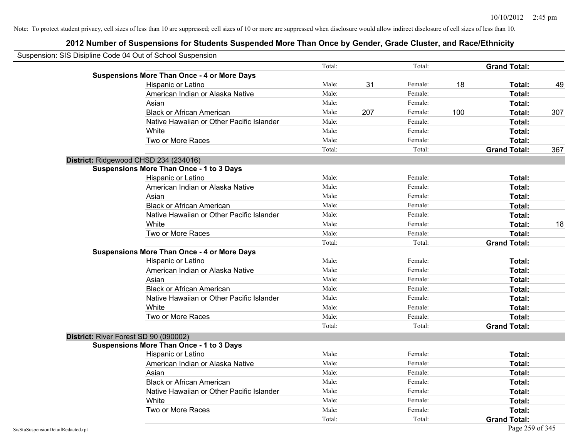| Suspension: SIS Disipline Code 04 Out of School Suspension |                                                    |        |     |         |     |                     |     |
|------------------------------------------------------------|----------------------------------------------------|--------|-----|---------|-----|---------------------|-----|
|                                                            |                                                    | Total: |     | Total:  |     | <b>Grand Total:</b> |     |
|                                                            | <b>Suspensions More Than Once - 4 or More Days</b> |        |     |         |     |                     |     |
|                                                            | Hispanic or Latino                                 | Male:  | 31  | Female: | 18  | Total:              | 49  |
|                                                            | American Indian or Alaska Native                   | Male:  |     | Female: |     | Total:              |     |
|                                                            | Asian                                              | Male:  |     | Female: |     | Total:              |     |
|                                                            | <b>Black or African American</b>                   | Male:  | 207 | Female: | 100 | Total:              | 307 |
|                                                            | Native Hawaiian or Other Pacific Islander          | Male:  |     | Female: |     | Total:              |     |
|                                                            | White                                              | Male:  |     | Female: |     | Total:              |     |
|                                                            | Two or More Races                                  | Male:  |     | Female: |     | Total:              |     |
|                                                            |                                                    | Total: |     | Total:  |     | <b>Grand Total:</b> | 367 |
|                                                            | District: Ridgewood CHSD 234 (234016)              |        |     |         |     |                     |     |
|                                                            | <b>Suspensions More Than Once - 1 to 3 Days</b>    |        |     |         |     |                     |     |
|                                                            | Hispanic or Latino                                 | Male:  |     | Female: |     | Total:              |     |
|                                                            | American Indian or Alaska Native                   | Male:  |     | Female: |     | Total:              |     |
|                                                            | Asian                                              | Male:  |     | Female: |     | Total:              |     |
|                                                            | <b>Black or African American</b>                   | Male:  |     | Female: |     | Total:              |     |
|                                                            | Native Hawaiian or Other Pacific Islander          | Male:  |     | Female: |     | Total:              |     |
|                                                            | White                                              | Male:  |     | Female: |     | Total:              | 18  |
|                                                            | Two or More Races                                  | Male:  |     | Female: |     | Total:              |     |
|                                                            |                                                    | Total: |     | Total:  |     | <b>Grand Total:</b> |     |
|                                                            | <b>Suspensions More Than Once - 4 or More Days</b> |        |     |         |     |                     |     |
|                                                            | Hispanic or Latino                                 | Male:  |     | Female: |     | Total:              |     |
|                                                            | American Indian or Alaska Native                   | Male:  |     | Female: |     | Total:              |     |
|                                                            | Asian                                              | Male:  |     | Female: |     | Total:              |     |
|                                                            | <b>Black or African American</b>                   | Male:  |     | Female: |     | Total:              |     |
|                                                            | Native Hawaiian or Other Pacific Islander          | Male:  |     | Female: |     | Total:              |     |
|                                                            | White                                              | Male:  |     | Female: |     | Total:              |     |
|                                                            | Two or More Races                                  | Male:  |     | Female: |     | Total:              |     |
|                                                            |                                                    | Total: |     | Total:  |     | <b>Grand Total:</b> |     |
|                                                            | District: River Forest SD 90 (090002)              |        |     |         |     |                     |     |
|                                                            | <b>Suspensions More Than Once - 1 to 3 Days</b>    |        |     |         |     |                     |     |
|                                                            | Hispanic or Latino                                 | Male:  |     | Female: |     | Total:              |     |
|                                                            | American Indian or Alaska Native                   | Male:  |     | Female: |     | Total:              |     |
|                                                            | Asian                                              | Male:  |     | Female: |     | Total:              |     |
|                                                            | <b>Black or African American</b>                   | Male:  |     | Female: |     | Total:              |     |
|                                                            | Native Hawaiian or Other Pacific Islander          | Male:  |     | Female: |     | Total:              |     |
|                                                            | White                                              | Male:  |     | Female: |     | Total:              |     |
|                                                            | Two or More Races                                  | Male:  |     | Female: |     | Total:              |     |
|                                                            |                                                    | Total: |     | Total:  |     | <b>Grand Total:</b> |     |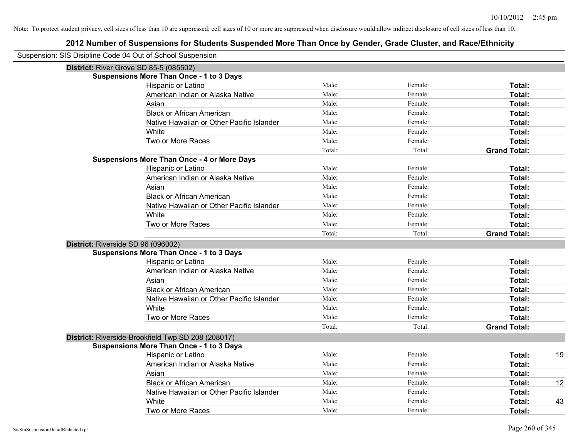| Suspension: SIS Disipline Code 04 Out of School Suspension |                                                    |        |         |                     |    |
|------------------------------------------------------------|----------------------------------------------------|--------|---------|---------------------|----|
| <b>District: River Grove SD 85-5 (085502)</b>              |                                                    |        |         |                     |    |
|                                                            | <b>Suspensions More Than Once - 1 to 3 Days</b>    |        |         |                     |    |
|                                                            | Hispanic or Latino                                 | Male:  | Female: | Total:              |    |
|                                                            | American Indian or Alaska Native                   | Male:  | Female: | Total:              |    |
|                                                            | Asian                                              | Male:  | Female: | Total:              |    |
|                                                            | <b>Black or African American</b>                   | Male:  | Female: | Total:              |    |
|                                                            | Native Hawaiian or Other Pacific Islander          | Male:  | Female: | Total:              |    |
|                                                            | White                                              | Male:  | Female: | Total:              |    |
|                                                            | Two or More Races                                  | Male:  | Female: | Total:              |    |
|                                                            |                                                    | Total: | Total:  | <b>Grand Total:</b> |    |
|                                                            | <b>Suspensions More Than Once - 4 or More Days</b> |        |         |                     |    |
|                                                            | Hispanic or Latino                                 | Male:  | Female: | Total:              |    |
|                                                            | American Indian or Alaska Native                   | Male:  | Female: | Total:              |    |
|                                                            | Asian                                              | Male:  | Female: | Total:              |    |
|                                                            | <b>Black or African American</b>                   | Male:  | Female: | Total:              |    |
|                                                            | Native Hawaiian or Other Pacific Islander          | Male:  | Female: | Total:              |    |
|                                                            | White                                              | Male:  | Female: | Total:              |    |
|                                                            | Two or More Races                                  | Male:  | Female: | Total:              |    |
|                                                            |                                                    | Total: | Total:  | <b>Grand Total:</b> |    |
| District: Riverside SD 96 (096002)                         |                                                    |        |         |                     |    |
|                                                            | <b>Suspensions More Than Once - 1 to 3 Days</b>    |        |         |                     |    |
|                                                            | Hispanic or Latino                                 | Male:  | Female: | Total:              |    |
|                                                            | American Indian or Alaska Native                   | Male:  | Female: | Total:              |    |
|                                                            | Asian                                              | Male:  | Female: | Total:              |    |
|                                                            | <b>Black or African American</b>                   | Male:  | Female: | Total:              |    |
|                                                            | Native Hawaiian or Other Pacific Islander          | Male:  | Female: | Total:              |    |
|                                                            | White                                              | Male:  | Female: | Total:              |    |
|                                                            | Two or More Races                                  | Male:  | Female: | Total:              |    |
|                                                            |                                                    | Total: | Total:  | <b>Grand Total:</b> |    |
|                                                            | District: Riverside-Brookfield Twp SD 208 (208017) |        |         |                     |    |
|                                                            | <b>Suspensions More Than Once - 1 to 3 Days</b>    |        |         |                     |    |
|                                                            | Hispanic or Latino                                 | Male:  | Female: | Total:              | 19 |
|                                                            | American Indian or Alaska Native                   | Male:  | Female: | Total:              |    |
|                                                            | Asian                                              | Male:  | Female: | Total:              |    |
|                                                            | <b>Black or African American</b>                   | Male:  | Female: | Total:              | 12 |
|                                                            | Native Hawaiian or Other Pacific Islander          | Male:  | Female: | Total:              |    |
|                                                            | White                                              | Male:  | Female: | Total:              | 43 |
|                                                            | Two or More Races                                  | Male:  | Female: | Total:              |    |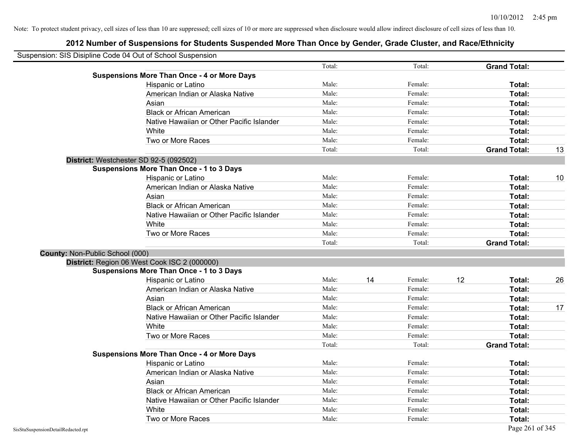|                                 | Suspension: SIS Disipline Code 04 Out of School Suspension |        |    |         |    |                     |    |
|---------------------------------|------------------------------------------------------------|--------|----|---------|----|---------------------|----|
|                                 |                                                            | Total: |    | Total:  |    | <b>Grand Total:</b> |    |
|                                 | <b>Suspensions More Than Once - 4 or More Days</b>         |        |    |         |    |                     |    |
|                                 | Hispanic or Latino                                         | Male:  |    | Female: |    | Total:              |    |
|                                 | American Indian or Alaska Native                           | Male:  |    | Female: |    | Total:              |    |
|                                 | Asian                                                      | Male:  |    | Female: |    | Total:              |    |
|                                 | <b>Black or African American</b>                           | Male:  |    | Female: |    | Total:              |    |
|                                 | Native Hawaiian or Other Pacific Islander                  | Male:  |    | Female: |    | Total:              |    |
|                                 | White                                                      | Male:  |    | Female: |    | Total:              |    |
|                                 | Two or More Races                                          | Male:  |    | Female: |    | Total:              |    |
|                                 |                                                            | Total: |    | Total:  |    | <b>Grand Total:</b> | 13 |
|                                 | District: Westchester SD 92-5 (092502)                     |        |    |         |    |                     |    |
|                                 | <b>Suspensions More Than Once - 1 to 3 Days</b>            |        |    |         |    |                     |    |
|                                 | Hispanic or Latino                                         | Male:  |    | Female: |    | Total:              | 10 |
|                                 | American Indian or Alaska Native                           | Male:  |    | Female: |    | Total:              |    |
|                                 | Asian                                                      | Male:  |    | Female: |    | Total:              |    |
|                                 | <b>Black or African American</b>                           | Male:  |    | Female: |    | Total:              |    |
|                                 | Native Hawaiian or Other Pacific Islander                  | Male:  |    | Female: |    | Total:              |    |
|                                 | White                                                      | Male:  |    | Female: |    | Total:              |    |
|                                 | Two or More Races                                          | Male:  |    | Female: |    | Total:              |    |
|                                 |                                                            | Total: |    | Total:  |    | <b>Grand Total:</b> |    |
| County: Non-Public School (000) |                                                            |        |    |         |    |                     |    |
|                                 | District: Region 06 West Cook ISC 2 (000000)               |        |    |         |    |                     |    |
|                                 | <b>Suspensions More Than Once - 1 to 3 Days</b>            |        |    |         |    |                     |    |
|                                 | Hispanic or Latino                                         | Male:  | 14 | Female: | 12 | Total:              | 26 |
|                                 | American Indian or Alaska Native                           | Male:  |    | Female: |    | <b>Total:</b>       |    |
|                                 | Asian                                                      | Male:  |    | Female: |    | Total:              |    |
|                                 | <b>Black or African American</b>                           | Male:  |    | Female: |    | Total:              | 17 |
|                                 | Native Hawaiian or Other Pacific Islander                  | Male:  |    | Female: |    | Total:              |    |
|                                 | White                                                      | Male:  |    | Female: |    | Total:              |    |
|                                 | Two or More Races                                          | Male:  |    | Female: |    | Total:              |    |
|                                 |                                                            | Total: |    | Total:  |    | <b>Grand Total:</b> |    |
|                                 | <b>Suspensions More Than Once - 4 or More Days</b>         |        |    |         |    |                     |    |
|                                 | Hispanic or Latino                                         | Male:  |    | Female: |    | Total:              |    |
|                                 | American Indian or Alaska Native                           | Male:  |    | Female: |    | Total:              |    |
|                                 | Asian                                                      | Male:  |    | Female: |    | Total:              |    |
|                                 | <b>Black or African American</b>                           | Male:  |    | Female: |    | Total:              |    |
|                                 | Native Hawaiian or Other Pacific Islander                  | Male:  |    | Female: |    | Total:              |    |
|                                 | White                                                      | Male:  |    | Female: |    | <b>Total:</b>       |    |
|                                 | Two or More Races                                          | Male:  |    | Female: |    | Total:              |    |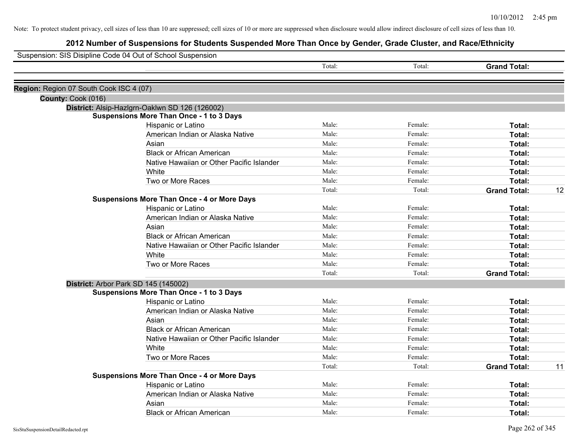| Suspension: SIS Disipline Code 04 Out of School Suspension |                                                    |        |         |                     |    |
|------------------------------------------------------------|----------------------------------------------------|--------|---------|---------------------|----|
|                                                            |                                                    | Total: | Total:  | <b>Grand Total:</b> |    |
| Region: Region 07 South Cook ISC 4 (07)                    |                                                    |        |         |                     |    |
| County: Cook (016)                                         |                                                    |        |         |                     |    |
|                                                            | District: Alsip-Hazlgrn-Oaklwn SD 126 (126002)     |        |         |                     |    |
|                                                            | <b>Suspensions More Than Once - 1 to 3 Days</b>    |        |         |                     |    |
|                                                            | Hispanic or Latino                                 | Male:  | Female: | Total:              |    |
|                                                            | American Indian or Alaska Native                   | Male:  | Female: | Total:              |    |
|                                                            | Asian                                              | Male:  | Female: | Total:              |    |
|                                                            | <b>Black or African American</b>                   | Male:  | Female: | Total:              |    |
|                                                            | Native Hawaiian or Other Pacific Islander          | Male:  | Female: | Total:              |    |
|                                                            | White                                              | Male:  | Female: | Total:              |    |
|                                                            | Two or More Races                                  | Male:  | Female: | Total:              |    |
|                                                            |                                                    | Total: | Total:  | <b>Grand Total:</b> | 12 |
|                                                            | <b>Suspensions More Than Once - 4 or More Days</b> |        |         |                     |    |
|                                                            | Hispanic or Latino                                 | Male:  | Female: | Total:              |    |
|                                                            | American Indian or Alaska Native                   | Male:  | Female: | Total:              |    |
|                                                            | Asian                                              | Male:  | Female: | Total:              |    |
|                                                            | <b>Black or African American</b>                   | Male:  | Female: | Total:              |    |
|                                                            | Native Hawaiian or Other Pacific Islander          | Male:  | Female: | Total:              |    |
|                                                            | White                                              | Male:  | Female: | Total:              |    |
|                                                            | Two or More Races                                  | Male:  | Female: | Total:              |    |
|                                                            |                                                    | Total: | Total:  | <b>Grand Total:</b> |    |
|                                                            | District: Arbor Park SD 145 (145002)               |        |         |                     |    |
|                                                            | <b>Suspensions More Than Once - 1 to 3 Days</b>    |        |         |                     |    |
|                                                            | Hispanic or Latino                                 | Male:  | Female: | Total:              |    |
|                                                            | American Indian or Alaska Native                   | Male:  | Female: | Total:              |    |
|                                                            | Asian                                              | Male:  | Female: | Total:              |    |
|                                                            | <b>Black or African American</b>                   | Male:  | Female: | Total:              |    |
|                                                            | Native Hawaiian or Other Pacific Islander          | Male:  | Female: | Total:              |    |
|                                                            | White                                              | Male:  | Female: | Total:              |    |
|                                                            | Two or More Races                                  | Male:  | Female: | Total:              |    |
|                                                            |                                                    | Total: | Total:  | <b>Grand Total:</b> | 11 |
|                                                            | <b>Suspensions More Than Once - 4 or More Days</b> |        |         |                     |    |
|                                                            | Hispanic or Latino                                 | Male:  | Female: | Total:              |    |
|                                                            | American Indian or Alaska Native                   | Male:  | Female: | Total:              |    |
|                                                            | Asian                                              | Male:  | Female: | Total:              |    |
|                                                            | <b>Black or African American</b>                   | Male:  | Female: | Total:              |    |
|                                                            |                                                    |        |         |                     |    |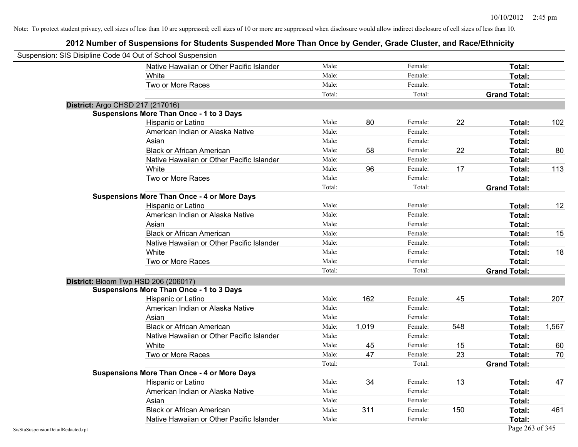|                                    | Suspension: SIS Disipline Code 04 Out of School Suspension |        |       |         |     |                     |       |
|------------------------------------|------------------------------------------------------------|--------|-------|---------|-----|---------------------|-------|
|                                    | Native Hawaiian or Other Pacific Islander                  | Male:  |       | Female: |     | Total:              |       |
|                                    | White                                                      | Male:  |       | Female: |     | Total:              |       |
|                                    | Two or More Races                                          | Male:  |       | Female: |     | Total:              |       |
|                                    |                                                            | Total: |       | Total:  |     | <b>Grand Total:</b> |       |
|                                    | District: Argo CHSD 217 (217016)                           |        |       |         |     |                     |       |
|                                    | <b>Suspensions More Than Once - 1 to 3 Days</b>            |        |       |         |     |                     |       |
|                                    | Hispanic or Latino                                         | Male:  | 80    | Female: | 22  | Total:              | 102   |
|                                    | American Indian or Alaska Native                           | Male:  |       | Female: |     | Total:              |       |
|                                    | Asian                                                      | Male:  |       | Female: |     | Total:              |       |
|                                    | <b>Black or African American</b>                           | Male:  | 58    | Female: | 22  | Total:              | 80    |
|                                    | Native Hawaiian or Other Pacific Islander                  | Male:  |       | Female: |     | Total:              |       |
|                                    | White                                                      | Male:  | 96    | Female: | 17  | Total:              | 113   |
|                                    | Two or More Races                                          | Male:  |       | Female: |     | Total:              |       |
|                                    |                                                            | Total: |       | Total:  |     | <b>Grand Total:</b> |       |
|                                    | <b>Suspensions More Than Once - 4 or More Days</b>         |        |       |         |     |                     |       |
|                                    | Hispanic or Latino                                         | Male:  |       | Female: |     | Total:              | 12    |
|                                    | American Indian or Alaska Native                           | Male:  |       | Female: |     | Total:              |       |
|                                    | Asian                                                      | Male:  |       | Female: |     | Total:              |       |
|                                    | <b>Black or African American</b>                           | Male:  |       | Female: |     | Total:              | 15    |
|                                    | Native Hawaiian or Other Pacific Islander                  | Male:  |       | Female: |     | Total:              |       |
|                                    | White                                                      | Male:  |       | Female: |     | Total:              | 18    |
|                                    | Two or More Races                                          | Male:  |       | Female: |     | Total:              |       |
|                                    |                                                            | Total: |       | Total:  |     | <b>Grand Total:</b> |       |
|                                    | District: Bloom Twp HSD 206 (206017)                       |        |       |         |     |                     |       |
|                                    | <b>Suspensions More Than Once - 1 to 3 Days</b>            |        |       |         |     |                     |       |
|                                    | Hispanic or Latino                                         | Male:  | 162   | Female: | 45  | Total:              | 207   |
|                                    | American Indian or Alaska Native                           | Male:  |       | Female: |     | Total:              |       |
|                                    | Asian                                                      | Male:  |       | Female: |     | Total:              |       |
|                                    | <b>Black or African American</b>                           | Male:  | 1,019 | Female: | 548 | Total:              | 1,567 |
|                                    | Native Hawaiian or Other Pacific Islander                  | Male:  |       | Female: |     | Total:              |       |
|                                    | White                                                      | Male:  | 45    | Female: | 15  | Total:              | 60    |
|                                    | Two or More Races                                          | Male:  | 47    | Female: | 23  | Total:              | 70    |
|                                    |                                                            | Total: |       | Total:  |     | <b>Grand Total:</b> |       |
|                                    | <b>Suspensions More Than Once - 4 or More Days</b>         |        |       |         |     |                     |       |
|                                    | Hispanic or Latino                                         | Male:  | 34    | Female: | 13  | Total:              | 47    |
|                                    | American Indian or Alaska Native                           | Male:  |       | Female: |     | Total:              |       |
|                                    | Asian                                                      | Male:  |       | Female: |     | Total:              |       |
|                                    | <b>Black or African American</b>                           | Male:  | 311   | Female: | 150 | Total:              | 461   |
|                                    | Native Hawaiian or Other Pacific Islander                  | Male:  |       | Female: |     | Total:              |       |
| SisStuSuspensionDetailRedacted.rpt |                                                            |        |       |         |     | Page 263 of 345     |       |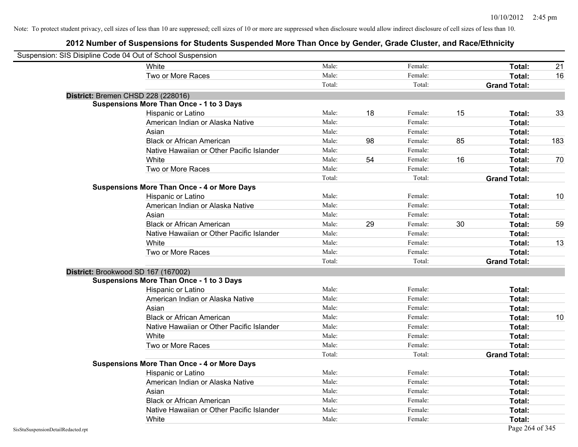| Suspension: SIS Disipline Code 04 Out of School Suspension |                                                    |        |    |         |    |                     |     |
|------------------------------------------------------------|----------------------------------------------------|--------|----|---------|----|---------------------|-----|
|                                                            | White                                              | Male:  |    | Female: |    | Total:              | 21  |
|                                                            | Two or More Races                                  | Male:  |    | Female: |    | Total:              | 16  |
|                                                            |                                                    | Total: |    | Total:  |    | <b>Grand Total:</b> |     |
|                                                            | District: Bremen CHSD 228 (228016)                 |        |    |         |    |                     |     |
|                                                            | <b>Suspensions More Than Once - 1 to 3 Days</b>    |        |    |         |    |                     |     |
|                                                            | Hispanic or Latino                                 | Male:  | 18 | Female: | 15 | Total:              | 33  |
|                                                            | American Indian or Alaska Native                   | Male:  |    | Female: |    | Total:              |     |
|                                                            | Asian                                              | Male:  |    | Female: |    | Total:              |     |
|                                                            | <b>Black or African American</b>                   | Male:  | 98 | Female: | 85 | Total:              | 183 |
|                                                            | Native Hawaiian or Other Pacific Islander          | Male:  |    | Female: |    | Total:              |     |
|                                                            | White                                              | Male:  | 54 | Female: | 16 | Total:              | 70  |
|                                                            | Two or More Races                                  | Male:  |    | Female: |    | Total:              |     |
|                                                            |                                                    | Total: |    | Total:  |    | <b>Grand Total:</b> |     |
|                                                            | <b>Suspensions More Than Once - 4 or More Days</b> |        |    |         |    |                     |     |
|                                                            | Hispanic or Latino                                 | Male:  |    | Female: |    | Total:              | 10  |
|                                                            | American Indian or Alaska Native                   | Male:  |    | Female: |    | Total:              |     |
|                                                            | Asian                                              | Male:  |    | Female: |    | Total:              |     |
|                                                            | <b>Black or African American</b>                   | Male:  | 29 | Female: | 30 | Total:              | 59  |
|                                                            | Native Hawaiian or Other Pacific Islander          | Male:  |    | Female: |    | Total:              |     |
|                                                            | White                                              | Male:  |    | Female: |    | Total:              | 13  |
|                                                            | Two or More Races                                  | Male:  |    | Female: |    | Total:              |     |
|                                                            |                                                    | Total: |    | Total:  |    | <b>Grand Total:</b> |     |
|                                                            | District: Brookwood SD 167 (167002)                |        |    |         |    |                     |     |
|                                                            | <b>Suspensions More Than Once - 1 to 3 Days</b>    |        |    |         |    |                     |     |
|                                                            | Hispanic or Latino                                 | Male:  |    | Female: |    | Total:              |     |
|                                                            | American Indian or Alaska Native                   | Male:  |    | Female: |    | Total:              |     |
|                                                            | Asian                                              | Male:  |    | Female: |    | Total:              |     |
|                                                            | <b>Black or African American</b>                   | Male:  |    | Female: |    | Total:              | 10  |
|                                                            | Native Hawaiian or Other Pacific Islander          | Male:  |    | Female: |    | Total:              |     |
|                                                            | White                                              | Male:  |    | Female: |    | Total:              |     |
|                                                            | Two or More Races                                  | Male:  |    | Female: |    | Total:              |     |
|                                                            |                                                    | Total: |    | Total:  |    | <b>Grand Total:</b> |     |
|                                                            | <b>Suspensions More Than Once - 4 or More Days</b> |        |    |         |    |                     |     |
|                                                            | Hispanic or Latino                                 | Male:  |    | Female: |    | Total:              |     |
|                                                            | American Indian or Alaska Native                   | Male:  |    | Female: |    | Total:              |     |
|                                                            | Asian                                              | Male:  |    | Female: |    | Total:              |     |
|                                                            | <b>Black or African American</b>                   | Male:  |    | Female: |    | Total:              |     |
|                                                            | Native Hawaiian or Other Pacific Islander          | Male:  |    | Female: |    | Total:              |     |
|                                                            | White                                              | Male:  |    | Female: |    | Total:              |     |
| SisStuSuspensionDetailRedacted.rpt                         |                                                    |        |    |         |    | Page 264 of 345     |     |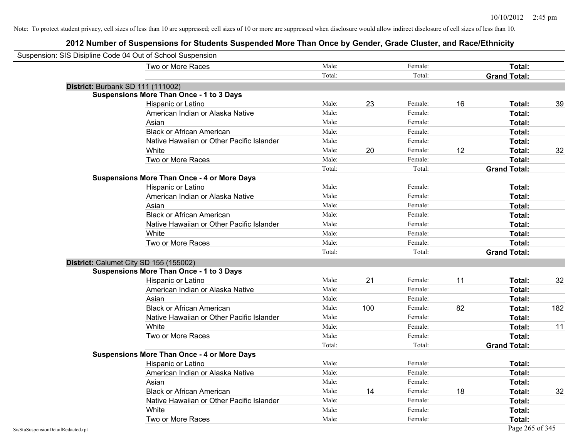|                                    | Suspension: SIS Disipline Code 04 Out of School Suspension |        |     |         |    |                     |     |
|------------------------------------|------------------------------------------------------------|--------|-----|---------|----|---------------------|-----|
|                                    | Two or More Races                                          | Male:  |     | Female: |    | Total:              |     |
|                                    |                                                            | Total: |     | Total:  |    | <b>Grand Total:</b> |     |
|                                    | District: Burbank SD 111 (111002)                          |        |     |         |    |                     |     |
|                                    | <b>Suspensions More Than Once - 1 to 3 Days</b>            |        |     |         |    |                     |     |
|                                    | Hispanic or Latino                                         | Male:  | 23  | Female: | 16 | Total:              | 39  |
|                                    | American Indian or Alaska Native                           | Male:  |     | Female: |    | Total:              |     |
|                                    | Asian                                                      | Male:  |     | Female: |    | Total:              |     |
|                                    | <b>Black or African American</b>                           | Male:  |     | Female: |    | Total:              |     |
|                                    | Native Hawaiian or Other Pacific Islander                  | Male:  |     | Female: |    | Total:              |     |
|                                    | White                                                      | Male:  | 20  | Female: | 12 | Total:              | 32  |
|                                    | Two or More Races                                          | Male:  |     | Female: |    | Total:              |     |
|                                    |                                                            | Total: |     | Total:  |    | <b>Grand Total:</b> |     |
|                                    | <b>Suspensions More Than Once - 4 or More Days</b>         |        |     |         |    |                     |     |
|                                    | Hispanic or Latino                                         | Male:  |     | Female: |    | Total:              |     |
|                                    | American Indian or Alaska Native                           | Male:  |     | Female: |    | Total:              |     |
|                                    | Asian                                                      | Male:  |     | Female: |    | Total:              |     |
|                                    | <b>Black or African American</b>                           | Male:  |     | Female: |    | Total:              |     |
|                                    | Native Hawaiian or Other Pacific Islander                  | Male:  |     | Female: |    | Total:              |     |
|                                    | White                                                      | Male:  |     | Female: |    | Total:              |     |
|                                    | Two or More Races                                          | Male:  |     | Female: |    | Total:              |     |
|                                    |                                                            | Total: |     | Total:  |    | <b>Grand Total:</b> |     |
|                                    | District: Calumet City SD 155 (155002)                     |        |     |         |    |                     |     |
|                                    | <b>Suspensions More Than Once - 1 to 3 Days</b>            |        |     |         |    |                     |     |
|                                    | Hispanic or Latino                                         | Male:  | 21  | Female: | 11 | Total:              | 32  |
|                                    | American Indian or Alaska Native                           | Male:  |     | Female: |    | Total:              |     |
|                                    | Asian                                                      | Male:  |     | Female: |    | Total:              |     |
|                                    | <b>Black or African American</b>                           | Male:  | 100 | Female: | 82 | Total:              | 182 |
|                                    | Native Hawaiian or Other Pacific Islander                  | Male:  |     | Female: |    | Total:              |     |
|                                    | White                                                      | Male:  |     | Female: |    | Total:              | 11  |
|                                    | Two or More Races                                          | Male:  |     | Female: |    | Total:              |     |
|                                    |                                                            | Total: |     | Total:  |    | <b>Grand Total:</b> |     |
|                                    | <b>Suspensions More Than Once - 4 or More Days</b>         |        |     |         |    |                     |     |
|                                    | Hispanic or Latino                                         | Male:  |     | Female: |    | Total:              |     |
|                                    | American Indian or Alaska Native                           | Male:  |     | Female: |    | Total:              |     |
|                                    | Asian                                                      | Male:  |     | Female: |    | Total:              |     |
|                                    | <b>Black or African American</b>                           | Male:  | 14  | Female: | 18 | Total:              | 32  |
|                                    | Native Hawaiian or Other Pacific Islander                  | Male:  |     | Female: |    | Total:              |     |
|                                    | White                                                      | Male:  |     | Female: |    | Total:              |     |
|                                    | Two or More Races                                          | Male:  |     | Female: |    | Total:              |     |
| SisStuSuspensionDetailRedacted.rpt |                                                            |        |     |         |    | Page 265 of 345     |     |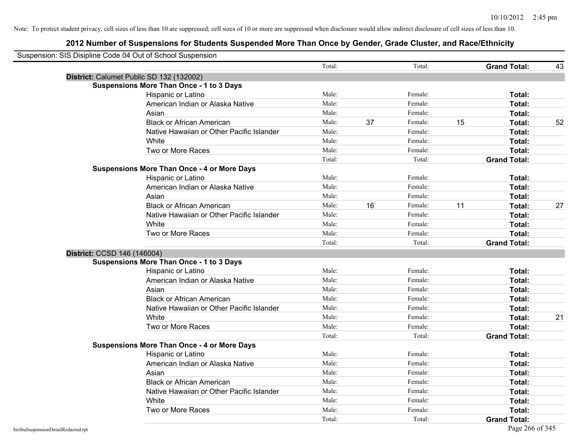| Suspension: SIS Disipline Code 04 Out of School Suspension |                                                    |        |    |         |    |                     |    |
|------------------------------------------------------------|----------------------------------------------------|--------|----|---------|----|---------------------|----|
|                                                            |                                                    | Total: |    | Total:  |    | <b>Grand Total:</b> | 43 |
| District: Calumet Public SD 132 (132002)                   |                                                    |        |    |         |    |                     |    |
|                                                            | <b>Suspensions More Than Once - 1 to 3 Days</b>    |        |    |         |    |                     |    |
|                                                            | Hispanic or Latino                                 | Male:  |    | Female: |    | Total:              |    |
|                                                            | American Indian or Alaska Native                   | Male:  |    | Female: |    | Total:              |    |
|                                                            | Asian                                              | Male:  |    | Female: |    | Total:              |    |
|                                                            | <b>Black or African American</b>                   | Male:  | 37 | Female: | 15 | Total:              | 52 |
|                                                            | Native Hawaiian or Other Pacific Islander          | Male:  |    | Female: |    | Total:              |    |
|                                                            | White                                              | Male:  |    | Female: |    | Total:              |    |
|                                                            | Two or More Races                                  | Male:  |    | Female: |    | Total:              |    |
|                                                            |                                                    | Total: |    | Total:  |    | <b>Grand Total:</b> |    |
|                                                            | <b>Suspensions More Than Once - 4 or More Days</b> |        |    |         |    |                     |    |
|                                                            | Hispanic or Latino                                 | Male:  |    | Female: |    | Total:              |    |
|                                                            | American Indian or Alaska Native                   | Male:  |    | Female: |    | Total:              |    |
|                                                            | Asian                                              | Male:  |    | Female: |    | Total:              |    |
|                                                            | <b>Black or African American</b>                   | Male:  | 16 | Female: | 11 | Total:              | 27 |
|                                                            | Native Hawaiian or Other Pacific Islander          | Male:  |    | Female: |    | Total:              |    |
|                                                            | White                                              | Male:  |    | Female: |    | Total:              |    |
|                                                            | Two or More Races                                  | Male:  |    | Female: |    | Total:              |    |
|                                                            |                                                    | Total: |    | Total:  |    | <b>Grand Total:</b> |    |
| District: CCSD 146 (146004)                                |                                                    |        |    |         |    |                     |    |
|                                                            | <b>Suspensions More Than Once - 1 to 3 Days</b>    |        |    |         |    |                     |    |
|                                                            | Hispanic or Latino                                 | Male:  |    | Female: |    | Total:              |    |
|                                                            | American Indian or Alaska Native                   | Male:  |    | Female: |    | Total:              |    |
|                                                            | Asian                                              | Male:  |    | Female: |    | Total:              |    |
|                                                            | <b>Black or African American</b>                   | Male:  |    | Female: |    | Total:              |    |
|                                                            | Native Hawaiian or Other Pacific Islander          | Male:  |    | Female: |    | Total:              |    |
|                                                            | White                                              | Male:  |    | Female: |    | Total:              | 21 |
|                                                            | Two or More Races                                  | Male:  |    | Female: |    | Total:              |    |
|                                                            |                                                    | Total: |    | Total:  |    | <b>Grand Total:</b> |    |
|                                                            | <b>Suspensions More Than Once - 4 or More Days</b> |        |    |         |    |                     |    |
|                                                            | Hispanic or Latino                                 | Male:  |    | Female: |    | Total:              |    |
|                                                            | American Indian or Alaska Native                   | Male:  |    | Female: |    | Total:              |    |
|                                                            | Asian                                              | Male:  |    | Female: |    | Total:              |    |
|                                                            | <b>Black or African American</b>                   | Male:  |    | Female: |    | Total:              |    |
|                                                            | Native Hawaiian or Other Pacific Islander          | Male:  |    | Female: |    | Total:              |    |
|                                                            | White                                              | Male:  |    | Female: |    | Total:              |    |
|                                                            | Two or More Races                                  | Male:  |    | Female: |    | Total:              |    |
|                                                            |                                                    | Total: |    | Total:  |    | <b>Grand Total:</b> |    |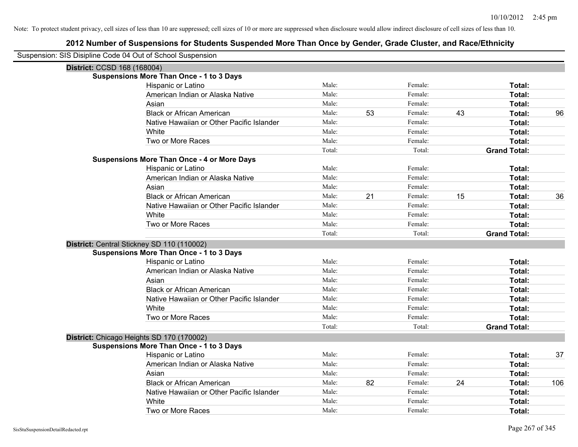| Suspension: SIS Disipline Code 04 Out of School Suspension |                                                    |        |    |         |    |                     |     |
|------------------------------------------------------------|----------------------------------------------------|--------|----|---------|----|---------------------|-----|
| District: CCSD 168 (168004)                                |                                                    |        |    |         |    |                     |     |
|                                                            | <b>Suspensions More Than Once - 1 to 3 Days</b>    |        |    |         |    |                     |     |
|                                                            | Hispanic or Latino                                 | Male:  |    | Female: |    | Total:              |     |
|                                                            | American Indian or Alaska Native                   | Male:  |    | Female: |    | Total:              |     |
|                                                            | Asian                                              | Male:  |    | Female: |    | Total:              |     |
|                                                            | <b>Black or African American</b>                   | Male:  | 53 | Female: | 43 | Total:              | 96  |
|                                                            | Native Hawaiian or Other Pacific Islander          | Male:  |    | Female: |    | Total:              |     |
|                                                            | White                                              | Male:  |    | Female: |    | Total:              |     |
|                                                            | Two or More Races                                  | Male:  |    | Female: |    | Total:              |     |
|                                                            |                                                    | Total: |    | Total:  |    | <b>Grand Total:</b> |     |
|                                                            | <b>Suspensions More Than Once - 4 or More Days</b> |        |    |         |    |                     |     |
|                                                            | Hispanic or Latino                                 | Male:  |    | Female: |    | Total:              |     |
|                                                            | American Indian or Alaska Native                   | Male:  |    | Female: |    | Total:              |     |
|                                                            | Asian                                              | Male:  |    | Female: |    | Total:              |     |
|                                                            | <b>Black or African American</b>                   | Male:  | 21 | Female: | 15 | Total:              | 36  |
|                                                            | Native Hawaiian or Other Pacific Islander          | Male:  |    | Female: |    | Total:              |     |
|                                                            | White                                              | Male:  |    | Female: |    | Total:              |     |
|                                                            | Two or More Races                                  | Male:  |    | Female: |    | Total:              |     |
|                                                            |                                                    | Total: |    | Total:  |    | <b>Grand Total:</b> |     |
|                                                            | District: Central Stickney SD 110 (110002)         |        |    |         |    |                     |     |
|                                                            | Suspensions More Than Once - 1 to 3 Days           |        |    |         |    |                     |     |
|                                                            | Hispanic or Latino                                 | Male:  |    | Female: |    | Total:              |     |
|                                                            | American Indian or Alaska Native                   | Male:  |    | Female: |    | Total:              |     |
|                                                            | Asian                                              | Male:  |    | Female: |    | Total:              |     |
|                                                            | <b>Black or African American</b>                   | Male:  |    | Female: |    | Total:              |     |
|                                                            | Native Hawaiian or Other Pacific Islander          | Male:  |    | Female: |    | <b>Total:</b>       |     |
|                                                            | White                                              | Male:  |    | Female: |    | Total:              |     |
|                                                            | Two or More Races                                  | Male:  |    | Female: |    | Total:              |     |
|                                                            |                                                    | Total: |    | Total:  |    | <b>Grand Total:</b> |     |
|                                                            | District: Chicago Heights SD 170 (170002)          |        |    |         |    |                     |     |
|                                                            | <b>Suspensions More Than Once - 1 to 3 Days</b>    |        |    |         |    |                     |     |
|                                                            | Hispanic or Latino                                 | Male:  |    | Female: |    | Total:              | 37  |
|                                                            | American Indian or Alaska Native                   | Male:  |    | Female: |    | Total:              |     |
|                                                            | Asian                                              | Male:  |    | Female: |    | Total:              |     |
|                                                            | <b>Black or African American</b>                   | Male:  | 82 | Female: | 24 | Total:              | 106 |
|                                                            | Native Hawaiian or Other Pacific Islander          | Male:  |    | Female: |    | Total:              |     |
|                                                            | White                                              | Male:  |    | Female: |    | Total:              |     |
|                                                            | Two or More Races                                  | Male:  |    | Female: |    | Total:              |     |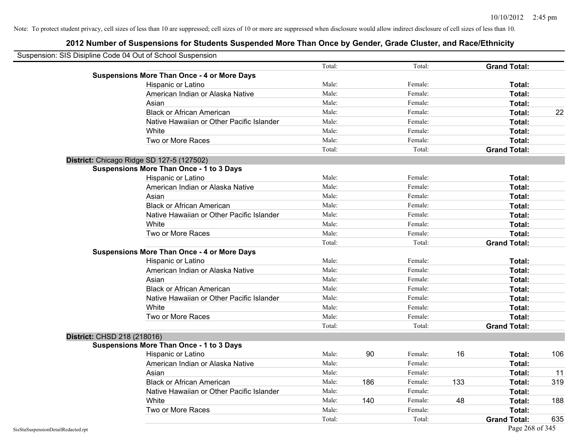| Suspension: SIS Disipline Code 04 Out of School Suspension |                                                    |        |     |         |     |                     |     |
|------------------------------------------------------------|----------------------------------------------------|--------|-----|---------|-----|---------------------|-----|
|                                                            |                                                    | Total: |     | Total:  |     | <b>Grand Total:</b> |     |
|                                                            | <b>Suspensions More Than Once - 4 or More Days</b> |        |     |         |     |                     |     |
|                                                            | Hispanic or Latino                                 | Male:  |     | Female: |     | Total:              |     |
|                                                            | American Indian or Alaska Native                   | Male:  |     | Female: |     | Total:              |     |
|                                                            | Asian                                              | Male:  |     | Female: |     | Total:              |     |
|                                                            | <b>Black or African American</b>                   | Male:  |     | Female: |     | Total:              | 22  |
|                                                            | Native Hawaiian or Other Pacific Islander          | Male:  |     | Female: |     | Total:              |     |
|                                                            | White                                              | Male:  |     | Female: |     | Total:              |     |
|                                                            | Two or More Races                                  | Male:  |     | Female: |     | Total:              |     |
|                                                            |                                                    | Total: |     | Total:  |     | <b>Grand Total:</b> |     |
|                                                            | District: Chicago Ridge SD 127-5 (127502)          |        |     |         |     |                     |     |
|                                                            | <b>Suspensions More Than Once - 1 to 3 Days</b>    |        |     |         |     |                     |     |
|                                                            | Hispanic or Latino                                 | Male:  |     | Female: |     | Total:              |     |
|                                                            | American Indian or Alaska Native                   | Male:  |     | Female: |     | Total:              |     |
|                                                            | Asian                                              | Male:  |     | Female: |     | Total:              |     |
|                                                            | <b>Black or African American</b>                   | Male:  |     | Female: |     | Total:              |     |
|                                                            | Native Hawaiian or Other Pacific Islander          | Male:  |     | Female: |     | Total:              |     |
|                                                            | White                                              | Male:  |     | Female: |     | Total:              |     |
|                                                            | Two or More Races                                  | Male:  |     | Female: |     | Total:              |     |
|                                                            |                                                    | Total: |     | Total:  |     | <b>Grand Total:</b> |     |
|                                                            | <b>Suspensions More Than Once - 4 or More Days</b> |        |     |         |     |                     |     |
|                                                            | Hispanic or Latino                                 | Male:  |     | Female: |     | Total:              |     |
|                                                            | American Indian or Alaska Native                   | Male:  |     | Female: |     | Total:              |     |
|                                                            | Asian                                              | Male:  |     | Female: |     | Total:              |     |
|                                                            | <b>Black or African American</b>                   | Male:  |     | Female: |     | Total:              |     |
|                                                            | Native Hawaiian or Other Pacific Islander          | Male:  |     | Female: |     | Total:              |     |
|                                                            | White                                              | Male:  |     | Female: |     | Total:              |     |
|                                                            | Two or More Races                                  | Male:  |     | Female: |     | Total:              |     |
|                                                            |                                                    | Total: |     | Total:  |     | <b>Grand Total:</b> |     |
| District: CHSD 218 (218016)                                |                                                    |        |     |         |     |                     |     |
|                                                            | <b>Suspensions More Than Once - 1 to 3 Days</b>    |        |     |         |     |                     |     |
|                                                            | Hispanic or Latino                                 | Male:  | 90  | Female: | 16  | Total:              | 106 |
|                                                            | American Indian or Alaska Native                   | Male:  |     | Female: |     | Total:              |     |
|                                                            | Asian                                              | Male:  |     | Female: |     | Total:              | 11  |
|                                                            | <b>Black or African American</b>                   | Male:  | 186 | Female: | 133 | Total:              | 319 |
|                                                            | Native Hawaiian or Other Pacific Islander          | Male:  |     | Female: |     | Total:              |     |
|                                                            | White                                              | Male:  | 140 | Female: | 48  | Total:              | 188 |
|                                                            | Two or More Races                                  | Male:  |     | Female: |     | Total:              |     |
|                                                            |                                                    | Total: |     | Total:  |     | <b>Grand Total:</b> | 635 |
| SisStuSuspensionDetailRedacted.rpt                         |                                                    |        |     |         |     | Page 268 of 345     |     |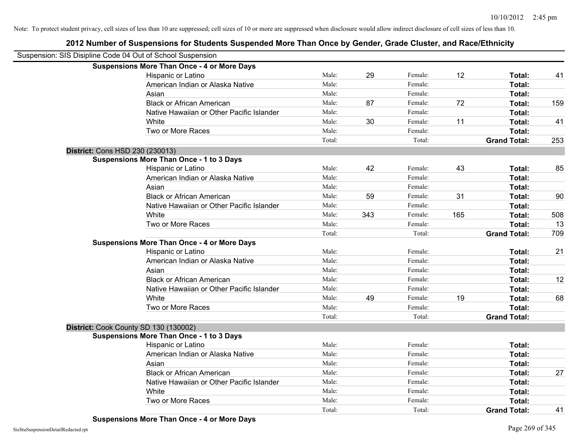| Suspension: SIS Disipline Code 04 Out of School Suspension |                                                    |        |     |         |     |                     |     |
|------------------------------------------------------------|----------------------------------------------------|--------|-----|---------|-----|---------------------|-----|
|                                                            | <b>Suspensions More Than Once - 4 or More Days</b> |        |     |         |     |                     |     |
|                                                            | Hispanic or Latino                                 | Male:  | 29  | Female: | 12  | Total:              | 41  |
|                                                            | American Indian or Alaska Native                   | Male:  |     | Female: |     | Total:              |     |
|                                                            | Asian                                              | Male:  |     | Female: |     | Total:              |     |
|                                                            | <b>Black or African American</b>                   | Male:  | 87  | Female: | 72  | Total:              | 159 |
|                                                            | Native Hawaiian or Other Pacific Islander          | Male:  |     | Female: |     | Total:              |     |
|                                                            | White                                              | Male:  | 30  | Female: | 11  | Total:              | 41  |
|                                                            | Two or More Races                                  | Male:  |     | Female: |     | Total:              |     |
|                                                            |                                                    | Total: |     | Total:  |     | <b>Grand Total:</b> | 253 |
| District: Cons HSD 230 (230013)                            |                                                    |        |     |         |     |                     |     |
|                                                            | <b>Suspensions More Than Once - 1 to 3 Days</b>    |        |     |         |     |                     |     |
|                                                            | Hispanic or Latino                                 | Male:  | 42  | Female: | 43  | Total:              | 85  |
|                                                            | American Indian or Alaska Native                   | Male:  |     | Female: |     | Total:              |     |
|                                                            | Asian                                              | Male:  |     | Female: |     | Total:              |     |
|                                                            | <b>Black or African American</b>                   | Male:  | 59  | Female: | 31  | Total:              | 90  |
|                                                            | Native Hawaiian or Other Pacific Islander          | Male:  |     | Female: |     | Total:              |     |
|                                                            | White                                              | Male:  | 343 | Female: | 165 | Total:              | 508 |
|                                                            | Two or More Races                                  | Male:  |     | Female: |     | Total:              | 13  |
|                                                            |                                                    | Total: |     | Total:  |     | <b>Grand Total:</b> | 709 |
|                                                            | <b>Suspensions More Than Once - 4 or More Days</b> |        |     |         |     |                     |     |
|                                                            | Hispanic or Latino                                 | Male:  |     | Female: |     | Total:              | 21  |
|                                                            | American Indian or Alaska Native                   | Male:  |     | Female: |     | Total:              |     |
|                                                            | Asian                                              | Male:  |     | Female: |     | Total:              |     |
|                                                            | <b>Black or African American</b>                   | Male:  |     | Female: |     | Total:              | 12  |
|                                                            | Native Hawaiian or Other Pacific Islander          | Male:  |     | Female: |     | Total:              |     |
|                                                            | White                                              | Male:  | 49  | Female: | 19  | Total:              | 68  |
|                                                            | Two or More Races                                  | Male:  |     | Female: |     | Total:              |     |
|                                                            |                                                    | Total: |     | Total:  |     | <b>Grand Total:</b> |     |
|                                                            | District: Cook County SD 130 (130002)              |        |     |         |     |                     |     |
|                                                            | <b>Suspensions More Than Once - 1 to 3 Days</b>    |        |     |         |     |                     |     |
|                                                            | Hispanic or Latino                                 | Male:  |     | Female: |     | Total:              |     |
|                                                            | American Indian or Alaska Native                   | Male:  |     | Female: |     | Total:              |     |
|                                                            | Asian                                              | Male:  |     | Female: |     | Total:              |     |
|                                                            | <b>Black or African American</b>                   | Male:  |     | Female: |     | Total:              | 27  |
|                                                            | Native Hawaiian or Other Pacific Islander          | Male:  |     | Female: |     | Total:              |     |
|                                                            | White                                              | Male:  |     | Female: |     | Total:              |     |
|                                                            | Two or More Races                                  | Male:  |     | Female: |     | <b>Total:</b>       |     |
|                                                            |                                                    | Total: |     | Total:  |     | <b>Grand Total:</b> | 41  |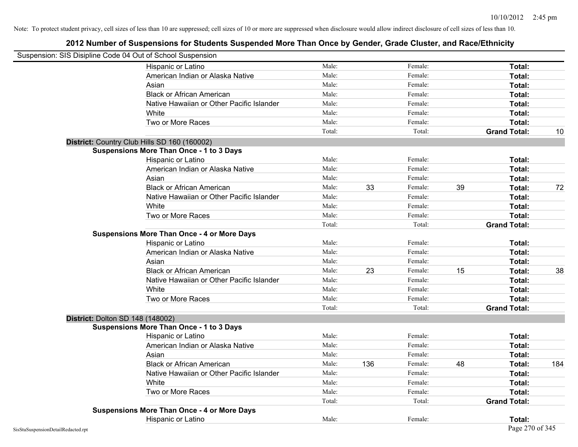| Suspension: SIS Disipline Code 04 Out of School Suspension |                                                    |        |     |         |    |                     |     |
|------------------------------------------------------------|----------------------------------------------------|--------|-----|---------|----|---------------------|-----|
|                                                            | Hispanic or Latino                                 | Male:  |     | Female: |    | Total:              |     |
|                                                            | American Indian or Alaska Native                   | Male:  |     | Female: |    | Total:              |     |
|                                                            | Asian                                              | Male:  |     | Female: |    | Total:              |     |
|                                                            | <b>Black or African American</b>                   | Male:  |     | Female: |    | Total:              |     |
|                                                            | Native Hawaiian or Other Pacific Islander          | Male:  |     | Female: |    | Total:              |     |
|                                                            | White                                              | Male:  |     | Female: |    | Total:              |     |
|                                                            | Two or More Races                                  | Male:  |     | Female: |    | Total:              |     |
|                                                            |                                                    | Total: |     | Total:  |    | <b>Grand Total:</b> | 10  |
|                                                            | District: Country Club Hills SD 160 (160002)       |        |     |         |    |                     |     |
|                                                            | <b>Suspensions More Than Once - 1 to 3 Days</b>    |        |     |         |    |                     |     |
|                                                            | Hispanic or Latino                                 | Male:  |     | Female: |    | Total:              |     |
|                                                            | American Indian or Alaska Native                   | Male:  |     | Female: |    | Total:              |     |
|                                                            | Asian                                              | Male:  |     | Female: |    | Total:              |     |
|                                                            | <b>Black or African American</b>                   | Male:  | 33  | Female: | 39 | Total:              | 72  |
|                                                            | Native Hawaiian or Other Pacific Islander          | Male:  |     | Female: |    | Total:              |     |
|                                                            | White                                              | Male:  |     | Female: |    | Total:              |     |
|                                                            | Two or More Races                                  | Male:  |     | Female: |    | Total:              |     |
|                                                            |                                                    | Total: |     | Total:  |    | <b>Grand Total:</b> |     |
|                                                            | <b>Suspensions More Than Once - 4 or More Days</b> |        |     |         |    |                     |     |
|                                                            | Hispanic or Latino                                 | Male:  |     | Female: |    | Total:              |     |
|                                                            | American Indian or Alaska Native                   | Male:  |     | Female: |    | Total:              |     |
|                                                            | Asian                                              | Male:  |     | Female: |    | Total:              |     |
|                                                            | <b>Black or African American</b>                   | Male:  | 23  | Female: | 15 | Total:              | 38  |
|                                                            | Native Hawaiian or Other Pacific Islander          | Male:  |     | Female: |    | Total:              |     |
|                                                            | White                                              | Male:  |     | Female: |    | Total:              |     |
|                                                            | Two or More Races                                  | Male:  |     | Female: |    | Total:              |     |
|                                                            |                                                    | Total: |     | Total:  |    | <b>Grand Total:</b> |     |
| District: Dolton SD 148 (148002)                           |                                                    |        |     |         |    |                     |     |
|                                                            | <b>Suspensions More Than Once - 1 to 3 Days</b>    |        |     |         |    |                     |     |
|                                                            | Hispanic or Latino                                 | Male:  |     | Female: |    | Total:              |     |
|                                                            | American Indian or Alaska Native                   | Male:  |     | Female: |    | Total:              |     |
|                                                            | Asian                                              | Male:  |     | Female: |    | Total:              |     |
|                                                            | <b>Black or African American</b>                   | Male:  | 136 | Female: | 48 | Total:              | 184 |
|                                                            | Native Hawaiian or Other Pacific Islander          | Male:  |     | Female: |    | Total:              |     |
|                                                            | <b>White</b>                                       | Male:  |     | Female: |    | Total:              |     |
|                                                            | Two or More Races                                  | Male:  |     | Female: |    | Total:              |     |
|                                                            |                                                    | Total: |     | Total:  |    | <b>Grand Total:</b> |     |
|                                                            | <b>Suspensions More Than Once - 4 or More Days</b> |        |     |         |    |                     |     |
|                                                            | Hispanic or Latino                                 | Male:  |     | Female: |    | Total:              |     |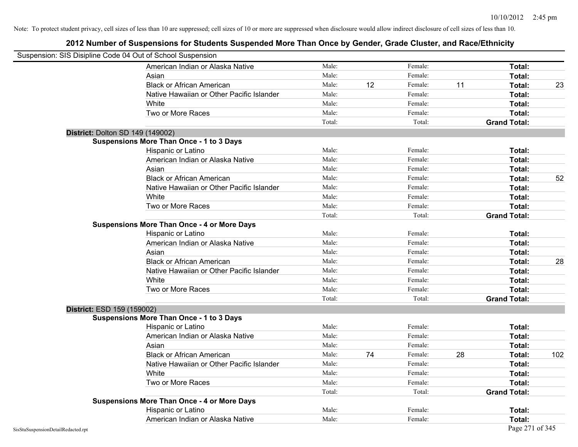|                                    | Suspension: SIS Disipline Code 04 Out of School Suspension |        |    |         |    |                     |     |
|------------------------------------|------------------------------------------------------------|--------|----|---------|----|---------------------|-----|
|                                    | American Indian or Alaska Native                           | Male:  |    | Female: |    | Total:              |     |
|                                    | Asian                                                      | Male:  |    | Female: |    | Total:              |     |
|                                    | <b>Black or African American</b>                           | Male:  | 12 | Female: | 11 | Total:              | 23  |
|                                    | Native Hawaiian or Other Pacific Islander                  | Male:  |    | Female: |    | Total:              |     |
|                                    | White                                                      | Male:  |    | Female: |    | Total:              |     |
|                                    | Two or More Races                                          | Male:  |    | Female: |    | Total:              |     |
|                                    |                                                            | Total: |    | Total:  |    | <b>Grand Total:</b> |     |
|                                    | <b>District: Dolton SD 149 (149002)</b>                    |        |    |         |    |                     |     |
|                                    | <b>Suspensions More Than Once - 1 to 3 Days</b>            |        |    |         |    |                     |     |
|                                    | Hispanic or Latino                                         | Male:  |    | Female: |    | Total:              |     |
|                                    | American Indian or Alaska Native                           | Male:  |    | Female: |    | Total:              |     |
|                                    | Asian                                                      | Male:  |    | Female: |    | Total:              |     |
|                                    | <b>Black or African American</b>                           | Male:  |    | Female: |    | Total:              | 52  |
|                                    | Native Hawaiian or Other Pacific Islander                  | Male:  |    | Female: |    | Total:              |     |
|                                    | White                                                      | Male:  |    | Female: |    | Total:              |     |
|                                    | Two or More Races                                          | Male:  |    | Female: |    | Total:              |     |
|                                    |                                                            | Total: |    | Total:  |    | <b>Grand Total:</b> |     |
|                                    | <b>Suspensions More Than Once - 4 or More Days</b>         |        |    |         |    |                     |     |
|                                    | Hispanic or Latino                                         | Male:  |    | Female: |    | Total:              |     |
|                                    | American Indian or Alaska Native                           | Male:  |    | Female: |    | Total:              |     |
|                                    | Asian                                                      | Male:  |    | Female: |    | Total:              |     |
|                                    | <b>Black or African American</b>                           | Male:  |    | Female: |    | Total:              | 28  |
|                                    | Native Hawaiian or Other Pacific Islander                  | Male:  |    | Female: |    | Total:              |     |
|                                    | White                                                      | Male:  |    | Female: |    | Total:              |     |
|                                    | Two or More Races                                          | Male:  |    | Female: |    | Total:              |     |
|                                    |                                                            | Total: |    | Total:  |    | <b>Grand Total:</b> |     |
|                                    | District: ESD 159 (159002)                                 |        |    |         |    |                     |     |
|                                    | <b>Suspensions More Than Once - 1 to 3 Days</b>            |        |    |         |    |                     |     |
|                                    | Hispanic or Latino                                         | Male:  |    | Female: |    | Total:              |     |
|                                    | American Indian or Alaska Native                           | Male:  |    | Female: |    | Total:              |     |
|                                    | Asian                                                      | Male:  |    | Female: |    | Total:              |     |
|                                    | <b>Black or African American</b>                           | Male:  | 74 | Female: | 28 | Total:              | 102 |
|                                    | Native Hawaiian or Other Pacific Islander                  | Male:  |    | Female: |    | Total:              |     |
|                                    | White                                                      | Male:  |    | Female: |    | Total:              |     |
|                                    | Two or More Races                                          | Male:  |    | Female: |    | Total:              |     |
|                                    |                                                            | Total: |    | Total:  |    | <b>Grand Total:</b> |     |
|                                    | <b>Suspensions More Than Once - 4 or More Days</b>         |        |    |         |    |                     |     |
|                                    | Hispanic or Latino                                         | Male:  |    | Female: |    | Total:              |     |
|                                    | American Indian or Alaska Native                           | Male:  |    | Female: |    | Total:              |     |
| SisStuSuspensionDetailRedacted.rpt |                                                            |        |    |         |    | Page 271 of 345     |     |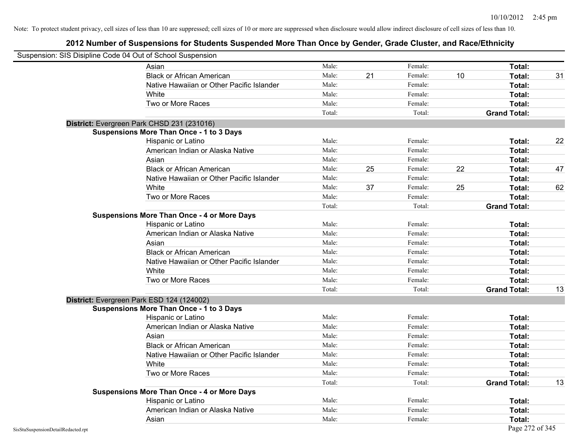|                                    | Suspension: SIS Disipline Code 04 Out of School Suspension |        |    |         |    |                     |    |
|------------------------------------|------------------------------------------------------------|--------|----|---------|----|---------------------|----|
|                                    | Asian                                                      | Male:  |    | Female: |    | Total:              |    |
|                                    | <b>Black or African American</b>                           | Male:  | 21 | Female: | 10 | Total:              | 31 |
|                                    | Native Hawaiian or Other Pacific Islander                  | Male:  |    | Female: |    | Total:              |    |
|                                    | White                                                      | Male:  |    | Female: |    | Total:              |    |
|                                    | Two or More Races                                          | Male:  |    | Female: |    | Total:              |    |
|                                    |                                                            | Total: |    | Total:  |    | <b>Grand Total:</b> |    |
|                                    | District: Evergreen Park CHSD 231 (231016)                 |        |    |         |    |                     |    |
|                                    | <b>Suspensions More Than Once - 1 to 3 Days</b>            |        |    |         |    |                     |    |
|                                    | Hispanic or Latino                                         | Male:  |    | Female: |    | Total:              | 22 |
|                                    | American Indian or Alaska Native                           | Male:  |    | Female: |    | Total:              |    |
|                                    | Asian                                                      | Male:  |    | Female: |    | Total:              |    |
|                                    | <b>Black or African American</b>                           | Male:  | 25 | Female: | 22 | Total:              | 47 |
|                                    | Native Hawaiian or Other Pacific Islander                  | Male:  |    | Female: |    | Total:              |    |
|                                    | White                                                      | Male:  | 37 | Female: | 25 | Total:              | 62 |
|                                    | Two or More Races                                          | Male:  |    | Female: |    | Total:              |    |
|                                    |                                                            | Total: |    | Total:  |    | <b>Grand Total:</b> |    |
|                                    | <b>Suspensions More Than Once - 4 or More Days</b>         |        |    |         |    |                     |    |
|                                    | Hispanic or Latino                                         | Male:  |    | Female: |    | Total:              |    |
|                                    | American Indian or Alaska Native                           | Male:  |    | Female: |    | Total:              |    |
|                                    | Asian                                                      | Male:  |    | Female: |    | Total:              |    |
|                                    | <b>Black or African American</b>                           | Male:  |    | Female: |    | Total:              |    |
|                                    | Native Hawaiian or Other Pacific Islander                  | Male:  |    | Female: |    | Total:              |    |
|                                    | White                                                      | Male:  |    | Female: |    | Total:              |    |
|                                    | Two or More Races                                          | Male:  |    | Female: |    | Total:              |    |
|                                    |                                                            | Total: |    | Total:  |    | <b>Grand Total:</b> | 13 |
|                                    | District: Evergreen Park ESD 124 (124002)                  |        |    |         |    |                     |    |
|                                    | <b>Suspensions More Than Once - 1 to 3 Days</b>            |        |    |         |    |                     |    |
|                                    | Hispanic or Latino                                         | Male:  |    | Female: |    | Total:              |    |
|                                    | American Indian or Alaska Native                           | Male:  |    | Female: |    | Total:              |    |
|                                    | Asian                                                      | Male:  |    | Female: |    | Total:              |    |
|                                    | <b>Black or African American</b>                           | Male:  |    | Female: |    | Total:              |    |
|                                    | Native Hawaiian or Other Pacific Islander                  | Male:  |    | Female: |    | Total:              |    |
|                                    | White                                                      | Male:  |    | Female: |    | Total:              |    |
|                                    | Two or More Races                                          | Male:  |    | Female: |    | Total:              |    |
|                                    |                                                            | Total: |    | Total:  |    | <b>Grand Total:</b> | 13 |
|                                    | <b>Suspensions More Than Once - 4 or More Days</b>         |        |    |         |    |                     |    |
|                                    | Hispanic or Latino                                         | Male:  |    | Female: |    | Total:              |    |
|                                    | American Indian or Alaska Native                           | Male:  |    | Female: |    | Total:              |    |
|                                    | Asian                                                      | Male:  |    | Female: |    | Total:              |    |
| SisStuSuspensionDetailRedacted.rpt |                                                            |        |    |         |    | Page 272 of 345     |    |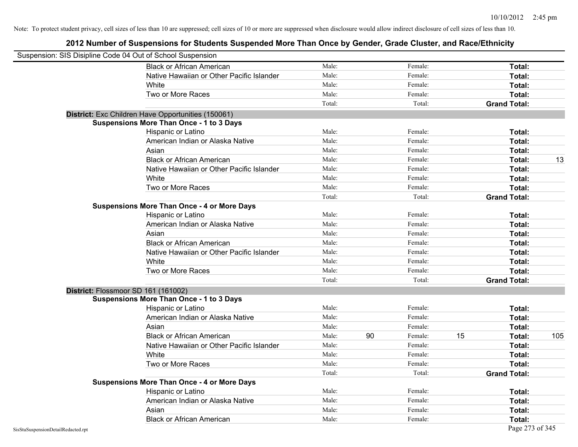|                                    | Suspension: SIS Disipline Code 04 Out of School Suspension |        |    |         |    |                     |     |
|------------------------------------|------------------------------------------------------------|--------|----|---------|----|---------------------|-----|
|                                    | <b>Black or African American</b>                           | Male:  |    | Female: |    | <b>Total:</b>       |     |
|                                    | Native Hawaiian or Other Pacific Islander                  | Male:  |    | Female: |    | Total:              |     |
|                                    | White                                                      | Male:  |    | Female: |    | Total:              |     |
|                                    | Two or More Races                                          | Male:  |    | Female: |    | Total:              |     |
|                                    |                                                            | Total: |    | Total:  |    | <b>Grand Total:</b> |     |
|                                    | District: Exc Children Have Opportunities (150061)         |        |    |         |    |                     |     |
|                                    | <b>Suspensions More Than Once - 1 to 3 Days</b>            |        |    |         |    |                     |     |
|                                    | Hispanic or Latino                                         | Male:  |    | Female: |    | Total:              |     |
|                                    | American Indian or Alaska Native                           | Male:  |    | Female: |    | Total:              |     |
|                                    | Asian                                                      | Male:  |    | Female: |    | Total:              |     |
|                                    | <b>Black or African American</b>                           | Male:  |    | Female: |    | Total:              | 13  |
|                                    | Native Hawaiian or Other Pacific Islander                  | Male:  |    | Female: |    | Total:              |     |
|                                    | White                                                      | Male:  |    | Female: |    | Total:              |     |
|                                    | Two or More Races                                          | Male:  |    | Female: |    | Total:              |     |
|                                    |                                                            | Total: |    | Total:  |    | <b>Grand Total:</b> |     |
|                                    | <b>Suspensions More Than Once - 4 or More Days</b>         |        |    |         |    |                     |     |
|                                    | Hispanic or Latino                                         | Male:  |    | Female: |    | Total:              |     |
|                                    | American Indian or Alaska Native                           | Male:  |    | Female: |    | Total:              |     |
|                                    | Asian                                                      | Male:  |    | Female: |    | Total:              |     |
|                                    | <b>Black or African American</b>                           | Male:  |    | Female: |    | Total:              |     |
|                                    | Native Hawaiian or Other Pacific Islander                  | Male:  |    | Female: |    | Total:              |     |
|                                    | White                                                      | Male:  |    | Female: |    | Total:              |     |
|                                    | Two or More Races                                          | Male:  |    | Female: |    | Total:              |     |
|                                    |                                                            | Total: |    | Total:  |    | <b>Grand Total:</b> |     |
|                                    | District: Flossmoor SD 161 (161002)                        |        |    |         |    |                     |     |
|                                    | <b>Suspensions More Than Once - 1 to 3 Days</b>            |        |    |         |    |                     |     |
|                                    | Hispanic or Latino                                         | Male:  |    | Female: |    | Total:              |     |
|                                    | American Indian or Alaska Native                           | Male:  |    | Female: |    | Total:              |     |
|                                    | Asian                                                      | Male:  |    | Female: |    | Total:              |     |
|                                    | <b>Black or African American</b>                           | Male:  | 90 | Female: | 15 | Total:              | 105 |
|                                    | Native Hawaiian or Other Pacific Islander                  | Male:  |    | Female: |    | Total:              |     |
|                                    | White                                                      | Male:  |    | Female: |    | Total:              |     |
|                                    | Two or More Races                                          | Male:  |    | Female: |    | Total:              |     |
|                                    |                                                            | Total: |    | Total:  |    | <b>Grand Total:</b> |     |
|                                    | <b>Suspensions More Than Once - 4 or More Days</b>         |        |    |         |    |                     |     |
|                                    | Hispanic or Latino                                         | Male:  |    | Female: |    | Total:              |     |
|                                    | American Indian or Alaska Native                           | Male:  |    | Female: |    | Total:              |     |
|                                    | Asian                                                      | Male:  |    | Female: |    | Total:              |     |
|                                    | <b>Black or African American</b>                           | Male:  |    | Female: |    | Total:              |     |
| SisStuSuspensionDetailRedacted.rpt |                                                            |        |    |         |    | Page 273 of 345     |     |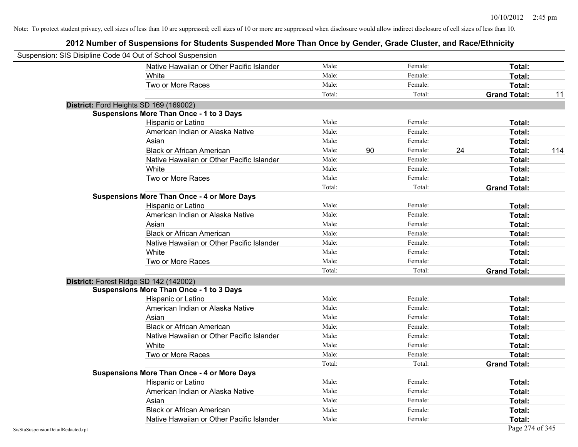| Suspension: SIS Disipline Code 04 Out of School Suspension |                                                    |        |    |         |    |                     |     |
|------------------------------------------------------------|----------------------------------------------------|--------|----|---------|----|---------------------|-----|
|                                                            | Native Hawaiian or Other Pacific Islander          | Male:  |    | Female: |    | Total:              |     |
|                                                            | White                                              | Male:  |    | Female: |    | Total:              |     |
|                                                            | Two or More Races                                  | Male:  |    | Female: |    | Total:              |     |
|                                                            |                                                    | Total: |    | Total:  |    | <b>Grand Total:</b> | 11  |
| District: Ford Heights SD 169 (169002)                     |                                                    |        |    |         |    |                     |     |
|                                                            | <b>Suspensions More Than Once - 1 to 3 Days</b>    |        |    |         |    |                     |     |
|                                                            | Hispanic or Latino                                 | Male:  |    | Female: |    | Total:              |     |
|                                                            | American Indian or Alaska Native                   | Male:  |    | Female: |    | Total:              |     |
|                                                            | Asian                                              | Male:  |    | Female: |    | Total:              |     |
|                                                            | <b>Black or African American</b>                   | Male:  | 90 | Female: | 24 | Total:              | 114 |
|                                                            | Native Hawaiian or Other Pacific Islander          | Male:  |    | Female: |    | Total:              |     |
|                                                            | White                                              | Male:  |    | Female: |    | Total:              |     |
|                                                            | Two or More Races                                  | Male:  |    | Female: |    | Total:              |     |
|                                                            |                                                    | Total: |    | Total:  |    | <b>Grand Total:</b> |     |
|                                                            | <b>Suspensions More Than Once - 4 or More Days</b> |        |    |         |    |                     |     |
|                                                            | Hispanic or Latino                                 | Male:  |    | Female: |    | Total:              |     |
|                                                            | American Indian or Alaska Native                   | Male:  |    | Female: |    | Total:              |     |
|                                                            | Asian                                              | Male:  |    | Female: |    | Total:              |     |
|                                                            | <b>Black or African American</b>                   | Male:  |    | Female: |    | Total:              |     |
|                                                            | Native Hawaiian or Other Pacific Islander          | Male:  |    | Female: |    | Total:              |     |
|                                                            | White                                              | Male:  |    | Female: |    | Total:              |     |
|                                                            | Two or More Races                                  | Male:  |    | Female: |    | Total:              |     |
|                                                            |                                                    | Total: |    | Total:  |    | <b>Grand Total:</b> |     |
| District: Forest Ridge SD 142 (142002)                     |                                                    |        |    |         |    |                     |     |
|                                                            | <b>Suspensions More Than Once - 1 to 3 Days</b>    |        |    |         |    |                     |     |
|                                                            | Hispanic or Latino                                 | Male:  |    | Female: |    | Total:              |     |
|                                                            | American Indian or Alaska Native                   | Male:  |    | Female: |    | Total:              |     |
|                                                            | Asian                                              | Male:  |    | Female: |    | Total:              |     |
|                                                            | <b>Black or African American</b>                   | Male:  |    | Female: |    | Total:              |     |
|                                                            | Native Hawaiian or Other Pacific Islander          | Male:  |    | Female: |    | Total:              |     |
|                                                            | White                                              | Male:  |    | Female: |    | Total:              |     |
|                                                            | Two or More Races                                  | Male:  |    | Female: |    | Total:              |     |
|                                                            |                                                    | Total: |    | Total:  |    | <b>Grand Total:</b> |     |
|                                                            | <b>Suspensions More Than Once - 4 or More Days</b> |        |    |         |    |                     |     |
|                                                            | Hispanic or Latino                                 | Male:  |    | Female: |    | Total:              |     |
|                                                            | American Indian or Alaska Native                   | Male:  |    | Female: |    | Total:              |     |
|                                                            | Asian                                              | Male:  |    | Female: |    | Total:              |     |
|                                                            | <b>Black or African American</b>                   | Male:  |    | Female: |    | Total:              |     |
|                                                            | Native Hawaiian or Other Pacific Islander          | Male:  |    | Female: |    | Total:              |     |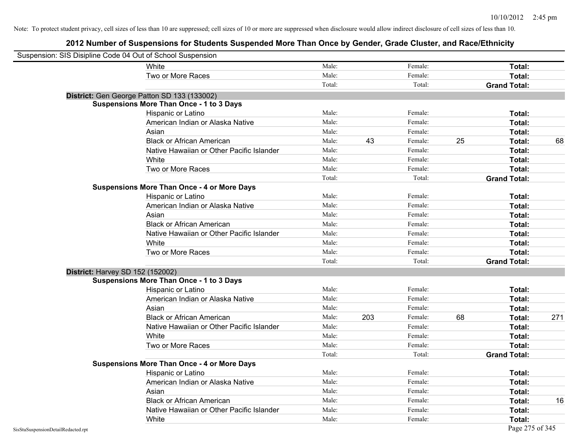| Suspension: SIS Disipline Code 04 Out of School Suspension |                                                    |        |     |         |    |                     |     |
|------------------------------------------------------------|----------------------------------------------------|--------|-----|---------|----|---------------------|-----|
|                                                            | White                                              | Male:  |     | Female: |    | Total:              |     |
|                                                            | Two or More Races                                  | Male:  |     | Female: |    | Total:              |     |
|                                                            |                                                    | Total: |     | Total:  |    | <b>Grand Total:</b> |     |
|                                                            | District: Gen George Patton SD 133 (133002)        |        |     |         |    |                     |     |
|                                                            | <b>Suspensions More Than Once - 1 to 3 Days</b>    |        |     |         |    |                     |     |
|                                                            | Hispanic or Latino                                 | Male:  |     | Female: |    | Total:              |     |
|                                                            | American Indian or Alaska Native                   | Male:  |     | Female: |    | <b>Total:</b>       |     |
|                                                            | Asian                                              | Male:  |     | Female: |    | Total:              |     |
|                                                            | <b>Black or African American</b>                   | Male:  | 43  | Female: | 25 | Total:              | 68  |
|                                                            | Native Hawaiian or Other Pacific Islander          | Male:  |     | Female: |    | <b>Total:</b>       |     |
|                                                            | White                                              | Male:  |     | Female: |    | <b>Total:</b>       |     |
|                                                            | Two or More Races                                  | Male:  |     | Female: |    | <b>Total:</b>       |     |
|                                                            |                                                    | Total: |     | Total:  |    | <b>Grand Total:</b> |     |
|                                                            | <b>Suspensions More Than Once - 4 or More Days</b> |        |     |         |    |                     |     |
|                                                            | Hispanic or Latino                                 | Male:  |     | Female: |    | Total:              |     |
|                                                            | American Indian or Alaska Native                   | Male:  |     | Female: |    | Total:              |     |
|                                                            | Asian                                              | Male:  |     | Female: |    | Total:              |     |
|                                                            | <b>Black or African American</b>                   | Male:  |     | Female: |    | Total:              |     |
|                                                            | Native Hawaiian or Other Pacific Islander          | Male:  |     | Female: |    | Total:              |     |
|                                                            | White                                              | Male:  |     | Female: |    | Total:              |     |
|                                                            | Two or More Races                                  | Male:  |     | Female: |    | Total:              |     |
|                                                            |                                                    | Total: |     | Total:  |    | <b>Grand Total:</b> |     |
| District: Harvey SD 152 (152002)                           |                                                    |        |     |         |    |                     |     |
|                                                            | <b>Suspensions More Than Once - 1 to 3 Days</b>    |        |     |         |    |                     |     |
|                                                            | Hispanic or Latino                                 | Male:  |     | Female: |    | <b>Total:</b>       |     |
|                                                            | American Indian or Alaska Native                   | Male:  |     | Female: |    | Total:              |     |
|                                                            | Asian                                              | Male:  |     | Female: |    | <b>Total:</b>       |     |
|                                                            | <b>Black or African American</b>                   | Male:  | 203 | Female: | 68 | Total:              | 271 |
|                                                            | Native Hawaiian or Other Pacific Islander          | Male:  |     | Female: |    | <b>Total:</b>       |     |
|                                                            | White                                              | Male:  |     | Female: |    | <b>Total:</b>       |     |
|                                                            | Two or More Races                                  | Male:  |     | Female: |    | Total:              |     |
|                                                            |                                                    | Total: |     | Total:  |    | <b>Grand Total:</b> |     |
|                                                            | <b>Suspensions More Than Once - 4 or More Days</b> |        |     |         |    |                     |     |
|                                                            | Hispanic or Latino                                 | Male:  |     | Female: |    | Total:              |     |
|                                                            | American Indian or Alaska Native                   | Male:  |     | Female: |    | <b>Total:</b>       |     |
|                                                            | Asian                                              | Male:  |     | Female: |    | Total:              |     |
|                                                            | <b>Black or African American</b>                   | Male:  |     | Female: |    | Total:              | 16  |
|                                                            | Native Hawaiian or Other Pacific Islander          | Male:  |     | Female: |    | <b>Total:</b>       |     |
|                                                            | White                                              | Male:  |     | Female: |    | <b>Total:</b>       |     |
| SisStuSuspensionDetailRedacted.rpt                         |                                                    |        |     |         |    | Page 275 of 345     |     |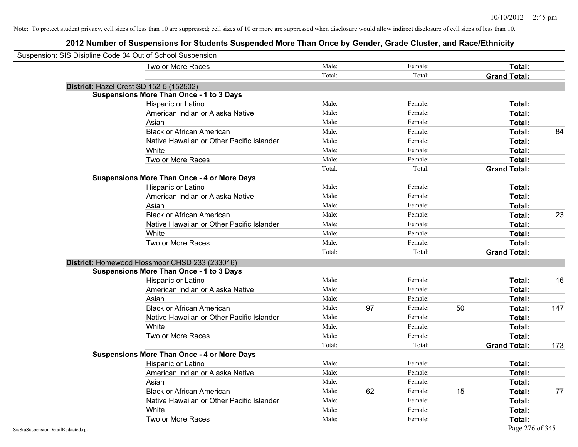| Suspension: SIS Disipline Code 04 Out of School Suspension |        |    |         |    |                     |     |
|------------------------------------------------------------|--------|----|---------|----|---------------------|-----|
| Two or More Races                                          | Male:  |    | Female: |    | Total:              |     |
|                                                            | Total: |    | Total:  |    | <b>Grand Total:</b> |     |
| District: Hazel Crest SD 152-5 (152502)                    |        |    |         |    |                     |     |
| <b>Suspensions More Than Once - 1 to 3 Days</b>            |        |    |         |    |                     |     |
| Hispanic or Latino                                         | Male:  |    | Female: |    | Total:              |     |
| American Indian or Alaska Native                           | Male:  |    | Female: |    | Total:              |     |
| Asian                                                      | Male:  |    | Female: |    | Total:              |     |
| <b>Black or African American</b>                           | Male:  |    | Female: |    | Total:              | 84  |
| Native Hawaiian or Other Pacific Islander                  | Male:  |    | Female: |    | Total:              |     |
| White                                                      | Male:  |    | Female: |    | Total:              |     |
| Two or More Races                                          | Male:  |    | Female: |    | Total:              |     |
|                                                            | Total: |    | Total:  |    | <b>Grand Total:</b> |     |
| <b>Suspensions More Than Once - 4 or More Days</b>         |        |    |         |    |                     |     |
| Hispanic or Latino                                         | Male:  |    | Female: |    | Total:              |     |
| American Indian or Alaska Native                           | Male:  |    | Female: |    | Total:              |     |
| Asian                                                      | Male:  |    | Female: |    | Total:              |     |
| <b>Black or African American</b>                           | Male:  |    | Female: |    | Total:              | 23  |
| Native Hawaiian or Other Pacific Islander                  | Male:  |    | Female: |    | Total:              |     |
| White                                                      | Male:  |    | Female: |    | Total:              |     |
| Two or More Races                                          | Male:  |    | Female: |    | Total:              |     |
|                                                            | Total: |    | Total:  |    | <b>Grand Total:</b> |     |
| District: Homewood Flossmoor CHSD 233 (233016)             |        |    |         |    |                     |     |
| <b>Suspensions More Than Once - 1 to 3 Days</b>            |        |    |         |    |                     |     |
| Hispanic or Latino                                         | Male:  |    | Female: |    | Total:              | 16  |
| American Indian or Alaska Native                           | Male:  |    | Female: |    | Total:              |     |
| Asian                                                      | Male:  |    | Female: |    | Total:              |     |
| <b>Black or African American</b>                           | Male:  | 97 | Female: | 50 | Total:              | 147 |
| Native Hawaiian or Other Pacific Islander                  | Male:  |    | Female: |    | Total:              |     |
| White                                                      | Male:  |    | Female: |    | Total:              |     |
| Two or More Races                                          | Male:  |    | Female: |    | Total:              |     |
|                                                            | Total: |    | Total:  |    | <b>Grand Total:</b> | 173 |
| <b>Suspensions More Than Once - 4 or More Days</b>         |        |    |         |    |                     |     |
| Hispanic or Latino                                         | Male:  |    | Female: |    | Total:              |     |
| American Indian or Alaska Native                           | Male:  |    | Female: |    | Total:              |     |
| Asian                                                      | Male:  |    | Female: |    | Total:              |     |
| <b>Black or African American</b>                           | Male:  | 62 | Female: | 15 | Total:              | 77  |
| Native Hawaiian or Other Pacific Islander                  | Male:  |    | Female: |    | Total:              |     |
| White                                                      | Male:  |    | Female: |    | Total:              |     |
| Two or More Races                                          | Male:  |    | Female: |    | Total:              |     |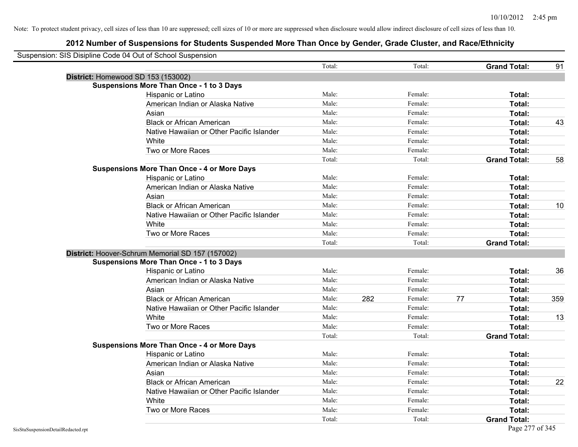|                                    | Suspension: SIS Disipline Code 04 Out of School Suspension |        |     |         |    |                     |     |
|------------------------------------|------------------------------------------------------------|--------|-----|---------|----|---------------------|-----|
|                                    |                                                            | Total: |     | Total:  |    | <b>Grand Total:</b> | 91  |
|                                    | District: Homewood SD 153 (153002)                         |        |     |         |    |                     |     |
|                                    | <b>Suspensions More Than Once - 1 to 3 Days</b>            |        |     |         |    |                     |     |
|                                    | Hispanic or Latino                                         | Male:  |     | Female: |    | Total:              |     |
|                                    | American Indian or Alaska Native                           | Male:  |     | Female: |    | Total:              |     |
|                                    | Asian                                                      | Male:  |     | Female: |    | Total:              |     |
|                                    | <b>Black or African American</b>                           | Male:  |     | Female: |    | Total:              | 43  |
|                                    | Native Hawaiian or Other Pacific Islander                  | Male:  |     | Female: |    | Total:              |     |
|                                    | White                                                      | Male:  |     | Female: |    | Total:              |     |
|                                    | Two or More Races                                          | Male:  |     | Female: |    | Total:              |     |
|                                    |                                                            | Total: |     | Total:  |    | <b>Grand Total:</b> | 58  |
|                                    | <b>Suspensions More Than Once - 4 or More Days</b>         |        |     |         |    |                     |     |
|                                    | Hispanic or Latino                                         | Male:  |     | Female: |    | Total:              |     |
|                                    | American Indian or Alaska Native                           | Male:  |     | Female: |    | Total:              |     |
|                                    | Asian                                                      | Male:  |     | Female: |    | Total:              |     |
|                                    | <b>Black or African American</b>                           | Male:  |     | Female: |    | Total:              | 10  |
|                                    | Native Hawaiian or Other Pacific Islander                  | Male:  |     | Female: |    | Total:              |     |
|                                    | White                                                      | Male:  |     | Female: |    | Total:              |     |
|                                    | Two or More Races                                          | Male:  |     | Female: |    | Total:              |     |
|                                    |                                                            | Total: |     | Total:  |    | <b>Grand Total:</b> |     |
|                                    | District: Hoover-Schrum Memorial SD 157 (157002)           |        |     |         |    |                     |     |
|                                    | <b>Suspensions More Than Once - 1 to 3 Days</b>            |        |     |         |    |                     |     |
|                                    | Hispanic or Latino                                         | Male:  |     | Female: |    | Total:              | 36  |
|                                    | American Indian or Alaska Native                           | Male:  |     | Female: |    | Total:              |     |
|                                    | Asian                                                      | Male:  |     | Female: |    | Total:              |     |
|                                    | <b>Black or African American</b>                           | Male:  | 282 | Female: | 77 | Total:              | 359 |
|                                    | Native Hawaiian or Other Pacific Islander                  | Male:  |     | Female: |    | Total:              |     |
|                                    | White                                                      | Male:  |     | Female: |    | Total:              | 13  |
|                                    | Two or More Races                                          | Male:  |     | Female: |    | Total:              |     |
|                                    |                                                            | Total: |     | Total:  |    | <b>Grand Total:</b> |     |
|                                    | <b>Suspensions More Than Once - 4 or More Days</b>         |        |     |         |    |                     |     |
|                                    | Hispanic or Latino                                         | Male:  |     | Female: |    | Total:              |     |
|                                    | American Indian or Alaska Native                           | Male:  |     | Female: |    | Total:              |     |
|                                    | Asian                                                      | Male:  |     | Female: |    | Total:              |     |
|                                    | <b>Black or African American</b>                           | Male:  |     | Female: |    | Total:              | 22  |
|                                    | Native Hawaiian or Other Pacific Islander                  | Male:  |     | Female: |    | Total:              |     |
|                                    | White                                                      | Male:  |     | Female: |    | Total:              |     |
|                                    | Two or More Races                                          | Male:  |     | Female: |    | Total:              |     |
|                                    |                                                            | Total: |     | Total:  |    | <b>Grand Total:</b> |     |
| SisStuSuspensionDetailRedacted.rpt |                                                            |        |     |         |    | Page 277 of 345     |     |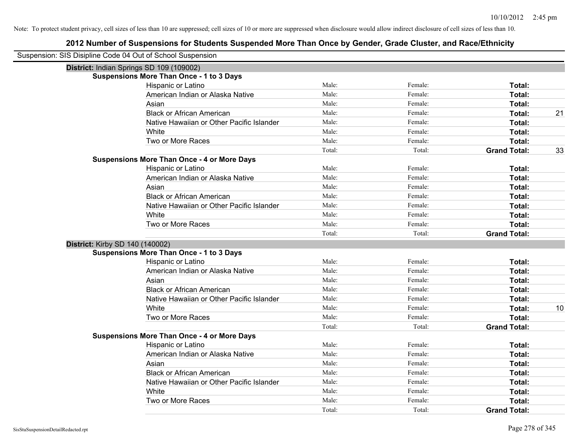| Suspension: SIS Disipline Code 04 Out of School Suspension |                                                    |        |         |                     |    |
|------------------------------------------------------------|----------------------------------------------------|--------|---------|---------------------|----|
| District: Indian Springs SD 109 (109002)                   |                                                    |        |         |                     |    |
|                                                            | <b>Suspensions More Than Once - 1 to 3 Days</b>    |        |         |                     |    |
|                                                            | Hispanic or Latino                                 | Male:  | Female: | Total:              |    |
|                                                            | American Indian or Alaska Native                   | Male:  | Female: | Total:              |    |
|                                                            | Asian                                              | Male:  | Female: | Total:              |    |
|                                                            | <b>Black or African American</b>                   | Male:  | Female: | Total:              | 21 |
|                                                            | Native Hawaiian or Other Pacific Islander          | Male:  | Female: | Total:              |    |
|                                                            | White                                              | Male:  | Female: | Total:              |    |
|                                                            | Two or More Races                                  | Male:  | Female: | Total:              |    |
|                                                            |                                                    | Total: | Total:  | <b>Grand Total:</b> | 33 |
|                                                            | <b>Suspensions More Than Once - 4 or More Days</b> |        |         |                     |    |
|                                                            | Hispanic or Latino                                 | Male:  | Female: | Total:              |    |
|                                                            | American Indian or Alaska Native                   | Male:  | Female: | Total:              |    |
|                                                            | Asian                                              | Male:  | Female: | Total:              |    |
|                                                            | <b>Black or African American</b>                   | Male:  | Female: | Total:              |    |
|                                                            | Native Hawaiian or Other Pacific Islander          | Male:  | Female: | Total:              |    |
|                                                            | White                                              | Male:  | Female: | Total:              |    |
|                                                            | Two or More Races                                  | Male:  | Female: | Total:              |    |
|                                                            |                                                    | Total: | Total:  | <b>Grand Total:</b> |    |
| District: Kirby SD 140 (140002)                            |                                                    |        |         |                     |    |
|                                                            | <b>Suspensions More Than Once - 1 to 3 Days</b>    |        |         |                     |    |
|                                                            | Hispanic or Latino                                 | Male:  | Female: | Total:              |    |
|                                                            | American Indian or Alaska Native                   | Male:  | Female: | Total:              |    |
|                                                            | Asian                                              | Male:  | Female: | Total:              |    |
|                                                            | <b>Black or African American</b>                   | Male:  | Female: | Total:              |    |
|                                                            | Native Hawaiian or Other Pacific Islander          | Male:  | Female: | Total:              |    |
|                                                            | White                                              | Male:  | Female: | Total:              | 10 |
|                                                            | Two or More Races                                  | Male:  | Female: | Total:              |    |
|                                                            |                                                    | Total: | Total:  | <b>Grand Total:</b> |    |
|                                                            | <b>Suspensions More Than Once - 4 or More Days</b> |        |         |                     |    |
|                                                            | Hispanic or Latino                                 | Male:  | Female: | Total:              |    |
|                                                            | American Indian or Alaska Native                   | Male:  | Female: | Total:              |    |
|                                                            | Asian                                              | Male:  | Female: | Total:              |    |
|                                                            | <b>Black or African American</b>                   | Male:  | Female: | Total:              |    |
|                                                            | Native Hawaiian or Other Pacific Islander          | Male:  | Female: | Total:              |    |
|                                                            | White                                              | Male:  | Female: | Total:              |    |
|                                                            | Two or More Races                                  | Male:  | Female: | Total:              |    |
|                                                            |                                                    | Total: | Total:  | <b>Grand Total:</b> |    |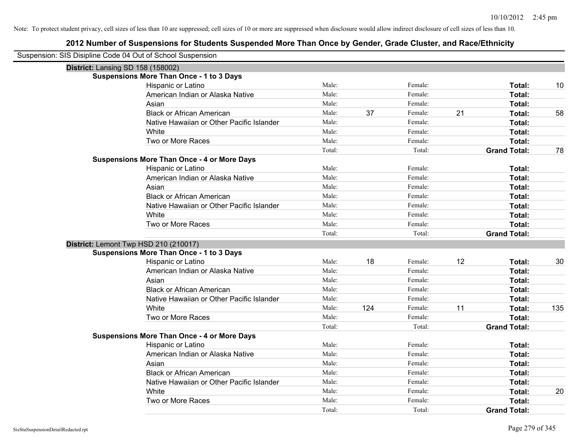| Suspension: SIS Disipline Code 04 Out of School Suspension |                                                    |                 |     |                   |    |                               |     |
|------------------------------------------------------------|----------------------------------------------------|-----------------|-----|-------------------|----|-------------------------------|-----|
| <b>District: Lansing SD 158 (158002)</b>                   |                                                    |                 |     |                   |    |                               |     |
|                                                            | <b>Suspensions More Than Once - 1 to 3 Days</b>    |                 |     |                   |    |                               |     |
|                                                            | Hispanic or Latino                                 | Male:           |     | Female:           |    | Total:                        | 10  |
|                                                            | American Indian or Alaska Native                   | Male:           |     | Female:           |    | Total:                        |     |
|                                                            | Asian                                              | Male:           |     | Female:           |    | Total:                        |     |
|                                                            | <b>Black or African American</b>                   | Male:           | 37  | Female:           | 21 | Total:                        | 58  |
|                                                            | Native Hawaiian or Other Pacific Islander          | Male:           |     | Female:           |    | Total:                        |     |
|                                                            | White                                              | Male:           |     | Female:           |    | Total:                        |     |
|                                                            | Two or More Races                                  | Male:           |     | Female:           |    | Total:                        |     |
|                                                            |                                                    | Total:          |     | Total:            |    | <b>Grand Total:</b>           | 78  |
|                                                            | <b>Suspensions More Than Once - 4 or More Days</b> |                 |     |                   |    |                               |     |
|                                                            | Hispanic or Latino                                 | Male:           |     | Female:           |    | Total:                        |     |
|                                                            | American Indian or Alaska Native                   | Male:           |     | Female:           |    | Total:                        |     |
|                                                            | Asian                                              | Male:           |     | Female:           |    | Total:                        |     |
|                                                            | <b>Black or African American</b>                   | Male:           |     | Female:           |    | Total:                        |     |
|                                                            | Native Hawaiian or Other Pacific Islander          | Male:           |     | Female:           |    | Total:                        |     |
|                                                            | White                                              | Male:           |     | Female:           |    | Total:                        |     |
|                                                            | Two or More Races                                  | Male:           |     | Female:           |    | Total:                        |     |
|                                                            |                                                    | Total:          |     | Total:            |    | <b>Grand Total:</b>           |     |
| District: Lemont Twp HSD 210 (210017)                      |                                                    |                 |     |                   |    |                               |     |
|                                                            | <b>Suspensions More Than Once - 1 to 3 Days</b>    |                 |     |                   |    |                               |     |
|                                                            | Hispanic or Latino                                 | Male:           | 18  | Female:           | 12 | Total:                        | 30  |
|                                                            | American Indian or Alaska Native                   | Male:           |     | Female:           |    | Total:                        |     |
|                                                            | Asian                                              | Male:           |     | Female:           |    | Total:                        |     |
|                                                            | <b>Black or African American</b>                   | Male:           |     | Female:           |    | Total:                        |     |
|                                                            | Native Hawaiian or Other Pacific Islander          | Male:           |     | Female:           |    | Total:                        |     |
|                                                            | White                                              | Male:           | 124 | Female:           | 11 | Total:                        | 135 |
|                                                            | Two or More Races                                  | Male:           |     | Female:           |    | Total:                        |     |
|                                                            |                                                    | Total:          |     | Total:            |    | <b>Grand Total:</b>           |     |
|                                                            | <b>Suspensions More Than Once - 4 or More Days</b> |                 |     |                   |    |                               |     |
|                                                            | Hispanic or Latino                                 | Male:           |     | Female:           |    | Total:                        |     |
|                                                            |                                                    | Male:           |     | Female:           |    | Total:                        |     |
|                                                            | American Indian or Alaska Native                   |                 |     |                   |    |                               |     |
|                                                            | Asian                                              | Male:           |     | Female:           |    | Total:                        |     |
|                                                            | <b>Black or African American</b>                   | Male:           |     | Female:           |    | Total:                        |     |
|                                                            | Native Hawaiian or Other Pacific Islander          | Male:           |     | Female:           |    | Total:                        |     |
|                                                            | White                                              | Male:           |     | Female:           |    | Total:                        | 20  |
|                                                            | Two or More Races                                  | Male:<br>Total: |     | Female:<br>Total: |    | Total:<br><b>Grand Total:</b> |     |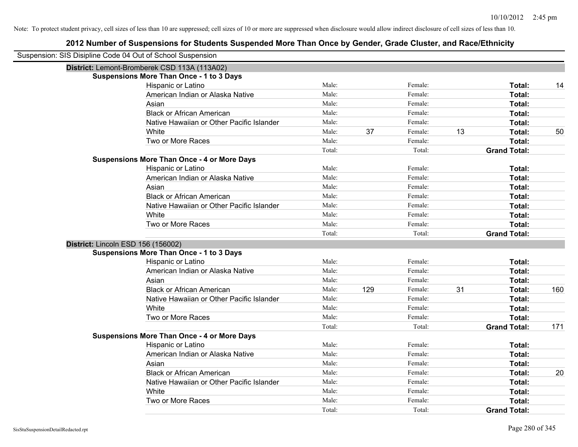| Suspension: SIS Disipline Code 04 Out of School Suspension |                                                    |        |     |         |    |                     |     |
|------------------------------------------------------------|----------------------------------------------------|--------|-----|---------|----|---------------------|-----|
|                                                            | District: Lemont-Bromberek CSD 113A (113A02)       |        |     |         |    |                     |     |
|                                                            | <b>Suspensions More Than Once - 1 to 3 Days</b>    |        |     |         |    |                     |     |
|                                                            | Hispanic or Latino                                 | Male:  |     | Female: |    | Total:              | 14  |
|                                                            | American Indian or Alaska Native                   | Male:  |     | Female: |    | Total:              |     |
|                                                            | Asian                                              | Male:  |     | Female: |    | Total:              |     |
|                                                            | <b>Black or African American</b>                   | Male:  |     | Female: |    | Total:              |     |
|                                                            | Native Hawaiian or Other Pacific Islander          | Male:  |     | Female: |    | Total:              |     |
|                                                            | White                                              | Male:  | 37  | Female: | 13 | Total:              | 50  |
|                                                            | Two or More Races                                  | Male:  |     | Female: |    | Total:              |     |
|                                                            |                                                    | Total: |     | Total:  |    | <b>Grand Total:</b> |     |
|                                                            | <b>Suspensions More Than Once - 4 or More Days</b> |        |     |         |    |                     |     |
|                                                            | Hispanic or Latino                                 | Male:  |     | Female: |    | Total:              |     |
|                                                            | American Indian or Alaska Native                   | Male:  |     | Female: |    | Total:              |     |
|                                                            | Asian                                              | Male:  |     | Female: |    | Total:              |     |
|                                                            | <b>Black or African American</b>                   | Male:  |     | Female: |    | Total:              |     |
|                                                            | Native Hawaiian or Other Pacific Islander          | Male:  |     | Female: |    | Total:              |     |
|                                                            | White                                              | Male:  |     | Female: |    | Total:              |     |
|                                                            | Two or More Races                                  | Male:  |     | Female: |    | Total:              |     |
|                                                            |                                                    | Total: |     | Total:  |    | <b>Grand Total:</b> |     |
| District: Lincoln ESD 156 (156002)                         |                                                    |        |     |         |    |                     |     |
|                                                            | <b>Suspensions More Than Once - 1 to 3 Days</b>    |        |     |         |    |                     |     |
|                                                            | Hispanic or Latino                                 | Male:  |     | Female: |    | Total:              |     |
|                                                            | American Indian or Alaska Native                   | Male:  |     | Female: |    | Total:              |     |
|                                                            | Asian                                              | Male:  |     | Female: |    | Total:              |     |
|                                                            | <b>Black or African American</b>                   | Male:  | 129 | Female: | 31 | Total:              | 160 |
|                                                            | Native Hawaiian or Other Pacific Islander          | Male:  |     | Female: |    | Total:              |     |
|                                                            | White                                              | Male:  |     | Female: |    | Total:              |     |
|                                                            | Two or More Races                                  | Male:  |     | Female: |    | Total:              |     |
|                                                            |                                                    | Total: |     | Total:  |    | <b>Grand Total:</b> | 171 |
|                                                            | <b>Suspensions More Than Once - 4 or More Days</b> |        |     |         |    |                     |     |
|                                                            | Hispanic or Latino                                 | Male:  |     | Female: |    | Total:              |     |
|                                                            | American Indian or Alaska Native                   | Male:  |     | Female: |    | Total:              |     |
|                                                            | Asian                                              | Male:  |     | Female: |    | Total:              |     |
|                                                            | <b>Black or African American</b>                   | Male:  |     | Female: |    | Total:              | 20  |
|                                                            | Native Hawaiian or Other Pacific Islander          | Male:  |     | Female: |    | Total:              |     |
|                                                            | White                                              | Male:  |     | Female: |    | Total:              |     |
|                                                            | Two or More Races                                  | Male:  |     | Female: |    | <b>Total:</b>       |     |
|                                                            |                                                    | Total: |     | Total:  |    | <b>Grand Total:</b> |     |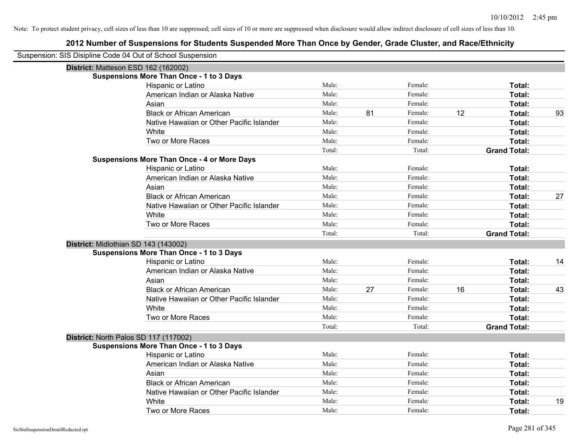| Suspension: SIS Disipline Code 04 Out of School Suspension |                                                    |        |    |         |    |                     |    |
|------------------------------------------------------------|----------------------------------------------------|--------|----|---------|----|---------------------|----|
| District: Matteson ESD 162 (162002)                        |                                                    |        |    |         |    |                     |    |
|                                                            | <b>Suspensions More Than Once - 1 to 3 Days</b>    |        |    |         |    |                     |    |
|                                                            | Hispanic or Latino                                 | Male:  |    | Female: |    | Total:              |    |
|                                                            | American Indian or Alaska Native                   | Male:  |    | Female: |    | Total:              |    |
|                                                            | Asian                                              | Male:  |    | Female: |    | Total:              |    |
|                                                            | <b>Black or African American</b>                   | Male:  | 81 | Female: | 12 | Total:              | 93 |
|                                                            | Native Hawaiian or Other Pacific Islander          | Male:  |    | Female: |    | Total:              |    |
|                                                            | White                                              | Male:  |    | Female: |    | Total:              |    |
|                                                            | Two or More Races                                  | Male:  |    | Female: |    | Total:              |    |
|                                                            |                                                    | Total: |    | Total:  |    | <b>Grand Total:</b> |    |
|                                                            | <b>Suspensions More Than Once - 4 or More Days</b> |        |    |         |    |                     |    |
|                                                            | Hispanic or Latino                                 | Male:  |    | Female: |    | Total:              |    |
|                                                            | American Indian or Alaska Native                   | Male:  |    | Female: |    | Total:              |    |
|                                                            | Asian                                              | Male:  |    | Female: |    | Total:              |    |
|                                                            | <b>Black or African American</b>                   | Male:  |    | Female: |    | Total:              | 27 |
|                                                            | Native Hawaiian or Other Pacific Islander          | Male:  |    | Female: |    | Total:              |    |
|                                                            | White                                              | Male:  |    | Female: |    | Total:              |    |
|                                                            | Two or More Races                                  | Male:  |    | Female: |    | Total:              |    |
|                                                            |                                                    | Total: |    | Total:  |    | <b>Grand Total:</b> |    |
| District: Midlothian SD 143 (143002)                       |                                                    |        |    |         |    |                     |    |
|                                                            | <b>Suspensions More Than Once - 1 to 3 Days</b>    |        |    |         |    |                     |    |
|                                                            | Hispanic or Latino                                 | Male:  |    | Female: |    | Total:              | 14 |
|                                                            | American Indian or Alaska Native                   | Male:  |    | Female: |    | Total:              |    |
|                                                            | Asian                                              | Male:  |    | Female: |    | Total:              |    |
|                                                            | <b>Black or African American</b>                   | Male:  | 27 | Female: | 16 | Total:              | 43 |
|                                                            | Native Hawaiian or Other Pacific Islander          | Male:  |    | Female: |    | Total:              |    |
|                                                            | White                                              | Male:  |    | Female: |    | Total:              |    |
|                                                            | Two or More Races                                  | Male:  |    | Female: |    | Total:              |    |
|                                                            |                                                    | Total: |    | Total:  |    | <b>Grand Total:</b> |    |
| District: North Palos SD 117 (117002)                      |                                                    |        |    |         |    |                     |    |
|                                                            | <b>Suspensions More Than Once - 1 to 3 Days</b>    |        |    |         |    |                     |    |
|                                                            | Hispanic or Latino                                 | Male:  |    | Female: |    | Total:              |    |
|                                                            | American Indian or Alaska Native                   | Male:  |    | Female: |    | Total:              |    |
|                                                            | Asian                                              | Male:  |    | Female: |    | Total:              |    |
|                                                            | <b>Black or African American</b>                   | Male:  |    | Female: |    | Total:              |    |
|                                                            | Native Hawaiian or Other Pacific Islander          | Male:  |    | Female: |    | Total:              |    |
|                                                            | White                                              | Male:  |    | Female: |    | Total:              | 19 |
|                                                            | Two or More Races                                  | Male:  |    | Female: |    | Total:              |    |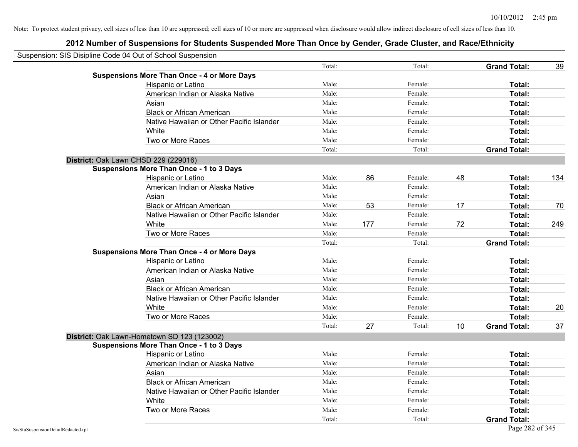| Suspension: SIS Disipline Code 04 Out of School Suspension |                                                    |        |     |         |    |                     |     |
|------------------------------------------------------------|----------------------------------------------------|--------|-----|---------|----|---------------------|-----|
|                                                            |                                                    | Total: |     | Total:  |    | <b>Grand Total:</b> | 39  |
|                                                            | <b>Suspensions More Than Once - 4 or More Days</b> |        |     |         |    |                     |     |
|                                                            | Hispanic or Latino                                 | Male:  |     | Female: |    | Total:              |     |
|                                                            | American Indian or Alaska Native                   | Male:  |     | Female: |    | Total:              |     |
|                                                            | Asian                                              | Male:  |     | Female: |    | Total:              |     |
|                                                            | <b>Black or African American</b>                   | Male:  |     | Female: |    | Total:              |     |
|                                                            | Native Hawaiian or Other Pacific Islander          | Male:  |     | Female: |    | Total:              |     |
|                                                            | White                                              | Male:  |     | Female: |    | Total:              |     |
|                                                            | Two or More Races                                  | Male:  |     | Female: |    | Total:              |     |
|                                                            |                                                    | Total: |     | Total:  |    | <b>Grand Total:</b> |     |
|                                                            | District: Oak Lawn CHSD 229 (229016)               |        |     |         |    |                     |     |
|                                                            | <b>Suspensions More Than Once - 1 to 3 Days</b>    |        |     |         |    |                     |     |
|                                                            | Hispanic or Latino                                 | Male:  | 86  | Female: | 48 | Total:              | 134 |
|                                                            | American Indian or Alaska Native                   | Male:  |     | Female: |    | Total:              |     |
|                                                            | Asian                                              | Male:  |     | Female: |    | Total:              |     |
|                                                            | <b>Black or African American</b>                   | Male:  | 53  | Female: | 17 | Total:              | 70  |
|                                                            | Native Hawaiian or Other Pacific Islander          | Male:  |     | Female: |    | Total:              |     |
|                                                            | White                                              | Male:  | 177 | Female: | 72 | Total:              | 249 |
|                                                            | Two or More Races                                  | Male:  |     | Female: |    | Total:              |     |
|                                                            |                                                    | Total: |     | Total:  |    | <b>Grand Total:</b> |     |
|                                                            | <b>Suspensions More Than Once - 4 or More Days</b> |        |     |         |    |                     |     |
|                                                            | Hispanic or Latino                                 | Male:  |     | Female: |    | Total:              |     |
|                                                            | American Indian or Alaska Native                   | Male:  |     | Female: |    | Total:              |     |
|                                                            | Asian                                              | Male:  |     | Female: |    | Total:              |     |
|                                                            | <b>Black or African American</b>                   | Male:  |     | Female: |    | Total:              |     |
|                                                            | Native Hawaiian or Other Pacific Islander          | Male:  |     | Female: |    | Total:              |     |
|                                                            | White                                              | Male:  |     | Female: |    | Total:              | 20  |
|                                                            | Two or More Races                                  | Male:  |     | Female: |    | Total:              |     |
|                                                            |                                                    | Total: | 27  | Total:  | 10 | <b>Grand Total:</b> | 37  |
|                                                            | District: Oak Lawn-Hometown SD 123 (123002)        |        |     |         |    |                     |     |
|                                                            | <b>Suspensions More Than Once - 1 to 3 Days</b>    |        |     |         |    |                     |     |
|                                                            | Hispanic or Latino                                 | Male:  |     | Female: |    | Total:              |     |
|                                                            | American Indian or Alaska Native                   | Male:  |     | Female: |    | Total:              |     |
|                                                            | Asian                                              | Male:  |     | Female: |    | Total:              |     |
|                                                            | <b>Black or African American</b>                   | Male:  |     | Female: |    | Total:              |     |
|                                                            | Native Hawaiian or Other Pacific Islander          | Male:  |     | Female: |    | Total:              |     |
|                                                            | White                                              | Male:  |     | Female: |    | Total:              |     |
|                                                            | Two or More Races                                  | Male:  |     | Female: |    | Total:              |     |
|                                                            |                                                    | Total: |     | Total:  |    | <b>Grand Total:</b> |     |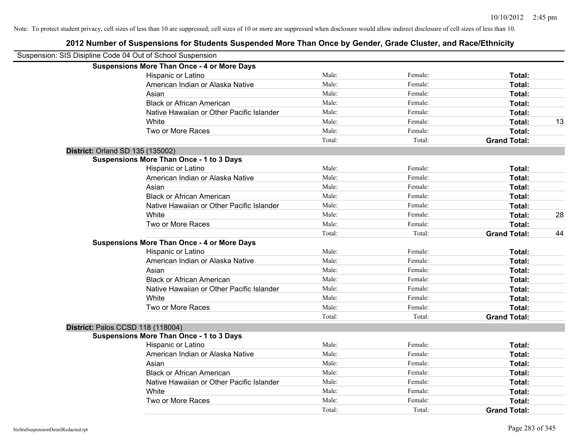| Suspension: SIS Disipline Code 04 Out of School Suspension |                                                    |        |         |                     |    |
|------------------------------------------------------------|----------------------------------------------------|--------|---------|---------------------|----|
|                                                            | <b>Suspensions More Than Once - 4 or More Days</b> |        |         |                     |    |
|                                                            | Hispanic or Latino                                 | Male:  | Female: | Total:              |    |
|                                                            | American Indian or Alaska Native                   | Male:  | Female: | Total:              |    |
|                                                            | Asian                                              | Male:  | Female: | <b>Total:</b>       |    |
|                                                            | <b>Black or African American</b>                   | Male:  | Female: | Total:              |    |
|                                                            | Native Hawaiian or Other Pacific Islander          | Male:  | Female: | Total:              |    |
|                                                            | White                                              | Male:  | Female: | Total:              | 13 |
|                                                            | Two or More Races                                  | Male:  | Female: | Total:              |    |
|                                                            |                                                    | Total: | Total:  | <b>Grand Total:</b> |    |
| <b>District: Orland SD 135 (135002)</b>                    |                                                    |        |         |                     |    |
|                                                            | <b>Suspensions More Than Once - 1 to 3 Days</b>    |        |         |                     |    |
|                                                            | Hispanic or Latino                                 | Male:  | Female: | Total:              |    |
|                                                            | American Indian or Alaska Native                   | Male:  | Female: | Total:              |    |
|                                                            | Asian                                              | Male:  | Female: | Total:              |    |
|                                                            | <b>Black or African American</b>                   | Male:  | Female: | Total:              |    |
|                                                            | Native Hawaiian or Other Pacific Islander          | Male:  | Female: | Total:              |    |
|                                                            | White                                              | Male:  | Female: | Total:              | 28 |
|                                                            | Two or More Races                                  | Male:  | Female: | Total:              |    |
|                                                            |                                                    | Total: | Total:  | <b>Grand Total:</b> | 44 |
|                                                            | <b>Suspensions More Than Once - 4 or More Days</b> |        |         |                     |    |
|                                                            | Hispanic or Latino                                 | Male:  | Female: | Total:              |    |
|                                                            | American Indian or Alaska Native                   | Male:  | Female: | Total:              |    |
|                                                            | Asian                                              | Male:  | Female: | Total:              |    |
|                                                            | <b>Black or African American</b>                   | Male:  | Female: | Total:              |    |
|                                                            | Native Hawaiian or Other Pacific Islander          | Male:  | Female: | Total:              |    |
|                                                            | White                                              | Male:  | Female: | Total:              |    |
|                                                            | Two or More Races                                  | Male:  | Female: | Total:              |    |
|                                                            |                                                    | Total: | Total:  | <b>Grand Total:</b> |    |
|                                                            | District: Palos CCSD 118 (118004)                  |        |         |                     |    |
|                                                            | <b>Suspensions More Than Once - 1 to 3 Days</b>    |        |         |                     |    |
|                                                            | Hispanic or Latino                                 | Male:  | Female: | Total:              |    |
|                                                            | American Indian or Alaska Native                   | Male:  | Female: | Total:              |    |
|                                                            | Asian                                              | Male:  | Female: | Total:              |    |
|                                                            | <b>Black or African American</b>                   | Male:  | Female: | Total:              |    |
|                                                            | Native Hawaiian or Other Pacific Islander          | Male:  | Female: | Total:              |    |
|                                                            | White                                              | Male:  | Female: | Total:              |    |
|                                                            | Two or More Races                                  | Male:  | Female: | Total:              |    |
|                                                            |                                                    | Total: | Total:  | <b>Grand Total:</b> |    |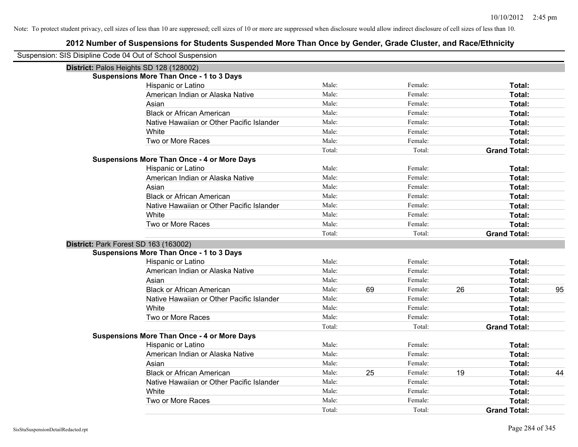| Suspension: SIS Disipline Code 04 Out of School Suspension |                                                    |        |    |         |    |                     |    |
|------------------------------------------------------------|----------------------------------------------------|--------|----|---------|----|---------------------|----|
| District: Palos Heights SD 128 (128002)                    |                                                    |        |    |         |    |                     |    |
|                                                            | <b>Suspensions More Than Once - 1 to 3 Days</b>    |        |    |         |    |                     |    |
|                                                            | Hispanic or Latino                                 | Male:  |    | Female: |    | Total:              |    |
|                                                            | American Indian or Alaska Native                   | Male:  |    | Female: |    | Total:              |    |
|                                                            | Asian                                              | Male:  |    | Female: |    | Total:              |    |
|                                                            | <b>Black or African American</b>                   | Male:  |    | Female: |    | Total:              |    |
|                                                            | Native Hawaiian or Other Pacific Islander          | Male:  |    | Female: |    | Total:              |    |
|                                                            | White                                              | Male:  |    | Female: |    | Total:              |    |
|                                                            | Two or More Races                                  | Male:  |    | Female: |    | Total:              |    |
|                                                            |                                                    | Total: |    | Total:  |    | <b>Grand Total:</b> |    |
|                                                            | <b>Suspensions More Than Once - 4 or More Days</b> |        |    |         |    |                     |    |
|                                                            | Hispanic or Latino                                 | Male:  |    | Female: |    | Total:              |    |
|                                                            | American Indian or Alaska Native                   | Male:  |    | Female: |    | Total:              |    |
|                                                            | Asian                                              | Male:  |    | Female: |    | Total:              |    |
|                                                            | <b>Black or African American</b>                   | Male:  |    | Female: |    | Total:              |    |
|                                                            | Native Hawaiian or Other Pacific Islander          | Male:  |    | Female: |    | Total:              |    |
|                                                            | White                                              | Male:  |    | Female: |    | Total:              |    |
|                                                            | Two or More Races                                  | Male:  |    | Female: |    | Total:              |    |
|                                                            |                                                    | Total: |    | Total:  |    | <b>Grand Total:</b> |    |
| District: Park Forest SD 163 (163002)                      |                                                    |        |    |         |    |                     |    |
|                                                            | <b>Suspensions More Than Once - 1 to 3 Days</b>    |        |    |         |    |                     |    |
|                                                            | Hispanic or Latino                                 | Male:  |    | Female: |    | Total:              |    |
|                                                            | American Indian or Alaska Native                   | Male:  |    | Female: |    | Total:              |    |
|                                                            | Asian                                              | Male:  |    | Female: |    | Total:              |    |
|                                                            | <b>Black or African American</b>                   | Male:  | 69 | Female: | 26 | Total:              | 95 |
|                                                            | Native Hawaiian or Other Pacific Islander          | Male:  |    | Female: |    | Total:              |    |
|                                                            | White                                              | Male:  |    | Female: |    | Total:              |    |
|                                                            | Two or More Races                                  | Male:  |    | Female: |    | Total:              |    |
|                                                            |                                                    | Total: |    | Total:  |    | <b>Grand Total:</b> |    |
|                                                            | <b>Suspensions More Than Once - 4 or More Days</b> |        |    |         |    |                     |    |
|                                                            | Hispanic or Latino                                 | Male:  |    | Female: |    | Total:              |    |
|                                                            | American Indian or Alaska Native                   | Male:  |    | Female: |    | Total:              |    |
|                                                            | Asian                                              | Male:  |    | Female: |    | Total:              |    |
|                                                            | <b>Black or African American</b>                   | Male:  | 25 | Female: | 19 | Total:              | 44 |
|                                                            | Native Hawaiian or Other Pacific Islander          | Male:  |    | Female: |    | Total:              |    |
|                                                            | White                                              | Male:  |    | Female: |    | Total:              |    |
|                                                            | Two or More Races                                  | Male:  |    | Female: |    | Total:              |    |
|                                                            |                                                    | Total: |    | Total:  |    | <b>Grand Total:</b> |    |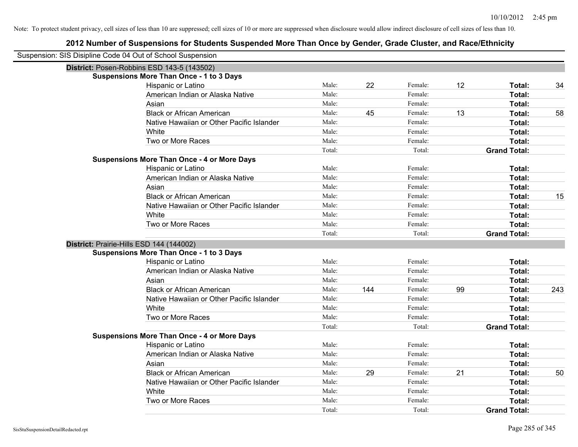| Suspension: SIS Disipline Code 04 Out of School Suspension |                                                    |                 |     |                   |    |                               |     |
|------------------------------------------------------------|----------------------------------------------------|-----------------|-----|-------------------|----|-------------------------------|-----|
|                                                            | District: Posen-Robbins ESD 143-5 (143502)         |                 |     |                   |    |                               |     |
|                                                            | <b>Suspensions More Than Once - 1 to 3 Days</b>    |                 |     |                   |    |                               |     |
|                                                            | Hispanic or Latino                                 | Male:           | 22  | Female:           | 12 | Total:                        | 34  |
|                                                            | American Indian or Alaska Native                   | Male:           |     | Female:           |    | Total:                        |     |
|                                                            | Asian                                              | Male:           |     | Female:           |    | Total:                        |     |
|                                                            | <b>Black or African American</b>                   | Male:           | 45  | Female:           | 13 | Total:                        | 58  |
|                                                            | Native Hawaiian or Other Pacific Islander          | Male:           |     | Female:           |    | Total:                        |     |
|                                                            | White                                              | Male:           |     | Female:           |    | Total:                        |     |
|                                                            | Two or More Races                                  | Male:           |     | Female:           |    | Total:                        |     |
|                                                            |                                                    | Total:          |     | Total:            |    | <b>Grand Total:</b>           |     |
|                                                            | <b>Suspensions More Than Once - 4 or More Days</b> |                 |     |                   |    |                               |     |
|                                                            | Hispanic or Latino                                 | Male:           |     | Female:           |    | Total:                        |     |
|                                                            | American Indian or Alaska Native                   | Male:           |     | Female:           |    | Total:                        |     |
|                                                            | Asian                                              | Male:           |     | Female:           |    | Total:                        |     |
|                                                            | <b>Black or African American</b>                   | Male:           |     | Female:           |    | Total:                        | 15  |
|                                                            | Native Hawaiian or Other Pacific Islander          | Male:           |     | Female:           |    | Total:                        |     |
|                                                            | White                                              | Male:           |     | Female:           |    | Total:                        |     |
|                                                            | Two or More Races                                  | Male:           |     | Female:           |    | Total:                        |     |
|                                                            |                                                    | Total:          |     | Total:            |    | <b>Grand Total:</b>           |     |
|                                                            | District: Prairie-Hills ESD 144 (144002)           |                 |     |                   |    |                               |     |
|                                                            | <b>Suspensions More Than Once - 1 to 3 Days</b>    |                 |     |                   |    |                               |     |
|                                                            | Hispanic or Latino                                 | Male:           |     | Female:           |    | Total:                        |     |
|                                                            | American Indian or Alaska Native                   | Male:           |     | Female:           |    | Total:                        |     |
|                                                            | Asian                                              | Male:           |     | Female:           |    | Total:                        |     |
|                                                            |                                                    |                 |     |                   |    |                               |     |
|                                                            | <b>Black or African American</b>                   | Male:           | 144 | Female:           | 99 | Total:                        | 243 |
|                                                            | Native Hawaiian or Other Pacific Islander          | Male:           |     | Female:           |    | Total:                        |     |
|                                                            | White                                              | Male:           |     | Female:           |    | Total:                        |     |
|                                                            | Two or More Races                                  | Male:           |     | Female:           |    | Total:                        |     |
|                                                            |                                                    | Total:          |     | Total:            |    | <b>Grand Total:</b>           |     |
|                                                            | <b>Suspensions More Than Once - 4 or More Days</b> |                 |     |                   |    |                               |     |
|                                                            | Hispanic or Latino                                 | Male:           |     | Female:           |    | Total:                        |     |
|                                                            | American Indian or Alaska Native                   | Male:           |     | Female:           |    | Total:                        |     |
|                                                            | Asian                                              | Male:           |     | Female:           |    | Total:                        |     |
|                                                            | <b>Black or African American</b>                   | Male:           | 29  | Female:           | 21 | Total:                        | 50  |
|                                                            | Native Hawaiian or Other Pacific Islander          | Male:           |     | Female:           |    | Total:                        |     |
|                                                            | White                                              | Male:           |     | Female:           |    | Total:                        |     |
|                                                            | Two or More Races                                  | Male:<br>Total: |     | Female:<br>Total: |    | Total:<br><b>Grand Total:</b> |     |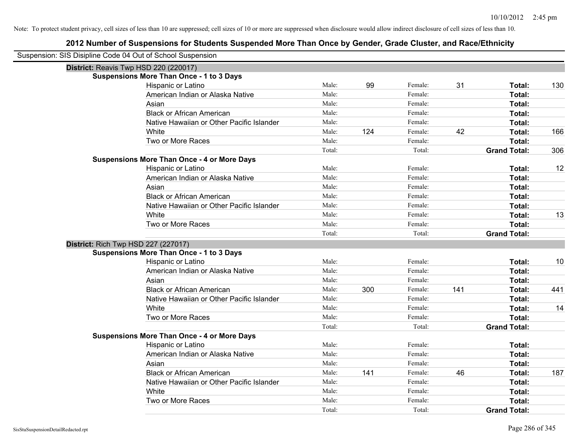| Suspension: SIS Disipline Code 04 Out of School Suspension |                                                    |        |     |         |     |                     |     |
|------------------------------------------------------------|----------------------------------------------------|--------|-----|---------|-----|---------------------|-----|
| District: Reavis Twp HSD 220 (220017)                      |                                                    |        |     |         |     |                     |     |
|                                                            | <b>Suspensions More Than Once - 1 to 3 Days</b>    |        |     |         |     |                     |     |
|                                                            | Hispanic or Latino                                 | Male:  | 99  | Female: | 31  | Total:              | 130 |
|                                                            | American Indian or Alaska Native                   | Male:  |     | Female: |     | Total:              |     |
|                                                            | Asian                                              | Male:  |     | Female: |     | Total:              |     |
|                                                            | <b>Black or African American</b>                   | Male:  |     | Female: |     | Total:              |     |
|                                                            | Native Hawaiian or Other Pacific Islander          | Male:  |     | Female: |     | Total:              |     |
|                                                            | White                                              | Male:  | 124 | Female: | 42  | Total:              | 166 |
|                                                            | Two or More Races                                  | Male:  |     | Female: |     | Total:              |     |
|                                                            |                                                    | Total: |     | Total:  |     | <b>Grand Total:</b> | 306 |
|                                                            | <b>Suspensions More Than Once - 4 or More Days</b> |        |     |         |     |                     |     |
|                                                            | Hispanic or Latino                                 | Male:  |     | Female: |     | Total:              | 12  |
|                                                            | American Indian or Alaska Native                   | Male:  |     | Female: |     | Total:              |     |
|                                                            | Asian                                              | Male:  |     | Female: |     | Total:              |     |
|                                                            | <b>Black or African American</b>                   | Male:  |     | Female: |     | Total:              |     |
|                                                            | Native Hawaiian or Other Pacific Islander          | Male:  |     | Female: |     | Total:              |     |
|                                                            | White                                              | Male:  |     | Female: |     | Total:              | 13  |
|                                                            | Two or More Races                                  | Male:  |     | Female: |     | Total:              |     |
|                                                            |                                                    | Total: |     | Total:  |     | <b>Grand Total:</b> |     |
| <b>District: Rich Twp HSD 227 (227017)</b>                 |                                                    |        |     |         |     |                     |     |
|                                                            | <b>Suspensions More Than Once - 1 to 3 Days</b>    |        |     |         |     |                     |     |
|                                                            | Hispanic or Latino                                 | Male:  |     | Female: |     | Total:              | 10  |
|                                                            | American Indian or Alaska Native                   | Male:  |     | Female: |     | Total:              |     |
|                                                            | Asian                                              | Male:  |     | Female: |     | Total:              |     |
|                                                            | <b>Black or African American</b>                   | Male:  | 300 | Female: | 141 | Total:              | 441 |
|                                                            | Native Hawaiian or Other Pacific Islander          | Male:  |     | Female: |     | Total:              |     |
|                                                            | White                                              | Male:  |     | Female: |     | Total:              | 14  |
|                                                            | Two or More Races                                  | Male:  |     | Female: |     | Total:              |     |
|                                                            |                                                    | Total: |     | Total:  |     | <b>Grand Total:</b> |     |
|                                                            | <b>Suspensions More Than Once - 4 or More Days</b> |        |     |         |     |                     |     |
|                                                            | Hispanic or Latino                                 | Male:  |     | Female: |     | Total:              |     |
|                                                            | American Indian or Alaska Native                   | Male:  |     | Female: |     | Total:              |     |
|                                                            | Asian                                              | Male:  |     | Female: |     | Total:              |     |
|                                                            | <b>Black or African American</b>                   | Male:  | 141 | Female: | 46  | Total:              | 187 |
|                                                            | Native Hawaiian or Other Pacific Islander          | Male:  |     | Female: |     | Total:              |     |
|                                                            | White                                              | Male:  |     | Female: |     | Total:              |     |
|                                                            | Two or More Races                                  | Male:  |     | Female: |     | <b>Total:</b>       |     |
|                                                            |                                                    | Total: |     | Total:  |     | <b>Grand Total:</b> |     |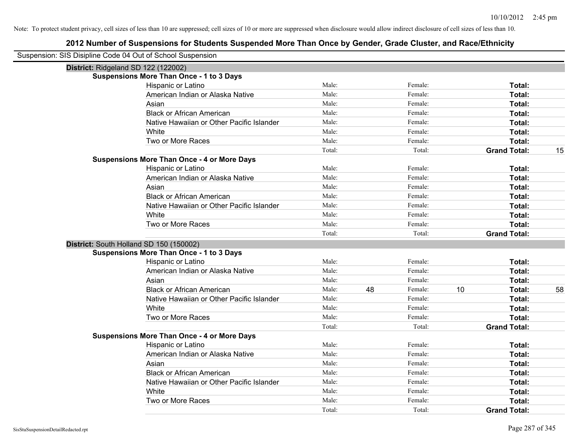| Suspension: SIS Disipline Code 04 Out of School Suspension |                 |    |                   |    |                               |    |
|------------------------------------------------------------|-----------------|----|-------------------|----|-------------------------------|----|
| District: Ridgeland SD 122 (122002)                        |                 |    |                   |    |                               |    |
| <b>Suspensions More Than Once - 1 to 3 Days</b>            |                 |    |                   |    |                               |    |
| Hispanic or Latino                                         | Male:           |    | Female:           |    | Total:                        |    |
| American Indian or Alaska Native                           | Male:           |    | Female:           |    | Total:                        |    |
| Asian                                                      | Male:           |    | Female:           |    | Total:                        |    |
| <b>Black or African American</b>                           | Male:           |    | Female:           |    | Total:                        |    |
| Native Hawaiian or Other Pacific Islander                  | Male:           |    | Female:           |    | Total:                        |    |
| White                                                      | Male:           |    | Female:           |    | Total:                        |    |
| Two or More Races                                          | Male:           |    | Female:           |    | Total:                        |    |
|                                                            | Total:          |    | Total:            |    | <b>Grand Total:</b>           | 15 |
| <b>Suspensions More Than Once - 4 or More Days</b>         |                 |    |                   |    |                               |    |
| Hispanic or Latino                                         | Male:           |    | Female:           |    | Total:                        |    |
| American Indian or Alaska Native                           | Male:           |    | Female:           |    | Total:                        |    |
| Asian                                                      | Male:           |    | Female:           |    | Total:                        |    |
| <b>Black or African American</b>                           | Male:           |    | Female:           |    | Total:                        |    |
| Native Hawaiian or Other Pacific Islander                  | Male:           |    | Female:           |    | Total:                        |    |
| White                                                      | Male:           |    | Female:           |    | Total:                        |    |
| Two or More Races                                          | Male:           |    | Female:           |    | Total:                        |    |
|                                                            | Total:          |    | Total:            |    | <b>Grand Total:</b>           |    |
| District: South Holland SD 150 (150002)                    |                 |    |                   |    |                               |    |
|                                                            |                 |    |                   |    |                               |    |
| <b>Suspensions More Than Once - 1 to 3 Days</b>            |                 |    |                   |    |                               |    |
| Hispanic or Latino                                         | Male:           |    | Female:           |    | Total:                        |    |
| American Indian or Alaska Native                           | Male:           |    | Female:           |    | Total:                        |    |
| Asian                                                      | Male:           |    | Female:           |    | Total:                        |    |
| <b>Black or African American</b>                           | Male:           | 48 | Female:           | 10 | Total:                        | 58 |
| Native Hawaiian or Other Pacific Islander                  | Male:           |    | Female:           |    | Total:                        |    |
| White                                                      | Male:           |    | Female:           |    | Total:                        |    |
| Two or More Races                                          | Male:           |    | Female:           |    | Total:                        |    |
|                                                            | Total:          |    | Total:            |    | <b>Grand Total:</b>           |    |
| <b>Suspensions More Than Once - 4 or More Days</b>         |                 |    |                   |    |                               |    |
| Hispanic or Latino                                         | Male:           |    | Female:           |    | Total:                        |    |
| American Indian or Alaska Native                           | Male:           |    | Female:           |    | Total:                        |    |
| Asian                                                      | Male:           |    | Female:           |    | Total:                        |    |
| <b>Black or African American</b>                           | Male:           |    | Female:           |    | Total:                        |    |
| Native Hawaiian or Other Pacific Islander                  | Male:           |    | Female:           |    | Total:                        |    |
| White                                                      | Male:           |    | Female:           |    | Total:                        |    |
| Two or More Races                                          | Male:<br>Total: |    | Female:<br>Total: |    | Total:<br><b>Grand Total:</b> |    |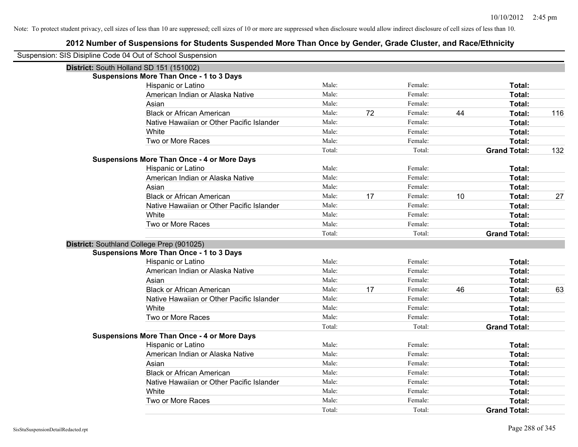| Suspension: SIS Disipline Code 04 Out of School Suspension |                                                    |        |    |         |    |                               |     |
|------------------------------------------------------------|----------------------------------------------------|--------|----|---------|----|-------------------------------|-----|
| District: South Holland SD 151 (151002)                    |                                                    |        |    |         |    |                               |     |
|                                                            | <b>Suspensions More Than Once - 1 to 3 Days</b>    |        |    |         |    |                               |     |
|                                                            | Hispanic or Latino                                 | Male:  |    | Female: |    | Total:                        |     |
|                                                            | American Indian or Alaska Native                   | Male:  |    | Female: |    | Total:                        |     |
|                                                            | Asian                                              | Male:  |    | Female: |    | Total:                        |     |
|                                                            | <b>Black or African American</b>                   | Male:  | 72 | Female: | 44 | Total:                        | 116 |
|                                                            | Native Hawaiian or Other Pacific Islander          | Male:  |    | Female: |    | Total:                        |     |
|                                                            | White                                              | Male:  |    | Female: |    | Total:                        |     |
|                                                            | Two or More Races                                  | Male:  |    | Female: |    | Total:                        |     |
|                                                            |                                                    | Total: |    | Total:  |    | <b>Grand Total:</b>           | 132 |
|                                                            | <b>Suspensions More Than Once - 4 or More Days</b> |        |    |         |    |                               |     |
|                                                            | Hispanic or Latino                                 | Male:  |    | Female: |    | Total:                        |     |
|                                                            | American Indian or Alaska Native                   | Male:  |    | Female: |    | Total:                        |     |
|                                                            | Asian                                              | Male:  |    | Female: |    | Total:                        |     |
|                                                            | <b>Black or African American</b>                   | Male:  | 17 | Female: | 10 | Total:                        | 27  |
|                                                            | Native Hawaiian or Other Pacific Islander          | Male:  |    | Female: |    | Total:                        |     |
|                                                            | White                                              | Male:  |    | Female: |    | Total:                        |     |
|                                                            | Two or More Races                                  | Male:  |    | Female: |    | Total:                        |     |
|                                                            |                                                    | Total: |    | Total:  |    | <b>Grand Total:</b>           |     |
|                                                            |                                                    |        |    |         |    |                               |     |
| District: Southland College Prep (901025)                  |                                                    |        |    |         |    |                               |     |
|                                                            | <b>Suspensions More Than Once - 1 to 3 Days</b>    |        |    |         |    |                               |     |
|                                                            | Hispanic or Latino                                 | Male:  |    | Female: |    | Total:                        |     |
|                                                            | American Indian or Alaska Native                   | Male:  |    | Female: |    | Total:                        |     |
|                                                            | Asian                                              | Male:  |    | Female: |    | Total:                        |     |
|                                                            | <b>Black or African American</b>                   | Male:  | 17 | Female: | 46 | Total:                        | 63  |
|                                                            | Native Hawaiian or Other Pacific Islander          | Male:  |    | Female: |    | Total:                        |     |
|                                                            | White                                              | Male:  |    | Female: |    | Total:                        |     |
|                                                            | Two or More Races                                  | Male:  |    | Female: |    | Total:                        |     |
|                                                            |                                                    | Total: |    | Total:  |    | <b>Grand Total:</b>           |     |
|                                                            | <b>Suspensions More Than Once - 4 or More Days</b> |        |    |         |    |                               |     |
|                                                            | Hispanic or Latino                                 | Male:  |    | Female: |    | Total:                        |     |
|                                                            | American Indian or Alaska Native                   | Male:  |    | Female: |    | Total:                        |     |
|                                                            | Asian                                              | Male:  |    | Female: |    | Total:                        |     |
|                                                            | <b>Black or African American</b>                   | Male:  |    | Female: |    | Total:                        |     |
|                                                            | Native Hawaiian or Other Pacific Islander          | Male:  |    | Female: |    | Total:                        |     |
|                                                            | White                                              | Male:  |    | Female: |    | Total:                        |     |
|                                                            | Two or More Races                                  | Male:  |    | Female: |    | Total:<br><b>Grand Total:</b> |     |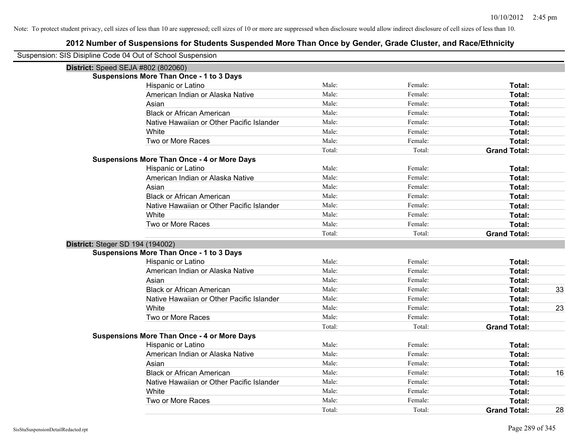| Suspension: SIS Disipline Code 04 Out of School Suspension |                                                    |        |         |                     |    |
|------------------------------------------------------------|----------------------------------------------------|--------|---------|---------------------|----|
| <b>District:</b> Speed SEJA #802 (802060)                  |                                                    |        |         |                     |    |
|                                                            | <b>Suspensions More Than Once - 1 to 3 Days</b>    |        |         |                     |    |
|                                                            | Hispanic or Latino                                 | Male:  | Female: | Total:              |    |
|                                                            | American Indian or Alaska Native                   | Male:  | Female: | Total:              |    |
|                                                            | Asian                                              | Male:  | Female: | Total:              |    |
|                                                            | <b>Black or African American</b>                   | Male:  | Female: | Total:              |    |
|                                                            | Native Hawaiian or Other Pacific Islander          | Male:  | Female: | Total:              |    |
|                                                            | White                                              | Male:  | Female: | Total:              |    |
|                                                            | Two or More Races                                  | Male:  | Female: | Total:              |    |
|                                                            |                                                    | Total: | Total:  | <b>Grand Total:</b> |    |
|                                                            | <b>Suspensions More Than Once - 4 or More Days</b> |        |         |                     |    |
|                                                            | Hispanic or Latino                                 | Male:  | Female: | Total:              |    |
|                                                            | American Indian or Alaska Native                   | Male:  | Female: | Total:              |    |
|                                                            | Asian                                              | Male:  | Female: | Total:              |    |
|                                                            | <b>Black or African American</b>                   | Male:  | Female: | Total:              |    |
|                                                            | Native Hawaiian or Other Pacific Islander          | Male:  | Female: | Total:              |    |
|                                                            | White                                              | Male:  | Female: | Total:              |    |
|                                                            | Two or More Races                                  | Male:  | Female: | Total:              |    |
|                                                            |                                                    | Total: | Total:  | <b>Grand Total:</b> |    |
| District: Steger SD 194 (194002)                           |                                                    |        |         |                     |    |
|                                                            | <b>Suspensions More Than Once - 1 to 3 Days</b>    |        |         |                     |    |
|                                                            | Hispanic or Latino                                 | Male:  | Female: | Total:              |    |
|                                                            | American Indian or Alaska Native                   | Male:  | Female: | Total:              |    |
|                                                            | Asian                                              | Male:  | Female: | Total:              |    |
|                                                            | <b>Black or African American</b>                   | Male:  | Female: | Total:              | 33 |
|                                                            | Native Hawaiian or Other Pacific Islander          | Male:  | Female: | Total:              |    |
|                                                            | White                                              | Male:  | Female: | Total:              | 23 |
|                                                            | Two or More Races                                  | Male:  | Female: | Total:              |    |
|                                                            |                                                    | Total: | Total:  | <b>Grand Total:</b> |    |
|                                                            | <b>Suspensions More Than Once - 4 or More Days</b> |        |         |                     |    |
|                                                            | Hispanic or Latino                                 | Male:  | Female: | Total:              |    |
|                                                            | American Indian or Alaska Native                   | Male:  | Female: | Total:              |    |
|                                                            | Asian                                              | Male:  | Female: | Total:              |    |
|                                                            | <b>Black or African American</b>                   | Male:  | Female: | Total:              | 16 |
|                                                            | Native Hawaiian or Other Pacific Islander          | Male:  | Female: | Total:              |    |
|                                                            | White                                              | Male:  | Female: | Total:              |    |
|                                                            | Two or More Races                                  | Male:  | Female: | Total:              |    |
|                                                            |                                                    | Total: | Total:  | <b>Grand Total:</b> | 28 |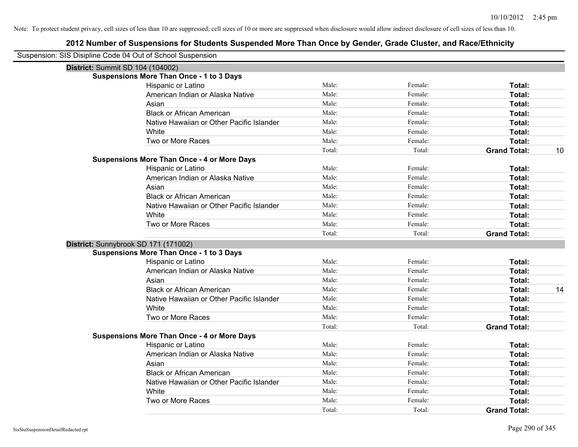| Suspension: SIS Disipline Code 04 Out of School Suspension |                                                    |        |         |                     |    |
|------------------------------------------------------------|----------------------------------------------------|--------|---------|---------------------|----|
| District: Summit SD 104 (104002)                           |                                                    |        |         |                     |    |
|                                                            | <b>Suspensions More Than Once - 1 to 3 Days</b>    |        |         |                     |    |
|                                                            | Hispanic or Latino                                 | Male:  | Female: | Total:              |    |
|                                                            | American Indian or Alaska Native                   | Male:  | Female: | Total:              |    |
|                                                            | Asian                                              | Male:  | Female: | Total:              |    |
|                                                            | <b>Black or African American</b>                   | Male:  | Female: | Total:              |    |
|                                                            | Native Hawaiian or Other Pacific Islander          | Male:  | Female: | Total:              |    |
|                                                            | White                                              | Male:  | Female: | Total:              |    |
|                                                            | Two or More Races                                  | Male:  | Female: | Total:              |    |
|                                                            |                                                    | Total: | Total:  | <b>Grand Total:</b> | 10 |
|                                                            | <b>Suspensions More Than Once - 4 or More Days</b> |        |         |                     |    |
|                                                            | Hispanic or Latino                                 | Male:  | Female: | Total:              |    |
|                                                            | American Indian or Alaska Native                   | Male:  | Female: | Total:              |    |
|                                                            | Asian                                              | Male:  | Female: | Total:              |    |
|                                                            | <b>Black or African American</b>                   | Male:  | Female: | Total:              |    |
|                                                            | Native Hawaiian or Other Pacific Islander          | Male:  | Female: | Total:              |    |
|                                                            | White                                              | Male:  | Female: | Total:              |    |
|                                                            | Two or More Races                                  | Male:  | Female: | Total:              |    |
|                                                            |                                                    | Total: | Total:  | <b>Grand Total:</b> |    |
|                                                            | District: Sunnybrook SD 171 (171002)               |        |         |                     |    |
|                                                            | <b>Suspensions More Than Once - 1 to 3 Days</b>    |        |         |                     |    |
|                                                            | Hispanic or Latino                                 | Male:  | Female: | Total:              |    |
|                                                            | American Indian or Alaska Native                   | Male:  | Female: | Total:              |    |
|                                                            | Asian                                              | Male:  | Female: | Total:              |    |
|                                                            | <b>Black or African American</b>                   | Male:  | Female: | Total:              | 14 |
|                                                            | Native Hawaiian or Other Pacific Islander          | Male:  | Female: | Total:              |    |
|                                                            | White                                              | Male:  | Female: | Total:              |    |
|                                                            | Two or More Races                                  | Male:  | Female: | Total:              |    |
|                                                            |                                                    | Total: | Total:  | <b>Grand Total:</b> |    |
|                                                            | <b>Suspensions More Than Once - 4 or More Days</b> |        |         |                     |    |
|                                                            | Hispanic or Latino                                 | Male:  | Female: | Total:              |    |
|                                                            | American Indian or Alaska Native                   | Male:  | Female: | Total:              |    |
|                                                            | Asian                                              | Male:  | Female: | Total:              |    |
|                                                            | <b>Black or African American</b>                   | Male:  | Female: | Total:              |    |
|                                                            | Native Hawaiian or Other Pacific Islander          | Male:  | Female: | Total:              |    |
|                                                            | White                                              | Male:  | Female: | Total:              |    |
|                                                            | Two or More Races                                  | Male:  | Female: | Total:              |    |
|                                                            |                                                    | Total: | Total:  | <b>Grand Total:</b> |    |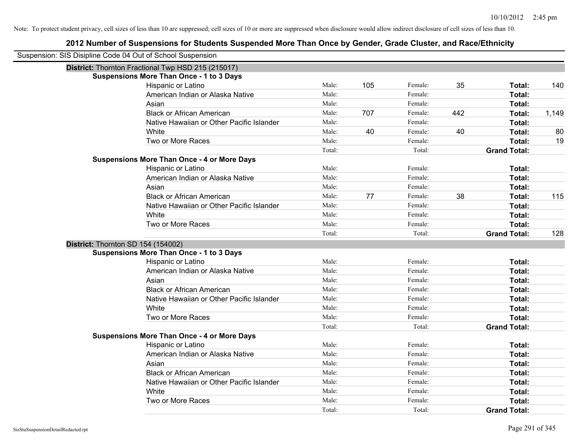| Suspension: SIS Disipline Code 04 Out of School Suspension |                                                    |        |     |         |     |                     |       |
|------------------------------------------------------------|----------------------------------------------------|--------|-----|---------|-----|---------------------|-------|
|                                                            | District: Thornton Fractional Twp HSD 215 (215017) |        |     |         |     |                     |       |
|                                                            | <b>Suspensions More Than Once - 1 to 3 Days</b>    |        |     |         |     |                     |       |
|                                                            | Hispanic or Latino                                 | Male:  | 105 | Female: | 35  | Total:              | 140   |
|                                                            | American Indian or Alaska Native                   | Male:  |     | Female: |     | Total:              |       |
|                                                            | Asian                                              | Male:  |     | Female: |     | Total:              |       |
|                                                            | <b>Black or African American</b>                   | Male:  | 707 | Female: | 442 | Total:              | 1,149 |
|                                                            | Native Hawaiian or Other Pacific Islander          | Male:  |     | Female: |     | Total:              |       |
|                                                            | White                                              | Male:  | 40  | Female: | 40  | Total:              | 80    |
|                                                            | Two or More Races                                  | Male:  |     | Female: |     | Total:              | 19    |
|                                                            |                                                    | Total: |     | Total:  |     | <b>Grand Total:</b> |       |
|                                                            | <b>Suspensions More Than Once - 4 or More Days</b> |        |     |         |     |                     |       |
|                                                            | Hispanic or Latino                                 | Male:  |     | Female: |     | Total:              |       |
|                                                            | American Indian or Alaska Native                   | Male:  |     | Female: |     | Total:              |       |
|                                                            | Asian                                              | Male:  |     | Female: |     | Total:              |       |
|                                                            | <b>Black or African American</b>                   | Male:  | 77  | Female: | 38  | Total:              | 115   |
|                                                            | Native Hawaiian or Other Pacific Islander          | Male:  |     | Female: |     | Total:              |       |
|                                                            | White                                              | Male:  |     | Female: |     | Total:              |       |
|                                                            | Two or More Races                                  | Male:  |     | Female: |     | Total:              |       |
|                                                            |                                                    | Total: |     | Total:  |     | <b>Grand Total:</b> | 128   |
|                                                            | District: Thornton SD 154 (154002)                 |        |     |         |     |                     |       |
|                                                            | <b>Suspensions More Than Once - 1 to 3 Days</b>    |        |     |         |     |                     |       |
|                                                            | Hispanic or Latino                                 | Male:  |     | Female: |     | Total:              |       |
|                                                            | American Indian or Alaska Native                   | Male:  |     | Female: |     | Total:              |       |
|                                                            | Asian                                              | Male:  |     | Female: |     | Total:              |       |
|                                                            | <b>Black or African American</b>                   | Male:  |     | Female: |     | Total:              |       |
|                                                            | Native Hawaiian or Other Pacific Islander          | Male:  |     | Female: |     | Total:              |       |
|                                                            | White                                              | Male:  |     | Female: |     | Total:              |       |
|                                                            | Two or More Races                                  | Male:  |     | Female: |     | Total:              |       |
|                                                            |                                                    | Total: |     | Total:  |     | <b>Grand Total:</b> |       |
|                                                            | <b>Suspensions More Than Once - 4 or More Days</b> |        |     |         |     |                     |       |
|                                                            | Hispanic or Latino                                 | Male:  |     | Female: |     | Total:              |       |
|                                                            | American Indian or Alaska Native                   | Male:  |     | Female: |     | Total:              |       |
|                                                            | Asian                                              | Male:  |     | Female: |     | Total:              |       |
|                                                            | <b>Black or African American</b>                   | Male:  |     | Female: |     | Total:              |       |
|                                                            | Native Hawaiian or Other Pacific Islander          | Male:  |     | Female: |     | Total:              |       |
|                                                            | White                                              | Male:  |     | Female: |     | Total:              |       |
|                                                            | Two or More Races                                  | Male:  |     | Female: |     | <b>Total:</b>       |       |
|                                                            |                                                    | Total: |     | Total:  |     | <b>Grand Total:</b> |       |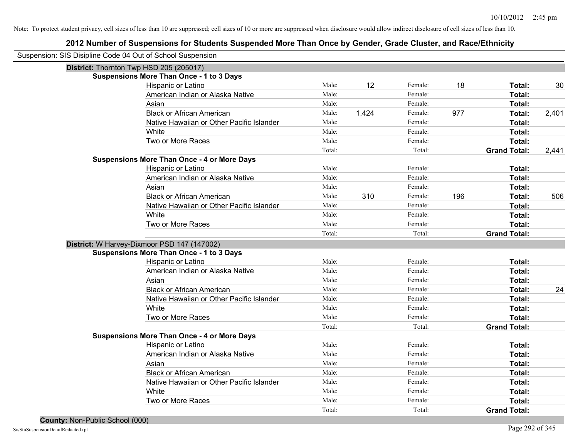| Suspension: SIS Disipline Code 04 Out of School Suspension |                                                    |        |       |         |     |                     |       |
|------------------------------------------------------------|----------------------------------------------------|--------|-------|---------|-----|---------------------|-------|
| District: Thornton Twp HSD 205 (205017)                    |                                                    |        |       |         |     |                     |       |
|                                                            | <b>Suspensions More Than Once - 1 to 3 Days</b>    |        |       |         |     |                     |       |
|                                                            | Hispanic or Latino                                 | Male:  | 12    | Female: | 18  | Total:              | 30    |
|                                                            | American Indian or Alaska Native                   | Male:  |       | Female: |     | Total:              |       |
|                                                            | Asian                                              | Male:  |       | Female: |     | Total:              |       |
|                                                            | <b>Black or African American</b>                   | Male:  | 1,424 | Female: | 977 | Total:              | 2,401 |
|                                                            | Native Hawaiian or Other Pacific Islander          | Male:  |       | Female: |     | Total:              |       |
|                                                            | White                                              | Male:  |       | Female: |     | Total:              |       |
|                                                            | Two or More Races                                  | Male:  |       | Female: |     | Total:              |       |
|                                                            |                                                    | Total: |       | Total:  |     | <b>Grand Total:</b> | 2,441 |
|                                                            | <b>Suspensions More Than Once - 4 or More Days</b> |        |       |         |     |                     |       |
|                                                            | Hispanic or Latino                                 | Male:  |       | Female: |     | Total:              |       |
|                                                            | American Indian or Alaska Native                   | Male:  |       | Female: |     | Total:              |       |
|                                                            | Asian                                              | Male:  |       | Female: |     | Total:              |       |
|                                                            | <b>Black or African American</b>                   | Male:  | 310   | Female: | 196 | Total:              | 506   |
|                                                            | Native Hawaiian or Other Pacific Islander          | Male:  |       | Female: |     | Total:              |       |
|                                                            | White                                              | Male:  |       | Female: |     | Total:              |       |
|                                                            | Two or More Races                                  | Male:  |       | Female: |     | Total:              |       |
|                                                            |                                                    | Total: |       | Total:  |     | <b>Grand Total:</b> |       |
| District: W Harvey-Dixmoor PSD 147 (147002)                |                                                    |        |       |         |     |                     |       |
|                                                            | <b>Suspensions More Than Once - 1 to 3 Days</b>    |        |       |         |     |                     |       |
|                                                            | Hispanic or Latino                                 | Male:  |       | Female: |     | Total:              |       |
|                                                            | American Indian or Alaska Native                   | Male:  |       | Female: |     | Total:              |       |
|                                                            | Asian                                              | Male:  |       | Female: |     | Total:              |       |
|                                                            | <b>Black or African American</b>                   | Male:  |       | Female: |     | Total:              | 24    |
|                                                            | Native Hawaiian or Other Pacific Islander          | Male:  |       | Female: |     | Total:              |       |
|                                                            | White                                              | Male:  |       | Female: |     | Total:              |       |
|                                                            | Two or More Races                                  | Male:  |       | Female: |     | Total:              |       |
|                                                            |                                                    | Total: |       | Total:  |     | <b>Grand Total:</b> |       |
|                                                            | <b>Suspensions More Than Once - 4 or More Days</b> |        |       |         |     |                     |       |
|                                                            | Hispanic or Latino                                 | Male:  |       | Female: |     | Total:              |       |
|                                                            | American Indian or Alaska Native                   | Male:  |       | Female: |     | Total:              |       |
|                                                            | Asian                                              | Male:  |       | Female: |     | Total:              |       |
|                                                            | <b>Black or African American</b>                   | Male:  |       | Female: |     | Total:              |       |
|                                                            | Native Hawaiian or Other Pacific Islander          | Male:  |       | Female: |     | Total:              |       |
|                                                            | White                                              | Male:  |       | Female: |     | Total:              |       |
|                                                            | Two or More Races                                  | Male:  |       | Female: |     | Total:              |       |
|                                                            |                                                    | Total: |       | Total:  |     | <b>Grand Total:</b> |       |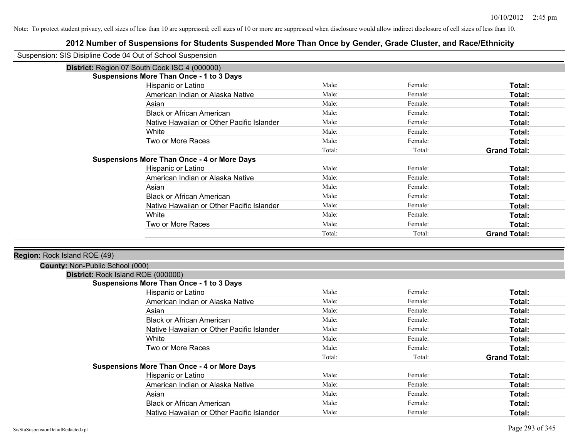| Suspension: SIS Disipline Code 04 Out of School Suspension |                                                    |        |         |                     |
|------------------------------------------------------------|----------------------------------------------------|--------|---------|---------------------|
|                                                            | District: Region 07 South Cook ISC 4 (000000)      |        |         |                     |
|                                                            | <b>Suspensions More Than Once - 1 to 3 Days</b>    |        |         |                     |
|                                                            | Hispanic or Latino                                 | Male:  | Female: | Total:              |
|                                                            | American Indian or Alaska Native                   | Male:  | Female: | Total:              |
|                                                            | Asian                                              | Male:  | Female: | Total:              |
|                                                            | <b>Black or African American</b>                   | Male:  | Female: | Total:              |
|                                                            | Native Hawaiian or Other Pacific Islander          | Male:  | Female: | Total:              |
|                                                            | White                                              | Male:  | Female: | Total:              |
|                                                            | Two or More Races                                  | Male:  | Female: | Total:              |
|                                                            |                                                    | Total: | Total:  | <b>Grand Total:</b> |
|                                                            | <b>Suspensions More Than Once - 4 or More Days</b> |        |         |                     |
|                                                            | Hispanic or Latino                                 | Male:  | Female: | Total:              |
|                                                            | American Indian or Alaska Native                   | Male:  | Female: | Total:              |
|                                                            | Asian                                              | Male:  | Female: | Total:              |
|                                                            | <b>Black or African American</b>                   | Male:  | Female: | Total:              |
|                                                            | Native Hawaiian or Other Pacific Islander          | Male:  | Female: | <b>Total:</b>       |
|                                                            | White                                              | Male:  | Female: | Total:              |
|                                                            | Two or More Races                                  | Male:  | Female: | Total:              |
|                                                            |                                                    | Total: | Total:  | <b>Grand Total:</b> |
|                                                            |                                                    |        |         |                     |
| Region: Rock Island ROE (49)                               |                                                    |        |         |                     |
| County: Non-Public School (000)                            |                                                    |        |         |                     |
|                                                            | District: Rock Island ROE (000000)                 |        |         |                     |
|                                                            | <b>Suspensions More Than Once - 1 to 3 Days</b>    |        |         |                     |
|                                                            | Hispanic or Latino                                 | Male:  | Female: | Total:              |
|                                                            | American Indian or Alaska Native                   | Male:  | Female: | Total:              |
|                                                            | Asian                                              | Male:  | Female: | Total:              |
|                                                            | <b>Black or African American</b>                   | Male:  | Female: | Total:              |
|                                                            | Native Hawaiian or Other Pacific Islander          | Male:  | Female: | Total:              |
|                                                            | White                                              | Male:  | Female: | Total:              |
|                                                            | Two or More Races                                  | Male:  | Female: | Total:              |
|                                                            |                                                    | Total: | Total:  | <b>Grand Total:</b> |
|                                                            | <b>Suspensions More Than Once - 4 or More Days</b> |        |         |                     |
|                                                            | Hispanic or Latino                                 | Male:  | Female: | Total:              |
|                                                            | American Indian or Alaska Native                   | Male:  | Female: | Total:              |
|                                                            | Asian                                              | Male:  | Female: | Total:              |
|                                                            | <b>Black or African American</b>                   | Male:  | Female: | <b>Total:</b>       |
|                                                            | Native Hawaiian or Other Pacific Islander          | Male:  | Female: | Total:              |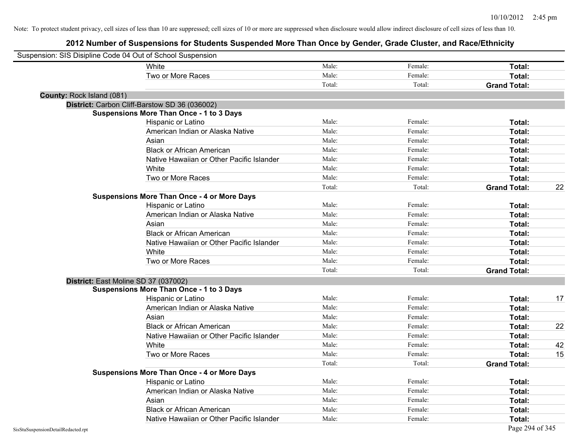| Suspension: SIS Disipline Code 04 Out of School Suspension |                                                    |        |         |                     |    |
|------------------------------------------------------------|----------------------------------------------------|--------|---------|---------------------|----|
|                                                            | <b>White</b>                                       | Male:  | Female: | Total:              |    |
|                                                            | Two or More Races                                  | Male:  | Female: | Total:              |    |
|                                                            |                                                    | Total: | Total:  | <b>Grand Total:</b> |    |
| County: Rock Island (081)                                  |                                                    |        |         |                     |    |
|                                                            | District: Carbon Cliff-Barstow SD 36 (036002)      |        |         |                     |    |
|                                                            | <b>Suspensions More Than Once - 1 to 3 Days</b>    |        |         |                     |    |
|                                                            | Hispanic or Latino                                 | Male:  | Female: | Total:              |    |
|                                                            | American Indian or Alaska Native                   | Male:  | Female: | Total:              |    |
|                                                            | Asian                                              | Male:  | Female: | Total:              |    |
|                                                            | <b>Black or African American</b>                   | Male:  | Female: | Total:              |    |
|                                                            | Native Hawaiian or Other Pacific Islander          | Male:  | Female: | Total:              |    |
|                                                            | White                                              | Male:  | Female: | Total:              |    |
|                                                            | Two or More Races                                  | Male:  | Female: | Total:              |    |
|                                                            |                                                    | Total: | Total:  | <b>Grand Total:</b> | 22 |
|                                                            | <b>Suspensions More Than Once - 4 or More Days</b> |        |         |                     |    |
|                                                            | Hispanic or Latino                                 | Male:  | Female: | Total:              |    |
|                                                            | American Indian or Alaska Native                   | Male:  | Female: | Total:              |    |
|                                                            | Asian                                              | Male:  | Female: | Total:              |    |
|                                                            | <b>Black or African American</b>                   | Male:  | Female: | Total:              |    |
|                                                            | Native Hawaiian or Other Pacific Islander          | Male:  | Female: | Total:              |    |
|                                                            | White                                              | Male:  | Female: | Total:              |    |
|                                                            | Two or More Races                                  | Male:  | Female: | Total:              |    |
|                                                            |                                                    | Total: | Total:  | <b>Grand Total:</b> |    |
|                                                            | District: East Moline SD 37 (037002)               |        |         |                     |    |
|                                                            | <b>Suspensions More Than Once - 1 to 3 Days</b>    |        |         |                     |    |
|                                                            | Hispanic or Latino                                 | Male:  | Female: | Total:              | 17 |
|                                                            | American Indian or Alaska Native                   | Male:  | Female: | Total:              |    |
|                                                            | Asian                                              | Male:  | Female: | Total:              |    |
|                                                            | <b>Black or African American</b>                   | Male:  | Female: | Total:              | 22 |
|                                                            | Native Hawaiian or Other Pacific Islander          | Male:  | Female: | Total:              |    |
|                                                            | White                                              | Male:  | Female: | Total:              | 42 |
|                                                            | Two or More Races                                  | Male:  | Female: | Total:              | 15 |
|                                                            |                                                    | Total: | Total:  | <b>Grand Total:</b> |    |
|                                                            | <b>Suspensions More Than Once - 4 or More Days</b> |        |         |                     |    |
|                                                            | Hispanic or Latino                                 | Male:  | Female: | Total:              |    |
|                                                            | American Indian or Alaska Native                   | Male:  | Female: | Total:              |    |
|                                                            | Asian                                              | Male:  | Female: | Total:              |    |
|                                                            | <b>Black or African American</b>                   | Male:  | Female: | <b>Total:</b>       |    |
|                                                            | Native Hawaiian or Other Pacific Islander          | Male:  | Female: | Total:              |    |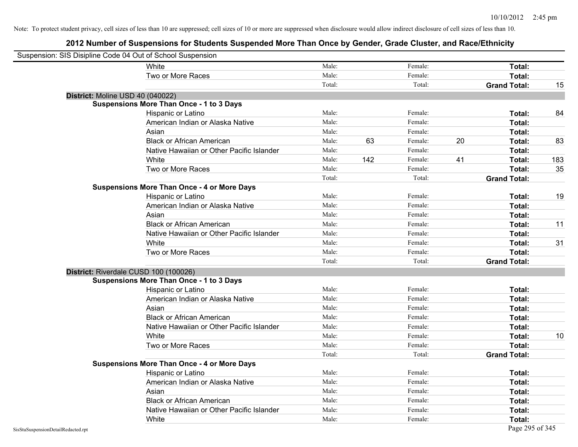| Suspension: SIS Disipline Code 04 Out of School Suspension |                                                    |        |     |         |                     |     |
|------------------------------------------------------------|----------------------------------------------------|--------|-----|---------|---------------------|-----|
|                                                            | White                                              | Male:  |     | Female: | Total:              |     |
|                                                            | Two or More Races                                  | Male:  |     | Female: | Total:              |     |
|                                                            |                                                    | Total: |     | Total:  | <b>Grand Total:</b> | 15  |
| District: Moline USD 40 (040022)                           |                                                    |        |     |         |                     |     |
|                                                            | <b>Suspensions More Than Once - 1 to 3 Days</b>    |        |     |         |                     |     |
|                                                            | Hispanic or Latino                                 | Male:  |     | Female: | Total:              | 84  |
|                                                            | American Indian or Alaska Native                   | Male:  |     | Female: | Total:              |     |
|                                                            | Asian                                              | Male:  |     | Female: | Total:              |     |
|                                                            | <b>Black or African American</b>                   | Male:  | 63  | Female: | 20<br>Total:        | 83  |
|                                                            | Native Hawaiian or Other Pacific Islander          | Male:  |     | Female: | Total:              |     |
|                                                            | White                                              | Male:  | 142 | Female: | 41<br>Total:        | 183 |
|                                                            | Two or More Races                                  | Male:  |     | Female: | Total:              | 35  |
|                                                            |                                                    | Total: |     | Total:  | <b>Grand Total:</b> |     |
|                                                            | <b>Suspensions More Than Once - 4 or More Days</b> |        |     |         |                     |     |
|                                                            | Hispanic or Latino                                 | Male:  |     | Female: | Total:              | 19  |
|                                                            | American Indian or Alaska Native                   | Male:  |     | Female: | Total:              |     |
|                                                            | Asian                                              | Male:  |     | Female: | Total:              |     |
|                                                            | <b>Black or African American</b>                   | Male:  |     | Female: | Total:              | 11  |
|                                                            | Native Hawaiian or Other Pacific Islander          | Male:  |     | Female: | Total:              |     |
|                                                            | White                                              | Male:  |     | Female: | Total:              | 31  |
|                                                            | Two or More Races                                  | Male:  |     | Female: | Total:              |     |
|                                                            |                                                    | Total: |     | Total:  | <b>Grand Total:</b> |     |
|                                                            | District: Riverdale CUSD 100 (100026)              |        |     |         |                     |     |
|                                                            | <b>Suspensions More Than Once - 1 to 3 Days</b>    |        |     |         |                     |     |
|                                                            | Hispanic or Latino                                 | Male:  |     | Female: | Total:              |     |
|                                                            | American Indian or Alaska Native                   | Male:  |     | Female: | Total:              |     |
|                                                            | Asian                                              | Male:  |     | Female: | Total:              |     |
|                                                            | <b>Black or African American</b>                   | Male:  |     | Female: | Total:              |     |
|                                                            | Native Hawaiian or Other Pacific Islander          | Male:  |     | Female: | Total:              |     |
|                                                            | White                                              | Male:  |     | Female: | Total:              | 10  |
|                                                            | Two or More Races                                  | Male:  |     | Female: | Total:              |     |
|                                                            |                                                    | Total: |     | Total:  | <b>Grand Total:</b> |     |
|                                                            | <b>Suspensions More Than Once - 4 or More Days</b> |        |     |         |                     |     |
|                                                            | Hispanic or Latino                                 | Male:  |     | Female: | Total:              |     |
|                                                            | American Indian or Alaska Native                   | Male:  |     | Female: | Total:              |     |
|                                                            | Asian                                              | Male:  |     | Female: | Total:              |     |
|                                                            | <b>Black or African American</b>                   | Male:  |     | Female: | Total:              |     |
|                                                            | Native Hawaiian or Other Pacific Islander          | Male:  |     | Female: | Total:              |     |
|                                                            | White                                              | Male:  |     | Female: | Total:              |     |
| SisStuSuspensionDetailRedacted.rpt                         |                                                    |        |     |         | Page 295 of 345     |     |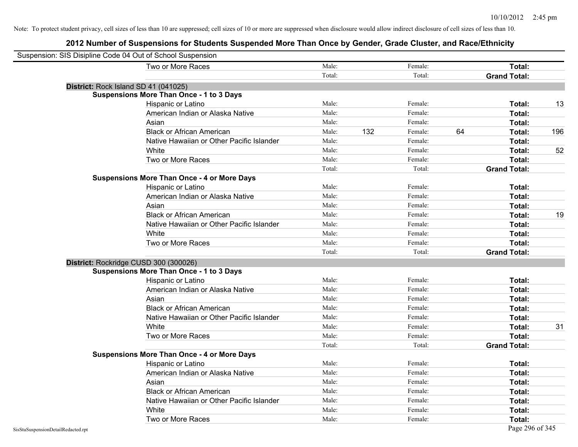| Suspension: SIS Disipline Code 04 Out of School Suspension |                                                    |        |     |         |    |                     |     |
|------------------------------------------------------------|----------------------------------------------------|--------|-----|---------|----|---------------------|-----|
|                                                            | Two or More Races                                  | Male:  |     | Female: |    | Total:              |     |
|                                                            |                                                    | Total: |     | Total:  |    | <b>Grand Total:</b> |     |
|                                                            | District: Rock Island SD 41 (041025)               |        |     |         |    |                     |     |
|                                                            | <b>Suspensions More Than Once - 1 to 3 Days</b>    |        |     |         |    |                     |     |
|                                                            | Hispanic or Latino                                 | Male:  |     | Female: |    | Total:              | 13  |
|                                                            | American Indian or Alaska Native                   | Male:  |     | Female: |    | Total:              |     |
|                                                            | Asian                                              | Male:  |     | Female: |    | Total:              |     |
|                                                            | <b>Black or African American</b>                   | Male:  | 132 | Female: | 64 | Total:              | 196 |
|                                                            | Native Hawaiian or Other Pacific Islander          | Male:  |     | Female: |    | Total:              |     |
|                                                            | White                                              | Male:  |     | Female: |    | Total:              | 52  |
|                                                            | Two or More Races                                  | Male:  |     | Female: |    | Total:              |     |
|                                                            |                                                    | Total: |     | Total:  |    | <b>Grand Total:</b> |     |
|                                                            | <b>Suspensions More Than Once - 4 or More Days</b> |        |     |         |    |                     |     |
|                                                            | Hispanic or Latino                                 | Male:  |     | Female: |    | Total:              |     |
|                                                            | American Indian or Alaska Native                   | Male:  |     | Female: |    | Total:              |     |
|                                                            | Asian                                              | Male:  |     | Female: |    | Total:              |     |
|                                                            | <b>Black or African American</b>                   | Male:  |     | Female: |    | Total:              | 19  |
|                                                            | Native Hawaiian or Other Pacific Islander          | Male:  |     | Female: |    | Total:              |     |
|                                                            | White                                              | Male:  |     | Female: |    | Total:              |     |
|                                                            | Two or More Races                                  | Male:  |     | Female: |    | Total:              |     |
|                                                            |                                                    | Total: |     | Total:  |    | <b>Grand Total:</b> |     |
|                                                            | District: Rockridge CUSD 300 (300026)              |        |     |         |    |                     |     |
|                                                            | <b>Suspensions More Than Once - 1 to 3 Days</b>    |        |     |         |    |                     |     |
|                                                            | Hispanic or Latino                                 | Male:  |     | Female: |    | Total:              |     |
|                                                            | American Indian or Alaska Native                   | Male:  |     | Female: |    | Total:              |     |
|                                                            | Asian                                              | Male:  |     | Female: |    | Total:              |     |
|                                                            | <b>Black or African American</b>                   | Male:  |     | Female: |    | Total:              |     |
|                                                            | Native Hawaiian or Other Pacific Islander          | Male:  |     | Female: |    | Total:              |     |
|                                                            | White                                              | Male:  |     | Female: |    | Total:              | 31  |
|                                                            | Two or More Races                                  | Male:  |     | Female: |    | Total:              |     |
|                                                            |                                                    | Total: |     | Total:  |    | <b>Grand Total:</b> |     |
|                                                            | <b>Suspensions More Than Once - 4 or More Days</b> |        |     |         |    |                     |     |
|                                                            | Hispanic or Latino                                 | Male:  |     | Female: |    | Total:              |     |
|                                                            | American Indian or Alaska Native                   | Male:  |     | Female: |    | Total:              |     |
|                                                            | Asian                                              | Male:  |     | Female: |    | Total:              |     |
|                                                            | <b>Black or African American</b>                   | Male:  |     | Female: |    | Total:              |     |
|                                                            | Native Hawaiian or Other Pacific Islander          | Male:  |     | Female: |    | Total:              |     |
|                                                            | White                                              | Male:  |     | Female: |    | Total:              |     |
|                                                            | Two or More Races                                  | Male:  |     | Female: |    | Total:              |     |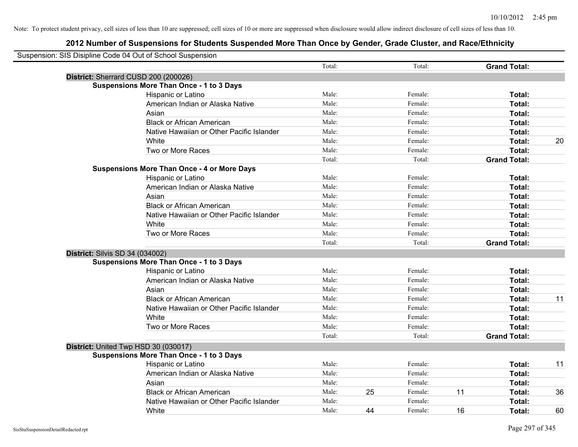| Suspension: SIS Disipline Code 04 Out of School Suspension |        |    |         |    |                     |    |
|------------------------------------------------------------|--------|----|---------|----|---------------------|----|
|                                                            | Total: |    | Total:  |    | <b>Grand Total:</b> |    |
| District: Sherrard CUSD 200 (200026)                       |        |    |         |    |                     |    |
| <b>Suspensions More Than Once - 1 to 3 Days</b>            |        |    |         |    |                     |    |
| Hispanic or Latino                                         | Male:  |    | Female: |    | Total:              |    |
| American Indian or Alaska Native                           | Male:  |    | Female: |    | Total:              |    |
| Asian                                                      | Male:  |    | Female: |    | Total:              |    |
| <b>Black or African American</b>                           | Male:  |    | Female: |    | Total:              |    |
| Native Hawaiian or Other Pacific Islander                  | Male:  |    | Female: |    | Total:              |    |
| White                                                      | Male:  |    | Female: |    | Total:              | 20 |
| Two or More Races                                          | Male:  |    | Female: |    | Total:              |    |
|                                                            | Total: |    | Total:  |    | <b>Grand Total:</b> |    |
| <b>Suspensions More Than Once - 4 or More Days</b>         |        |    |         |    |                     |    |
| Hispanic or Latino                                         | Male:  |    | Female: |    | Total:              |    |
| American Indian or Alaska Native                           | Male:  |    | Female: |    | Total:              |    |
| Asian                                                      | Male:  |    | Female: |    | Total:              |    |
| <b>Black or African American</b>                           | Male:  |    | Female: |    | Total:              |    |
| Native Hawaiian or Other Pacific Islander                  | Male:  |    | Female: |    | Total:              |    |
| White                                                      | Male:  |    | Female: |    | Total:              |    |
| Two or More Races                                          | Male:  |    | Female: |    | Total:              |    |
|                                                            | Total: |    | Total:  |    | <b>Grand Total:</b> |    |
| District: Silvis SD 34 (034002)                            |        |    |         |    |                     |    |
| <b>Suspensions More Than Once - 1 to 3 Days</b>            |        |    |         |    |                     |    |
| Hispanic or Latino                                         | Male:  |    | Female: |    | Total:              |    |
| American Indian or Alaska Native                           | Male:  |    | Female: |    | Total:              |    |
| Asian                                                      | Male:  |    | Female: |    | Total:              |    |
| <b>Black or African American</b>                           | Male:  |    | Female: |    | Total:              | 11 |
| Native Hawaiian or Other Pacific Islander                  | Male:  |    | Female: |    | Total:              |    |
| White                                                      | Male:  |    | Female: |    | Total:              |    |
| Two or More Races                                          | Male:  |    | Female: |    | Total:              |    |
|                                                            | Total: |    | Total:  |    | <b>Grand Total:</b> |    |
| District: United Twp HSD 30 (030017)                       |        |    |         |    |                     |    |
| <b>Suspensions More Than Once - 1 to 3 Days</b>            |        |    |         |    |                     |    |
| Hispanic or Latino                                         | Male:  |    | Female: |    | Total:              | 11 |
| American Indian or Alaska Native                           | Male:  |    | Female: |    | Total:              |    |
| Asian                                                      | Male:  |    | Female: |    | Total:              |    |
| <b>Black or African American</b>                           | Male:  | 25 | Female: | 11 | Total:              | 36 |
| Native Hawaiian or Other Pacific Islander                  | Male:  |    | Female: |    | Total:              |    |
| White                                                      | Male:  | 44 | Female: | 16 | Total:              | 60 |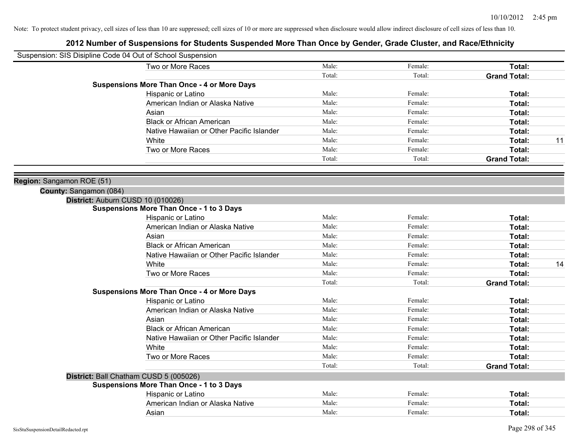|                           | Suspension: SIS Disipline Code 04 Out of School Suspension |        |         |                     |    |
|---------------------------|------------------------------------------------------------|--------|---------|---------------------|----|
|                           | Two or More Races                                          | Male:  | Female: | Total:              |    |
|                           |                                                            | Total: | Total:  | <b>Grand Total:</b> |    |
|                           | <b>Suspensions More Than Once - 4 or More Days</b>         |        |         |                     |    |
|                           | Hispanic or Latino                                         | Male:  | Female: | Total:              |    |
|                           | American Indian or Alaska Native                           | Male:  | Female: | Total:              |    |
|                           | Asian                                                      | Male:  | Female: | Total:              |    |
|                           | <b>Black or African American</b>                           | Male:  | Female: | Total:              |    |
|                           | Native Hawaiian or Other Pacific Islander                  | Male:  | Female: | Total:              |    |
|                           | White                                                      | Male:  | Female: | Total:              | 11 |
|                           | Two or More Races                                          | Male:  | Female: | Total:              |    |
|                           |                                                            | Total: | Total:  | <b>Grand Total:</b> |    |
| Region: Sangamon ROE (51) |                                                            |        |         |                     |    |
| County: Sangamon (084)    |                                                            |        |         |                     |    |
|                           | District: Auburn CUSD 10 (010026)                          |        |         |                     |    |
|                           | <b>Suspensions More Than Once - 1 to 3 Days</b>            |        |         |                     |    |
|                           | Hispanic or Latino                                         | Male:  | Female: | Total:              |    |
|                           | American Indian or Alaska Native                           | Male:  | Female: | Total:              |    |
|                           | Asian                                                      | Male:  | Female: | Total:              |    |
|                           | <b>Black or African American</b>                           | Male:  | Female: | Total:              |    |
|                           | Native Hawaiian or Other Pacific Islander                  | Male:  | Female: | Total:              |    |
|                           | White                                                      | Male:  | Female: | Total:              | 14 |
|                           | Two or More Races                                          | Male:  | Female: | Total:              |    |
|                           |                                                            | Total: | Total:  | <b>Grand Total:</b> |    |
|                           | <b>Suspensions More Than Once - 4 or More Days</b>         |        |         |                     |    |
|                           | Hispanic or Latino                                         | Male:  | Female: | Total:              |    |
|                           | American Indian or Alaska Native                           | Male:  | Female: | Total:              |    |
|                           | Asian                                                      | Male:  | Female: | Total:              |    |
|                           | <b>Black or African American</b>                           | Male:  | Female: | Total:              |    |
|                           | Native Hawaiian or Other Pacific Islander                  | Male:  | Female: | Total:              |    |
|                           | White                                                      | Male:  | Female: | Total:              |    |
|                           | Two or More Races                                          | Male:  | Female: | Total:              |    |
|                           |                                                            | Total: | Total:  | <b>Grand Total:</b> |    |
|                           | District: Ball Chatham CUSD 5 (005026)                     |        |         |                     |    |
|                           | <b>Suspensions More Than Once - 1 to 3 Days</b>            |        |         |                     |    |
|                           | Hispanic or Latino                                         | Male:  | Female: | Total:              |    |
|                           | American Indian or Alaska Native                           | Male:  | Female: | Total:              |    |
|                           | Asian                                                      | Male:  | Female: | Total:              |    |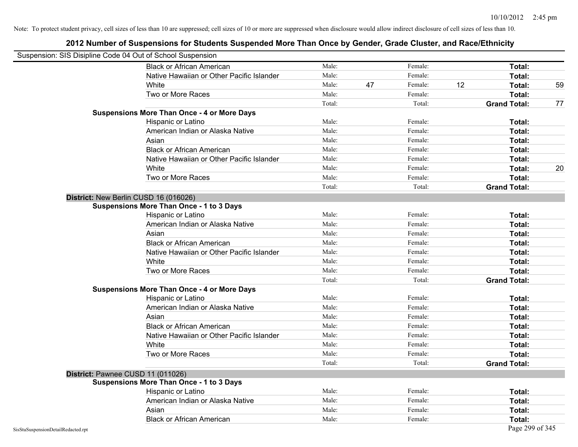| Suspension: SIS Disipline Code 04 Out of School Suspension |                                                    |        |    |         |    |                     |    |
|------------------------------------------------------------|----------------------------------------------------|--------|----|---------|----|---------------------|----|
|                                                            | <b>Black or African American</b>                   | Male:  |    | Female: |    | Total:              |    |
|                                                            | Native Hawaiian or Other Pacific Islander          | Male:  |    | Female: |    | Total:              |    |
|                                                            | White                                              | Male:  | 47 | Female: | 12 | Total:              | 59 |
|                                                            | Two or More Races                                  | Male:  |    | Female: |    | Total:              |    |
|                                                            |                                                    | Total: |    | Total:  |    | <b>Grand Total:</b> | 77 |
|                                                            | <b>Suspensions More Than Once - 4 or More Days</b> |        |    |         |    |                     |    |
|                                                            | Hispanic or Latino                                 | Male:  |    | Female: |    | Total:              |    |
|                                                            | American Indian or Alaska Native                   | Male:  |    | Female: |    | Total:              |    |
|                                                            | Asian                                              | Male:  |    | Female: |    | Total:              |    |
|                                                            | <b>Black or African American</b>                   | Male:  |    | Female: |    | Total:              |    |
|                                                            | Native Hawaiian or Other Pacific Islander          | Male:  |    | Female: |    | Total:              |    |
|                                                            | White                                              | Male:  |    | Female: |    | Total:              | 20 |
|                                                            | Two or More Races                                  | Male:  |    | Female: |    | Total:              |    |
|                                                            |                                                    | Total: |    | Total:  |    | <b>Grand Total:</b> |    |
|                                                            | District: New Berlin CUSD 16 (016026)              |        |    |         |    |                     |    |
|                                                            | Suspensions More Than Once - 1 to 3 Days           |        |    |         |    |                     |    |
|                                                            | Hispanic or Latino                                 | Male:  |    | Female: |    | Total:              |    |
|                                                            | American Indian or Alaska Native                   | Male:  |    | Female: |    | Total:              |    |
|                                                            | Asian                                              | Male:  |    | Female: |    | Total:              |    |
|                                                            | <b>Black or African American</b>                   | Male:  |    | Female: |    | Total:              |    |
|                                                            | Native Hawaiian or Other Pacific Islander          | Male:  |    | Female: |    | Total:              |    |
|                                                            | White                                              | Male:  |    | Female: |    | Total:              |    |
|                                                            | Two or More Races                                  | Male:  |    | Female: |    | Total:              |    |
|                                                            |                                                    | Total: |    | Total:  |    | <b>Grand Total:</b> |    |
|                                                            | <b>Suspensions More Than Once - 4 or More Days</b> |        |    |         |    |                     |    |
|                                                            | Hispanic or Latino                                 | Male:  |    | Female: |    | Total:              |    |
|                                                            | American Indian or Alaska Native                   | Male:  |    | Female: |    | Total:              |    |
|                                                            | Asian                                              | Male:  |    | Female: |    | Total:              |    |
|                                                            | <b>Black or African American</b>                   | Male:  |    | Female: |    | Total:              |    |
|                                                            | Native Hawaiian or Other Pacific Islander          | Male:  |    | Female: |    | Total:              |    |
|                                                            | White                                              | Male:  |    | Female: |    | Total:              |    |
|                                                            | Two or More Races                                  | Male:  |    | Female: |    | Total:              |    |
|                                                            |                                                    | Total: |    | Total:  |    | <b>Grand Total:</b> |    |
|                                                            | District: Pawnee CUSD 11 (011026)                  |        |    |         |    |                     |    |
|                                                            | <b>Suspensions More Than Once - 1 to 3 Days</b>    |        |    |         |    |                     |    |
|                                                            | Hispanic or Latino                                 | Male:  |    | Female: |    | Total:              |    |
|                                                            | American Indian or Alaska Native                   | Male:  |    | Female: |    | Total:              |    |
|                                                            | Asian                                              | Male:  |    | Female: |    | Total:              |    |
|                                                            | <b>Black or African American</b>                   | Male:  |    | Female: |    | Total:              |    |
| SisStuSuspensionDetailRedacted.rpt                         |                                                    |        |    |         |    | Page 299 of 345     |    |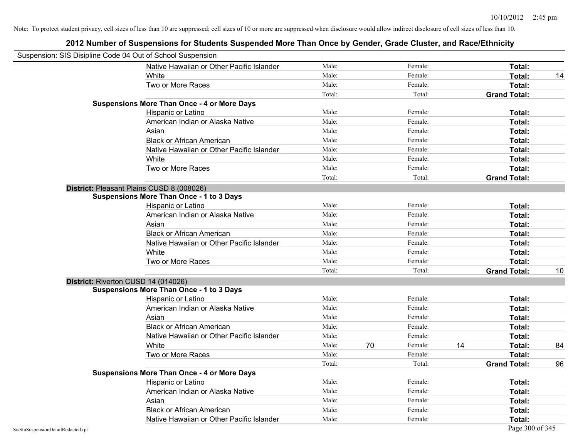|                                    | Suspension: SIS Disipline Code 04 Out of School Suspension |        |    |         |    |                     |    |
|------------------------------------|------------------------------------------------------------|--------|----|---------|----|---------------------|----|
|                                    | Native Hawaiian or Other Pacific Islander                  | Male:  |    | Female: |    | Total:              |    |
|                                    | <b>White</b>                                               | Male:  |    | Female: |    | Total:              | 14 |
|                                    | Two or More Races                                          | Male:  |    | Female: |    | Total:              |    |
|                                    |                                                            | Total: |    | Total:  |    | <b>Grand Total:</b> |    |
|                                    | <b>Suspensions More Than Once - 4 or More Days</b>         |        |    |         |    |                     |    |
|                                    | Hispanic or Latino                                         | Male:  |    | Female: |    | Total:              |    |
|                                    | American Indian or Alaska Native                           | Male:  |    | Female: |    | Total:              |    |
|                                    | Asian                                                      | Male:  |    | Female: |    | Total:              |    |
|                                    | <b>Black or African American</b>                           | Male:  |    | Female: |    | Total:              |    |
|                                    | Native Hawaiian or Other Pacific Islander                  | Male:  |    | Female: |    | Total:              |    |
|                                    | White                                                      | Male:  |    | Female: |    | Total:              |    |
|                                    | Two or More Races                                          | Male:  |    | Female: |    | Total:              |    |
|                                    |                                                            | Total: |    | Total:  |    | <b>Grand Total:</b> |    |
|                                    | District: Pleasant Plains CUSD 8 (008026)                  |        |    |         |    |                     |    |
|                                    | <b>Suspensions More Than Once - 1 to 3 Days</b>            |        |    |         |    |                     |    |
|                                    | Hispanic or Latino                                         | Male:  |    | Female: |    | Total:              |    |
|                                    | American Indian or Alaska Native                           | Male:  |    | Female: |    | Total:              |    |
|                                    | Asian                                                      | Male:  |    | Female: |    | Total:              |    |
|                                    | <b>Black or African American</b>                           | Male:  |    | Female: |    | Total:              |    |
|                                    | Native Hawaiian or Other Pacific Islander                  | Male:  |    | Female: |    | Total:              |    |
|                                    | White                                                      | Male:  |    | Female: |    | Total:              |    |
|                                    | Two or More Races                                          | Male:  |    | Female: |    | Total:              |    |
|                                    |                                                            | Total: |    | Total:  |    | <b>Grand Total:</b> | 10 |
|                                    | District: Riverton CUSD 14 (014026)                        |        |    |         |    |                     |    |
|                                    | <b>Suspensions More Than Once - 1 to 3 Days</b>            |        |    |         |    |                     |    |
|                                    | Hispanic or Latino                                         | Male:  |    | Female: |    | Total:              |    |
|                                    | American Indian or Alaska Native                           | Male:  |    | Female: |    | Total:              |    |
|                                    | Asian                                                      | Male:  |    | Female: |    | Total:              |    |
|                                    | <b>Black or African American</b>                           | Male:  |    | Female: |    | Total:              |    |
|                                    | Native Hawaiian or Other Pacific Islander                  | Male:  |    | Female: |    | Total:              |    |
|                                    | White                                                      | Male:  | 70 | Female: | 14 | Total:              | 84 |
|                                    | Two or More Races                                          | Male:  |    | Female: |    | Total:              |    |
|                                    |                                                            | Total: |    | Total:  |    | <b>Grand Total:</b> | 96 |
|                                    | <b>Suspensions More Than Once - 4 or More Days</b>         |        |    |         |    |                     |    |
|                                    | Hispanic or Latino                                         | Male:  |    | Female: |    | Total:              |    |
|                                    | American Indian or Alaska Native                           | Male:  |    | Female: |    | Total:              |    |
|                                    | Asian                                                      | Male:  |    | Female: |    | Total:              |    |
|                                    | <b>Black or African American</b>                           | Male:  |    | Female: |    | Total:              |    |
|                                    | Native Hawaiian or Other Pacific Islander                  | Male:  |    | Female: |    | Total:              |    |
| SisStuSuspensionDetailRedacted.rpt |                                                            |        |    |         |    | Page 300 of 345     |    |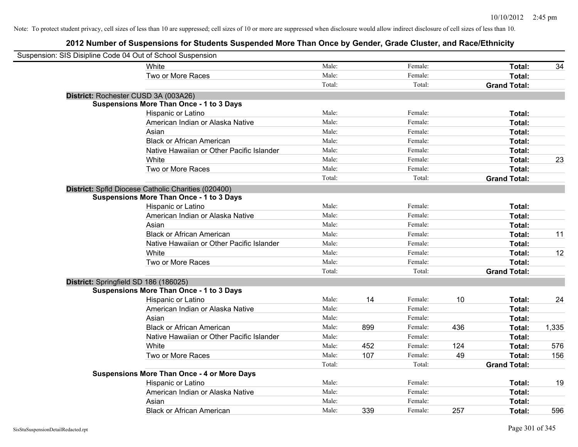| Suspension: SIS Disipline Code 04 Out of School Suspension |                                                     |        |     |         |     |                     |       |
|------------------------------------------------------------|-----------------------------------------------------|--------|-----|---------|-----|---------------------|-------|
|                                                            | White                                               | Male:  |     | Female: |     | Total:              | 34    |
|                                                            | Two or More Races                                   | Male:  |     | Female: |     | Total:              |       |
|                                                            |                                                     | Total: |     | Total:  |     | <b>Grand Total:</b> |       |
| District: Rochester CUSD 3A (003A26)                       |                                                     |        |     |         |     |                     |       |
|                                                            | <b>Suspensions More Than Once - 1 to 3 Days</b>     |        |     |         |     |                     |       |
|                                                            | Hispanic or Latino                                  | Male:  |     | Female: |     | Total:              |       |
|                                                            | American Indian or Alaska Native                    | Male:  |     | Female: |     | Total:              |       |
|                                                            | Asian                                               | Male:  |     | Female: |     | Total:              |       |
|                                                            | <b>Black or African American</b>                    | Male:  |     | Female: |     | Total:              |       |
|                                                            | Native Hawaiian or Other Pacific Islander           | Male:  |     | Female: |     | Total:              |       |
|                                                            | White                                               | Male:  |     | Female: |     | Total:              | 23    |
|                                                            | Two or More Races                                   | Male:  |     | Female: |     | Total:              |       |
|                                                            |                                                     | Total: |     | Total:  |     | <b>Grand Total:</b> |       |
|                                                            | District: Spfld Diocese Catholic Charities (020400) |        |     |         |     |                     |       |
|                                                            | <b>Suspensions More Than Once - 1 to 3 Days</b>     |        |     |         |     |                     |       |
|                                                            | Hispanic or Latino                                  | Male:  |     | Female: |     | Total:              |       |
|                                                            | American Indian or Alaska Native                    | Male:  |     | Female: |     | Total:              |       |
|                                                            | Asian                                               | Male:  |     | Female: |     | Total:              |       |
|                                                            | <b>Black or African American</b>                    | Male:  |     | Female: |     | Total:              | 11    |
|                                                            | Native Hawaiian or Other Pacific Islander           | Male:  |     | Female: |     | Total:              |       |
|                                                            | White                                               | Male:  |     | Female: |     | Total:              | 12    |
|                                                            | Two or More Races                                   | Male:  |     | Female: |     | Total:              |       |
|                                                            |                                                     | Total: |     | Total:  |     | <b>Grand Total:</b> |       |
| District: Springfield SD 186 (186025)                      |                                                     |        |     |         |     |                     |       |
|                                                            | <b>Suspensions More Than Once - 1 to 3 Days</b>     |        |     |         |     |                     |       |
|                                                            | Hispanic or Latino                                  | Male:  | 14  | Female: | 10  | Total:              | 24    |
|                                                            | American Indian or Alaska Native                    | Male:  |     | Female: |     | Total:              |       |
|                                                            | Asian                                               | Male:  |     | Female: |     | Total:              |       |
|                                                            | <b>Black or African American</b>                    | Male:  | 899 | Female: | 436 | Total:              | 1,335 |
|                                                            | Native Hawaiian or Other Pacific Islander           | Male:  |     | Female: |     | Total:              |       |
|                                                            | White                                               | Male:  | 452 | Female: | 124 | Total:              | 576   |
|                                                            | Two or More Races                                   | Male:  | 107 | Female: | 49  | Total:              | 156   |
|                                                            |                                                     | Total: |     | Total:  |     | <b>Grand Total:</b> |       |
|                                                            | <b>Suspensions More Than Once - 4 or More Days</b>  |        |     |         |     |                     |       |
|                                                            | Hispanic or Latino                                  | Male:  |     | Female: |     | Total:              | 19    |
|                                                            | American Indian or Alaska Native                    | Male:  |     | Female: |     | Total:              |       |
|                                                            | Asian                                               | Male:  |     | Female: |     | Total:              |       |
|                                                            | <b>Black or African American</b>                    | Male:  | 339 | Female: | 257 | Total:              | 596   |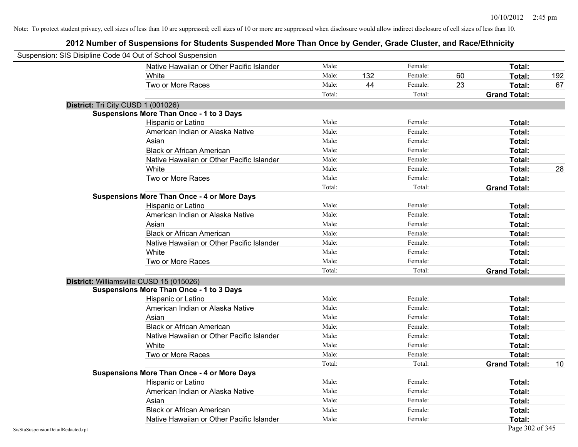| Suspension: SIS Disipline Code 04 Out of School Suspension |                                                    |        |     |         |    |                     |     |
|------------------------------------------------------------|----------------------------------------------------|--------|-----|---------|----|---------------------|-----|
|                                                            | Native Hawaiian or Other Pacific Islander          | Male:  |     | Female: |    | Total:              |     |
|                                                            | White                                              | Male:  | 132 | Female: | 60 | Total:              | 192 |
|                                                            | Two or More Races                                  | Male:  | 44  | Female: | 23 | Total:              | 67  |
|                                                            |                                                    | Total: |     | Total:  |    | <b>Grand Total:</b> |     |
| District: Tri City CUSD 1 (001026)                         |                                                    |        |     |         |    |                     |     |
|                                                            | Suspensions More Than Once - 1 to 3 Days           |        |     |         |    |                     |     |
|                                                            | Hispanic or Latino                                 | Male:  |     | Female: |    | Total:              |     |
|                                                            | American Indian or Alaska Native                   | Male:  |     | Female: |    | Total:              |     |
|                                                            | Asian                                              | Male:  |     | Female: |    | Total:              |     |
|                                                            | <b>Black or African American</b>                   | Male:  |     | Female: |    | Total:              |     |
|                                                            | Native Hawaiian or Other Pacific Islander          | Male:  |     | Female: |    | Total:              |     |
|                                                            | White                                              | Male:  |     | Female: |    | Total:              | 28  |
|                                                            | Two or More Races                                  | Male:  |     | Female: |    | Total:              |     |
|                                                            |                                                    | Total: |     | Total:  |    | <b>Grand Total:</b> |     |
|                                                            | <b>Suspensions More Than Once - 4 or More Days</b> |        |     |         |    |                     |     |
|                                                            | Hispanic or Latino                                 | Male:  |     | Female: |    | Total:              |     |
|                                                            | American Indian or Alaska Native                   | Male:  |     | Female: |    | Total:              |     |
|                                                            | Asian                                              | Male:  |     | Female: |    | Total:              |     |
|                                                            | <b>Black or African American</b>                   | Male:  |     | Female: |    | Total:              |     |
|                                                            | Native Hawaiian or Other Pacific Islander          | Male:  |     | Female: |    | Total:              |     |
|                                                            | White                                              | Male:  |     | Female: |    | Total:              |     |
|                                                            | Two or More Races                                  | Male:  |     | Female: |    | Total:              |     |
|                                                            |                                                    | Total: |     | Total:  |    | <b>Grand Total:</b> |     |
| District: Williamsville CUSD 15 (015026)                   |                                                    |        |     |         |    |                     |     |
|                                                            | <b>Suspensions More Than Once - 1 to 3 Days</b>    |        |     |         |    |                     |     |
|                                                            | Hispanic or Latino                                 | Male:  |     | Female: |    | Total:              |     |
|                                                            | American Indian or Alaska Native                   | Male:  |     | Female: |    | Total:              |     |
|                                                            | Asian                                              | Male:  |     | Female: |    | Total:              |     |
|                                                            | <b>Black or African American</b>                   | Male:  |     | Female: |    | Total:              |     |
|                                                            | Native Hawaiian or Other Pacific Islander          | Male:  |     | Female: |    | Total:              |     |
|                                                            | White                                              | Male:  |     | Female: |    | Total:              |     |
|                                                            | Two or More Races                                  | Male:  |     | Female: |    | Total:              |     |
|                                                            |                                                    | Total: |     | Total:  |    | <b>Grand Total:</b> | 10  |
|                                                            | <b>Suspensions More Than Once - 4 or More Days</b> |        |     |         |    |                     |     |
|                                                            | Hispanic or Latino                                 | Male:  |     | Female: |    | Total:              |     |
|                                                            | American Indian or Alaska Native                   | Male:  |     | Female: |    | Total:              |     |
|                                                            | Asian                                              | Male:  |     | Female: |    | Total:              |     |
|                                                            | <b>Black or African American</b>                   | Male:  |     | Female: |    | Total:              |     |
|                                                            | Native Hawaiian or Other Pacific Islander          | Male:  |     | Female: |    | Total:              |     |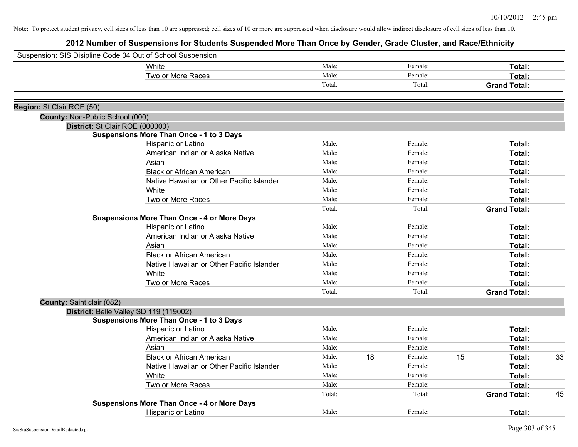|                                 | Suspension: SIS Disipline Code 04 Out of School Suspension |        |               |    |                     |    |
|---------------------------------|------------------------------------------------------------|--------|---------------|----|---------------------|----|
|                                 | White                                                      | Male:  | Female:       |    | Total:              |    |
|                                 | Two or More Races                                          | Male:  | Female:       |    | Total:              |    |
|                                 |                                                            | Total: | Total:        |    | <b>Grand Total:</b> |    |
| Region: St Clair ROE (50)       |                                                            |        |               |    |                     |    |
| County: Non-Public School (000) |                                                            |        |               |    |                     |    |
| District: St Clair ROE (000000) |                                                            |        |               |    |                     |    |
|                                 | <b>Suspensions More Than Once - 1 to 3 Days</b>            |        |               |    |                     |    |
|                                 | Hispanic or Latino                                         | Male:  | Female:       |    | Total:              |    |
|                                 | American Indian or Alaska Native                           | Male:  | Female:       |    | <b>Total:</b>       |    |
|                                 | Asian                                                      | Male:  | Female:       |    | Total:              |    |
|                                 | <b>Black or African American</b>                           | Male:  | Female:       |    | <b>Total:</b>       |    |
|                                 | Native Hawaiian or Other Pacific Islander                  | Male:  | Female:       |    | Total:              |    |
|                                 | White                                                      | Male:  | Female:       |    | Total:              |    |
|                                 | Two or More Races                                          | Male:  | Female:       |    | Total:              |    |
|                                 |                                                            | Total: | Total:        |    | <b>Grand Total:</b> |    |
|                                 | <b>Suspensions More Than Once - 4 or More Days</b>         |        |               |    |                     |    |
|                                 | Hispanic or Latino                                         | Male:  | Female:       |    | Total:              |    |
|                                 | American Indian or Alaska Native                           | Male:  | Female:       |    | Total:              |    |
|                                 | Asian                                                      | Male:  | Female:       |    | <b>Total:</b>       |    |
|                                 | <b>Black or African American</b>                           | Male:  | Female:       |    | Total:              |    |
|                                 | Native Hawaiian or Other Pacific Islander                  | Male:  | Female:       |    | Total:              |    |
|                                 | White                                                      | Male:  | Female:       |    | Total:              |    |
|                                 | Two or More Races                                          | Male:  | Female:       |    | Total:              |    |
|                                 |                                                            | Total: | Total:        |    | <b>Grand Total:</b> |    |
| County: Saint clair (082)       |                                                            |        |               |    |                     |    |
|                                 | District: Belle Valley SD 119 (119002)                     |        |               |    |                     |    |
|                                 | <b>Suspensions More Than Once - 1 to 3 Days</b>            |        |               |    |                     |    |
|                                 | Hispanic or Latino                                         | Male:  | Female:       |    | <b>Total:</b>       |    |
|                                 | American Indian or Alaska Native                           | Male:  | Female:       |    | Total:              |    |
|                                 | Asian                                                      | Male:  | Female:       |    | <b>Total:</b>       |    |
|                                 | <b>Black or African American</b>                           | Male:  | 18<br>Female: | 15 | Total:              | 33 |
|                                 | Native Hawaiian or Other Pacific Islander                  | Male:  | Female:       |    | Total:              |    |
|                                 | White                                                      | Male:  | Female:       |    | Total:              |    |
|                                 | Two or More Races                                          | Male:  | Female:       |    | Total:              |    |
|                                 |                                                            | Total: | Total:        |    | <b>Grand Total:</b> | 45 |
|                                 | <b>Suspensions More Than Once - 4 or More Days</b>         |        |               |    |                     |    |
|                                 | Hispanic or Latino                                         | Male:  | Female:       |    | Total:              |    |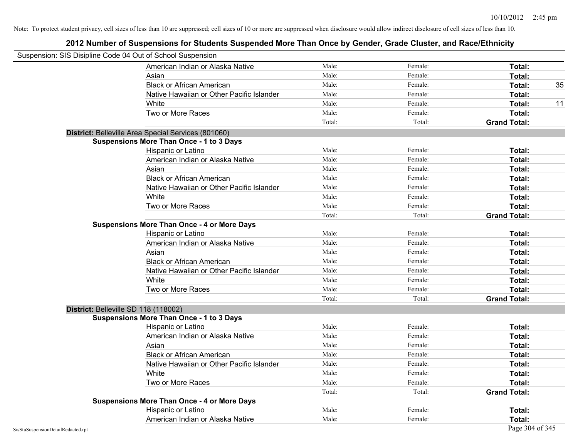|                                    | Suspension: SIS Disipline Code 04 Out of School Suspension |        |         |                     |
|------------------------------------|------------------------------------------------------------|--------|---------|---------------------|
|                                    | American Indian or Alaska Native                           | Male:  | Female: | Total:              |
|                                    | Asian                                                      | Male:  | Female: | Total:              |
|                                    | <b>Black or African American</b>                           | Male:  | Female: | 35<br>Total:        |
|                                    | Native Hawaiian or Other Pacific Islander                  | Male:  | Female: | Total:              |
|                                    | White                                                      | Male:  | Female: | Total:<br>11        |
|                                    | Two or More Races                                          | Male:  | Female: | Total:              |
|                                    |                                                            | Total: | Total:  | <b>Grand Total:</b> |
|                                    | District: Belleville Area Special Services (801060)        |        |         |                     |
|                                    | <b>Suspensions More Than Once - 1 to 3 Days</b>            |        |         |                     |
|                                    | Hispanic or Latino                                         | Male:  | Female: | Total:              |
|                                    | American Indian or Alaska Native                           | Male:  | Female: | Total:              |
|                                    | Asian                                                      | Male:  | Female: | Total:              |
|                                    | <b>Black or African American</b>                           | Male:  | Female: | Total:              |
|                                    | Native Hawaiian or Other Pacific Islander                  | Male:  | Female: | Total:              |
|                                    | White                                                      | Male:  | Female: | Total:              |
|                                    | Two or More Races                                          | Male:  | Female: | Total:              |
|                                    |                                                            | Total: | Total:  | <b>Grand Total:</b> |
|                                    | <b>Suspensions More Than Once - 4 or More Days</b>         |        |         |                     |
|                                    | Hispanic or Latino                                         | Male:  | Female: | Total:              |
|                                    | American Indian or Alaska Native                           | Male:  | Female: | Total:              |
|                                    | Asian                                                      | Male:  | Female: | Total:              |
|                                    | <b>Black or African American</b>                           | Male:  | Female: | Total:              |
|                                    | Native Hawaiian or Other Pacific Islander                  | Male:  | Female: | Total:              |
|                                    | White                                                      | Male:  | Female: | Total:              |
|                                    | Two or More Races                                          | Male:  | Female: | Total:              |
|                                    |                                                            | Total: | Total:  | <b>Grand Total:</b> |
|                                    | District: Belleville SD 118 (118002)                       |        |         |                     |
|                                    | <b>Suspensions More Than Once - 1 to 3 Days</b>            |        |         |                     |
|                                    | Hispanic or Latino                                         | Male:  | Female: | Total:              |
|                                    | American Indian or Alaska Native                           | Male:  | Female: | Total:              |
|                                    | Asian                                                      | Male:  | Female: | Total:              |
|                                    | <b>Black or African American</b>                           | Male:  | Female: | Total:              |
|                                    | Native Hawaiian or Other Pacific Islander                  | Male:  | Female: | Total:              |
|                                    | White                                                      | Male:  | Female: | Total:              |
|                                    | Two or More Races                                          | Male:  | Female: | Total:              |
|                                    |                                                            | Total: | Total:  | <b>Grand Total:</b> |
|                                    | <b>Suspensions More Than Once - 4 or More Days</b>         |        |         |                     |
|                                    | Hispanic or Latino                                         | Male:  | Female: | Total:              |
|                                    | American Indian or Alaska Native                           | Male:  | Female: | Total:              |
| SisStuSuspensionDetailRedacted.rpt |                                                            |        |         | Page 304 of 345     |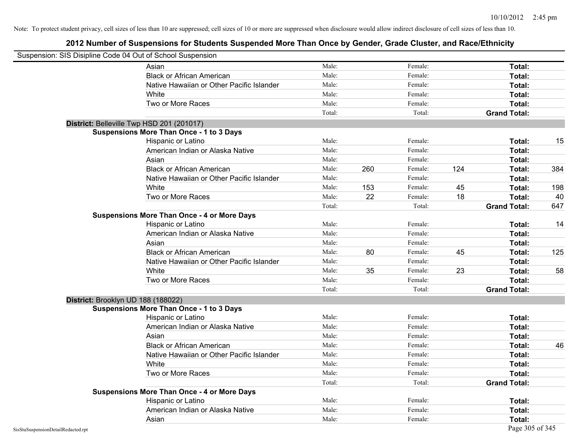|                                    | Suspension: SIS Disipline Code 04 Out of School Suspension |        |     |         |     |                     |     |
|------------------------------------|------------------------------------------------------------|--------|-----|---------|-----|---------------------|-----|
|                                    | Asian                                                      | Male:  |     | Female: |     | Total:              |     |
|                                    | <b>Black or African American</b>                           | Male:  |     | Female: |     | Total:              |     |
|                                    | Native Hawaiian or Other Pacific Islander                  | Male:  |     | Female: |     | Total:              |     |
|                                    | White                                                      | Male:  |     | Female: |     | Total:              |     |
|                                    | Two or More Races                                          | Male:  |     | Female: |     | Total:              |     |
|                                    |                                                            | Total: |     | Total:  |     | <b>Grand Total:</b> |     |
|                                    | District: Belleville Twp HSD 201 (201017)                  |        |     |         |     |                     |     |
|                                    | <b>Suspensions More Than Once - 1 to 3 Days</b>            |        |     |         |     |                     |     |
|                                    | Hispanic or Latino                                         | Male:  |     | Female: |     | Total:              | 15  |
|                                    | American Indian or Alaska Native                           | Male:  |     | Female: |     | Total:              |     |
|                                    | Asian                                                      | Male:  |     | Female: |     | Total:              |     |
|                                    | <b>Black or African American</b>                           | Male:  | 260 | Female: | 124 | Total:              | 384 |
|                                    | Native Hawaiian or Other Pacific Islander                  | Male:  |     | Female: |     | Total:              |     |
|                                    | White                                                      | Male:  | 153 | Female: | 45  | Total:              | 198 |
|                                    | Two or More Races                                          | Male:  | 22  | Female: | 18  | Total:              | 40  |
|                                    |                                                            | Total: |     | Total:  |     | <b>Grand Total:</b> | 647 |
|                                    | <b>Suspensions More Than Once - 4 or More Days</b>         |        |     |         |     |                     |     |
|                                    | Hispanic or Latino                                         | Male:  |     | Female: |     | Total:              | 14  |
|                                    | American Indian or Alaska Native                           | Male:  |     | Female: |     | Total:              |     |
|                                    | Asian                                                      | Male:  |     | Female: |     | Total:              |     |
|                                    | <b>Black or African American</b>                           | Male:  | 80  | Female: | 45  | Total:              | 125 |
|                                    | Native Hawaiian or Other Pacific Islander                  | Male:  |     | Female: |     | Total:              |     |
|                                    | White                                                      | Male:  | 35  | Female: | 23  | Total:              | 58  |
|                                    | Two or More Races                                          | Male:  |     | Female: |     | Total:              |     |
|                                    |                                                            | Total: |     | Total:  |     | <b>Grand Total:</b> |     |
|                                    | District: Brooklyn UD 188 (188022)                         |        |     |         |     |                     |     |
|                                    | <b>Suspensions More Than Once - 1 to 3 Days</b>            |        |     |         |     |                     |     |
|                                    | Hispanic or Latino                                         | Male:  |     | Female: |     | Total:              |     |
|                                    | American Indian or Alaska Native                           | Male:  |     | Female: |     | Total:              |     |
|                                    | Asian                                                      | Male:  |     | Female: |     | Total:              |     |
|                                    | <b>Black or African American</b>                           | Male:  |     | Female: |     | Total:              | 46  |
|                                    | Native Hawaiian or Other Pacific Islander                  | Male:  |     | Female: |     | Total:              |     |
|                                    | White                                                      | Male:  |     | Female: |     | Total:              |     |
|                                    | Two or More Races                                          | Male:  |     | Female: |     | Total:              |     |
|                                    |                                                            | Total: |     | Total:  |     | <b>Grand Total:</b> |     |
|                                    | <b>Suspensions More Than Once - 4 or More Days</b>         |        |     |         |     |                     |     |
|                                    | Hispanic or Latino                                         | Male:  |     | Female: |     | Total:              |     |
|                                    | American Indian or Alaska Native                           | Male:  |     | Female: |     | Total:              |     |
|                                    | Asian                                                      | Male:  |     | Female: |     | Total:              |     |
| SisStuSuspensionDetailRedacted.rpt |                                                            |        |     |         |     | Page 305 of 345     |     |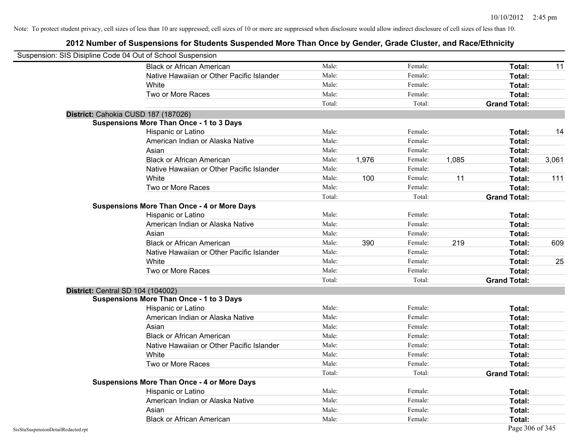| Suspension: SIS Disipline Code 04 Out of School Suspension |                                                    |        |       |         |       |                     |       |
|------------------------------------------------------------|----------------------------------------------------|--------|-------|---------|-------|---------------------|-------|
|                                                            | <b>Black or African American</b>                   | Male:  |       | Female: |       | Total:              | 11    |
|                                                            | Native Hawaiian or Other Pacific Islander          | Male:  |       | Female: |       | Total:              |       |
|                                                            | White                                              | Male:  |       | Female: |       | Total:              |       |
|                                                            | Two or More Races                                  | Male:  |       | Female: |       | Total:              |       |
|                                                            |                                                    | Total: |       | Total:  |       | <b>Grand Total:</b> |       |
| District: Cahokia CUSD 187 (187026)                        |                                                    |        |       |         |       |                     |       |
|                                                            | <b>Suspensions More Than Once - 1 to 3 Days</b>    |        |       |         |       |                     |       |
|                                                            | Hispanic or Latino                                 | Male:  |       | Female: |       | Total:              | 14    |
|                                                            | American Indian or Alaska Native                   | Male:  |       | Female: |       | Total:              |       |
|                                                            | Asian                                              | Male:  |       | Female: |       | Total:              |       |
|                                                            | <b>Black or African American</b>                   | Male:  | 1,976 | Female: | 1,085 | Total:              | 3,061 |
|                                                            | Native Hawaiian or Other Pacific Islander          | Male:  |       | Female: |       | Total:              |       |
|                                                            | White                                              | Male:  | 100   | Female: | 11    | Total:              | 111   |
|                                                            | Two or More Races                                  | Male:  |       | Female: |       | Total:              |       |
|                                                            |                                                    | Total: |       | Total:  |       | <b>Grand Total:</b> |       |
|                                                            | <b>Suspensions More Than Once - 4 or More Days</b> |        |       |         |       |                     |       |
|                                                            | Hispanic or Latino                                 | Male:  |       | Female: |       | Total:              |       |
|                                                            | American Indian or Alaska Native                   | Male:  |       | Female: |       | Total:              |       |
|                                                            | Asian                                              | Male:  |       | Female: |       | Total:              |       |
|                                                            | <b>Black or African American</b>                   | Male:  | 390   | Female: | 219   | Total:              | 609   |
|                                                            | Native Hawaiian or Other Pacific Islander          | Male:  |       | Female: |       | Total:              |       |
|                                                            | White                                              | Male:  |       | Female: |       | Total:              | 25    |
|                                                            | Two or More Races                                  | Male:  |       | Female: |       | Total:              |       |
|                                                            |                                                    | Total: |       | Total:  |       | <b>Grand Total:</b> |       |
| District: Central SD 104 (104002)                          |                                                    |        |       |         |       |                     |       |
|                                                            | <b>Suspensions More Than Once - 1 to 3 Days</b>    |        |       |         |       |                     |       |
|                                                            | Hispanic or Latino                                 | Male:  |       | Female: |       | Total:              |       |
|                                                            | American Indian or Alaska Native                   | Male:  |       | Female: |       | Total:              |       |
|                                                            | Asian                                              | Male:  |       | Female: |       | Total:              |       |
|                                                            | <b>Black or African American</b>                   | Male:  |       | Female: |       | Total:              |       |
|                                                            | Native Hawaiian or Other Pacific Islander          | Male:  |       | Female: |       | Total:              |       |
|                                                            | White                                              | Male:  |       | Female: |       | Total:              |       |
|                                                            | Two or More Races                                  | Male:  |       | Female: |       | Total:              |       |
|                                                            |                                                    | Total: |       | Total:  |       | <b>Grand Total:</b> |       |
|                                                            | <b>Suspensions More Than Once - 4 or More Days</b> |        |       |         |       |                     |       |
|                                                            | Hispanic or Latino                                 | Male:  |       | Female: |       | Total:              |       |
|                                                            | American Indian or Alaska Native                   | Male:  |       | Female: |       | Total:              |       |
|                                                            | Asian                                              | Male:  |       | Female: |       | Total:              |       |
|                                                            | <b>Black or African American</b>                   | Male:  |       | Female: |       | Total:              |       |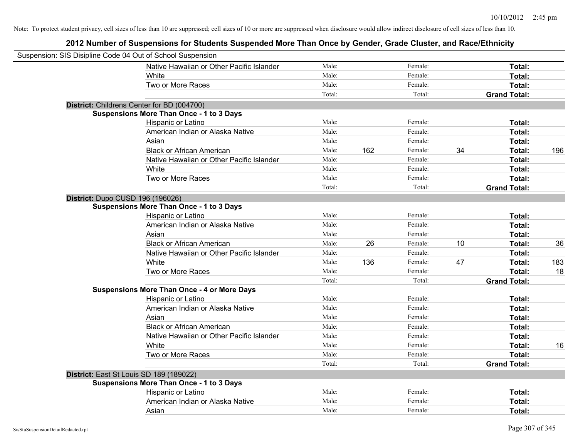| Suspension: SIS Disipline Code 04 Out of School Suspension |                                                    |        |     |         |    |                     |     |
|------------------------------------------------------------|----------------------------------------------------|--------|-----|---------|----|---------------------|-----|
|                                                            | Native Hawaiian or Other Pacific Islander          | Male:  |     | Female: |    | Total:              |     |
|                                                            | White                                              | Male:  |     | Female: |    | Total:              |     |
|                                                            | Two or More Races                                  | Male:  |     | Female: |    | Total:              |     |
|                                                            |                                                    | Total: |     | Total:  |    | <b>Grand Total:</b> |     |
| District: Childrens Center for BD (004700)                 |                                                    |        |     |         |    |                     |     |
|                                                            | <b>Suspensions More Than Once - 1 to 3 Days</b>    |        |     |         |    |                     |     |
|                                                            | Hispanic or Latino                                 | Male:  |     | Female: |    | Total:              |     |
|                                                            | American Indian or Alaska Native                   | Male:  |     | Female: |    | Total:              |     |
|                                                            | Asian                                              | Male:  |     | Female: |    | Total:              |     |
|                                                            | <b>Black or African American</b>                   | Male:  | 162 | Female: | 34 | Total:              | 196 |
|                                                            | Native Hawaiian or Other Pacific Islander          | Male:  |     | Female: |    | Total:              |     |
|                                                            | White                                              | Male:  |     | Female: |    | Total:              |     |
|                                                            | Two or More Races                                  | Male:  |     | Female: |    | Total:              |     |
|                                                            |                                                    | Total: |     | Total:  |    | <b>Grand Total:</b> |     |
| District: Dupo CUSD 196 (196026)                           |                                                    |        |     |         |    |                     |     |
|                                                            | <b>Suspensions More Than Once - 1 to 3 Days</b>    |        |     |         |    |                     |     |
|                                                            | Hispanic or Latino                                 | Male:  |     | Female: |    | Total:              |     |
|                                                            | American Indian or Alaska Native                   | Male:  |     | Female: |    | Total:              |     |
|                                                            | Asian                                              | Male:  |     | Female: |    | Total:              |     |
|                                                            | <b>Black or African American</b>                   | Male:  | 26  | Female: | 10 | Total:              | 36  |
|                                                            | Native Hawaiian or Other Pacific Islander          | Male:  |     | Female: |    | Total:              |     |
|                                                            | White                                              | Male:  | 136 | Female: | 47 | Total:              | 183 |
|                                                            | Two or More Races                                  | Male:  |     | Female: |    | Total:              | 18  |
|                                                            |                                                    | Total: |     | Total:  |    | <b>Grand Total:</b> |     |
|                                                            | <b>Suspensions More Than Once - 4 or More Days</b> |        |     |         |    |                     |     |
|                                                            | Hispanic or Latino                                 | Male:  |     | Female: |    | Total:              |     |
|                                                            | American Indian or Alaska Native                   | Male:  |     | Female: |    | Total:              |     |
|                                                            | Asian                                              | Male:  |     | Female: |    | Total:              |     |
|                                                            | <b>Black or African American</b>                   | Male:  |     | Female: |    | Total:              |     |
|                                                            | Native Hawaiian or Other Pacific Islander          | Male:  |     | Female: |    | Total:              |     |
|                                                            | White                                              | Male:  |     | Female: |    | Total:              | 16  |
|                                                            | Two or More Races                                  | Male:  |     | Female: |    | Total:              |     |
|                                                            |                                                    | Total: |     | Total:  |    | <b>Grand Total:</b> |     |
| District: East St Louis SD 189 (189022)                    |                                                    |        |     |         |    |                     |     |
|                                                            | <b>Suspensions More Than Once - 1 to 3 Days</b>    |        |     |         |    |                     |     |
|                                                            | Hispanic or Latino                                 | Male:  |     | Female: |    | Total:              |     |
|                                                            | American Indian or Alaska Native                   | Male:  |     | Female: |    | <b>Total:</b>       |     |
|                                                            | Asian                                              | Male:  |     | Female: |    | Total:              |     |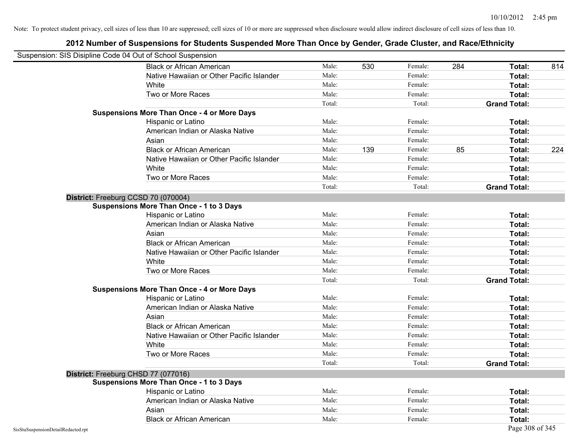| Suspension: SIS Disipline Code 04 Out of School Suspension |                                                    |        |     |         |     |                     |     |
|------------------------------------------------------------|----------------------------------------------------|--------|-----|---------|-----|---------------------|-----|
|                                                            | <b>Black or African American</b>                   | Male:  | 530 | Female: | 284 | Total:              | 814 |
|                                                            | Native Hawaiian or Other Pacific Islander          | Male:  |     | Female: |     | Total:              |     |
|                                                            | White                                              | Male:  |     | Female: |     | Total:              |     |
|                                                            | Two or More Races                                  | Male:  |     | Female: |     | Total:              |     |
|                                                            |                                                    | Total: |     | Total:  |     | <b>Grand Total:</b> |     |
|                                                            | <b>Suspensions More Than Once - 4 or More Days</b> |        |     |         |     |                     |     |
|                                                            | Hispanic or Latino                                 | Male:  |     | Female: |     | Total:              |     |
|                                                            | American Indian or Alaska Native                   | Male:  |     | Female: |     | Total:              |     |
|                                                            | Asian                                              | Male:  |     | Female: |     | Total:              |     |
|                                                            | <b>Black or African American</b>                   | Male:  | 139 | Female: | 85  | Total:              | 224 |
|                                                            | Native Hawaiian or Other Pacific Islander          | Male:  |     | Female: |     | Total:              |     |
|                                                            | White                                              | Male:  |     | Female: |     | Total:              |     |
|                                                            | Two or More Races                                  | Male:  |     | Female: |     | Total:              |     |
|                                                            |                                                    | Total: |     | Total:  |     | <b>Grand Total:</b> |     |
|                                                            | District: Freeburg CCSD 70 (070004)                |        |     |         |     |                     |     |
|                                                            | <b>Suspensions More Than Once - 1 to 3 Days</b>    |        |     |         |     |                     |     |
|                                                            | Hispanic or Latino                                 | Male:  |     | Female: |     | Total:              |     |
|                                                            | American Indian or Alaska Native                   | Male:  |     | Female: |     | Total:              |     |
|                                                            | Asian                                              | Male:  |     | Female: |     | Total:              |     |
|                                                            | <b>Black or African American</b>                   | Male:  |     | Female: |     | Total:              |     |
|                                                            | Native Hawaiian or Other Pacific Islander          | Male:  |     | Female: |     | Total:              |     |
|                                                            | White                                              | Male:  |     | Female: |     | Total:              |     |
|                                                            | Two or More Races                                  | Male:  |     | Female: |     | Total:              |     |
|                                                            |                                                    | Total: |     | Total:  |     | <b>Grand Total:</b> |     |
|                                                            | <b>Suspensions More Than Once - 4 or More Days</b> |        |     |         |     |                     |     |
|                                                            | Hispanic or Latino                                 | Male:  |     | Female: |     | Total:              |     |
|                                                            | American Indian or Alaska Native                   | Male:  |     | Female: |     | Total:              |     |
|                                                            | Asian                                              | Male:  |     | Female: |     | Total:              |     |
|                                                            | <b>Black or African American</b>                   | Male:  |     | Female: |     | Total:              |     |
|                                                            | Native Hawaiian or Other Pacific Islander          | Male:  |     | Female: |     | Total:              |     |
|                                                            | White                                              | Male:  |     | Female: |     | Total:              |     |
|                                                            | Two or More Races                                  | Male:  |     | Female: |     | Total:              |     |
|                                                            |                                                    | Total: |     | Total:  |     | <b>Grand Total:</b> |     |
|                                                            | District: Freeburg CHSD 77 (077016)                |        |     |         |     |                     |     |
|                                                            | <b>Suspensions More Than Once - 1 to 3 Days</b>    |        |     |         |     |                     |     |
|                                                            | Hispanic or Latino                                 | Male:  |     | Female: |     | Total:              |     |
|                                                            | American Indian or Alaska Native                   | Male:  |     | Female: |     | Total:              |     |
|                                                            | Asian                                              | Male:  |     | Female: |     | Total:              |     |
|                                                            | <b>Black or African American</b>                   | Male:  |     | Female: |     | Total:              |     |
| SisStuSuspensionDetailRedacted.rpt                         |                                                    |        |     |         |     | Page 308 of 345     |     |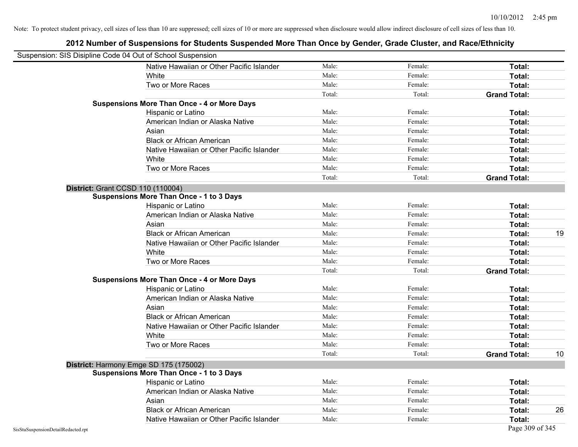| Suspension: SIS Disipline Code 04 Out of School Suspension |                                                    |        |         |                           |
|------------------------------------------------------------|----------------------------------------------------|--------|---------|---------------------------|
|                                                            | Native Hawaiian or Other Pacific Islander          | Male:  | Female: | Total:                    |
|                                                            | White                                              | Male:  | Female: | Total:                    |
|                                                            | Two or More Races                                  | Male:  | Female: | Total:                    |
|                                                            |                                                    | Total: | Total:  | <b>Grand Total:</b>       |
|                                                            | <b>Suspensions More Than Once - 4 or More Days</b> |        |         |                           |
|                                                            | Hispanic or Latino                                 | Male:  | Female: | Total:                    |
|                                                            | American Indian or Alaska Native                   | Male:  | Female: | Total:                    |
|                                                            | Asian                                              | Male:  | Female: | Total:                    |
|                                                            | <b>Black or African American</b>                   | Male:  | Female: | Total:                    |
|                                                            | Native Hawaiian or Other Pacific Islander          | Male:  | Female: | Total:                    |
|                                                            | White                                              | Male:  | Female: | Total:                    |
|                                                            | Two or More Races                                  | Male:  | Female: | Total:                    |
|                                                            |                                                    | Total: | Total:  | <b>Grand Total:</b>       |
|                                                            | <b>District: Grant CCSD 110 (110004)</b>           |        |         |                           |
|                                                            | <b>Suspensions More Than Once - 1 to 3 Days</b>    |        |         |                           |
|                                                            | Hispanic or Latino                                 | Male:  | Female: | Total:                    |
|                                                            | American Indian or Alaska Native                   | Male:  | Female: | Total:                    |
|                                                            | Asian                                              | Male:  | Female: | Total:                    |
|                                                            | <b>Black or African American</b>                   | Male:  | Female: | 19<br>Total:              |
|                                                            | Native Hawaiian or Other Pacific Islander          | Male:  | Female: | Total:                    |
|                                                            | White                                              | Male:  | Female: | Total:                    |
|                                                            | Two or More Races                                  | Male:  | Female: | Total:                    |
|                                                            |                                                    | Total: | Total:  | <b>Grand Total:</b>       |
|                                                            | <b>Suspensions More Than Once - 4 or More Days</b> |        |         |                           |
|                                                            | Hispanic or Latino                                 | Male:  | Female: | Total:                    |
|                                                            | American Indian or Alaska Native                   | Male:  | Female: | Total:                    |
|                                                            | Asian                                              | Male:  | Female: | Total:                    |
|                                                            | <b>Black or African American</b>                   | Male:  | Female: | Total:                    |
|                                                            | Native Hawaiian or Other Pacific Islander          | Male:  | Female: | Total:                    |
|                                                            | White                                              | Male:  | Female: | Total:                    |
|                                                            | Two or More Races                                  | Male:  | Female: | Total:                    |
|                                                            |                                                    | Total: | Total:  | <b>Grand Total:</b><br>10 |
|                                                            | District: Harmony Emge SD 175 (175002)             |        |         |                           |
|                                                            | <b>Suspensions More Than Once - 1 to 3 Days</b>    |        |         |                           |
|                                                            | Hispanic or Latino                                 | Male:  | Female: | Total:                    |
|                                                            | American Indian or Alaska Native                   | Male:  | Female: | Total:                    |
|                                                            | Asian                                              | Male:  | Female: | Total:                    |
|                                                            | <b>Black or African American</b>                   | Male:  | Female: | Total:<br>26              |
|                                                            | Native Hawaiian or Other Pacific Islander          | Male:  | Female: | Total:                    |
| SisStuSuspensionDetailRedacted.rpt                         |                                                    |        |         | Page 309 of 345           |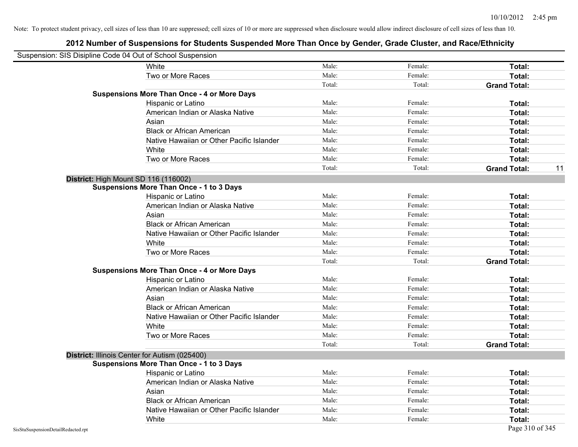| Suspension: SIS Disipline Code 04 Out of School Suspension |                                                    |        |         |                           |
|------------------------------------------------------------|----------------------------------------------------|--------|---------|---------------------------|
|                                                            | White                                              | Male:  | Female: | <b>Total:</b>             |
|                                                            | Two or More Races                                  | Male:  | Female: | Total:                    |
|                                                            |                                                    | Total: | Total:  | <b>Grand Total:</b>       |
|                                                            | <b>Suspensions More Than Once - 4 or More Days</b> |        |         |                           |
|                                                            | Hispanic or Latino                                 | Male:  | Female: | Total:                    |
|                                                            | American Indian or Alaska Native                   | Male:  | Female: | Total:                    |
|                                                            | Asian                                              | Male:  | Female: | Total:                    |
|                                                            | <b>Black or African American</b>                   | Male:  | Female: | Total:                    |
|                                                            | Native Hawaiian or Other Pacific Islander          | Male:  | Female: | Total:                    |
|                                                            | White                                              | Male:  | Female: | Total:                    |
|                                                            | Two or More Races                                  | Male:  | Female: | Total:                    |
|                                                            |                                                    | Total: | Total:  | <b>Grand Total:</b><br>11 |
|                                                            | District: High Mount SD 116 (116002)               |        |         |                           |
|                                                            | <b>Suspensions More Than Once - 1 to 3 Days</b>    |        |         |                           |
|                                                            | Hispanic or Latino                                 | Male:  | Female: | Total:                    |
|                                                            | American Indian or Alaska Native                   | Male:  | Female: | Total:                    |
|                                                            | Asian                                              | Male:  | Female: | Total:                    |
|                                                            | <b>Black or African American</b>                   | Male:  | Female: | Total:                    |
|                                                            | Native Hawaiian or Other Pacific Islander          | Male:  | Female: | Total:                    |
|                                                            | White                                              | Male:  | Female: | Total:                    |
|                                                            | Two or More Races                                  | Male:  | Female: | Total:                    |
|                                                            |                                                    | Total: | Total:  | <b>Grand Total:</b>       |
|                                                            | <b>Suspensions More Than Once - 4 or More Days</b> |        |         |                           |
|                                                            | Hispanic or Latino                                 | Male:  | Female: | Total:                    |
|                                                            | American Indian or Alaska Native                   | Male:  | Female: | Total:                    |
|                                                            | Asian                                              | Male:  | Female: | Total:                    |
|                                                            | <b>Black or African American</b>                   | Male:  | Female: | Total:                    |
|                                                            | Native Hawaiian or Other Pacific Islander          | Male:  | Female: | Total:                    |
|                                                            | White                                              | Male:  | Female: | Total:                    |
|                                                            | Two or More Races                                  | Male:  | Female: | Total:                    |
|                                                            |                                                    | Total: | Total:  | <b>Grand Total:</b>       |
|                                                            | District: Illinois Center for Autism (025400)      |        |         |                           |
|                                                            | <b>Suspensions More Than Once - 1 to 3 Days</b>    |        |         |                           |
|                                                            | <b>Hispanic or Latino</b>                          | Male:  | Female: | Total:                    |
|                                                            | American Indian or Alaska Native                   | Male:  | Female: | Total:                    |
|                                                            | Asian                                              | Male:  | Female: | Total:                    |
|                                                            | <b>Black or African American</b>                   | Male:  | Female: | Total:                    |
|                                                            | Native Hawaiian or Other Pacific Islander          | Male:  | Female: | Total:                    |
|                                                            | White                                              | Male:  | Female: | Total:                    |
| SisStuSuspensionDetailRedacted.rpt                         |                                                    |        |         | Page 310 of 345           |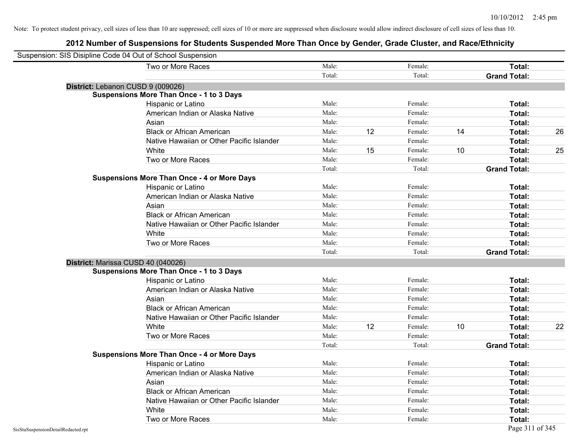| Suspension: SIS Disipline Code 04 Out of School Suspension |                                                    |        |    |         |    |                     |    |
|------------------------------------------------------------|----------------------------------------------------|--------|----|---------|----|---------------------|----|
|                                                            | Two or More Races                                  | Male:  |    | Female: |    | Total:              |    |
|                                                            |                                                    | Total: |    | Total:  |    | <b>Grand Total:</b> |    |
| District: Lebanon CUSD 9 (009026)                          |                                                    |        |    |         |    |                     |    |
|                                                            | <b>Suspensions More Than Once - 1 to 3 Days</b>    |        |    |         |    |                     |    |
|                                                            | Hispanic or Latino                                 | Male:  |    | Female: |    | Total:              |    |
|                                                            | American Indian or Alaska Native                   | Male:  |    | Female: |    | Total:              |    |
|                                                            | Asian                                              | Male:  |    | Female: |    | Total:              |    |
|                                                            | <b>Black or African American</b>                   | Male:  | 12 | Female: | 14 | Total:              | 26 |
|                                                            | Native Hawaiian or Other Pacific Islander          | Male:  |    | Female: |    | Total:              |    |
|                                                            | White                                              | Male:  | 15 | Female: | 10 | Total:              | 25 |
|                                                            | Two or More Races                                  | Male:  |    | Female: |    | Total:              |    |
|                                                            |                                                    | Total: |    | Total:  |    | <b>Grand Total:</b> |    |
|                                                            | <b>Suspensions More Than Once - 4 or More Days</b> |        |    |         |    |                     |    |
|                                                            | Hispanic or Latino                                 | Male:  |    | Female: |    | Total:              |    |
|                                                            | American Indian or Alaska Native                   | Male:  |    | Female: |    | Total:              |    |
|                                                            | Asian                                              | Male:  |    | Female: |    | Total:              |    |
|                                                            | <b>Black or African American</b>                   | Male:  |    | Female: |    | Total:              |    |
|                                                            | Native Hawaiian or Other Pacific Islander          | Male:  |    | Female: |    | Total:              |    |
|                                                            | White                                              | Male:  |    | Female: |    | Total:              |    |
|                                                            | Two or More Races                                  | Male:  |    | Female: |    | Total:              |    |
|                                                            |                                                    | Total: |    | Total:  |    | <b>Grand Total:</b> |    |
| District: Marissa CUSD 40 (040026)                         |                                                    |        |    |         |    |                     |    |
|                                                            | <b>Suspensions More Than Once - 1 to 3 Days</b>    |        |    |         |    |                     |    |
|                                                            | Hispanic or Latino                                 | Male:  |    | Female: |    | Total:              |    |
|                                                            | American Indian or Alaska Native                   | Male:  |    | Female: |    | Total:              |    |
|                                                            | Asian                                              | Male:  |    | Female: |    | Total:              |    |
|                                                            | <b>Black or African American</b>                   | Male:  |    | Female: |    | Total:              |    |
|                                                            | Native Hawaiian or Other Pacific Islander          | Male:  |    | Female: |    | Total:              |    |
|                                                            | White                                              | Male:  | 12 | Female: | 10 | Total:              | 22 |
|                                                            | Two or More Races                                  | Male:  |    | Female: |    | Total:              |    |
|                                                            |                                                    | Total: |    | Total:  |    | <b>Grand Total:</b> |    |
|                                                            | <b>Suspensions More Than Once - 4 or More Days</b> |        |    |         |    |                     |    |
|                                                            | Hispanic or Latino                                 | Male:  |    | Female: |    | Total:              |    |
|                                                            | American Indian or Alaska Native                   | Male:  |    | Female: |    | Total:              |    |
|                                                            | Asian                                              | Male:  |    | Female: |    | Total:              |    |
|                                                            | <b>Black or African American</b>                   | Male:  |    | Female: |    | Total:              |    |
|                                                            | Native Hawaiian or Other Pacific Islander          | Male:  |    | Female: |    | Total:              |    |
|                                                            | White                                              | Male:  |    | Female: |    | Total:              |    |
|                                                            | Two or More Races                                  | Male:  |    | Female: |    | Total:              |    |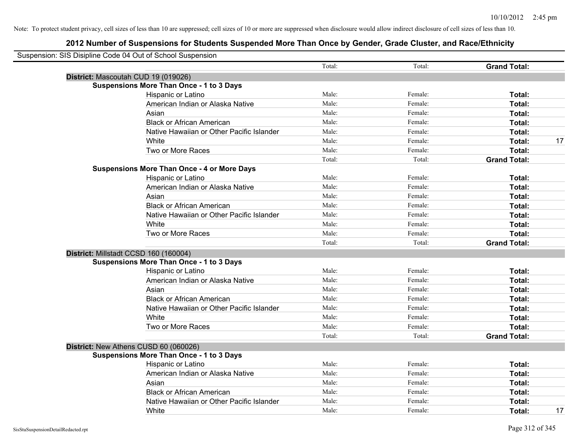| Suspension: SIS Disipline Code 04 Out of School Suspension |        |         |                     |
|------------------------------------------------------------|--------|---------|---------------------|
|                                                            | Total: | Total:  | <b>Grand Total:</b> |
| District: Mascoutah CUD 19 (019026)                        |        |         |                     |
| <b>Suspensions More Than Once - 1 to 3 Days</b>            |        |         |                     |
| Hispanic or Latino                                         | Male:  | Female: | Total:              |
| American Indian or Alaska Native                           | Male:  | Female: | Total:              |
| Asian                                                      | Male:  | Female: | Total:              |
| <b>Black or African American</b>                           | Male:  | Female: | Total:              |
| Native Hawaiian or Other Pacific Islander                  | Male:  | Female: | Total:              |
| White                                                      | Male:  | Female: | 17<br>Total:        |
| Two or More Races                                          | Male:  | Female: | Total:              |
|                                                            | Total: | Total:  | <b>Grand Total:</b> |
| <b>Suspensions More Than Once - 4 or More Days</b>         |        |         |                     |
| Hispanic or Latino                                         | Male:  | Female: | Total:              |
| American Indian or Alaska Native                           | Male:  | Female: | Total:              |
| Asian                                                      | Male:  | Female: | Total:              |
| <b>Black or African American</b>                           | Male:  | Female: | Total:              |
| Native Hawaiian or Other Pacific Islander                  | Male:  | Female: | Total:              |
| White                                                      | Male:  | Female: | Total:              |
| Two or More Races                                          | Male:  | Female: | Total:              |
|                                                            | Total: | Total:  | <b>Grand Total:</b> |
| District: Millstadt CCSD 160 (160004)                      |        |         |                     |
| <b>Suspensions More Than Once - 1 to 3 Days</b>            |        |         |                     |
| Hispanic or Latino                                         | Male:  | Female: | Total:              |
| American Indian or Alaska Native                           | Male:  | Female: | Total:              |
| Asian                                                      | Male:  | Female: | Total:              |
| <b>Black or African American</b>                           | Male:  | Female: | Total:              |
| Native Hawaiian or Other Pacific Islander                  | Male:  | Female: | Total:              |
| White                                                      | Male:  | Female: | Total:              |
| Two or More Races                                          | Male:  | Female: | Total:              |
|                                                            | Total: | Total:  | <b>Grand Total:</b> |
| District: New Athens CUSD 60 (060026)                      |        |         |                     |
| <b>Suspensions More Than Once - 1 to 3 Days</b>            |        |         |                     |
| Hispanic or Latino                                         | Male:  | Female: | Total:              |
| American Indian or Alaska Native                           | Male:  | Female: | Total:              |
| Asian                                                      | Male:  | Female: | Total:              |
| <b>Black or African American</b>                           | Male:  | Female: | Total:              |
| Native Hawaiian or Other Pacific Islander                  | Male:  | Female: | Total:              |
| White                                                      | Male:  | Female: | 17<br>Total:        |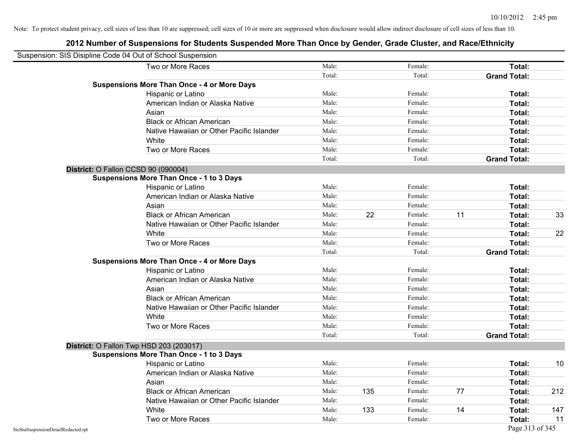| Suspension: SIS Disipline Code 04 Out of School Suspension |                                                    |        |     |         |    |                     |     |
|------------------------------------------------------------|----------------------------------------------------|--------|-----|---------|----|---------------------|-----|
|                                                            | Two or More Races                                  | Male:  |     | Female: |    | <b>Total:</b>       |     |
|                                                            |                                                    | Total: |     | Total:  |    | <b>Grand Total:</b> |     |
|                                                            | <b>Suspensions More Than Once - 4 or More Days</b> |        |     |         |    |                     |     |
|                                                            | Hispanic or Latino                                 | Male:  |     | Female: |    | Total:              |     |
|                                                            | American Indian or Alaska Native                   | Male:  |     | Female: |    | Total:              |     |
|                                                            | Asian                                              | Male:  |     | Female: |    | Total:              |     |
|                                                            | <b>Black or African American</b>                   | Male:  |     | Female: |    | Total:              |     |
|                                                            | Native Hawaiian or Other Pacific Islander          | Male:  |     | Female: |    | Total:              |     |
|                                                            | White                                              | Male:  |     | Female: |    | Total:              |     |
|                                                            | Two or More Races                                  | Male:  |     | Female: |    | Total:              |     |
|                                                            |                                                    | Total: |     | Total:  |    | <b>Grand Total:</b> |     |
|                                                            | District: O Fallon CCSD 90 (090004)                |        |     |         |    |                     |     |
|                                                            | <b>Suspensions More Than Once - 1 to 3 Days</b>    |        |     |         |    |                     |     |
|                                                            | Hispanic or Latino                                 | Male:  |     | Female: |    | Total:              |     |
|                                                            | American Indian or Alaska Native                   | Male:  |     | Female: |    | Total:              |     |
|                                                            | Asian                                              | Male:  |     | Female: |    | Total:              |     |
|                                                            | <b>Black or African American</b>                   | Male:  | 22  | Female: | 11 | Total:              | 33  |
|                                                            | Native Hawaiian or Other Pacific Islander          | Male:  |     | Female: |    | Total:              |     |
|                                                            | White                                              | Male:  |     | Female: |    | Total:              | 22  |
|                                                            | Two or More Races                                  | Male:  |     | Female: |    | Total:              |     |
|                                                            |                                                    | Total: |     | Total:  |    | <b>Grand Total:</b> |     |
|                                                            | <b>Suspensions More Than Once - 4 or More Days</b> |        |     |         |    |                     |     |
|                                                            | Hispanic or Latino                                 | Male:  |     | Female: |    | Total:              |     |
|                                                            | American Indian or Alaska Native                   | Male:  |     | Female: |    | Total:              |     |
|                                                            | Asian                                              | Male:  |     | Female: |    | Total:              |     |
|                                                            | <b>Black or African American</b>                   | Male:  |     | Female: |    | Total:              |     |
|                                                            | Native Hawaiian or Other Pacific Islander          | Male:  |     | Female: |    | Total:              |     |
|                                                            | White                                              | Male:  |     | Female: |    | Total:              |     |
|                                                            | Two or More Races                                  | Male:  |     | Female: |    | Total:              |     |
|                                                            |                                                    | Total: |     | Total:  |    | <b>Grand Total:</b> |     |
|                                                            | District: O Fallon Twp HSD 203 (203017)            |        |     |         |    |                     |     |
|                                                            | <b>Suspensions More Than Once - 1 to 3 Days</b>    |        |     |         |    |                     |     |
|                                                            | Hispanic or Latino                                 | Male:  |     | Female: |    | Total:              | 10  |
|                                                            | American Indian or Alaska Native                   | Male:  |     | Female: |    | Total:              |     |
|                                                            | Asian                                              | Male:  |     | Female: |    | Total:              |     |
|                                                            | <b>Black or African American</b>                   | Male:  | 135 | Female: | 77 | Total:              | 212 |
|                                                            | Native Hawaiian or Other Pacific Islander          | Male:  |     | Female: |    | Total:              |     |
|                                                            | White                                              | Male:  | 133 | Female: | 14 | Total:              | 147 |
|                                                            | Two or More Races                                  | Male:  |     | Female: |    | Total:              | 11  |
| SisStuSuspensionDetailRedacted.rpt                         |                                                    |        |     |         |    | Page 313 of 345     |     |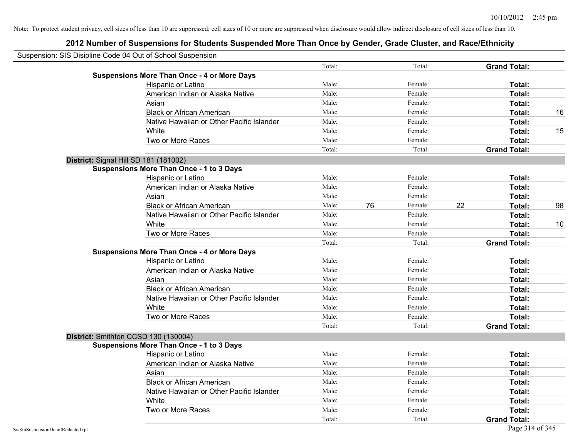| Suspension: SIS Disipline Code 04 Out of School Suspension |                                                    |        |    |         |    |                     |    |
|------------------------------------------------------------|----------------------------------------------------|--------|----|---------|----|---------------------|----|
|                                                            |                                                    | Total: |    | Total:  |    | <b>Grand Total:</b> |    |
|                                                            | <b>Suspensions More Than Once - 4 or More Days</b> |        |    |         |    |                     |    |
|                                                            | Hispanic or Latino                                 | Male:  |    | Female: |    | Total:              |    |
|                                                            | American Indian or Alaska Native                   | Male:  |    | Female: |    | Total:              |    |
|                                                            | Asian                                              | Male:  |    | Female: |    | Total:              |    |
|                                                            | <b>Black or African American</b>                   | Male:  |    | Female: |    | Total:              | 16 |
|                                                            | Native Hawaiian or Other Pacific Islander          | Male:  |    | Female: |    | Total:              |    |
|                                                            | White                                              | Male:  |    | Female: |    | Total:              | 15 |
|                                                            | Two or More Races                                  | Male:  |    | Female: |    | Total:              |    |
|                                                            |                                                    | Total: |    | Total:  |    | <b>Grand Total:</b> |    |
|                                                            | District: Signal Hill SD 181 (181002)              |        |    |         |    |                     |    |
|                                                            | <b>Suspensions More Than Once - 1 to 3 Days</b>    |        |    |         |    |                     |    |
|                                                            | Hispanic or Latino                                 | Male:  |    | Female: |    | Total:              |    |
|                                                            | American Indian or Alaska Native                   | Male:  |    | Female: |    | Total:              |    |
|                                                            | Asian                                              | Male:  |    | Female: |    | Total:              |    |
|                                                            | <b>Black or African American</b>                   | Male:  | 76 | Female: | 22 | Total:              | 98 |
|                                                            | Native Hawaiian or Other Pacific Islander          | Male:  |    | Female: |    | Total:              |    |
|                                                            | White                                              | Male:  |    | Female: |    | Total:              | 10 |
|                                                            | Two or More Races                                  | Male:  |    | Female: |    | Total:              |    |
|                                                            |                                                    | Total: |    | Total:  |    | <b>Grand Total:</b> |    |
|                                                            | <b>Suspensions More Than Once - 4 or More Days</b> |        |    |         |    |                     |    |
|                                                            | Hispanic or Latino                                 | Male:  |    | Female: |    | Total:              |    |
|                                                            | American Indian or Alaska Native                   | Male:  |    | Female: |    | Total:              |    |
|                                                            | Asian                                              | Male:  |    | Female: |    | Total:              |    |
|                                                            | <b>Black or African American</b>                   | Male:  |    | Female: |    | Total:              |    |
|                                                            | Native Hawaiian or Other Pacific Islander          | Male:  |    | Female: |    | Total:              |    |
|                                                            | White                                              | Male:  |    | Female: |    | Total:              |    |
|                                                            | Two or More Races                                  | Male:  |    | Female: |    | Total:              |    |
|                                                            |                                                    | Total: |    | Total:  |    | <b>Grand Total:</b> |    |
|                                                            | District: Smithton CCSD 130 (130004)               |        |    |         |    |                     |    |
|                                                            | <b>Suspensions More Than Once - 1 to 3 Days</b>    |        |    |         |    |                     |    |
|                                                            | Hispanic or Latino                                 | Male:  |    | Female: |    | Total:              |    |
|                                                            | American Indian or Alaska Native                   | Male:  |    | Female: |    | Total:              |    |
|                                                            | Asian                                              | Male:  |    | Female: |    | Total:              |    |
|                                                            | <b>Black or African American</b>                   | Male:  |    | Female: |    | Total:              |    |
|                                                            | Native Hawaiian or Other Pacific Islander          | Male:  |    | Female: |    | Total:              |    |
|                                                            | White                                              | Male:  |    | Female: |    | Total:              |    |
|                                                            | Two or More Races                                  | Male:  |    | Female: |    | Total:              |    |
|                                                            |                                                    | Total: |    | Total:  |    | <b>Grand Total:</b> |    |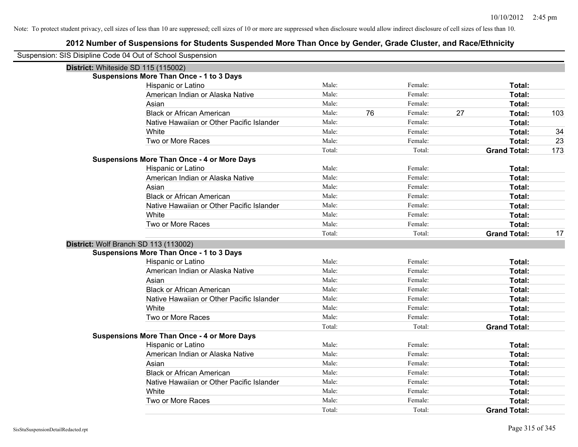| Suspension: SIS Disipline Code 04 Out of School Suspension |                 |    |                   |    |                               |     |
|------------------------------------------------------------|-----------------|----|-------------------|----|-------------------------------|-----|
| District: Whiteside SD 115 (115002)                        |                 |    |                   |    |                               |     |
| Suspensions More Than Once - 1 to 3 Days                   |                 |    |                   |    |                               |     |
| Hispanic or Latino                                         | Male:           |    | Female:           |    | Total:                        |     |
| American Indian or Alaska Native                           | Male:           |    | Female:           |    | Total:                        |     |
| Asian                                                      | Male:           |    | Female:           |    | Total:                        |     |
| <b>Black or African American</b>                           | Male:           | 76 | Female:           | 27 | Total:                        | 103 |
| Native Hawaiian or Other Pacific Islander                  | Male:           |    | Female:           |    | Total:                        |     |
| White                                                      | Male:           |    | Female:           |    | Total:                        | 34  |
| Two or More Races                                          | Male:           |    | Female:           |    | Total:                        | 23  |
|                                                            | Total:          |    | Total:            |    | <b>Grand Total:</b>           | 173 |
| <b>Suspensions More Than Once - 4 or More Days</b>         |                 |    |                   |    |                               |     |
| Hispanic or Latino                                         | Male:           |    | Female:           |    | Total:                        |     |
| American Indian or Alaska Native                           | Male:           |    | Female:           |    | Total:                        |     |
| Asian                                                      | Male:           |    | Female:           |    | Total:                        |     |
| <b>Black or African American</b>                           | Male:           |    | Female:           |    | Total:                        |     |
| Native Hawaiian or Other Pacific Islander                  | Male:           |    | Female:           |    | Total:                        |     |
| White                                                      | Male:           |    | Female:           |    | Total:                        |     |
| Two or More Races                                          | Male:           |    | Female:           |    | Total:                        |     |
|                                                            | Total:          |    | Total:            |    | <b>Grand Total:</b>           | 17  |
| District: Wolf Branch SD 113 (113002)                      |                 |    |                   |    |                               |     |
| <b>Suspensions More Than Once - 1 to 3 Days</b>            |                 |    |                   |    |                               |     |
| Hispanic or Latino                                         | Male:           |    | Female:           |    | Total:                        |     |
| American Indian or Alaska Native                           | Male:           |    | Female:           |    | Total:                        |     |
| Asian                                                      | Male:           |    | Female:           |    | Total:                        |     |
| <b>Black or African American</b>                           | Male:           |    | Female:           |    | Total:                        |     |
| Native Hawaiian or Other Pacific Islander                  | Male:           |    | Female:           |    | Total:                        |     |
| White                                                      | Male:           |    | Female:           |    | Total:                        |     |
| Two or More Races                                          | Male:           |    | Female:           |    | Total:                        |     |
|                                                            | Total:          |    | Total:            |    | <b>Grand Total:</b>           |     |
| <b>Suspensions More Than Once - 4 or More Days</b>         |                 |    |                   |    |                               |     |
|                                                            |                 |    | Female:           |    | Total:                        |     |
| Hispanic or Latino                                         | Male:           |    |                   |    |                               |     |
| American Indian or Alaska Native                           | Male:           |    | Female:           |    | Total:                        |     |
| Asian                                                      | Male:           |    | Female:           |    | Total:                        |     |
| <b>Black or African American</b>                           | Male:           |    | Female:           |    | Total:                        |     |
| Native Hawaiian or Other Pacific Islander                  | Male:           |    | Female:           |    | Total:                        |     |
| White                                                      | Male:           |    | Female:           |    | Total:                        |     |
| Two or More Races                                          | Male:<br>Total: |    | Female:<br>Total: |    | Total:<br><b>Grand Total:</b> |     |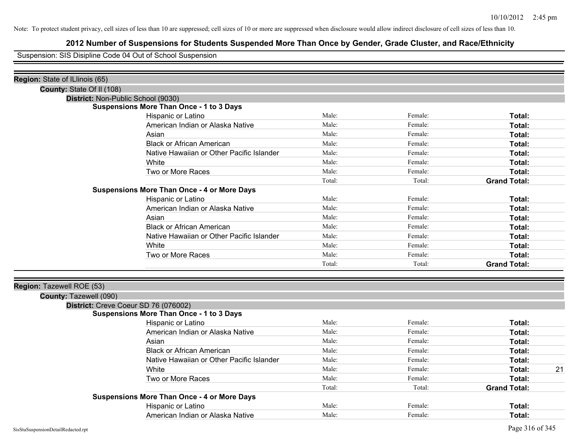# **2012 Number of Suspensions for Students Suspended More Than Once by Gender, Grade Cluster, and Race/Ethnicity**

Suspension: SIS Disipline Code 04 Out of School Suspension

| Region: State of ILlinois (65) |                                                    |        |         |                     |
|--------------------------------|----------------------------------------------------|--------|---------|---------------------|
| County: State Of II (108)      |                                                    |        |         |                     |
|                                | District: Non-Public School (9030)                 |        |         |                     |
|                                | <b>Suspensions More Than Once - 1 to 3 Days</b>    |        |         |                     |
|                                | Hispanic or Latino                                 | Male:  | Female: | Total:              |
|                                | American Indian or Alaska Native                   | Male:  | Female: | Total:              |
|                                | Asian                                              | Male:  | Female: | Total:              |
|                                | <b>Black or African American</b>                   | Male:  | Female: | Total:              |
|                                | Native Hawaiian or Other Pacific Islander          | Male:  | Female: | Total:              |
|                                | White                                              | Male:  | Female: | Total:              |
|                                | Two or More Races                                  | Male:  | Female: | Total:              |
|                                |                                                    | Total: | Total:  | <b>Grand Total:</b> |
|                                | <b>Suspensions More Than Once - 4 or More Days</b> |        |         |                     |
|                                | Hispanic or Latino                                 | Male:  | Female: | Total:              |
|                                | American Indian or Alaska Native                   | Male:  | Female: | Total:              |
|                                | Asian                                              | Male:  | Female: | Total:              |
|                                | <b>Black or African American</b>                   | Male:  | Female: | Total:              |
|                                | Native Hawaiian or Other Pacific Islander          | Male:  | Female: | Total:              |
|                                | White                                              | Male:  | Female: | Total:              |
|                                | Two or More Races                                  | Male:  | Female: | <b>Total:</b>       |
|                                |                                                    | Total: | Total:  | <b>Grand Total:</b> |
|                                |                                                    |        |         |                     |
| Region: Tazewell ROE (53)      |                                                    |        |         |                     |
| County: Tazewell (090)         |                                                    |        |         |                     |
|                                | District: Creve Coeur SD 76 (076002)               |        |         |                     |
|                                | <b>Suspensions More Than Once - 1 to 3 Days</b>    |        |         |                     |
|                                | Hispanic or Latino                                 | Male:  | Female: | Total:              |
|                                | American Indian or Alaska Native                   | Male:  | Female: | Total:              |
|                                | Asian                                              | Male:  | Female: | Total:              |
|                                | <b>Black or African American</b>                   | Male:  | Female: | Total:              |
|                                | Native Hawaiian or Other Pacific Islander          | Male:  | Female: | Total:              |
|                                | White                                              | Male:  | Female: | 21<br>Total:        |
|                                | Two or More Races                                  | Male:  | Female: | Total:              |
|                                |                                                    | Total: | Total:  | <b>Grand Total:</b> |
|                                | <b>Suspensions More Than Once - 4 or More Days</b> |        |         |                     |
|                                | Hispanic or Latino                                 | Male:  | Female: | Total:              |
|                                | American Indian or Alaska Native                   | Male:  | Female: | Total:              |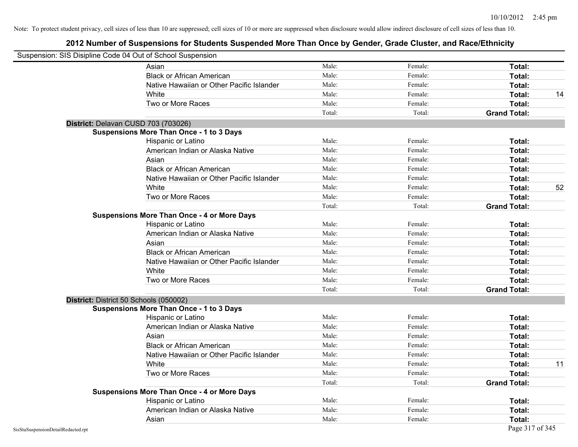|                                    | Suspension: SIS Disipline Code 04 Out of School Suspension |        |         |                     |
|------------------------------------|------------------------------------------------------------|--------|---------|---------------------|
|                                    | Asian                                                      | Male:  | Female: | Total:              |
|                                    | <b>Black or African American</b>                           | Male:  | Female: | Total:              |
|                                    | Native Hawaiian or Other Pacific Islander                  | Male:  | Female: | Total:              |
|                                    | White                                                      | Male:  | Female: | Total:<br>14        |
|                                    | Two or More Races                                          | Male:  | Female: | Total:              |
|                                    |                                                            | Total: | Total:  | <b>Grand Total:</b> |
|                                    | District: Delavan CUSD 703 (703026)                        |        |         |                     |
|                                    | <b>Suspensions More Than Once - 1 to 3 Days</b>            |        |         |                     |
|                                    | Hispanic or Latino                                         | Male:  | Female: | Total:              |
|                                    | American Indian or Alaska Native                           | Male:  | Female: | Total:              |
|                                    | Asian                                                      | Male:  | Female: | Total:              |
|                                    | <b>Black or African American</b>                           | Male:  | Female: | Total:              |
|                                    | Native Hawaiian or Other Pacific Islander                  | Male:  | Female: | Total:              |
|                                    | White                                                      | Male:  | Female: | 52<br>Total:        |
|                                    | Two or More Races                                          | Male:  | Female: | Total:              |
|                                    |                                                            | Total: | Total:  | <b>Grand Total:</b> |
|                                    | <b>Suspensions More Than Once - 4 or More Days</b>         |        |         |                     |
|                                    | Hispanic or Latino                                         | Male:  | Female: | Total:              |
|                                    | American Indian or Alaska Native                           | Male:  | Female: | Total:              |
|                                    | Asian                                                      | Male:  | Female: | Total:              |
|                                    | <b>Black or African American</b>                           | Male:  | Female: | Total:              |
|                                    | Native Hawaiian or Other Pacific Islander                  | Male:  | Female: | Total:              |
|                                    | White                                                      | Male:  | Female: | Total:              |
|                                    | Two or More Races                                          | Male:  | Female: | Total:              |
|                                    |                                                            | Total: | Total:  | <b>Grand Total:</b> |
|                                    | District: District 50 Schools (050002)                     |        |         |                     |
|                                    | <b>Suspensions More Than Once - 1 to 3 Days</b>            |        |         |                     |
|                                    | Hispanic or Latino                                         | Male:  | Female: | Total:              |
|                                    | American Indian or Alaska Native                           | Male:  | Female: | Total:              |
|                                    | Asian                                                      | Male:  | Female: | Total:              |
|                                    | <b>Black or African American</b>                           | Male:  | Female: | Total:              |
|                                    | Native Hawaiian or Other Pacific Islander                  | Male:  | Female: | Total:              |
|                                    | White                                                      | Male:  | Female: | Total:<br>11        |
|                                    | Two or More Races                                          | Male:  | Female: | Total:              |
|                                    |                                                            | Total: | Total:  | <b>Grand Total:</b> |
|                                    | <b>Suspensions More Than Once - 4 or More Days</b>         |        |         |                     |
|                                    | Hispanic or Latino                                         | Male:  | Female: | Total:              |
|                                    | American Indian or Alaska Native                           | Male:  | Female: | Total:              |
|                                    | Asian                                                      | Male:  | Female: | Total:              |
| SisStuSuspensionDetailRedacted.rpt |                                                            |        |         | Page 317 of 345     |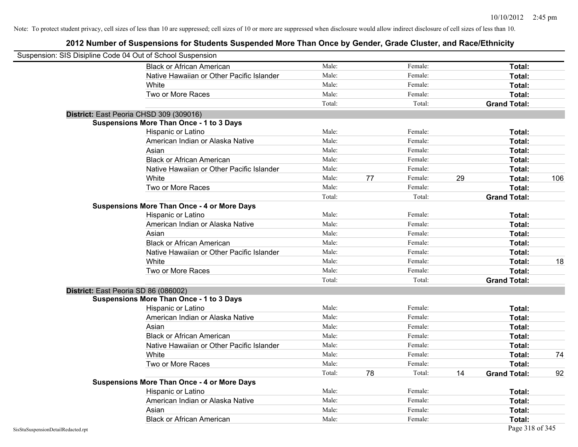| Suspension: SIS Disipline Code 04 Out of School Suspension |                                                    |        |    |         |    |                     |     |
|------------------------------------------------------------|----------------------------------------------------|--------|----|---------|----|---------------------|-----|
|                                                            | <b>Black or African American</b>                   | Male:  |    | Female: |    | Total:              |     |
|                                                            | Native Hawaiian or Other Pacific Islander          | Male:  |    | Female: |    | Total:              |     |
|                                                            | White                                              | Male:  |    | Female: |    | Total:              |     |
|                                                            | Two or More Races                                  | Male:  |    | Female: |    | Total:              |     |
|                                                            |                                                    | Total: |    | Total:  |    | <b>Grand Total:</b> |     |
|                                                            | District: East Peoria CHSD 309 (309016)            |        |    |         |    |                     |     |
|                                                            | <b>Suspensions More Than Once - 1 to 3 Days</b>    |        |    |         |    |                     |     |
|                                                            | Hispanic or Latino                                 | Male:  |    | Female: |    | Total:              |     |
|                                                            | American Indian or Alaska Native                   | Male:  |    | Female: |    | Total:              |     |
|                                                            | Asian                                              | Male:  |    | Female: |    | Total:              |     |
|                                                            | <b>Black or African American</b>                   | Male:  |    | Female: |    | Total:              |     |
|                                                            | Native Hawaiian or Other Pacific Islander          | Male:  |    | Female: |    | Total:              |     |
|                                                            | White                                              | Male:  | 77 | Female: | 29 | Total:              | 106 |
|                                                            | Two or More Races                                  | Male:  |    | Female: |    | Total:              |     |
|                                                            |                                                    | Total: |    | Total:  |    | <b>Grand Total:</b> |     |
|                                                            | <b>Suspensions More Than Once - 4 or More Days</b> |        |    |         |    |                     |     |
|                                                            | Hispanic or Latino                                 | Male:  |    | Female: |    | Total:              |     |
|                                                            | American Indian or Alaska Native                   | Male:  |    | Female: |    | Total:              |     |
|                                                            | Asian                                              | Male:  |    | Female: |    | Total:              |     |
|                                                            | <b>Black or African American</b>                   | Male:  |    | Female: |    | Total:              |     |
|                                                            | Native Hawaiian or Other Pacific Islander          | Male:  |    | Female: |    | Total:              |     |
|                                                            | White                                              | Male:  |    | Female: |    | Total:              | 18  |
|                                                            | Two or More Races                                  | Male:  |    | Female: |    | Total:              |     |
|                                                            |                                                    | Total: |    | Total:  |    | <b>Grand Total:</b> |     |
| District: East Peoria SD 86 (086002)                       |                                                    |        |    |         |    |                     |     |
|                                                            | <b>Suspensions More Than Once - 1 to 3 Days</b>    |        |    |         |    |                     |     |
|                                                            | Hispanic or Latino                                 | Male:  |    | Female: |    | Total:              |     |
|                                                            | American Indian or Alaska Native                   | Male:  |    | Female: |    | Total:              |     |
|                                                            | Asian                                              | Male:  |    | Female: |    | Total:              |     |
|                                                            | <b>Black or African American</b>                   | Male:  |    | Female: |    | Total:              |     |
|                                                            | Native Hawaiian or Other Pacific Islander          | Male:  |    | Female: |    | Total:              |     |
|                                                            | White                                              | Male:  |    | Female: |    | Total:              | 74  |
|                                                            | Two or More Races                                  | Male:  |    | Female: |    | Total:              |     |
|                                                            |                                                    | Total: | 78 | Total:  | 14 | <b>Grand Total:</b> | 92  |
|                                                            | <b>Suspensions More Than Once - 4 or More Days</b> |        |    |         |    |                     |     |
|                                                            | Hispanic or Latino                                 | Male:  |    | Female: |    | Total:              |     |
|                                                            | American Indian or Alaska Native                   | Male:  |    | Female: |    | Total:              |     |
|                                                            | Asian                                              | Male:  |    | Female: |    | Total:              |     |
|                                                            | <b>Black or African American</b>                   | Male:  |    | Female: |    | Total:              |     |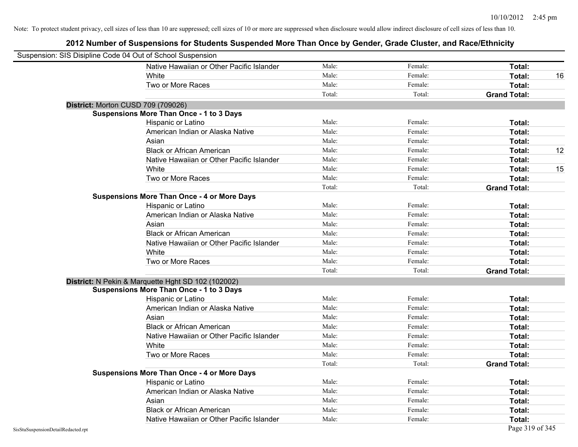| Suspension: SIS Disipline Code 04 Out of School Suspension |                                                    |        |         |                     |    |
|------------------------------------------------------------|----------------------------------------------------|--------|---------|---------------------|----|
|                                                            | Native Hawaiian or Other Pacific Islander          | Male:  | Female: | Total:              |    |
|                                                            | White                                              | Male:  | Female: | Total:              | 16 |
|                                                            | Two or More Races                                  | Male:  | Female: | Total:              |    |
|                                                            |                                                    | Total: | Total:  | <b>Grand Total:</b> |    |
| District: Morton CUSD 709 (709026)                         |                                                    |        |         |                     |    |
|                                                            | <b>Suspensions More Than Once - 1 to 3 Days</b>    |        |         |                     |    |
|                                                            | Hispanic or Latino                                 | Male:  | Female: | Total:              |    |
|                                                            | American Indian or Alaska Native                   | Male:  | Female: | Total:              |    |
|                                                            | Asian                                              | Male:  | Female: | Total:              |    |
|                                                            | <b>Black or African American</b>                   | Male:  | Female: | Total:              | 12 |
|                                                            | Native Hawaiian or Other Pacific Islander          | Male:  | Female: | Total:              |    |
|                                                            | White                                              | Male:  | Female: | Total:              | 15 |
|                                                            | Two or More Races                                  | Male:  | Female: | Total:              |    |
|                                                            |                                                    | Total: | Total:  | <b>Grand Total:</b> |    |
|                                                            | <b>Suspensions More Than Once - 4 or More Days</b> |        |         |                     |    |
|                                                            | Hispanic or Latino                                 | Male:  | Female: | Total:              |    |
|                                                            | American Indian or Alaska Native                   | Male:  | Female: | Total:              |    |
|                                                            | Asian                                              | Male:  | Female: | Total:              |    |
|                                                            | <b>Black or African American</b>                   | Male:  | Female: | Total:              |    |
|                                                            | Native Hawaiian or Other Pacific Islander          | Male:  | Female: | Total:              |    |
|                                                            | White                                              | Male:  | Female: | Total:              |    |
|                                                            | Two or More Races                                  | Male:  | Female: | Total:              |    |
|                                                            |                                                    | Total: | Total:  | <b>Grand Total:</b> |    |
|                                                            | District: N Pekin & Marquette Hght SD 102 (102002) |        |         |                     |    |
|                                                            | <b>Suspensions More Than Once - 1 to 3 Days</b>    |        |         |                     |    |
|                                                            | Hispanic or Latino                                 | Male:  | Female: | Total:              |    |
|                                                            | American Indian or Alaska Native                   | Male:  | Female: | Total:              |    |
|                                                            | Asian                                              | Male:  | Female: | Total:              |    |
|                                                            | <b>Black or African American</b>                   | Male:  | Female: | Total:              |    |
|                                                            | Native Hawaiian or Other Pacific Islander          | Male:  | Female: | Total:              |    |
|                                                            | White                                              | Male:  | Female: | Total:              |    |
|                                                            | Two or More Races                                  | Male:  | Female: | Total:              |    |
|                                                            |                                                    | Total: | Total:  | <b>Grand Total:</b> |    |
|                                                            | <b>Suspensions More Than Once - 4 or More Days</b> |        |         |                     |    |
|                                                            | Hispanic or Latino                                 | Male:  | Female: | Total:              |    |
|                                                            | American Indian or Alaska Native                   | Male:  | Female: | Total:              |    |
|                                                            | Asian                                              | Male:  | Female: | Total:              |    |
|                                                            | <b>Black or African American</b>                   | Male:  | Female: | Total:              |    |
|                                                            | Native Hawaiian or Other Pacific Islander          | Male:  | Female: | Total:              |    |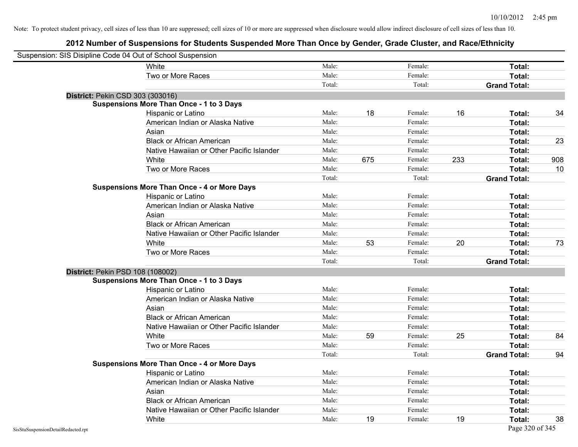| Suspension: SIS Disipline Code 04 Out of School Suspension |                                                    |        |     |         |     |                     |     |
|------------------------------------------------------------|----------------------------------------------------|--------|-----|---------|-----|---------------------|-----|
|                                                            | White                                              | Male:  |     | Female: |     | Total:              |     |
|                                                            | Two or More Races                                  | Male:  |     | Female: |     | Total:              |     |
|                                                            |                                                    | Total: |     | Total:  |     | <b>Grand Total:</b> |     |
| District: Pekin CSD 303 (303016)                           |                                                    |        |     |         |     |                     |     |
|                                                            | <b>Suspensions More Than Once - 1 to 3 Days</b>    |        |     |         |     |                     |     |
|                                                            | Hispanic or Latino                                 | Male:  | 18  | Female: | 16  | Total:              | 34  |
|                                                            | American Indian or Alaska Native                   | Male:  |     | Female: |     | Total:              |     |
|                                                            | Asian                                              | Male:  |     | Female: |     | Total:              |     |
|                                                            | <b>Black or African American</b>                   | Male:  |     | Female: |     | Total:              | 23  |
|                                                            | Native Hawaiian or Other Pacific Islander          | Male:  |     | Female: |     | Total:              |     |
|                                                            | White                                              | Male:  | 675 | Female: | 233 | Total:              | 908 |
|                                                            | Two or More Races                                  | Male:  |     | Female: |     | Total:              | 10  |
|                                                            |                                                    | Total: |     | Total:  |     | <b>Grand Total:</b> |     |
|                                                            | <b>Suspensions More Than Once - 4 or More Days</b> |        |     |         |     |                     |     |
|                                                            | Hispanic or Latino                                 | Male:  |     | Female: |     | Total:              |     |
|                                                            | American Indian or Alaska Native                   | Male:  |     | Female: |     | Total:              |     |
|                                                            | Asian                                              | Male:  |     | Female: |     | Total:              |     |
|                                                            | <b>Black or African American</b>                   | Male:  |     | Female: |     | Total:              |     |
|                                                            | Native Hawaiian or Other Pacific Islander          | Male:  |     | Female: |     | Total:              |     |
|                                                            | White                                              | Male:  | 53  | Female: | 20  | Total:              | 73  |
|                                                            | Two or More Races                                  | Male:  |     | Female: |     | Total:              |     |
|                                                            |                                                    | Total: |     | Total:  |     | <b>Grand Total:</b> |     |
| District: Pekin PSD 108 (108002)                           |                                                    |        |     |         |     |                     |     |
|                                                            | <b>Suspensions More Than Once - 1 to 3 Days</b>    |        |     |         |     |                     |     |
|                                                            | Hispanic or Latino                                 | Male:  |     | Female: |     | Total:              |     |
|                                                            | American Indian or Alaska Native                   | Male:  |     | Female: |     | Total:              |     |
|                                                            | Asian                                              | Male:  |     | Female: |     | Total:              |     |
|                                                            | <b>Black or African American</b>                   | Male:  |     | Female: |     | Total:              |     |
|                                                            | Native Hawaiian or Other Pacific Islander          | Male:  |     | Female: |     | Total:              |     |
|                                                            | White                                              | Male:  | 59  | Female: | 25  | Total:              | 84  |
|                                                            | Two or More Races                                  | Male:  |     | Female: |     | Total:              |     |
|                                                            |                                                    | Total: |     | Total:  |     | <b>Grand Total:</b> | 94  |
|                                                            | <b>Suspensions More Than Once - 4 or More Days</b> |        |     |         |     |                     |     |
|                                                            | Hispanic or Latino                                 | Male:  |     | Female: |     | Total:              |     |
|                                                            | American Indian or Alaska Native                   | Male:  |     | Female: |     | Total:              |     |
|                                                            | Asian                                              | Male:  |     | Female: |     | Total:              |     |
|                                                            | <b>Black or African American</b>                   | Male:  |     | Female: |     | Total:              |     |
|                                                            | Native Hawaiian or Other Pacific Islander          | Male:  |     | Female: |     | Total:              |     |
|                                                            | White                                              | Male:  | 19  | Female: | 19  | Total:              | 38  |
| SisStuSuspensionDetailRedacted.rpt                         |                                                    |        |     |         |     | Page 320 of 345     |     |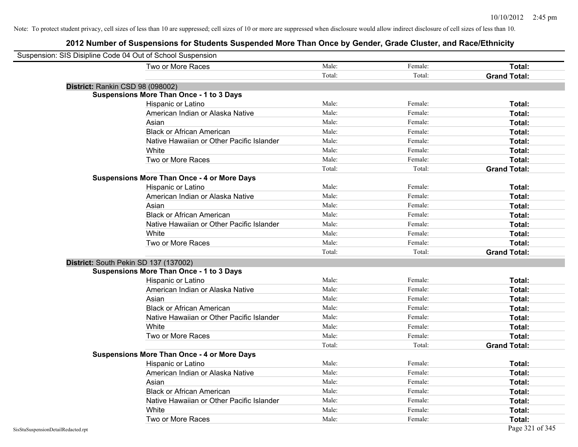| Suspension: SIS Disipline Code 04 Out of School Suspension |                                                    |        |         |                     |
|------------------------------------------------------------|----------------------------------------------------|--------|---------|---------------------|
|                                                            | Two or More Races                                  | Male:  | Female: | Total:              |
|                                                            |                                                    | Total: | Total:  | <b>Grand Total:</b> |
| District: Rankin CSD 98 (098002)                           |                                                    |        |         |                     |
|                                                            | <b>Suspensions More Than Once - 1 to 3 Days</b>    |        |         |                     |
|                                                            | Hispanic or Latino                                 | Male:  | Female: | Total:              |
|                                                            | American Indian or Alaska Native                   | Male:  | Female: | Total:              |
|                                                            | Asian                                              | Male:  | Female: | Total:              |
|                                                            | <b>Black or African American</b>                   | Male:  | Female: | Total:              |
|                                                            | Native Hawaiian or Other Pacific Islander          | Male:  | Female: | Total:              |
|                                                            | White                                              | Male:  | Female: | Total:              |
|                                                            | Two or More Races                                  | Male:  | Female: | Total:              |
|                                                            |                                                    | Total: | Total:  | <b>Grand Total:</b> |
|                                                            | <b>Suspensions More Than Once - 4 or More Days</b> |        |         |                     |
|                                                            | Hispanic or Latino                                 | Male:  | Female: | Total:              |
|                                                            | American Indian or Alaska Native                   | Male:  | Female: | Total:              |
|                                                            | Asian                                              | Male:  | Female: | Total:              |
|                                                            | <b>Black or African American</b>                   | Male:  | Female: | Total:              |
|                                                            | Native Hawaiian or Other Pacific Islander          | Male:  | Female: | Total:              |
|                                                            | White                                              | Male:  | Female: | Total:              |
|                                                            | Two or More Races                                  | Male:  | Female: | Total:              |
|                                                            |                                                    | Total: | Total:  | <b>Grand Total:</b> |
| District: South Pekin SD 137 (137002)                      |                                                    |        |         |                     |
|                                                            | <b>Suspensions More Than Once - 1 to 3 Days</b>    |        |         |                     |
|                                                            | Hispanic or Latino                                 | Male:  | Female: | Total:              |
|                                                            | American Indian or Alaska Native                   | Male:  | Female: | Total:              |
|                                                            | Asian                                              | Male:  | Female: | Total:              |
|                                                            | <b>Black or African American</b>                   | Male:  | Female: | Total:              |
|                                                            | Native Hawaiian or Other Pacific Islander          | Male:  | Female: | Total:              |
|                                                            | White                                              | Male:  | Female: | Total:              |
|                                                            | Two or More Races                                  | Male:  | Female: | Total:              |
|                                                            |                                                    | Total: | Total:  | <b>Grand Total:</b> |
|                                                            | <b>Suspensions More Than Once - 4 or More Days</b> |        |         |                     |
|                                                            | Hispanic or Latino                                 | Male:  | Female: | Total:              |
|                                                            | American Indian or Alaska Native                   | Male:  | Female: | Total:              |
|                                                            | Asian                                              | Male:  | Female: | Total:              |
|                                                            | <b>Black or African American</b>                   | Male:  | Female: | Total:              |
|                                                            | Native Hawaiian or Other Pacific Islander          | Male:  | Female: | Total:              |
|                                                            | White                                              | Male:  | Female: | Total:              |
|                                                            | Two or More Races                                  | Male:  | Female: | Total:              |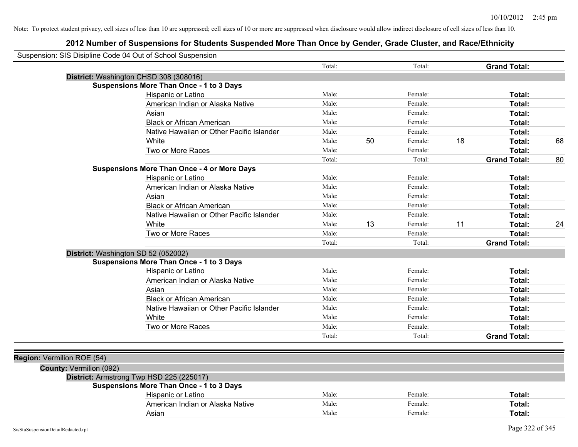|                            | Suspension: SIS Disipline Code 04 Out of School Suspension |        |    |         |    |                     |    |
|----------------------------|------------------------------------------------------------|--------|----|---------|----|---------------------|----|
|                            |                                                            | Total: |    | Total:  |    | <b>Grand Total:</b> |    |
|                            | District: Washington CHSD 308 (308016)                     |        |    |         |    |                     |    |
|                            | <b>Suspensions More Than Once - 1 to 3 Days</b>            |        |    |         |    |                     |    |
|                            | Hispanic or Latino                                         | Male:  |    | Female: |    | Total:              |    |
|                            | American Indian or Alaska Native                           | Male:  |    | Female: |    | Total:              |    |
|                            | Asian                                                      | Male:  |    | Female: |    | Total:              |    |
|                            | <b>Black or African American</b>                           | Male:  |    | Female: |    | Total:              |    |
|                            | Native Hawaiian or Other Pacific Islander                  | Male:  |    | Female: |    | Total:              |    |
|                            | White                                                      | Male:  | 50 | Female: | 18 | Total:              | 68 |
|                            | Two or More Races                                          | Male:  |    | Female: |    | Total:              |    |
|                            |                                                            | Total: |    | Total:  |    | <b>Grand Total:</b> | 80 |
|                            | <b>Suspensions More Than Once - 4 or More Days</b>         |        |    |         |    |                     |    |
|                            | Hispanic or Latino                                         | Male:  |    | Female: |    | Total:              |    |
|                            | American Indian or Alaska Native                           | Male:  |    | Female: |    | Total:              |    |
|                            | Asian                                                      | Male:  |    | Female: |    | Total:              |    |
|                            | <b>Black or African American</b>                           | Male:  |    | Female: |    | Total:              |    |
|                            | Native Hawaiian or Other Pacific Islander                  | Male:  |    | Female: |    | Total:              |    |
|                            | White                                                      | Male:  | 13 | Female: | 11 | Total:              | 24 |
|                            | Two or More Races                                          | Male:  |    | Female: |    | Total:              |    |
|                            |                                                            | Total: |    | Total:  |    | <b>Grand Total:</b> |    |
|                            | District: Washington SD 52 (052002)                        |        |    |         |    |                     |    |
|                            | <b>Suspensions More Than Once - 1 to 3 Days</b>            |        |    |         |    |                     |    |
|                            | Hispanic or Latino                                         | Male:  |    | Female: |    | Total:              |    |
|                            | American Indian or Alaska Native                           | Male:  |    | Female: |    | Total:              |    |
|                            | Asian                                                      | Male:  |    | Female: |    | Total:              |    |
|                            | <b>Black or African American</b>                           | Male:  |    | Female: |    | Total:              |    |
|                            | Native Hawaiian or Other Pacific Islander                  | Male:  |    | Female: |    | Total:              |    |
|                            | White                                                      | Male:  |    | Female: |    | Total:              |    |
|                            | Two or More Races                                          | Male:  |    | Female: |    | Total:              |    |
|                            |                                                            | Total: |    | Total:  |    | <b>Grand Total:</b> |    |
|                            |                                                            |        |    |         |    |                     |    |
| Region: Vermilion ROE (54) |                                                            |        |    |         |    |                     |    |
| County: Vermilion (092)    |                                                            |        |    |         |    |                     |    |
|                            | District: Armstrong Twp HSD 225 (225017)                   |        |    |         |    |                     |    |
|                            | <b>Suspensions More Than Once - 1 to 3 Days</b>            |        |    |         |    |                     |    |
|                            | Hispanic or Latino                                         | Male:  |    | Female: |    | Total:              |    |
|                            | American Indian or Alaska Native                           | Male:  |    | Female: |    | Total:              |    |
|                            | Asian                                                      | Male:  |    | Female: |    | Total:              |    |
|                            |                                                            |        |    |         |    |                     |    |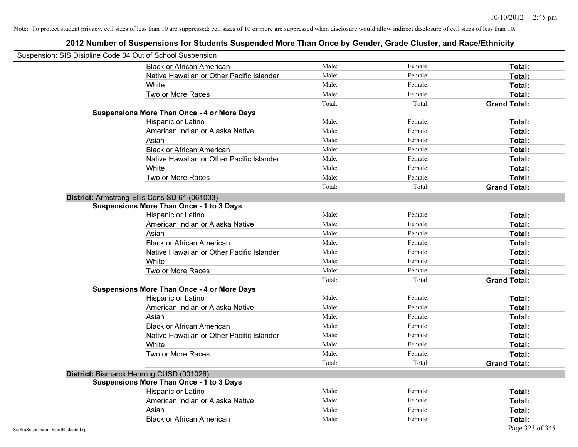| Suspension: SIS Disipline Code 04 Out of School Suspension |                                                    |        |         |                     |
|------------------------------------------------------------|----------------------------------------------------|--------|---------|---------------------|
|                                                            | <b>Black or African American</b>                   | Male:  | Female: | Total:              |
|                                                            | Native Hawaiian or Other Pacific Islander          | Male:  | Female: | Total:              |
|                                                            | White                                              | Male:  | Female: | Total:              |
|                                                            | Two or More Races                                  | Male:  | Female: | Total:              |
|                                                            |                                                    | Total: | Total:  | <b>Grand Total:</b> |
|                                                            | <b>Suspensions More Than Once - 4 or More Days</b> |        |         |                     |
|                                                            | Hispanic or Latino                                 | Male:  | Female: | Total:              |
|                                                            | American Indian or Alaska Native                   | Male:  | Female: | Total:              |
|                                                            | Asian                                              | Male:  | Female: | Total:              |
|                                                            | <b>Black or African American</b>                   | Male:  | Female: | Total:              |
|                                                            | Native Hawaiian or Other Pacific Islander          | Male:  | Female: | Total:              |
|                                                            | White                                              | Male:  | Female: | Total:              |
|                                                            | Two or More Races                                  | Male:  | Female: | Total:              |
|                                                            |                                                    | Total: | Total:  | <b>Grand Total:</b> |
|                                                            | District: Armstrong-Ellis Cons SD 61 (061003)      |        |         |                     |
|                                                            | <b>Suspensions More Than Once - 1 to 3 Days</b>    |        |         |                     |
|                                                            | Hispanic or Latino                                 | Male:  | Female: | Total:              |
|                                                            | American Indian or Alaska Native                   | Male:  | Female: | Total:              |
|                                                            | Asian                                              | Male:  | Female: | Total:              |
|                                                            | <b>Black or African American</b>                   | Male:  | Female: | Total:              |
|                                                            | Native Hawaiian or Other Pacific Islander          | Male:  | Female: | Total:              |
|                                                            | White                                              | Male:  | Female: | Total:              |
|                                                            | Two or More Races                                  | Male:  | Female: | Total:              |
|                                                            |                                                    | Total: | Total:  | <b>Grand Total:</b> |
|                                                            | <b>Suspensions More Than Once - 4 or More Days</b> |        |         |                     |
|                                                            | Hispanic or Latino                                 | Male:  | Female: | Total:              |
|                                                            | American Indian or Alaska Native                   | Male:  | Female: | Total:              |
|                                                            | Asian                                              | Male:  | Female: | Total:              |
|                                                            | <b>Black or African American</b>                   | Male:  | Female: | Total:              |
|                                                            | Native Hawaiian or Other Pacific Islander          | Male:  | Female: | Total:              |
|                                                            | White                                              | Male:  | Female: | Total:              |
|                                                            | Two or More Races                                  | Male:  | Female: | Total:              |
|                                                            |                                                    | Total: | Total:  | <b>Grand Total:</b> |
|                                                            | District: Bismarck Henning CUSD (001026)           |        |         |                     |
|                                                            | <b>Suspensions More Than Once - 1 to 3 Days</b>    |        |         |                     |
|                                                            | Hispanic or Latino                                 | Male:  | Female: | Total:              |
|                                                            | American Indian or Alaska Native                   | Male:  | Female: | Total:              |
|                                                            | Asian                                              | Male:  | Female: | Total:              |
|                                                            | <b>Black or African American</b>                   | Male:  | Female: | Total:              |
| SisStuSuspensionDetailRedacted.rpt                         |                                                    |        |         | Page 323 of 345     |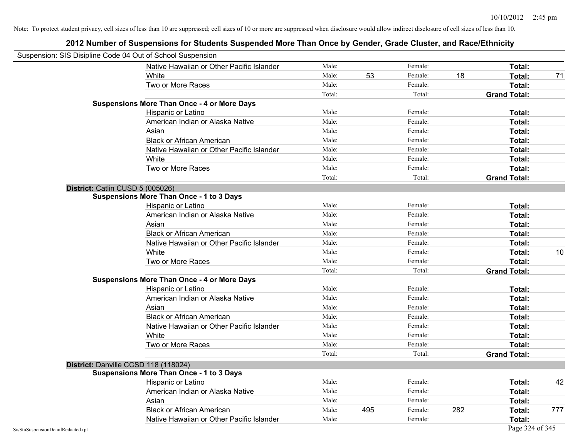| Suspension: SIS Disipline Code 04 Out of School Suspension |                                                    |        |     |         |     |                     |     |
|------------------------------------------------------------|----------------------------------------------------|--------|-----|---------|-----|---------------------|-----|
|                                                            | Native Hawaiian or Other Pacific Islander          | Male:  |     | Female: |     | Total:              |     |
|                                                            | White                                              | Male:  | 53  | Female: | 18  | Total:              | 71  |
|                                                            | Two or More Races                                  | Male:  |     | Female: |     | Total:              |     |
|                                                            |                                                    | Total: |     | Total:  |     | <b>Grand Total:</b> |     |
|                                                            | <b>Suspensions More Than Once - 4 or More Days</b> |        |     |         |     |                     |     |
|                                                            | Hispanic or Latino                                 | Male:  |     | Female: |     | Total:              |     |
|                                                            | American Indian or Alaska Native                   | Male:  |     | Female: |     | Total:              |     |
|                                                            | Asian                                              | Male:  |     | Female: |     | Total:              |     |
|                                                            | <b>Black or African American</b>                   | Male:  |     | Female: |     | Total:              |     |
|                                                            | Native Hawaiian or Other Pacific Islander          | Male:  |     | Female: |     | Total:              |     |
|                                                            | White                                              | Male:  |     | Female: |     | Total:              |     |
|                                                            | Two or More Races                                  | Male:  |     | Female: |     | Total:              |     |
|                                                            |                                                    | Total: |     | Total:  |     | <b>Grand Total:</b> |     |
| District: Catlin CUSD 5 (005026)                           |                                                    |        |     |         |     |                     |     |
|                                                            | <b>Suspensions More Than Once - 1 to 3 Days</b>    |        |     |         |     |                     |     |
|                                                            | Hispanic or Latino                                 | Male:  |     | Female: |     | Total:              |     |
|                                                            | American Indian or Alaska Native                   | Male:  |     | Female: |     | Total:              |     |
|                                                            | Asian                                              | Male:  |     | Female: |     | Total:              |     |
|                                                            | <b>Black or African American</b>                   | Male:  |     | Female: |     | Total:              |     |
|                                                            | Native Hawaiian or Other Pacific Islander          | Male:  |     | Female: |     | Total:              |     |
|                                                            | White                                              | Male:  |     | Female: |     | Total:              | 10  |
|                                                            | Two or More Races                                  | Male:  |     | Female: |     | Total:              |     |
|                                                            |                                                    | Total: |     | Total:  |     | <b>Grand Total:</b> |     |
|                                                            | <b>Suspensions More Than Once - 4 or More Days</b> |        |     |         |     |                     |     |
|                                                            | Hispanic or Latino                                 | Male:  |     | Female: |     | Total:              |     |
|                                                            | American Indian or Alaska Native                   | Male:  |     | Female: |     | Total:              |     |
|                                                            | Asian                                              | Male:  |     | Female: |     | Total:              |     |
|                                                            | <b>Black or African American</b>                   | Male:  |     | Female: |     | Total:              |     |
|                                                            | Native Hawaiian or Other Pacific Islander          | Male:  |     | Female: |     | Total:              |     |
|                                                            | White                                              | Male:  |     | Female: |     | Total:              |     |
|                                                            | Two or More Races                                  | Male:  |     | Female: |     | Total:              |     |
|                                                            |                                                    | Total: |     | Total:  |     | <b>Grand Total:</b> |     |
|                                                            | District: Danville CCSD 118 (118024)               |        |     |         |     |                     |     |
|                                                            | <b>Suspensions More Than Once - 1 to 3 Days</b>    |        |     |         |     |                     |     |
|                                                            | Hispanic or Latino                                 | Male:  |     | Female: |     | Total:              | 42  |
|                                                            | American Indian or Alaska Native                   | Male:  |     | Female: |     | Total:              |     |
|                                                            | Asian                                              | Male:  |     | Female: |     | Total:              |     |
|                                                            | <b>Black or African American</b>                   | Male:  | 495 | Female: | 282 | Total:              | 777 |
|                                                            | Native Hawaiian or Other Pacific Islander          | Male:  |     | Female: |     | Total:              |     |
| SisStuSuspensionDetailRedacted.rpt                         |                                                    |        |     |         |     | Page 324 of 345     |     |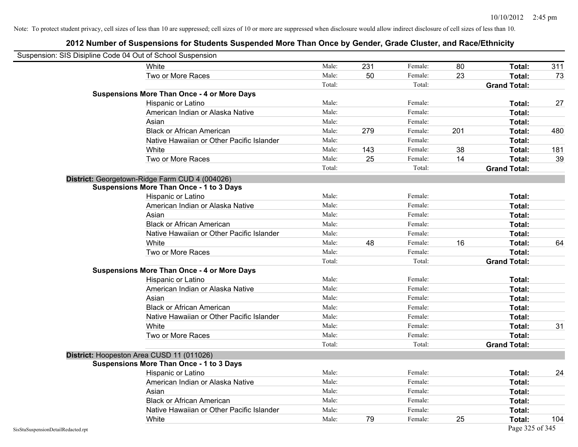|                                    | Suspension: SIS Disipline Code 04 Out of School Suspension |        |     |         |     |                     |     |
|------------------------------------|------------------------------------------------------------|--------|-----|---------|-----|---------------------|-----|
|                                    | White                                                      | Male:  | 231 | Female: | 80  | Total:              | 311 |
|                                    | Two or More Races                                          | Male:  | 50  | Female: | 23  | Total:              | 73  |
|                                    |                                                            | Total: |     | Total:  |     | <b>Grand Total:</b> |     |
|                                    | <b>Suspensions More Than Once - 4 or More Days</b>         |        |     |         |     |                     |     |
|                                    | Hispanic or Latino                                         | Male:  |     | Female: |     | Total:              | 27  |
|                                    | American Indian or Alaska Native                           | Male:  |     | Female: |     | Total:              |     |
|                                    | Asian                                                      | Male:  |     | Female: |     | Total:              |     |
|                                    | <b>Black or African American</b>                           | Male:  | 279 | Female: | 201 | Total:              | 480 |
|                                    | Native Hawaiian or Other Pacific Islander                  | Male:  |     | Female: |     | Total:              |     |
|                                    | White                                                      | Male:  | 143 | Female: | 38  | Total:              | 181 |
|                                    | Two or More Races                                          | Male:  | 25  | Female: | 14  | Total:              | 39  |
|                                    |                                                            | Total: |     | Total:  |     | <b>Grand Total:</b> |     |
|                                    | District: Georgetown-Ridge Farm CUD 4 (004026)             |        |     |         |     |                     |     |
|                                    | <b>Suspensions More Than Once - 1 to 3 Days</b>            |        |     |         |     |                     |     |
|                                    | Hispanic or Latino                                         | Male:  |     | Female: |     | Total:              |     |
|                                    | American Indian or Alaska Native                           | Male:  |     | Female: |     | Total:              |     |
|                                    | Asian                                                      | Male:  |     | Female: |     | Total:              |     |
|                                    | <b>Black or African American</b>                           | Male:  |     | Female: |     | Total:              |     |
|                                    | Native Hawaiian or Other Pacific Islander                  | Male:  |     | Female: |     | Total:              |     |
|                                    | White                                                      | Male:  | 48  | Female: | 16  | Total:              | 64  |
|                                    | Two or More Races                                          | Male:  |     | Female: |     | Total:              |     |
|                                    |                                                            | Total: |     | Total:  |     | <b>Grand Total:</b> |     |
|                                    | <b>Suspensions More Than Once - 4 or More Days</b>         |        |     |         |     |                     |     |
|                                    | Hispanic or Latino                                         | Male:  |     | Female: |     | Total:              |     |
|                                    | American Indian or Alaska Native                           | Male:  |     | Female: |     | Total:              |     |
|                                    | Asian                                                      | Male:  |     | Female: |     | Total:              |     |
|                                    | <b>Black or African American</b>                           | Male:  |     | Female: |     | Total:              |     |
|                                    | Native Hawaiian or Other Pacific Islander                  | Male:  |     | Female: |     | Total:              |     |
|                                    | White                                                      | Male:  |     | Female: |     | Total:              | 31  |
|                                    | Two or More Races                                          | Male:  |     | Female: |     | Total:              |     |
|                                    |                                                            | Total: |     | Total:  |     | <b>Grand Total:</b> |     |
|                                    | District: Hoopeston Area CUSD 11 (011026)                  |        |     |         |     |                     |     |
|                                    | <b>Suspensions More Than Once - 1 to 3 Days</b>            |        |     |         |     |                     |     |
|                                    | Hispanic or Latino                                         | Male:  |     | Female: |     | Total:              | 24  |
|                                    | American Indian or Alaska Native                           | Male:  |     | Female: |     | Total:              |     |
|                                    | Asian                                                      | Male:  |     | Female: |     | Total:              |     |
|                                    | <b>Black or African American</b>                           | Male:  |     | Female: |     | Total:              |     |
|                                    | Native Hawaiian or Other Pacific Islander                  | Male:  |     | Female: |     | Total:              |     |
|                                    | White                                                      | Male:  | 79  | Female: | 25  | Total:              | 104 |
| SisStuSuspensionDetailRedacted.rpt |                                                            |        |     |         |     | Page 325 of 345     |     |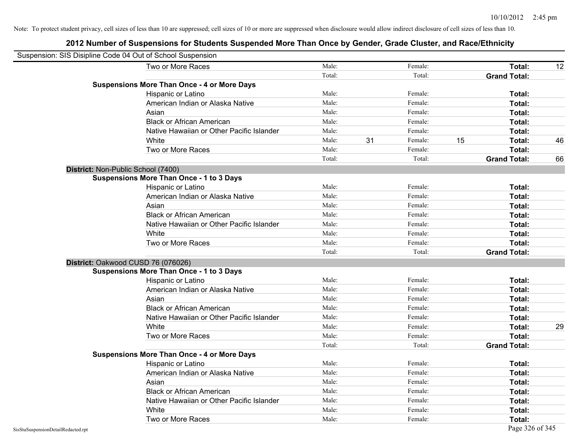|                                    | Suspension: SIS Disipline Code 04 Out of School Suspension |        |    |         |    |                     |    |
|------------------------------------|------------------------------------------------------------|--------|----|---------|----|---------------------|----|
|                                    | Two or More Races                                          | Male:  |    | Female: |    | <b>Total:</b>       | 12 |
|                                    |                                                            | Total: |    | Total:  |    | <b>Grand Total:</b> |    |
|                                    | <b>Suspensions More Than Once - 4 or More Days</b>         |        |    |         |    |                     |    |
|                                    | Hispanic or Latino                                         | Male:  |    | Female: |    | Total:              |    |
|                                    | American Indian or Alaska Native                           | Male:  |    | Female: |    | Total:              |    |
|                                    | Asian                                                      | Male:  |    | Female: |    | Total:              |    |
|                                    | <b>Black or African American</b>                           | Male:  |    | Female: |    | Total:              |    |
|                                    | Native Hawaiian or Other Pacific Islander                  | Male:  |    | Female: |    | Total:              |    |
|                                    | White                                                      | Male:  | 31 | Female: | 15 | Total:              | 46 |
|                                    | Two or More Races                                          | Male:  |    | Female: |    | Total:              |    |
|                                    |                                                            | Total: |    | Total:  |    | <b>Grand Total:</b> | 66 |
|                                    | District: Non-Public School (7400)                         |        |    |         |    |                     |    |
|                                    | <b>Suspensions More Than Once - 1 to 3 Days</b>            |        |    |         |    |                     |    |
|                                    | Hispanic or Latino                                         | Male:  |    | Female: |    | Total:              |    |
|                                    | American Indian or Alaska Native                           | Male:  |    | Female: |    | Total:              |    |
|                                    | Asian                                                      | Male:  |    | Female: |    | Total:              |    |
|                                    | <b>Black or African American</b>                           | Male:  |    | Female: |    | Total:              |    |
|                                    | Native Hawaiian or Other Pacific Islander                  | Male:  |    | Female: |    | Total:              |    |
|                                    | White                                                      | Male:  |    | Female: |    | Total:              |    |
|                                    | Two or More Races                                          | Male:  |    | Female: |    | Total:              |    |
|                                    |                                                            | Total: |    | Total:  |    | <b>Grand Total:</b> |    |
|                                    | District: Oakwood CUSD 76 (076026)                         |        |    |         |    |                     |    |
|                                    | <b>Suspensions More Than Once - 1 to 3 Days</b>            |        |    |         |    |                     |    |
|                                    | Hispanic or Latino                                         | Male:  |    | Female: |    | Total:              |    |
|                                    | American Indian or Alaska Native                           | Male:  |    | Female: |    | Total:              |    |
|                                    | Asian                                                      | Male:  |    | Female: |    | Total:              |    |
|                                    | <b>Black or African American</b>                           | Male:  |    | Female: |    | Total:              |    |
|                                    | Native Hawaiian or Other Pacific Islander                  | Male:  |    | Female: |    | Total:              |    |
|                                    | White                                                      | Male:  |    | Female: |    | Total:              | 29 |
|                                    | Two or More Races                                          | Male:  |    | Female: |    | Total:              |    |
|                                    |                                                            | Total: |    | Total:  |    | <b>Grand Total:</b> |    |
|                                    | <b>Suspensions More Than Once - 4 or More Days</b>         |        |    |         |    |                     |    |
|                                    | Hispanic or Latino                                         | Male:  |    | Female: |    | Total:              |    |
|                                    | American Indian or Alaska Native                           | Male:  |    | Female: |    | Total:              |    |
|                                    | Asian                                                      | Male:  |    | Female: |    | Total:              |    |
|                                    | <b>Black or African American</b>                           | Male:  |    | Female: |    | Total:              |    |
|                                    | Native Hawaiian or Other Pacific Islander                  | Male:  |    | Female: |    | Total:              |    |
|                                    | White                                                      | Male:  |    | Female: |    | Total:              |    |
|                                    | Two or More Races                                          | Male:  |    | Female: |    | Total:              |    |
| SisStuSuspensionDetailRedacted.rpt |                                                            |        |    |         |    | Page 326 of 345     |    |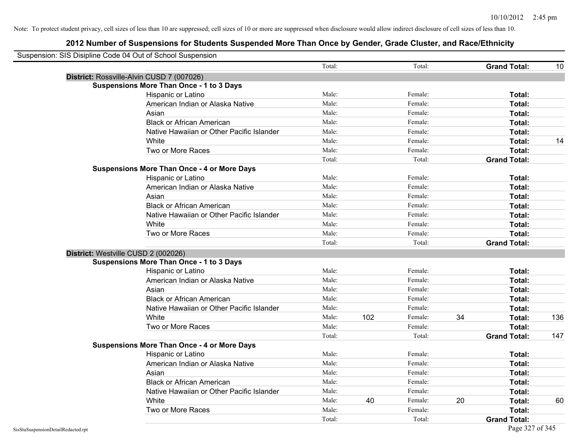| Suspension: SIS Disipline Code 04 Out of School Suspension |                                                    |        |     |         |    |                     |     |
|------------------------------------------------------------|----------------------------------------------------|--------|-----|---------|----|---------------------|-----|
|                                                            |                                                    | Total: |     | Total:  |    | <b>Grand Total:</b> | 10  |
|                                                            | District: Rossville-Alvin CUSD 7 (007026)          |        |     |         |    |                     |     |
|                                                            | <b>Suspensions More Than Once - 1 to 3 Days</b>    |        |     |         |    |                     |     |
|                                                            | Hispanic or Latino                                 | Male:  |     | Female: |    | Total:              |     |
|                                                            | American Indian or Alaska Native                   | Male:  |     | Female: |    | Total:              |     |
|                                                            | Asian                                              | Male:  |     | Female: |    | Total:              |     |
|                                                            | <b>Black or African American</b>                   | Male:  |     | Female: |    | Total:              |     |
|                                                            | Native Hawaiian or Other Pacific Islander          | Male:  |     | Female: |    | Total:              |     |
|                                                            | White                                              | Male:  |     | Female: |    | <b>Total:</b>       | 14  |
|                                                            | Two or More Races                                  | Male:  |     | Female: |    | Total:              |     |
|                                                            |                                                    | Total: |     | Total:  |    | <b>Grand Total:</b> |     |
|                                                            | <b>Suspensions More Than Once - 4 or More Days</b> |        |     |         |    |                     |     |
|                                                            | Hispanic or Latino                                 | Male:  |     | Female: |    | Total:              |     |
|                                                            | American Indian or Alaska Native                   | Male:  |     | Female: |    | Total:              |     |
|                                                            | Asian                                              | Male:  |     | Female: |    | Total:              |     |
|                                                            | <b>Black or African American</b>                   | Male:  |     | Female: |    | Total:              |     |
|                                                            | Native Hawaiian or Other Pacific Islander          | Male:  |     | Female: |    | Total:              |     |
|                                                            | White                                              | Male:  |     | Female: |    | Total:              |     |
|                                                            | Two or More Races                                  | Male:  |     | Female: |    | Total:              |     |
|                                                            |                                                    | Total: |     | Total:  |    | <b>Grand Total:</b> |     |
|                                                            | District: Westville CUSD 2 (002026)                |        |     |         |    |                     |     |
|                                                            | <b>Suspensions More Than Once - 1 to 3 Days</b>    |        |     |         |    |                     |     |
|                                                            | Hispanic or Latino                                 | Male:  |     | Female: |    | Total:              |     |
|                                                            | American Indian or Alaska Native                   | Male:  |     | Female: |    | Total:              |     |
|                                                            | Asian                                              | Male:  |     | Female: |    | Total:              |     |
|                                                            | <b>Black or African American</b>                   | Male:  |     | Female: |    | Total:              |     |
|                                                            | Native Hawaiian or Other Pacific Islander          | Male:  |     | Female: |    | Total:              |     |
|                                                            | White                                              | Male:  | 102 | Female: | 34 | Total:              | 136 |
|                                                            | Two or More Races                                  | Male:  |     | Female: |    | <b>Total:</b>       |     |
|                                                            |                                                    | Total: |     | Total:  |    | <b>Grand Total:</b> | 147 |
|                                                            | <b>Suspensions More Than Once - 4 or More Days</b> |        |     |         |    |                     |     |
|                                                            | Hispanic or Latino                                 | Male:  |     | Female: |    | Total:              |     |
|                                                            | American Indian or Alaska Native                   | Male:  |     | Female: |    | Total:              |     |
|                                                            | Asian                                              | Male:  |     | Female: |    | Total:              |     |
|                                                            | <b>Black or African American</b>                   | Male:  |     | Female: |    | Total:              |     |
|                                                            | Native Hawaiian or Other Pacific Islander          | Male:  |     | Female: |    | Total:              |     |
|                                                            | White                                              | Male:  | 40  | Female: | 20 | Total:              | 60  |
|                                                            | Two or More Races                                  | Male:  |     | Female: |    | Total:              |     |
|                                                            |                                                    | Total: |     | Total:  |    | <b>Grand Total:</b> |     |
| SisStuSuspensionDetailRedacted.rpt                         |                                                    |        |     |         |    | Page 327 of 345     |     |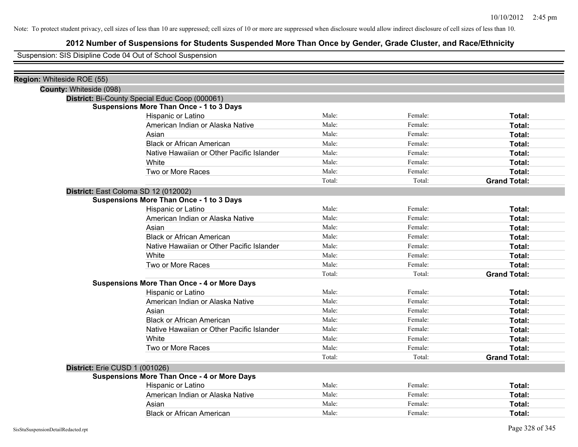# **2012 Number of Suspensions for Students Suspended More Than Once by Gender, Grade Cluster, and Race/Ethnicity**

Suspension: SIS Disipline Code 04 Out of School Suspension

| Region: Whiteside ROE (55)           |                                                    |        |         |                     |
|--------------------------------------|----------------------------------------------------|--------|---------|---------------------|
| County: Whiteside (098)              |                                                    |        |         |                     |
|                                      | District: Bi-County Special Educ Coop (000061)     |        |         |                     |
|                                      | <b>Suspensions More Than Once - 1 to 3 Days</b>    |        |         |                     |
|                                      | Hispanic or Latino                                 | Male:  | Female: | Total:              |
|                                      | American Indian or Alaska Native                   | Male:  | Female: | Total:              |
|                                      | Asian                                              | Male:  | Female: | Total:              |
|                                      | <b>Black or African American</b>                   | Male:  | Female: | Total:              |
|                                      | Native Hawaiian or Other Pacific Islander          | Male:  | Female: | Total:              |
|                                      | White                                              | Male:  | Female: | Total:              |
|                                      | Two or More Races                                  | Male:  | Female: | Total:              |
|                                      |                                                    | Total: | Total:  | <b>Grand Total:</b> |
| District: East Coloma SD 12 (012002) |                                                    |        |         |                     |
|                                      | <b>Suspensions More Than Once - 1 to 3 Days</b>    |        |         |                     |
|                                      | Hispanic or Latino                                 | Male:  | Female: | Total:              |
|                                      | American Indian or Alaska Native                   | Male:  | Female: | Total:              |
|                                      | Asian                                              | Male:  | Female: | Total:              |
|                                      | <b>Black or African American</b>                   | Male:  | Female: | Total:              |
|                                      | Native Hawaiian or Other Pacific Islander          | Male:  | Female: | Total:              |
|                                      | White                                              | Male:  | Female: | Total:              |
|                                      | Two or More Races                                  | Male:  | Female: | Total:              |
|                                      |                                                    | Total: | Total:  | <b>Grand Total:</b> |
|                                      | <b>Suspensions More Than Once - 4 or More Days</b> |        |         |                     |
|                                      | Hispanic or Latino                                 | Male:  | Female: | Total:              |
|                                      | American Indian or Alaska Native                   | Male:  | Female: | Total:              |
|                                      | Asian                                              | Male:  | Female: | Total:              |
|                                      | <b>Black or African American</b>                   | Male:  | Female: | Total:              |
|                                      | Native Hawaiian or Other Pacific Islander          | Male:  | Female: | Total:              |
|                                      | White                                              | Male:  | Female: | Total:              |
|                                      | Two or More Races                                  | Male:  | Female: | Total:              |
|                                      |                                                    | Total: | Total:  | <b>Grand Total:</b> |
| District: Erie CUSD 1 (001026)       |                                                    |        |         |                     |
|                                      | <b>Suspensions More Than Once - 4 or More Days</b> |        |         |                     |
|                                      | Hispanic or Latino                                 | Male:  | Female: | Total:              |
|                                      | American Indian or Alaska Native                   | Male:  | Female: | Total:              |
|                                      | Asian                                              | Male:  | Female: | Total:              |
|                                      | <b>Black or African American</b>                   | Male:  | Female: | Total:              |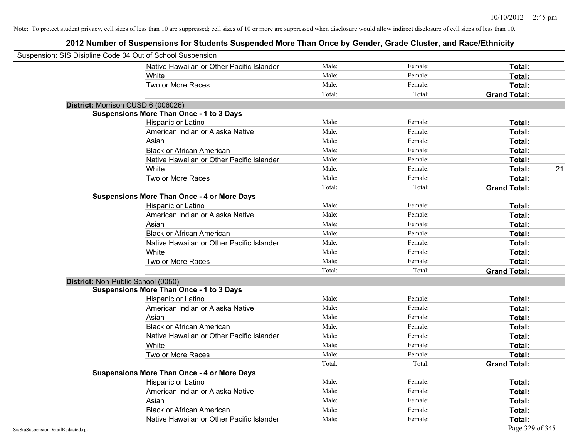| Suspension: SIS Disipline Code 04 Out of School Suspension |                                                    |        |         |                     |
|------------------------------------------------------------|----------------------------------------------------|--------|---------|---------------------|
|                                                            | Native Hawaiian or Other Pacific Islander          | Male:  | Female: | Total:              |
|                                                            | White                                              | Male:  | Female: | Total:              |
|                                                            | Two or More Races                                  | Male:  | Female: | Total:              |
|                                                            |                                                    | Total: | Total:  | <b>Grand Total:</b> |
| District: Morrison CUSD 6 (006026)                         |                                                    |        |         |                     |
|                                                            | <b>Suspensions More Than Once - 1 to 3 Days</b>    |        |         |                     |
|                                                            | Hispanic or Latino                                 | Male:  | Female: | Total:              |
|                                                            | American Indian or Alaska Native                   | Male:  | Female: | Total:              |
|                                                            | Asian                                              | Male:  | Female: | Total:              |
|                                                            | <b>Black or African American</b>                   | Male:  | Female: | Total:              |
|                                                            | Native Hawaiian or Other Pacific Islander          | Male:  | Female: | Total:              |
|                                                            | White                                              | Male:  | Female: | 21<br>Total:        |
|                                                            | Two or More Races                                  | Male:  | Female: | Total:              |
|                                                            |                                                    | Total: | Total:  | <b>Grand Total:</b> |
|                                                            | <b>Suspensions More Than Once - 4 or More Days</b> |        |         |                     |
|                                                            | Hispanic or Latino                                 | Male:  | Female: | Total:              |
|                                                            | American Indian or Alaska Native                   | Male:  | Female: | Total:              |
|                                                            | Asian                                              | Male:  | Female: | Total:              |
|                                                            | <b>Black or African American</b>                   | Male:  | Female: | Total:              |
|                                                            | Native Hawaiian or Other Pacific Islander          | Male:  | Female: | Total:              |
|                                                            | White                                              | Male:  | Female: | Total:              |
|                                                            | Two or More Races                                  | Male:  | Female: | Total:              |
|                                                            |                                                    | Total: | Total:  | <b>Grand Total:</b> |
| District: Non-Public School (0050)                         |                                                    |        |         |                     |
|                                                            | <b>Suspensions More Than Once - 1 to 3 Days</b>    |        |         |                     |
|                                                            | Hispanic or Latino                                 | Male:  | Female: | Total:              |
|                                                            | American Indian or Alaska Native                   | Male:  | Female: | Total:              |
|                                                            | Asian                                              | Male:  | Female: | Total:              |
|                                                            | <b>Black or African American</b>                   | Male:  | Female: | Total:              |
|                                                            | Native Hawaiian or Other Pacific Islander          | Male:  | Female: | Total:              |
|                                                            | White                                              | Male:  | Female: | Total:              |
|                                                            | Two or More Races                                  | Male:  | Female: | Total:              |
|                                                            |                                                    | Total: | Total:  | <b>Grand Total:</b> |
|                                                            | <b>Suspensions More Than Once - 4 or More Days</b> |        |         |                     |
|                                                            | Hispanic or Latino                                 | Male:  | Female: | Total:              |
|                                                            | American Indian or Alaska Native                   | Male:  | Female: | Total:              |
|                                                            | Asian                                              | Male:  | Female: | Total:              |
|                                                            | <b>Black or African American</b>                   | Male:  | Female: | Total:              |
|                                                            | Native Hawaiian or Other Pacific Islander          | Male:  | Female: | Total:              |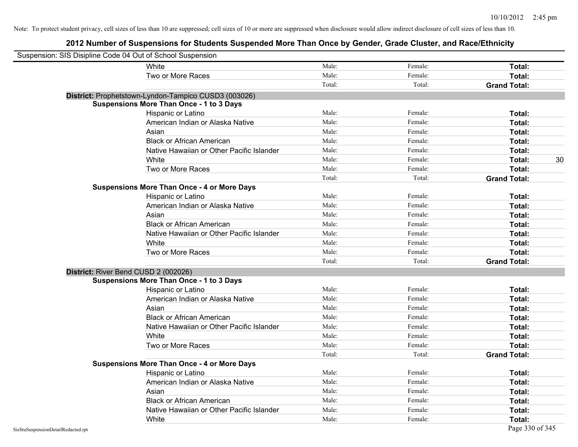| Suspension: SIS Disipline Code 04 Out of School Suspension |                                                      |        |         |                     |
|------------------------------------------------------------|------------------------------------------------------|--------|---------|---------------------|
|                                                            | White                                                | Male:  | Female: | Total:              |
|                                                            | Two or More Races                                    | Male:  | Female: | Total:              |
|                                                            |                                                      | Total: | Total:  | <b>Grand Total:</b> |
|                                                            | District: Prophetstown-Lyndon-Tampico CUSD3 (003026) |        |         |                     |
|                                                            | <b>Suspensions More Than Once - 1 to 3 Days</b>      |        |         |                     |
|                                                            | Hispanic or Latino                                   | Male:  | Female: | <b>Total:</b>       |
|                                                            | American Indian or Alaska Native                     | Male:  | Female: | Total:              |
|                                                            | Asian                                                | Male:  | Female: | Total:              |
|                                                            | <b>Black or African American</b>                     | Male:  | Female: | Total:              |
|                                                            | Native Hawaiian or Other Pacific Islander            | Male:  | Female: | Total:              |
|                                                            | White                                                | Male:  | Female: | 30<br>Total:        |
|                                                            | Two or More Races                                    | Male:  | Female: | Total:              |
|                                                            |                                                      | Total: | Total:  | <b>Grand Total:</b> |
|                                                            | <b>Suspensions More Than Once - 4 or More Days</b>   |        |         |                     |
|                                                            | Hispanic or Latino                                   | Male:  | Female: | Total:              |
|                                                            | American Indian or Alaska Native                     | Male:  | Female: | Total:              |
|                                                            | Asian                                                | Male:  | Female: | Total:              |
|                                                            | <b>Black or African American</b>                     | Male:  | Female: | <b>Total:</b>       |
|                                                            | Native Hawaiian or Other Pacific Islander            | Male:  | Female: | Total:              |
|                                                            | White                                                | Male:  | Female: | Total:              |
|                                                            | Two or More Races                                    | Male:  | Female: | Total:              |
|                                                            |                                                      | Total: | Total:  | <b>Grand Total:</b> |
|                                                            | District: River Bend CUSD 2 (002026)                 |        |         |                     |
|                                                            | <b>Suspensions More Than Once - 1 to 3 Days</b>      |        |         |                     |
|                                                            | Hispanic or Latino                                   | Male:  | Female: | <b>Total:</b>       |
|                                                            | American Indian or Alaska Native                     | Male:  | Female: | <b>Total:</b>       |
|                                                            | Asian                                                | Male:  | Female: | Total:              |
|                                                            | <b>Black or African American</b>                     | Male:  | Female: | Total:              |
|                                                            | Native Hawaiian or Other Pacific Islander            | Male:  | Female: | <b>Total:</b>       |
|                                                            | White                                                | Male:  | Female: | Total:              |
|                                                            | Two or More Races                                    | Male:  | Female: | Total:              |
|                                                            |                                                      | Total: | Total:  | <b>Grand Total:</b> |
|                                                            | <b>Suspensions More Than Once - 4 or More Days</b>   |        |         |                     |
|                                                            | Hispanic or Latino                                   | Male:  | Female: | Total:              |
|                                                            | American Indian or Alaska Native                     | Male:  | Female: | Total:              |
|                                                            | Asian                                                | Male:  | Female: | Total:              |
|                                                            | <b>Black or African American</b>                     | Male:  | Female: | Total:              |
|                                                            | Native Hawaiian or Other Pacific Islander            | Male:  | Female: | <b>Total:</b>       |
|                                                            | White                                                | Male:  | Female: | <b>Total:</b>       |
| SisStuSuspensionDetailRedacted.rpt                         |                                                      |        |         | Page 330 of 345     |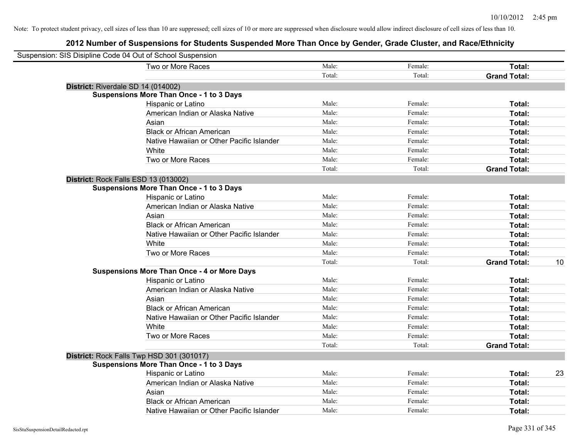| Suspension: SIS Disipline Code 04 Out of School Suspension |                                                    |        |         |                     |    |
|------------------------------------------------------------|----------------------------------------------------|--------|---------|---------------------|----|
|                                                            | Two or More Races                                  | Male:  | Female: | Total:              |    |
|                                                            |                                                    | Total: | Total:  | <b>Grand Total:</b> |    |
|                                                            | District: Riverdale SD 14 (014002)                 |        |         |                     |    |
|                                                            | <b>Suspensions More Than Once - 1 to 3 Days</b>    |        |         |                     |    |
|                                                            | Hispanic or Latino                                 | Male:  | Female: | Total:              |    |
|                                                            | American Indian or Alaska Native                   | Male:  | Female: | Total:              |    |
|                                                            | Asian                                              | Male:  | Female: | Total:              |    |
|                                                            | <b>Black or African American</b>                   | Male:  | Female: | Total:              |    |
|                                                            | Native Hawaiian or Other Pacific Islander          | Male:  | Female: | Total:              |    |
|                                                            | White                                              | Male:  | Female: | Total:              |    |
|                                                            | Two or More Races                                  | Male:  | Female: | Total:              |    |
|                                                            |                                                    | Total: | Total:  | <b>Grand Total:</b> |    |
|                                                            | District: Rock Falls ESD 13 (013002)               |        |         |                     |    |
|                                                            | <b>Suspensions More Than Once - 1 to 3 Days</b>    |        |         |                     |    |
|                                                            | Hispanic or Latino                                 | Male:  | Female: | Total:              |    |
|                                                            | American Indian or Alaska Native                   | Male:  | Female: | Total:              |    |
|                                                            | Asian                                              | Male:  | Female: | Total:              |    |
|                                                            | <b>Black or African American</b>                   | Male:  | Female: | Total:              |    |
|                                                            | Native Hawaiian or Other Pacific Islander          | Male:  | Female: | Total:              |    |
|                                                            | White                                              | Male:  | Female: | Total:              |    |
|                                                            | Two or More Races                                  | Male:  | Female: | Total:              |    |
|                                                            |                                                    | Total: | Total:  | <b>Grand Total:</b> | 10 |
|                                                            | <b>Suspensions More Than Once - 4 or More Days</b> |        |         |                     |    |
|                                                            | Hispanic or Latino                                 | Male:  | Female: | Total:              |    |
|                                                            | American Indian or Alaska Native                   | Male:  | Female: | Total:              |    |
|                                                            | Asian                                              | Male:  | Female: | Total:              |    |
|                                                            | <b>Black or African American</b>                   | Male:  | Female: | Total:              |    |
|                                                            | Native Hawaiian or Other Pacific Islander          | Male:  | Female: | Total:              |    |
|                                                            | White                                              | Male:  | Female: | Total:              |    |
|                                                            | Two or More Races                                  | Male:  | Female: | Total:              |    |
|                                                            |                                                    | Total: | Total:  | <b>Grand Total:</b> |    |
|                                                            | District: Rock Falls Twp HSD 301 (301017)          |        |         |                     |    |
|                                                            | <b>Suspensions More Than Once - 1 to 3 Days</b>    |        |         |                     |    |
|                                                            | Hispanic or Latino                                 | Male:  | Female: | Total:              | 23 |
|                                                            | American Indian or Alaska Native                   | Male:  | Female: | Total:              |    |
|                                                            | Asian                                              | Male:  | Female: | Total:              |    |
|                                                            | <b>Black or African American</b>                   | Male:  | Female: | Total:              |    |
|                                                            | Native Hawaiian or Other Pacific Islander          | Male:  | Female: | Total:              |    |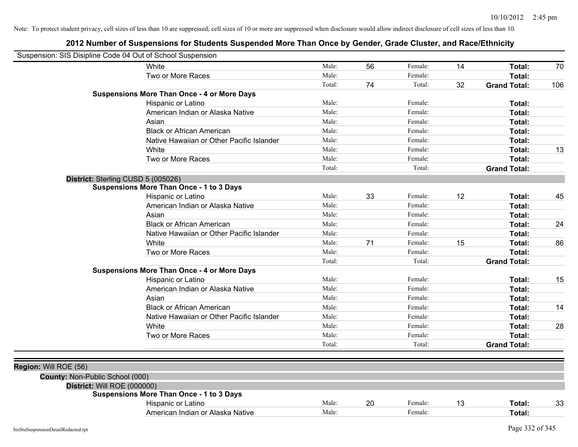| Suspension: SIS Disipline Code 04 Out of School Suspension |                                                    |        |    |         |    |                     |     |
|------------------------------------------------------------|----------------------------------------------------|--------|----|---------|----|---------------------|-----|
|                                                            | <b>White</b>                                       | Male:  | 56 | Female: | 14 | Total:              | 70  |
|                                                            | Two or More Races                                  | Male:  |    | Female: |    | <b>Total:</b>       |     |
|                                                            |                                                    | Total: | 74 | Total:  | 32 | <b>Grand Total:</b> | 106 |
|                                                            | <b>Suspensions More Than Once - 4 or More Days</b> |        |    |         |    |                     |     |
|                                                            | Hispanic or Latino                                 | Male:  |    | Female: |    | Total:              |     |
|                                                            | American Indian or Alaska Native                   | Male:  |    | Female: |    | <b>Total:</b>       |     |
|                                                            | Asian                                              | Male:  |    | Female: |    | <b>Total:</b>       |     |
|                                                            | <b>Black or African American</b>                   | Male:  |    | Female: |    | Total:              |     |
|                                                            | Native Hawaiian or Other Pacific Islander          | Male:  |    | Female: |    | <b>Total:</b>       |     |
|                                                            | White                                              | Male:  |    | Female: |    | <b>Total:</b>       | 13  |
|                                                            | Two or More Races                                  | Male:  |    | Female: |    | <b>Total:</b>       |     |
|                                                            |                                                    | Total: |    | Total:  |    | <b>Grand Total:</b> |     |
| District: Sterling CUSD 5 (005026)                         |                                                    |        |    |         |    |                     |     |
|                                                            | <b>Suspensions More Than Once - 1 to 3 Days</b>    |        |    |         |    |                     |     |
|                                                            | Hispanic or Latino                                 | Male:  | 33 | Female: | 12 | Total:              | 45  |
|                                                            | American Indian or Alaska Native                   | Male:  |    | Female: |    | Total:              |     |
|                                                            | Asian                                              | Male:  |    | Female: |    | <b>Total:</b>       |     |
|                                                            | <b>Black or African American</b>                   | Male:  |    | Female: |    | <b>Total:</b>       | 24  |
|                                                            | Native Hawaiian or Other Pacific Islander          | Male:  |    | Female: |    | <b>Total:</b>       |     |
|                                                            | White                                              | Male:  | 71 | Female: | 15 | <b>Total:</b>       | 86  |
|                                                            | Two or More Races                                  | Male:  |    | Female: |    | Total:              |     |
|                                                            |                                                    | Total: |    | Total:  |    | <b>Grand Total:</b> |     |
|                                                            | <b>Suspensions More Than Once - 4 or More Days</b> |        |    |         |    |                     |     |
|                                                            | Hispanic or Latino                                 | Male:  |    | Female: |    | Total:              | 15  |
|                                                            | American Indian or Alaska Native                   | Male:  |    | Female: |    | <b>Total:</b>       |     |
|                                                            | Asian                                              | Male:  |    | Female: |    | <b>Total:</b>       |     |
|                                                            | <b>Black or African American</b>                   | Male:  |    | Female: |    | <b>Total:</b>       | 14  |
|                                                            | Native Hawaiian or Other Pacific Islander          | Male:  |    | Female: |    | <b>Total:</b>       |     |
|                                                            | White                                              | Male:  |    | Female: |    | <b>Total:</b>       | 28  |
|                                                            | Two or More Races                                  | Male:  |    | Female: |    | Total:              |     |
|                                                            |                                                    | Total: |    | Total:  |    | <b>Grand Total:</b> |     |
|                                                            |                                                    |        |    |         |    |                     |     |
| Region: Will ROE (56)                                      |                                                    |        |    |         |    |                     |     |
| County: Non-Public School (000)                            |                                                    |        |    |         |    |                     |     |
| District: Will ROE (000000)                                |                                                    |        |    |         |    |                     |     |
|                                                            | <b>Suspensions More Than Once - 1 to 3 Days</b>    |        |    |         |    |                     |     |
|                                                            | Hispanic or Latino                                 | Male:  | 20 | Female: | 13 | Total:              | 33  |
|                                                            | American Indian or Alaska Native                   | Male:  |    | Female: |    | Total:              |     |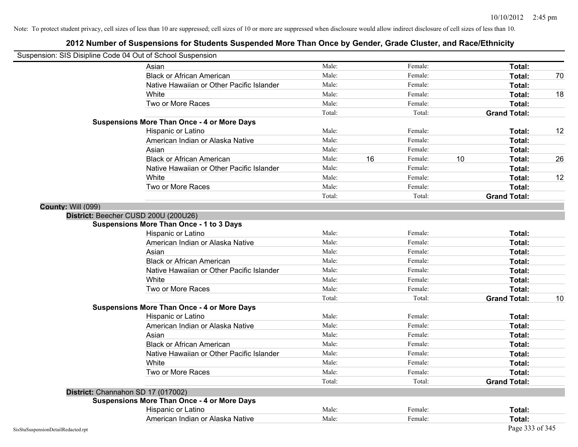|                                    | Suspension: SIS Disipline Code 04 Out of School Suspension |        |    |         |    |                     |    |
|------------------------------------|------------------------------------------------------------|--------|----|---------|----|---------------------|----|
|                                    | Asian                                                      | Male:  |    | Female: |    | Total:              |    |
|                                    | <b>Black or African American</b>                           | Male:  |    | Female: |    | Total:              | 70 |
|                                    | Native Hawaiian or Other Pacific Islander                  | Male:  |    | Female: |    | Total:              |    |
|                                    | White                                                      | Male:  |    | Female: |    | Total:              | 18 |
|                                    | Two or More Races                                          | Male:  |    | Female: |    | Total:              |    |
|                                    |                                                            | Total: |    | Total:  |    | <b>Grand Total:</b> |    |
|                                    | <b>Suspensions More Than Once - 4 or More Days</b>         |        |    |         |    |                     |    |
|                                    | Hispanic or Latino                                         | Male:  |    | Female: |    | Total:              | 12 |
|                                    | American Indian or Alaska Native                           | Male:  |    | Female: |    | Total:              |    |
|                                    | Asian                                                      | Male:  |    | Female: |    | Total:              |    |
|                                    | <b>Black or African American</b>                           | Male:  | 16 | Female: | 10 | Total:              | 26 |
|                                    | Native Hawaiian or Other Pacific Islander                  | Male:  |    | Female: |    | Total:              |    |
|                                    | White                                                      | Male:  |    | Female: |    | Total:              | 12 |
|                                    | Two or More Races                                          | Male:  |    | Female: |    | Total:              |    |
|                                    |                                                            | Total: |    | Total:  |    | <b>Grand Total:</b> |    |
| County: Will (099)                 |                                                            |        |    |         |    |                     |    |
|                                    | District: Beecher CUSD 200U (200U26)                       |        |    |         |    |                     |    |
|                                    | <b>Suspensions More Than Once - 1 to 3 Days</b>            |        |    |         |    |                     |    |
|                                    | Hispanic or Latino                                         | Male:  |    | Female: |    | Total:              |    |
|                                    | American Indian or Alaska Native                           | Male:  |    | Female: |    | Total:              |    |
|                                    | Asian                                                      | Male:  |    | Female: |    | Total:              |    |
|                                    | <b>Black or African American</b>                           | Male:  |    | Female: |    | Total:              |    |
|                                    | Native Hawaiian or Other Pacific Islander                  | Male:  |    | Female: |    | Total:              |    |
|                                    | White                                                      | Male:  |    | Female: |    | Total:              |    |
|                                    | Two or More Races                                          | Male:  |    | Female: |    | Total:              |    |
|                                    |                                                            | Total: |    | Total:  |    | <b>Grand Total:</b> | 10 |
|                                    | <b>Suspensions More Than Once - 4 or More Days</b>         |        |    |         |    |                     |    |
|                                    | Hispanic or Latino                                         | Male:  |    | Female: |    | Total:              |    |
|                                    | American Indian or Alaska Native                           | Male:  |    | Female: |    | Total:              |    |
|                                    | Asian                                                      | Male:  |    | Female: |    | Total:              |    |
|                                    | <b>Black or African American</b>                           | Male:  |    | Female: |    | Total:              |    |
|                                    | Native Hawaiian or Other Pacific Islander                  | Male:  |    | Female: |    | Total:              |    |
|                                    | White                                                      | Male:  |    | Female: |    | Total:              |    |
|                                    | Two or More Races                                          | Male:  |    | Female: |    | Total:              |    |
|                                    |                                                            | Total: |    | Total:  |    | <b>Grand Total:</b> |    |
|                                    | District: Channahon SD 17 (017002)                         |        |    |         |    |                     |    |
|                                    | <b>Suspensions More Than Once - 4 or More Days</b>         |        |    |         |    |                     |    |
|                                    | Hispanic or Latino                                         | Male:  |    | Female: |    | Total:              |    |
|                                    | American Indian or Alaska Native                           | Male:  |    | Female: |    | Total:              |    |
| SisStuSuspensionDetailRedacted.rpt |                                                            |        |    |         |    | Page 333 of 345     |    |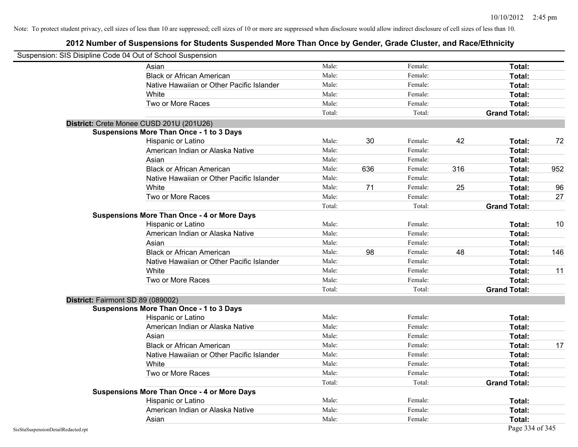|                                    | Suspension: SIS Disipline Code 04 Out of School Suspension |        |     |         |     |                     |     |
|------------------------------------|------------------------------------------------------------|--------|-----|---------|-----|---------------------|-----|
|                                    | Asian                                                      | Male:  |     | Female: |     | Total:              |     |
|                                    | <b>Black or African American</b>                           | Male:  |     | Female: |     | Total:              |     |
|                                    | Native Hawaiian or Other Pacific Islander                  | Male:  |     | Female: |     | Total:              |     |
|                                    | White                                                      | Male:  |     | Female: |     | Total:              |     |
|                                    | Two or More Races                                          | Male:  |     | Female: |     | Total:              |     |
|                                    |                                                            | Total: |     | Total:  |     | <b>Grand Total:</b> |     |
|                                    | District: Crete Monee CUSD 201U (201U26)                   |        |     |         |     |                     |     |
|                                    | <b>Suspensions More Than Once - 1 to 3 Days</b>            |        |     |         |     |                     |     |
|                                    | Hispanic or Latino                                         | Male:  | 30  | Female: | 42  | Total:              | 72  |
|                                    | American Indian or Alaska Native                           | Male:  |     | Female: |     | Total:              |     |
|                                    | Asian                                                      | Male:  |     | Female: |     | Total:              |     |
|                                    | <b>Black or African American</b>                           | Male:  | 636 | Female: | 316 | Total:              | 952 |
|                                    | Native Hawaiian or Other Pacific Islander                  | Male:  |     | Female: |     | Total:              |     |
|                                    | White                                                      | Male:  | 71  | Female: | 25  | Total:              | 96  |
|                                    | Two or More Races                                          | Male:  |     | Female: |     | Total:              | 27  |
|                                    |                                                            | Total: |     | Total:  |     | <b>Grand Total:</b> |     |
|                                    | <b>Suspensions More Than Once - 4 or More Days</b>         |        |     |         |     |                     |     |
|                                    | Hispanic or Latino                                         | Male:  |     | Female: |     | Total:              | 10  |
|                                    | American Indian or Alaska Native                           | Male:  |     | Female: |     | Total:              |     |
|                                    | Asian                                                      | Male:  |     | Female: |     | Total:              |     |
|                                    | <b>Black or African American</b>                           | Male:  | 98  | Female: | 48  | Total:              | 146 |
|                                    | Native Hawaiian or Other Pacific Islander                  | Male:  |     | Female: |     | Total:              |     |
|                                    | White                                                      | Male:  |     | Female: |     | Total:              | 11  |
|                                    | Two or More Races                                          | Male:  |     | Female: |     | Total:              |     |
|                                    |                                                            | Total: |     | Total:  |     | <b>Grand Total:</b> |     |
|                                    | District: Fairmont SD 89 (089002)                          |        |     |         |     |                     |     |
|                                    | <b>Suspensions More Than Once - 1 to 3 Days</b>            |        |     |         |     |                     |     |
|                                    | Hispanic or Latino                                         | Male:  |     | Female: |     | Total:              |     |
|                                    | American Indian or Alaska Native                           | Male:  |     | Female: |     | Total:              |     |
|                                    | Asian                                                      | Male:  |     | Female: |     | Total:              |     |
|                                    | <b>Black or African American</b>                           | Male:  |     | Female: |     | Total:              | 17  |
|                                    | Native Hawaiian or Other Pacific Islander                  | Male:  |     | Female: |     | Total:              |     |
|                                    | White                                                      | Male:  |     | Female: |     | Total:              |     |
|                                    | Two or More Races                                          | Male:  |     | Female: |     | Total:              |     |
|                                    |                                                            | Total: |     | Total:  |     | <b>Grand Total:</b> |     |
|                                    | <b>Suspensions More Than Once - 4 or More Days</b>         |        |     |         |     |                     |     |
|                                    | Hispanic or Latino                                         | Male:  |     | Female: |     | Total:              |     |
|                                    | American Indian or Alaska Native                           | Male:  |     | Female: |     | Total:              |     |
|                                    | Asian                                                      | Male:  |     | Female: |     | Total:              |     |
| SisStuSuspensionDetailRedacted.rpt |                                                            |        |     |         |     | Page 334 of 345     |     |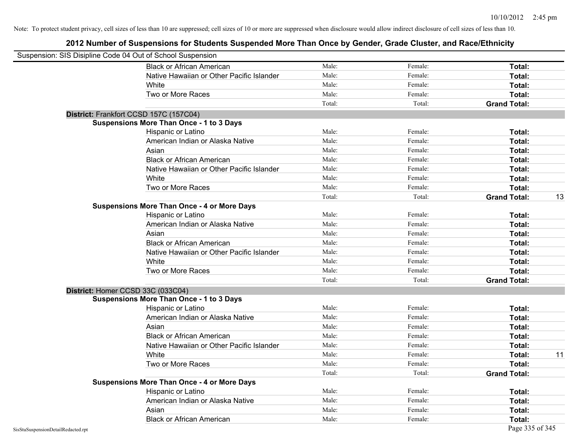| Suspension: SIS Disipline Code 04 Out of School Suspension |                                                    |        |         |                     |    |
|------------------------------------------------------------|----------------------------------------------------|--------|---------|---------------------|----|
|                                                            | <b>Black or African American</b>                   | Male:  | Female: | Total:              |    |
|                                                            | Native Hawaiian or Other Pacific Islander          | Male:  | Female: | Total:              |    |
|                                                            | White                                              | Male:  | Female: | Total:              |    |
|                                                            | Two or More Races                                  | Male:  | Female: | Total:              |    |
|                                                            |                                                    | Total: | Total:  | <b>Grand Total:</b> |    |
|                                                            | District: Frankfort CCSD 157C (157C04)             |        |         |                     |    |
|                                                            | <b>Suspensions More Than Once - 1 to 3 Days</b>    |        |         |                     |    |
|                                                            | Hispanic or Latino                                 | Male:  | Female: | Total:              |    |
|                                                            | American Indian or Alaska Native                   | Male:  | Female: | Total:              |    |
|                                                            | Asian                                              | Male:  | Female: | Total:              |    |
|                                                            | <b>Black or African American</b>                   | Male:  | Female: | Total:              |    |
|                                                            | Native Hawaiian or Other Pacific Islander          | Male:  | Female: | Total:              |    |
|                                                            | White                                              | Male:  | Female: | Total:              |    |
|                                                            | Two or More Races                                  | Male:  | Female: | Total:              |    |
|                                                            |                                                    | Total: | Total:  | <b>Grand Total:</b> | 13 |
|                                                            | <b>Suspensions More Than Once - 4 or More Days</b> |        |         |                     |    |
|                                                            | Hispanic or Latino                                 | Male:  | Female: | Total:              |    |
|                                                            | American Indian or Alaska Native                   | Male:  | Female: | Total:              |    |
|                                                            | Asian                                              | Male:  | Female: | Total:              |    |
|                                                            | <b>Black or African American</b>                   | Male:  | Female: | Total:              |    |
|                                                            | Native Hawaiian or Other Pacific Islander          | Male:  | Female: | Total:              |    |
|                                                            | White                                              | Male:  | Female: | Total:              |    |
|                                                            | Two or More Races                                  | Male:  | Female: | Total:              |    |
|                                                            |                                                    | Total: | Total:  | <b>Grand Total:</b> |    |
|                                                            | District: Homer CCSD 33C (033C04)                  |        |         |                     |    |
|                                                            | <b>Suspensions More Than Once - 1 to 3 Days</b>    |        |         |                     |    |
|                                                            | Hispanic or Latino                                 | Male:  | Female: | Total:              |    |
|                                                            | American Indian or Alaska Native                   | Male:  | Female: | Total:              |    |
|                                                            | Asian                                              | Male:  | Female: | Total:              |    |
|                                                            | <b>Black or African American</b>                   | Male:  | Female: | Total:              |    |
|                                                            | Native Hawaiian or Other Pacific Islander          | Male:  | Female: | Total:              |    |
|                                                            | White                                              | Male:  | Female: | Total:              | 11 |
|                                                            | Two or More Races                                  | Male:  | Female: | Total:              |    |
|                                                            |                                                    | Total: | Total:  | <b>Grand Total:</b> |    |
|                                                            | <b>Suspensions More Than Once - 4 or More Days</b> |        |         |                     |    |
|                                                            | Hispanic or Latino                                 | Male:  | Female: | Total:              |    |
|                                                            | American Indian or Alaska Native                   | Male:  | Female: | Total:              |    |
|                                                            | Asian                                              | Male:  | Female: | Total:              |    |
|                                                            | <b>Black or African American</b>                   | Male:  | Female: | Total:              |    |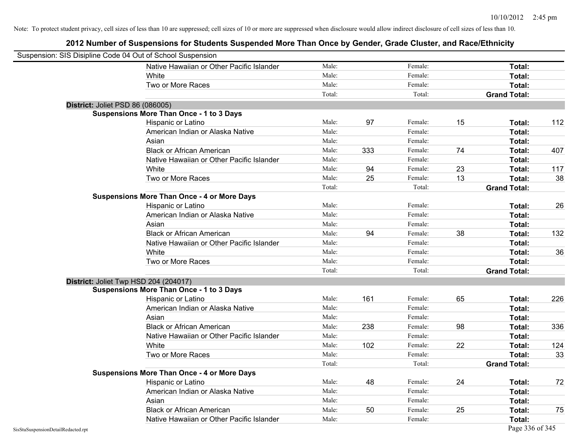|                                    | Suspension: SIS Disipline Code 04 Out of School Suspension |        |     |         |    |                     |     |
|------------------------------------|------------------------------------------------------------|--------|-----|---------|----|---------------------|-----|
|                                    | Native Hawaiian or Other Pacific Islander                  | Male:  |     | Female: |    | Total:              |     |
|                                    | White                                                      | Male:  |     | Female: |    | Total:              |     |
|                                    | Two or More Races                                          | Male:  |     | Female: |    | Total:              |     |
|                                    |                                                            | Total: |     | Total:  |    | <b>Grand Total:</b> |     |
|                                    | District: Joliet PSD 86 (086005)                           |        |     |         |    |                     |     |
|                                    | <b>Suspensions More Than Once - 1 to 3 Days</b>            |        |     |         |    |                     |     |
|                                    | Hispanic or Latino                                         | Male:  | 97  | Female: | 15 | Total:              | 112 |
|                                    | American Indian or Alaska Native                           | Male:  |     | Female: |    | Total:              |     |
|                                    | Asian                                                      | Male:  |     | Female: |    | Total:              |     |
|                                    | <b>Black or African American</b>                           | Male:  | 333 | Female: | 74 | Total:              | 407 |
|                                    | Native Hawaiian or Other Pacific Islander                  | Male:  |     | Female: |    | Total:              |     |
|                                    | White                                                      | Male:  | 94  | Female: | 23 | Total:              | 117 |
|                                    | Two or More Races                                          | Male:  | 25  | Female: | 13 | Total:              | 38  |
|                                    |                                                            | Total: |     | Total:  |    | <b>Grand Total:</b> |     |
|                                    | <b>Suspensions More Than Once - 4 or More Days</b>         |        |     |         |    |                     |     |
|                                    | Hispanic or Latino                                         | Male:  |     | Female: |    | Total:              | 26  |
|                                    | American Indian or Alaska Native                           | Male:  |     | Female: |    | Total:              |     |
|                                    | Asian                                                      | Male:  |     | Female: |    | Total:              |     |
|                                    | <b>Black or African American</b>                           | Male:  | 94  | Female: | 38 | Total:              | 132 |
|                                    | Native Hawaiian or Other Pacific Islander                  | Male:  |     | Female: |    | Total:              |     |
|                                    | White                                                      | Male:  |     | Female: |    | Total:              | 36  |
|                                    | Two or More Races                                          | Male:  |     | Female: |    | Total:              |     |
|                                    |                                                            | Total: |     | Total:  |    | <b>Grand Total:</b> |     |
|                                    | District: Joliet Twp HSD 204 (204017)                      |        |     |         |    |                     |     |
|                                    | <b>Suspensions More Than Once - 1 to 3 Days</b>            |        |     |         |    |                     |     |
|                                    | Hispanic or Latino                                         | Male:  | 161 | Female: | 65 | Total:              | 226 |
|                                    | American Indian or Alaska Native                           | Male:  |     | Female: |    | Total:              |     |
|                                    | Asian                                                      | Male:  |     | Female: |    | Total:              |     |
|                                    | <b>Black or African American</b>                           | Male:  | 238 | Female: | 98 | Total:              | 336 |
|                                    | Native Hawaiian or Other Pacific Islander                  | Male:  |     | Female: |    | Total:              |     |
|                                    | White                                                      | Male:  | 102 | Female: | 22 | Total:              | 124 |
|                                    | Two or More Races                                          | Male:  |     | Female: |    | Total:              | 33  |
|                                    |                                                            | Total: |     | Total:  |    | <b>Grand Total:</b> |     |
|                                    | <b>Suspensions More Than Once - 4 or More Days</b>         |        |     |         |    |                     |     |
|                                    | Hispanic or Latino                                         | Male:  | 48  | Female: | 24 | Total:              | 72  |
|                                    | American Indian or Alaska Native                           | Male:  |     | Female: |    | Total:              |     |
|                                    | Asian                                                      | Male:  |     | Female: |    | Total:              |     |
|                                    | <b>Black or African American</b>                           | Male:  | 50  | Female: | 25 | Total:              | 75  |
|                                    | Native Hawaiian or Other Pacific Islander                  | Male:  |     | Female: |    | Total:              |     |
| SisStuSuspensionDetailRedacted.rpt |                                                            |        |     |         |    | Page 336 of 345     |     |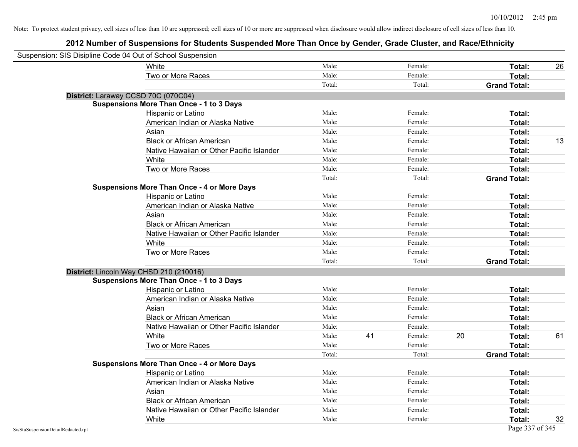| Suspension: SIS Disipline Code 04 Out of School Suspension |                                                    |        |    |         |    |                     |    |
|------------------------------------------------------------|----------------------------------------------------|--------|----|---------|----|---------------------|----|
|                                                            | White                                              | Male:  |    | Female: |    | Total:              | 26 |
|                                                            | Two or More Races                                  | Male:  |    | Female: |    | Total:              |    |
|                                                            |                                                    | Total: |    | Total:  |    | <b>Grand Total:</b> |    |
|                                                            | District: Laraway CCSD 70C (070C04)                |        |    |         |    |                     |    |
|                                                            | <b>Suspensions More Than Once - 1 to 3 Days</b>    |        |    |         |    |                     |    |
|                                                            | Hispanic or Latino                                 | Male:  |    | Female: |    | Total:              |    |
|                                                            | American Indian or Alaska Native                   | Male:  |    | Female: |    | Total:              |    |
|                                                            | Asian                                              | Male:  |    | Female: |    | Total:              |    |
|                                                            | <b>Black or African American</b>                   | Male:  |    | Female: |    | Total:              | 13 |
|                                                            | Native Hawaiian or Other Pacific Islander          | Male:  |    | Female: |    | Total:              |    |
|                                                            | White                                              | Male:  |    | Female: |    | Total:              |    |
|                                                            | Two or More Races                                  | Male:  |    | Female: |    | Total:              |    |
|                                                            |                                                    | Total: |    | Total:  |    | <b>Grand Total:</b> |    |
|                                                            | <b>Suspensions More Than Once - 4 or More Days</b> |        |    |         |    |                     |    |
|                                                            | Hispanic or Latino                                 | Male:  |    | Female: |    | Total:              |    |
|                                                            | American Indian or Alaska Native                   | Male:  |    | Female: |    | Total:              |    |
|                                                            | Asian                                              | Male:  |    | Female: |    | Total:              |    |
|                                                            | <b>Black or African American</b>                   | Male:  |    | Female: |    | Total:              |    |
|                                                            | Native Hawaiian or Other Pacific Islander          | Male:  |    | Female: |    | Total:              |    |
|                                                            | White                                              | Male:  |    | Female: |    | Total:              |    |
|                                                            | Two or More Races                                  | Male:  |    | Female: |    | Total:              |    |
|                                                            |                                                    | Total: |    | Total:  |    | <b>Grand Total:</b> |    |
|                                                            | District: Lincoln Way CHSD 210 (210016)            |        |    |         |    |                     |    |
|                                                            | <b>Suspensions More Than Once - 1 to 3 Days</b>    |        |    |         |    |                     |    |
|                                                            | Hispanic or Latino                                 | Male:  |    | Female: |    | Total:              |    |
|                                                            | American Indian or Alaska Native                   | Male:  |    | Female: |    | Total:              |    |
|                                                            | Asian                                              | Male:  |    | Female: |    | Total:              |    |
|                                                            | <b>Black or African American</b>                   | Male:  |    | Female: |    | Total:              |    |
|                                                            | Native Hawaiian or Other Pacific Islander          | Male:  |    | Female: |    | Total:              |    |
|                                                            | White                                              | Male:  | 41 | Female: | 20 | Total:              | 61 |
|                                                            | Two or More Races                                  | Male:  |    | Female: |    | Total:              |    |
|                                                            |                                                    | Total: |    | Total:  |    | <b>Grand Total:</b> |    |
|                                                            | <b>Suspensions More Than Once - 4 or More Days</b> |        |    |         |    |                     |    |
|                                                            | Hispanic or Latino                                 | Male:  |    | Female: |    | Total:              |    |
|                                                            | American Indian or Alaska Native                   | Male:  |    | Female: |    | Total:              |    |
|                                                            | Asian                                              | Male:  |    | Female: |    | Total:              |    |
|                                                            | <b>Black or African American</b>                   | Male:  |    | Female: |    | Total:              |    |
|                                                            | Native Hawaiian or Other Pacific Islander          | Male:  |    | Female: |    | Total:              |    |
|                                                            | White                                              | Male:  |    | Female: |    | Total:              | 32 |
| SisStuSuspensionDetailRedacted.rpt                         |                                                    |        |    |         |    | Page 337 of 345     |    |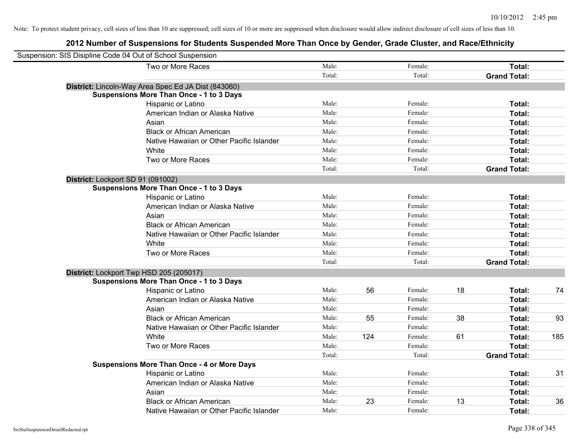| Suspension: SIS Disipline Code 04 Out of School Suspension |                                                     |        |     |         |    |                     |     |
|------------------------------------------------------------|-----------------------------------------------------|--------|-----|---------|----|---------------------|-----|
|                                                            | Two or More Races                                   | Male:  |     | Female: |    | Total:              |     |
|                                                            |                                                     | Total: |     | Total:  |    | <b>Grand Total:</b> |     |
|                                                            | District: Lincoln-Way Area Spec Ed JA Dist (843060) |        |     |         |    |                     |     |
|                                                            | <b>Suspensions More Than Once - 1 to 3 Days</b>     |        |     |         |    |                     |     |
|                                                            | Hispanic or Latino                                  | Male:  |     | Female: |    | Total:              |     |
|                                                            | American Indian or Alaska Native                    | Male:  |     | Female: |    | Total:              |     |
|                                                            | Asian                                               | Male:  |     | Female: |    | Total:              |     |
|                                                            | <b>Black or African American</b>                    | Male:  |     | Female: |    | Total:              |     |
|                                                            | Native Hawaiian or Other Pacific Islander           | Male:  |     | Female: |    | Total:              |     |
|                                                            | White                                               | Male:  |     | Female: |    | Total:              |     |
|                                                            | Two or More Races                                   | Male:  |     | Female: |    | Total:              |     |
|                                                            |                                                     | Total: |     | Total:  |    | <b>Grand Total:</b> |     |
|                                                            | District: Lockport SD 91 (091002)                   |        |     |         |    |                     |     |
|                                                            | <b>Suspensions More Than Once - 1 to 3 Days</b>     |        |     |         |    |                     |     |
|                                                            | Hispanic or Latino                                  | Male:  |     | Female: |    | Total:              |     |
|                                                            | American Indian or Alaska Native                    | Male:  |     | Female: |    | Total:              |     |
|                                                            | Asian                                               | Male:  |     | Female: |    | Total:              |     |
|                                                            | <b>Black or African American</b>                    | Male:  |     | Female: |    | Total:              |     |
|                                                            | Native Hawaiian or Other Pacific Islander           | Male:  |     | Female: |    | Total:              |     |
|                                                            | White                                               | Male:  |     | Female: |    | Total:              |     |
|                                                            | Two or More Races                                   | Male:  |     | Female: |    | Total:              |     |
|                                                            |                                                     | Total: |     | Total:  |    | <b>Grand Total:</b> |     |
|                                                            | District: Lockport Twp HSD 205 (205017)             |        |     |         |    |                     |     |
|                                                            | <b>Suspensions More Than Once - 1 to 3 Days</b>     |        |     |         |    |                     |     |
|                                                            | Hispanic or Latino                                  | Male:  | 56  | Female: | 18 | Total:              | 74  |
|                                                            | American Indian or Alaska Native                    | Male:  |     | Female: |    | Total:              |     |
|                                                            | Asian                                               | Male:  |     | Female: |    | Total:              |     |
|                                                            | <b>Black or African American</b>                    | Male:  | 55  | Female: | 38 | Total:              | 93  |
|                                                            | Native Hawaiian or Other Pacific Islander           | Male:  |     | Female: |    | Total:              |     |
|                                                            | White                                               | Male:  | 124 | Female: | 61 | Total:              | 185 |
|                                                            | Two or More Races                                   | Male:  |     | Female: |    | Total:              |     |
|                                                            |                                                     | Total: |     | Total:  |    | <b>Grand Total:</b> |     |
|                                                            | <b>Suspensions More Than Once - 4 or More Days</b>  |        |     |         |    |                     |     |
|                                                            | Hispanic or Latino                                  | Male:  |     | Female: |    | Total:              | 31  |
|                                                            | American Indian or Alaska Native                    | Male:  |     | Female: |    | Total:              |     |
|                                                            | Asian                                               | Male:  |     | Female: |    | Total:              |     |
|                                                            | <b>Black or African American</b>                    | Male:  | 23  | Female: | 13 | Total:              | 36  |
|                                                            | Native Hawaiian or Other Pacific Islander           | Male:  |     | Female: |    | Total:              |     |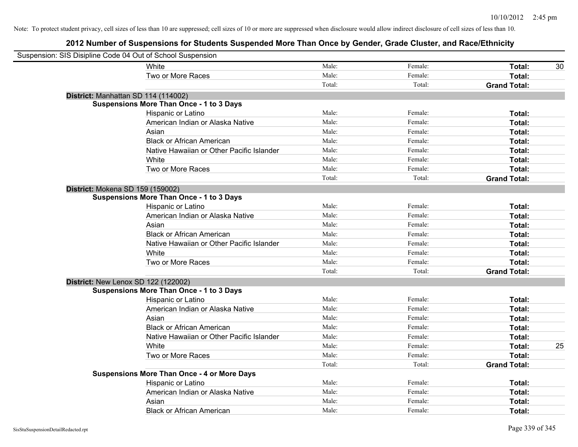| Suspension: SIS Disipline Code 04 Out of School Suspension |                                                    |        |         |                     |    |
|------------------------------------------------------------|----------------------------------------------------|--------|---------|---------------------|----|
|                                                            | White                                              | Male:  | Female: | Total:              | 30 |
|                                                            | Two or More Races                                  | Male:  | Female: | Total:              |    |
|                                                            |                                                    | Total: | Total:  | <b>Grand Total:</b> |    |
| District: Manhattan SD 114 (114002)                        |                                                    |        |         |                     |    |
|                                                            | <b>Suspensions More Than Once - 1 to 3 Days</b>    |        |         |                     |    |
|                                                            | Hispanic or Latino                                 | Male:  | Female: | Total:              |    |
|                                                            | American Indian or Alaska Native                   | Male:  | Female: | Total:              |    |
|                                                            | Asian                                              | Male:  | Female: | Total:              |    |
|                                                            | <b>Black or African American</b>                   | Male:  | Female: | Total:              |    |
|                                                            | Native Hawaiian or Other Pacific Islander          | Male:  | Female: | Total:              |    |
|                                                            | White                                              | Male:  | Female: | Total:              |    |
|                                                            | Two or More Races                                  | Male:  | Female: | Total:              |    |
|                                                            |                                                    | Total: | Total:  | <b>Grand Total:</b> |    |
| District: Mokena SD 159 (159002)                           |                                                    |        |         |                     |    |
|                                                            | <b>Suspensions More Than Once - 1 to 3 Days</b>    |        |         |                     |    |
|                                                            | Hispanic or Latino                                 | Male:  | Female: | Total:              |    |
|                                                            | American Indian or Alaska Native                   | Male:  | Female: | Total:              |    |
|                                                            | Asian                                              | Male:  | Female: | Total:              |    |
|                                                            | <b>Black or African American</b>                   | Male:  | Female: | Total:              |    |
|                                                            | Native Hawaiian or Other Pacific Islander          | Male:  | Female: | Total:              |    |
|                                                            | White                                              | Male:  | Female: | Total:              |    |
|                                                            | Two or More Races                                  | Male:  | Female: | Total:              |    |
|                                                            |                                                    | Total: | Total:  | <b>Grand Total:</b> |    |
| District: New Lenox SD 122 (122002)                        |                                                    |        |         |                     |    |
|                                                            | <b>Suspensions More Than Once - 1 to 3 Days</b>    |        |         |                     |    |
|                                                            | Hispanic or Latino                                 | Male:  | Female: | Total:              |    |
|                                                            | American Indian or Alaska Native                   | Male:  | Female: | Total:              |    |
|                                                            | Asian                                              | Male:  | Female: | Total:              |    |
|                                                            | <b>Black or African American</b>                   | Male:  | Female: | Total:              |    |
|                                                            | Native Hawaiian or Other Pacific Islander          | Male:  | Female: | Total:              |    |
|                                                            | White                                              | Male:  | Female: | Total:              | 25 |
|                                                            | Two or More Races                                  | Male:  | Female: | Total:              |    |
|                                                            |                                                    | Total: | Total:  | <b>Grand Total:</b> |    |
|                                                            | <b>Suspensions More Than Once - 4 or More Days</b> |        |         |                     |    |
|                                                            | Hispanic or Latino                                 | Male:  | Female: | Total:              |    |
|                                                            | American Indian or Alaska Native                   | Male:  | Female: | Total:              |    |
|                                                            | Asian                                              | Male:  | Female: | Total:              |    |
|                                                            | <b>Black or African American</b>                   | Male:  | Female: | Total:              |    |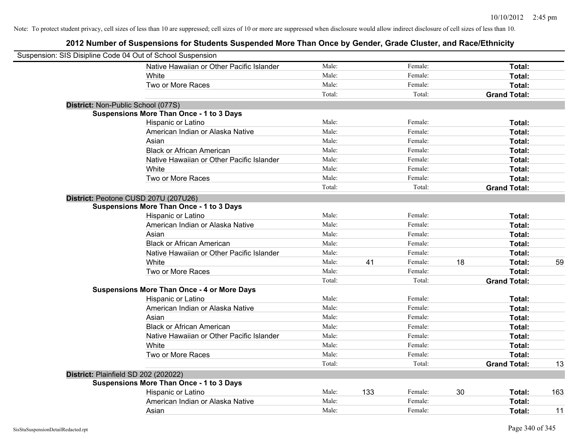| Suspension: SIS Disipline Code 04 Out of School Suspension |                                                    |        |     |         |    |                     |     |
|------------------------------------------------------------|----------------------------------------------------|--------|-----|---------|----|---------------------|-----|
|                                                            | Native Hawaiian or Other Pacific Islander          | Male:  |     | Female: |    | Total:              |     |
|                                                            | <b>White</b>                                       | Male:  |     | Female: |    | Total:              |     |
|                                                            | Two or More Races                                  | Male:  |     | Female: |    | Total:              |     |
|                                                            |                                                    | Total: |     | Total:  |    | <b>Grand Total:</b> |     |
| District: Non-Public School (077S)                         |                                                    |        |     |         |    |                     |     |
|                                                            | <b>Suspensions More Than Once - 1 to 3 Days</b>    |        |     |         |    |                     |     |
|                                                            | Hispanic or Latino                                 | Male:  |     | Female: |    | Total:              |     |
|                                                            | American Indian or Alaska Native                   | Male:  |     | Female: |    | Total:              |     |
|                                                            | Asian                                              | Male:  |     | Female: |    | Total:              |     |
|                                                            | <b>Black or African American</b>                   | Male:  |     | Female: |    | Total:              |     |
|                                                            | Native Hawaiian or Other Pacific Islander          | Male:  |     | Female: |    | Total:              |     |
|                                                            | White                                              | Male:  |     | Female: |    | Total:              |     |
|                                                            | Two or More Races                                  | Male:  |     | Female: |    | Total:              |     |
|                                                            |                                                    | Total: |     | Total:  |    | <b>Grand Total:</b> |     |
| District: Peotone CUSD 207U (207U26)                       |                                                    |        |     |         |    |                     |     |
|                                                            | <b>Suspensions More Than Once - 1 to 3 Days</b>    |        |     |         |    |                     |     |
|                                                            | Hispanic or Latino                                 | Male:  |     | Female: |    | Total:              |     |
|                                                            | American Indian or Alaska Native                   | Male:  |     | Female: |    | Total:              |     |
|                                                            | Asian                                              | Male:  |     | Female: |    | Total:              |     |
|                                                            | <b>Black or African American</b>                   | Male:  |     | Female: |    | Total:              |     |
|                                                            | Native Hawaiian or Other Pacific Islander          | Male:  |     | Female: |    | Total:              |     |
|                                                            | White                                              | Male:  | 41  | Female: | 18 | Total:              | 59  |
|                                                            | Two or More Races                                  | Male:  |     | Female: |    | Total:              |     |
|                                                            |                                                    | Total: |     | Total:  |    | <b>Grand Total:</b> |     |
|                                                            | <b>Suspensions More Than Once - 4 or More Days</b> |        |     |         |    |                     |     |
|                                                            | Hispanic or Latino                                 | Male:  |     | Female: |    | Total:              |     |
|                                                            | American Indian or Alaska Native                   | Male:  |     | Female: |    | Total:              |     |
|                                                            | Asian                                              | Male:  |     | Female: |    | Total:              |     |
|                                                            | <b>Black or African American</b>                   | Male:  |     | Female: |    | Total:              |     |
|                                                            | Native Hawaiian or Other Pacific Islander          | Male:  |     | Female: |    | Total:              |     |
|                                                            | White                                              | Male:  |     | Female: |    | Total:              |     |
|                                                            | Two or More Races                                  | Male:  |     | Female: |    | Total:              |     |
|                                                            |                                                    | Total: |     | Total:  |    | <b>Grand Total:</b> | 13  |
| District: Plainfield SD 202 (202022)                       |                                                    |        |     |         |    |                     |     |
|                                                            | <b>Suspensions More Than Once - 1 to 3 Days</b>    |        |     |         |    |                     |     |
|                                                            | Hispanic or Latino                                 | Male:  | 133 | Female: | 30 | Total:              | 163 |
|                                                            | American Indian or Alaska Native                   | Male:  |     | Female: |    | Total:              |     |
|                                                            | Asian                                              | Male:  |     | Female: |    | Total:              | 11  |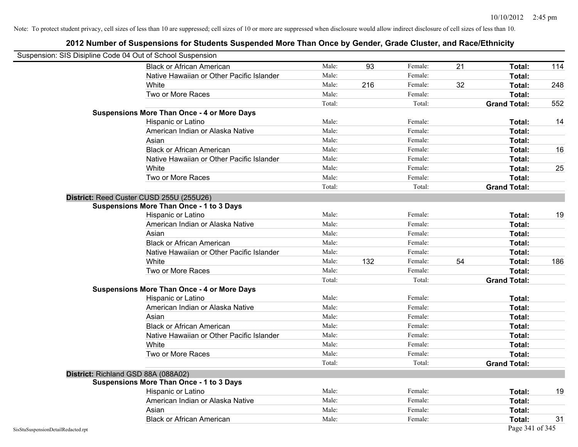| Suspension: SIS Disipline Code 04 Out of School Suspension |                                                    |        |     |         |    |                     |     |
|------------------------------------------------------------|----------------------------------------------------|--------|-----|---------|----|---------------------|-----|
|                                                            | <b>Black or African American</b>                   | Male:  | 93  | Female: | 21 | Total:              | 114 |
|                                                            | Native Hawaiian or Other Pacific Islander          | Male:  |     | Female: |    | Total:              |     |
|                                                            | White                                              | Male:  | 216 | Female: | 32 | Total:              | 248 |
|                                                            | Two or More Races                                  | Male:  |     | Female: |    | Total:              |     |
|                                                            |                                                    | Total: |     | Total:  |    | <b>Grand Total:</b> | 552 |
|                                                            | <b>Suspensions More Than Once - 4 or More Days</b> |        |     |         |    |                     |     |
|                                                            | Hispanic or Latino                                 | Male:  |     | Female: |    | Total:              | 14  |
|                                                            | American Indian or Alaska Native                   | Male:  |     | Female: |    | Total:              |     |
|                                                            | Asian                                              | Male:  |     | Female: |    | Total:              |     |
|                                                            | <b>Black or African American</b>                   | Male:  |     | Female: |    | Total:              | 16  |
|                                                            | Native Hawaiian or Other Pacific Islander          | Male:  |     | Female: |    | Total:              |     |
|                                                            | White                                              | Male:  |     | Female: |    | Total:              | 25  |
|                                                            | Two or More Races                                  | Male:  |     | Female: |    | Total:              |     |
|                                                            |                                                    | Total: |     | Total:  |    | <b>Grand Total:</b> |     |
|                                                            | District: Reed Custer CUSD 255U (255U26)           |        |     |         |    |                     |     |
|                                                            | <b>Suspensions More Than Once - 1 to 3 Days</b>    |        |     |         |    |                     |     |
|                                                            | Hispanic or Latino                                 | Male:  |     | Female: |    | Total:              | 19  |
|                                                            | American Indian or Alaska Native                   | Male:  |     | Female: |    | Total:              |     |
|                                                            | Asian                                              | Male:  |     | Female: |    | Total:              |     |
|                                                            | <b>Black or African American</b>                   | Male:  |     | Female: |    | Total:              |     |
|                                                            | Native Hawaiian or Other Pacific Islander          | Male:  |     | Female: |    | Total:              |     |
|                                                            | White                                              | Male:  | 132 | Female: | 54 | Total:              | 186 |
|                                                            | Two or More Races                                  | Male:  |     | Female: |    | Total:              |     |
|                                                            |                                                    | Total: |     | Total:  |    | <b>Grand Total:</b> |     |
|                                                            | <b>Suspensions More Than Once - 4 or More Days</b> |        |     |         |    |                     |     |
|                                                            | Hispanic or Latino                                 | Male:  |     | Female: |    | Total:              |     |
|                                                            | American Indian or Alaska Native                   | Male:  |     | Female: |    | Total:              |     |
|                                                            | Asian                                              | Male:  |     | Female: |    | Total:              |     |
|                                                            | <b>Black or African American</b>                   | Male:  |     | Female: |    | Total:              |     |
|                                                            | Native Hawaiian or Other Pacific Islander          | Male:  |     | Female: |    | Total:              |     |
|                                                            | White                                              | Male:  |     | Female: |    | Total:              |     |
|                                                            | Two or More Races                                  | Male:  |     | Female: |    | Total:              |     |
|                                                            |                                                    | Total: |     | Total:  |    | <b>Grand Total:</b> |     |
|                                                            | District: Richland GSD 88A (088A02)                |        |     |         |    |                     |     |
|                                                            | <b>Suspensions More Than Once - 1 to 3 Days</b>    |        |     |         |    |                     |     |
|                                                            | Hispanic or Latino                                 | Male:  |     | Female: |    | Total:              | 19  |
|                                                            | American Indian or Alaska Native                   | Male:  |     | Female: |    | Total:              |     |
|                                                            | Asian                                              | Male:  |     | Female: |    | Total:              |     |
|                                                            | <b>Black or African American</b>                   | Male:  |     | Female: |    | Total:              | 31  |
| SisStuSuspensionDetailRedacted.rpt                         |                                                    |        |     |         |    | Page 341 of 345     |     |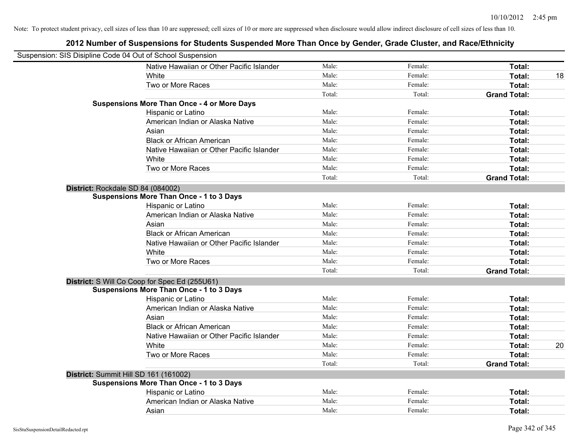| Suspension: SIS Disipline Code 04 Out of School Suspension |        |         |                     |    |
|------------------------------------------------------------|--------|---------|---------------------|----|
| Native Hawaiian or Other Pacific Islander                  | Male:  | Female: | Total:              |    |
| White                                                      | Male:  | Female: | Total:              | 18 |
| Two or More Races                                          | Male:  | Female: | Total:              |    |
|                                                            | Total: | Total:  | <b>Grand Total:</b> |    |
| <b>Suspensions More Than Once - 4 or More Days</b>         |        |         |                     |    |
| Hispanic or Latino                                         | Male:  | Female: | Total:              |    |
| American Indian or Alaska Native                           | Male:  | Female: | Total:              |    |
| Asian                                                      | Male:  | Female: | Total:              |    |
| <b>Black or African American</b>                           | Male:  | Female: | Total:              |    |
| Native Hawaiian or Other Pacific Islander                  | Male:  | Female: | Total:              |    |
| White                                                      | Male:  | Female: | Total:              |    |
| Two or More Races                                          | Male:  | Female: | Total:              |    |
|                                                            | Total: | Total:  | <b>Grand Total:</b> |    |
| District: Rockdale SD 84 (084002)                          |        |         |                     |    |
| <b>Suspensions More Than Once - 1 to 3 Days</b>            |        |         |                     |    |
| Hispanic or Latino                                         | Male:  | Female: | Total:              |    |
| American Indian or Alaska Native                           | Male:  | Female: | Total:              |    |
| Asian                                                      | Male:  | Female: | Total:              |    |
| <b>Black or African American</b>                           | Male:  | Female: | Total:              |    |
| Native Hawaiian or Other Pacific Islander                  | Male:  | Female: | Total:              |    |
| White                                                      | Male:  | Female: | Total:              |    |
| Two or More Races                                          | Male:  | Female: | Total:              |    |
|                                                            | Total: | Total:  | <b>Grand Total:</b> |    |
| District: S Will Co Coop for Spec Ed (255U61)              |        |         |                     |    |
| <b>Suspensions More Than Once - 1 to 3 Days</b>            |        |         |                     |    |
| Hispanic or Latino                                         | Male:  | Female: | Total:              |    |
| American Indian or Alaska Native                           | Male:  | Female: | Total:              |    |
| Asian                                                      | Male:  | Female: | Total:              |    |
| <b>Black or African American</b>                           | Male:  | Female: | Total:              |    |
| Native Hawaiian or Other Pacific Islander                  | Male:  | Female: | Total:              |    |
| White                                                      | Male:  | Female: | Total:              | 20 |
| Two or More Races                                          | Male:  | Female: | Total:              |    |
|                                                            | Total: | Total:  | <b>Grand Total:</b> |    |
| District: Summit Hill SD 161 (161002)                      |        |         |                     |    |
| <b>Suspensions More Than Once - 1 to 3 Days</b>            |        |         |                     |    |
| Hispanic or Latino                                         | Male:  | Female: | Total:              |    |
| American Indian or Alaska Native                           | Male:  | Female: | Total:              |    |
| Asian                                                      | Male:  | Female: | Total:              |    |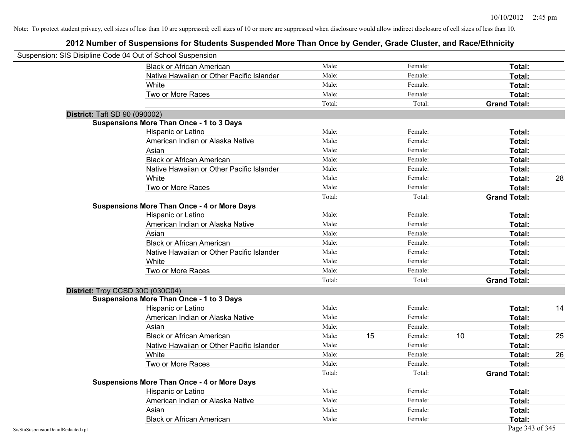|                                    | Suspension: SIS Disipline Code 04 Out of School Suspension |        |    |         |    |                     |    |
|------------------------------------|------------------------------------------------------------|--------|----|---------|----|---------------------|----|
|                                    | <b>Black or African American</b>                           | Male:  |    | Female: |    | <b>Total:</b>       |    |
|                                    | Native Hawaiian or Other Pacific Islander                  | Male:  |    | Female: |    | Total:              |    |
|                                    | White                                                      | Male:  |    | Female: |    | Total:              |    |
|                                    | Two or More Races                                          | Male:  |    | Female: |    | Total:              |    |
|                                    |                                                            | Total: |    | Total:  |    | <b>Grand Total:</b> |    |
|                                    | <b>District: Taft SD 90 (090002)</b>                       |        |    |         |    |                     |    |
|                                    | <b>Suspensions More Than Once - 1 to 3 Days</b>            |        |    |         |    |                     |    |
|                                    | Hispanic or Latino                                         | Male:  |    | Female: |    | Total:              |    |
|                                    | American Indian or Alaska Native                           | Male:  |    | Female: |    | Total:              |    |
|                                    | Asian                                                      | Male:  |    | Female: |    | Total:              |    |
|                                    | <b>Black or African American</b>                           | Male:  |    | Female: |    | Total:              |    |
|                                    | Native Hawaiian or Other Pacific Islander                  | Male:  |    | Female: |    | Total:              |    |
|                                    | White                                                      | Male:  |    | Female: |    | Total:              | 28 |
|                                    | Two or More Races                                          | Male:  |    | Female: |    | Total:              |    |
|                                    |                                                            | Total: |    | Total:  |    | <b>Grand Total:</b> |    |
|                                    | <b>Suspensions More Than Once - 4 or More Days</b>         |        |    |         |    |                     |    |
|                                    | Hispanic or Latino                                         | Male:  |    | Female: |    | Total:              |    |
|                                    | American Indian or Alaska Native                           | Male:  |    | Female: |    | Total:              |    |
|                                    | Asian                                                      | Male:  |    | Female: |    | Total:              |    |
|                                    | <b>Black or African American</b>                           | Male:  |    | Female: |    | Total:              |    |
|                                    | Native Hawaiian or Other Pacific Islander                  | Male:  |    | Female: |    | Total:              |    |
|                                    | White                                                      | Male:  |    | Female: |    | Total:              |    |
|                                    | Two or More Races                                          | Male:  |    | Female: |    | Total:              |    |
|                                    |                                                            | Total: |    | Total:  |    | <b>Grand Total:</b> |    |
|                                    | District: Troy CCSD 30C (030C04)                           |        |    |         |    |                     |    |
|                                    | <b>Suspensions More Than Once - 1 to 3 Days</b>            |        |    |         |    |                     |    |
|                                    | Hispanic or Latino                                         | Male:  |    | Female: |    | Total:              | 14 |
|                                    | American Indian or Alaska Native                           | Male:  |    | Female: |    | Total:              |    |
|                                    | Asian                                                      | Male:  |    | Female: |    | Total:              |    |
|                                    | <b>Black or African American</b>                           | Male:  | 15 | Female: | 10 | Total:              | 25 |
|                                    | Native Hawaiian or Other Pacific Islander                  | Male:  |    | Female: |    | Total:              |    |
|                                    | White                                                      | Male:  |    | Female: |    | Total:              | 26 |
|                                    | Two or More Races                                          | Male:  |    | Female: |    | Total:              |    |
|                                    |                                                            | Total: |    | Total:  |    | <b>Grand Total:</b> |    |
|                                    | <b>Suspensions More Than Once - 4 or More Days</b>         |        |    |         |    |                     |    |
|                                    | Hispanic or Latino                                         | Male:  |    | Female: |    | Total:              |    |
|                                    | American Indian or Alaska Native                           | Male:  |    | Female: |    | Total:              |    |
|                                    | Asian                                                      | Male:  |    | Female: |    | Total:              |    |
|                                    | <b>Black or African American</b>                           | Male:  |    | Female: |    | Total:              |    |
| SisStuSuspensionDetailRedacted.rpt |                                                            |        |    |         |    | Page 343 of 345     |    |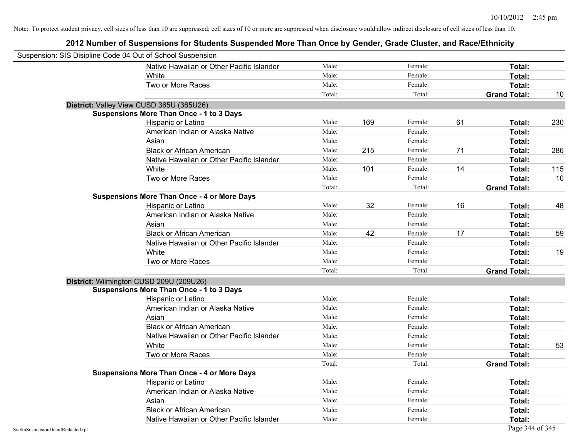| Suspension: SIS Disipline Code 04 Out of School Suspension |                                                    |        |     |         |    |                     |     |
|------------------------------------------------------------|----------------------------------------------------|--------|-----|---------|----|---------------------|-----|
|                                                            | Native Hawaiian or Other Pacific Islander          | Male:  |     | Female: |    | Total:              |     |
|                                                            | White                                              | Male:  |     | Female: |    | Total:              |     |
|                                                            | Two or More Races                                  | Male:  |     | Female: |    | Total:              |     |
|                                                            |                                                    | Total: |     | Total:  |    | <b>Grand Total:</b> | 10  |
| District: Valley View CUSD 365U (365U26)                   |                                                    |        |     |         |    |                     |     |
|                                                            | <b>Suspensions More Than Once - 1 to 3 Days</b>    |        |     |         |    |                     |     |
|                                                            | Hispanic or Latino                                 | Male:  | 169 | Female: | 61 | Total:              | 230 |
|                                                            | American Indian or Alaska Native                   | Male:  |     | Female: |    | Total:              |     |
|                                                            | Asian                                              | Male:  |     | Female: |    | Total:              |     |
|                                                            | <b>Black or African American</b>                   | Male:  | 215 | Female: | 71 | Total:              | 286 |
|                                                            | Native Hawaiian or Other Pacific Islander          | Male:  |     | Female: |    | Total:              |     |
|                                                            | White                                              | Male:  | 101 | Female: | 14 | Total:              | 115 |
|                                                            | Two or More Races                                  | Male:  |     | Female: |    | Total:              | 10  |
|                                                            |                                                    | Total: |     | Total:  |    | <b>Grand Total:</b> |     |
|                                                            | <b>Suspensions More Than Once - 4 or More Days</b> |        |     |         |    |                     |     |
|                                                            | Hispanic or Latino                                 | Male:  | 32  | Female: | 16 | Total:              | 48  |
|                                                            | American Indian or Alaska Native                   | Male:  |     | Female: |    | Total:              |     |
|                                                            | Asian                                              | Male:  |     | Female: |    | Total:              |     |
|                                                            | <b>Black or African American</b>                   | Male:  | 42  | Female: | 17 | Total:              | 59  |
|                                                            | Native Hawaiian or Other Pacific Islander          | Male:  |     | Female: |    | Total:              |     |
|                                                            | White                                              | Male:  |     | Female: |    | Total:              | 19  |
|                                                            | Two or More Races                                  | Male:  |     | Female: |    | Total:              |     |
|                                                            |                                                    | Total: |     | Total:  |    | <b>Grand Total:</b> |     |
| District: Wilmington CUSD 209U (209U26)                    |                                                    |        |     |         |    |                     |     |
|                                                            | <b>Suspensions More Than Once - 1 to 3 Days</b>    |        |     |         |    |                     |     |
|                                                            | Hispanic or Latino                                 | Male:  |     | Female: |    | Total:              |     |
|                                                            | American Indian or Alaska Native                   | Male:  |     | Female: |    | Total:              |     |
|                                                            | Asian                                              | Male:  |     | Female: |    | Total:              |     |
|                                                            | <b>Black or African American</b>                   | Male:  |     | Female: |    | Total:              |     |
|                                                            | Native Hawaiian or Other Pacific Islander          | Male:  |     | Female: |    | Total:              |     |
|                                                            | White                                              | Male:  |     | Female: |    | Total:              | 53  |
|                                                            | Two or More Races                                  | Male:  |     | Female: |    | Total:              |     |
|                                                            |                                                    | Total: |     | Total:  |    | <b>Grand Total:</b> |     |
|                                                            | <b>Suspensions More Than Once - 4 or More Days</b> |        |     |         |    |                     |     |
|                                                            | Hispanic or Latino                                 | Male:  |     | Female: |    | Total:              |     |
|                                                            | American Indian or Alaska Native                   | Male:  |     | Female: |    | Total:              |     |
|                                                            | Asian                                              | Male:  |     | Female: |    | Total:              |     |
|                                                            | <b>Black or African American</b>                   | Male:  |     | Female: |    | Total:              |     |
|                                                            | Native Hawaiian or Other Pacific Islander          | Male:  |     | Female: |    | Total:              |     |